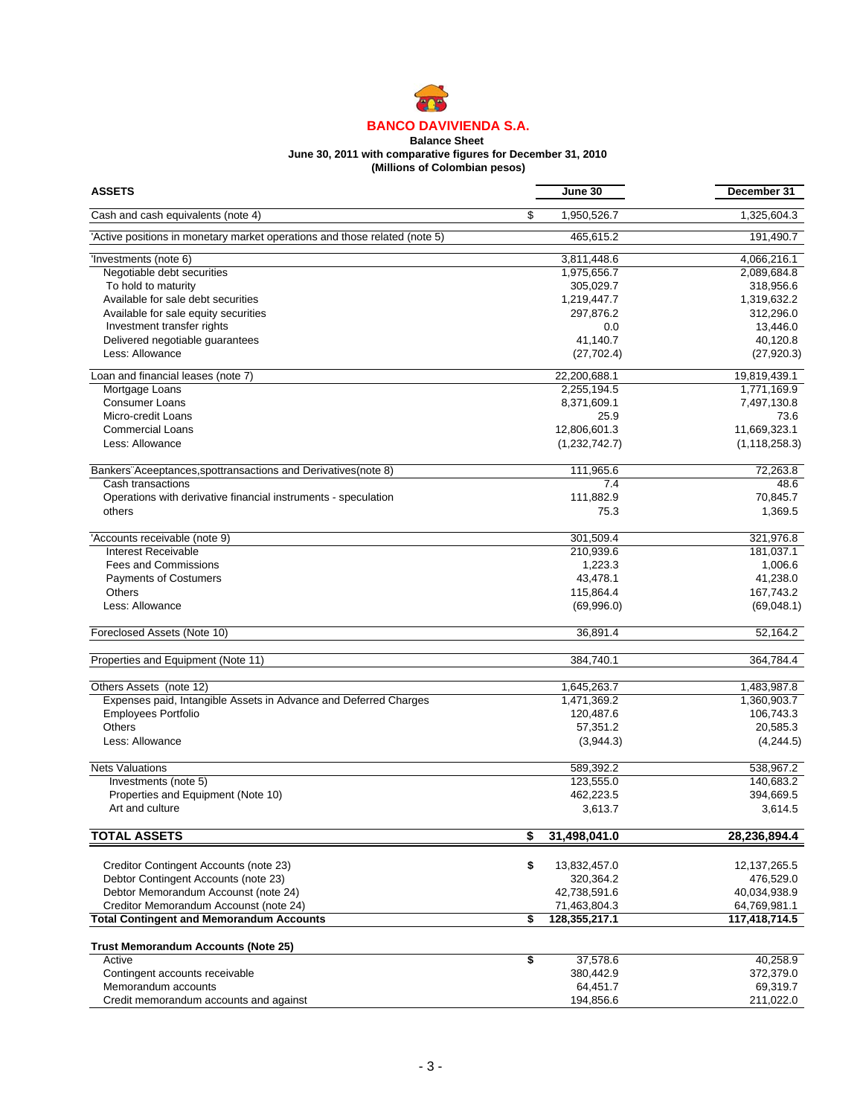

#### **Balance Sheet June 30, 2011 with comparative figures for December 31, 2010 (Millions of Colombian pesos)**

| <b>ASSETS</b>                                                              | June 30             | December 31     |
|----------------------------------------------------------------------------|---------------------|-----------------|
| Cash and cash equivalents (note 4)                                         | \$<br>1,950,526.7   | 1,325,604.3     |
| 'Active positions in monetary market operations and those related (note 5) | 465,615.2           | 191,490.7       |
| 'Investments (note 6)                                                      | 3,811,448.6         | 4,066,216.1     |
| Negotiable debt securities                                                 | 1,975,656.7         | 2,089,684.8     |
| To hold to maturity                                                        | 305,029.7           | 318,956.6       |
| Available for sale debt securities                                         | 1,219,447.7         | 1,319,632.2     |
| Available for sale equity securities                                       | 297,876.2           | 312,296.0       |
| Investment transfer rights                                                 | 0.0                 | 13,446.0        |
| Delivered negotiable guarantees                                            | 41,140.7            | 40,120.8        |
| Less: Allowance                                                            | (27, 702.4)         | (27, 920.3)     |
| Loan and financial leases (note 7)                                         | 22,200,688.1        | 19,819,439.1    |
| Mortgage Loans                                                             | 2,255,194.5         | 1,771,169.9     |
| <b>Consumer Loans</b>                                                      | 8,371,609.1         | 7,497,130.8     |
| Micro-credit Loans                                                         | 25.9                | 73.6            |
| <b>Commercial Loans</b>                                                    | 12,806,601.3        | 11,669,323.1    |
| Less: Allowance                                                            | (1,232,742.7)       | (1, 118, 258.3) |
|                                                                            |                     |                 |
| Bankers Aceeptances, spottransactions and Derivatives (note 8)             | 111,965.6           | 72,263.8        |
| Cash transactions                                                          | 7.4                 | 48.6            |
| Operations with derivative financial instruments - speculation             | 111,882.9           | 70,845.7        |
| others                                                                     | 75.3                | 1,369.5         |
| 'Accounts receivable (note 9)                                              | 301,509.4           | 321,976.8       |
| Interest Receivable                                                        | 210,939.6           | 181,037.1       |
| <b>Fees and Commissions</b>                                                | 1,223.3             | 1,006.6         |
| <b>Payments of Costumers</b>                                               | 43,478.1            | 41,238.0        |
| <b>Others</b>                                                              | 115,864.4           | 167,743.2       |
| Less: Allowance                                                            |                     |                 |
|                                                                            | (69,996.0)          | (69,048.1)      |
| Foreclosed Assets (Note 10)                                                | 36,891.4            | 52,164.2        |
| Properties and Equipment (Note 11)                                         | 384,740.1           | 364,784.4       |
| Others Assets (note 12)                                                    | 1,645,263.7         | 1,483,987.8     |
| Expenses paid, Intangible Assets in Advance and Deferred Charges           | 1,471,369.2         | 1,360,903.7     |
| <b>Employees Portfolio</b>                                                 | 120,487.6           | 106,743.3       |
| Others                                                                     | 57,351.2            | 20,585.3        |
|                                                                            |                     |                 |
| Less: Allowance                                                            | (3,944.3)           | (4,244.5)       |
| <b>Nets Valuations</b>                                                     | 589,392.2           | 538,967.2       |
| Investments (note 5)                                                       | 123,555.0           | 140,683.2       |
| Properties and Equipment (Note 10)                                         | 462,223.5           | 394,669.5       |
| Art and culture                                                            | 3,613.7             | 3,614.5         |
| <b>TOTAL ASSETS</b>                                                        | \$<br>31,498,041.0  | 28,236,894.4    |
|                                                                            |                     |                 |
| Creditor Contingent Accounts (note 23)                                     | \$<br>13,832,457.0  | 12, 137, 265.5  |
| Debtor Contingent Accounts (note 23)                                       | 320,364.2           | 476,529.0       |
| Debtor Memorandum Accounst (note 24)                                       | 42,738,591.6        | 40,034,938.9    |
| Creditor Memorandum Accounst (note 24)                                     | 71,463,804.3        | 64,769,981.1    |
| <b>Total Contingent and Memorandum Accounts</b>                            | \$<br>128,355,217.1 | 117,418,714.5   |
| <b>Trust Memorandum Accounts (Note 25)</b>                                 |                     |                 |
| Active                                                                     | \$<br>37,578.6      | 40,258.9        |
| Contingent accounts receivable                                             | 380,442.9           | 372,379.0       |
| Memorandum accounts                                                        | 64,451.7            | 69,319.7        |
| Credit memorandum accounts and against                                     | 194,856.6           | 211,022.0       |
|                                                                            |                     |                 |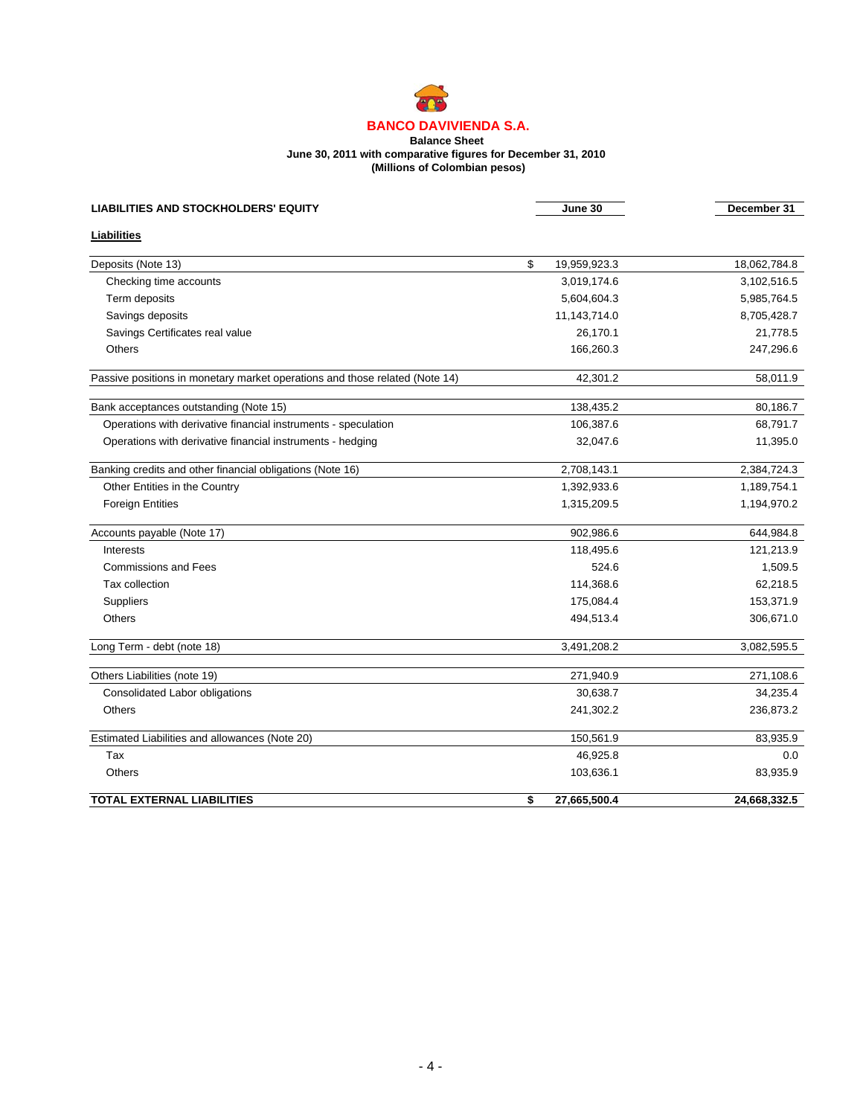#### **Balance Sheet June 30, 2011 with comparative figures for December 31, 2010 (Millions of Colombian pesos)**

| <b>LIABILITIES AND STOCKHOLDERS' EQUITY</b>                                 | June 30            | December 31  |
|-----------------------------------------------------------------------------|--------------------|--------------|
| Liabilities                                                                 |                    |              |
| Deposits (Note 13)                                                          | \$<br>19,959,923.3 | 18,062,784.8 |
| Checking time accounts                                                      | 3,019,174.6        | 3,102,516.5  |
| Term deposits                                                               | 5,604,604.3        | 5,985,764.5  |
| Savings deposits                                                            | 11,143,714.0       | 8,705,428.7  |
| Savings Certificates real value                                             | 26,170.1           | 21,778.5     |
| <b>Others</b>                                                               | 166,260.3          | 247,296.6    |
| Passive positions in monetary market operations and those related (Note 14) | 42,301.2           | 58,011.9     |
| Bank acceptances outstanding (Note 15)                                      | 138,435.2          | 80,186.7     |
| Operations with derivative financial instruments - speculation              | 106,387.6          | 68,791.7     |
| Operations with derivative financial instruments - hedging                  | 32,047.6           | 11,395.0     |
| Banking credits and other financial obligations (Note 16)                   | 2,708,143.1        | 2,384,724.3  |
| Other Entities in the Country                                               | 1,392,933.6        | 1,189,754.1  |
| <b>Foreign Entities</b>                                                     | 1,315,209.5        | 1,194,970.2  |
| Accounts payable (Note 17)                                                  | 902,986.6          | 644,984.8    |
| Interests                                                                   | 118,495.6          | 121,213.9    |
| <b>Commissions and Fees</b>                                                 | 524.6              | 1,509.5      |
| Tax collection                                                              | 114,368.6          | 62,218.5     |
| Suppliers                                                                   | 175,084.4          | 153,371.9    |
| <b>Others</b>                                                               | 494,513.4          | 306,671.0    |
| Long Term - debt (note 18)                                                  | 3,491,208.2        | 3,082,595.5  |
| Others Liabilities (note 19)                                                | 271,940.9          | 271,108.6    |
| <b>Consolidated Labor obligations</b>                                       | 30.638.7           | 34,235.4     |
| <b>Others</b>                                                               | 241,302.2          | 236,873.2    |
| Estimated Liabilities and allowances (Note 20)                              | 150,561.9          | 83,935.9     |
| Tax                                                                         | 46,925.8           | 0.0          |
| <b>Others</b>                                                               | 103,636.1          | 83,935.9     |
| <b>TOTAL EXTERNAL LIABILITIES</b>                                           | \$<br>27,665,500.4 | 24,668,332.5 |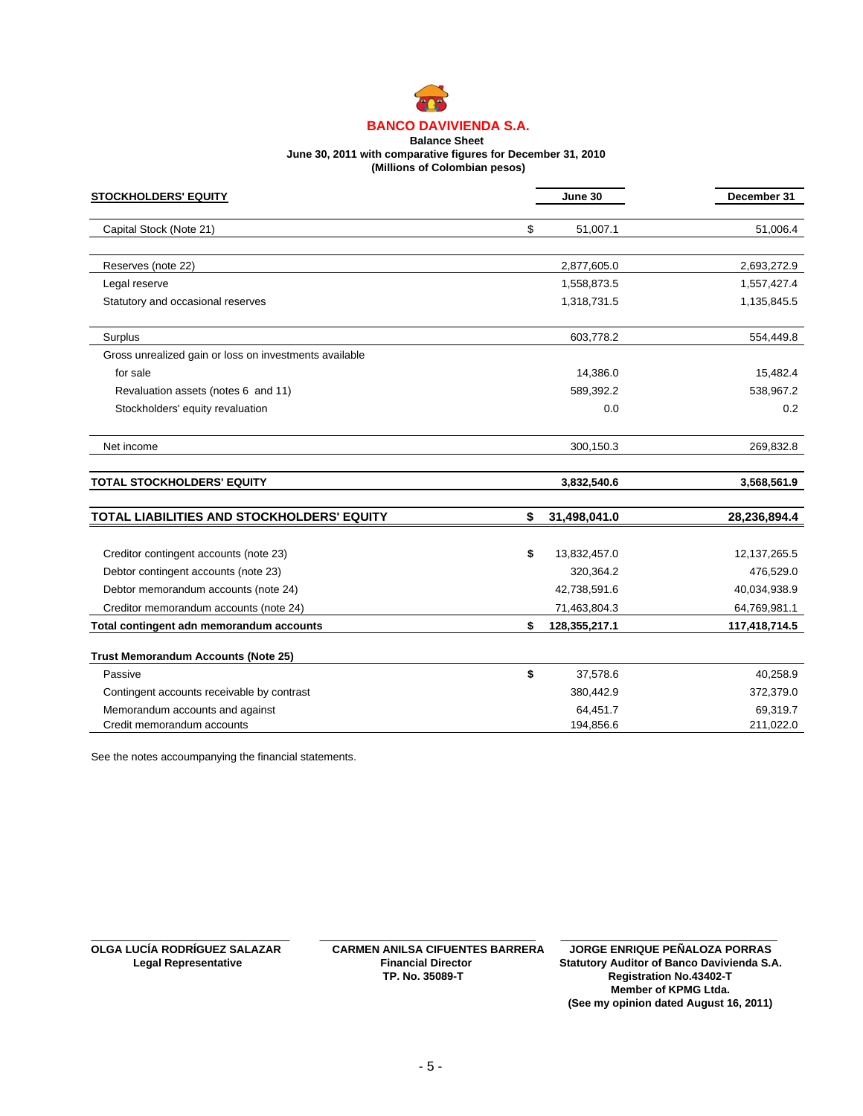

#### **Balance Sheet June 30, 2011 with comparative figures for December 31, 2010 (Millions of Colombian pesos)**

| <b>STOCKHOLDERS' EQUITY</b>                            | June 30             |           | December 31    |
|--------------------------------------------------------|---------------------|-----------|----------------|
| Capital Stock (Note 21)                                | \$                  | 51,007.1  | 51,006.4       |
| Reserves (note 22)                                     | 2,877,605.0         |           | 2,693,272.9    |
| Legal reserve                                          | 1,558,873.5         |           | 1,557,427.4    |
| Statutory and occasional reserves                      | 1,318,731.5         |           | 1,135,845.5    |
| Surplus                                                |                     | 603,778.2 | 554,449.8      |
| Gross unrealized gain or loss on investments available |                     |           |                |
| for sale                                               |                     | 14,386.0  | 15,482.4       |
| Revaluation assets (notes 6 and 11)                    |                     | 589,392.2 | 538,967.2      |
| Stockholders' equity revaluation                       |                     | 0.0       | 0.2            |
| Net income                                             |                     | 300,150.3 | 269,832.8      |
| <b>TOTAL STOCKHOLDERS' EQUITY</b>                      | 3,832,540.6         |           | 3,568,561.9    |
| TOTAL LIABILITIES AND STOCKHOLDERS' EQUITY             | 31,498,041.0<br>\$  |           | 28,236,894.4   |
| Creditor contingent accounts (note 23)                 | \$<br>13,832,457.0  |           | 12, 137, 265.5 |
| Debtor contingent accounts (note 23)                   |                     | 320,364.2 | 476,529.0      |
| Debtor memorandum accounts (note 24)                   | 42,738,591.6        |           | 40,034,938.9   |
| Creditor memorandum accounts (note 24)                 | 71,463,804.3        |           | 64,769,981.1   |
| Total contingent adn memorandum accounts               | \$<br>128,355,217.1 |           | 117,418,714.5  |
| <b>Trust Memorandum Accounts (Note 25)</b>             |                     |           |                |
| Passive                                                | \$                  | 37,578.6  | 40,258.9       |
| Contingent accounts receivable by contrast             |                     | 380,442.9 | 372,379.0      |
| Memorandum accounts and against                        |                     | 64,451.7  | 69,319.7       |
| Credit memorandum accounts                             |                     | 194,856.6 | 211,022.0      |

See the notes accoumpanying the financial statements.

\_\_\_\_\_\_\_\_\_\_\_\_\_\_\_\_\_\_\_\_\_\_\_\_\_\_\_\_\_\_\_\_\_ \_\_\_\_\_\_\_\_\_\_\_\_\_\_\_\_\_\_\_\_\_\_\_\_\_\_\_\_\_\_\_\_\_\_\_\_

**OLGA LUCÍA RODRÍGUEZ SALAZAR CARMEN ANILSA CIFUENTES BARRERA JORGE ENRIQUE PEÑALOZA PORRAS** Legal Representative **Financial Director** Statutory Auditor of Banco Davivienda S.A.<br>TP. No. 35089-T Registration No.43402-T **Registration No.43402-T Member of KPMG Ltda. (See my opinion dated August 16, 2011)** \_\_\_\_\_\_\_\_\_\_\_\_\_\_\_\_\_\_\_\_\_\_\_\_\_\_\_\_\_\_\_\_\_\_\_\_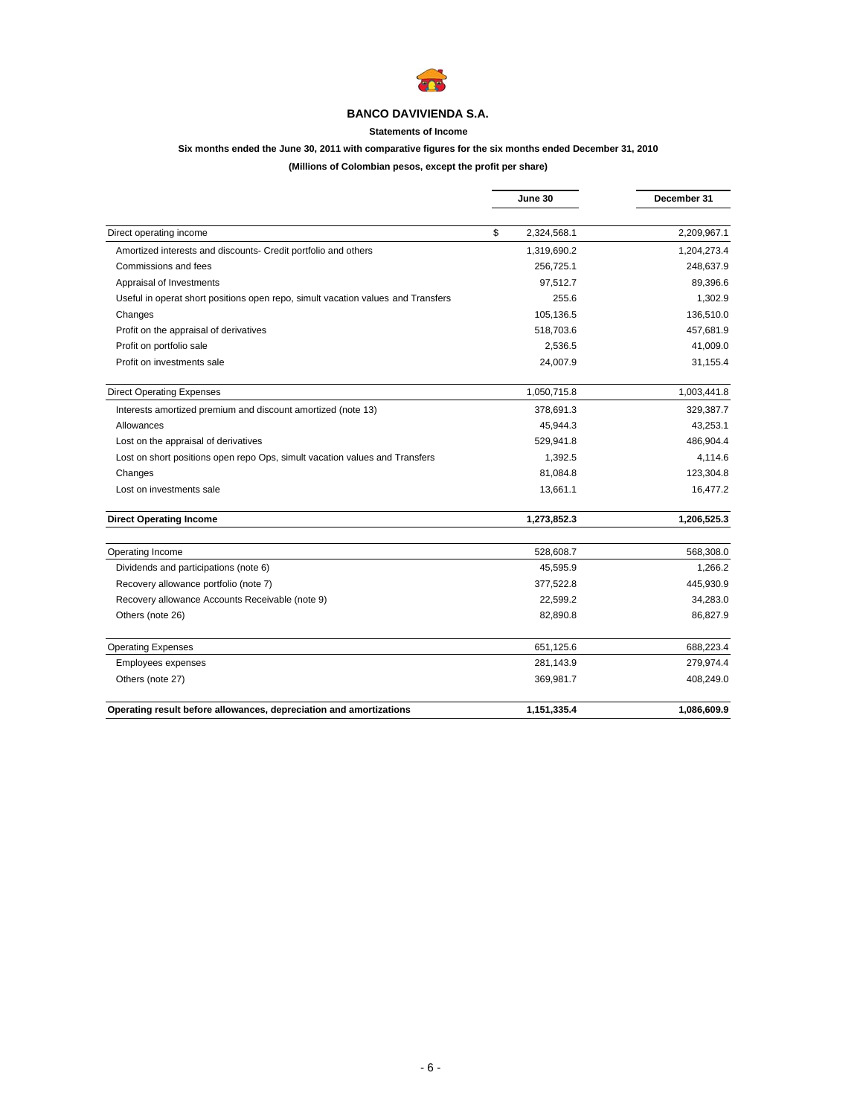

# **Statements of Income**

# **Six months ended the June 30, 2011 with comparative figures for the six months ended December 31, 2010**

# **(Millions of Colombian pesos, except the profit per share)**

|                                                                                  | June 30           | December 31 |
|----------------------------------------------------------------------------------|-------------------|-------------|
|                                                                                  |                   |             |
| Direct operating income                                                          | \$<br>2,324,568.1 | 2,209,967.1 |
| Amortized interests and discounts- Credit portfolio and others                   | 1,319,690.2       | 1,204,273.4 |
| Commissions and fees                                                             | 256,725.1         | 248,637.9   |
| Appraisal of Investments                                                         | 97,512.7          | 89,396.6    |
| Useful in operat short positions open repo, simult vacation values and Transfers | 255.6             | 1,302.9     |
| Changes                                                                          | 105.136.5         | 136,510.0   |
| Profit on the appraisal of derivatives                                           | 518,703.6         | 457,681.9   |
| Profit on portfolio sale                                                         | 2,536.5           | 41,009.0    |
| Profit on investments sale                                                       | 24,007.9          | 31,155.4    |
| <b>Direct Operating Expenses</b>                                                 | 1,050,715.8       | 1,003,441.8 |
| Interests amortized premium and discount amortized (note 13)                     | 378,691.3         | 329,387.7   |
| Allowances                                                                       | 45,944.3          | 43,253.1    |
| Lost on the appraisal of derivatives                                             | 529,941.8         |             |
| Lost on short positions open repo Ops, simult vacation values and Transfers      | 1,392.5           | 4,114.6     |
| Changes                                                                          | 81,084.8          | 123,304.8   |
| Lost on investments sale                                                         | 13,661.1          | 16,477.2    |
| <b>Direct Operating Income</b>                                                   | 1,273,852.3       | 1,206,525.3 |
| Operating Income                                                                 | 528,608.7         | 568,308.0   |
| Dividends and participations (note 6)                                            | 45,595.9          | 1,266.2     |
| Recovery allowance portfolio (note 7)                                            | 377,522.8         | 445,930.9   |
| Recovery allowance Accounts Receivable (note 9)                                  | 22.599.2          | 34,283.0    |
| Others (note 26)                                                                 | 82,890.8          | 86,827.9    |
| <b>Operating Expenses</b>                                                        | 651,125.6         | 688,223.4   |
| Employees expenses                                                               | 281,143.9         | 279,974.4   |
| Others (note 27)                                                                 | 369,981.7         | 408,249.0   |
| Operating result before allowances, depreciation and amortizations               | 1,151,335.4       | 1,086,609.9 |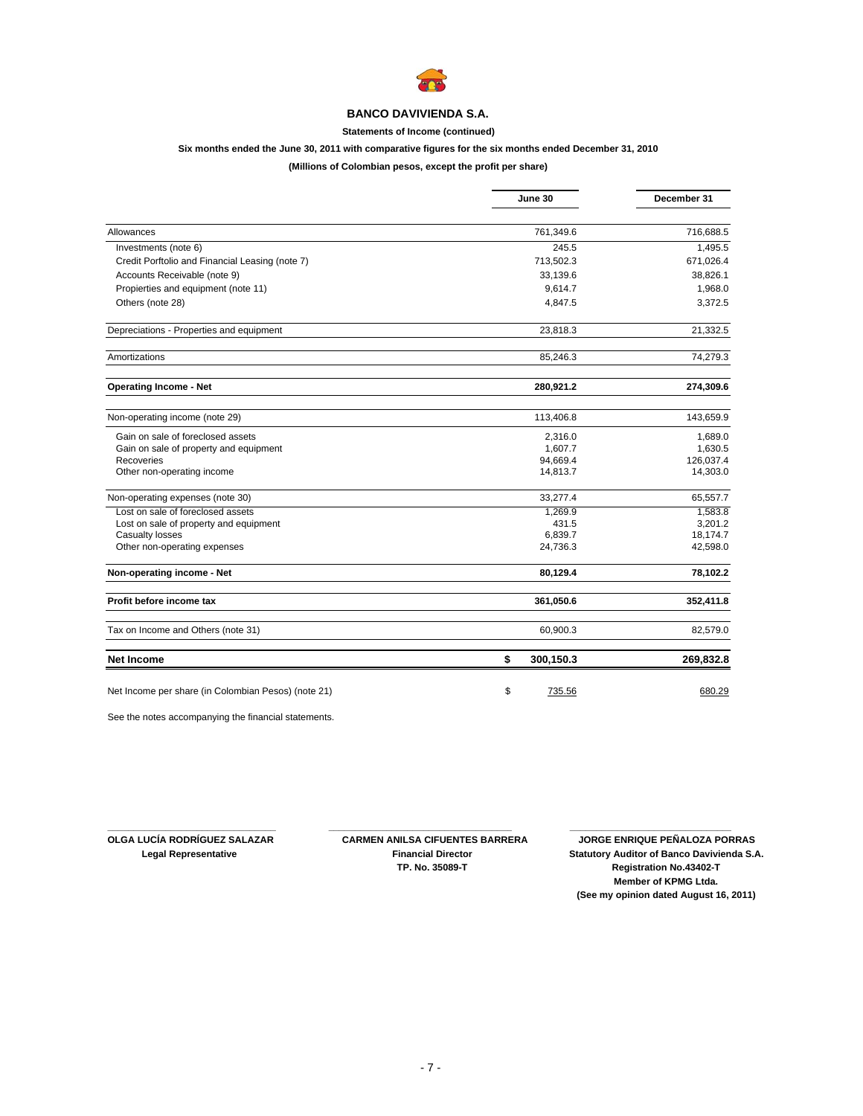

# **Statements of Income (continued)**

# **Six months ended the June 30, 2011 with comparative figures for the six months ended December 31, 2010**

## **(Millions of Colombian pesos, except the profit per share)**

|                                                     | June 30         | December 31 |  |
|-----------------------------------------------------|-----------------|-------------|--|
|                                                     |                 |             |  |
| Allowances                                          | 761,349.6       | 716,688.5   |  |
| Investments (note 6)                                | 245.5           | 1,495.5     |  |
| Credit Porftolio and Financial Leasing (note 7)     | 713,502.3       | 671,026.4   |  |
| Accounts Receivable (note 9)                        | 33,139.6        | 38,826.1    |  |
| Propierties and equipment (note 11)                 | 9,614.7         | 1,968.0     |  |
| Others (note 28)                                    | 4,847.5         | 3,372.5     |  |
| Depreciations - Properties and equipment            | 23,818.3        | 21,332.5    |  |
| Amortizations                                       | 85,246.3        | 74,279.3    |  |
| <b>Operating Income - Net</b>                       | 280,921.2       | 274,309.6   |  |
| Non-operating income (note 29)                      | 113,406.8       | 143,659.9   |  |
| Gain on sale of foreclosed assets                   | 2,316.0         | 1,689.0     |  |
| Gain on sale of property and equipment              | 1,607.7         | 1,630.5     |  |
| Recoveries                                          | 94,669.4        | 126,037.4   |  |
| Other non-operating income                          | 14,813.7        | 14,303.0    |  |
| Non-operating expenses (note 30)                    | 33,277.4        | 65,557.7    |  |
| Lost on sale of foreclosed assets                   | 1.269.9         | 1.583.8     |  |
| Lost on sale of property and equipment              | 431.5           | 3,201.2     |  |
| Casualty losses                                     | 6,839.7         | 18,174.7    |  |
| Other non-operating expenses                        | 24,736.3        | 42,598.0    |  |
| Non-operating income - Net                          | 80,129.4        | 78,102.2    |  |
| Profit before income tax                            | 361,050.6       | 352,411.8   |  |
| Tax on Income and Others (note 31)                  | 60,900.3        | 82,579.0    |  |
| <b>Net Income</b>                                   | \$<br>300,150.3 | 269,832.8   |  |
| Net Income per share (in Colombian Pesos) (note 21) | \$<br>735.56    | 680.29      |  |

See the notes accompanying the financial statements.

**\_\_\_\_\_\_\_\_\_\_\_\_\_\_\_\_\_\_\_\_\_\_\_\_\_\_\_\_\_\_\_\_ \_\_\_\_\_\_\_\_\_\_\_\_\_\_\_\_\_\_\_\_\_\_\_\_\_\_\_\_\_\_\_\_\_\_\_**

**OLGA LUCÍA RODRÍGUEZ SALAZAR CARMEN ANILSA CIFUENTES BARRERA LUCÍA RODRÍGUEZ SALAZAR CARMEN ANILSA CIFUENTES BARRERA**<br>Legal Representative **Financial Director** Statutory Auditor of Banco Davivienda S.A **Statutory Auditor of Banco Davivienda S.A. TP. No. 35089-T Registration No.43402-T Member of KPMG Ltda. (See my opinion dated August 16, 2011)**

 **\_\_\_\_\_\_\_\_\_\_\_\_\_\_\_\_\_\_\_\_\_\_\_\_\_\_\_\_\_\_\_**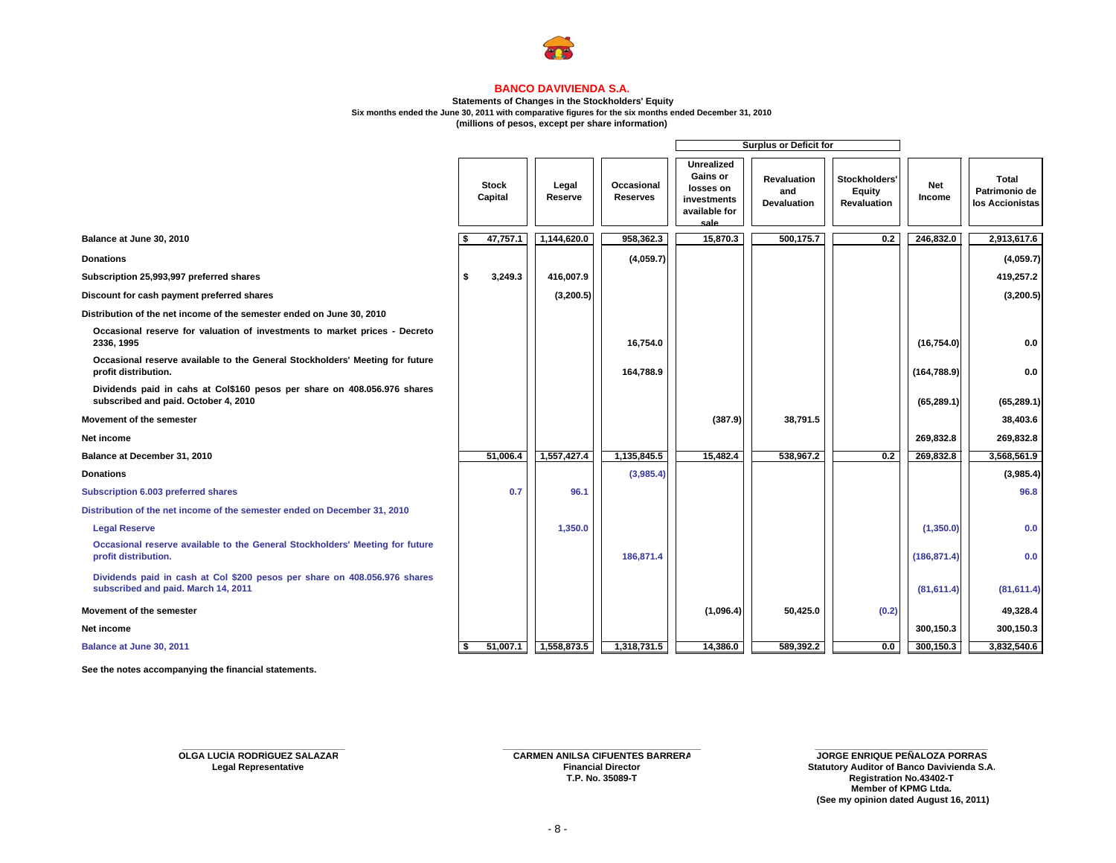

#### **Statements of Changes in the Stockholders' Equity**

**Six months ended the June 30, 2011 with comparative figures for the six months ended December 31, 2010**

**(millions of pesos, except per share information)**

|                                                                                                                  |                         |                  |                               | <b>Surplus or Deficit for</b>                                                      |                                                 |                                        |                      |                                                  |
|------------------------------------------------------------------------------------------------------------------|-------------------------|------------------|-------------------------------|------------------------------------------------------------------------------------|-------------------------------------------------|----------------------------------------|----------------------|--------------------------------------------------|
|                                                                                                                  | <b>Stock</b><br>Capital | Legal<br>Reserve | Occasional<br><b>Reserves</b> | Unrealized<br><b>Gains or</b><br>losses on<br>investments<br>available for<br>sale | <b>Revaluation</b><br>and<br><b>Devaluation</b> | Stockholders'<br>Equity<br>Revaluation | <b>Net</b><br>Income | <b>Total</b><br>Patrimonio de<br>los Accionistas |
| Balance at June 30, 2010                                                                                         | 47,757.1                | 1,144,620.0      | 958,362.3                     | 15,870.3                                                                           | 500,175.7                                       | 0.2                                    | 246,832.0            | 2,913,617.6                                      |
| <b>Donations</b>                                                                                                 |                         |                  | (4,059.7)                     |                                                                                    |                                                 |                                        |                      | (4,059.7)                                        |
| Subscription 25,993,997 preferred shares                                                                         | \$<br>3,249.3           | 416,007.9        |                               |                                                                                    |                                                 |                                        |                      | 419,257.2                                        |
| Discount for cash payment preferred shares                                                                       |                         | (3, 200.5)       |                               |                                                                                    |                                                 |                                        |                      | (3,200.5)                                        |
| Distribution of the net income of the semester ended on June 30, 2010                                            |                         |                  |                               |                                                                                    |                                                 |                                        |                      |                                                  |
| Occasional reserve for valuation of investments to market prices - Decreto<br>2336, 1995                         |                         |                  | 16,754.0                      |                                                                                    |                                                 |                                        | (16, 754.0)          | 0.0                                              |
| Occasional reserve available to the General Stockholders' Meeting for future<br>profit distribution.             |                         |                  | 164,788.9                     |                                                                                    |                                                 |                                        | (164, 788.9)         | 0.0                                              |
| Dividends paid in cahs at Col\$160 pesos per share on 408.056.976 shares<br>subscribed and paid. October 4, 2010 |                         |                  |                               |                                                                                    |                                                 |                                        | (65, 289.1)          | (65, 289.1)                                      |
| Movement of the semester                                                                                         |                         |                  |                               | (387.9)                                                                            | 38,791.5                                        |                                        |                      | 38,403.6                                         |
| Net income                                                                                                       |                         |                  |                               |                                                                                    |                                                 |                                        | 269,832.8            | 269,832.8                                        |
| Balance at December 31, 2010                                                                                     | 51,006.4                | 1,557,427.4      | 1,135,845.5                   | 15,482.4                                                                           | 538,967.2                                       | 0.2                                    | 269,832.8            | 3,568,561.9                                      |
| <b>Donations</b>                                                                                                 |                         |                  | (3,985.4)                     |                                                                                    |                                                 |                                        |                      | (3,985.4)                                        |
| Subscription 6.003 preferred shares                                                                              | 0.7                     | 96.1             |                               |                                                                                    |                                                 |                                        |                      | 96.8                                             |
| Distribution of the net income of the semester ended on December 31, 2010                                        |                         |                  |                               |                                                                                    |                                                 |                                        |                      |                                                  |
| <b>Legal Reserve</b>                                                                                             |                         | 1,350.0          |                               |                                                                                    |                                                 |                                        | (1, 350.0)           | 0.0                                              |
| Occasional reserve available to the General Stockholders' Meeting for future<br>profit distribution.             |                         |                  | 186,871.4                     |                                                                                    |                                                 |                                        | (186, 871.4)         | 0.0                                              |
| Dividends paid in cash at Col \$200 pesos per share on 408.056.976 shares<br>subscribed and paid. March 14, 2011 |                         |                  |                               |                                                                                    |                                                 |                                        | (81, 611.4)          | (81, 611.4)                                      |
| Movement of the semester                                                                                         |                         |                  |                               | (1,096.4)                                                                          | 50,425.0                                        | (0.2)                                  |                      | 49,328.4                                         |
| Net income                                                                                                       |                         |                  |                               |                                                                                    |                                                 |                                        | 300,150.3            | 300,150.3                                        |
| Balance at June 30, 2011                                                                                         | \$<br>51,007.1          | 1,558,873.5      | 1,318,731.5                   | 14,386.0                                                                           | 589,392.2                                       | 0.0                                    | 300,150.3            | 3,832,540.6                                      |

**See the notes accompanying the financial statements.** 

**OLGA LUCÍA RODRÍGUEZ SALAZAR**

**T.P. No. 35089-T**

**CARMEN ANILSA CIFUENTES BARRERA DE LOGO DE LOGO DE LOGO DE LOGO DE LOGO DE LOGO DE LOGO DE LOGO DE LOGO DE LOGO DE LOGO DE LOGO DE LOGO DE LOGO DE LOGO DE LOGO DE LOGO DE LOGO DE LOGO DE LOGO DE LOGO DE LOGO DE LOGO DE LO Legal Representative Financial Director Statutory Auditor of Banco Davivienda S.A. Registration No.43402-T Member of KPMG Ltda.(See my opinion dated August 16, 2011)**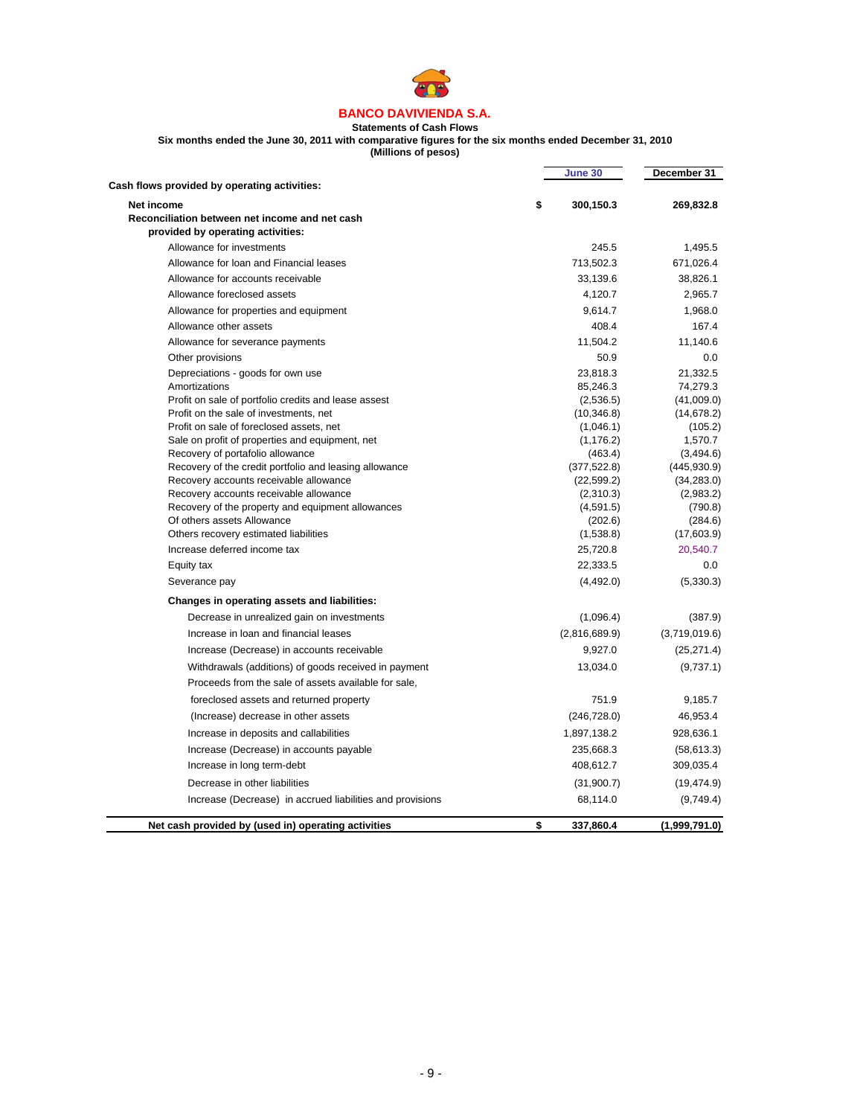

#### **BANCO DAVIVIENDA S.A. Statements of Cash Flows**

**Six months ended the June 30, 2011 with comparative figures for the six months ended December 31, 2010**

**(Millions of pesos)**

J.

j.

|                                                                                            | June 30                 | December 31               |
|--------------------------------------------------------------------------------------------|-------------------------|---------------------------|
| Cash flows provided by operating activities:                                               |                         |                           |
| Net income                                                                                 | \$<br>300,150.3         | 269,832.8                 |
| Reconciliation between net income and net cash                                             |                         |                           |
| provided by operating activities:                                                          |                         |                           |
| Allowance for investments                                                                  | 245.5                   | 1,495.5                   |
| Allowance for loan and Financial leases                                                    | 713,502.3               | 671,026.4                 |
| Allowance for accounts receivable                                                          | 33,139.6                | 38,826.1                  |
| Allowance foreclosed assets                                                                | 4,120.7                 | 2,965.7                   |
| Allowance for properties and equipment                                                     | 9,614.7                 | 1,968.0                   |
| Allowance other assets                                                                     | 408.4                   | 167.4                     |
| Allowance for severance payments                                                           | 11,504.2                | 11,140.6                  |
| Other provisions                                                                           | 50.9                    | 0.0                       |
| Depreciations - goods for own use                                                          | 23,818.3                | 21,332.5                  |
| Amortizations                                                                              | 85,246.3                | 74,279.3                  |
| Profit on sale of portfolio credits and lease assest                                       | (2,536.5)               | (41,009.0)                |
| Profit on the sale of investments, net                                                     | (10, 346.8)             | (14, 678.2)               |
| Profit on sale of foreclosed assets, net                                                   | (1,046.1)               | (105.2)                   |
| Sale on profit of properties and equipment, net                                            | (1, 176.2)              | 1,570.7                   |
| Recovery of portafolio allowance<br>Recovery of the credit portfolio and leasing allowance | (463.4)<br>(377, 522.8) | (3,494.6)<br>(445, 930.9) |
| Recovery accounts receivable allowance                                                     | (22, 599.2)             | (34, 283.0)               |
| Recovery accounts receivable allowance                                                     | (2,310.3)               | (2,983.2)                 |
| Recovery of the property and equipment allowances                                          | (4,591.5)               | (790.8)                   |
| Of others assets Allowance                                                                 | (202.6)                 | (284.6)                   |
| Others recovery estimated liabilities                                                      | (1,538.8)               | (17,603.9)                |
| Increase deferred income tax                                                               | 25,720.8                | 20,540.7                  |
| Equity tax                                                                                 | 22,333.5                | 0.0                       |
| Severance pay                                                                              | (4, 492.0)              | (5,330.3)                 |
| Changes in operating assets and liabilities:                                               |                         |                           |
| Decrease in unrealized gain on investments                                                 | (1,096.4)               | (387.9)                   |
| Increase in loan and financial leases                                                      | (2,816,689.9)           | (3,719,019.6)             |
| Increase (Decrease) in accounts receivable                                                 | 9,927.0                 | (25, 271.4)               |
| Withdrawals (additions) of goods received in payment                                       | 13,034.0                | (9,737.1)                 |
| Proceeds from the sale of assets available for sale,                                       |                         |                           |
| foreclosed assets and returned property                                                    | 751.9                   | 9,185.7                   |
| (Increase) decrease in other assets                                                        | (246, 728.0)            | 46,953.4                  |
| Increase in deposits and callabilities                                                     | 1,897,138.2             | 928,636.1                 |
| Increase (Decrease) in accounts payable                                                    | 235,668.3               | (58, 613.3)               |
| Increase in long term-debt                                                                 | 408,612.7               | 309,035.4                 |
| Decrease in other liabilities                                                              | (31,900.7)              | (19, 474.9)               |
| Increase (Decrease) in accrued liabilities and provisions                                  | 68,114.0                | (9,749.4)                 |
| Net cash provided by (used in) operating activities                                        | \$<br>337,860.4         | (1,999,791.0)             |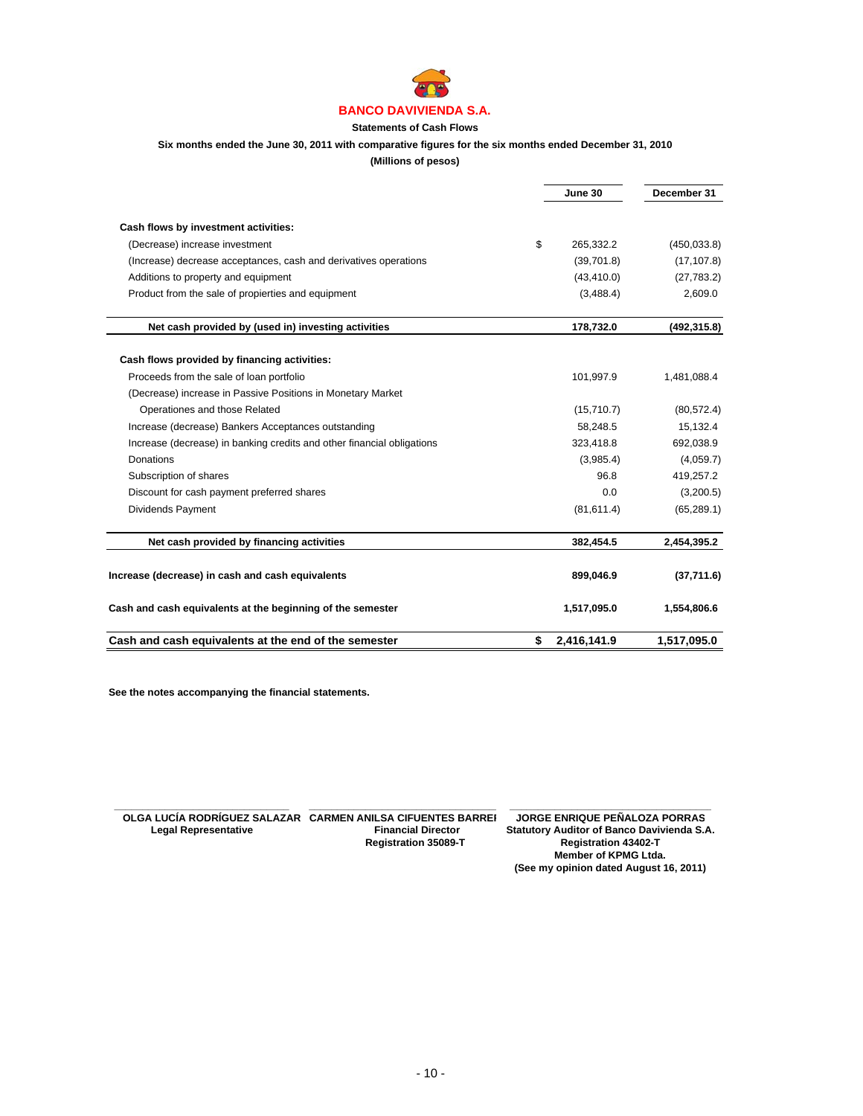

# **Statements of Cash Flows**

#### **Six months ended the June 30, 2011 with comparative figures for the six months ended December 31, 2010**

**(Millions of pesos)**

|                                                                        | June 30           |              |
|------------------------------------------------------------------------|-------------------|--------------|
|                                                                        |                   |              |
| Cash flows by investment activities:                                   |                   |              |
| (Decrease) increase investment                                         | \$<br>265,332.2   | (450, 033.8) |
| (Increase) decrease acceptances, cash and derivatives operations       | (39,701.8)        | (17, 107.8)  |
| Additions to property and equipment                                    | (43, 410.0)       | (27, 783.2)  |
| Product from the sale of propierties and equipment                     | (3,488.4)         | 2,609.0      |
| Net cash provided by (used in) investing activities                    | 178,732.0         | (492, 315.8) |
| Cash flows provided by financing activities:                           |                   |              |
| Proceeds from the sale of loan portfolio                               | 101,997.9         | 1,481,088.4  |
| (Decrease) increase in Passive Positions in Monetary Market            |                   |              |
| Operationes and those Related                                          | (15,710.7)        | (80, 572.4)  |
| Increase (decrease) Bankers Acceptances outstanding                    | 58,248.5          | 15,132.4     |
| Increase (decrease) in banking credits and other financial obligations | 323,418.8         | 692,038.9    |
| Donations                                                              | (3,985.4)         | (4,059.7)    |
| Subscription of shares                                                 | 96.8              | 419,257.2    |
| Discount for cash payment preferred shares                             | 0.0               | (3,200.5)    |
| Dividends Payment                                                      | (81, 611.4)       | (65, 289.1)  |
| Net cash provided by financing activities                              | 382,454.5         | 2,454,395.2  |
| Increase (decrease) in cash and cash equivalents                       | 899,046.9         | (37,711.6)   |
| Cash and cash equivalents at the beginning of the semester             | 1,517,095.0       | 1,554,806.6  |
| Cash and cash equivalents at the end of the semester                   | \$<br>2,416,141.9 | 1,517,095.0  |

**See the notes accompanying the financial statements.**

 **Registration 35089-T Registration 43402-T**

 **\_\_\_\_\_\_\_\_\_\_\_\_\_\_\_\_\_\_\_\_\_\_\_\_\_\_\_\_\_\_\_ \_\_\_\_\_\_\_\_\_\_\_\_\_\_\_\_\_\_\_\_\_\_\_\_\_\_\_\_\_\_\_\_\_\_ \_\_\_\_\_\_\_\_\_\_\_\_\_\_\_\_\_\_\_\_\_\_\_\_\_\_\_\_\_\_\_\_\_\_\_\_ OLGA LUCÍA RODRÍGUEZ SALAZAR CARMEN ANILSA CIFUENTES BARRER JORGE ENRIQUE PEÑALOZA PORRAS** Legal Representative **Financial Director** Statutory Auditor of Banco Davivienda S.A.<br>Registration 35089-T Registration 43402-T **Member of KPMG Ltda. (See my opinion dated August 16, 2011)**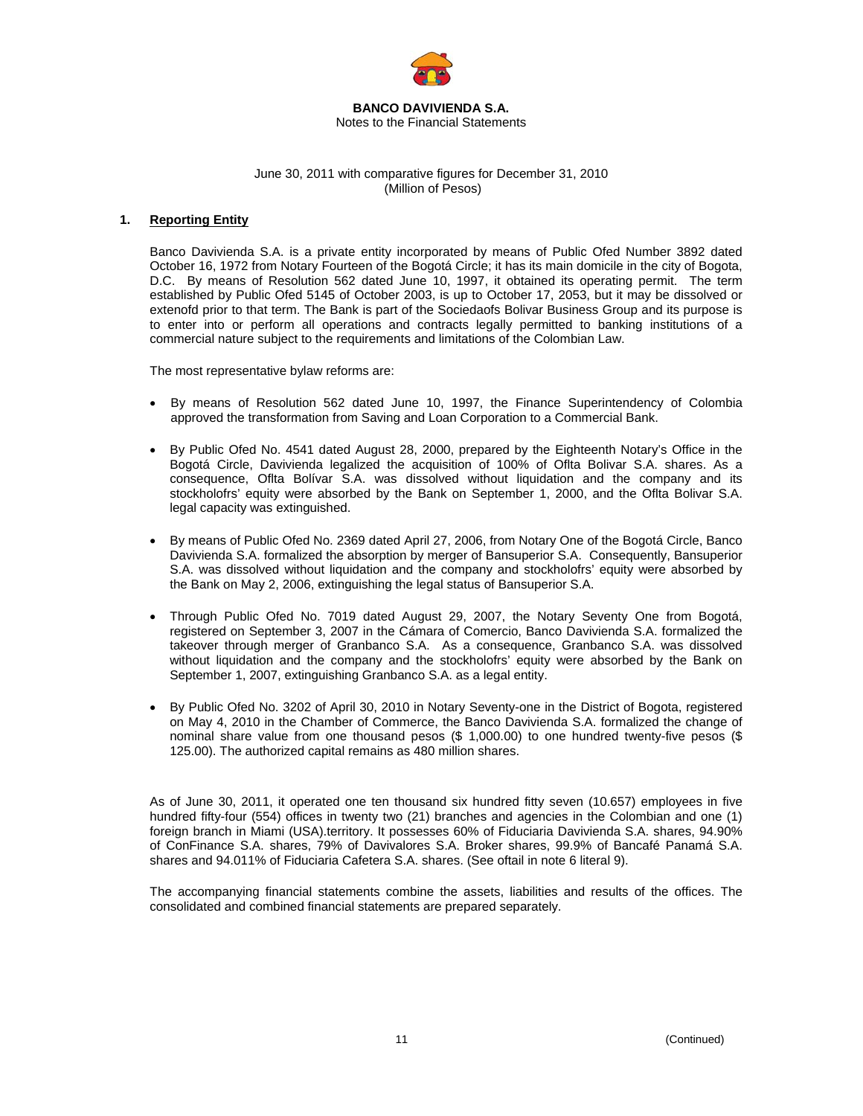

#### **BANCO DAVIVIENDA S.A.**  Notes to the Financial Statements

# June 30, 2011 with comparative figures for December 31, 2010 (Million of Pesos)

# **1. Reporting Entity**

Banco Davivienda S.A. is a private entity incorporated by means of Public Ofed Number 3892 dated October 16, 1972 from Notary Fourteen of the Bogotá Circle; it has its main domicile in the city of Bogota, D.C. By means of Resolution 562 dated June 10, 1997, it obtained its operating permit. The term established by Public Ofed 5145 of October 2003, is up to October 17, 2053, but it may be dissolved or extenofd prior to that term. The Bank is part of the Sociedaofs Bolivar Business Group and its purpose is to enter into or perform all operations and contracts legally permitted to banking institutions of a commercial nature subject to the requirements and limitations of the Colombian Law.

The most representative bylaw reforms are:

- By means of Resolution 562 dated June 10, 1997, the Finance Superintendency of Colombia approved the transformation from Saving and Loan Corporation to a Commercial Bank.
- By Public Ofed No. 4541 dated August 28, 2000, prepared by the Eighteenth Notary's Office in the Bogotá Circle, Davivienda legalized the acquisition of 100% of Oflta Bolivar S.A. shares. As a consequence, Oflta Bolívar S.A. was dissolved without liquidation and the company and its stockholofrs' equity were absorbed by the Bank on September 1, 2000, and the Oflta Bolivar S.A. legal capacity was extinguished.
- By means of Public Ofed No. 2369 dated April 27, 2006, from Notary One of the Bogotá Circle, Banco Davivienda S.A. formalized the absorption by merger of Bansuperior S.A. Consequently, Bansuperior S.A. was dissolved without liquidation and the company and stockholofrs' equity were absorbed by the Bank on May 2, 2006, extinguishing the legal status of Bansuperior S.A.
- Through Public Ofed No. 7019 dated August 29, 2007, the Notary Seventy One from Bogotá, registered on September 3, 2007 in the Cámara of Comercio, Banco Davivienda S.A. formalized the takeover through merger of Granbanco S.A. As a consequence, Granbanco S.A. was dissolved without liquidation and the company and the stockholofrs' equity were absorbed by the Bank on September 1, 2007, extinguishing Granbanco S.A. as a legal entity.
- By Public Ofed No. 3202 of April 30, 2010 in Notary Seventy-one in the District of Bogota, registered on May 4, 2010 in the Chamber of Commerce, the Banco Davivienda S.A. formalized the change of nominal share value from one thousand pesos (\$ 1,000.00) to one hundred twenty-five pesos (\$ 125.00). The authorized capital remains as 480 million shares.

As of June 30, 2011, it operated one ten thousand six hundred fitty seven (10.657) employees in five hundred fifty-four (554) offices in twenty two (21) branches and agencies in the Colombian and one (1) foreign branch in Miami (USA).territory. It possesses 60% of Fiduciaria Davivienda S.A. shares, 94.90% of ConFinance S.A. shares, 79% of Davivalores S.A. Broker shares, 99.9% of Bancafé Panamá S.A. shares and 94.011% of Fiduciaria Cafetera S.A. shares. (See oftail in note 6 literal 9).

The accompanying financial statements combine the assets, liabilities and results of the offices. The consolidated and combined financial statements are prepared separately.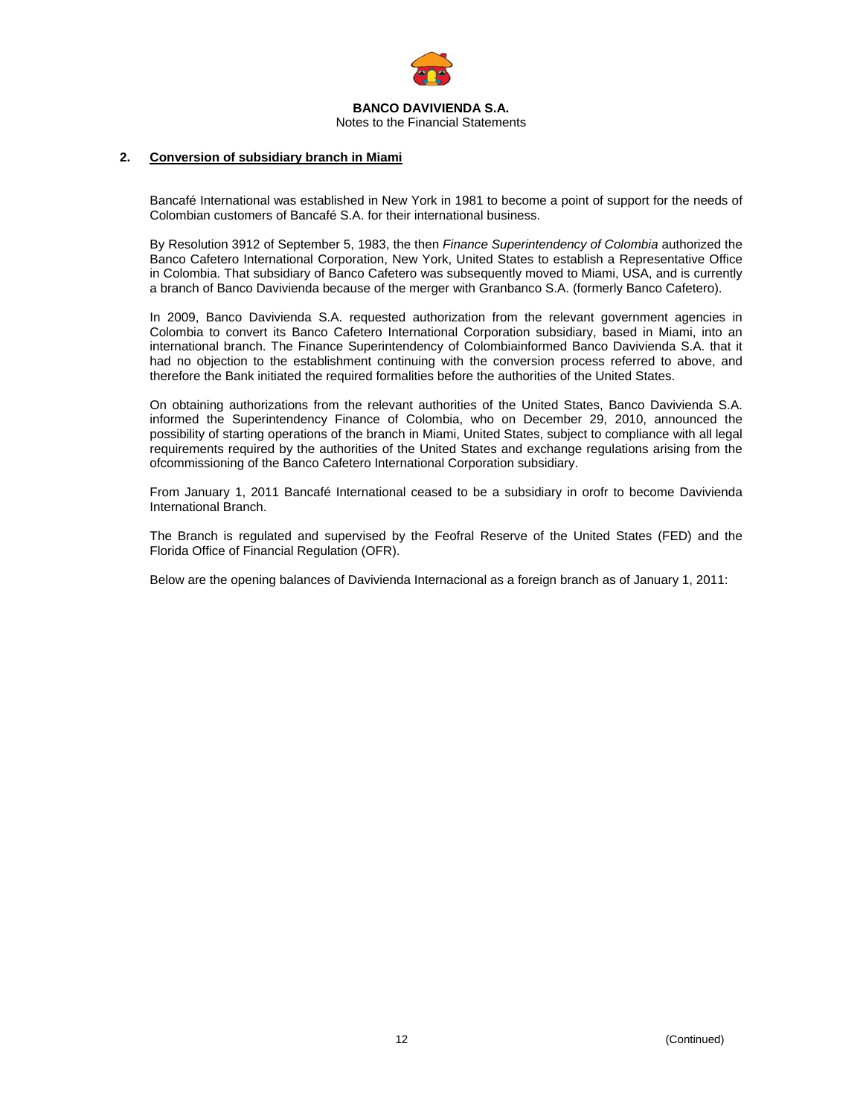

# **2. Conversion of subsidiary branch in Miami**

Bancafé International was established in New York in 1981 to become a point of support for the needs of Colombian customers of Bancafé S.A. for their international business.

By Resolution 3912 of September 5, 1983, the then *Finance Superintendency of Colombia* authorized the Banco Cafetero International Corporation, New York, United States to establish a Representative Office in Colombia. That subsidiary of Banco Cafetero was subsequently moved to Miami, USA, and is currently a branch of Banco Davivienda because of the merger with Granbanco S.A. (formerly Banco Cafetero).

In 2009, Banco Davivienda S.A. requested authorization from the relevant government agencies in Colombia to convert its Banco Cafetero International Corporation subsidiary, based in Miami, into an international branch. The Finance Superintendency of Colombiainformed Banco Davivienda S.A. that it had no objection to the establishment continuing with the conversion process referred to above, and therefore the Bank initiated the required formalities before the authorities of the United States.

On obtaining authorizations from the relevant authorities of the United States, Banco Davivienda S.A. informed the Superintendency Finance of Colombia, who on December 29, 2010, announced the possibility of starting operations of the branch in Miami, United States, subject to compliance with all legal requirements required by the authorities of the United States and exchange regulations arising from the ofcommissioning of the Banco Cafetero International Corporation subsidiary.

From January 1, 2011 Bancafé International ceased to be a subsidiary in orofr to become Davivienda International Branch.

The Branch is regulated and supervised by the Feofral Reserve of the United States (FED) and the Florida Office of Financial Regulation (OFR).

Below are the opening balances of Davivienda Internacional as a foreign branch as of January 1, 2011: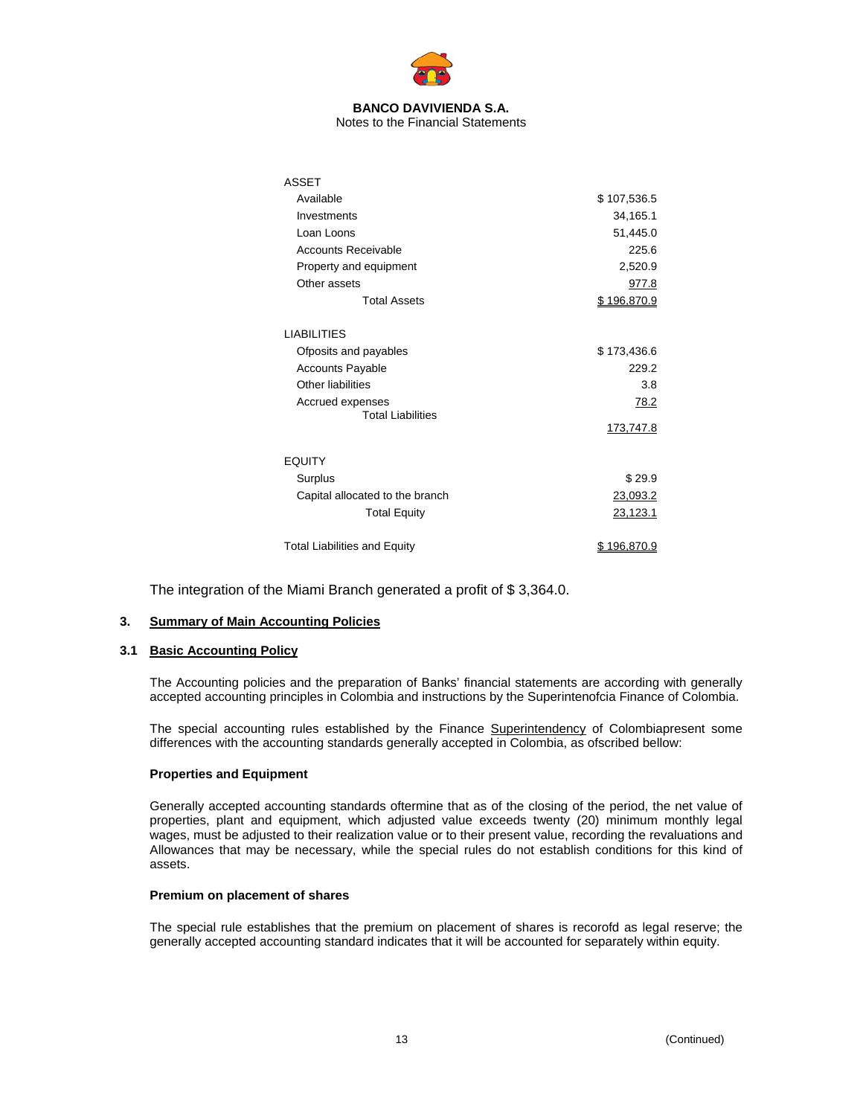

Notes to the Financial Statements

| <b>ASSET</b>                                                                                |                             |
|---------------------------------------------------------------------------------------------|-----------------------------|
| Available                                                                                   | \$107,536.5                 |
| Investments                                                                                 | 34,165.1                    |
| Loan Loons                                                                                  | 51,445.0                    |
| <b>Accounts Receivable</b>                                                                  | 225.6                       |
| Property and equipment                                                                      | 2,520.9                     |
| Other assets                                                                                | 977.8                       |
| <b>Total Assets</b>                                                                         | \$196,870.9                 |
| <b>LIABILITIES</b><br>Ofposits and payables<br><b>Accounts Payable</b><br>Other liabilities | \$173,436.6<br>229.2<br>3.8 |
| Accrued expenses<br><b>Total Liabilities</b>                                                | 78.2<br>173,747.8           |
| <b>EQUITY</b>                                                                               |                             |
| Surplus                                                                                     | \$29.9                      |
| Capital allocated to the branch                                                             | 23,093.2                    |
| <b>Total Equity</b>                                                                         | <u>23,123.1</u>             |
| <b>Total Liabilities and Equity</b>                                                         | \$196.870.9                 |

The integration of the Miami Branch generated a profit of \$ 3,364.0.

# **3. Summary of Main Accounting Policies**

# **3.1 Basic Accounting Policy**

The Accounting policies and the preparation of Banks' financial statements are according with generally accepted accounting principles in Colombia and instructions by the Superintenofcia Finance of Colombia.

The special accounting rules established by the Finance Superintendency of Colombiapresent some differences with the accounting standards generally accepted in Colombia, as ofscribed bellow:

# **Properties and Equipment**

Generally accepted accounting standards oftermine that as of the closing of the period, the net value of properties, plant and equipment, which adjusted value exceeds twenty (20) minimum monthly legal wages, must be adjusted to their realization value or to their present value, recording the revaluations and Allowances that may be necessary, while the special rules do not establish conditions for this kind of assets.

# **Premium on placement of shares**

The special rule establishes that the premium on placement of shares is recorofd as legal reserve; the generally accepted accounting standard indicates that it will be accounted for separately within equity.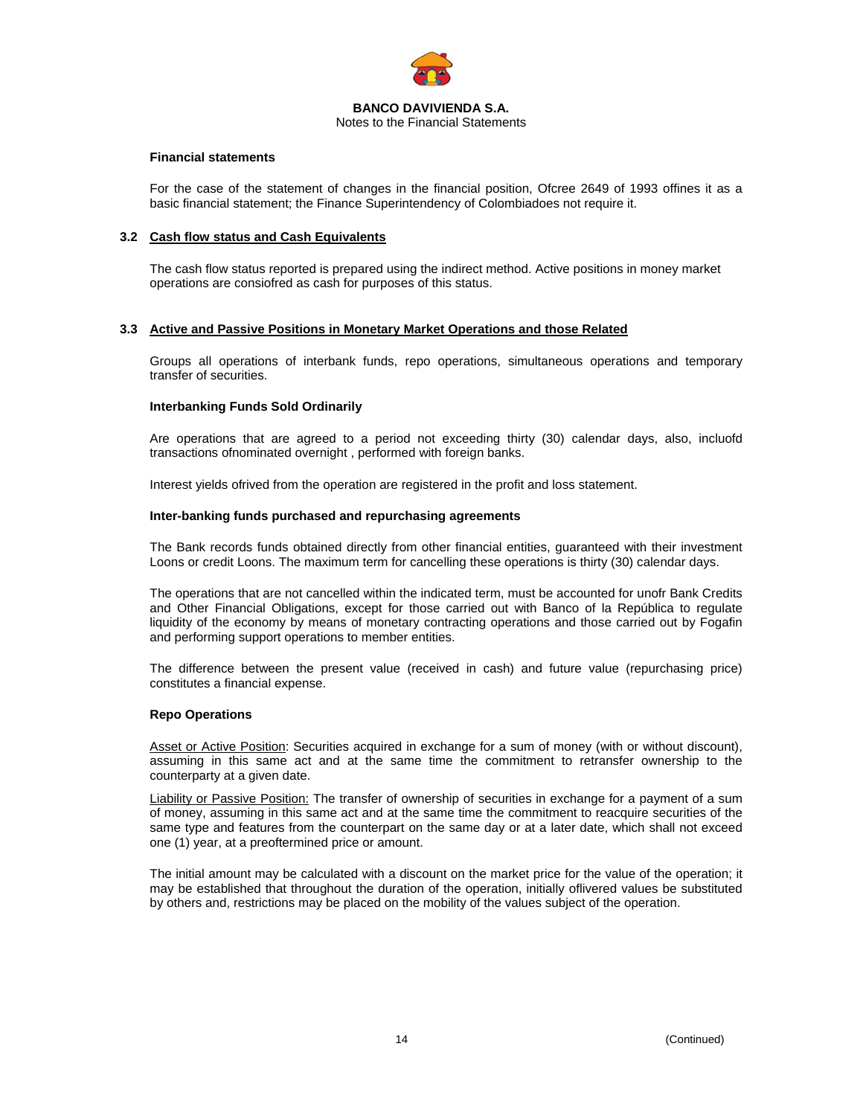

# **Financial statements**

For the case of the statement of changes in the financial position, Ofcree 2649 of 1993 offines it as a basic financial statement; the Finance Superintendency of Colombiadoes not require it.

### **3.2 Cash flow status and Cash Equivalents**

The cash flow status reported is prepared using the indirect method. Active positions in money market operations are consiofred as cash for purposes of this status.

# **3.3 Active and Passive Positions in Monetary Market Operations and those Related**

Groups all operations of interbank funds, repo operations, simultaneous operations and temporary transfer of securities.

# **Interbanking Funds Sold Ordinarily**

Are operations that are agreed to a period not exceeding thirty (30) calendar days, also, incluofd transactions ofnominated overnight , performed with foreign banks.

Interest yields ofrived from the operation are registered in the profit and loss statement.

# **Inter-banking funds purchased and repurchasing agreements**

The Bank records funds obtained directly from other financial entities, guaranteed with their investment Loons or credit Loons. The maximum term for cancelling these operations is thirty (30) calendar days.

The operations that are not cancelled within the indicated term, must be accounted for unofr Bank Credits and Other Financial Obligations, except for those carried out with Banco of la República to regulate liquidity of the economy by means of monetary contracting operations and those carried out by Fogafin and performing support operations to member entities.

The difference between the present value (received in cash) and future value (repurchasing price) constitutes a financial expense.

#### **Repo Operations**

Asset or Active Position: Securities acquired in exchange for a sum of money (with or without discount), assuming in this same act and at the same time the commitment to retransfer ownership to the counterparty at a given date.

Liability or Passive Position: The transfer of ownership of securities in exchange for a payment of a sum of money, assuming in this same act and at the same time the commitment to reacquire securities of the same type and features from the counterpart on the same day or at a later date, which shall not exceed one (1) year, at a preoftermined price or amount.

The initial amount may be calculated with a discount on the market price for the value of the operation; it may be established that throughout the duration of the operation, initially oflivered values be substituted by others and, restrictions may be placed on the mobility of the values subject of the operation.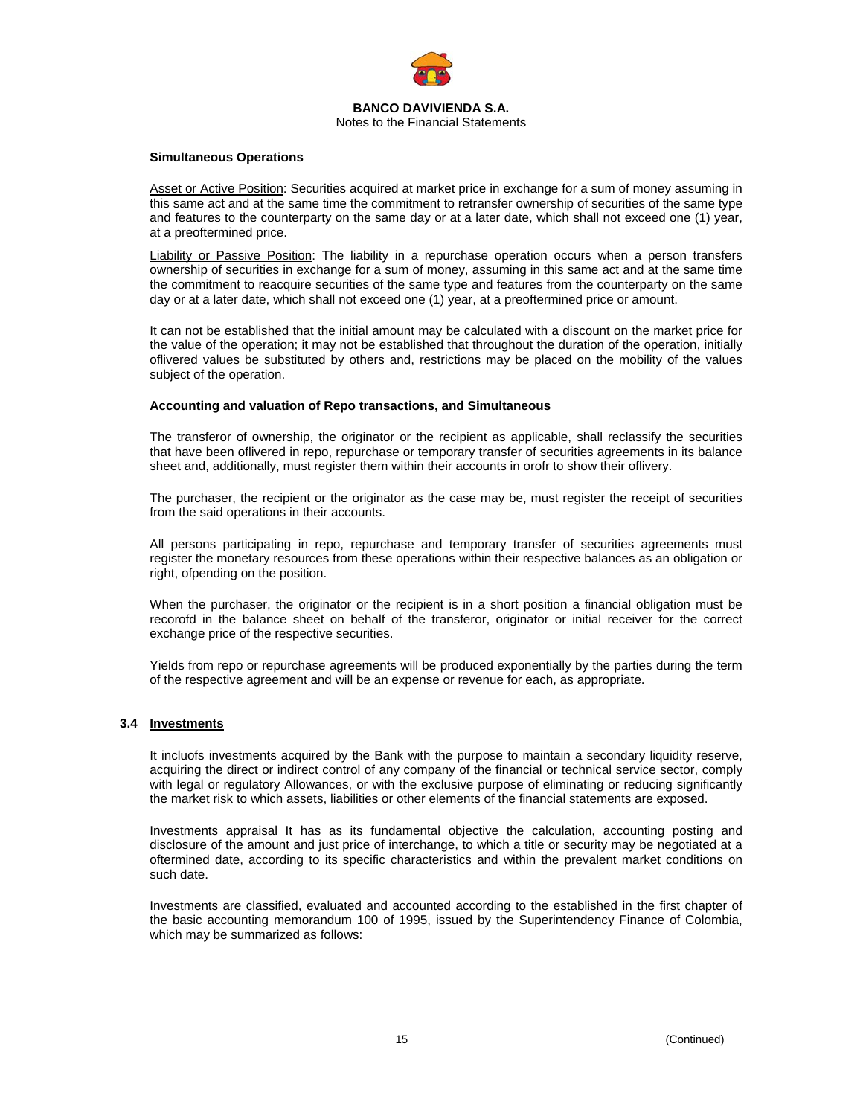

#### **Simultaneous Operations**

Asset or Active Position: Securities acquired at market price in exchange for a sum of money assuming in this same act and at the same time the commitment to retransfer ownership of securities of the same type and features to the counterparty on the same day or at a later date, which shall not exceed one (1) year, at a preoftermined price.

Liability or Passive Position: The liability in a repurchase operation occurs when a person transfers ownership of securities in exchange for a sum of money, assuming in this same act and at the same time the commitment to reacquire securities of the same type and features from the counterparty on the same day or at a later date, which shall not exceed one (1) year, at a preoftermined price or amount.

It can not be established that the initial amount may be calculated with a discount on the market price for the value of the operation; it may not be established that throughout the duration of the operation, initially oflivered values be substituted by others and, restrictions may be placed on the mobility of the values subject of the operation.

#### **Accounting and valuation of Repo transactions, and Simultaneous**

The transferor of ownership, the originator or the recipient as applicable, shall reclassify the securities that have been oflivered in repo, repurchase or temporary transfer of securities agreements in its balance sheet and, additionally, must register them within their accounts in orofr to show their oflivery.

The purchaser, the recipient or the originator as the case may be, must register the receipt of securities from the said operations in their accounts.

All persons participating in repo, repurchase and temporary transfer of securities agreements must register the monetary resources from these operations within their respective balances as an obligation or right, ofpending on the position.

When the purchaser, the originator or the recipient is in a short position a financial obligation must be recorofd in the balance sheet on behalf of the transferor, originator or initial receiver for the correct exchange price of the respective securities.

Yields from repo or repurchase agreements will be produced exponentially by the parties during the term of the respective agreement and will be an expense or revenue for each, as appropriate.

# **3.4 Investments**

It incluofs investments acquired by the Bank with the purpose to maintain a secondary liquidity reserve, acquiring the direct or indirect control of any company of the financial or technical service sector, comply with legal or regulatory Allowances, or with the exclusive purpose of eliminating or reducing significantly the market risk to which assets, liabilities or other elements of the financial statements are exposed.

Investments appraisal It has as its fundamental objective the calculation, accounting posting and disclosure of the amount and just price of interchange, to which a title or security may be negotiated at a oftermined date, according to its specific characteristics and within the prevalent market conditions on such date.

Investments are classified, evaluated and accounted according to the established in the first chapter of the basic accounting memorandum 100 of 1995, issued by the Superintendency Finance of Colombia, which may be summarized as follows: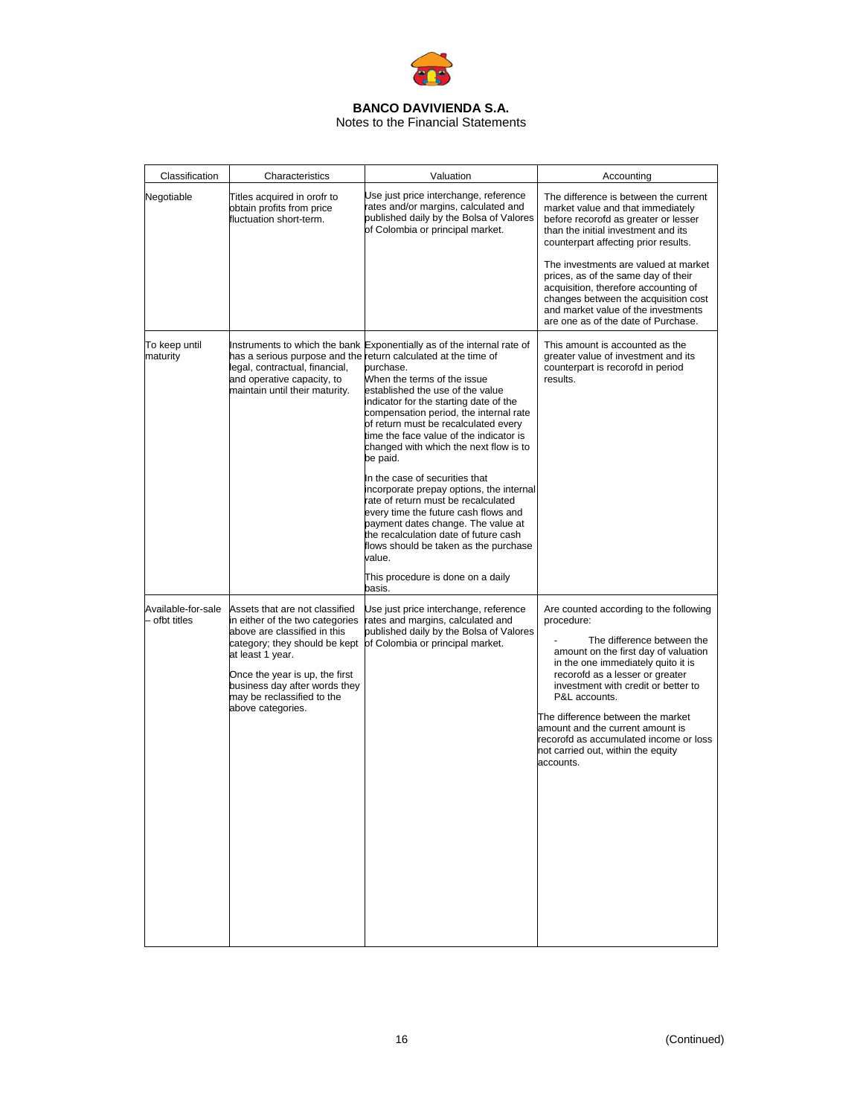

# Notes to the Financial Statements

| Classification                      | Characteristics                                                                                                                                                                                                                                                              | Valuation                                                                                                                                                                                                                                                                                                                                                                                                                                                                                                                                                                                                                                                                                                                                                                                           | Accounting                                                                                                                                                                                                                                                                                                                                                                                                                                     |
|-------------------------------------|------------------------------------------------------------------------------------------------------------------------------------------------------------------------------------------------------------------------------------------------------------------------------|-----------------------------------------------------------------------------------------------------------------------------------------------------------------------------------------------------------------------------------------------------------------------------------------------------------------------------------------------------------------------------------------------------------------------------------------------------------------------------------------------------------------------------------------------------------------------------------------------------------------------------------------------------------------------------------------------------------------------------------------------------------------------------------------------------|------------------------------------------------------------------------------------------------------------------------------------------------------------------------------------------------------------------------------------------------------------------------------------------------------------------------------------------------------------------------------------------------------------------------------------------------|
| Negotiable                          | Titles acquired in orofr to<br>obtain profits from price<br>fluctuation short-term.                                                                                                                                                                                          | Use just price interchange, reference<br>rates and/or margins, calculated and<br>published daily by the Bolsa of Valores<br>of Colombia or principal market.                                                                                                                                                                                                                                                                                                                                                                                                                                                                                                                                                                                                                                        | The difference is between the current<br>market value and that immediately<br>before recorofd as greater or lesser<br>than the initial investment and its<br>counterpart affecting prior results.<br>The investments are valued at market<br>prices, as of the same day of their<br>acquisition, therefore accounting of<br>changes between the acquisition cost<br>and market value of the investments<br>are one as of the date of Purchase. |
| To keep until<br>maturity           | legal, contractual, financial,<br>and operative capacity, to<br>maintain until their maturity.                                                                                                                                                                               | Instruments to which the bank Exponentially as of the internal rate of<br>has a serious purpose and the return calculated at the time of<br>purchase.<br>When the terms of the issue<br>established the use of the value<br>indicator for the starting date of the<br>compensation period, the internal rate<br>of return must be recalculated every<br>time the face value of the indicator is<br>changed with which the next flow is to<br>be paid.<br>In the case of securities that<br>incorporate prepay options, the internal<br>rate of return must be recalculated<br>every time the future cash flows and<br>payment dates change. The value at<br>the recalculation date of future cash<br>flows should be taken as the purchase<br>value.<br>This procedure is done on a daily<br>basis. | This amount is accounted as the<br>greater value of investment and its<br>counterpart is recorofd in period<br>results.                                                                                                                                                                                                                                                                                                                        |
| Available-for-sale<br>- ofbt titles | Assets that are not classified<br>in either of the two categories<br>above are classified in this<br>category; they should be kept<br>at least 1 year.<br>Once the year is up, the first<br>business day after words they<br>may be reclassified to the<br>above categories. | Use just price interchange, reference<br>rates and margins, calculated and<br>published daily by the Bolsa of Valores<br>of Colombia or principal market.                                                                                                                                                                                                                                                                                                                                                                                                                                                                                                                                                                                                                                           | Are counted according to the following<br>procedure:<br>The difference between the<br>amount on the first day of valuation<br>in the one immediately quito it is<br>recorofd as a lesser or greater<br>investment with credit or better to<br>P&L accounts.<br>The difference between the market<br>amount and the current amount is<br>recorofd as accumulated income or loss<br>not carried out, within the equity<br>accounts.              |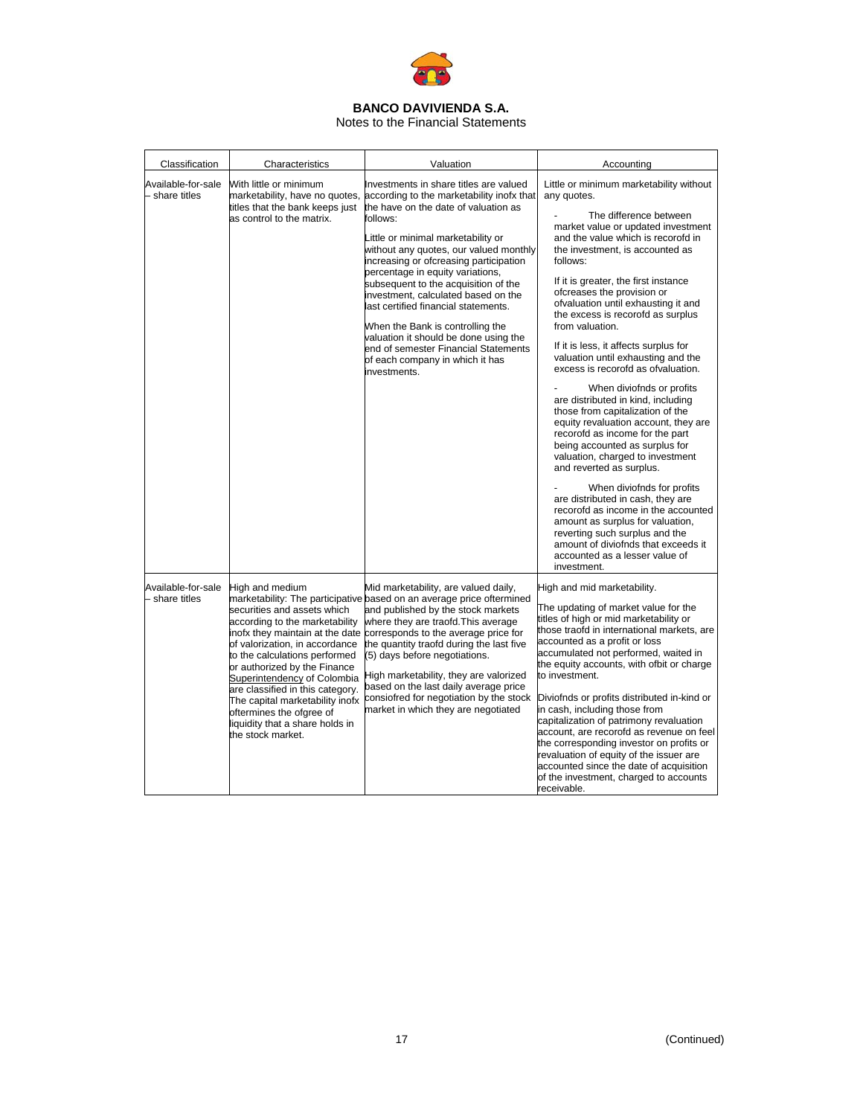

# Notes to the Financial Statements

| Classification                       | Characteristics                                                                                                                                                                                                                                                                                                                                                                                                  | Valuation                                                                                                                                                                                                                                                                                                                                                                                                                                                                                                                                                                                            | Accounting                                                                                                                                                                                                                                                                                                                                                                                                                                                                                                                                                                                                                                                                                                                                                                                                                                                                                                                                                                                                                                                        |
|--------------------------------------|------------------------------------------------------------------------------------------------------------------------------------------------------------------------------------------------------------------------------------------------------------------------------------------------------------------------------------------------------------------------------------------------------------------|------------------------------------------------------------------------------------------------------------------------------------------------------------------------------------------------------------------------------------------------------------------------------------------------------------------------------------------------------------------------------------------------------------------------------------------------------------------------------------------------------------------------------------------------------------------------------------------------------|-------------------------------------------------------------------------------------------------------------------------------------------------------------------------------------------------------------------------------------------------------------------------------------------------------------------------------------------------------------------------------------------------------------------------------------------------------------------------------------------------------------------------------------------------------------------------------------------------------------------------------------------------------------------------------------------------------------------------------------------------------------------------------------------------------------------------------------------------------------------------------------------------------------------------------------------------------------------------------------------------------------------------------------------------------------------|
| Available-for-sale<br>- share titles | With little or minimum<br>marketability, have no quotes,<br>titles that the bank keeps just<br>as control to the matrix.                                                                                                                                                                                                                                                                                         | Investments in share titles are valued<br>according to the marketability inofx that<br>the have on the date of valuation as<br>follows:<br>Little or minimal marketability or<br>without any quotes, our valued monthly<br>increasing or ofcreasing participation<br>percentage in equity variations,<br>subsequent to the acquisition of the<br>investment, calculated based on the<br>last certified financial statements.<br>When the Bank is controlling the<br>valuation it should be done using the<br>end of semester Financial Statements<br>of each company in which it has<br>investments. | Little or minimum marketability without<br>any quotes.<br>The difference between<br>market value or updated investment<br>and the value which is recorofd in<br>the investment, is accounted as<br>follows:<br>If it is greater, the first instance<br>ofcreases the provision or<br>ofvaluation until exhausting it and<br>the excess is recorofd as surplus<br>from valuation.<br>If it is less, it affects surplus for<br>valuation until exhausting and the<br>excess is recorofd as ofvaluation.<br>When diviofnds or profits<br>are distributed in kind, including<br>those from capitalization of the<br>equity revaluation account, they are<br>recorofd as income for the part<br>being accounted as surplus for<br>valuation, charged to investment<br>and reverted as surplus.<br>When diviofnds for profits<br>are distributed in cash, they are<br>recorofd as income in the accounted<br>amount as surplus for valuation,<br>reverting such surplus and the<br>amount of diviofnds that exceeds it<br>accounted as a lesser value of<br>investment. |
| Available-for-sale<br>- share titles | High and medium<br>securities and assets which<br>according to the marketability<br>inofx they maintain at the date<br>of valorization, in accordance<br>to the calculations performed<br>or authorized by the Finance<br>Superintendency of Colombia<br>are classified in this category.<br>The capital marketability inofx<br>oftermines the ofgree of<br>liquidity that a share holds in<br>the stock market. | Mid marketability, are valued daily,<br>marketability: The participative based on an average price oftermined<br>and published by the stock markets<br>where they are traofd. This average<br>corresponds to the average price for<br>the quantity traofd during the last five<br>(5) days before negotiations.<br>High marketability, they are valorized<br>based on the last daily average price<br>consiofred for negotiation by the stock<br>market in which they are negotiated                                                                                                                 | High and mid marketability.<br>The updating of market value for the<br>titles of high or mid marketability or<br>those traofd in international markets, are<br>accounted as a profit or loss<br>accumulated not performed, waited in<br>the equity accounts, with ofbit or charge<br>to investment.<br>Diviofnds or profits distributed in-kind or<br>in cash, including those from<br>capitalization of patrimony revaluation<br>account, are recorofd as revenue on feel<br>the corresponding investor on profits or<br>revaluation of equity of the issuer are<br>accounted since the date of acquisition<br>of the investment, charged to accounts<br>receivable.                                                                                                                                                                                                                                                                                                                                                                                             |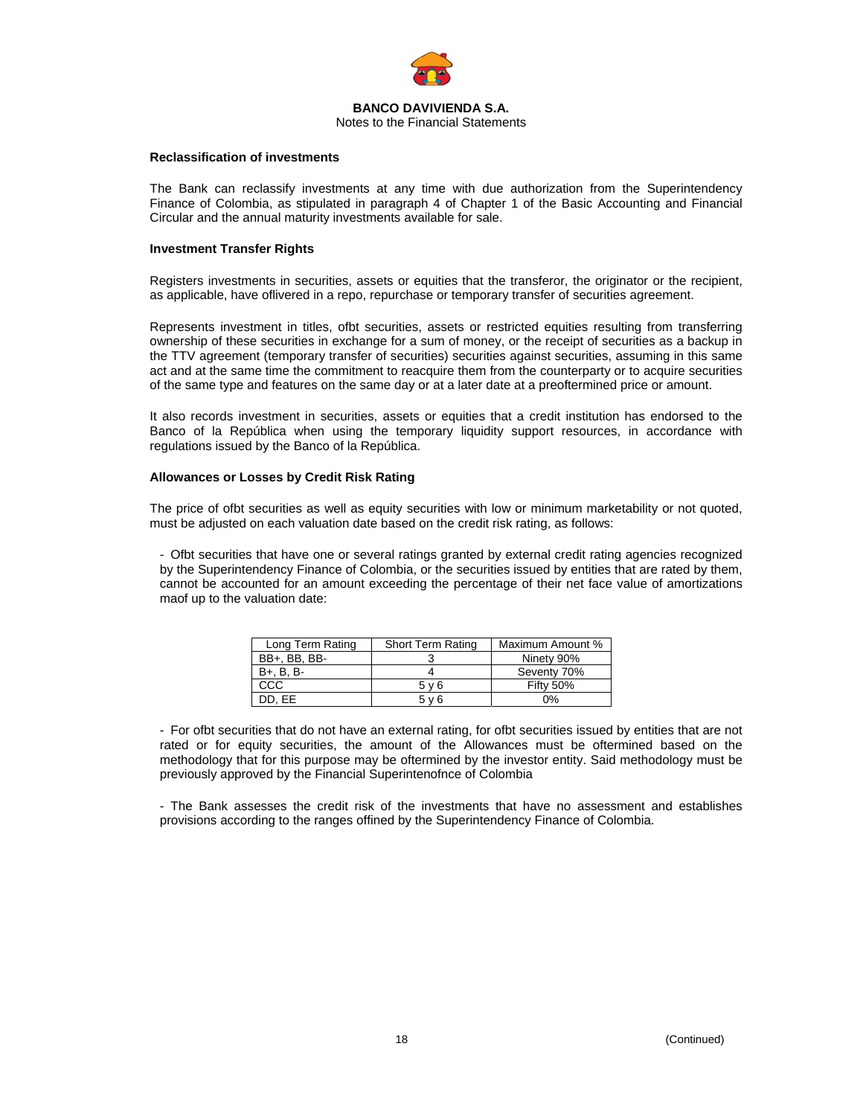

#### **BANCO DAVIVIENDA S.A.**  Notes to the Financial Statements

# **Reclassification of investments**

The Bank can reclassify investments at any time with due authorization from the Superintendency Finance of Colombia, as stipulated in paragraph 4 of Chapter 1 of the Basic Accounting and Financial Circular and the annual maturity investments available for sale.

# **Investment Transfer Rights**

Registers investments in securities, assets or equities that the transferor, the originator or the recipient, as applicable, have oflivered in a repo, repurchase or temporary transfer of securities agreement.

Represents investment in titles, ofbt securities, assets or restricted equities resulting from transferring ownership of these securities in exchange for a sum of money, or the receipt of securities as a backup in the TTV agreement (temporary transfer of securities) securities against securities, assuming in this same act and at the same time the commitment to reacquire them from the counterparty or to acquire securities of the same type and features on the same day or at a later date at a preoftermined price or amount.

It also records investment in securities, assets or equities that a credit institution has endorsed to the Banco of la República when using the temporary liquidity support resources, in accordance with regulations issued by the Banco of la República.

# **Allowances or Losses by Credit Risk Rating**

The price of ofbt securities as well as equity securities with low or minimum marketability or not quoted, must be adjusted on each valuation date based on the credit risk rating, as follows:

- Ofbt securities that have one or several ratings granted by external credit rating agencies recognized by the Superintendency Finance of Colombia, or the securities issued by entities that are rated by them, cannot be accounted for an amount exceeding the percentage of their net face value of amortizations maof up to the valuation date:

| Long Term Rating | <b>Short Term Rating</b> | Maximum Amount % |
|------------------|--------------------------|------------------|
| BB+, BB, BB-     |                          | Ninety 90%       |
| B+, B, B-        |                          | Seventy 70%      |
| CCC              | $5 \vee 6$               | <b>Fifty 50%</b> |
| DD. EE           | 5 v 6                    | 0%               |

- For ofbt securities that do not have an external rating, for ofbt securities issued by entities that are not rated or for equity securities, the amount of the Allowances must be oftermined based on the methodology that for this purpose may be oftermined by the investor entity. Said methodology must be previously approved by the Financial Superintenofnce of Colombia

- The Bank assesses the credit risk of the investments that have no assessment and establishes provisions according to the ranges offined by the Superintendency Finance of Colombia.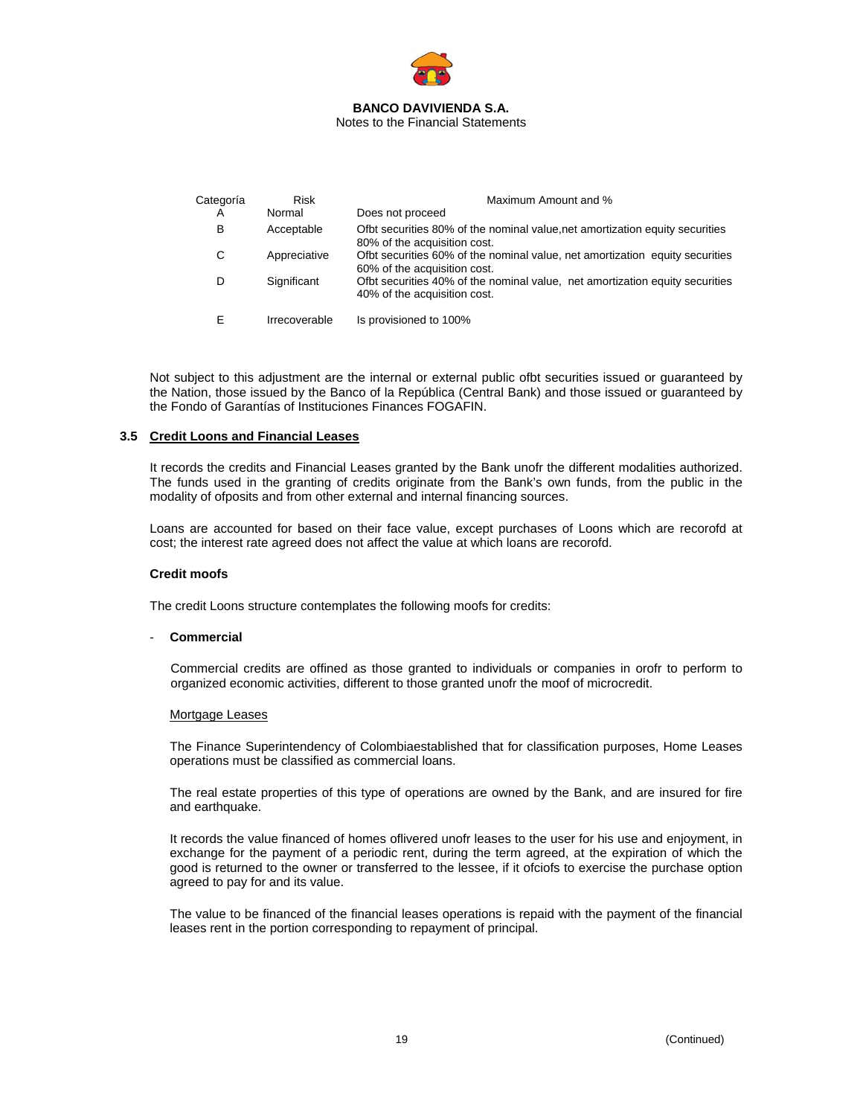

| Categoría | <b>Risk</b>   | Maximum Amount and %                                                                                         |  |  |  |
|-----------|---------------|--------------------------------------------------------------------------------------------------------------|--|--|--|
| A         | Normal        | Does not proceed                                                                                             |  |  |  |
| в         | Acceptable    | Ofbt securities 80% of the nominal value, net amortization equity securities<br>80% of the acquisition cost. |  |  |  |
| С         | Appreciative  | Ofbt securities 60% of the nominal value, net amortization equity securities<br>60% of the acquisition cost. |  |  |  |
| D         | Significant   | Ofbt securities 40% of the nominal value, net amortization equity securities<br>40% of the acquisition cost. |  |  |  |
|           | Irrecoverable | Is provisioned to 100%                                                                                       |  |  |  |

Not subject to this adjustment are the internal or external public ofbt securities issued or guaranteed by the Nation, those issued by the Banco of la República (Central Bank) and those issued or guaranteed by the Fondo of Garantías of Instituciones Finances FOGAFIN.

# **3.5 Credit Loons and Financial Leases**

It records the credits and Financial Leases granted by the Bank unofr the different modalities authorized. The funds used in the granting of credits originate from the Bank's own funds, from the public in the modality of ofposits and from other external and internal financing sources.

Loans are accounted for based on their face value, except purchases of Loons which are recorofd at cost; the interest rate agreed does not affect the value at which loans are recorofd.

# **Credit moofs**

The credit Loons structure contemplates the following moofs for credits:

#### - **Commercial**

Commercial credits are offined as those granted to individuals or companies in orofr to perform to organized economic activities, different to those granted unofr the moof of microcredit.

#### Mortgage Leases

The Finance Superintendency of Colombiaestablished that for classification purposes, Home Leases operations must be classified as commercial loans.

The real estate properties of this type of operations are owned by the Bank, and are insured for fire and earthquake.

It records the value financed of homes oflivered unofr leases to the user for his use and enjoyment, in exchange for the payment of a periodic rent, during the term agreed, at the expiration of which the good is returned to the owner or transferred to the lessee, if it ofciofs to exercise the purchase option agreed to pay for and its value.

The value to be financed of the financial leases operations is repaid with the payment of the financial leases rent in the portion corresponding to repayment of principal.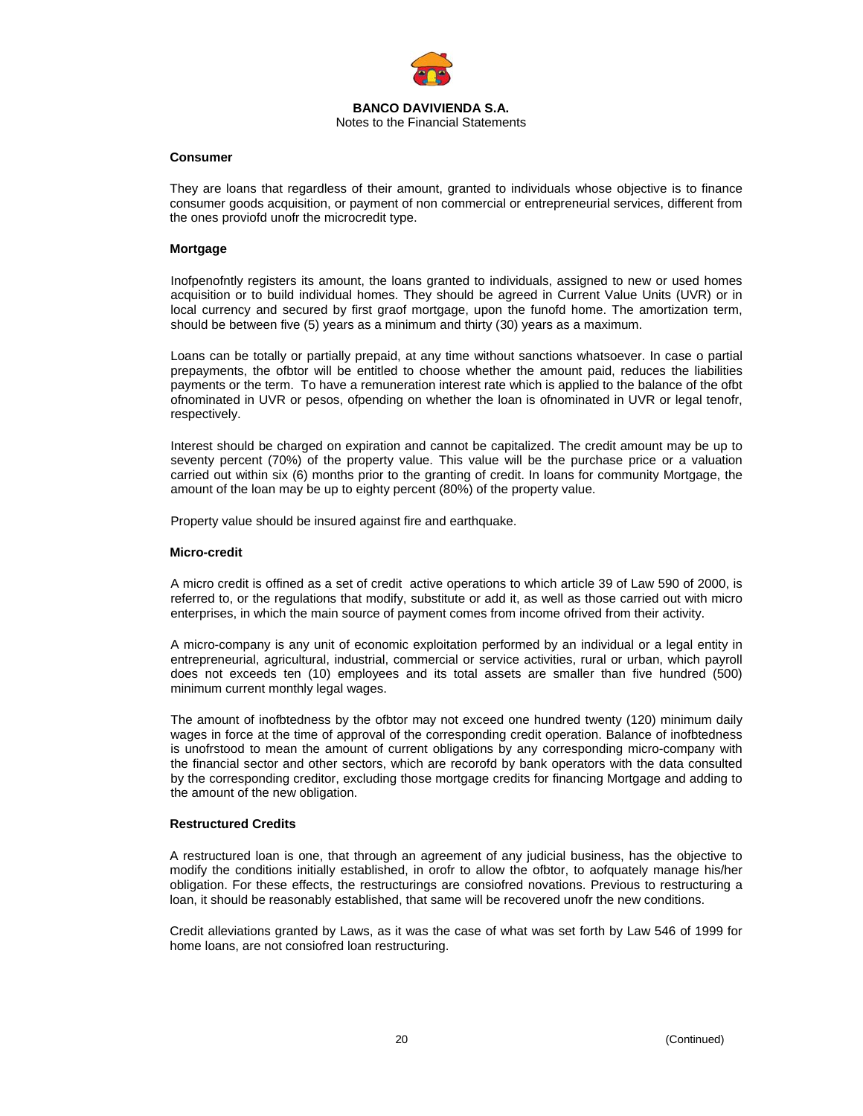

#### **Consumer**

They are loans that regardless of their amount, granted to individuals whose objective is to finance consumer goods acquisition, or payment of non commercial or entrepreneurial services, different from the ones proviofd unofr the microcredit type.

### **Mortgage**

Inofpenofntly registers its amount, the loans granted to individuals, assigned to new or used homes acquisition or to build individual homes. They should be agreed in Current Value Units (UVR) or in local currency and secured by first graof mortgage, upon the funofd home. The amortization term, should be between five (5) years as a minimum and thirty (30) years as a maximum.

Loans can be totally or partially prepaid, at any time without sanctions whatsoever. In case o partial prepayments, the ofbtor will be entitled to choose whether the amount paid, reduces the liabilities payments or the term. To have a remuneration interest rate which is applied to the balance of the ofbt ofnominated in UVR or pesos, ofpending on whether the loan is ofnominated in UVR or legal tenofr, respectively.

Interest should be charged on expiration and cannot be capitalized. The credit amount may be up to seventy percent (70%) of the property value. This value will be the purchase price or a valuation carried out within six (6) months prior to the granting of credit. In loans for community Mortgage, the amount of the loan may be up to eighty percent (80%) of the property value.

Property value should be insured against fire and earthquake.

#### **Micro-credit**

A micro credit is offined as a set of credit active operations to which article 39 of Law 590 of 2000, is referred to, or the regulations that modify, substitute or add it, as well as those carried out with micro enterprises, in which the main source of payment comes from income ofrived from their activity.

A micro-company is any unit of economic exploitation performed by an individual or a legal entity in entrepreneurial, agricultural, industrial, commercial or service activities, rural or urban, which payroll does not exceeds ten (10) employees and its total assets are smaller than five hundred (500) minimum current monthly legal wages.

The amount of inofbtedness by the ofbtor may not exceed one hundred twenty (120) minimum daily wages in force at the time of approval of the corresponding credit operation. Balance of inofbtedness is unofrstood to mean the amount of current obligations by any corresponding micro-company with the financial sector and other sectors, which are recorofd by bank operators with the data consulted by the corresponding creditor, excluding those mortgage credits for financing Mortgage and adding to the amount of the new obligation.

#### **Restructured Credits**

A restructured loan is one, that through an agreement of any judicial business, has the objective to modify the conditions initially established, in orofr to allow the ofbtor, to aofquately manage his/her obligation. For these effects, the restructurings are consiofred novations. Previous to restructuring a loan, it should be reasonably established, that same will be recovered unofr the new conditions.

Credit alleviations granted by Laws, as it was the case of what was set forth by Law 546 of 1999 for home loans, are not consiofred loan restructuring.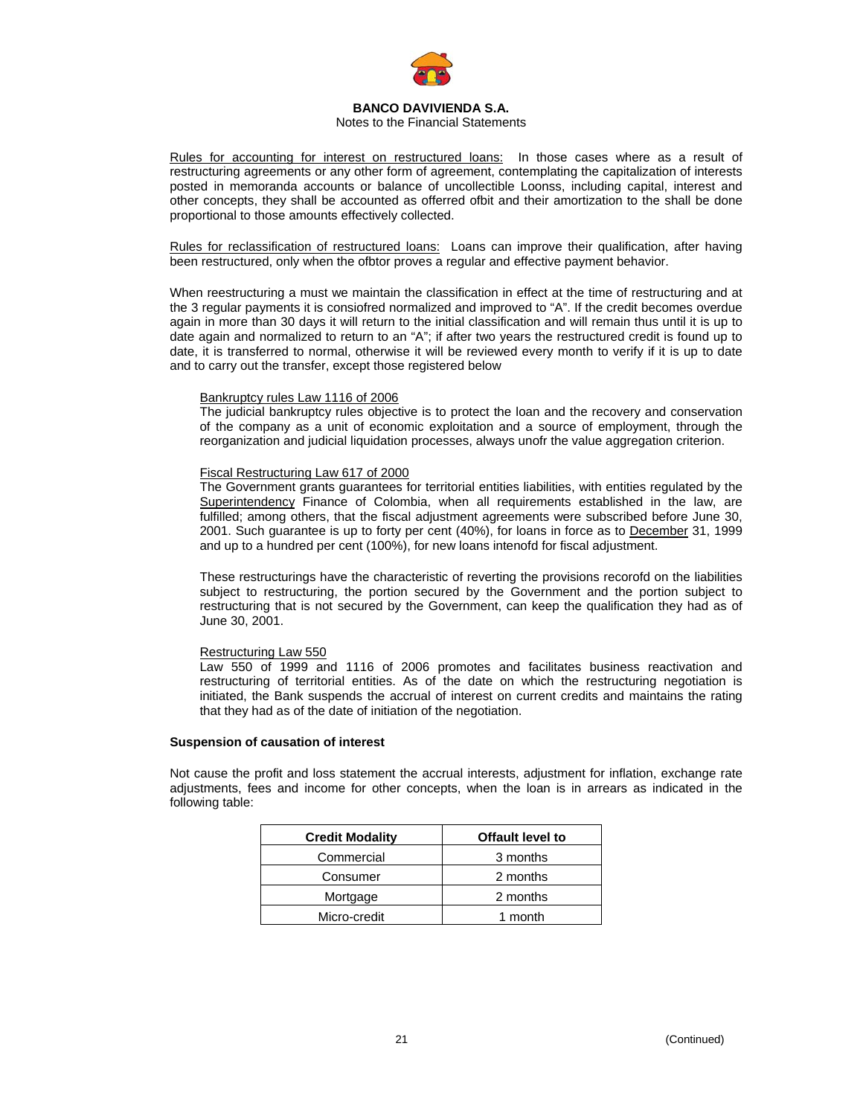

# Notes to the Financial Statements

Rules for accounting for interest on restructured loans: In those cases where as a result of restructuring agreements or any other form of agreement, contemplating the capitalization of interests posted in memoranda accounts or balance of uncollectible Loonss, including capital, interest and other concepts, they shall be accounted as offerred ofbit and their amortization to the shall be done proportional to those amounts effectively collected.

Rules for reclassification of restructured loans:Loans can improve their qualification, after having been restructured, only when the ofbtor proves a regular and effective payment behavior.

When reestructuring a must we maintain the classification in effect at the time of restructuring and at the 3 regular payments it is consiofred normalized and improved to "A". If the credit becomes overdue again in more than 30 days it will return to the initial classification and will remain thus until it is up to date again and normalized to return to an "A"; if after two years the restructured credit is found up to date, it is transferred to normal, otherwise it will be reviewed every month to verify if it is up to date and to carry out the transfer, except those registered below

# Bankruptcy rules Law 1116 of 2006

The judicial bankruptcy rules objective is to protect the loan and the recovery and conservation of the company as a unit of economic exploitation and a source of employment, through the reorganization and judicial liquidation processes, always unofr the value aggregation criterion.

# Fiscal Restructuring Law 617 of 2000

The Government grants guarantees for territorial entities liabilities, with entities regulated by the Superintendency Finance of Colombia, when all requirements established in the law, are fulfilled; among others, that the fiscal adjustment agreements were subscribed before June 30, 2001. Such guarantee is up to forty per cent (40%), for loans in force as to December 31, 1999 and up to a hundred per cent (100%), for new loans intenofd for fiscal adjustment.

These restructurings have the characteristic of reverting the provisions recorofd on the liabilities subject to restructuring, the portion secured by the Government and the portion subject to restructuring that is not secured by the Government, can keep the qualification they had as of June 30, 2001.

# Restructuring Law 550

Law 550 of 1999 and 1116 of 2006 promotes and facilitates business reactivation and restructuring of territorial entities. As of the date on which the restructuring negotiation is initiated, the Bank suspends the accrual of interest on current credits and maintains the rating that they had as of the date of initiation of the negotiation.

# **Suspension of causation of interest**

Not cause the profit and loss statement the accrual interests, adjustment for inflation, exchange rate adjustments, fees and income for other concepts, when the loan is in arrears as indicated in the following table:

| <b>Credit Modality</b> | Offault level to |  |  |
|------------------------|------------------|--|--|
| Commercial             | 3 months         |  |  |
| Consumer               | 2 months         |  |  |
| Mortgage               | 2 months         |  |  |
| Micro-credit           | 1 month          |  |  |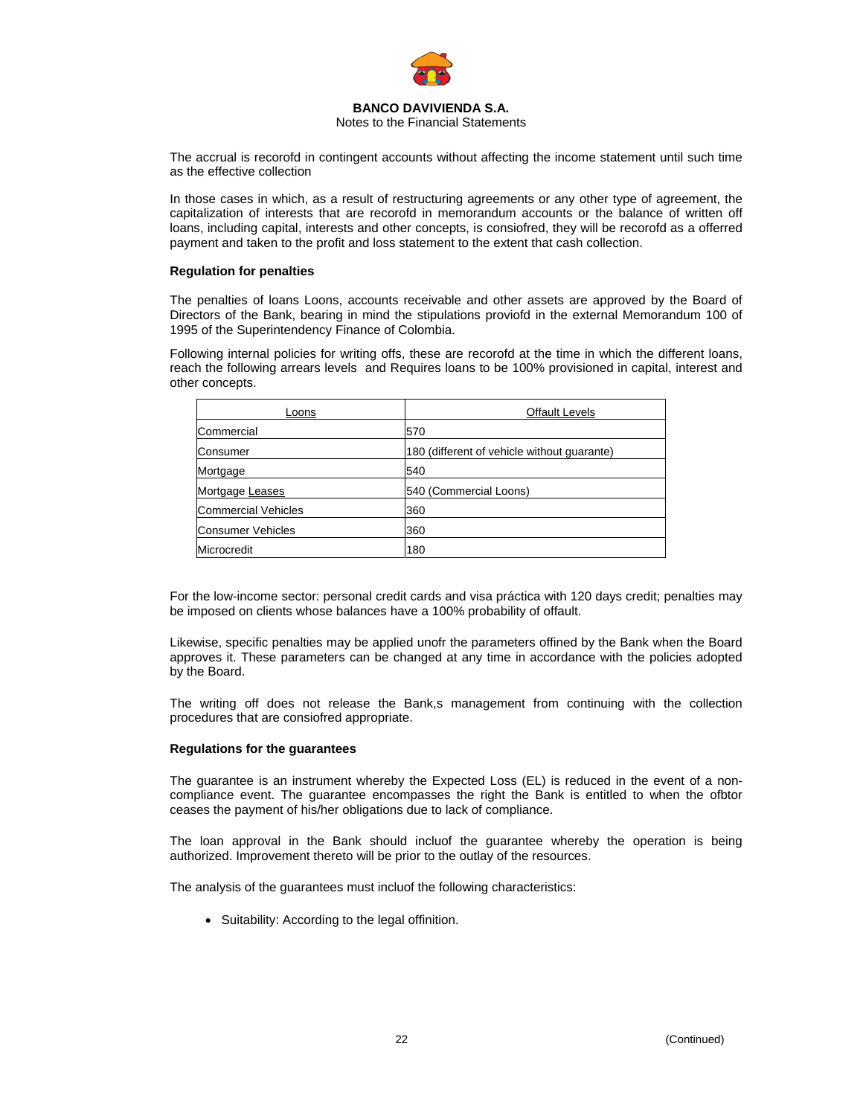

Notes to the Financial Statements

The accrual is recorofd in contingent accounts without affecting the income statement until such time as the effective collection

In those cases in which, as a result of restructuring agreements or any other type of agreement, the capitalization of interests that are recorofd in memorandum accounts or the balance of written off loans, including capital, interests and other concepts, is consiofred, they will be recorofd as a offerred payment and taken to the profit and loss statement to the extent that cash collection.

# **Regulation for penalties**

The penalties of loans Loons, accounts receivable and other assets are approved by the Board of Directors of the Bank, bearing in mind the stipulations proviofd in the external Memorandum 100 of 1995 of the Superintendency Finance of Colombia.

Following internal policies for writing offs, these are recorofd at the time in which the different loans, reach the following arrears levels and Requires loans to be 100% provisioned in capital, interest and other concepts.

| Loons               | <b>Offault Levels</b>                       |  |  |
|---------------------|---------------------------------------------|--|--|
| Commercial          | 570                                         |  |  |
| Consumer            | 180 (different of vehicle without guarante) |  |  |
| Mortgage            | 540                                         |  |  |
| Mortgage Leases     | 540 (Commercial Loons)                      |  |  |
| Commercial Vehicles | 360                                         |  |  |
| Consumer Vehicles   | 360                                         |  |  |
| Microcredit         | 180                                         |  |  |

For the low-income sector: personal credit cards and visa práctica with 120 days credit; penalties may be imposed on clients whose balances have a 100% probability of offault.

Likewise, specific penalties may be applied unofr the parameters offined by the Bank when the Board approves it. These parameters can be changed at any time in accordance with the policies adopted by the Board.

The writing off does not release the Bank,s management from continuing with the collection procedures that are consiofred appropriate.

#### **Regulations for the guarantees**

The guarantee is an instrument whereby the Expected Loss (EL) is reduced in the event of a noncompliance event. The guarantee encompasses the right the Bank is entitled to when the ofbtor ceases the payment of his/her obligations due to lack of compliance.

The loan approval in the Bank should incluof the guarantee whereby the operation is being authorized. Improvement thereto will be prior to the outlay of the resources.

The analysis of the guarantees must incluof the following characteristics:

• Suitability: According to the legal offinition.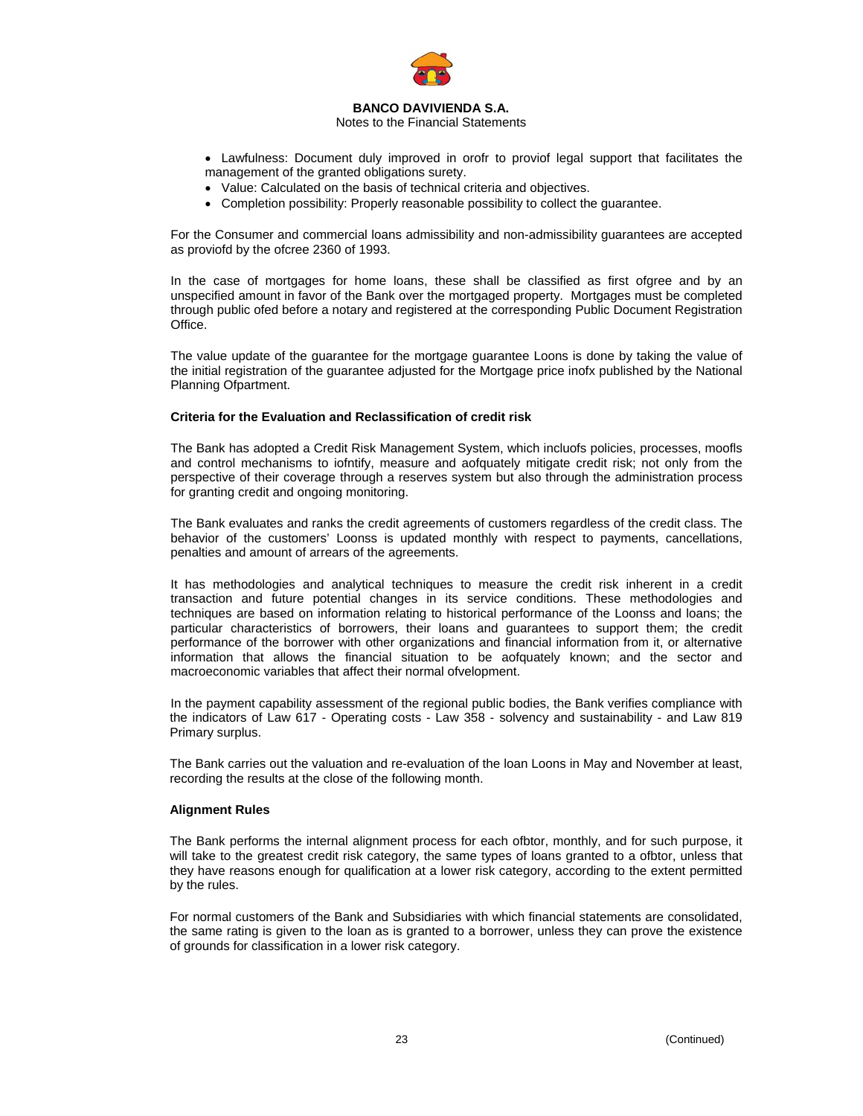

# Notes to the Financial Statements

- Lawfulness: Document duly improved in orofr to proviof legal support that facilitates the management of the granted obligations surety.
- Value: Calculated on the basis of technical criteria and objectives.
- Completion possibility: Properly reasonable possibility to collect the guarantee.

For the Consumer and commercial loans admissibility and non-admissibility guarantees are accepted as proviofd by the ofcree 2360 of 1993.

In the case of mortgages for home loans, these shall be classified as first ofgree and by an unspecified amount in favor of the Bank over the mortgaged property. Mortgages must be completed through public ofed before a notary and registered at the corresponding Public Document Registration Office.

The value update of the guarantee for the mortgage guarantee Loons is done by taking the value of the initial registration of the guarantee adjusted for the Mortgage price inofx published by the National Planning Ofpartment.

# **Criteria for the Evaluation and Reclassification of credit risk**

The Bank has adopted a Credit Risk Management System, which incluofs policies, processes, moofls and control mechanisms to iofntify, measure and aofquately mitigate credit risk; not only from the perspective of their coverage through a reserves system but also through the administration process for granting credit and ongoing monitoring.

The Bank evaluates and ranks the credit agreements of customers regardless of the credit class. The behavior of the customers' Loonss is updated monthly with respect to payments, cancellations, penalties and amount of arrears of the agreements.

It has methodologies and analytical techniques to measure the credit risk inherent in a credit transaction and future potential changes in its service conditions. These methodologies and techniques are based on information relating to historical performance of the Loonss and loans; the particular characteristics of borrowers, their loans and guarantees to support them; the credit performance of the borrower with other organizations and financial information from it, or alternative information that allows the financial situation to be aofquately known; and the sector and macroeconomic variables that affect their normal ofvelopment.

 In the payment capability assessment of the regional public bodies, the Bank verifies compliance with the indicators of Law 617 - Operating costs - Law 358 - solvency and sustainability - and Law 819 Primary surplus.

The Bank carries out the valuation and re-evaluation of the loan Loons in May and November at least, recording the results at the close of the following month.

# **Alignment Rules**

The Bank performs the internal alignment process for each ofbtor, monthly, and for such purpose, it will take to the greatest credit risk category, the same types of loans granted to a ofbtor, unless that they have reasons enough for qualification at a lower risk category, according to the extent permitted by the rules.

For normal customers of the Bank and Subsidiaries with which financial statements are consolidated, the same rating is given to the loan as is granted to a borrower, unless they can prove the existence of grounds for classification in a lower risk category.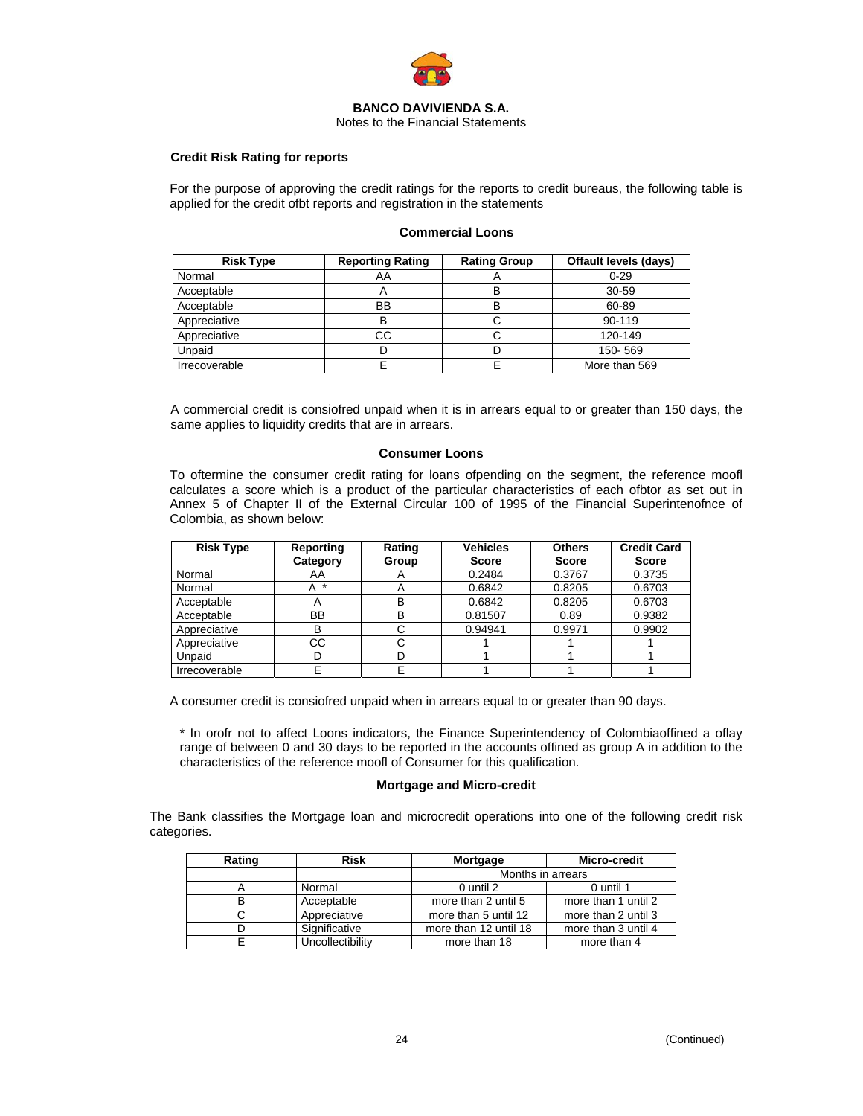

Notes to the Financial Statements

# **Credit Risk Rating for reports**

For the purpose of approving the credit ratings for the reports to credit bureaus, the following table is applied for the credit ofbt reports and registration in the statements

# **Commercial Loons**

| <b>Risk Type</b> | <b>Reporting Rating</b> | <b>Rating Group</b> | <b>Offault levels (days)</b> |
|------------------|-------------------------|---------------------|------------------------------|
| Normal           | AA                      |                     | $0 - 29$                     |
| Acceptable       | Α                       | в                   | 30-59                        |
| Acceptable       | BB                      | в                   | 60-89                        |
| Appreciative     | B                       | ັ                   | 90-119                       |
| Appreciative     | CС                      |                     | 120-149                      |
| Unpaid           |                         |                     | 150-569                      |
| Irrecoverable    |                         |                     | More than 569                |

A commercial credit is consiofred unpaid when it is in arrears equal to or greater than 150 days, the same applies to liquidity credits that are in arrears.

#### **Consumer Loons**

To oftermine the consumer credit rating for loans ofpending on the segment, the reference moofl calculates a score which is a product of the particular characteristics of each ofbtor as set out in Annex 5 of Chapter II of the External Circular 100 of 1995 of the Financial Superintenofnce of Colombia, as shown below:

| <b>Risk Type</b> | Reporting    | Rating | <b>Vehicles</b> | <b>Others</b> | <b>Credit Card</b> |
|------------------|--------------|--------|-----------------|---------------|--------------------|
|                  | Category     | Group  | <b>Score</b>    | <b>Score</b>  | <b>Score</b>       |
| Normal           | AA           | A      | 0.2484          | 0.3767        | 0.3735             |
| Normal           | $\star$<br>A | A      | 0.6842          | 0.8205        | 0.6703             |
| Acceptable       | m            | в      | 0.6842          | 0.8205        | 0.6703             |
| Acceptable       | BB           | в      | 0.81507         | 0.89          | 0.9382             |
| Appreciative     | в            |        | 0.94941         | 0.9971        | 0.9902             |
| Appreciative     | CС           |        |                 |               |                    |
| Unpaid           |              |        |                 |               |                    |
| Irrecoverable    |              |        |                 |               |                    |

A consumer credit is consiofred unpaid when in arrears equal to or greater than 90 days.

\* In orofr not to affect Loons indicators, the Finance Superintendency of Colombiaoffined a oflay range of between 0 and 30 days to be reported in the accounts offined as group A in addition to the characteristics of the reference moofl of Consumer for this qualification.

#### **Mortgage and Micro-credit**

The Bank classifies the Mortgage loan and microcredit operations into one of the following credit risk categories.

| Rating | <b>Risk</b>      | Mortgage              | Micro-credit        |  |
|--------|------------------|-----------------------|---------------------|--|
|        |                  | Months in arrears     |                     |  |
|        | Normal           | 0 until 2             | 0 until 1           |  |
| в      | Acceptable       | more than 2 until 5   | more than 1 until 2 |  |
| ι.     | Appreciative     | more than 5 until 12  | more than 2 until 3 |  |
|        | Significative    | more than 12 until 18 | more than 3 until 4 |  |
|        | Uncollectibility | more than 18          | more than 4         |  |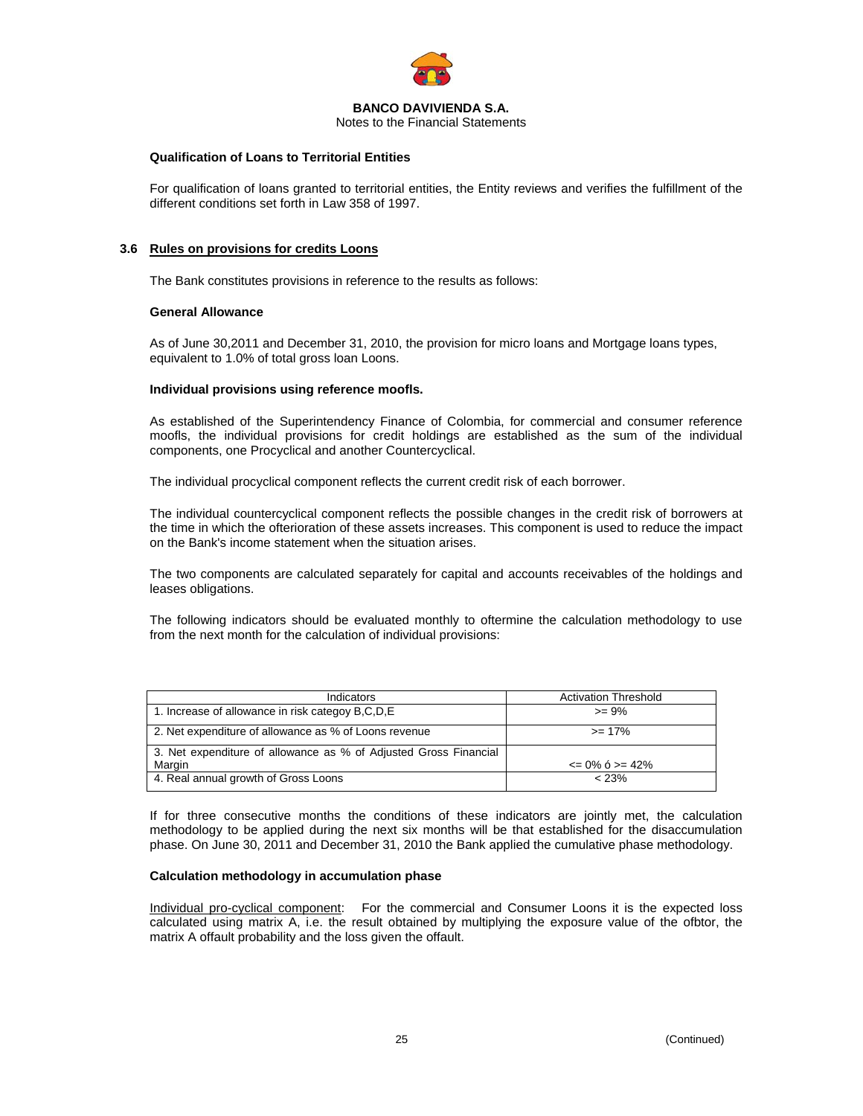

Notes to the Financial Statements

# **Qualification of Loans to Territorial Entities**

For qualification of loans granted to territorial entities, the Entity reviews and verifies the fulfillment of the different conditions set forth in Law 358 of 1997.

# **3.6 Rules on provisions for credits Loons**

The Bank constitutes provisions in reference to the results as follows:

# **General Allowance**

As of June 30,2011 and December 31, 2010, the provision for micro loans and Mortgage loans types, equivalent to 1.0% of total gross loan Loons.

# **Individual provisions using reference moofls.**

As established of the Superintendency Finance of Colombia, for commercial and consumer reference moofls, the individual provisions for credit holdings are established as the sum of the individual components, one Procyclical and another Countercyclical.

The individual procyclical component reflects the current credit risk of each borrower.

The individual countercyclical component reflects the possible changes in the credit risk of borrowers at the time in which the ofterioration of these assets increases. This component is used to reduce the impact on the Bank's income statement when the situation arises.

The two components are calculated separately for capital and accounts receivables of the holdings and leases obligations.

The following indicators should be evaluated monthly to oftermine the calculation methodology to use from the next month for the calculation of individual provisions:

| Indicators                                                       | <b>Activation Threshold</b> |
|------------------------------------------------------------------|-----------------------------|
| 1. Increase of allowance in risk categoy B,C,D,E                 | $>= 9\%$                    |
| 2. Net expenditure of allowance as % of Loons revenue            | $>= 17%$                    |
| 3. Net expenditure of allowance as % of Adjusted Gross Financial |                             |
| Margin                                                           | $\leq$ 0% 6 > = 42%         |
| 4. Real annual growth of Gross Loons                             | < 23%                       |

If for three consecutive months the conditions of these indicators are jointly met, the calculation methodology to be applied during the next six months will be that established for the disaccumulation phase. On June 30, 2011 and December 31, 2010 the Bank applied the cumulative phase methodology.

#### **Calculation methodology in accumulation phase**

Individual pro-cyclical component: For the commercial and Consumer Loons it is the expected loss calculated using matrix A, i.e. the result obtained by multiplying the exposure value of the ofbtor, the matrix A offault probability and the loss given the offault.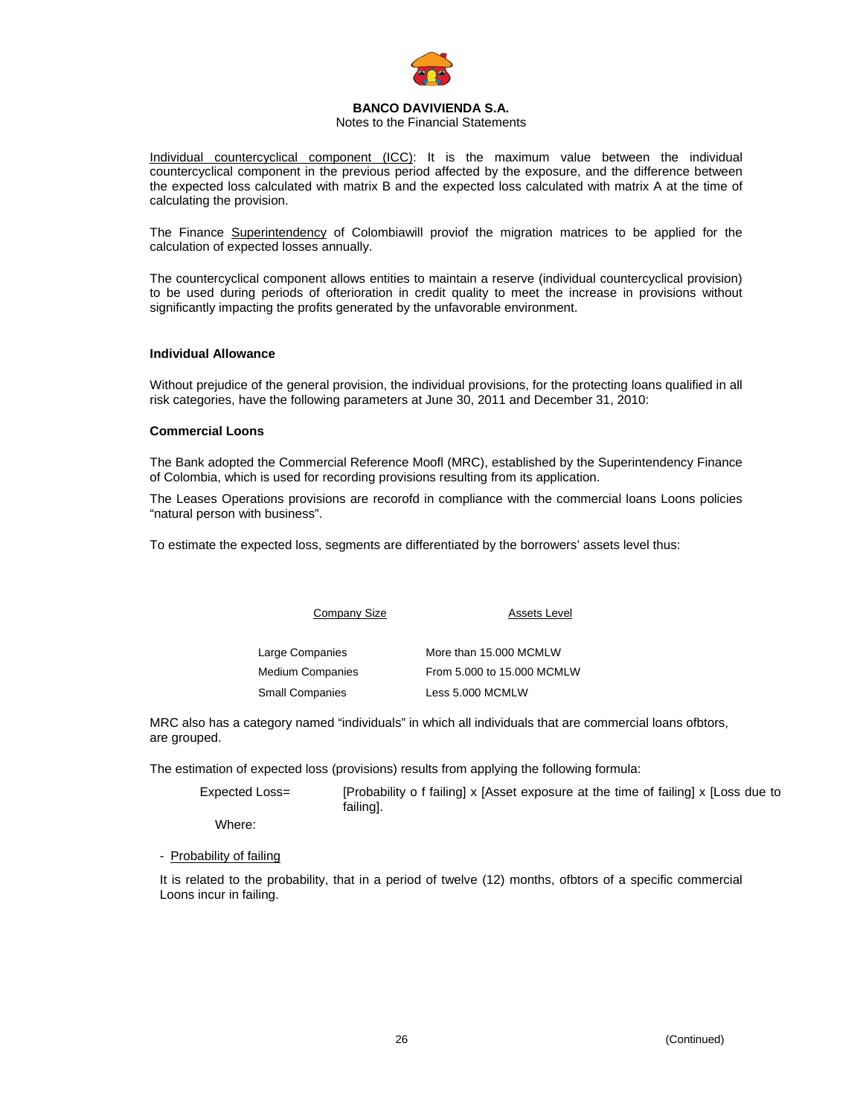

# Notes to the Financial Statements

Individual countercyclical component (ICC): It is the maximum value between the individual countercyclical component in the previous period affected by the exposure, and the difference between the expected loss calculated with matrix B and the expected loss calculated with matrix A at the time of calculating the provision.

The Finance Superintendency of Colombiawill proviof the migration matrices to be applied for the calculation of expected losses annually.

The countercyclical component allows entities to maintain a reserve (individual countercyclical provision) to be used during periods of ofterioration in credit quality to meet the increase in provisions without significantly impacting the profits generated by the unfavorable environment.

#### **Individual Allowance**

Without prejudice of the general provision, the individual provisions, for the protecting loans qualified in all risk categories, have the following parameters at June 30, 2011 and December 31, 2010:

# **Commercial Loons**

The Bank adopted the Commercial Reference Moofl (MRC), established by the Superintendency Finance of Colombia, which is used for recording provisions resulting from its application.

The Leases Operations provisions are recorofd in compliance with the commercial loans Loons policies "natural person with business".

To estimate the expected loss, segments are differentiated by the borrowers' assets level thus:

Company Size **Assets Level** 

| Large Companies  | More than 15,000 MCMLW     |
|------------------|----------------------------|
| Medium Companies | From 5.000 to 15.000 MCMLW |
| Small Companies  | Less 5.000 MCMLW           |

MRC also has a category named "individuals" in which all individuals that are commercial loans ofbtors, are grouped.

The estimation of expected loss (provisions) results from applying the following formula:

| Expected Loss= | [Probability o f failing] x [Asset exposure at the time of failing] x [Loss due to<br>failing]. |
|----------------|-------------------------------------------------------------------------------------------------|
| .              |                                                                                                 |

Where:

- Probability of failing

It is related to the probability, that in a period of twelve (12) months, ofbtors of a specific commercial Loons incur in failing.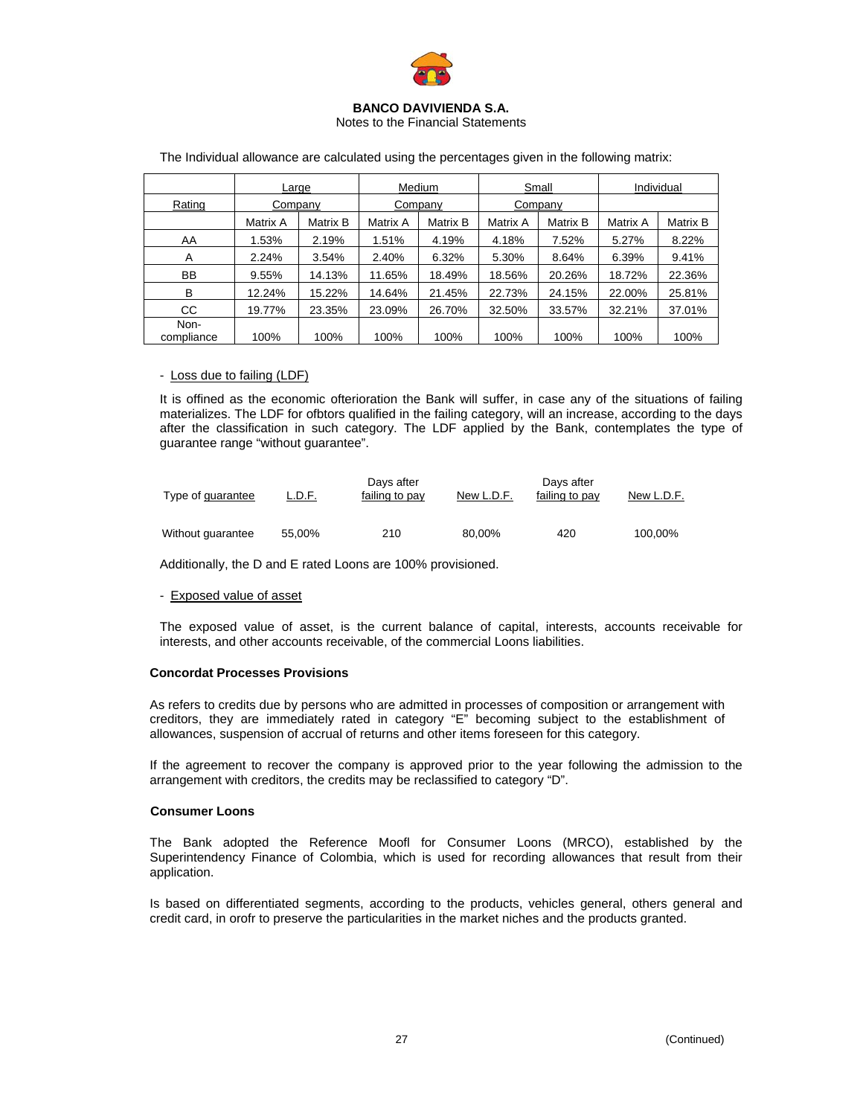

Notes to the Financial Statements

|                    | Large    |          | Medium   |          | Small    |          | Individual |          |
|--------------------|----------|----------|----------|----------|----------|----------|------------|----------|
| Rating             | Company  |          | Company  |          | Company  |          |            |          |
|                    | Matrix A | Matrix B | Matrix A | Matrix B | Matrix A | Matrix B | Matrix A   | Matrix B |
| AA                 | 1.53%    | 2.19%    | 1.51%    | 4.19%    | 4.18%    | 7.52%    | 5.27%      | 8.22%    |
| A                  | 2.24%    | 3.54%    | 2.40%    | 6.32%    | 5.30%    | 8.64%    | 6.39%      | 9.41%    |
| <b>BB</b>          | 9.55%    | 14.13%   | 11.65%   | 18.49%   | 18.56%   | 20.26%   | 18.72%     | 22.36%   |
| B                  | 12.24%   | 15.22%   | 14.64%   | 21.45%   | 22.73%   | 24.15%   | 22.00%     | 25.81%   |
| CC.                | 19.77%   | 23.35%   | 23.09%   | 26.70%   | 32.50%   | 33.57%   | 32.21%     | 37.01%   |
| Non-<br>compliance | 100%     | 100%     | 100%     | 100%     | 100%     | 100%     | 100%       | 100%     |

The Individual allowance are calculated using the percentages given in the following matrix:

# - Loss due to failing (LDF)

It is offined as the economic ofterioration the Bank will suffer, in case any of the situations of failing materializes. The LDF for ofbtors qualified in the failing category, will an increase, according to the days after the classification in such category. The LDF applied by the Bank, contemplates the type of guarantee range "without guarantee".

| Type of guarantee | L.D.F. | Days after<br>failing to pay | New L.D.F. | Days after<br>failing to pay | New L.D.F. |
|-------------------|--------|------------------------------|------------|------------------------------|------------|
| Without quarantee | 55.00% | 210                          | 80.00%     | 420                          | 100.00%    |

Additionally, the D and E rated Loons are 100% provisioned.

# - Exposed value of asset

The exposed value of asset, is the current balance of capital, interests, accounts receivable for interests, and other accounts receivable, of the commercial Loons liabilities.

# **Concordat Processes Provisions**

As refers to credits due by persons who are admitted in processes of composition or arrangement with creditors, they are immediately rated in category "E" becoming subject to the establishment of allowances, suspension of accrual of returns and other items foreseen for this category.

If the agreement to recover the company is approved prior to the year following the admission to the arrangement with creditors, the credits may be reclassified to category "D".

# **Consumer Loons**

The Bank adopted the Reference Moofl for Consumer Loons (MRCO), established by the Superintendency Finance of Colombia, which is used for recording allowances that result from their application.

Is based on differentiated segments, according to the products, vehicles general, others general and credit card, in orofr to preserve the particularities in the market niches and the products granted.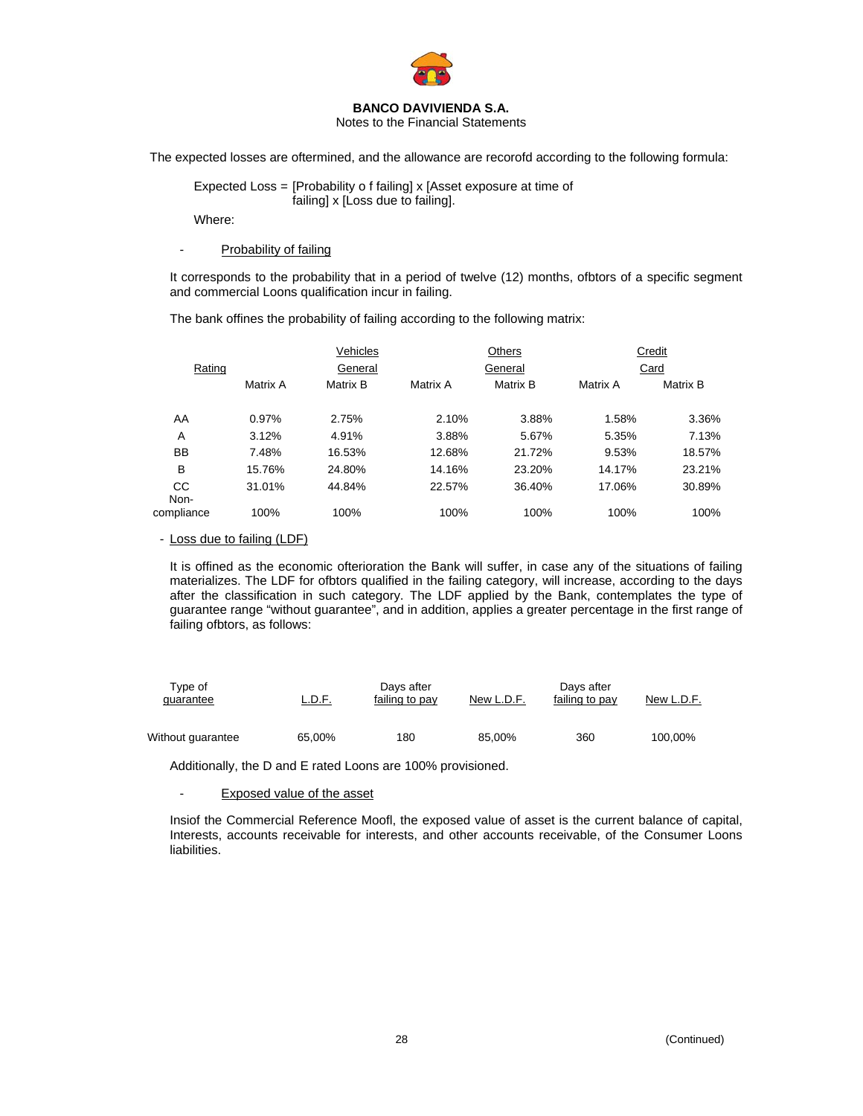

Notes to the Financial Statements

The expected losses are oftermined, and the allowance are recorofd according to the following formula:

 Expected Loss = [Probability o f failing] x [Asset exposure at time of failing] x [Loss due to failing].

Where:

# - Probability of failing

It corresponds to the probability that in a period of twelve (12) months, ofbtors of a specific segment and commercial Loons qualification incur in failing.

The bank offines the probability of failing according to the following matrix:

|                   |          | Vehicles |          | Others   |          | Credit   |  |
|-------------------|----------|----------|----------|----------|----------|----------|--|
| Rating            |          | General  |          | General  |          | Card     |  |
|                   | Matrix A | Matrix B | Matrix A | Matrix B | Matrix A | Matrix B |  |
| AA                | 0.97%    | 2.75%    | 2.10%    | 3.88%    | 1.58%    | 3.36%    |  |
| A                 | 3.12%    | 4.91%    | 3.88%    | 5.67%    | 5.35%    | 7.13%    |  |
| BB                | 7.48%    | 16.53%   | 12.68%   | 21.72%   | 9.53%    | 18.57%   |  |
| B                 | 15.76%   | 24.80%   | 14.16%   | 23.20%   | 14.17%   | 23.21%   |  |
| <b>CC</b><br>Non- | 31.01%   | 44.84%   | 22.57%   | 36.40%   | 17.06%   | 30.89%   |  |
| compliance        | 100%     | 100%     | 100%     | 100%     | 100%     | 100%     |  |

# - Loss due to failing (LDF)

It is offined as the economic ofterioration the Bank will suffer, in case any of the situations of failing materializes. The LDF for ofbtors qualified in the failing category, will increase, according to the days after the classification in such category. The LDF applied by the Bank, contemplates the type of guarantee range "without guarantee", and in addition, applies a greater percentage in the first range of failing ofbtors, as follows:

| Tvpe of<br>quarantee | L.D.F. | Davs after<br>failing to pay | New L.D.F. | Davs after<br>failing to pay | New L.D.F. |
|----------------------|--------|------------------------------|------------|------------------------------|------------|
| Without quarantee    | 65,00% | 180                          | 85,00%     | 360                          | 100,00%    |

Additionally, the D and E rated Loons are 100% provisioned.

# Exposed value of the asset

Insiof the Commercial Reference Moofl, the exposed value of asset is the current balance of capital, Interests, accounts receivable for interests, and other accounts receivable, of the Consumer Loons liabilities.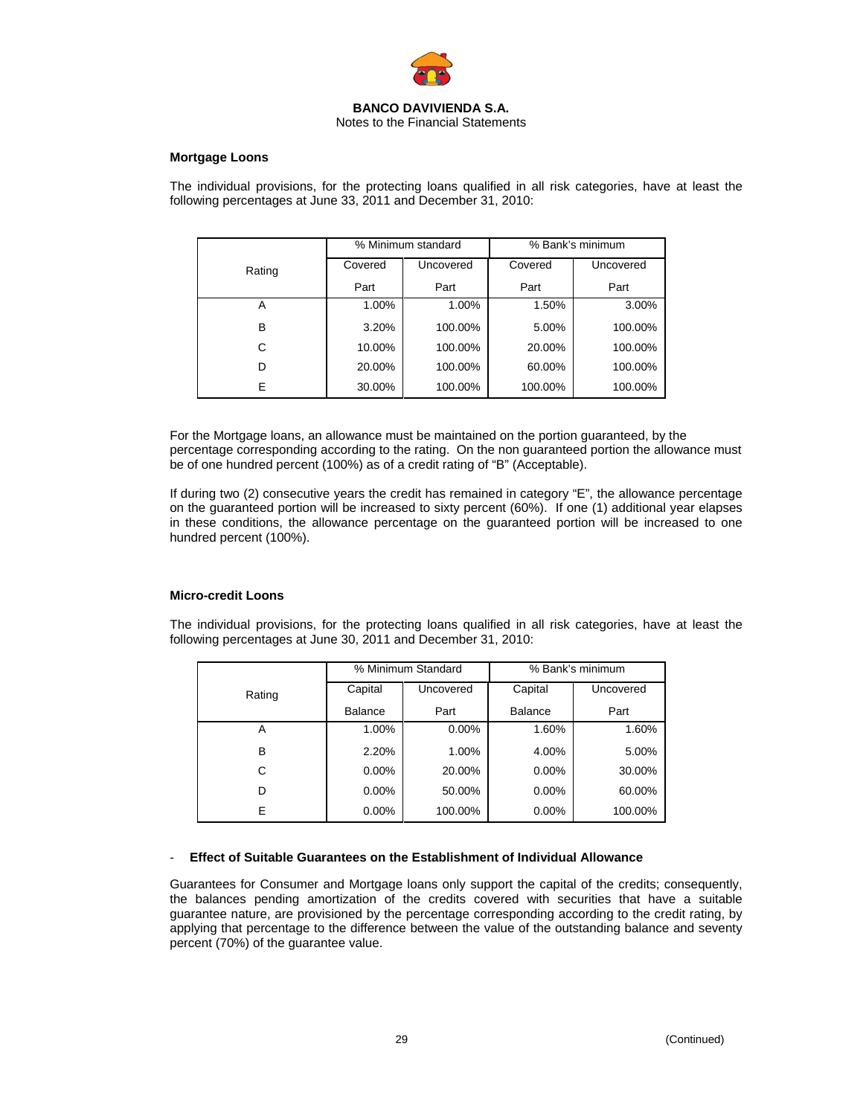

### **Mortgage Loons**

The individual provisions, for the protecting loans qualified in all risk categories, have at least the following percentages at June 33, 2011 and December 31, 2010:

|        | % Minimum standard |           | % Bank's minimum |           |
|--------|--------------------|-----------|------------------|-----------|
| Rating | Covered            | Uncovered | Covered          | Uncovered |
|        | Part               | Part      | Part             | Part      |
| Α      | 1.00%              | 1.00%     | 1.50%            | 3.00%     |
| B      | 3.20%              | 100.00%   | 5.00%            | 100.00%   |
| C      | 10.00%             | 100.00%   | 20.00%           | 100.00%   |
| D      | 20.00%             | 100.00%   | 60.00%           | 100.00%   |
| E      | 30.00%             | 100.00%   | 100.00%          | 100.00%   |

For the Mortgage loans, an allowance must be maintained on the portion guaranteed, by the percentage corresponding according to the rating. On the non guaranteed portion the allowance must be of one hundred percent (100%) as of a credit rating of "B" (Acceptable).

If during two (2) consecutive years the credit has remained in category "E", the allowance percentage on the guaranteed portion will be increased to sixty percent (60%). If one (1) additional year elapses in these conditions, the allowance percentage on the guaranteed portion will be increased to one hundred percent (100%).

# **Micro-credit Loons**

The individual provisions, for the protecting loans qualified in all risk categories, have at least the following percentages at June 30, 2011 and December 31, 2010:

|        | % Minimum Standard |           | % Bank's minimum |           |  |
|--------|--------------------|-----------|------------------|-----------|--|
| Rating | Capital            | Uncovered | Capital          | Uncovered |  |
|        | <b>Balance</b>     | Part      | <b>Balance</b>   | Part      |  |
| A      | 1.00%              | $0.00\%$  | 1.60%            | 1.60%     |  |
| в      | 2.20%              | 1.00%     | 4.00%            | 5.00%     |  |
| C      | $0.00\%$           | 20.00%    | $0.00\%$         | 30.00%    |  |
| D      | $0.00\%$           | 50.00%    | $0.00\%$         | 60.00%    |  |
| E      | $0.00\%$           | 100.00%   | $0.00\%$         | 100.00%   |  |

#### - **Effect of Suitable Guarantees on the Establishment of Individual Allowance**

Guarantees for Consumer and Mortgage loans only support the capital of the credits; consequently, the balances pending amortization of the credits covered with securities that have a suitable guarantee nature, are provisioned by the percentage corresponding according to the credit rating, by applying that percentage to the difference between the value of the outstanding balance and seventy percent (70%) of the guarantee value.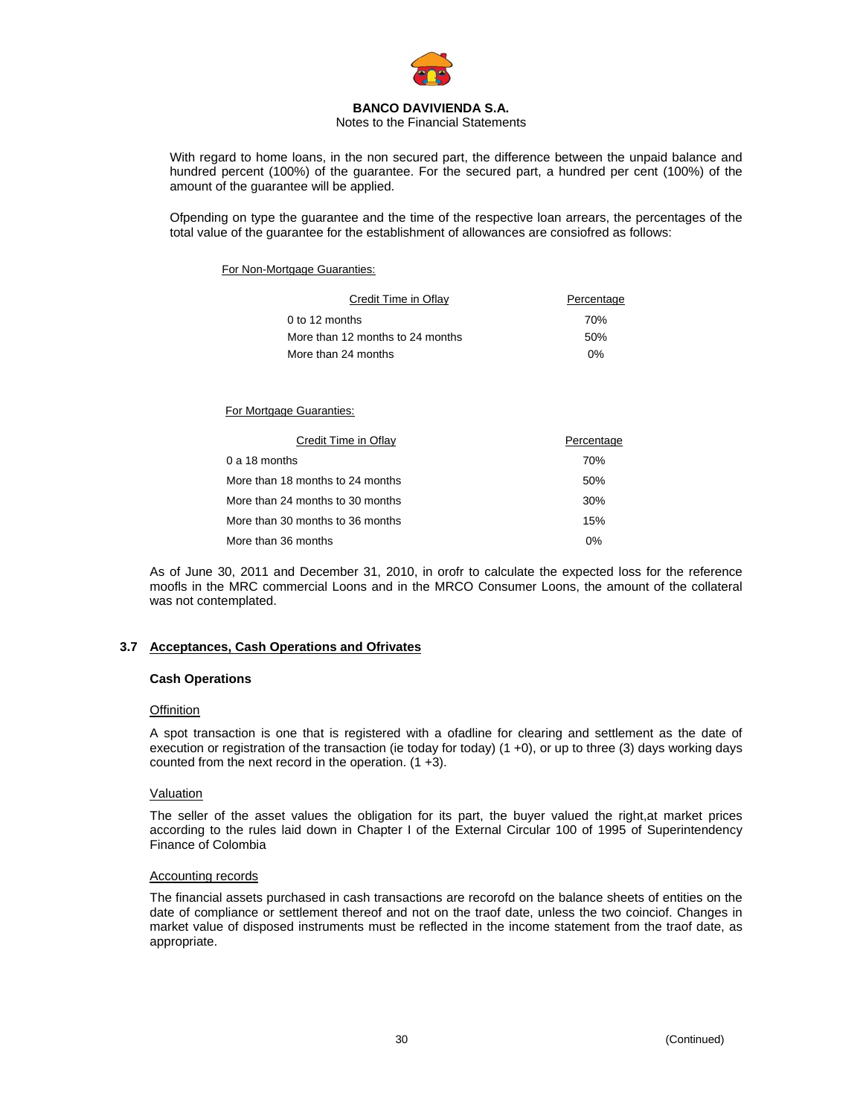

# Notes to the Financial Statements

With regard to home loans, in the non secured part, the difference between the unpaid balance and hundred percent (100%) of the guarantee. For the secured part, a hundred per cent (100%) of the amount of the guarantee will be applied.

Ofpending on type the guarantee and the time of the respective loan arrears, the percentages of the total value of the guarantee for the establishment of allowances are consiofred as follows:

# For Non-Mortgage Guaranties:

| Credit Time in Oflay             | Percentage |
|----------------------------------|------------|
| $0$ to 12 months                 | 70%        |
| More than 12 months to 24 months | 50%        |
| More than 24 months              | 0%         |

For Mortgage Guaranties:

| Credit Time in Oflay             | Percentage |
|----------------------------------|------------|
| 0 a 18 months                    | 70%        |
| More than 18 months to 24 months | 50%        |
| More than 24 months to 30 months | 30%        |
| More than 30 months to 36 months | 15%        |
| More than 36 months              | $0\%$      |

As of June 30, 2011 and December 31, 2010, in orofr to calculate the expected loss for the reference moofls in the MRC commercial Loons and in the MRCO Consumer Loons, the amount of the collateral was not contemplated.

# **3.7 Acceptances, Cash Operations and Ofrivates**

# **Cash Operations**

# **Offinition**

A spot transaction is one that is registered with a ofadline for clearing and settlement as the date of execution or registration of the transaction (ie today for today) (1 +0), or up to three (3) days working days counted from the next record in the operation.  $(1 + 3)$ .

# Valuation

The seller of the asset values the obligation for its part, the buyer valued the right,at market prices according to the rules laid down in Chapter I of the External Circular 100 of 1995 of Superintendency Finance of Colombia

# Accounting records

The financial assets purchased in cash transactions are recorofd on the balance sheets of entities on the date of compliance or settlement thereof and not on the traof date, unless the two coinciof. Changes in market value of disposed instruments must be reflected in the income statement from the traof date, as appropriate.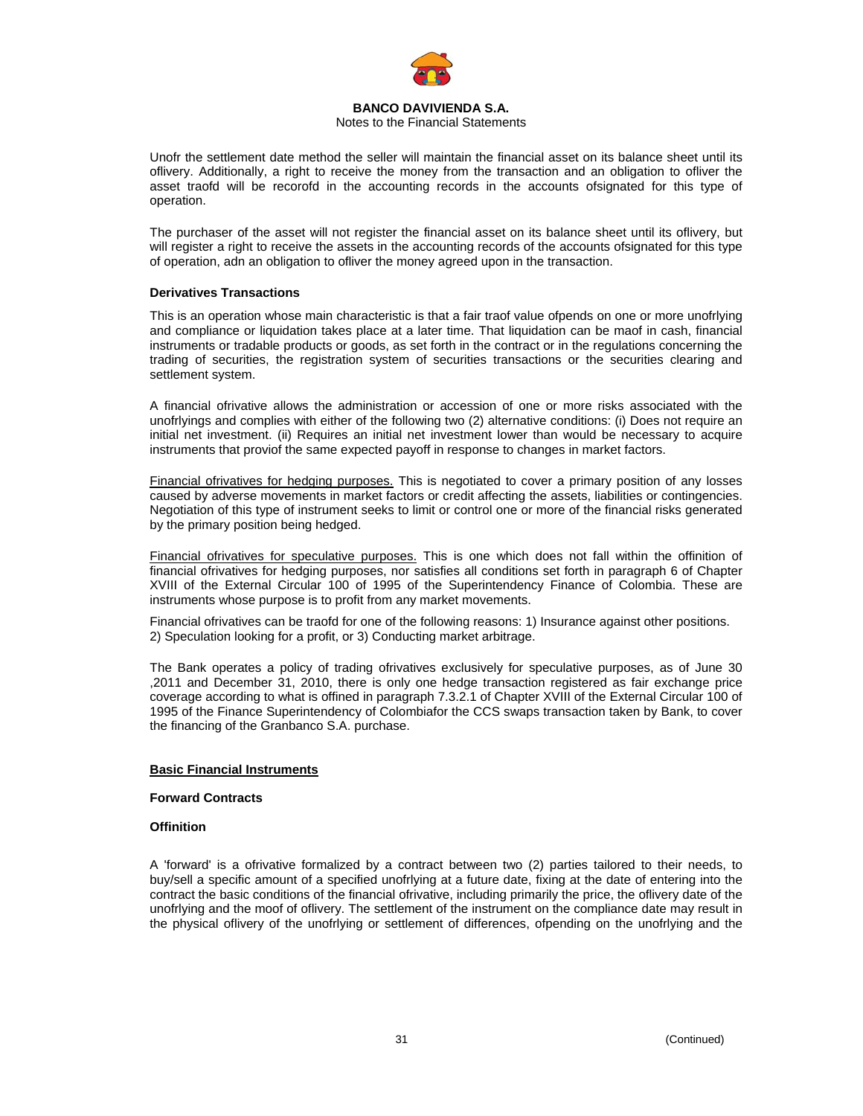

# Notes to the Financial Statements

Unofr the settlement date method the seller will maintain the financial asset on its balance sheet until its oflivery. Additionally, a right to receive the money from the transaction and an obligation to ofliver the asset traofd will be recorofd in the accounting records in the accounts ofsignated for this type of operation.

The purchaser of the asset will not register the financial asset on its balance sheet until its oflivery, but will register a right to receive the assets in the accounting records of the accounts ofsignated for this type of operation, adn an obligation to ofliver the money agreed upon in the transaction.

# **Derivatives Transactions**

This is an operation whose main characteristic is that a fair traof value ofpends on one or more unofrlying and compliance or liquidation takes place at a later time. That liquidation can be maof in cash, financial instruments or tradable products or goods, as set forth in the contract or in the regulations concerning the trading of securities, the registration system of securities transactions or the securities clearing and settlement system.

A financial ofrivative allows the administration or accession of one or more risks associated with the unofrlyings and complies with either of the following two (2) alternative conditions: (i) Does not require an initial net investment. (ii) Requires an initial net investment lower than would be necessary to acquire instruments that proviof the same expected payoff in response to changes in market factors.

Financial ofrivatives for hedging purposes. This is negotiated to cover a primary position of any losses caused by adverse movements in market factors or credit affecting the assets, liabilities or contingencies. Negotiation of this type of instrument seeks to limit or control one or more of the financial risks generated by the primary position being hedged.

Financial ofrivatives for speculative purposes. This is one which does not fall within the offinition of financial ofrivatives for hedging purposes, nor satisfies all conditions set forth in paragraph 6 of Chapter XVIII of the External Circular 100 of 1995 of the Superintendency Finance of Colombia. These are instruments whose purpose is to profit from any market movements.

Financial ofrivatives can be traofd for one of the following reasons: 1) Insurance against other positions. 2) Speculation looking for a profit, or 3) Conducting market arbitrage.

The Bank operates a policy of trading ofrivatives exclusively for speculative purposes, as of June 30 ,2011 and December 31, 2010, there is only one hedge transaction registered as fair exchange price coverage according to what is offined in paragraph 7.3.2.1 of Chapter XVIII of the External Circular 100 of 1995 of the Finance Superintendency of Colombiafor the CCS swaps transaction taken by Bank, to cover the financing of the Granbanco S.A. purchase.

# **Basic Financial Instruments**

# **Forward Contracts**

# **Offinition**

A 'forward' is a ofrivative formalized by a contract between two (2) parties tailored to their needs, to buy/sell a specific amount of a specified unofrlying at a future date, fixing at the date of entering into the contract the basic conditions of the financial ofrivative, including primarily the price, the oflivery date of the unofrlying and the moof of oflivery. The settlement of the instrument on the compliance date may result in the physical oflivery of the unofrlying or settlement of differences, ofpending on the unofrlying and the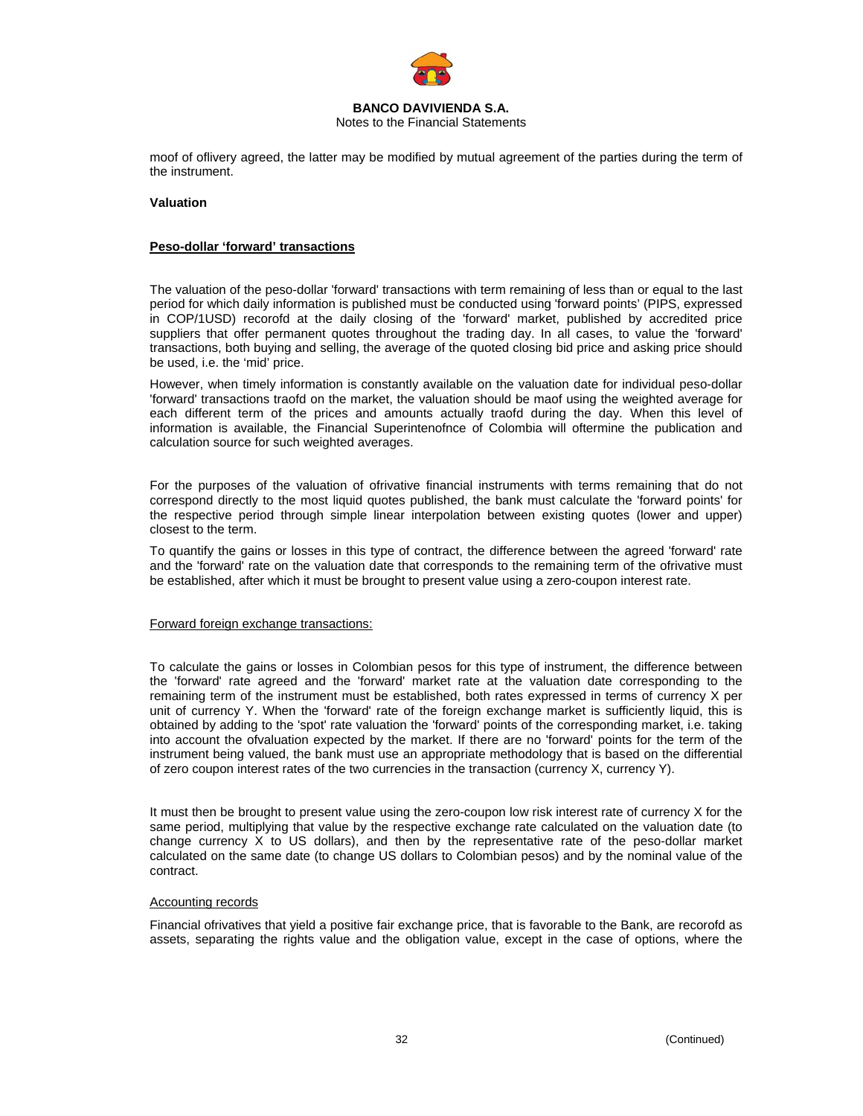

Notes to the Financial Statements

moof of oflivery agreed, the latter may be modified by mutual agreement of the parties during the term of the instrument.

# **Valuation**

### **Peso-dollar 'forward' transactions**

The valuation of the peso-dollar 'forward' transactions with term remaining of less than or equal to the last period for which daily information is published must be conducted using 'forward points' (PIPS, expressed in COP/1USD) recorofd at the daily closing of the 'forward' market, published by accredited price suppliers that offer permanent quotes throughout the trading day. In all cases, to value the 'forward' transactions, both buying and selling, the average of the quoted closing bid price and asking price should be used, i.e. the 'mid' price.

However, when timely information is constantly available on the valuation date for individual peso-dollar 'forward' transactions traofd on the market, the valuation should be maof using the weighted average for each different term of the prices and amounts actually traofd during the day. When this level of information is available, the Financial Superintenofnce of Colombia will oftermine the publication and calculation source for such weighted averages.

For the purposes of the valuation of ofrivative financial instruments with terms remaining that do not correspond directly to the most liquid quotes published, the bank must calculate the 'forward points' for the respective period through simple linear interpolation between existing quotes (lower and upper) closest to the term.

To quantify the gains or losses in this type of contract, the difference between the agreed 'forward' rate and the 'forward' rate on the valuation date that corresponds to the remaining term of the ofrivative must be established, after which it must be brought to present value using a zero-coupon interest rate.

#### Forward foreign exchange transactions:

To calculate the gains or losses in Colombian pesos for this type of instrument, the difference between the 'forward' rate agreed and the 'forward' market rate at the valuation date corresponding to the remaining term of the instrument must be established, both rates expressed in terms of currency X per unit of currency Y. When the 'forward' rate of the foreign exchange market is sufficiently liquid, this is obtained by adding to the 'spot' rate valuation the 'forward' points of the corresponding market, i.e. taking into account the ofvaluation expected by the market. If there are no 'forward' points for the term of the instrument being valued, the bank must use an appropriate methodology that is based on the differential of zero coupon interest rates of the two currencies in the transaction (currency X, currency Y).

It must then be brought to present value using the zero-coupon low risk interest rate of currency X for the same period, multiplying that value by the respective exchange rate calculated on the valuation date (to change currency X to US dollars), and then by the representative rate of the peso-dollar market calculated on the same date (to change US dollars to Colombian pesos) and by the nominal value of the contract.

#### Accounting records

Financial ofrivatives that yield a positive fair exchange price, that is favorable to the Bank, are recorofd as assets, separating the rights value and the obligation value, except in the case of options, where the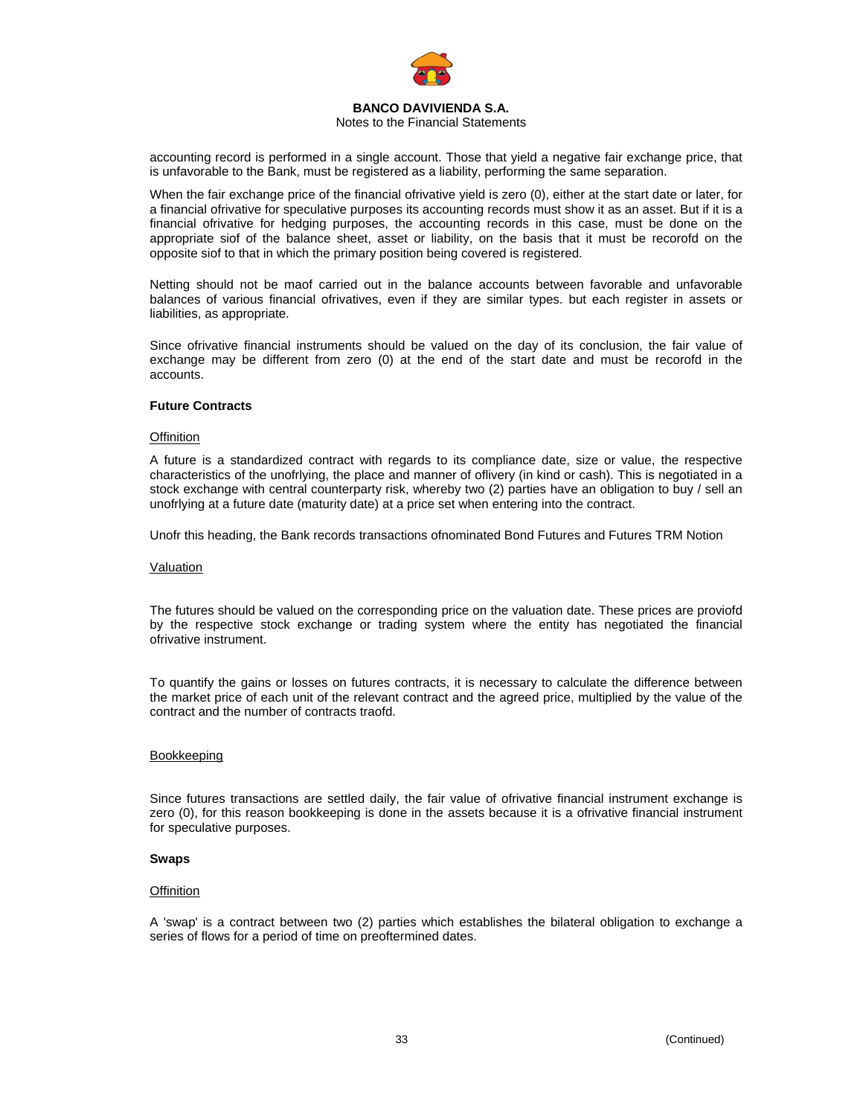

# Notes to the Financial Statements

accounting record is performed in a single account. Those that yield a negative fair exchange price, that is unfavorable to the Bank, must be registered as a liability, performing the same separation.

When the fair exchange price of the financial ofrivative yield is zero (0), either at the start date or later, for a financial ofrivative for speculative purposes its accounting records must show it as an asset. But if it is a financial ofrivative for hedging purposes, the accounting records in this case, must be done on the appropriate siof of the balance sheet, asset or liability, on the basis that it must be recorofd on the opposite siof to that in which the primary position being covered is registered.

Netting should not be maof carried out in the balance accounts between favorable and unfavorable balances of various financial ofrivatives, even if they are similar types. but each register in assets or liabilities, as appropriate.

Since ofrivative financial instruments should be valued on the day of its conclusion, the fair value of exchange may be different from zero (0) at the end of the start date and must be recorofd in the accounts.

# **Future Contracts**

#### **Offinition**

A future is a standardized contract with regards to its compliance date, size or value, the respective characteristics of the unofrlying, the place and manner of oflivery (in kind or cash). This is negotiated in a stock exchange with central counterparty risk, whereby two (2) parties have an obligation to buy / sell an unofrlying at a future date (maturity date) at a price set when entering into the contract.

Unofr this heading, the Bank records transactions ofnominated Bond Futures and Futures TRM Notion

#### Valuation

The futures should be valued on the corresponding price on the valuation date. These prices are proviofd by the respective stock exchange or trading system where the entity has negotiated the financial ofrivative instrument.

To quantify the gains or losses on futures contracts, it is necessary to calculate the difference between the market price of each unit of the relevant contract and the agreed price, multiplied by the value of the contract and the number of contracts traofd.

# Bookkeeping

Since futures transactions are settled daily, the fair value of ofrivative financial instrument exchange is zero (0), for this reason bookkeeping is done in the assets because it is a ofrivative financial instrument for speculative purposes.

# **Swaps**

# **Offinition**

A 'swap' is a contract between two (2) parties which establishes the bilateral obligation to exchange a series of flows for a period of time on preoftermined dates.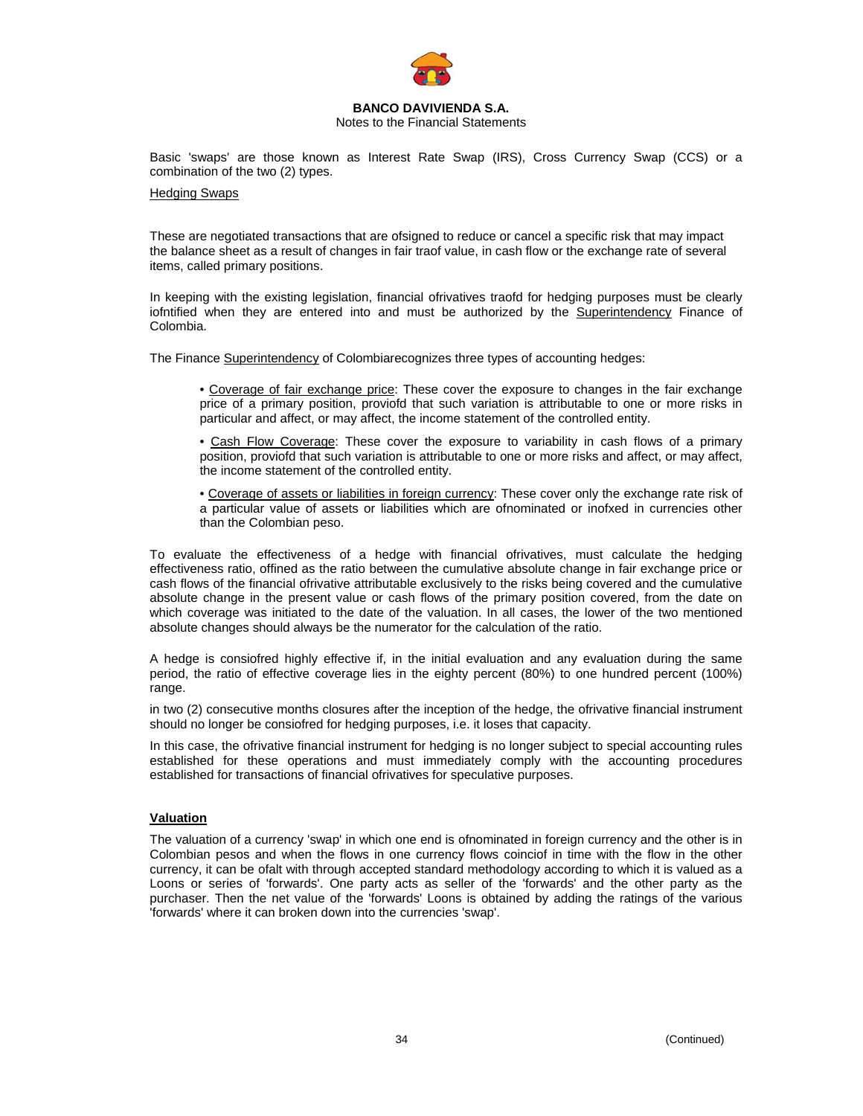

Notes to the Financial Statements

Basic 'swaps' are those known as Interest Rate Swap (IRS), Cross Currency Swap (CCS) or a combination of the two (2) types.

# Hedging Swaps

These are negotiated transactions that are ofsigned to reduce or cancel a specific risk that may impact the balance sheet as a result of changes in fair traof value, in cash flow or the exchange rate of several items, called primary positions.

In keeping with the existing legislation, financial ofrivatives traofd for hedging purposes must be clearly iofntified when they are entered into and must be authorized by the Superintendency Finance of Colombia.

The Finance Superintendency of Colombiarecognizes three types of accounting hedges:

• Coverage of fair exchange price: These cover the exposure to changes in the fair exchange price of a primary position, proviofd that such variation is attributable to one or more risks in particular and affect, or may affect, the income statement of the controlled entity.

• Cash Flow Coverage: These cover the exposure to variability in cash flows of a primary position, proviofd that such variation is attributable to one or more risks and affect, or may affect, the income statement of the controlled entity.

• Coverage of assets or liabilities in foreign currency: These cover only the exchange rate risk of a particular value of assets or liabilities which are ofnominated or inofxed in currencies other than the Colombian peso.

To evaluate the effectiveness of a hedge with financial ofrivatives, must calculate the hedging effectiveness ratio, offined as the ratio between the cumulative absolute change in fair exchange price or cash flows of the financial ofrivative attributable exclusively to the risks being covered and the cumulative absolute change in the present value or cash flows of the primary position covered, from the date on which coverage was initiated to the date of the valuation. In all cases, the lower of the two mentioned absolute changes should always be the numerator for the calculation of the ratio.

A hedge is consiofred highly effective if, in the initial evaluation and any evaluation during the same period, the ratio of effective coverage lies in the eighty percent (80%) to one hundred percent (100%) range.

in two (2) consecutive months closures after the inception of the hedge, the ofrivative financial instrument should no longer be consiofred for hedging purposes, i.e. it loses that capacity.

In this case, the ofrivative financial instrument for hedging is no longer subject to special accounting rules established for these operations and must immediately comply with the accounting procedures established for transactions of financial ofrivatives for speculative purposes.

# **Valuation**

The valuation of a currency 'swap' in which one end is ofnominated in foreign currency and the other is in Colombian pesos and when the flows in one currency flows coinciof in time with the flow in the other currency, it can be ofalt with through accepted standard methodology according to which it is valued as a Loons or series of 'forwards'. One party acts as seller of the 'forwards' and the other party as the purchaser. Then the net value of the 'forwards' Loons is obtained by adding the ratings of the various 'forwards' where it can broken down into the currencies 'swap'.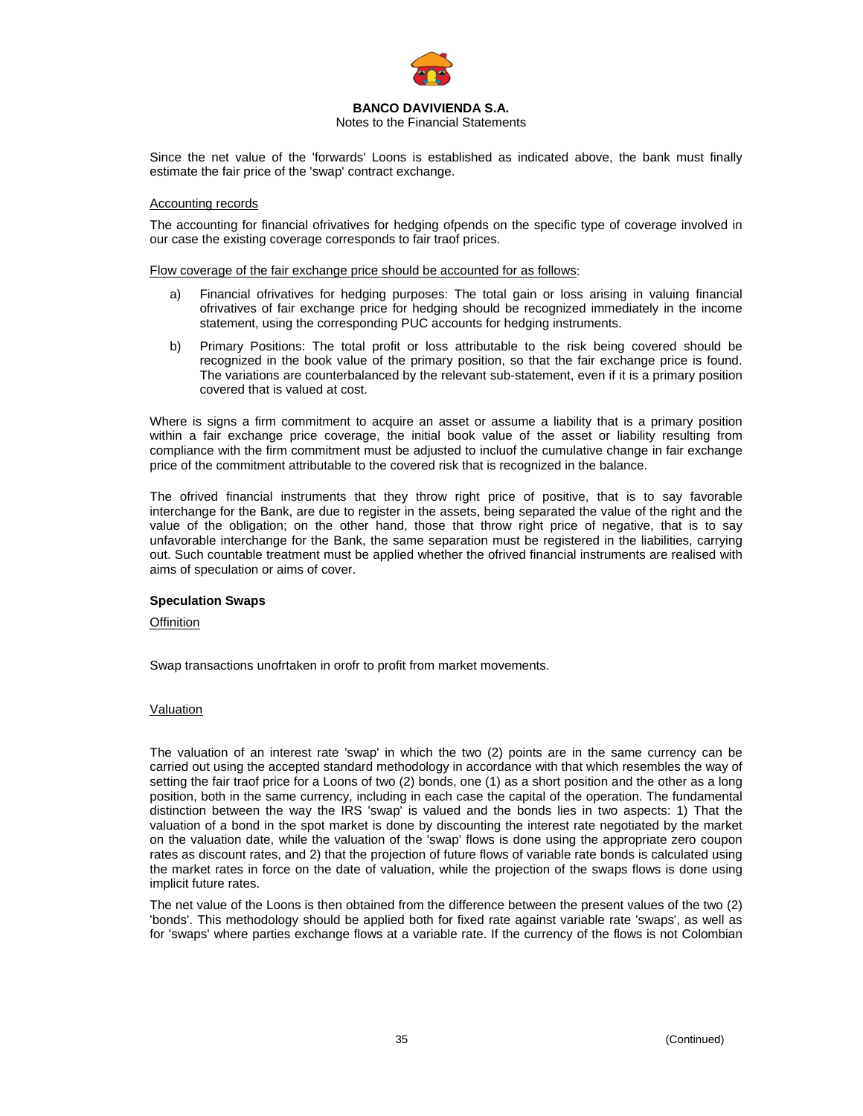

# Notes to the Financial Statements

Since the net value of the 'forwards' Loons is established as indicated above, the bank must finally estimate the fair price of the 'swap' contract exchange.

# Accounting records

The accounting for financial ofrivatives for hedging ofpends on the specific type of coverage involved in our case the existing coverage corresponds to fair traof prices.

Flow coverage of the fair exchange price should be accounted for as follows:

- a) Financial ofrivatives for hedging purposes: The total gain or loss arising in valuing financial ofrivatives of fair exchange price for hedging should be recognized immediately in the income statement, using the corresponding PUC accounts for hedging instruments.
- b) Primary Positions: The total profit or loss attributable to the risk being covered should be recognized in the book value of the primary position, so that the fair exchange price is found. The variations are counterbalanced by the relevant sub-statement, even if it is a primary position covered that is valued at cost.

Where is signs a firm commitment to acquire an asset or assume a liability that is a primary position within a fair exchange price coverage, the initial book value of the asset or liability resulting from compliance with the firm commitment must be adjusted to incluof the cumulative change in fair exchange price of the commitment attributable to the covered risk that is recognized in the balance.

The ofrived financial instruments that they throw right price of positive, that is to say favorable interchange for the Bank, are due to register in the assets, being separated the value of the right and the value of the obligation; on the other hand, those that throw right price of negative, that is to say unfavorable interchange for the Bank, the same separation must be registered in the liabilities, carrying out. Such countable treatment must be applied whether the ofrived financial instruments are realised with aims of speculation or aims of cover.

# **Speculation Swaps**

**Offinition** 

Swap transactions unofrtaken in orofr to profit from market movements.

# Valuation

The valuation of an interest rate 'swap' in which the two (2) points are in the same currency can be carried out using the accepted standard methodology in accordance with that which resembles the way of setting the fair traof price for a Loons of two (2) bonds, one (1) as a short position and the other as a long position, both in the same currency, including in each case the capital of the operation. The fundamental distinction between the way the IRS 'swap' is valued and the bonds lies in two aspects: 1) That the valuation of a bond in the spot market is done by discounting the interest rate negotiated by the market on the valuation date, while the valuation of the 'swap' flows is done using the appropriate zero coupon rates as discount rates, and 2) that the projection of future flows of variable rate bonds is calculated using the market rates in force on the date of valuation, while the projection of the swaps flows is done using implicit future rates.

The net value of the Loons is then obtained from the difference between the present values of the two (2) 'bonds'. This methodology should be applied both for fixed rate against variable rate 'swaps', as well as for 'swaps' where parties exchange flows at a variable rate. If the currency of the flows is not Colombian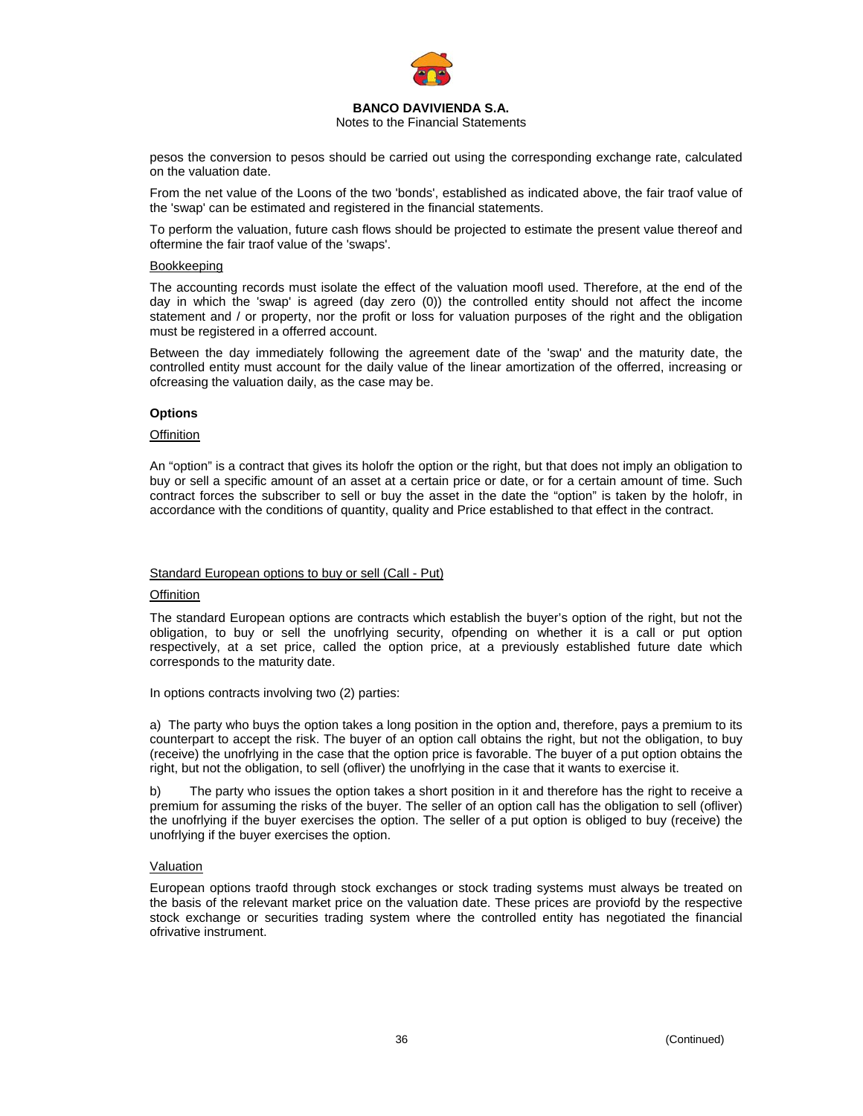

Notes to the Financial Statements

pesos the conversion to pesos should be carried out using the corresponding exchange rate, calculated on the valuation date.

From the net value of the Loons of the two 'bonds', established as indicated above, the fair traof value of the 'swap' can be estimated and registered in the financial statements.

To perform the valuation, future cash flows should be projected to estimate the present value thereof and oftermine the fair traof value of the 'swaps'.

#### Bookkeeping

The accounting records must isolate the effect of the valuation moofl used. Therefore, at the end of the day in which the 'swap' is agreed (day zero (0)) the controlled entity should not affect the income statement and / or property, nor the profit or loss for valuation purposes of the right and the obligation must be registered in a offerred account.

Between the day immediately following the agreement date of the 'swap' and the maturity date, the controlled entity must account for the daily value of the linear amortization of the offerred, increasing or ofcreasing the valuation daily, as the case may be.

# **Options**

## **Offinition**

An "option" is a contract that gives its holofr the option or the right, but that does not imply an obligation to buy or sell a specific amount of an asset at a certain price or date, or for a certain amount of time. Such contract forces the subscriber to sell or buy the asset in the date the "option" is taken by the holofr, in accordance with the conditions of quantity, quality and Price established to that effect in the contract.

#### Standard European options to buy or sell (Call - Put)

#### **Offinition**

The standard European options are contracts which establish the buyer's option of the right, but not the obligation, to buy or sell the unofrlying security, ofpending on whether it is a call or put option respectively, at a set price, called the option price, at a previously established future date which corresponds to the maturity date.

In options contracts involving two (2) parties:

a) The party who buys the option takes a long position in the option and, therefore, pays a premium to its counterpart to accept the risk. The buyer of an option call obtains the right, but not the obligation, to buy (receive) the unofrlying in the case that the option price is favorable. The buyer of a put option obtains the right, but not the obligation, to sell (ofliver) the unofrlying in the case that it wants to exercise it.

b) The party who issues the option takes a short position in it and therefore has the right to receive a premium for assuming the risks of the buyer. The seller of an option call has the obligation to sell (ofliver) the unofrlying if the buyer exercises the option. The seller of a put option is obliged to buy (receive) the unofrlying if the buyer exercises the option.

#### Valuation

European options traofd through stock exchanges or stock trading systems must always be treated on the basis of the relevant market price on the valuation date. These prices are proviofd by the respective stock exchange or securities trading system where the controlled entity has negotiated the financial ofrivative instrument.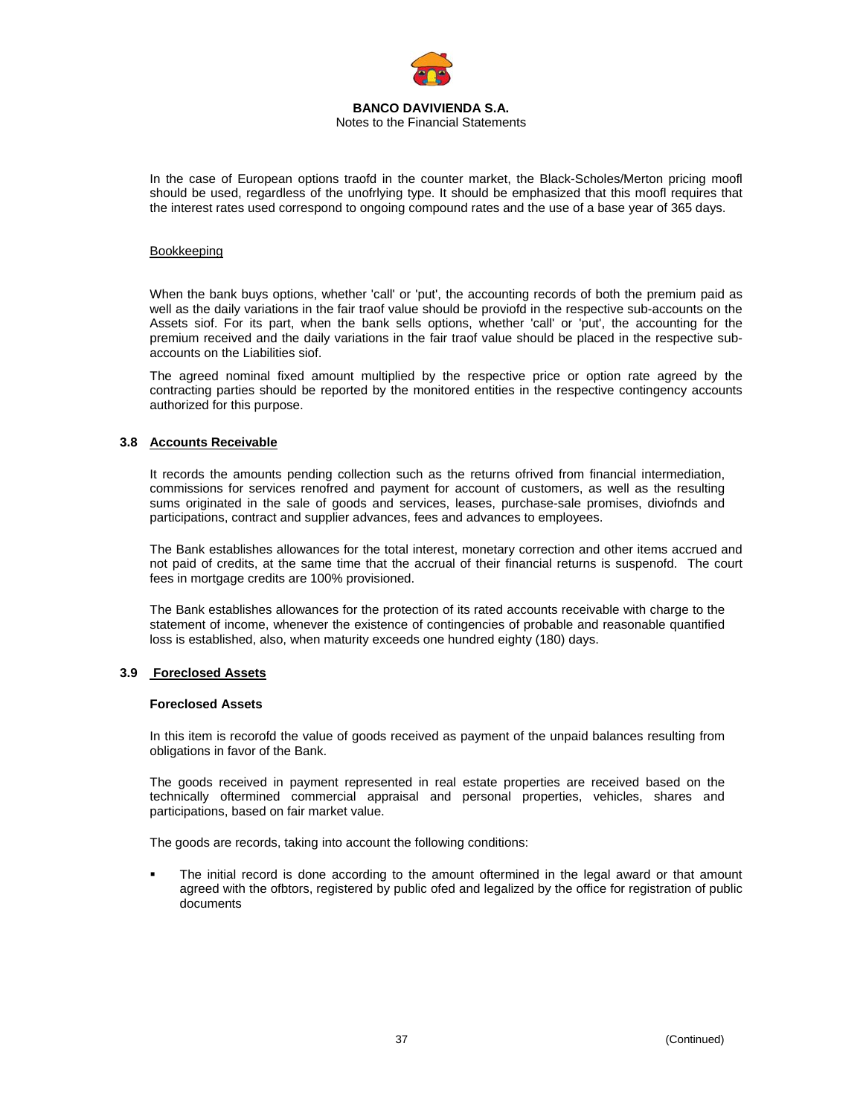

Notes to the Financial Statements

In the case of European options traofd in the counter market, the Black-Scholes/Merton pricing moofl should be used, regardless of the unofrlying type. It should be emphasized that this moofl requires that the interest rates used correspond to ongoing compound rates and the use of a base year of 365 days.

### Bookkeeping

When the bank buys options, whether 'call' or 'put', the accounting records of both the premium paid as well as the daily variations in the fair traof value should be proviofd in the respective sub-accounts on the Assets siof. For its part, when the bank sells options, whether 'call' or 'put', the accounting for the premium received and the daily variations in the fair traof value should be placed in the respective subaccounts on the Liabilities siof.

The agreed nominal fixed amount multiplied by the respective price or option rate agreed by the contracting parties should be reported by the monitored entities in the respective contingency accounts authorized for this purpose.

# **3.8 Accounts Receivable**

It records the amounts pending collection such as the returns ofrived from financial intermediation, commissions for services renofred and payment for account of customers, as well as the resulting sums originated in the sale of goods and services, leases, purchase-sale promises, diviofnds and participations, contract and supplier advances, fees and advances to employees.

The Bank establishes allowances for the total interest, monetary correction and other items accrued and not paid of credits, at the same time that the accrual of their financial returns is suspenofd. The court fees in mortgage credits are 100% provisioned.

The Bank establishes allowances for the protection of its rated accounts receivable with charge to the statement of income, whenever the existence of contingencies of probable and reasonable quantified loss is established, also, when maturity exceeds one hundred eighty (180) days.

#### **3.9 Foreclosed Assets**

#### **Foreclosed Assets**

In this item is recorofd the value of goods received as payment of the unpaid balances resulting from obligations in favor of the Bank.

The goods received in payment represented in real estate properties are received based on the technically oftermined commercial appraisal and personal properties, vehicles, shares and participations, based on fair market value.

The goods are records, taking into account the following conditions:

 The initial record is done according to the amount oftermined in the legal award or that amount agreed with the ofbtors, registered by public ofed and legalized by the office for registration of public documents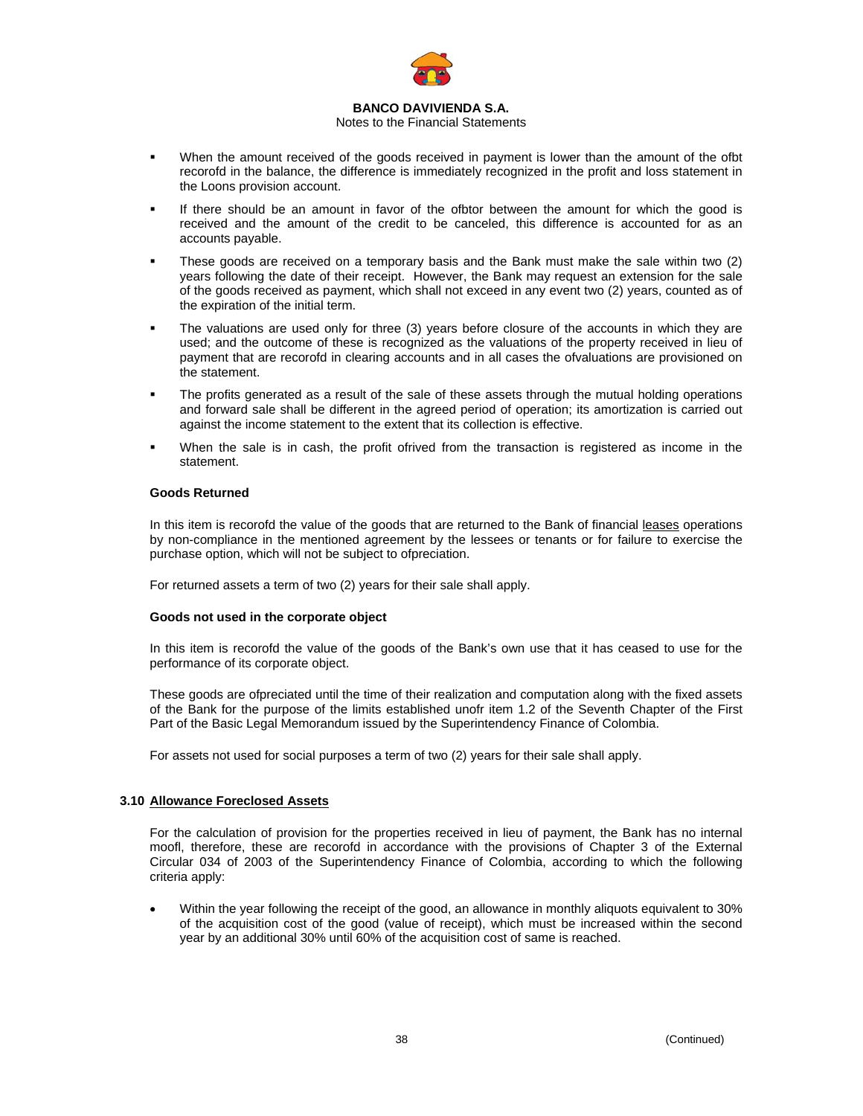

# Notes to the Financial Statements

- When the amount received of the goods received in payment is lower than the amount of the ofbt recorofd in the balance, the difference is immediately recognized in the profit and loss statement in the Loons provision account.
- If there should be an amount in favor of the ofbtor between the amount for which the good is received and the amount of the credit to be canceled, this difference is accounted for as an accounts payable.
- These goods are received on a temporary basis and the Bank must make the sale within two (2) years following the date of their receipt. However, the Bank may request an extension for the sale of the goods received as payment, which shall not exceed in any event two (2) years, counted as of the expiration of the initial term.
- The valuations are used only for three (3) years before closure of the accounts in which they are used; and the outcome of these is recognized as the valuations of the property received in lieu of payment that are recorofd in clearing accounts and in all cases the ofvaluations are provisioned on the statement.
- The profits generated as a result of the sale of these assets through the mutual holding operations and forward sale shall be different in the agreed period of operation; its amortization is carried out against the income statement to the extent that its collection is effective.
- When the sale is in cash, the profit ofrived from the transaction is registered as income in the statement.

# **Goods Returned**

In this item is recorofd the value of the goods that are returned to the Bank of financial leases operations by non-compliance in the mentioned agreement by the lessees or tenants or for failure to exercise the purchase option, which will not be subject to ofpreciation.

For returned assets a term of two (2) years for their sale shall apply.

#### **Goods not used in the corporate object**

In this item is recorofd the value of the goods of the Bank's own use that it has ceased to use for the performance of its corporate object.

These goods are ofpreciated until the time of their realization and computation along with the fixed assets of the Bank for the purpose of the limits established unofr item 1.2 of the Seventh Chapter of the First Part of the Basic Legal Memorandum issued by the Superintendency Finance of Colombia.

For assets not used for social purposes a term of two (2) years for their sale shall apply.

# **3.10 Allowance Foreclosed Assets**

For the calculation of provision for the properties received in lieu of payment, the Bank has no internal moofl, therefore, these are recorofd in accordance with the provisions of Chapter 3 of the External Circular 034 of 2003 of the Superintendency Finance of Colombia, according to which the following criteria apply:

• Within the year following the receipt of the good, an allowance in monthly aliquots equivalent to 30% of the acquisition cost of the good (value of receipt), which must be increased within the second year by an additional 30% until 60% of the acquisition cost of same is reached.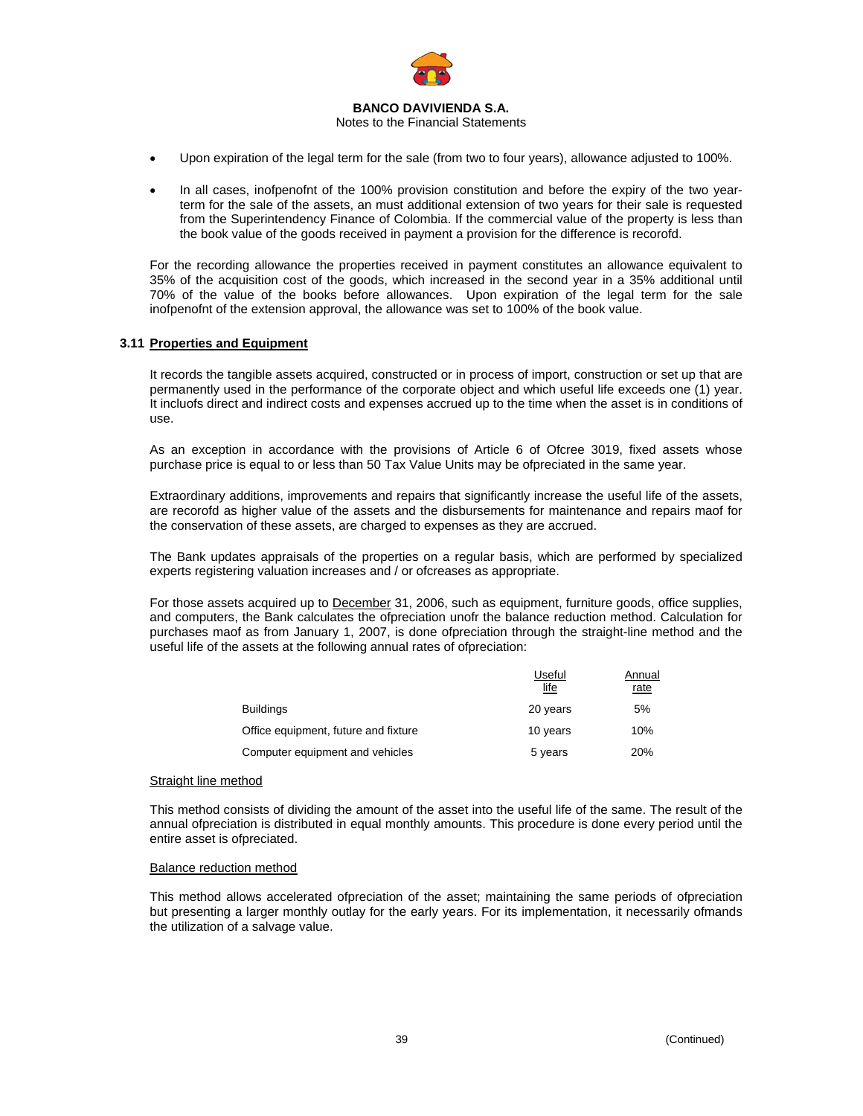

Notes to the Financial Statements

- Upon expiration of the legal term for the sale (from two to four years), allowance adjusted to 100%.
- In all cases, inofpenofnt of the 100% provision constitution and before the expiry of the two yearterm for the sale of the assets, an must additional extension of two years for their sale is requested from the Superintendency Finance of Colombia. If the commercial value of the property is less than the book value of the goods received in payment a provision for the difference is recorofd.

For the recording allowance the properties received in payment constitutes an allowance equivalent to 35% of the acquisition cost of the goods, which increased in the second year in a 35% additional until 70% of the value of the books before allowances. Upon expiration of the legal term for the sale inofpenofnt of the extension approval, the allowance was set to 100% of the book value.

### **3.11 Properties and Equipment**

It records the tangible assets acquired, constructed or in process of import, construction or set up that are permanently used in the performance of the corporate object and which useful life exceeds one (1) year. It incluofs direct and indirect costs and expenses accrued up to the time when the asset is in conditions of use.

As an exception in accordance with the provisions of Article 6 of Ofcree 3019, fixed assets whose purchase price is equal to or less than 50 Tax Value Units may be ofpreciated in the same year.

Extraordinary additions, improvements and repairs that significantly increase the useful life of the assets, are recorofd as higher value of the assets and the disbursements for maintenance and repairs maof for the conservation of these assets, are charged to expenses as they are accrued.

The Bank updates appraisals of the properties on a regular basis, which are performed by specialized experts registering valuation increases and / or ofcreases as appropriate.

For those assets acquired up to December 31, 2006, such as equipment, furniture goods, office supplies, and computers, the Bank calculates the ofpreciation unofr the balance reduction method. Calculation for purchases maof as from January 1, 2007, is done ofpreciation through the straight-line method and the useful life of the assets at the following annual rates of ofpreciation:

|                                      | Useful<br>life | Annual<br>rate |
|--------------------------------------|----------------|----------------|
| <b>Buildings</b>                     | 20 years       | 5%             |
| Office equipment, future and fixture | 10 years       | 10%            |
| Computer equipment and vehicles      | 5 years        | 20%            |

#### Straight line method

This method consists of dividing the amount of the asset into the useful life of the same. The result of the annual ofpreciation is distributed in equal monthly amounts. This procedure is done every period until the entire asset is ofpreciated.

#### Balance reduction method

This method allows accelerated ofpreciation of the asset; maintaining the same periods of ofpreciation but presenting a larger monthly outlay for the early years. For its implementation, it necessarily ofmands the utilization of a salvage value.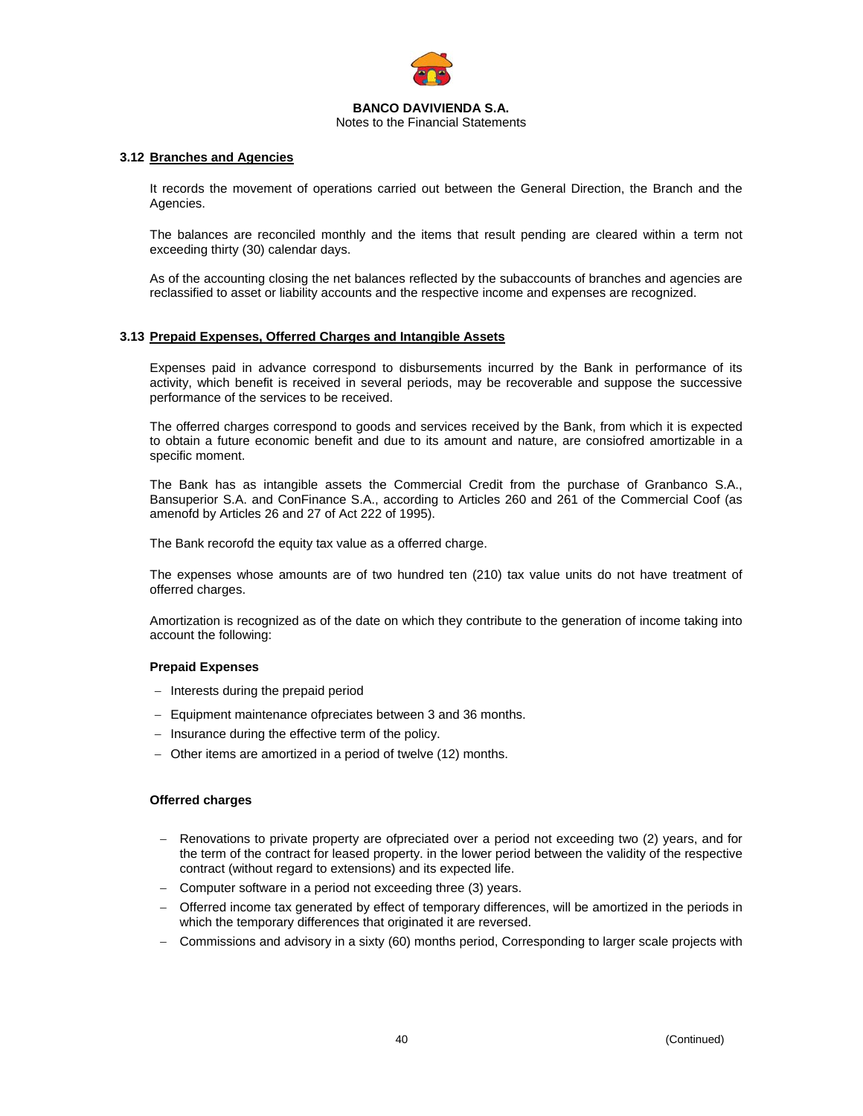

Notes to the Financial Statements

#### **3.12 Branches and Agencies**

It records the movement of operations carried out between the General Direction, the Branch and the Agencies.

The balances are reconciled monthly and the items that result pending are cleared within a term not exceeding thirty (30) calendar days.

As of the accounting closing the net balances reflected by the subaccounts of branches and agencies are reclassified to asset or liability accounts and the respective income and expenses are recognized.

### **3.13 Prepaid Expenses, Offerred Charges and Intangible Assets**

Expenses paid in advance correspond to disbursements incurred by the Bank in performance of its activity, which benefit is received in several periods, may be recoverable and suppose the successive performance of the services to be received.

The offerred charges correspond to goods and services received by the Bank, from which it is expected to obtain a future economic benefit and due to its amount and nature, are consiofred amortizable in a specific moment.

The Bank has as intangible assets the Commercial Credit from the purchase of Granbanco S.A., Bansuperior S.A. and ConFinance S.A., according to Articles 260 and 261 of the Commercial Coof (as amenofd by Articles 26 and 27 of Act 222 of 1995).

The Bank recorofd the equity tax value as a offerred charge.

The expenses whose amounts are of two hundred ten (210) tax value units do not have treatment of offerred charges.

Amortization is recognized as of the date on which they contribute to the generation of income taking into account the following:

### **Prepaid Expenses**

- − Interests during the prepaid period
- − Equipment maintenance ofpreciates between 3 and 36 months.
- − Insurance during the effective term of the policy.
- − Other items are amortized in a period of twelve (12) months.

#### **Offerred charges**

- Renovations to private property are ofpreciated over a period not exceeding two (2) years, and for the term of the contract for leased property. in the lower period between the validity of the respective contract (without regard to extensions) and its expected life.
- Computer software in a period not exceeding three (3) years.
- − Offerred income tax generated by effect of temporary differences, will be amortized in the periods in which the temporary differences that originated it are reversed.
- − Commissions and advisory in a sixty (60) months period, Corresponding to larger scale projects with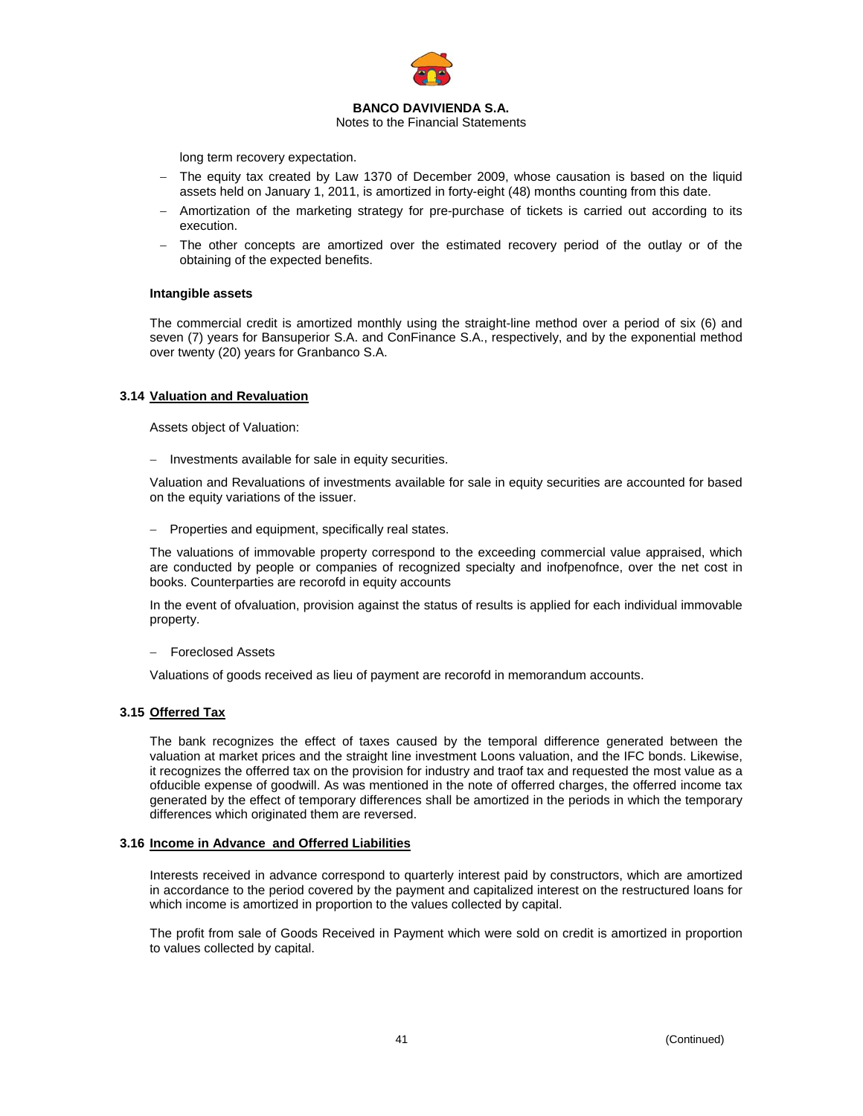

Notes to the Financial Statements

long term recovery expectation.

- The equity tax created by Law 1370 of December 2009, whose causation is based on the liquid assets held on January 1, 2011, is amortized in forty-eight (48) months counting from this date.
- Amortization of the marketing strategy for pre-purchase of tickets is carried out according to its execution.
- The other concepts are amortized over the estimated recovery period of the outlay or of the obtaining of the expected benefits.

### **Intangible assets**

The commercial credit is amortized monthly using the straight-line method over a period of six (6) and seven (7) years for Bansuperior S.A. and ConFinance S.A., respectively, and by the exponential method over twenty (20) years for Granbanco S.A.

### **3.14 Valuation and Revaluation**

Assets object of Valuation:

− Investments available for sale in equity securities.

Valuation and Revaluations of investments available for sale in equity securities are accounted for based on the equity variations of the issuer.

− Properties and equipment, specifically real states.

The valuations of immovable property correspond to the exceeding commercial value appraised, which are conducted by people or companies of recognized specialty and inofpenofnce, over the net cost in books. Counterparties are recorofd in equity accounts

In the event of ofvaluation, provision against the status of results is applied for each individual immovable property.

− Foreclosed Assets

Valuations of goods received as lieu of payment are recorofd in memorandum accounts.

### **3.15 Offerred Tax**

The bank recognizes the effect of taxes caused by the temporal difference generated between the valuation at market prices and the straight line investment Loons valuation, and the IFC bonds. Likewise, it recognizes the offerred tax on the provision for industry and traof tax and requested the most value as a ofducible expense of goodwill. As was mentioned in the note of offerred charges, the offerred income tax generated by the effect of temporary differences shall be amortized in the periods in which the temporary differences which originated them are reversed.

### **3.16 Income in Advance and Offerred Liabilities**

Interests received in advance correspond to quarterly interest paid by constructors, which are amortized in accordance to the period covered by the payment and capitalized interest on the restructured loans for which income is amortized in proportion to the values collected by capital.

The profit from sale of Goods Received in Payment which were sold on credit is amortized in proportion to values collected by capital.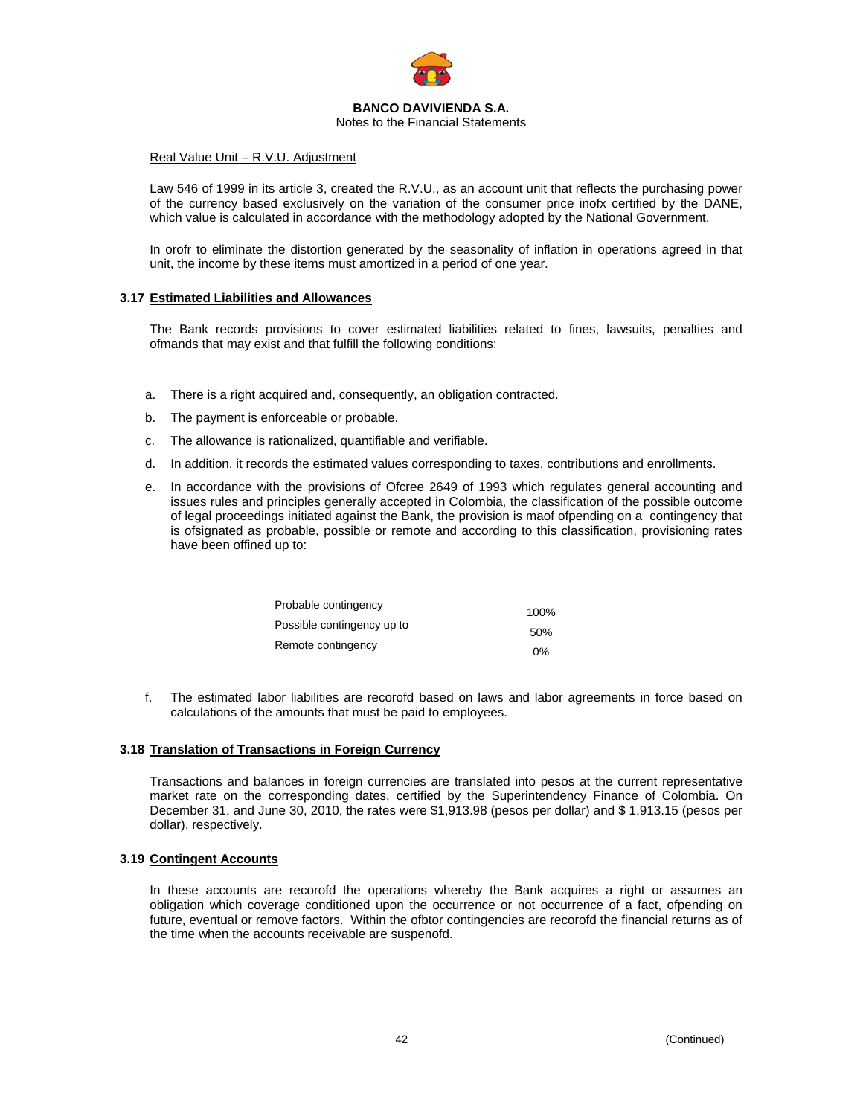

Notes to the Financial Statements

#### Real Value Unit – R.V.U. Adjustment

Law 546 of 1999 in its article 3, created the R.V.U., as an account unit that reflects the purchasing power of the currency based exclusively on the variation of the consumer price inofx certified by the DANE, which value is calculated in accordance with the methodology adopted by the National Government.

In orofr to eliminate the distortion generated by the seasonality of inflation in operations agreed in that unit, the income by these items must amortized in a period of one year.

#### **3.17 Estimated Liabilities and Allowances**

The Bank records provisions to cover estimated liabilities related to fines, lawsuits, penalties and ofmands that may exist and that fulfill the following conditions:

- a. There is a right acquired and, consequently, an obligation contracted.
- b. The payment is enforceable or probable.
- c. The allowance is rationalized, quantifiable and verifiable.
- d. In addition, it records the estimated values corresponding to taxes, contributions and enrollments.
- e. In accordance with the provisions of Ofcree 2649 of 1993 which regulates general accounting and issues rules and principles generally accepted in Colombia, the classification of the possible outcome of legal proceedings initiated against the Bank, the provision is maof ofpending on a contingency that is ofsignated as probable, possible or remote and according to this classification, provisioning rates have been offined up to:

| Probable contingency       | 100% |
|----------------------------|------|
| Possible contingency up to | 50%  |
| Remote contingency         | በ%   |

f. The estimated labor liabilities are recorofd based on laws and labor agreements in force based on calculations of the amounts that must be paid to employees.

#### **3.18 Translation of Transactions in Foreign Currency**

Transactions and balances in foreign currencies are translated into pesos at the current representative market rate on the corresponding dates, certified by the Superintendency Finance of Colombia. On December 31, and June 30, 2010, the rates were \$1,913.98 (pesos per dollar) and \$ 1,913.15 (pesos per dollar), respectively.

#### **3.19 Contingent Accounts**

In these accounts are recorofd the operations whereby the Bank acquires a right or assumes an obligation which coverage conditioned upon the occurrence or not occurrence of a fact, ofpending on future, eventual or remove factors. Within the ofbtor contingencies are recorofd the financial returns as of the time when the accounts receivable are suspenofd.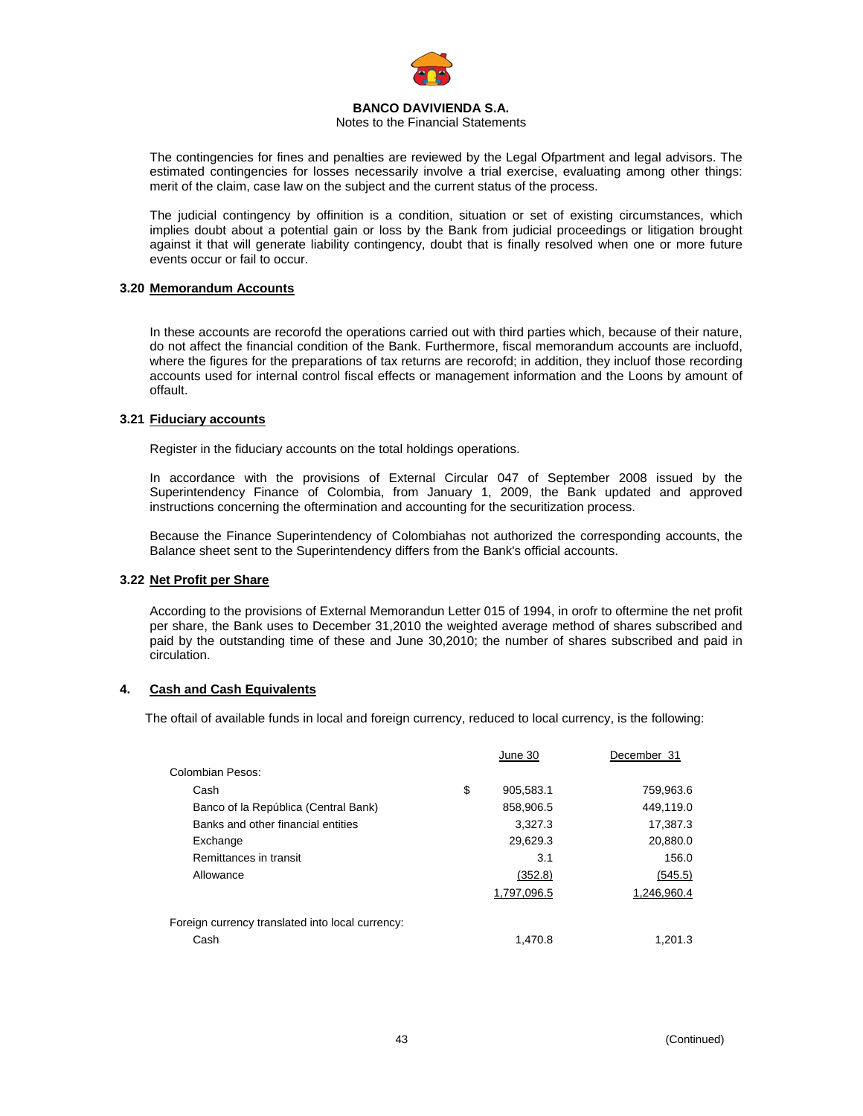

### Notes to the Financial Statements

The contingencies for fines and penalties are reviewed by the Legal Ofpartment and legal advisors. The estimated contingencies for losses necessarily involve a trial exercise, evaluating among other things: merit of the claim, case law on the subject and the current status of the process.

The judicial contingency by offinition is a condition, situation or set of existing circumstances, which implies doubt about a potential gain or loss by the Bank from judicial proceedings or litigation brought against it that will generate liability contingency, doubt that is finally resolved when one or more future events occur or fail to occur.

### **3.20 Memorandum Accounts**

In these accounts are recorofd the operations carried out with third parties which, because of their nature, do not affect the financial condition of the Bank. Furthermore, fiscal memorandum accounts are incluofd, where the figures for the preparations of tax returns are recorofd; in addition, they incluof those recording accounts used for internal control fiscal effects or management information and the Loons by amount of offault.

### **3.21 Fiduciary accounts**

Register in the fiduciary accounts on the total holdings operations.

In accordance with the provisions of External Circular 047 of September 2008 issued by the Superintendency Finance of Colombia, from January 1, 2009, the Bank updated and approved instructions concerning the oftermination and accounting for the securitization process.

Because the Finance Superintendency of Colombiahas not authorized the corresponding accounts, the Balance sheet sent to the Superintendency differs from the Bank's official accounts.

### **3.22 Net Profit per Share**

According to the provisions of External Memorandun Letter 015 of 1994, in orofr to oftermine the net profit per share, the Bank uses to December 31,2010 the weighted average method of shares subscribed and paid by the outstanding time of these and June 30,2010; the number of shares subscribed and paid in circulation.

### **4. Cash and Cash Equivalents**

The oftail of available funds in local and foreign currency, reduced to local currency, is the following:

|                                                  | June 30         | December 31 |
|--------------------------------------------------|-----------------|-------------|
| Colombian Pesos:                                 |                 |             |
| Cash                                             | \$<br>905,583.1 | 759,963.6   |
| Banco of la República (Central Bank)             | 858,906.5       | 449.119.0   |
| Banks and other financial entities               | 3.327.3         | 17,387.3    |
| Exchange                                         | 29,629.3        | 20,880.0    |
| Remittances in transit                           | 3.1             | 156.0       |
| Allowance                                        | (352.8)         | (545.5)     |
|                                                  | 1,797,096.5     | 1,246,960.4 |
| Foreign currency translated into local currency: |                 |             |
| Cash                                             | 1.470.8         | 1.201.3     |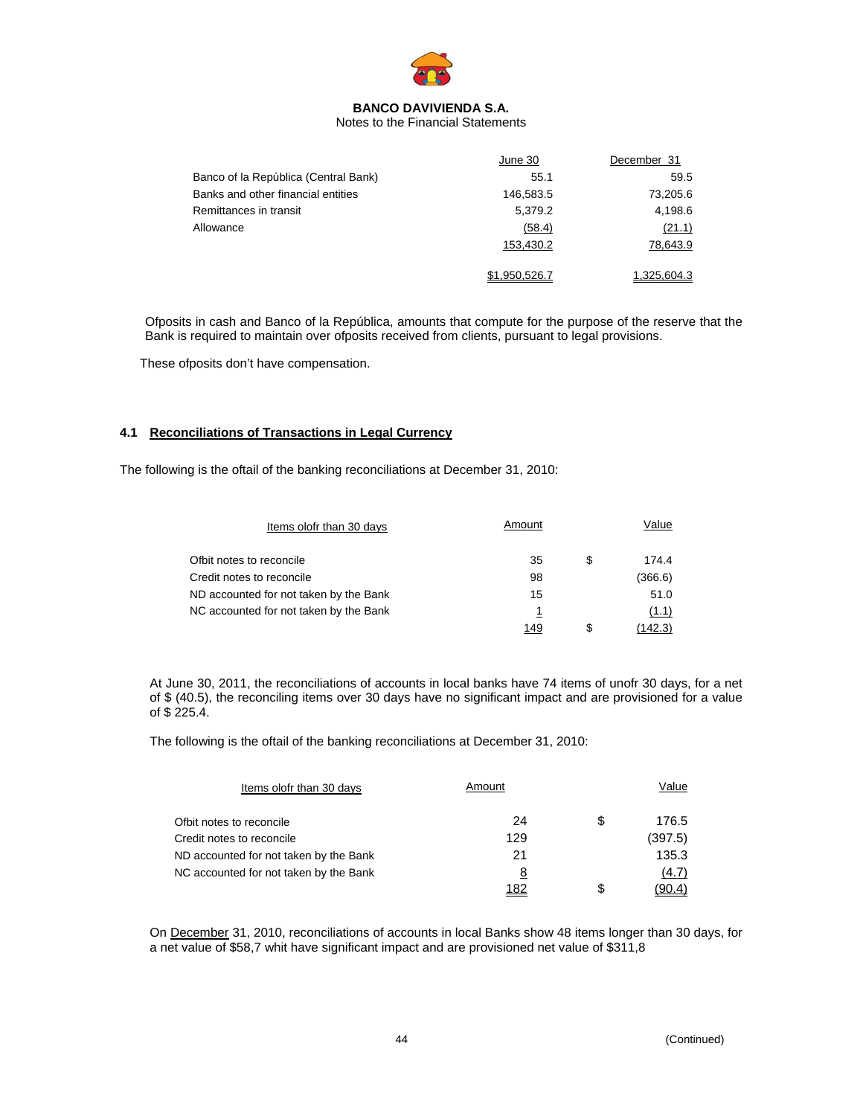

Notes to the Financial Statements

|                                      | June 30       | December 31 |
|--------------------------------------|---------------|-------------|
| Banco of la República (Central Bank) | 55.1          | 59.5        |
| Banks and other financial entities   | 146,583.5     | 73,205.6    |
| Remittances in transit               | 5,379.2       | 4,198.6     |
| Allowance                            | (58.4)        | (21.1)      |
|                                      | 153,430.2     | 78,643.9    |
|                                      | \$1.950.526.7 | 1.325.604.3 |

Ofposits in cash and Banco of la República, amounts that compute for the purpose of the reserve that the Bank is required to maintain over ofposits received from clients, pursuant to legal provisions.

These ofposits don't have compensation.

### **4.1 Reconciliations of Transactions in Legal Currency**

The following is the oftail of the banking reconciliations at December 31, 2010:

| Items olofr than 30 days               | Amount |   | Value   |
|----------------------------------------|--------|---|---------|
| Ofbit notes to reconcile               | 35     | S | 174.4   |
| Credit notes to reconcile              | 98     |   | (366.6) |
| ND accounted for not taken by the Bank | 15     |   | 51.0    |
| NC accounted for not taken by the Bank | 1      |   | (1.1)   |
|                                        | 149    |   | (142.3) |

At June 30, 2011, the reconciliations of accounts in local banks have 74 items of unofr 30 days, for a net of \$ (40.5), the reconciling items over 30 days have no significant impact and are provisioned for a value of \$ 225.4.

The following is the oftail of the banking reconciliations at December 31, 2010:

| Items olofr than 30 days               | Amount |    | Value   |
|----------------------------------------|--------|----|---------|
| Ofbit notes to reconcile               | 24     | \$ | 176.5   |
| Credit notes to reconcile              | 129    |    | (397.5) |
| ND accounted for not taken by the Bank | 21     |    | 135.3   |
| NC accounted for not taken by the Bank | 8      |    | (4.7)   |
|                                        | 182    | S  |         |

On December 31, 2010, reconciliations of accounts in local Banks show 48 items longer than 30 days, for a net value of \$58,7 whit have significant impact and are provisioned net value of \$311,8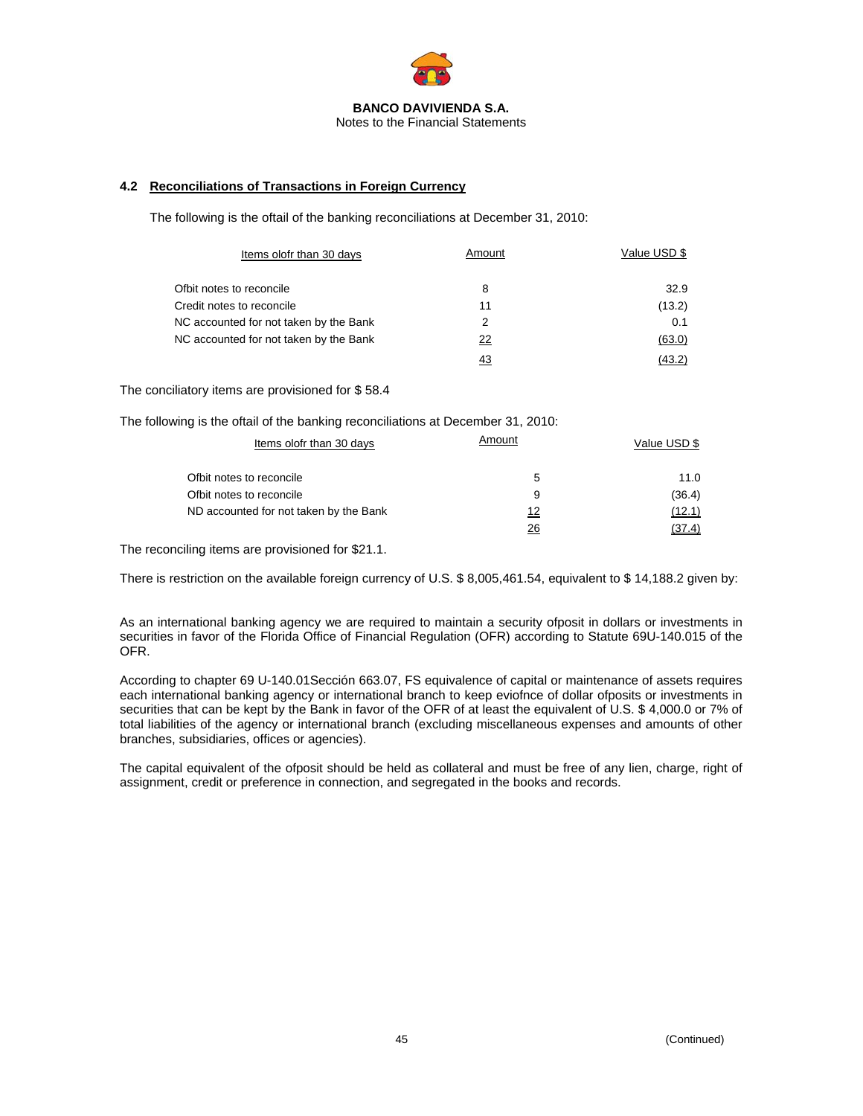

# **4.2 Reconciliations of Transactions in Foreign Currency**

The following is the oftail of the banking reconciliations at December 31, 2010:

| Items olofr than 30 days               | Amount | Value USD \$ |
|----------------------------------------|--------|--------------|
| Ofbit notes to reconcile               | 8      | 32.9         |
| Credit notes to reconcile              | 11     | (13.2)       |
| NC accounted for not taken by the Bank | 2      | 0.1          |
| NC accounted for not taken by the Bank | 22     | (63.0)       |
|                                        |        | (43.2)       |

The conciliatory items are provisioned for \$ 58.4

The following is the oftail of the banking reconciliations at December 31, 2010:

| Items olofr than 30 days               | Amount | Value USD \$ |  |  |
|----------------------------------------|--------|--------------|--|--|
| Ofbit notes to reconcile               | 5      | 11.0         |  |  |
| Ofbit notes to reconcile               | 9      | (36.4)       |  |  |
| ND accounted for not taken by the Bank | 12     | (12.1)       |  |  |
|                                        | 26     |              |  |  |

The reconciling items are provisioned for \$21.1.

There is restriction on the available foreign currency of U.S. \$ 8,005,461.54, equivalent to \$ 14,188.2 given by:

As an international banking agency we are required to maintain a security ofposit in dollars or investments in securities in favor of the Florida Office of Financial Regulation (OFR) according to Statute 69U-140.015 of the OFR.

According to chapter 69 U-140.01Sección 663.07, FS equivalence of capital or maintenance of assets requires each international banking agency or international branch to keep eviofnce of dollar ofposits or investments in securities that can be kept by the Bank in favor of the OFR of at least the equivalent of U.S. \$ 4,000.0 or 7% of total liabilities of the agency or international branch (excluding miscellaneous expenses and amounts of other branches, subsidiaries, offices or agencies).

The capital equivalent of the ofposit should be held as collateral and must be free of any lien, charge, right of assignment, credit or preference in connection, and segregated in the books and records.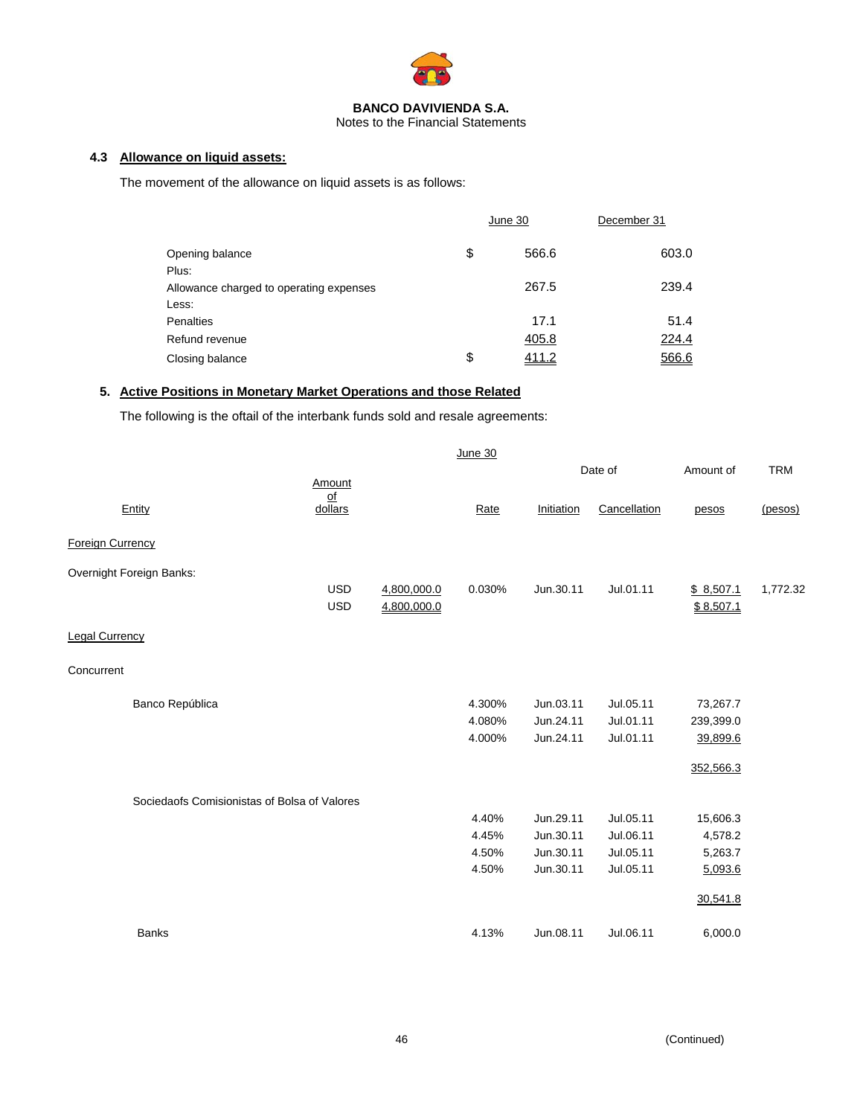

Notes to the Financial Statements

# **4.3 Allowance on liquid assets:**

The movement of the allowance on liquid assets is as follows:

|                                         | June 30     | December 31 |
|-----------------------------------------|-------------|-------------|
| Opening balance                         | \$<br>566.6 | 603.0       |
| Plus:                                   |             |             |
| Allowance charged to operating expenses | 267.5       | 239.4       |
| Less:                                   |             |             |
| Penalties                               | 17.1        | 51.4        |
| Refund revenue                          | 405.8       | 224.4       |
| Closing balance                         | \$<br>411.2 | 566.6       |

# **5. Active Positions in Monetary Market Operations and those Related**

The following is the oftail of the interbank funds sold and resale agreements:

|                                              |                                      |             | June 30 |            |              |           |            |
|----------------------------------------------|--------------------------------------|-------------|---------|------------|--------------|-----------|------------|
|                                              |                                      |             |         |            | Date of      | Amount of | <b>TRM</b> |
|                                              | Amount                               |             |         |            |              |           |            |
| Entity                                       | $\underline{\mathsf{of}}$<br>dollars |             | Rate    | Initiation | Cancellation | pesos     | (pesos)    |
|                                              |                                      |             |         |            |              |           |            |
| <b>Foreign Currency</b>                      |                                      |             |         |            |              |           |            |
| Overnight Foreign Banks:                     |                                      |             |         |            |              |           |            |
|                                              | <b>USD</b>                           | 4,800,000.0 | 0.030%  | Jun.30.11  | Jul.01.11    | \$8,507.1 | 1,772.32   |
|                                              | <b>USD</b>                           | 4,800,000.0 |         |            |              | \$8,507.1 |            |
|                                              |                                      |             |         |            |              |           |            |
| <b>Legal Currency</b>                        |                                      |             |         |            |              |           |            |
| Concurrent                                   |                                      |             |         |            |              |           |            |
|                                              |                                      |             |         |            |              |           |            |
| Banco República                              |                                      |             | 4.300%  | Jun.03.11  | Jul.05.11    | 73,267.7  |            |
|                                              |                                      |             | 4.080%  | Jun.24.11  | Jul.01.11    | 239,399.0 |            |
|                                              |                                      |             | 4.000%  | Jun.24.11  | Jul.01.11    | 39,899.6  |            |
|                                              |                                      |             |         |            |              | 352,566.3 |            |
|                                              |                                      |             |         |            |              |           |            |
| Sociedaofs Comisionistas of Bolsa of Valores |                                      |             |         |            |              |           |            |
|                                              |                                      |             | 4.40%   | Jun.29.11  | Jul.05.11    | 15,606.3  |            |
|                                              |                                      |             | 4.45%   | Jun.30.11  | Jul.06.11    | 4,578.2   |            |
|                                              |                                      |             | 4.50%   | Jun.30.11  | Jul.05.11    | 5,263.7   |            |
|                                              |                                      |             | 4.50%   | Jun.30.11  | Jul.05.11    | 5,093.6   |            |
|                                              |                                      |             |         |            |              |           |            |
|                                              |                                      |             |         |            |              | 30,541.8  |            |
| <b>Banks</b>                                 |                                      |             | 4.13%   | Jun.08.11  | Jul.06.11    | 6,000.0   |            |
|                                              |                                      |             |         |            |              |           |            |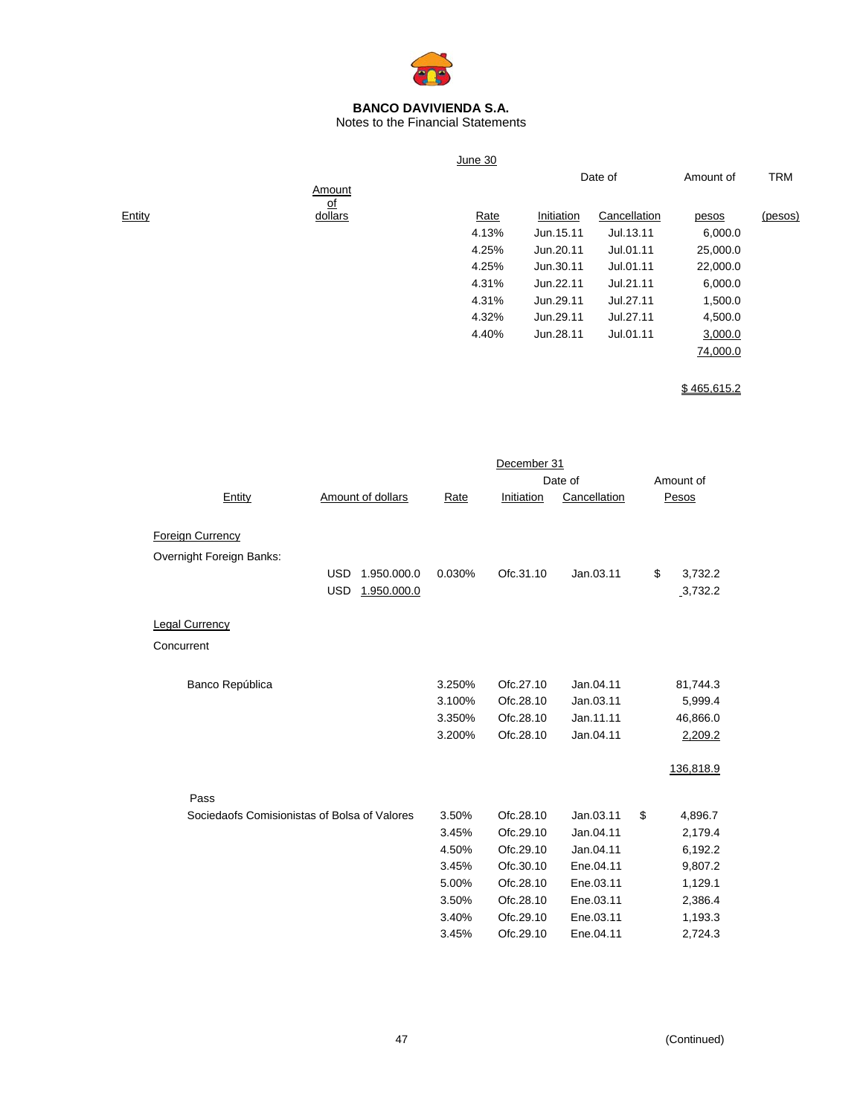

Notes to the Financial Statements

|        |                      | June 30 |            |              |           |            |
|--------|----------------------|---------|------------|--------------|-----------|------------|
|        |                      |         |            | Date of      | Amount of | <b>TRM</b> |
|        | Amount               |         |            |              |           |            |
| Entity | <u>of</u><br>dollars | Rate    | Initiation | Cancellation | pesos     | (pesos)    |
|        |                      | 4.13%   | Jun.15.11  | Jul.13.11    | 6,000.0   |            |
|        |                      | 4.25%   | Jun.20.11  | Jul.01.11    | 25,000.0  |            |
|        |                      | 4.25%   | Jun.30.11  | Jul.01.11    | 22,000.0  |            |
|        |                      | 4.31%   | Jun.22.11  | Jul.21.11    | 6,000.0   |            |
|        |                      | 4.31%   | Jun.29.11  | Jul.27.11    | 1,500.0   |            |
|        |                      | 4.32%   | Jun.29.11  | Jul.27.11    | 4,500.0   |            |
|        |                      | 4.40%   | Jun.28.11  | Jul.01.11    | 3,000.0   |            |
|        |                      |         |            |              | 74,000.0  |            |
|        |                      |         |            |              |           |            |

 $$465,615.2$ 

|                                              |                           |        | December 31 |              |               |
|----------------------------------------------|---------------------------|--------|-------------|--------------|---------------|
|                                              |                           |        |             | Date of      | Amount of     |
| Entity                                       | Amount of dollars         | Rate   | Initiation  | Cancellation | Pesos         |
|                                              |                           |        |             |              |               |
| <b>Foreign Currency</b>                      |                           |        |             |              |               |
| Overnight Foreign Banks:                     |                           |        |             |              |               |
|                                              | <b>USD</b><br>1.950.000.0 | 0.030% | Ofc.31.10   | Jan.03.11    | \$<br>3,732.2 |
|                                              | <b>USD</b><br>1.950.000.0 |        |             |              | 3,732.2       |
|                                              |                           |        |             |              |               |
| <b>Legal Currency</b>                        |                           |        |             |              |               |
| Concurrent                                   |                           |        |             |              |               |
|                                              |                           |        |             |              |               |
| Banco República                              |                           | 3.250% | Ofc.27.10   | Jan.04.11    | 81,744.3      |
|                                              |                           | 3.100% | Ofc.28.10   | Jan.03.11    | 5,999.4       |
|                                              |                           | 3.350% | Ofc.28.10   | Jan.11.11    | 46,866.0      |
|                                              |                           | 3.200% | Ofc.28.10   | Jan.04.11    | 2,209.2       |
|                                              |                           |        |             |              |               |
|                                              |                           |        |             |              | 136,818.9     |
|                                              |                           |        |             |              |               |
| Pass                                         |                           |        |             |              |               |
| Sociedaofs Comisionistas of Bolsa of Valores |                           | 3.50%  | Ofc.28.10   | Jan.03.11    | \$<br>4,896.7 |
|                                              |                           | 3.45%  | Ofc.29.10   | Jan.04.11    | 2,179.4       |
|                                              |                           | 4.50%  | Ofc.29.10   | Jan.04.11    | 6,192.2       |
|                                              |                           | 3.45%  | Ofc.30.10   | Ene.04.11    | 9,807.2       |
|                                              |                           | 5.00%  | Ofc.28.10   | Ene.03.11    | 1,129.1       |
|                                              |                           | 3.50%  | Ofc.28.10   | Ene.03.11    | 2,386.4       |
|                                              |                           | 3.40%  | Ofc.29.10   | Ene.03.11    | 1,193.3       |
|                                              |                           | 3.45%  | Ofc.29.10   | Ene.04.11    | 2,724.3       |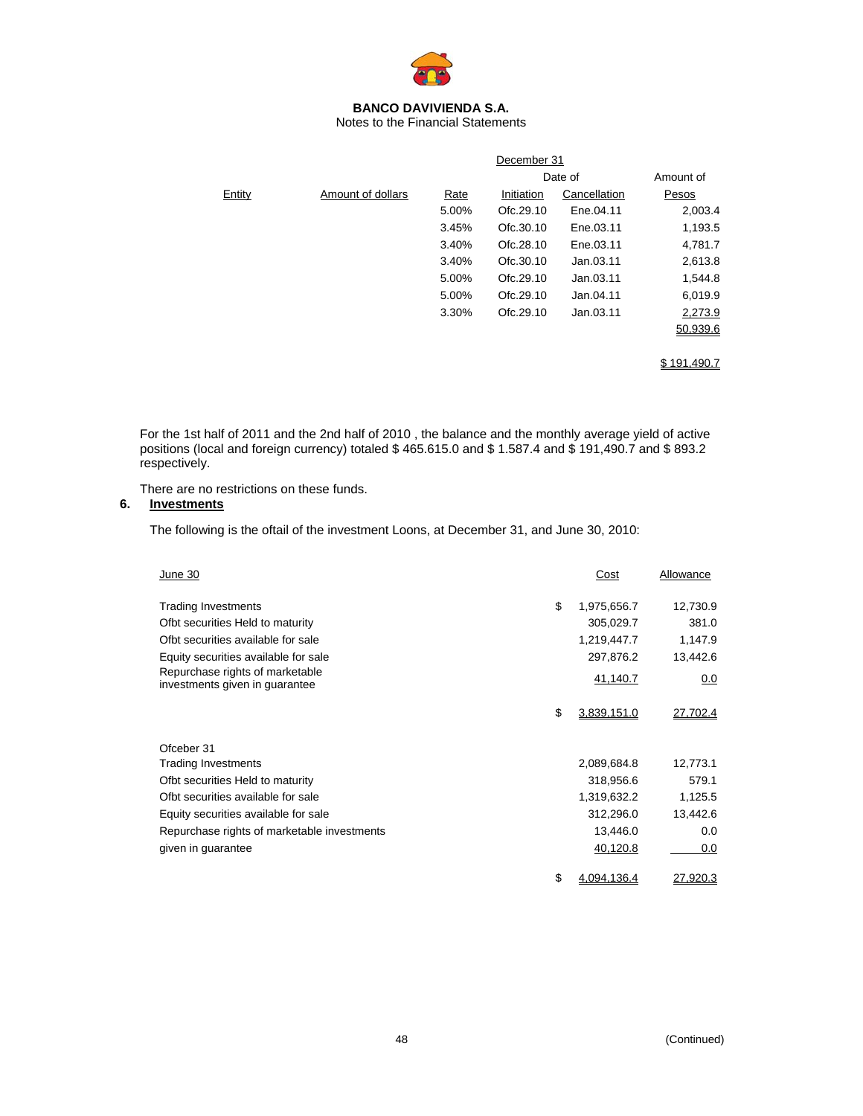

Notes to the Financial Statements

|        |                   |       | December 31 |                      |              |  |  |  |
|--------|-------------------|-------|-------------|----------------------|--------------|--|--|--|
|        |                   |       |             | Date of<br>Amount of |              |  |  |  |
| Entity | Amount of dollars | Rate  | Initiation  | Cancellation         | <b>Pesos</b> |  |  |  |
|        |                   | 5.00% | Ofc.29.10   | Ene.04.11            | 2,003.4      |  |  |  |
|        |                   | 3.45% | Ofc.30.10   | Ene.03.11            | 1,193.5      |  |  |  |
|        |                   | 3.40% | Ofc.28.10   | Ene.03.11            | 4,781.7      |  |  |  |
|        |                   | 3.40% | Ofc.30.10   | Jan.03.11            | 2,613.8      |  |  |  |
|        |                   | 5.00% | Ofc.29.10   | Jan.03.11            | 1,544.8      |  |  |  |
|        |                   | 5.00% | Ofc.29.10   | Jan.04.11            | 6,019.9      |  |  |  |
|        |                   | 3.30% | Ofc.29.10   | Jan.03.11            | 2,273.9      |  |  |  |
|        |                   |       |             |                      | 50,939.6     |  |  |  |
|        |                   |       |             |                      |              |  |  |  |
|        |                   |       |             |                      | \$191.490.7  |  |  |  |

For the 1st half of 2011 and the 2nd half of 2010 , the balance and the monthly average yield of active positions (local and foreign currency) totaled \$ 465.615.0 and \$ 1.587.4 and \$ 191,490.7 and \$ 893.2 respectively.

There are no restrictions on these funds.

# **6. Investments**

The following is the oftail of the investment Loons, at December 31, and June 30, 2010:

| June 30                                                           | Cost              | Allowance |
|-------------------------------------------------------------------|-------------------|-----------|
| <b>Trading Investments</b>                                        | \$<br>1,975,656.7 | 12,730.9  |
| Ofbt securities Held to maturity                                  | 305,029.7         | 381.0     |
| Ofbt securities available for sale                                | 1,219,447.7       | 1,147.9   |
| Equity securities available for sale                              | 297,876.2         | 13,442.6  |
| Repurchase rights of marketable<br>investments given in guarantee | 41,140.7          | 0.0       |
|                                                                   | \$<br>3,839,151.0 | 27,702.4  |
| Ofceber 31                                                        |                   |           |
| <b>Trading Investments</b>                                        | 2,089,684.8       | 12,773.1  |
| Ofbt securities Held to maturity                                  | 318,956.6         | 579.1     |
| Ofbt securities available for sale                                | 1,319,632.2       | 1,125.5   |
| Equity securities available for sale                              | 312,296.0         | 13,442.6  |
| Repurchase rights of marketable investments                       | 13,446.0          | 0.0       |
| given in guarantee                                                | 40,120.8          | 0.0       |
|                                                                   | \$<br>4.094.136.4 | 27,920.3  |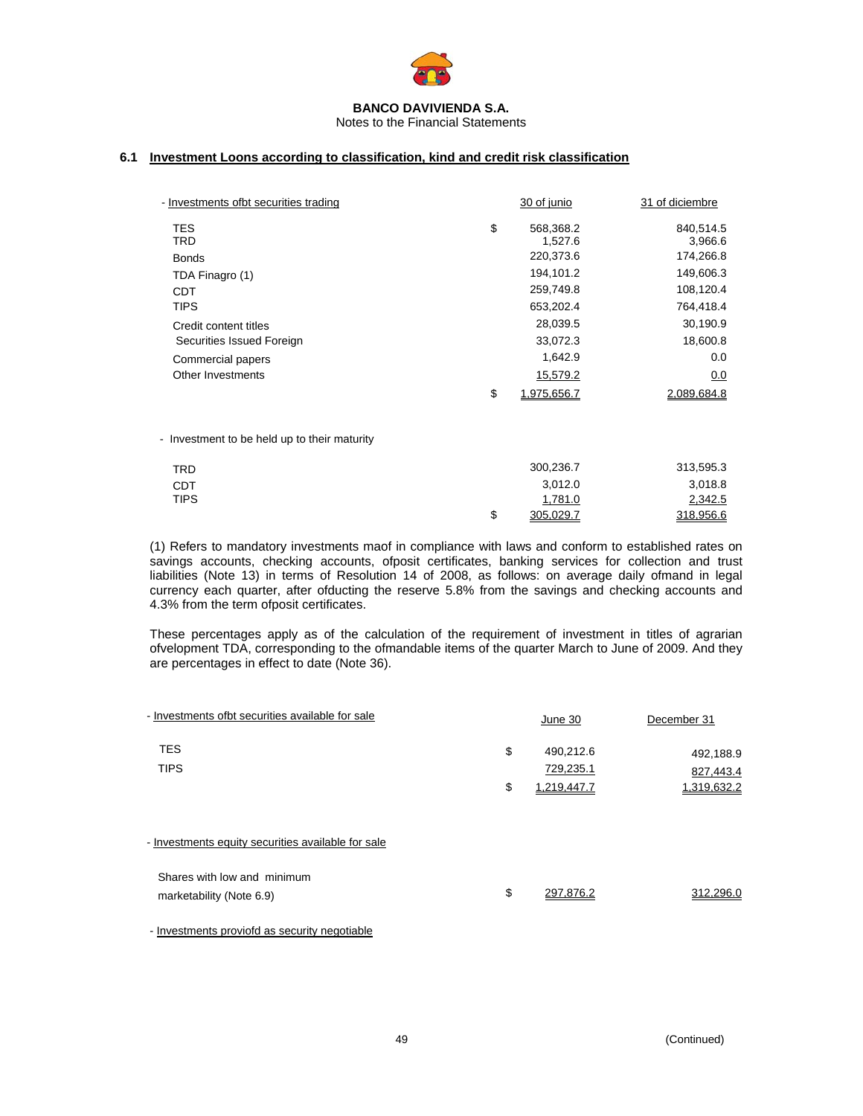

Notes to the Financial Statements

# **6.1 Investment Loons according to classification, kind and credit risk classification**

| - Investments ofbt securities trading        | 30 of junio       | 31 of diciembre |
|----------------------------------------------|-------------------|-----------------|
| <b>TES</b>                                   | \$<br>568,368.2   | 840,514.5       |
| TRD                                          | 1,527.6           | 3,966.6         |
| <b>Bonds</b>                                 | 220,373.6         | 174,266.8       |
| TDA Finagro (1)                              | 194,101.2         | 149,606.3       |
| CDT                                          | 259,749.8         | 108,120.4       |
| <b>TIPS</b>                                  | 653,202.4         | 764,418.4       |
| Credit content titles                        | 28,039.5          | 30,190.9        |
| Securities Issued Foreign                    | 33,072.3          | 18,600.8        |
| Commercial papers                            | 1,642.9           | 0.0             |
| Other Investments                            | 15,579.2          | 0.0             |
|                                              | \$<br>1,975,656.7 | 2,089,684.8     |
|                                              |                   |                 |
| - Investment to be held up to their maturity |                   |                 |

| TRD         |   | 300,236.7 | 313,595.3 |
|-------------|---|-----------|-----------|
| CDT         |   | 3,012.0   | 3,018.8   |
| <b>TIPS</b> |   | 1,781.0   | 2,342.5   |
|             | S | 305,029.7 | 318,956.6 |

(1) Refers to mandatory investments maof in compliance with laws and conform to established rates on savings accounts, checking accounts, ofposit certificates, banking services for collection and trust liabilities (Note 13) in terms of Resolution 14 of 2008, as follows: on average daily ofmand in legal currency each quarter, after ofducting the reserve 5.8% from the savings and checking accounts and 4.3% from the term ofposit certificates.

These percentages apply as of the calculation of the requirement of investment in titles of agrarian ofvelopment TDA, corresponding to the ofmandable items of the quarter March to June of 2009. And they are percentages in effect to date (Note 36).

| - Investments ofbt securities available for sale |    | <u>June 30</u> | December 31 |
|--------------------------------------------------|----|----------------|-------------|
| <b>TES</b>                                       | \$ | 490,212.6      | 492,188.9   |
| <b>TIPS</b>                                      |    | 729,235.1      | 827,443.4   |
|                                                  | S  | 1,219,447.7    | 1,319,632.2 |
|                                                  |    |                |             |
|                                                  |    |                |             |

- Investments equity securities available for sale

| Shares with low and minimum |           |           |
|-----------------------------|-----------|-----------|
| marketability (Note 6.9)    | 297.876.2 | 312.296.0 |

- Investments proviofd as security negotiable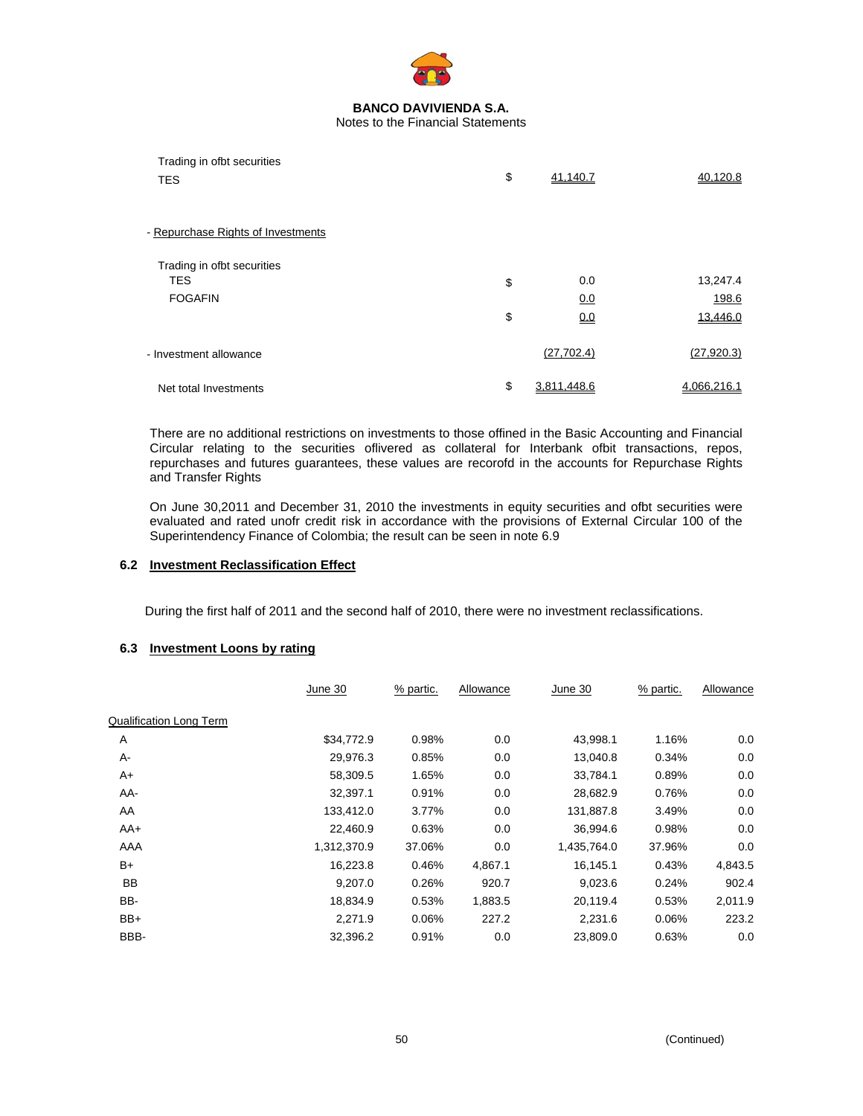

| Trading in ofbt securities<br><b>TES</b> | \$<br>41,140.7    | 40.120.8    |
|------------------------------------------|-------------------|-------------|
| - Repurchase Rights of Investments       |                   |             |
| Trading in ofbt securities               |                   |             |
| <b>TES</b>                               | \$<br>0.0         | 13,247.4    |
| <b>FOGAFIN</b>                           | <u>0.0</u>        | 198.6       |
|                                          | \$<br>0.0         | 13.446.0    |
| - Investment allowance                   | (27, 702.4)       | (27, 920.3) |
| Net total Investments                    | \$<br>3.811.448.6 | 4.066.216.1 |

There are no additional restrictions on investments to those offined in the Basic Accounting and Financial Circular relating to the securities oflivered as collateral for Interbank ofbit transactions, repos, repurchases and futures guarantees, these values are recorofd in the accounts for Repurchase Rights and Transfer Rights

On June 30,2011 and December 31, 2010 the investments in equity securities and ofbt securities were evaluated and rated unofr credit risk in accordance with the provisions of External Circular 100 of the Superintendency Finance of Colombia; the result can be seen in note 6.9

# **6.2 Investment Reclassification Effect**

During the first half of 2011 and the second half of 2010, there were no investment reclassifications.

### **6.3 Investment Loons by rating**

|                                | June 30     | % partic. | Allowance | June 30     | % partic. | Allowance |
|--------------------------------|-------------|-----------|-----------|-------------|-----------|-----------|
| <b>Qualification Long Term</b> |             |           |           |             |           |           |
| Α                              | \$34,772.9  | 0.98%     | 0.0       | 43,998.1    | 1.16%     | 0.0       |
| А-                             | 29,976.3    | 0.85%     | 0.0       | 13,040.8    | 0.34%     | 0.0       |
| A+                             | 58,309.5    | 1.65%     | 0.0       | 33,784.1    | 0.89%     | 0.0       |
| AA-                            | 32,397.1    | 0.91%     | 0.0       | 28,682.9    | 0.76%     | 0.0       |
| AA                             | 133,412.0   | 3.77%     | 0.0       | 131,887.8   | 3.49%     | 0.0       |
| $AA+$                          | 22,460.9    | 0.63%     | 0.0       | 36,994.6    | 0.98%     | 0.0       |
| AAA                            | 1,312,370.9 | 37.06%    | 0.0       | 1,435,764.0 | 37.96%    | 0.0       |
| B+                             | 16,223.8    | 0.46%     | 4,867.1   | 16,145.1    | 0.43%     | 4,843.5   |
| <b>BB</b>                      | 9,207.0     | 0.26%     | 920.7     | 9,023.6     | 0.24%     | 902.4     |
| BB-                            | 18,834.9    | 0.53%     | 1,883.5   | 20,119.4    | 0.53%     | 2,011.9   |
| $BB+$                          | 2,271.9     | 0.06%     | 227.2     | 2,231.6     | 0.06%     | 223.2     |
| BBB-                           | 32,396.2    | 0.91%     | 0.0       | 23,809.0    | 0.63%     | 0.0       |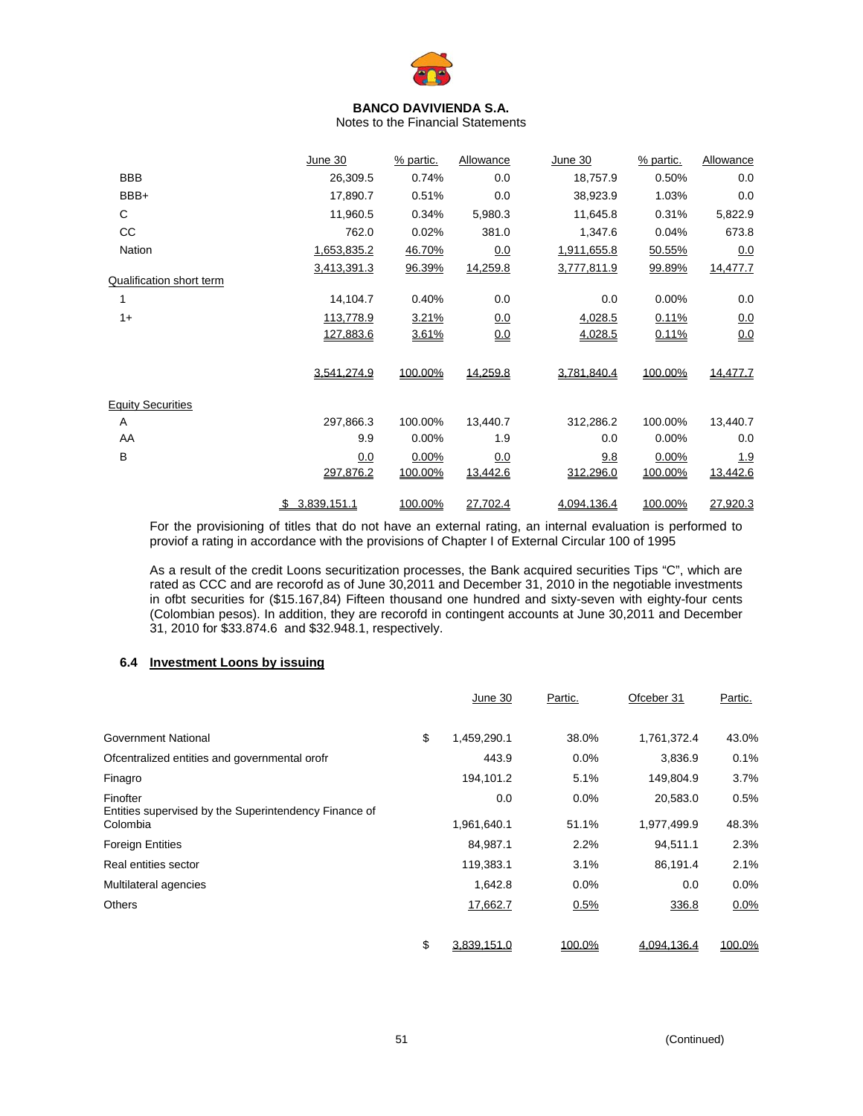

Notes to the Financial Statements

|                          | June 30     | % partic. | Allowance  | June 30     | % partic. | Allowance  |
|--------------------------|-------------|-----------|------------|-------------|-----------|------------|
| <b>BBB</b>               | 26,309.5    | 0.74%     | 0.0        | 18,757.9    | 0.50%     | 0.0        |
| BBB+                     | 17,890.7    | 0.51%     | 0.0        | 38,923.9    | 1.03%     | 0.0        |
| C                        | 11,960.5    | 0.34%     | 5,980.3    | 11,645.8    | 0.31%     | 5,822.9    |
| CC                       | 762.0       | 0.02%     | 381.0      | 1,347.6     | 0.04%     | 673.8      |
| Nation                   | 1,653,835.2 | 46.70%    | 0.0        | 1,911,655.8 | 50.55%    | 0.0        |
| Qualification short term | 3,413,391.3 | 96.39%    | 14,259.8   | 3,777,811.9 | 99.89%    | 14,477.7   |
|                          | 14,104.7    | 0.40%     | 0.0        | 0.0         | 0.00%     | 0.0        |
| $1+$                     | 113,778.9   | 3.21%     | <u>0.0</u> | 4,028.5     | 0.11%     | 0.0        |
|                          | 127,883.6   | 3.61%     | 0.0        | 4,028.5     | 0.11%     | 0.0        |
|                          | 3,541,274.9 | 100.00%   | 14,259.8   | 3,781,840.4 | 100.00%   | 14,477.7   |
| <b>Equity Securities</b> |             |           |            |             |           |            |
| Α                        | 297,866.3   | 100.00%   | 13,440.7   | 312,286.2   | 100.00%   | 13,440.7   |
| AA                       | 9.9         | 0.00%     | 1.9        | 0.0         | 0.00%     | 0.0        |
| B                        | 0.0         | 0.00%     | 0.0        | 9.8         | 0.00%     | <u>1.9</u> |
|                          | 297,876.2   | 100.00%   | 13,442.6   | 312,296.0   | 100.00%   | 13,442.6   |
|                          | 3,839,151.1 | 100.00%   | 27,702.4   | 4,094,136.4 | 100.00%   | 27,920.3   |

For the provisioning of titles that do not have an external rating, an internal evaluation is performed to proviof a rating in accordance with the provisions of Chapter I of External Circular 100 of 1995

As a result of the credit Loons securitization processes, the Bank acquired securities Tips "C", which are rated as CCC and are recorofd as of June 30,2011 and December 31, 2010 in the negotiable investments in ofbt securities for (\$15.167,84) Fifteen thousand one hundred and sixty-seven with eighty-four cents (Colombian pesos). In addition, they are recorofd in contingent accounts at June 30,2011 and December 31, 2010 for \$33.874.6 and \$32.948.1, respectively.

# **6.4 Investment Loons by issuing**

|                                                                               | June 30            | Partic.       | Ofceber 31              | Partic.       |
|-------------------------------------------------------------------------------|--------------------|---------------|-------------------------|---------------|
| <b>Government National</b>                                                    | \$<br>1,459,290.1  | 38.0%         | 1,761,372.4             | 43.0%         |
| Ofcentralized entities and governmental orofr                                 | 443.9              | $0.0\%$       | 3,836.9                 | 0.1%          |
| Finagro                                                                       | 194,101.2          | 5.1%          | 149,804.9               | 3.7%          |
| Finofter<br>Entities supervised by the Superintendency Finance of<br>Colombia | 0.0<br>1,961,640.1 | 0.0%<br>51.1% | 20,583.0<br>1,977,499.9 | 0.5%<br>48.3% |
| <b>Foreign Entities</b>                                                       | 84,987.1           | 2.2%          | 94,511.1                | 2.3%          |
| Real entities sector                                                          | 119,383.1          | 3.1%          | 86,191.4                | 2.1%          |
| Multilateral agencies                                                         | 1,642.8            | $0.0\%$       | 0.0                     | $0.0\%$       |
| Others                                                                        | 17,662.7           | 0.5%          | 336.8                   | $0.0\%$       |
|                                                                               | \$<br>3,839,151.0  | 100.0%        | 4,094,136.4             | 100.0%        |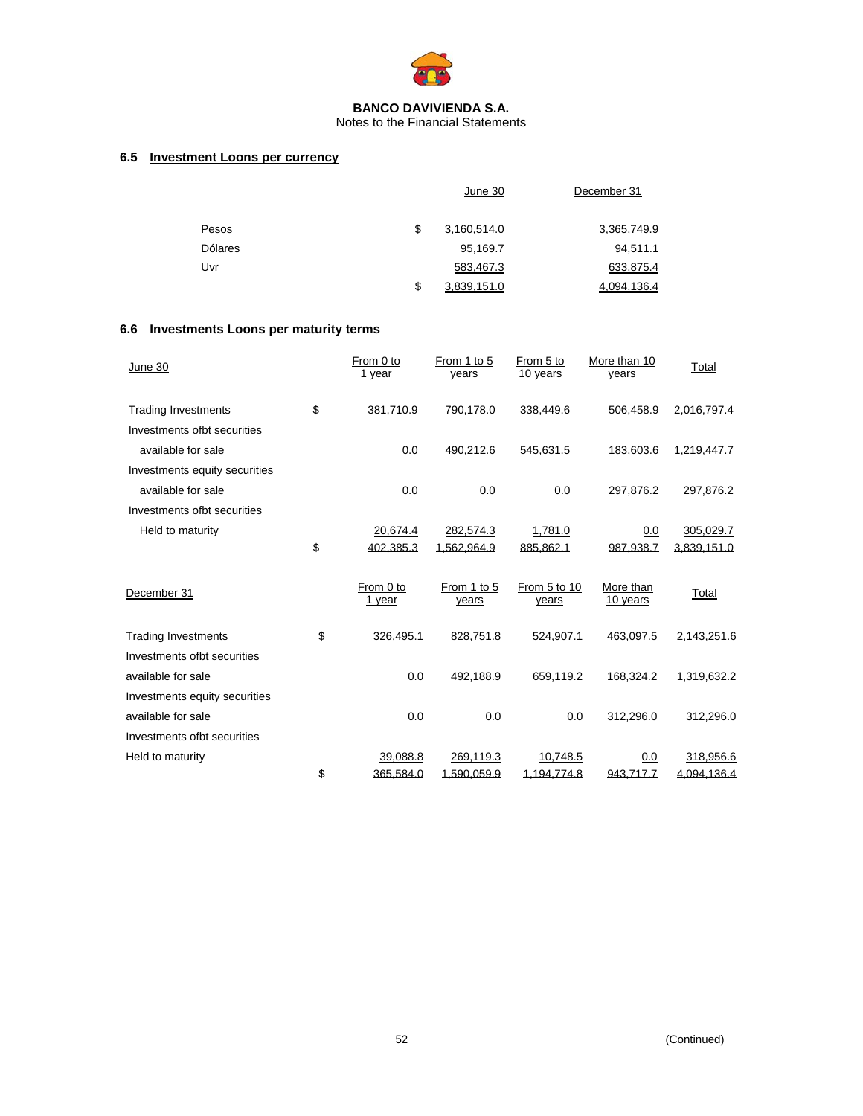

Notes to the Financial Statements

# **6.5 Investment Loons per currency**

|                | June 30           | December 31 |
|----------------|-------------------|-------------|
| Pesos          | \$<br>3,160,514.0 | 3,365,749.9 |
| <b>Dólares</b> | 95,169.7          | 94,511.1    |
| Uvr            | 583,467.3         | 633,875.4   |
|                | \$<br>3.839.151.0 | 4.094.136.4 |

# **6.6 Investments Loons per maturity terms**

| June 30                       | From 0 to<br>1 year | From 1 to 5<br>years | From 5 to<br>10 years | More than 10<br>years | Total       |
|-------------------------------|---------------------|----------------------|-----------------------|-----------------------|-------------|
| <b>Trading Investments</b>    | \$<br>381,710.9     | 790,178.0            | 338,449.6             | 506,458.9             | 2,016,797.4 |
| Investments ofbt securities   |                     |                      |                       |                       |             |
| available for sale            | 0.0                 | 490,212.6            | 545,631.5             | 183,603.6             | 1,219,447.7 |
| Investments equity securities |                     |                      |                       |                       |             |
| available for sale            | 0.0                 | 0.0                  | 0.0                   | 297,876.2             | 297,876.2   |
| Investments ofbt securities   |                     |                      |                       |                       |             |
| Held to maturity              | 20,674.4            | 282,574.3            | 1,781.0               | 0.0                   | 305,029.7   |
|                               | \$<br>402,385.3     | 1,562,964.9          | 885,862.1             | 987,938.7             | 3,839,151.0 |
| December 31                   | From 0 to<br>1 year | From 1 to 5<br>years | From 5 to 10<br>years | More than<br>10 years | Total       |
| <b>Trading Investments</b>    | \$<br>326,495.1     | 828,751.8            | 524,907.1             | 463,097.5             | 2,143,251.6 |
| Investments ofbt securities   |                     |                      |                       |                       |             |
| available for sale            | 0.0                 | 492,188.9            | 659,119.2             | 168,324.2             | 1,319,632.2 |
| Investments equity securities |                     |                      |                       |                       |             |
| available for sale            | 0.0                 | 0.0                  | 0.0                   | 312,296.0             | 312,296.0   |
| Investments ofbt securities   |                     |                      |                       |                       |             |
| Held to maturity              | 39,088.8            | 269,119.3            | 10,748.5              | 0.0                   | 318,956.6   |
|                               | \$<br>365.584.0     | 1,590,059.9          | 1,194,774.8           | 943.717.7             | 4,094,136.4 |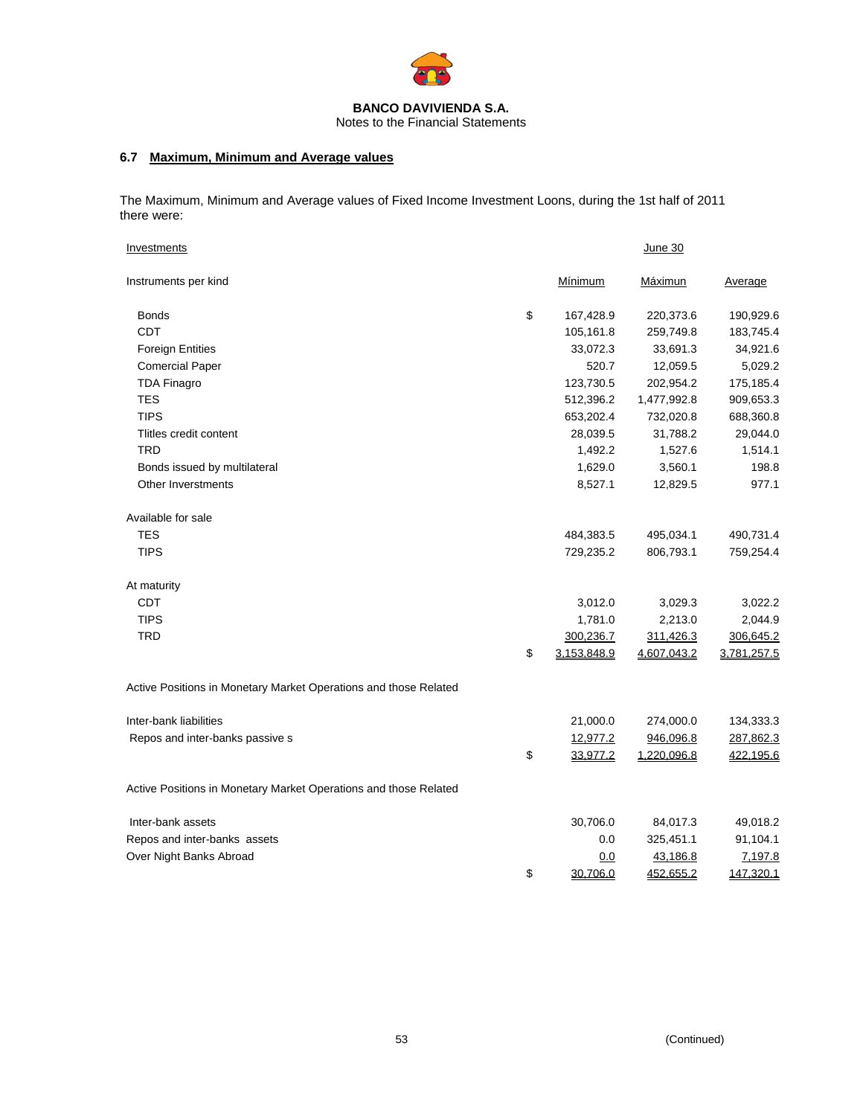

# **6.7 Maximum, Minimum and Average values**

The Maximum, Minimum and Average values of Fixed Income Investment Loons, during the 1st half of 2011 there were:

| Investments                                                      |                   | June 30          |                |
|------------------------------------------------------------------|-------------------|------------------|----------------|
| Instruments per kind                                             | <b>Mínimum</b>    | Máximun          | <u>Average</u> |
| Bonds                                                            | \$<br>167,428.9   | 220,373.6        | 190,929.6      |
| <b>CDT</b>                                                       | 105,161.8         | 259,749.8        | 183,745.4      |
| <b>Foreign Entities</b>                                          | 33,072.3          | 33,691.3         | 34,921.6       |
| <b>Comercial Paper</b>                                           | 520.7             | 12,059.5         | 5,029.2        |
| <b>TDA Finagro</b>                                               | 123,730.5         | 202,954.2        | 175,185.4      |
| <b>TES</b>                                                       | 512,396.2         | 1,477,992.8      | 909,653.3      |
| <b>TIPS</b>                                                      | 653,202.4         | 732,020.8        | 688,360.8      |
| Tlitles credit content                                           | 28,039.5          | 31,788.2         | 29,044.0       |
| <b>TRD</b>                                                       | 1,492.2           | 1,527.6          | 1,514.1        |
| Bonds issued by multilateral                                     | 1,629.0           | 3,560.1          | 198.8          |
| Other Inverstments                                               | 8,527.1           | 12,829.5         | 977.1          |
| Available for sale                                               |                   |                  |                |
| <b>TES</b>                                                       | 484,383.5         | 495,034.1        | 490,731.4      |
| <b>TIPS</b>                                                      | 729,235.2         | 806,793.1        | 759,254.4      |
| At maturity                                                      |                   |                  |                |
| <b>CDT</b>                                                       | 3,012.0           | 3,029.3          | 3,022.2        |
| <b>TIPS</b>                                                      | 1,781.0           | 2,213.0          | 2,044.9        |
| <b>TRD</b>                                                       | 300,236.7         | 311,426.3        | 306,645.2      |
|                                                                  | \$<br>3,153,848.9 | 4,607,043.2      | 3,781,257.5    |
| Active Positions in Monetary Market Operations and those Related |                   |                  |                |
| Inter-bank liabilities                                           | 21,000.0          | 274,000.0        | 134,333.3      |
| Repos and inter-banks passive s                                  | 12,977.2          | 946,096.8        | 287,862.3      |
|                                                                  | \$<br>33,977.2    | 1,220,096.8      | 422,195.6      |
| Active Positions in Monetary Market Operations and those Related |                   |                  |                |
| Inter-bank assets                                                | 30,706.0          | 84,017.3         | 49,018.2       |
| Repos and inter-banks assets                                     | 0.0               | 325,451.1        | 91,104.1       |
| Over Night Banks Abroad                                          | 0.0               | 43,186.8         | 7,197.8        |
|                                                                  | \$<br>30,706.0    | <u>452,655.2</u> | 147,320.1      |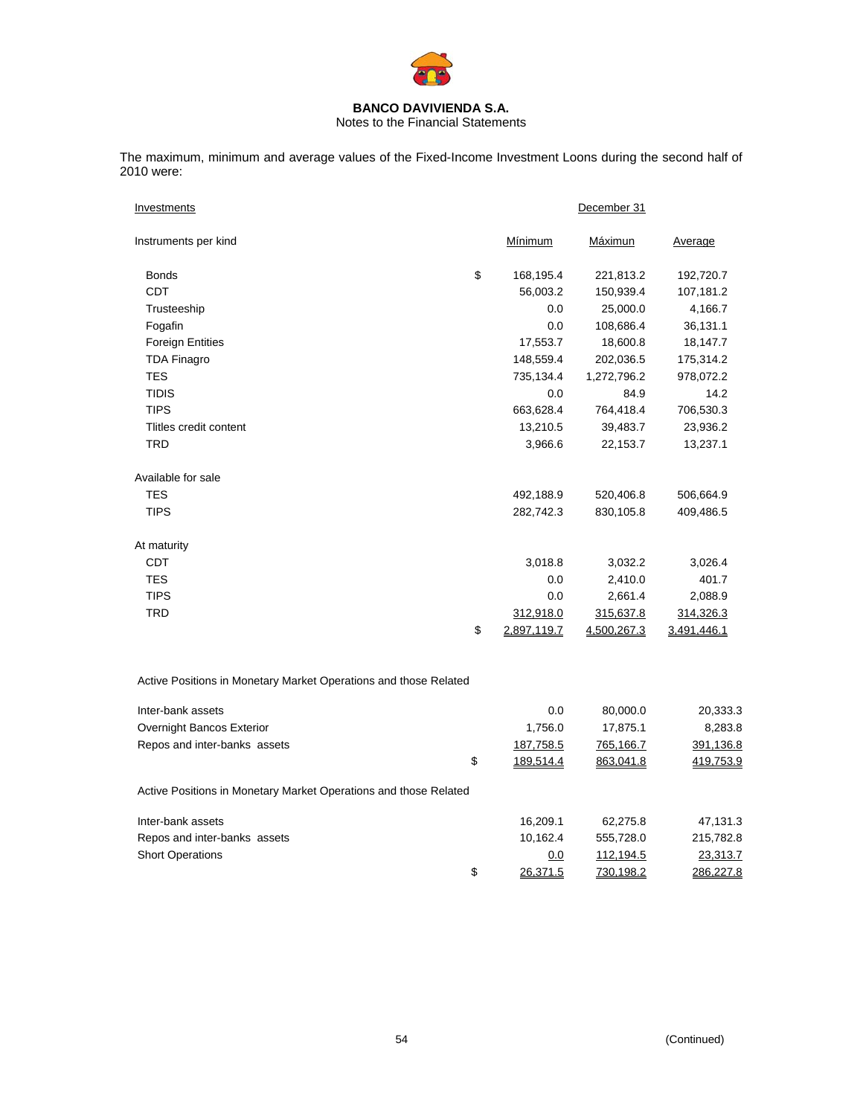

Notes to the Financial Statements

The maximum, minimum and average values of the Fixed-Income Investment Loons during the second half of 2010 were:

| Investments                                                      |    | December 31 |             |                |  |  |
|------------------------------------------------------------------|----|-------------|-------------|----------------|--|--|
| Instruments per kind                                             |    | Mínimum     | Máximun     | <u>Average</u> |  |  |
| Bonds                                                            | \$ | 168,195.4   | 221,813.2   | 192,720.7      |  |  |
| CDT                                                              |    | 56,003.2    | 150,939.4   | 107,181.2      |  |  |
| Trusteeship                                                      |    | 0.0         | 25,000.0    | 4,166.7        |  |  |
| Fogafin                                                          |    | 0.0         | 108,686.4   | 36,131.1       |  |  |
| <b>Foreign Entities</b>                                          |    | 17,553.7    | 18,600.8    | 18,147.7       |  |  |
| <b>TDA Finagro</b>                                               |    | 148,559.4   | 202,036.5   | 175,314.2      |  |  |
| <b>TES</b>                                                       |    | 735,134.4   | 1,272,796.2 | 978,072.2      |  |  |
| <b>TIDIS</b>                                                     |    | 0.0         | 84.9        | 14.2           |  |  |
| <b>TIPS</b>                                                      |    | 663,628.4   | 764,418.4   | 706,530.3      |  |  |
| Tlitles credit content                                           |    | 13,210.5    | 39,483.7    | 23,936.2       |  |  |
| TRD                                                              |    | 3,966.6     | 22,153.7    | 13,237.1       |  |  |
| Available for sale                                               |    |             |             |                |  |  |
| <b>TES</b>                                                       |    | 492,188.9   | 520,406.8   | 506,664.9      |  |  |
| <b>TIPS</b>                                                      |    | 282,742.3   | 830,105.8   | 409,486.5      |  |  |
| At maturity                                                      |    |             |             |                |  |  |
| CDT                                                              |    | 3,018.8     | 3,032.2     | 3,026.4        |  |  |
| <b>TES</b>                                                       |    | 0.0         | 2,410.0     | 401.7          |  |  |
| <b>TIPS</b>                                                      |    | 0.0         | 2,661.4     | 2,088.9        |  |  |
| <b>TRD</b>                                                       |    | 312,918.0   | 315,637.8   | 314,326.3      |  |  |
|                                                                  | \$ | 2,897,119.7 | 4,500,267.3 | 3,491,446.1    |  |  |
| Active Positions in Monetary Market Operations and those Related |    |             |             |                |  |  |
| Inter-bank assets                                                |    | 0.0         | 80,000.0    | 20,333.3       |  |  |
| Overnight Bancos Exterior                                        |    | 1,756.0     | 17,875.1    | 8,283.8        |  |  |
| Repos and inter-banks assets                                     |    | 187,758.5   | 765,166.7   | 391,136.8      |  |  |
|                                                                  | \$ | 189,514.4   | 863,041.8   | 419,753.9      |  |  |
| Active Positions in Monetary Market Operations and those Related |    |             |             |                |  |  |
| Inter-bank assets                                                |    | 16,209.1    | 62,275.8    | 47,131.3       |  |  |
| Repos and inter-banks assets                                     |    | 10,162.4    | 555,728.0   | 215,782.8      |  |  |

Short Operations 23,313.7  $\frac{1}{3}$  26,371.5 730,198.2 286,227.8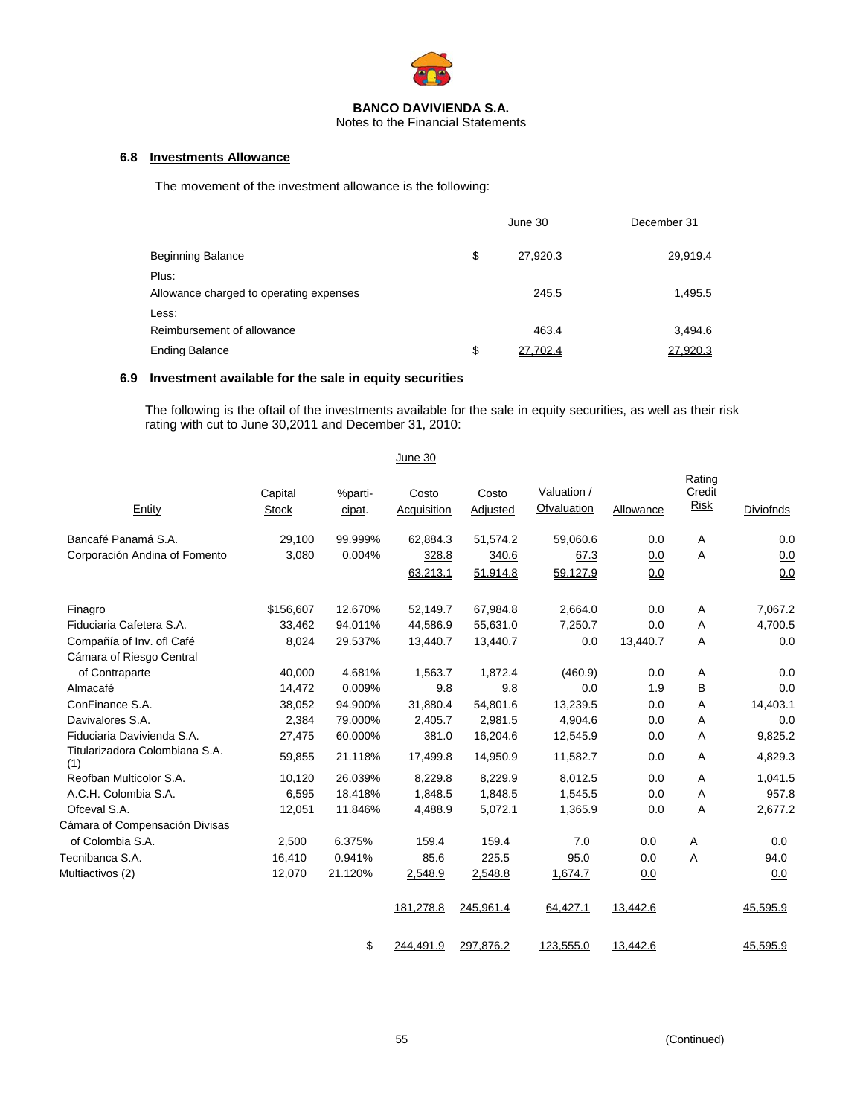

Notes to the Financial Statements

# **6.8 Investments Allowance**

The movement of the investment allowance is the following:

|                                                  | June 30        | December 31 |
|--------------------------------------------------|----------------|-------------|
| <b>Beginning Balance</b>                         | \$<br>27,920.3 | 29,919.4    |
| Plus:<br>Allowance charged to operating expenses | 245.5          | 1,495.5     |
| Less:<br>Reimbursement of allowance              | 463.4          | 3,494.6     |
| <b>Ending Balance</b>                            | \$<br>27,702.4 | 27,920.3    |

# **6.9 Investment available for the sale in equity securities**

The following is the oftail of the investments available for the sale in equity securities, as well as their risk rating with cut to June 30,2011 and December 31, 2010:

|                                       |                         |                   | June 30              |                   |                            |                  |                          |                  |
|---------------------------------------|-------------------------|-------------------|----------------------|-------------------|----------------------------|------------------|--------------------------|------------------|
| Entity                                | Capital<br><b>Stock</b> | %parti-<br>cipat. | Costo<br>Acquisition | Costo<br>Adjusted | Valuation /<br>Ofvaluation | <b>Allowance</b> | Rating<br>Credit<br>Risk | <b>Diviofnds</b> |
| Bancafé Panamá S.A.                   | 29.100                  | 99.999%           | 62,884.3             | 51.574.2          | 59,060.6                   | 0.0              | A                        | 0.0              |
| Corporación Andina of Fomento         | 3,080                   | 0.004%            | 328.8                | 340.6             | 67.3                       | 0.0              | Α                        | 0.0              |
|                                       |                         |                   | 63,213.1             | 51,914.8          | 59,127.9                   | 0.0              |                          | 0.0              |
| Finagro                               | \$156,607               | 12.670%           | 52,149.7             | 67,984.8          | 2,664.0                    | 0.0              | Α                        | 7,067.2          |
| Fiduciaria Cafetera S.A.              | 33,462                  | 94.011%           | 44,586.9             | 55,631.0          | 7,250.7                    | 0.0              | A                        | 4,700.5          |
| Compañía of Inv. ofl Café             | 8,024                   | 29.537%           | 13,440.7             | 13,440.7          | 0.0                        | 13,440.7         | A                        | 0.0              |
| Cámara of Riesgo Central              |                         |                   |                      |                   |                            |                  |                          |                  |
| of Contraparte                        | 40,000                  | 4.681%            | 1,563.7              | 1,872.4           | (460.9)                    | 0.0              | A                        | 0.0              |
| Almacafé                              | 14,472                  | 0.009%            | 9.8                  | 9.8               | 0.0                        | 1.9              | B                        | 0.0              |
| ConFinance S.A.                       | 38,052                  | 94.900%           | 31,880.4             | 54,801.6          | 13,239.5                   | 0.0              | Α                        | 14,403.1         |
| Davivalores S.A.                      | 2,384                   | 79.000%           | 2,405.7              | 2,981.5           | 4,904.6                    | 0.0              | A                        | 0.0              |
| Fiduciaria Davivienda S.A.            | 27,475                  | 60.000%           | 381.0                | 16,204.6          | 12,545.9                   | 0.0              | A                        | 9,825.2          |
| Titularizadora Colombiana S.A.<br>(1) | 59,855                  | 21.118%           | 17,499.8             | 14,950.9          | 11,582.7                   | 0.0              | Α                        | 4,829.3          |
| Reofban Multicolor S.A.               | 10,120                  | 26.039%           | 8,229.8              | 8,229.9           | 8,012.5                    | 0.0              | A                        | 1,041.5          |
| A.C.H. Colombia S.A.                  | 6,595                   | 18.418%           | 1,848.5              | 1,848.5           | 1,545.5                    | 0.0              | A                        | 957.8            |
| Ofceval S.A.                          | 12,051                  | 11.846%           | 4,488.9              | 5,072.1           | 1,365.9                    | 0.0              | Α                        | 2,677.2          |
| Cámara of Compensación Divisas        |                         |                   |                      |                   |                            |                  |                          |                  |
| of Colombia S.A.                      | 2,500                   | 6.375%            | 159.4                | 159.4             | 7.0                        | 0.0              | Α                        | 0.0              |
| Tecnibanca S.A.                       | 16,410                  | 0.941%            | 85.6                 | 225.5             | 95.0                       | 0.0              | A                        | 94.0             |
| Multiactivos (2)                      | 12,070                  | 21.120%           | 2,548.9              | 2,548.8           | 1,674.7                    | 0.0              |                          | 0.0              |
|                                       |                         |                   | 181,278.8            | 245,961.4         | 64,427.1                   | 13,442.6         |                          | 45,595.9         |
|                                       |                         | \$                | 244,491.9            | 297,876.2         | 123,555.0                  | 13,442.6         |                          | 45,595.9         |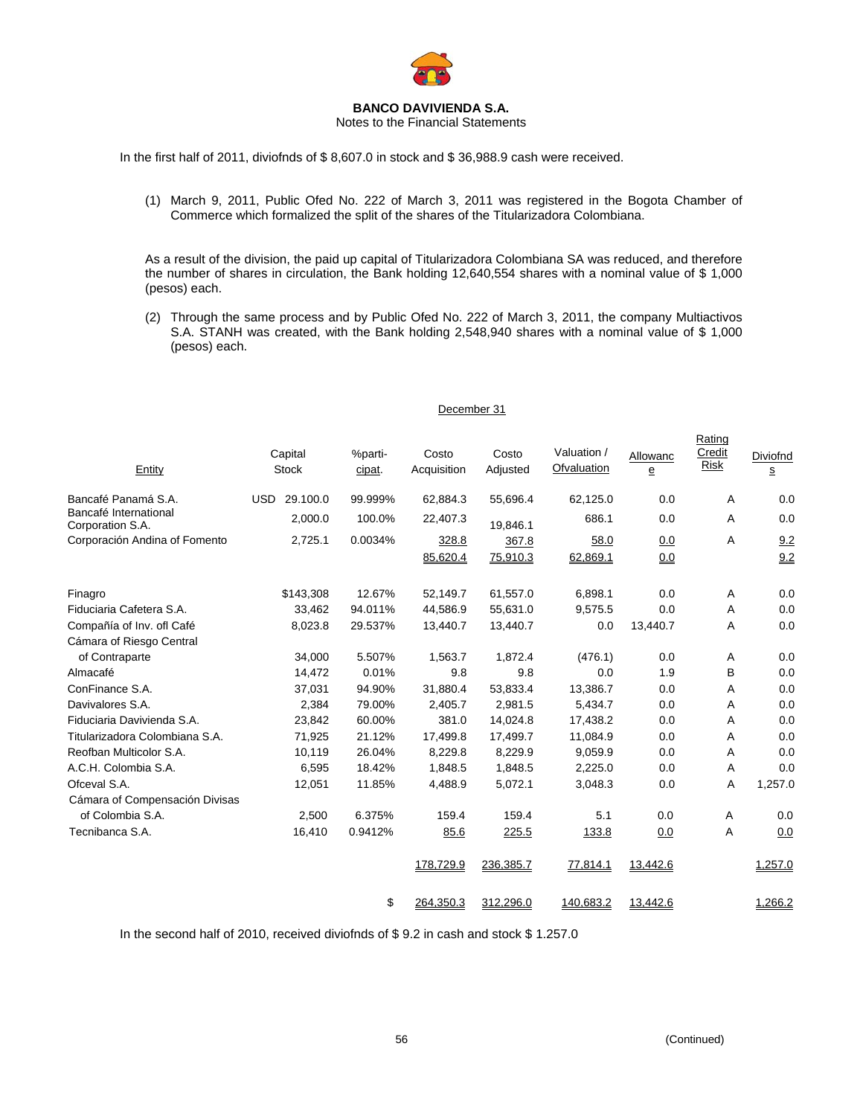

Notes to the Financial Statements

In the first half of 2011, diviofnds of \$ 8,607.0 in stock and \$ 36,988.9 cash were received.

(1) March 9, 2011, Public Ofed No. 222 of March 3, 2011 was registered in the Bogota Chamber of Commerce which formalized the split of the shares of the Titularizadora Colombiana.

As a result of the division, the paid up capital of Titularizadora Colombiana SA was reduced, and therefore the number of shares in circulation, the Bank holding 12,640,554 shares with a nominal value of \$ 1,000 (pesos) each.

(2) Through the same process and by Public Ofed No. 222 of March 3, 2011, the company Multiactivos S.A. STANH was created, with the Bank holding 2,548,940 shares with a nominal value of \$ 1,000 (pesos) each.

#### December 31

| Entity                                    | Capital<br><b>Stock</b> | %parti-<br>cipat. | Costo<br>Acquisition | Costo<br>Adjusted | Valuation /<br>Ofvaluation | Allowanc<br>e | Rating<br>Credit<br><b>Risk</b> | Diviofnd<br>s |
|-------------------------------------------|-------------------------|-------------------|----------------------|-------------------|----------------------------|---------------|---------------------------------|---------------|
| Bancafé Panamá S.A.                       | 29.100.0<br><b>USD</b>  | 99.999%           | 62,884.3             | 55,696.4          | 62,125.0                   | 0.0           | Α                               | 0.0           |
| Bancafé International<br>Corporation S.A. | 2,000.0                 | 100.0%            | 22,407.3             | 19,846.1          | 686.1                      | 0.0           | Α                               | 0.0           |
| Corporación Andina of Fomento             | 2,725.1                 | 0.0034%           | 328.8                | 367.8             | 58.0                       | 0.0           | A                               | 9.2           |
|                                           |                         |                   | 85,620.4             | 75,910.3          | 62,869.1                   | 0.0           |                                 | 9.2           |
| Finagro                                   | \$143,308               | 12.67%            | 52,149.7             | 61,557.0          | 6,898.1                    | 0.0           | A                               | 0.0           |
| Fiduciaria Cafetera S.A.                  | 33,462                  | 94.011%           | 44,586.9             | 55,631.0          | 9,575.5                    | 0.0           | Α                               | 0.0           |
| Compañía of Inv. ofl Café                 | 8,023.8                 | 29.537%           | 13,440.7             | 13,440.7          | 0.0                        | 13,440.7      | A                               | 0.0           |
| Cámara of Riesgo Central                  |                         |                   |                      |                   |                            |               |                                 |               |
| of Contraparte                            | 34,000                  | 5.507%            | 1,563.7              | 1,872.4           | (476.1)                    | 0.0           | Α                               | 0.0           |
| Almacafé                                  | 14,472                  | 0.01%             | 9.8                  | 9.8               | 0.0                        | 1.9           | B                               | 0.0           |
| ConFinance S.A.                           | 37,031                  | 94.90%            | 31,880.4             | 53,833.4          | 13,386.7                   | 0.0           | Α                               | 0.0           |
| Davivalores S.A.                          | 2,384                   | 79.00%            | 2,405.7              | 2,981.5           | 5.434.7                    | 0.0           | A                               | 0.0           |
| Fiduciaria Davivienda S.A.                | 23,842                  | 60.00%            | 381.0                | 14,024.8          | 17,438.2                   | 0.0           | Α                               | 0.0           |
| Titularizadora Colombiana S.A.            | 71,925                  | 21.12%            | 17,499.8             | 17,499.7          | 11,084.9                   | 0.0           | A                               | 0.0           |
| Reofban Multicolor S.A.                   | 10,119                  | 26.04%            | 8,229.8              | 8,229.9           | 9,059.9                    | 0.0           | Α                               | 0.0           |
| A.C.H. Colombia S.A.                      | 6,595                   | 18.42%            | 1,848.5              | 1,848.5           | 2,225.0                    | 0.0           | Α                               | 0.0           |
| Ofceval S.A.                              | 12,051                  | 11.85%            | 4,488.9              | 5,072.1           | 3,048.3                    | 0.0           | Α                               | 1,257.0       |
| Cámara of Compensación Divisas            |                         |                   |                      |                   |                            |               |                                 |               |
| of Colombia S.A.                          | 2,500                   | 6.375%            | 159.4                | 159.4             | 5.1                        | 0.0           | Α                               | 0.0           |
| Tecnibanca S.A.                           | 16,410                  | 0.9412%           | 85.6                 | 225.5             | 133.8                      | 0.0           | Α                               | 0.0           |
|                                           |                         |                   | 178,729.9            | 236,385.7         | 77,814.1                   | 13,442.6      |                                 | 1,257.0       |
|                                           |                         | \$                | 264,350.3            | 312,296.0         | 140,683.2                  | 13,442.6      |                                 | 1,266.2       |

In the second half of 2010, received diviofnds of \$ 9.2 in cash and stock \$ 1.257.0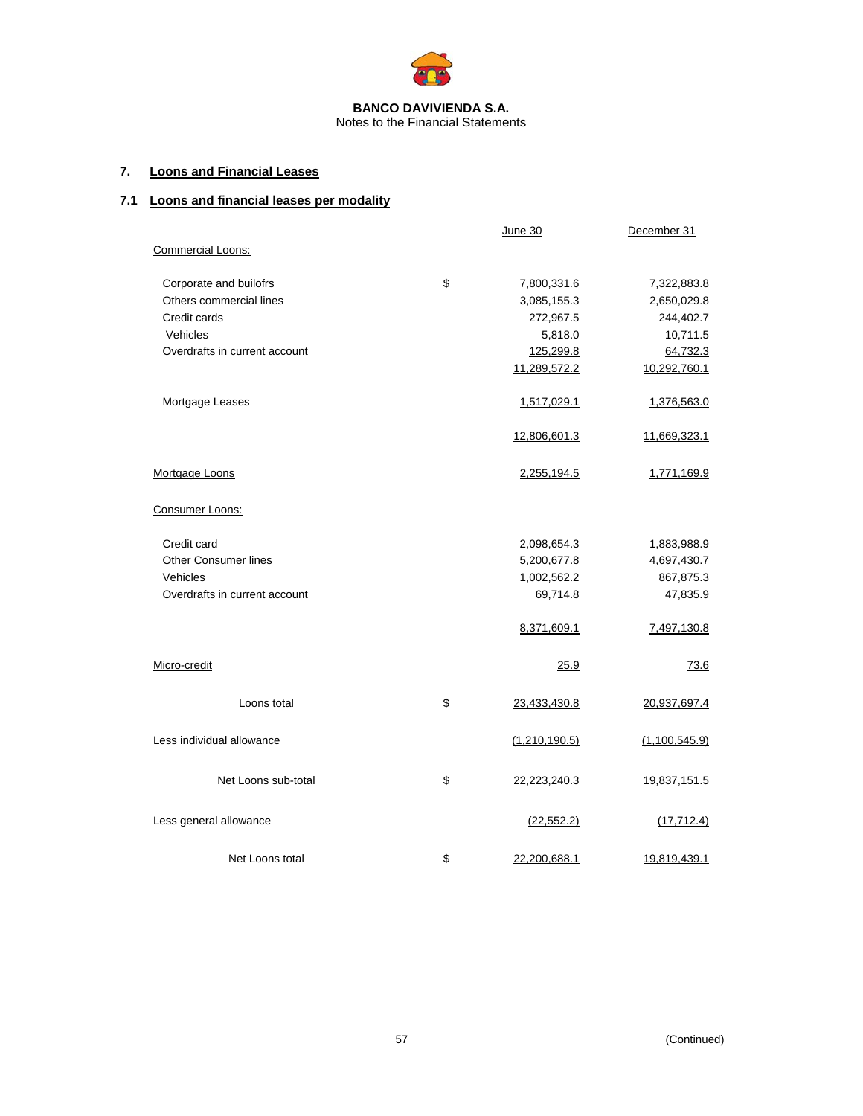

# **7. Loons and Financial Leases**

# **7.1 Loons and financial leases per modality**

|                               | June 30            | December 31   |
|-------------------------------|--------------------|---------------|
| Commercial Loons:             |                    |               |
| Corporate and builofrs        | \$<br>7,800,331.6  | 7,322,883.8   |
| Others commercial lines       | 3,085,155.3        | 2,650,029.8   |
| Credit cards                  | 272,967.5          | 244,402.7     |
| Vehicles                      | 5,818.0            | 10,711.5      |
| Overdrafts in current account | 125,299.8          | 64,732.3      |
|                               | 11,289,572.2       | 10,292,760.1  |
| Mortgage Leases               | 1,517,029.1        | 1,376,563.0   |
|                               | 12,806,601.3       | 11,669,323.1  |
| Mortgage Loons                | 2,255,194.5        | 1,771,169.9   |
| Consumer Loons:               |                    |               |
| Credit card                   | 2,098,654.3        | 1,883,988.9   |
| <b>Other Consumer lines</b>   | 5,200,677.8        | 4,697,430.7   |
| Vehicles                      | 1,002,562.2        | 867,875.3     |
| Overdrafts in current account | 69,714.8           | 47,835.9      |
|                               | 8,371,609.1        | 7,497,130.8   |
| Micro-credit                  | 25.9               | 73.6          |
| Loons total                   | \$<br>23,433,430.8 | 20,937,697.4  |
| Less individual allowance     | (1,210,190.5)      | (1,100,545.9) |
| Net Loons sub-total           | \$<br>22,223,240.3 | 19,837,151.5  |
| Less general allowance        | (22, 552.2)        | (17, 712.4)   |
| Net Loons total               | \$<br>22,200,688.1 | 19,819,439.1  |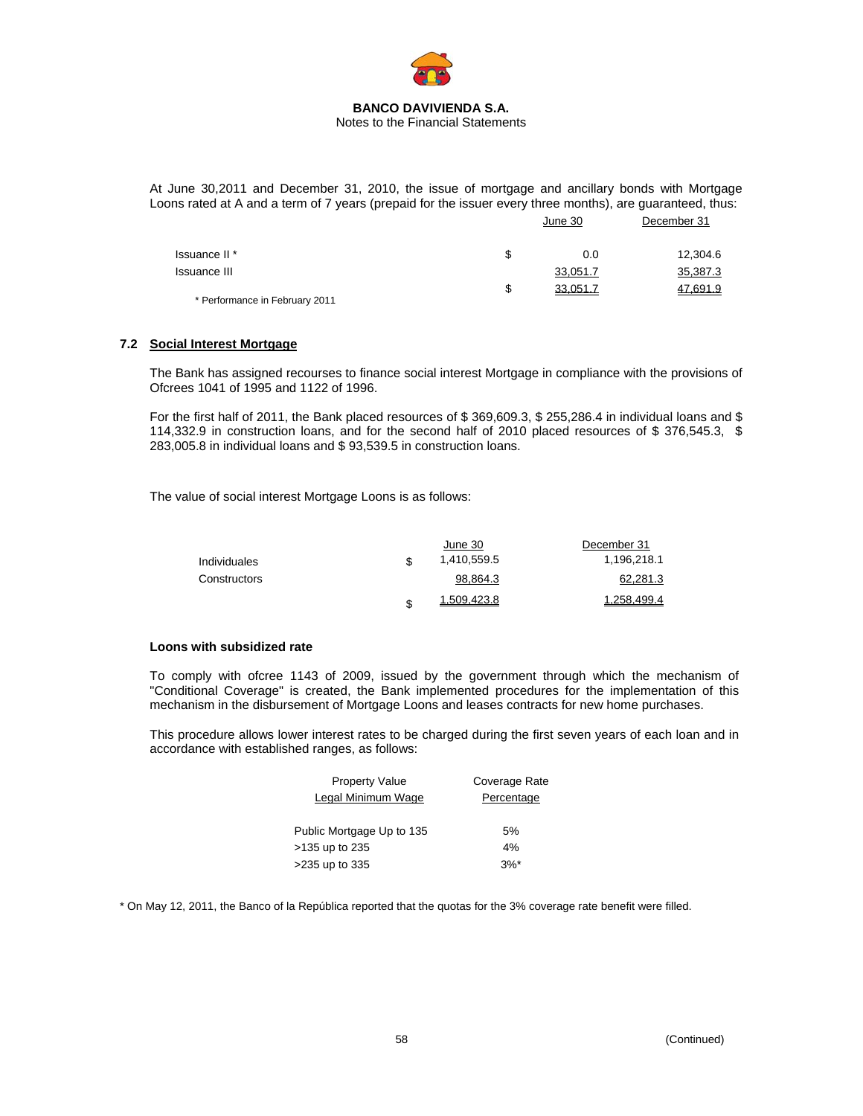

At June 30,2011 and December 31, 2010, the issue of mortgage and ancillary bonds with Mortgage Loons rated at A and a term of 7 years (prepaid for the issuer every three months), are guaranteed, thus:

|                                |   | June 30  | December 31 |  |
|--------------------------------|---|----------|-------------|--|
| Issuance II <sup>*</sup>       | S | 0.0      | 12,304.6    |  |
| <b>Issuance III</b>            |   | 33,051.7 | 35,387.3    |  |
| * Performance in February 2011 | S | 33,051.7 | 47,691.9    |  |

#### **7.2 Social Interest Mortgage**

The Bank has assigned recourses to finance social interest Mortgage in compliance with the provisions of Ofcrees 1041 of 1995 and 1122 of 1996.

For the first half of 2011, the Bank placed resources of \$369,609.3, \$255,286.4 in individual loans and \$ 114,332.9 in construction loans, and for the second half of 2010 placed resources of \$ 376,545.3, \$ 283,005.8 in individual loans and \$ 93,539.5 in construction loans.

The value of social interest Mortgage Loons is as follows:

|              |   | June 30     | December 31 |
|--------------|---|-------------|-------------|
| Individuales |   | 1,410,559.5 | 1,196,218.1 |
| Constructors |   | 98,864.3    | 62,281.3    |
|              | S | 1.509.423.8 | 1.258.499.4 |

#### **Loons with subsidized rate**

To comply with ofcree 1143 of 2009, issued by the government through which the mechanism of "Conditional Coverage" is created, the Bank implemented procedures for the implementation of this mechanism in the disbursement of Mortgage Loons and leases contracts for new home purchases.

This procedure allows lower interest rates to be charged during the first seven years of each loan and in accordance with established ranges, as follows:

| <b>Property Value</b>     | Coverage Rate |
|---------------------------|---------------|
| Legal Minimum Wage        | Percentage    |
|                           |               |
| Public Mortgage Up to 135 | 5%            |
| >135 up to 235            | 4%            |
| >235 up to 335            | $3%^*$        |

\* On May 12, 2011, the Banco of la República reported that the quotas for the 3% coverage rate benefit were filled.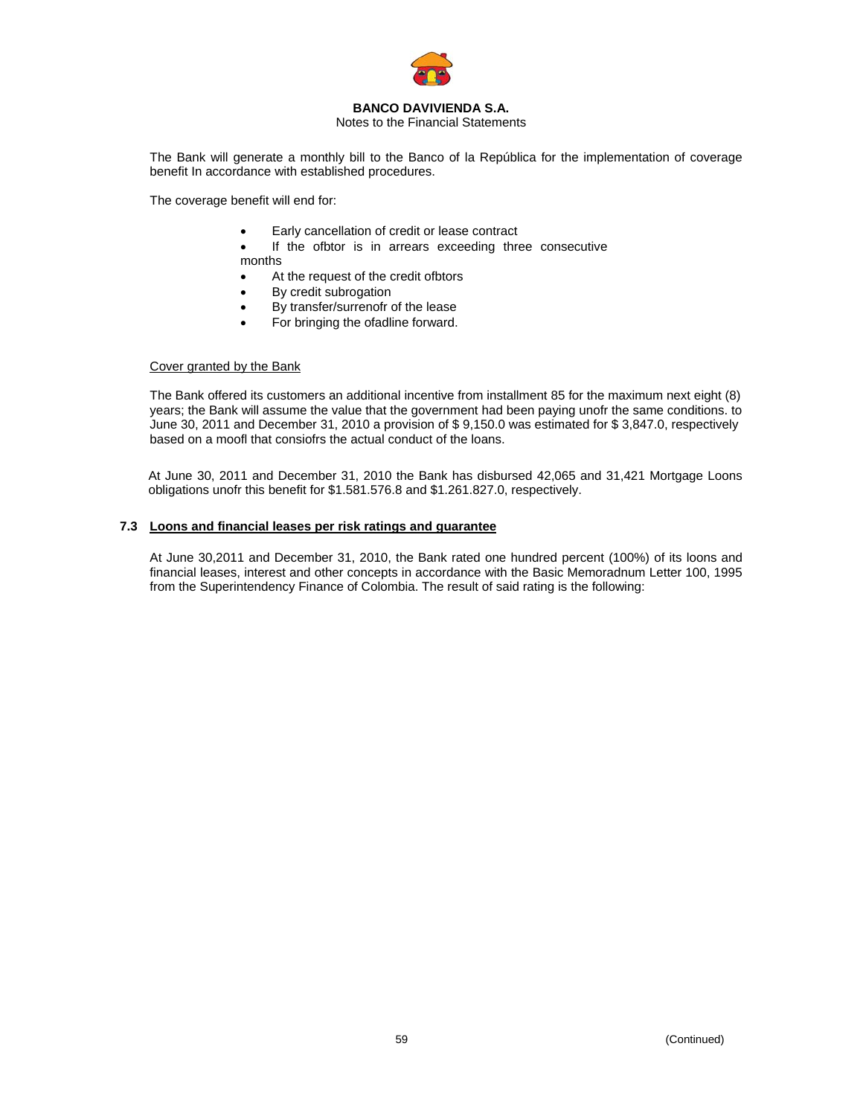

Notes to the Financial Statements

The Bank will generate a monthly bill to the Banco of la República for the implementation of coverage benefit In accordance with established procedures.

The coverage benefit will end for:

- Early cancellation of credit or lease contract
- If the ofbtor is in arrears exceeding three consecutive months
- At the request of the credit ofbtors
- By credit subrogation
- By transfer/surrenofr of the lease
- For bringing the ofadline forward.

# Cover granted by the Bank

The Bank offered its customers an additional incentive from installment 85 for the maximum next eight (8) years; the Bank will assume the value that the government had been paying unofr the same conditions. to June 30, 2011 and December 31, 2010 a provision of \$ 9,150.0 was estimated for \$ 3,847.0, respectively based on a moofl that consiofrs the actual conduct of the loans.

At June 30, 2011 and December 31, 2010 the Bank has disbursed 42,065 and 31,421 Mortgage Loons obligations unofr this benefit for \$1.581.576.8 and \$1.261.827.0, respectively.

### **7.3 Loons and financial leases per risk ratings and guarantee**

At June 30,2011 and December 31, 2010, the Bank rated one hundred percent (100%) of its loons and financial leases, interest and other concepts in accordance with the Basic Memoradnum Letter 100, 1995 from the Superintendency Finance of Colombia. The result of said rating is the following: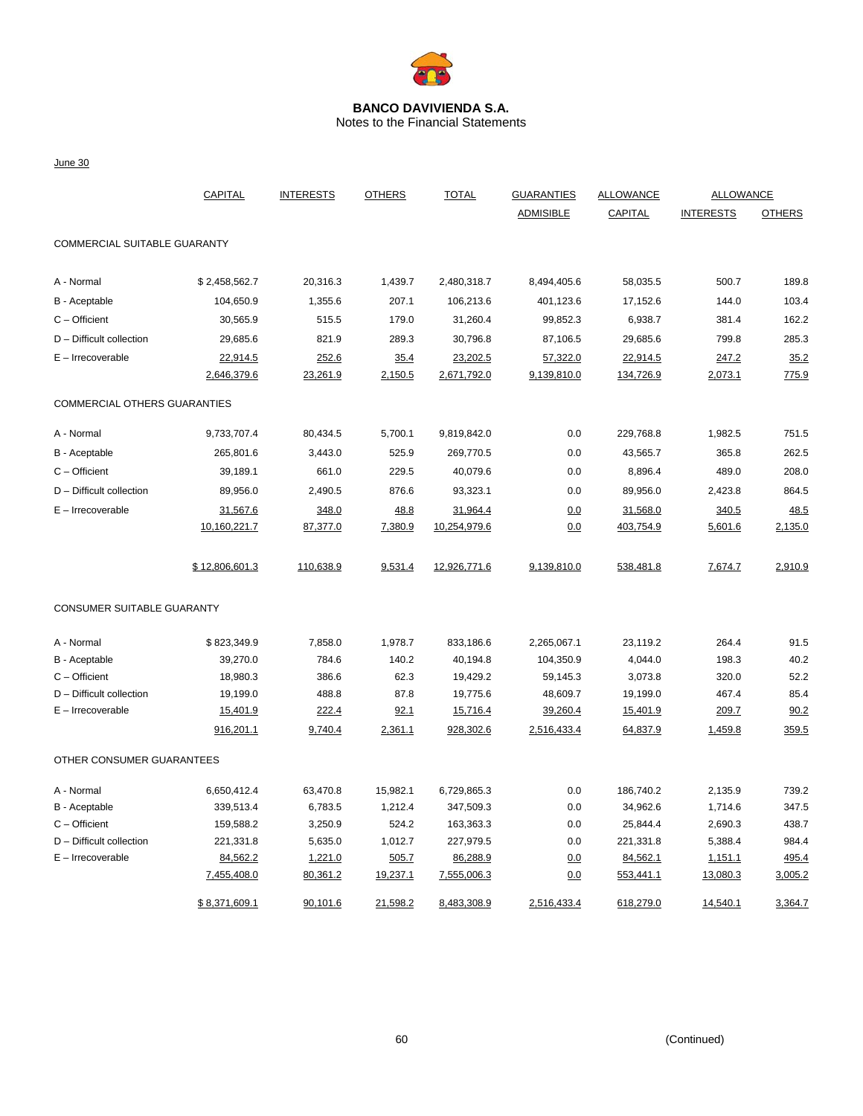

Notes to the Financial Statements

June 30

|                              | <b>CAPITAL</b> | <b>INTERESTS</b> | <b>OTHERS</b> | <b>TOTAL</b> | <b>GUARANTIES</b> | <b>ALLOWANCE</b> |                  | <b>ALLOWANCE</b> |  |
|------------------------------|----------------|------------------|---------------|--------------|-------------------|------------------|------------------|------------------|--|
|                              |                |                  |               |              | <b>ADMISIBLE</b>  | CAPITAL          | <b>INTERESTS</b> | <b>OTHERS</b>    |  |
| COMMERCIAL SUITABLE GUARANTY |                |                  |               |              |                   |                  |                  |                  |  |
| A - Normal                   | \$2,458,562.7  | 20,316.3         | 1,439.7       | 2,480,318.7  | 8,494,405.6       | 58,035.5         | 500.7            | 189.8            |  |
| B - Aceptable                | 104,650.9      | 1,355.6          | 207.1         | 106,213.6    | 401,123.6         | 17,152.6         | 144.0            | 103.4            |  |
| $C -$ Officient              | 30,565.9       | 515.5            | 179.0         | 31,260.4     | 99,852.3          | 6,938.7          | 381.4            | 162.2            |  |
| D - Difficult collection     | 29,685.6       | 821.9            | 289.3         | 30,796.8     | 87,106.5          | 29,685.6         | 799.8            | 285.3            |  |
| $E - Irrecoverable$          | 22,914.5       | 252.6            | 35.4          | 23,202.5     | 57,322.0          | 22,914.5         | 247.2            | 35.2             |  |
|                              | 2,646,379.6    | 23,261.9         | 2,150.5       | 2,671,792.0  | 9,139,810.0       | 134,726.9        | 2,073.1          | 775.9            |  |
| COMMERCIAL OTHERS GUARANTIES |                |                  |               |              |                   |                  |                  |                  |  |
| A - Normal                   | 9,733,707.4    | 80,434.5         | 5,700.1       | 9,819,842.0  | 0.0               | 229,768.8        | 1,982.5          | 751.5            |  |
| B - Aceptable                | 265,801.6      | 3,443.0          | 525.9         | 269,770.5    | 0.0               | 43,565.7         | 365.8            | 262.5            |  |
| $C -$ Officient              | 39,189.1       | 661.0            | 229.5         | 40,079.6     | 0.0               | 8,896.4          | 489.0            | 208.0            |  |
| D - Difficult collection     | 89,956.0       | 2,490.5          | 876.6         | 93,323.1     | 0.0               | 89,956.0         | 2,423.8          | 864.5            |  |
| $E - Irrecoverable$          | 31,567.6       | 348.0            | 48.8          | 31,964.4     | 0.0               | 31,568.0         | 340.5            | 48.5             |  |
|                              | 10,160,221.7   | 87,377.0         | 7,380.9       | 10,254,979.6 | 0.0               | 403,754.9        | 5,601.6          | 2,135.0          |  |
|                              | \$12,806,601.3 | 110,638.9        | 9,531.4       | 12,926,771.6 | 9,139,810.0       | 538,481.8        | 7,674.7          | 2,910.9          |  |
| CONSUMER SUITABLE GUARANTY   |                |                  |               |              |                   |                  |                  |                  |  |
| A - Normal                   | \$823,349.9    | 7,858.0          | 1,978.7       | 833,186.6    | 2,265,067.1       | 23,119.2         | 264.4            | 91.5             |  |
| B - Aceptable                | 39,270.0       | 784.6            | 140.2         | 40,194.8     | 104,350.9         | 4,044.0          | 198.3            | 40.2             |  |
| $C -$ Officient              | 18,980.3       | 386.6            | 62.3          | 19,429.2     | 59,145.3          | 3,073.8          | 320.0            | 52.2             |  |
| D - Difficult collection     | 19,199.0       | 488.8            | 87.8          | 19,775.6     | 48,609.7          | 19,199.0         | 467.4            | 85.4             |  |
| $E - Irrecoverable$          | 15,401.9       | 222.4            | 92.1          | 15,716.4     | 39,260.4          | 15,401.9         | 209.7            | 90.2             |  |
|                              | 916,201.1      | 9,740.4          | 2,361.1       | 928,302.6    | 2,516,433.4       | 64,837.9         | 1,459.8          | 359.5            |  |
| OTHER CONSUMER GUARANTEES    |                |                  |               |              |                   |                  |                  |                  |  |
| A - Normal                   | 6,650,412.4    | 63,470.8         | 15,982.1      | 6,729,865.3  | 0.0               | 186,740.2        | 2,135.9          | 739.2            |  |
| B - Aceptable                | 339,513.4      | 6,783.5          | 1,212.4       | 347,509.3    | 0.0               | 34,962.6         | 1,714.6          | 347.5            |  |
| C - Officient                | 159,588.2      | 3,250.9          | 524.2         | 163,363.3    | 0.0               | 25,844.4         | 2,690.3          | 438.7            |  |
| D - Difficult collection     | 221,331.8      | 5,635.0          | 1,012.7       | 227,979.5    | 0.0               | 221,331.8        | 5,388.4          | 984.4            |  |
| $E - Irrecoverable$          | 84,562.2       | 1,221.0          | 505.7         | 86,288.9     | 0.0               | 84,562.1         | 1,151.1          | 495.4            |  |
|                              | 7,455,408.0    | 80,361.2         | 19,237.1      | 7,555,006.3  | 0.0               | 553,441.1        | 13,080.3         | 3,005.2          |  |
|                              | \$8,371,609.1  | 90,101.6         | 21,598.2      | 8,483,308.9  | 2,516,433.4       | 618,279.0        | 14,540.1         | 3,364.7          |  |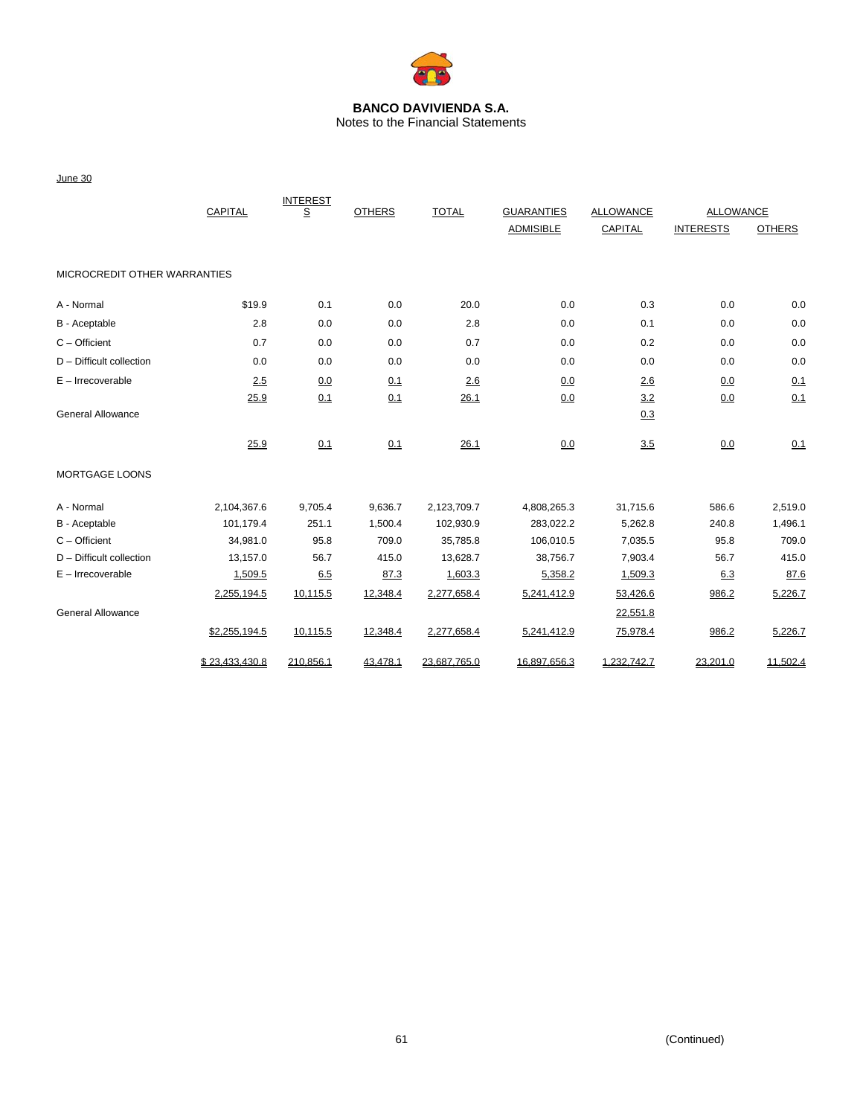

Notes to the Financial Statements

June 30

|                              | CAPITAL        |           | <b>OTHERS</b> | <b>TOTAL</b> | <b>GUARANTIES</b> | <b>ALLOWANCE</b> | <b>ALLOWANCE</b> |               |
|------------------------------|----------------|-----------|---------------|--------------|-------------------|------------------|------------------|---------------|
|                              |                |           |               |              | <b>ADMISIBLE</b>  | CAPITAL          | <b>INTERESTS</b> | <b>OTHERS</b> |
| MICROCREDIT OTHER WARRANTIES |                |           |               |              |                   |                  |                  |               |
| A - Normal                   | \$19.9         | 0.1       | 0.0           | 20.0         | 0.0               | 0.3              | 0.0              | 0.0           |
| B - Aceptable                | 2.8            | 0.0       | 0.0           | 2.8          | 0.0               | 0.1              | 0.0              | 0.0           |
| $C -$ Officient              | 0.7            | 0.0       | 0.0           | 0.7          | 0.0               | 0.2              | 0.0              | 0.0           |
| $D$ – Difficult collection   | 0.0            | 0.0       | 0.0           | 0.0          | 0.0               | 0.0              | 0.0              | 0.0           |
| $E -$ Irrecoverable          | 2.5            | 0.0       | 0.1           | 2.6          | 0.0               | 2.6              | 0.0              | 0.1           |
|                              | 25.9           | 0.1       | 0.1           | 26.1         | 0.0               | 3.2              | 0.0              | 0.1           |
| <b>General Allowance</b>     |                |           |               |              |                   | 0.3              |                  |               |
|                              | 25.9           | 0.1       | 0.1           | 26.1         | 0.0               | 3.5              | 0.0              | 0.1           |
| MORTGAGE LOONS               |                |           |               |              |                   |                  |                  |               |
| A - Normal                   | 2,104,367.6    | 9,705.4   | 9,636.7       | 2,123,709.7  | 4,808,265.3       | 31,715.6         | 586.6            | 2,519.0       |
| B - Aceptable                | 101.179.4      | 251.1     | 1,500.4       | 102,930.9    | 283,022.2         | 5,262.8          | 240.8            | 1,496.1       |
| $C -$ Officient              | 34,981.0       | 95.8      | 709.0         | 35,785.8     | 106,010.5         | 7,035.5          | 95.8             | 709.0         |
| $D$ – Difficult collection   | 13,157.0       | 56.7      | 415.0         | 13,628.7     | 38,756.7          | 7,903.4          | 56.7             | 415.0         |
| $E - Irrecoverable$          | 1,509.5        | 6.5       | 87.3          | 1,603.3      | 5,358.2           | 1,509.3          | 6.3              | 87.6          |
|                              | 2,255,194.5    | 10,115.5  | 12,348.4      | 2,277,658.4  | 5,241,412.9       | 53,426.6         | 986.2            | 5,226.7       |
| <b>General Allowance</b>     |                |           |               |              |                   | 22,551.8         |                  |               |
|                              | \$2,255,194.5  | 10,115.5  | 12,348.4      | 2,277,658.4  | 5,241,412.9       | 75,978.4         | 986.2            | 5,226.7       |
|                              | \$23.433.430.8 | 210.856.1 | 43.478.1      | 23.687.765.0 | 16.897.656.3      | 1.232.742.7      | 23.201.0         | 11,502.4      |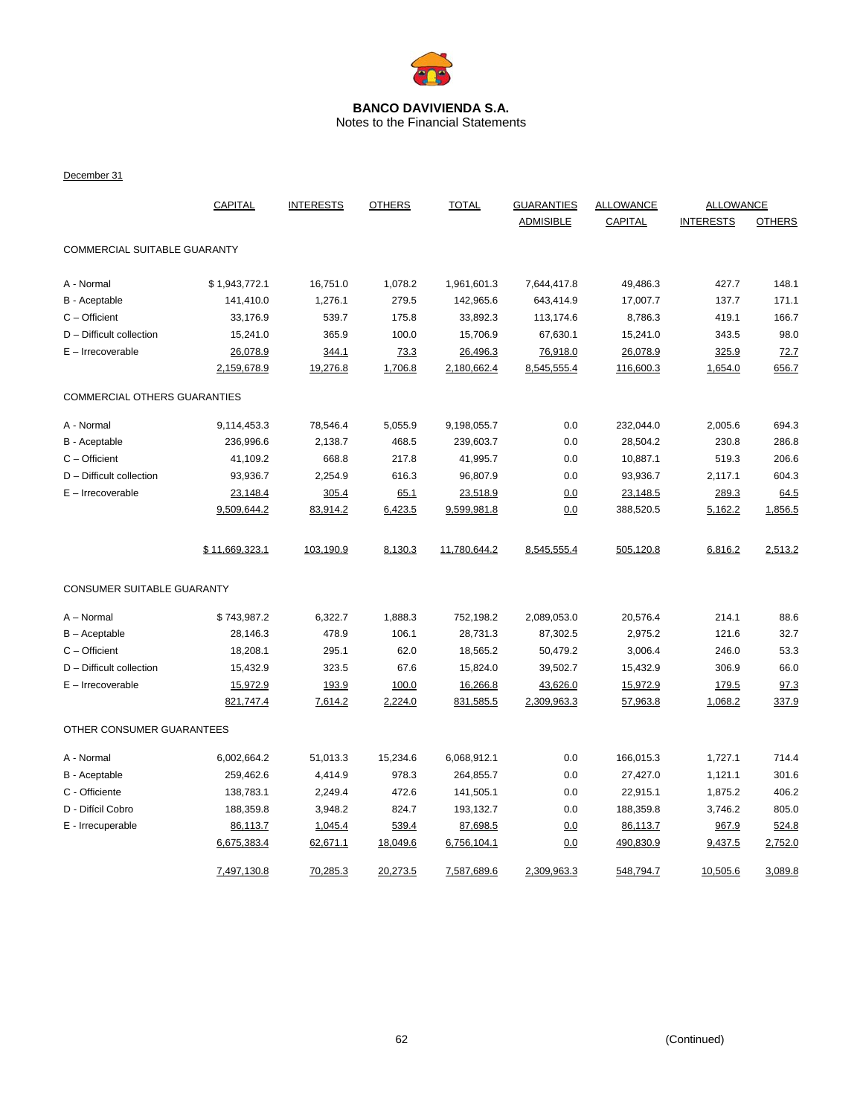

Notes to the Financial Statements

December 31

|                              | CAPITAL        | <b>INTERESTS</b> | <b>OTHERS</b><br><b>TOTAL</b><br><b>GUARANTIES</b> |              |                  | <b>ALLOWANCE</b> | <b>ALLOWANCE</b> |               |
|------------------------------|----------------|------------------|----------------------------------------------------|--------------|------------------|------------------|------------------|---------------|
|                              |                |                  |                                                    |              | <b>ADMISIBLE</b> | CAPITAL          | <b>INTERESTS</b> | <b>OTHERS</b> |
| COMMERCIAL SUITABLE GUARANTY |                |                  |                                                    |              |                  |                  |                  |               |
| A - Normal                   | \$1,943,772.1  | 16,751.0         | 1,078.2                                            | 1,961,601.3  | 7,644,417.8      | 49,486.3         | 427.7            | 148.1         |
| B - Aceptable                | 141,410.0      | 1,276.1          | 279.5                                              | 142,965.6    | 643,414.9        | 17,007.7         | 137.7            | 171.1         |
| $C -$ Officient              | 33,176.9       | 539.7            | 175.8                                              | 33,892.3     | 113,174.6        | 8,786.3          | 419.1            | 166.7         |
| D - Difficult collection     | 15,241.0       | 365.9            | 100.0                                              | 15,706.9     | 67,630.1         | 15,241.0         | 343.5            | 98.0          |
| $E - Irrecoverable$          | 26,078.9       | 344.1            | 73.3                                               | 26,496.3     | 76,918.0         | 26,078.9         | 325.9            | 72.7          |
|                              | 2,159,678.9    | 19,276.8         | 1,706.8                                            | 2,180,662.4  | 8,545,555.4      | 116,600.3        | 1,654.0          | 656.7         |
| COMMERCIAL OTHERS GUARANTIES |                |                  |                                                    |              |                  |                  |                  |               |
| A - Normal                   | 9,114,453.3    | 78,546.4         | 5,055.9                                            | 9,198,055.7  | 0.0              | 232,044.0        | 2,005.6          | 694.3         |
| B - Aceptable                | 236,996.6      | 2,138.7          | 468.5                                              | 239,603.7    | 0.0              | 28,504.2         | 230.8            | 286.8         |
| $C -$ Officient              | 41,109.2       | 668.8            | 217.8                                              | 41,995.7     | 0.0              | 10,887.1         | 519.3            | 206.6         |
| D - Difficult collection     | 93,936.7       | 2,254.9          | 616.3                                              | 96,807.9     | 0.0              | 93,936.7         | 2,117.1          | 604.3         |
| E - Irrecoverable            | 23,148.4       | 305.4            | 65.1                                               | 23,518.9     | 0.0              | 23,148.5         | 289.3            | 64.5          |
|                              | 9,509,644.2    | 83,914.2         | 6,423.5                                            | 9,599,981.8  | 0.0              | 388,520.5        | 5,162.2          | 1,856.5       |
|                              | \$11,669,323.1 | 103,190.9        | 8,130.3                                            | 11,780,644.2 | 8,545,555.4      | 505,120.8        | 6,816.2          | 2,513.2       |
| CONSUMER SUITABLE GUARANTY   |                |                  |                                                    |              |                  |                  |                  |               |
| A - Normal                   | \$743,987.2    | 6,322.7          | 1,888.3                                            | 752,198.2    | 2,089,053.0      | 20,576.4         | 214.1            | 88.6          |
| $B -$ Aceptable              | 28,146.3       | 478.9            | 106.1                                              | 28,731.3     | 87,302.5         | 2,975.2          | 121.6            | 32.7          |
| $C -$ Officient              | 18,208.1       | 295.1            | 62.0                                               | 18,565.2     | 50,479.2         | 3,006.4          | 246.0            | 53.3          |
| D - Difficult collection     | 15,432.9       | 323.5            | 67.6                                               | 15,824.0     | 39,502.7         | 15,432.9         | 306.9            | 66.0          |
| $E - Irrecoverable$          | 15,972.9       | 193.9            | 100.0                                              | 16,266.8     | 43,626.0         | 15,972.9         | 179.5            | 97.3          |
|                              | 821,747.4      | 7,614.2          | 2,224.0                                            | 831,585.5    | 2,309,963.3      | 57,963.8         | 1,068.2          | 337.9         |
| OTHER CONSUMER GUARANTEES    |                |                  |                                                    |              |                  |                  |                  |               |
| A - Normal                   | 6,002,664.2    | 51,013.3         | 15,234.6                                           | 6,068,912.1  | 0.0              | 166,015.3        | 1,727.1          | 714.4         |
| B - Aceptable                | 259,462.6      | 4,414.9          | 978.3                                              | 264,855.7    | 0.0              | 27,427.0         | 1,121.1          | 301.6         |
| C - Officiente               | 138,783.1      | 2,249.4          | 472.6                                              | 141,505.1    | 0.0              | 22,915.1         | 1,875.2          | 406.2         |
| D - Difícil Cobro            | 188,359.8      | 3,948.2          | 824.7                                              | 193,132.7    | 0.0              | 188,359.8        | 3,746.2          | 805.0         |
| E - Irrecuperable            | 86,113.7       | 1,045.4          | 539.4                                              | 87,698.5     | 0.0              | 86,113.7         | 967.9            | 524.8         |
|                              | 6,675,383.4    | 62,671.1         | 18,049.6                                           | 6,756,104.1  | 0.0              | 490,830.9        | 9,437.5          | 2,752.0       |
|                              | 7,497,130.8    | 70,285.3         | 20,273.5                                           | 7,587,689.6  | 2,309,963.3      | 548,794.7        | 10,505.6         | 3,089.8       |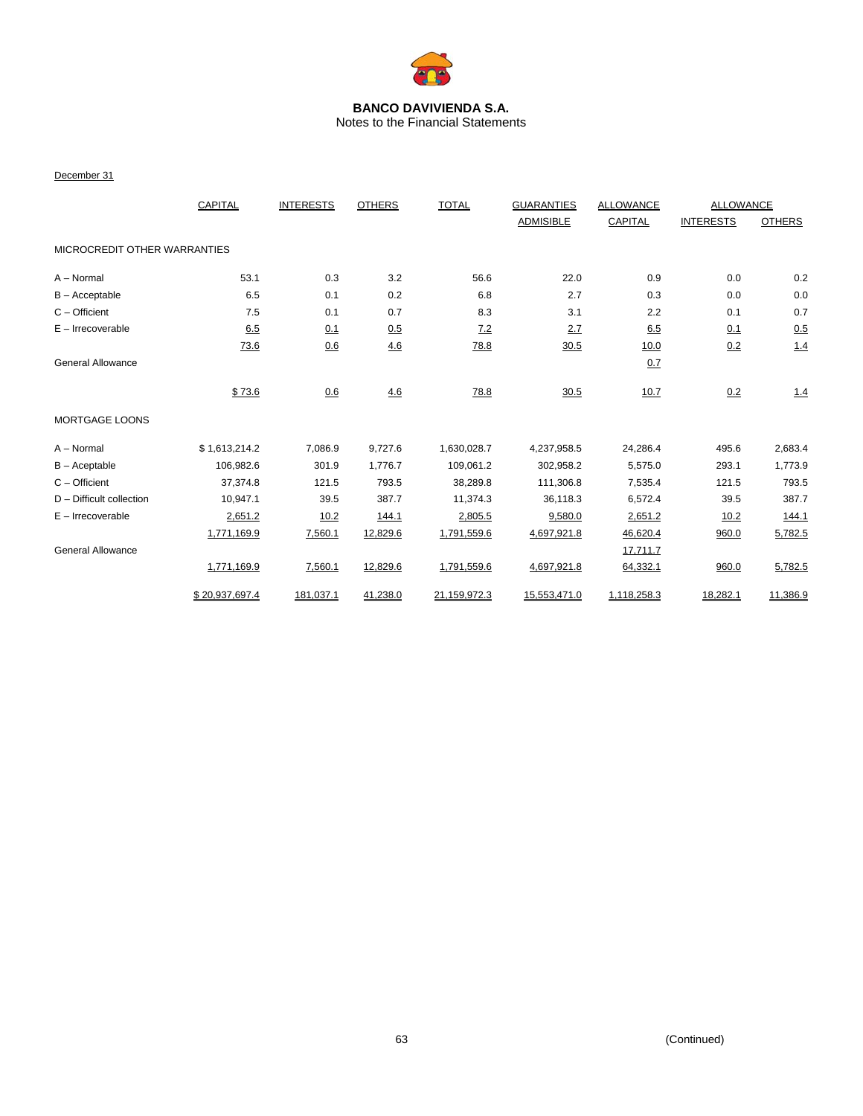

Notes to the Financial Statements

#### December 31

|                              | CAPITAL        | <b>INTERESTS</b> | <b>OTHERS</b> | <b>TOTAL</b> | <b>GUARANTIES</b> | <b>ALLOWANCE</b> | ALLOWANCE        |               |
|------------------------------|----------------|------------------|---------------|--------------|-------------------|------------------|------------------|---------------|
|                              |                |                  |               |              | <b>ADMISIBLE</b>  | CAPITAL          | <b>INTERESTS</b> | <b>OTHERS</b> |
| MICROCREDIT OTHER WARRANTIES |                |                  |               |              |                   |                  |                  |               |
| A - Normal                   | 53.1           | 0.3              | 3.2           | 56.6         | 22.0              | 0.9              | 0.0              | 0.2           |
| $B -$ Acceptable             | 6.5            | 0.1              | 0.2           | 6.8          | 2.7               | 0.3              | 0.0              | $0.0\,$       |
| $C -$ Officient              | 7.5            | 0.1              | 0.7           | 8.3          | 3.1               | 2.2              | 0.1              | 0.7           |
| $E -$ Irrecoverable          | 6.5            | 0.1              | 0.5           | 7.2          | 2.7               | 6.5              | 0.1              | 0.5           |
|                              | 73.6           | 0.6              | 4.6           | 78.8         | 30.5              | 10.0             | 0.2              | 1.4           |
| General Allowance            |                |                  |               |              |                   | 0.7              |                  |               |
|                              | \$73.6         | 0.6              | <u>4.6</u>    | 78.8         | 30.5              | 10.7             | 0.2              | 1.4           |
| <b>MORTGAGE LOONS</b>        |                |                  |               |              |                   |                  |                  |               |
| $A - Normal$                 | \$1,613,214.2  | 7,086.9          | 9,727.6       | 1,630,028.7  | 4,237,958.5       | 24,286.4         | 495.6            | 2,683.4       |
| $B -$ Aceptable              | 106,982.6      | 301.9            | 1,776.7       | 109,061.2    | 302,958.2         | 5,575.0          | 293.1            | 1,773.9       |
| $C -$ Officient              | 37,374.8       | 121.5            | 793.5         | 38,289.8     | 111,306.8         | 7,535.4          | 121.5            | 793.5         |
| $D$ – Difficult collection   | 10,947.1       | 39.5             | 387.7         | 11,374.3     | 36,118.3          | 6,572.4          | 39.5             | 387.7         |
| $E -$ Irrecoverable          | 2,651.2        | 10.2             | 144.1         | 2,805.5      | 9,580.0           | 2,651.2          | 10.2             | 144.1         |
|                              | 1,771,169.9    | 7,560.1          | 12,829.6      | 1,791,559.6  | 4,697,921.8       | 46,620.4         | 960.0            | 5,782.5       |
| <b>General Allowance</b>     |                |                  |               |              |                   | 17,711.7         |                  |               |
|                              | 1,771,169.9    | 7,560.1          | 12,829.6      | 1,791,559.6  | 4,697,921.8       | 64,332.1         | 960.0            | 5,782.5       |
|                              | \$20.937.697.4 | 181,037.1        | 41,238.0      | 21,159,972.3 | 15,553,471.0      | 1,118,258.3      | 18,282.1         | 11,386.9      |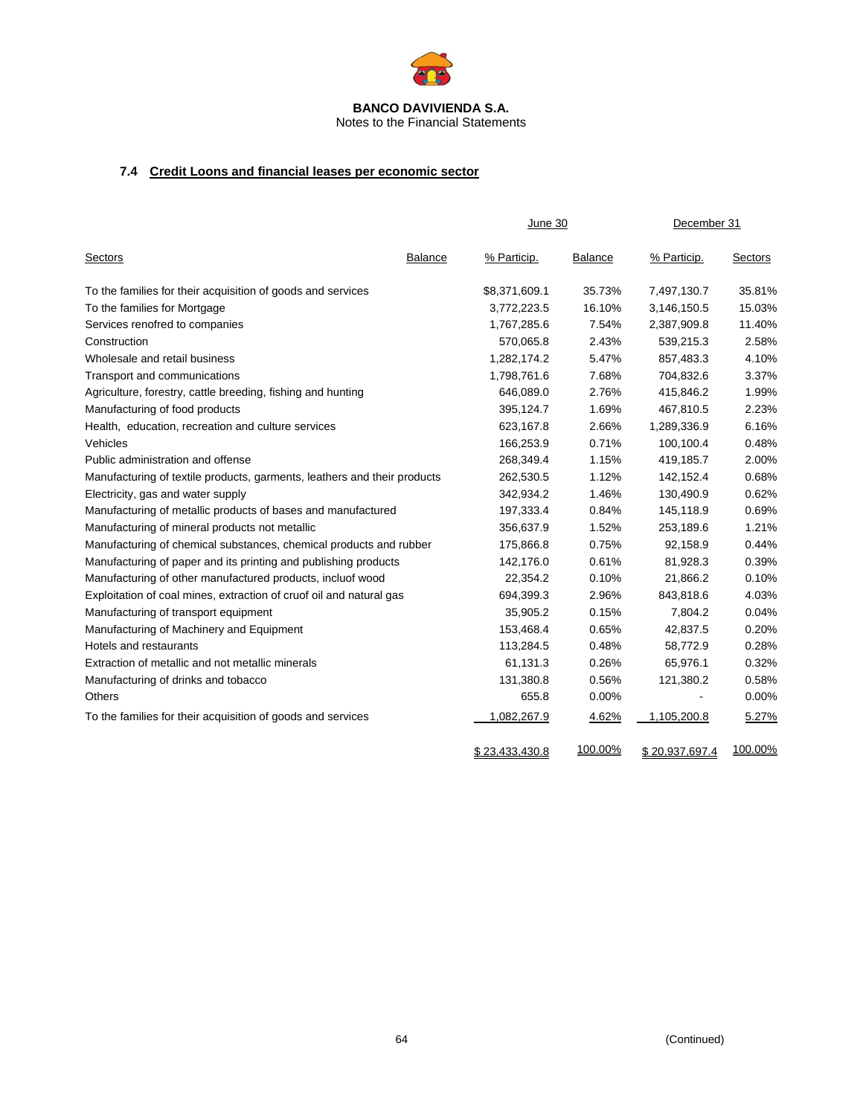

# Notes to the Financial Statements

# **7.4 Credit Loons and financial leases per economic sector**

|                                                                          |                | June 30               |         | December 31    |         |
|--------------------------------------------------------------------------|----------------|-----------------------|---------|----------------|---------|
| <b>Sectors</b>                                                           | <b>Balance</b> | % Particip.           | Balance | % Particip.    | Sectors |
| To the families for their acquisition of goods and services              |                | \$8,371,609.1         | 35.73%  | 7,497,130.7    | 35.81%  |
| To the families for Mortgage                                             |                | 3,772,223.5           | 16.10%  | 3,146,150.5    | 15.03%  |
| Services renofred to companies                                           |                | 1,767,285.6           | 7.54%   | 2,387,909.8    | 11.40%  |
| Construction                                                             |                | 570,065.8             | 2.43%   | 539,215.3      | 2.58%   |
| Wholesale and retail business                                            |                | 1,282,174.2           | 5.47%   | 857,483.3      | 4.10%   |
| Transport and communications                                             |                | 1,798,761.6           | 7.68%   | 704,832.6      | 3.37%   |
| Agriculture, forestry, cattle breeding, fishing and hunting              |                | 646,089.0             | 2.76%   | 415,846.2      | 1.99%   |
| Manufacturing of food products                                           |                | 395,124.7             | 1.69%   | 467,810.5      | 2.23%   |
| Health, education, recreation and culture services                       |                | 623,167.8             | 2.66%   | 1,289,336.9    | 6.16%   |
| Vehicles                                                                 |                | 166,253.9             | 0.71%   | 100,100.4      | 0.48%   |
| Public administration and offense                                        |                | 268,349.4             | 1.15%   | 419,185.7      | 2.00%   |
| Manufacturing of textile products, garments, leathers and their products |                | 262,530.5             | 1.12%   | 142,152.4      | 0.68%   |
| Electricity, gas and water supply                                        |                | 342,934.2             | 1.46%   | 130,490.9      | 0.62%   |
| Manufacturing of metallic products of bases and manufactured             |                | 197,333.4             | 0.84%   | 145,118.9      | 0.69%   |
| Manufacturing of mineral products not metallic                           |                | 356,637.9             | 1.52%   | 253,189.6      | 1.21%   |
| Manufacturing of chemical substances, chemical products and rubber       |                | 175,866.8             | 0.75%   | 92,158.9       | 0.44%   |
| Manufacturing of paper and its printing and publishing products          |                | 142,176.0             | 0.61%   | 81,928.3       | 0.39%   |
| Manufacturing of other manufactured products, incluof wood               |                | 22,354.2              | 0.10%   | 21,866.2       | 0.10%   |
| Exploitation of coal mines, extraction of cruof oil and natural gas      |                | 694,399.3             | 2.96%   | 843,818.6      | 4.03%   |
| Manufacturing of transport equipment                                     |                | 35,905.2              | 0.15%   | 7,804.2        | 0.04%   |
| Manufacturing of Machinery and Equipment                                 |                | 153,468.4             | 0.65%   | 42,837.5       | 0.20%   |
| Hotels and restaurants                                                   |                | 113,284.5             | 0.48%   | 58,772.9       | 0.28%   |
| Extraction of metallic and not metallic minerals                         |                | 61,131.3              | 0.26%   | 65,976.1       | 0.32%   |
| Manufacturing of drinks and tobacco                                      |                | 131,380.8             | 0.56%   | 121,380.2      | 0.58%   |
| <b>Others</b>                                                            |                | 655.8                 | 0.00%   |                | 0.00%   |
| To the families for their acquisition of goods and services              |                | 1,082,267.9           | 4.62%   | 1,105,200.8    | 5.27%   |
|                                                                          |                | <u>\$23,433,430.8</u> | 100.00% | \$20,937,697.4 | 100.00% |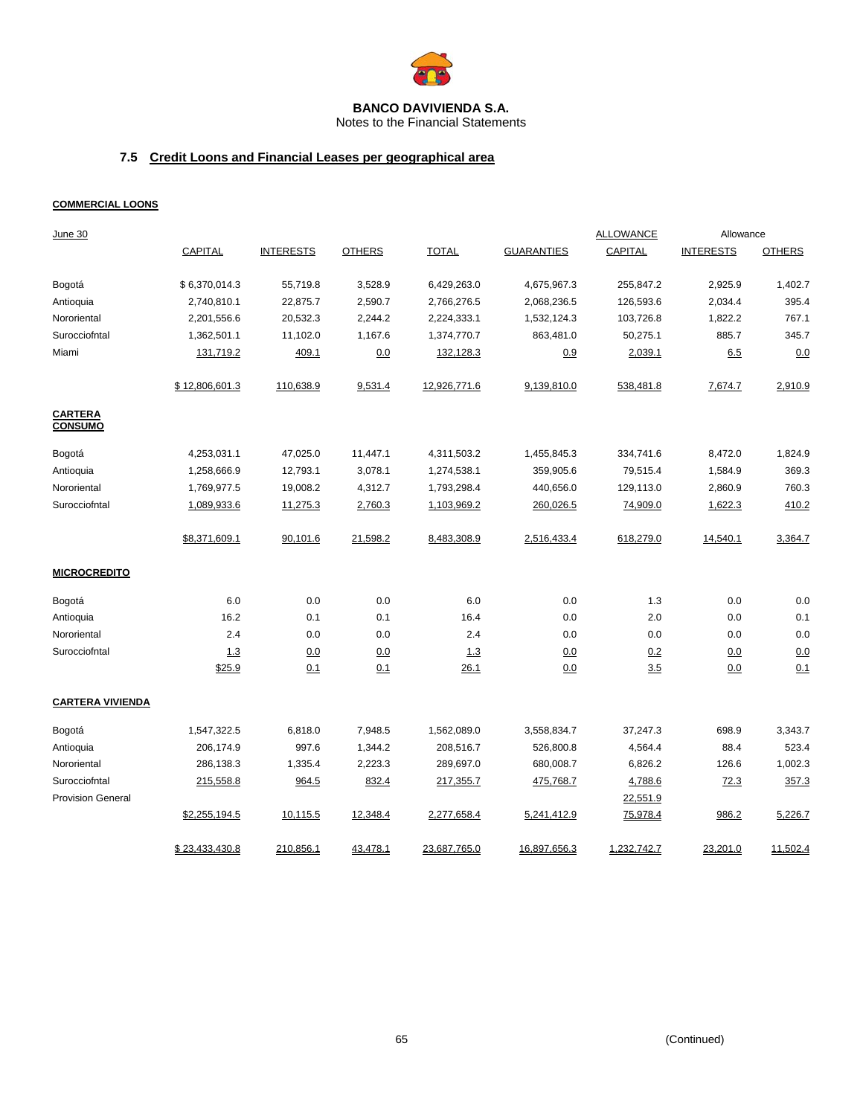

Notes to the Financial Statements

# **7.5 Credit Loons and Financial Leases per geographical area**

### **COMMERCIAL LOONS**

| June 30                          |                |                  |               |              |                   | <b>ALLOWANCE</b> | Allowance        |               |
|----------------------------------|----------------|------------------|---------------|--------------|-------------------|------------------|------------------|---------------|
|                                  | CAPITAL        | <b>INTERESTS</b> | <b>OTHERS</b> | <b>TOTAL</b> | <b>GUARANTIES</b> | <b>CAPITAL</b>   | <b>INTERESTS</b> | <b>OTHERS</b> |
| Bogotá                           | \$6,370,014.3  | 55,719.8         | 3,528.9       | 6,429,263.0  | 4,675,967.3       | 255,847.2        | 2,925.9          | 1,402.7       |
| Antioquia                        | 2,740,810.1    | 22,875.7         | 2,590.7       | 2,766,276.5  | 2,068,236.5       | 126,593.6        | 2,034.4          | 395.4         |
| Nororiental                      | 2,201,556.6    | 20,532.3         | 2,244.2       | 2,224,333.1  | 1,532,124.3       | 103,726.8        | 1,822.2          | 767.1         |
| Surocciofntal                    | 1,362,501.1    | 11,102.0         | 1,167.6       | 1,374,770.7  | 863,481.0         | 50,275.1         | 885.7            | 345.7         |
| Miami                            | 131,719.2      | 409.1            | 0.0           | 132,128.3    | 0.9               | 2,039.1          | 6.5              | 0.0           |
|                                  | \$12,806,601.3 | 110,638.9        | 9,531.4       | 12,926,771.6 | 9,139,810.0       | 538,481.8        | 7,674.7          | 2,910.9       |
| <b>CARTERA</b><br><b>CONSUMO</b> |                |                  |               |              |                   |                  |                  |               |
| Bogotá                           | 4,253,031.1    | 47,025.0         | 11,447.1      | 4,311,503.2  | 1,455,845.3       | 334,741.6        | 8,472.0          | 1,824.9       |
| Antioquia                        | 1,258,666.9    | 12,793.1         | 3,078.1       | 1,274,538.1  | 359,905.6         | 79,515.4         | 1,584.9          | 369.3         |
| Nororiental                      | 1,769,977.5    | 19,008.2         | 4,312.7       | 1,793,298.4  | 440,656.0         | 129,113.0        | 2,860.9          | 760.3         |
| Surocciofntal                    | 1,089,933.6    | 11,275.3         | 2,760.3       | 1,103,969.2  | 260,026.5         | 74,909.0         | 1,622.3          | 410.2         |
|                                  | \$8,371,609.1  | 90,101.6         | 21,598.2      | 8,483,308.9  | 2,516,433.4       | 618,279.0        | 14,540.1         | 3,364.7       |
| <b>MICROCREDITO</b>              |                |                  |               |              |                   |                  |                  |               |
| Bogotá                           | 6.0            | 0.0              | 0.0           | 6.0          | 0.0               | 1.3              | 0.0              | 0.0           |
| Antioquia                        | 16.2           | 0.1              | 0.1           | 16.4         | 0.0               | 2.0              | 0.0              | 0.1           |
| Nororiental                      | 2.4            | 0.0              | 0.0           | 2.4          | 0.0               | 0.0              | 0.0              | 0.0           |
| Surocciofntal                    | 1.3            | 0.0              | 0.0           | 1.3          | 0.0               | 0.2              | 0.0              | 0.0           |
|                                  | \$25.9         | 0.1              | 0.1           | 26.1         | 0.0               | 3.5              | 0.0              | 0.1           |
| <b>CARTERA VIVIENDA</b>          |                |                  |               |              |                   |                  |                  |               |
| Bogotá                           | 1,547,322.5    | 6,818.0          | 7,948.5       | 1,562,089.0  | 3,558,834.7       | 37,247.3         | 698.9            | 3,343.7       |
| Antioquia                        | 206,174.9      | 997.6            | 1,344.2       | 208,516.7    | 526,800.8         | 4,564.4          | 88.4             | 523.4         |
| Nororiental                      | 286,138.3      | 1,335.4          | 2,223.3       | 289,697.0    | 680,008.7         | 6,826.2          | 126.6            | 1,002.3       |
| Surocciofntal                    | 215,558.8      | 964.5            | 832.4         | 217,355.7    | 475,768.7         | 4,788.6          | 72.3             | 357.3         |
| <b>Provision General</b>         |                |                  |               |              |                   | 22,551.9         |                  |               |
|                                  | \$2,255,194.5  | 10,115.5         | 12,348.4      | 2,277,658.4  | 5,241,412.9       | 75,978.4         | 986.2            | 5,226.7       |
|                                  | \$23,433,430.8 | 210,856.1        | 43,478.1      | 23,687,765.0 | 16,897,656.3      | 1,232,742.7      | 23,201.0         | 11,502.4      |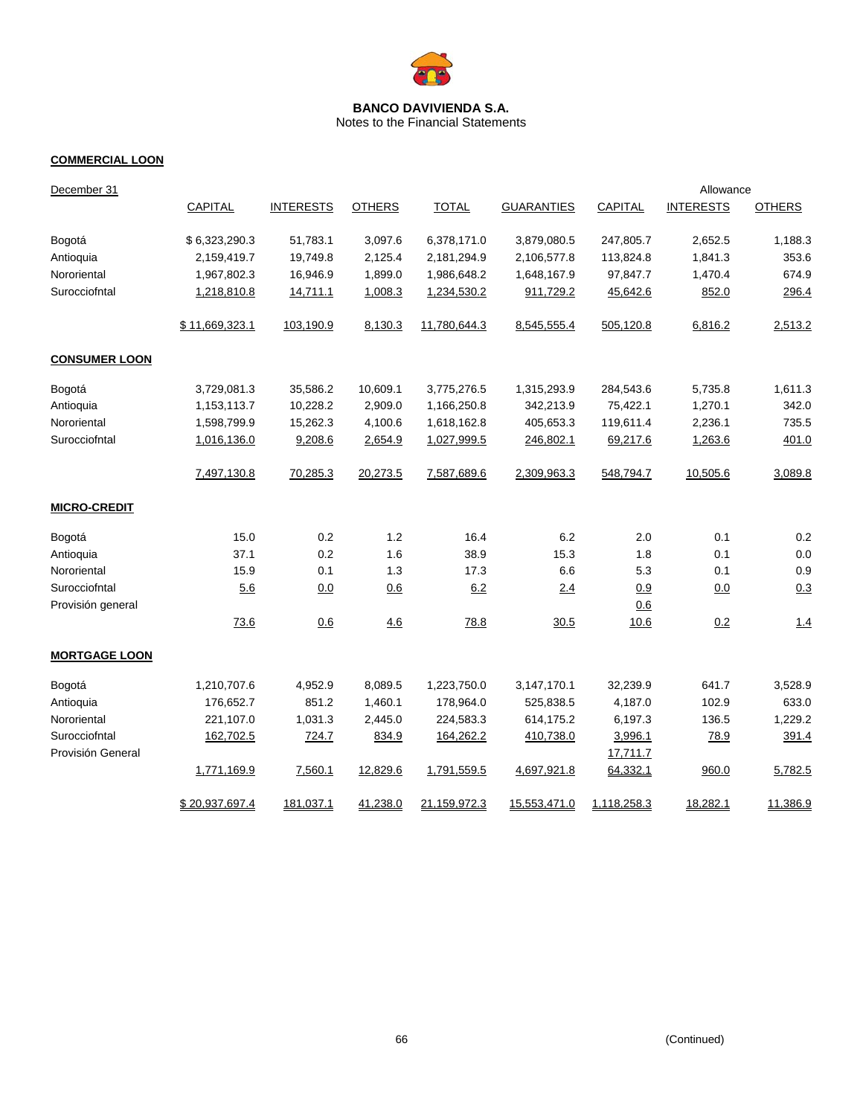

Notes to the Financial Statements

# **COMMERCIAL LOON**

| December 31                        |                |                  |               |              |                   |                     | Allowance        |               |
|------------------------------------|----------------|------------------|---------------|--------------|-------------------|---------------------|------------------|---------------|
|                                    | CAPITAL        | <b>INTERESTS</b> | <b>OTHERS</b> | <b>TOTAL</b> | <b>GUARANTIES</b> | <b>CAPITAL</b>      | <b>INTERESTS</b> | <b>OTHERS</b> |
| Bogotá                             | \$6,323,290.3  | 51,783.1         | 3,097.6       | 6,378,171.0  | 3,879,080.5       | 247,805.7           | 2,652.5          | 1,188.3       |
| Antioquia                          | 2,159,419.7    | 19,749.8         | 2,125.4       | 2,181,294.9  | 2,106,577.8       | 113,824.8           | 1,841.3          | 353.6         |
| Nororiental                        | 1,967,802.3    | 16,946.9         | 1,899.0       | 1,986,648.2  | 1,648,167.9       | 97,847.7            | 1,470.4          | 674.9         |
| Surocciofntal                      | 1,218,810.8    | 14,711.1         | 1,008.3       | 1,234,530.2  | 911,729.2         | 45,642.6            | 852.0            | 296.4         |
|                                    | \$11,669,323.1 | 103,190.9        | 8,130.3       | 11,780,644.3 | 8,545,555.4       | 505,120.8           | 6,816.2          | 2,513.2       |
| <b>CONSUMER LOON</b>               |                |                  |               |              |                   |                     |                  |               |
| Bogotá                             | 3,729,081.3    | 35,586.2         | 10,609.1      | 3,775,276.5  | 1,315,293.9       | 284,543.6           | 5,735.8          | 1,611.3       |
| Antioquia                          | 1,153,113.7    | 10,228.2         | 2,909.0       | 1,166,250.8  | 342,213.9         | 75,422.1            | 1,270.1          | 342.0         |
| Nororiental                        | 1,598,799.9    | 15,262.3         | 4,100.6       | 1,618,162.8  | 405,653.3         | 119,611.4           | 2,236.1          | 735.5         |
| Surocciofntal                      | 1,016,136.0    | 9,208.6          | 2,654.9       | 1,027,999.5  | 246,802.1         | 69,217.6            | 1,263.6          | 401.0         |
|                                    | 7,497,130.8    | 70,285.3         | 20,273.5      | 7,587,689.6  | 2,309,963.3       | 548,794.7           | 10,505.6         | 3,089.8       |
| <b>MICRO-CREDIT</b>                |                |                  |               |              |                   |                     |                  |               |
| Bogotá                             | 15.0           | 0.2              | 1.2           | 16.4         | 6.2               | 2.0                 | 0.1              | 0.2           |
| Antioquia                          | 37.1           | 0.2              | 1.6           | 38.9         | 15.3              | 1.8                 | 0.1              | 0.0           |
| Nororiental                        | 15.9           | 0.1              | 1.3           | 17.3         | 6.6               | 5.3                 | 0.1              | 0.9           |
| Surocciofntal                      | 5.6            | 0.0              | 0.6           | 6.2          | 2.4               | 0.9                 | 0.0              | 0.3           |
| Provisión general                  |                |                  |               |              |                   | 0.6                 |                  |               |
|                                    | 73.6           | 0.6              | 4.6           | 78.8         | 30.5              | 10.6                | 0.2              | 1.4           |
| <b>MORTGAGE LOON</b>               |                |                  |               |              |                   |                     |                  |               |
| Bogotá                             | 1,210,707.6    | 4,952.9          | 8,089.5       | 1,223,750.0  | 3,147,170.1       | 32,239.9            | 641.7            | 3,528.9       |
| Antioquia                          | 176,652.7      | 851.2            | 1,460.1       | 178,964.0    | 525,838.5         | 4,187.0             | 102.9            | 633.0         |
| Nororiental                        | 221,107.0      | 1,031.3          | 2,445.0       | 224,583.3    | 614,175.2         | 6,197.3             | 136.5            | 1,229.2       |
| Surocciofntal<br>Provisión General | 162,702.5      | 724.7            | 834.9         | 164,262.2    | 410,738.0         | 3,996.1<br>17,711.7 | 78.9             | 391.4         |
|                                    | 1,771,169.9    | 7,560.1          | 12,829.6      | 1,791,559.5  | 4,697,921.8       | 64,332.1            | 960.0            | 5,782.5       |
|                                    | \$20,937,697.4 | 181,037.1        | 41,238.0      | 21,159,972.3 | 15,553,471.0      | 1,118,258.3         | 18,282.1         | 11,386.9      |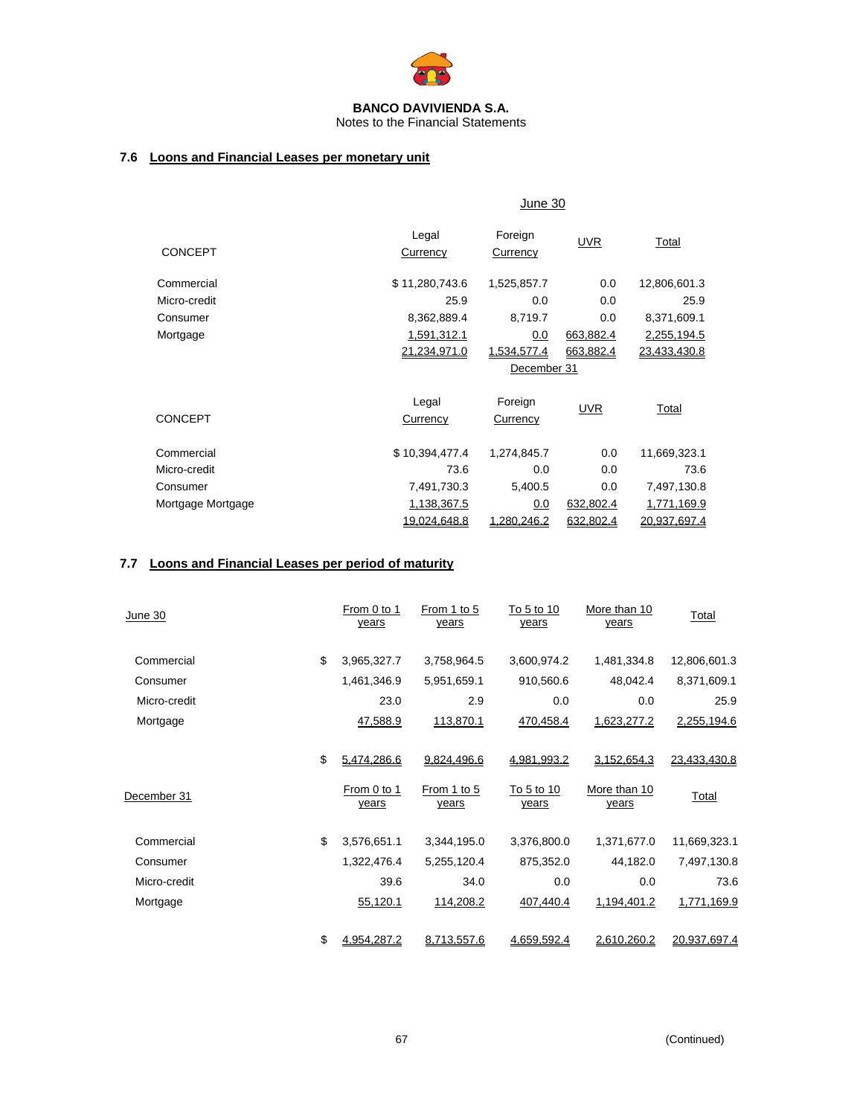

# Notes to the Financial Statements

# **7.6 Loons and Financial Leases per monetary unit**

|                   |                    | June 30             |            |              |  |
|-------------------|--------------------|---------------------|------------|--------------|--|
| <b>CONCEPT</b>    | Legal<br>Currency  | Foreign<br>Currency | <b>UVR</b> | Total        |  |
|                   |                    |                     |            |              |  |
| Commercial        | \$11,280,743.6     | 1,525,857.7         | 0.0        | 12,806,601.3 |  |
| Micro-credit      | 25.9               | 0.0                 | 0.0        | 25.9         |  |
| Consumer          | 8,362,889.4        | 8,719.7             | 0.0        | 8,371,609.1  |  |
| Mortgage          | <u>1,591,312.1</u> | 0.0                 | 663,882.4  | 2,255,194.5  |  |
|                   | 21,234,971.0       | 1,534,577.4         | 663,882.4  | 23,433,430.8 |  |
|                   |                    | December 31         |            |              |  |
|                   | Legal              | Foreign             | <b>UVR</b> | Total        |  |
| <b>CONCEPT</b>    | <b>Currency</b>    | Currency            |            |              |  |
| Commercial        | \$10,394,477.4     | 1,274,845.7         | 0.0        | 11,669,323.1 |  |
| Micro-credit      | 73.6               | 0.0                 | 0.0        | 73.6         |  |
| Consumer          | 7,491,730.3        | 5,400.5             | 0.0        | 7,497,130.8  |  |
| Mortgage Mortgage | 1,138,367.5        | 0.0                 | 632,802.4  | 1,771,169.9  |  |
|                   | 19.024.648.8       | 1.280.246.2         | 632.802.4  | 20.937.697.4 |  |

# **7.7 Loons and Financial Leases per period of maturity**

| June 30      | From 0 to 1<br>years | From 1 to 5<br>years | To 5 to 10<br>years | More than 10<br>years | Total        |
|--------------|----------------------|----------------------|---------------------|-----------------------|--------------|
| Commercial   | \$<br>3,965,327.7    | 3,758,964.5          | 3,600,974.2         | 1,481,334.8           | 12,806,601.3 |
| Consumer     | 1,461,346.9          | 5,951,659.1          | 910,560.6           | 48,042.4              | 8,371,609.1  |
| Micro-credit | 23.0                 | 2.9                  | 0.0                 | 0.0                   | 25.9         |
| Mortgage     | 47,588.9             | 113,870.1            | 470,458.4           | 1,623,277.2           | 2,255,194.6  |
|              | \$<br>5,474,286.6    | 9,824,496.6          | 4,981,993.2         | 3,152,654.3           | 23,433,430.8 |
| December 31  | From 0 to 1<br>years | From 1 to 5<br>years | To 5 to 10<br>years | More than 10<br>years | Total        |
| Commercial   | \$<br>3,576,651.1    | 3,344,195.0          | 3,376,800.0         | 1,371,677.0           | 11,669,323.1 |
| Consumer     | 1,322,476.4          | 5,255,120.4          | 875,352.0           | 44,182.0              | 7,497,130.8  |
| Micro-credit | 39.6                 | 34.0                 | 0.0                 | 0.0                   | 73.6         |
| Mortgage     | 55,120.1             | 114,208.2            | 407,440.4           | 1,194,401.2           | 1,771,169.9  |
|              | \$<br>4,954,287.2    | 8,713,557.6          | 4,659,592.4         | 2,610,260.2           | 20,937,697.4 |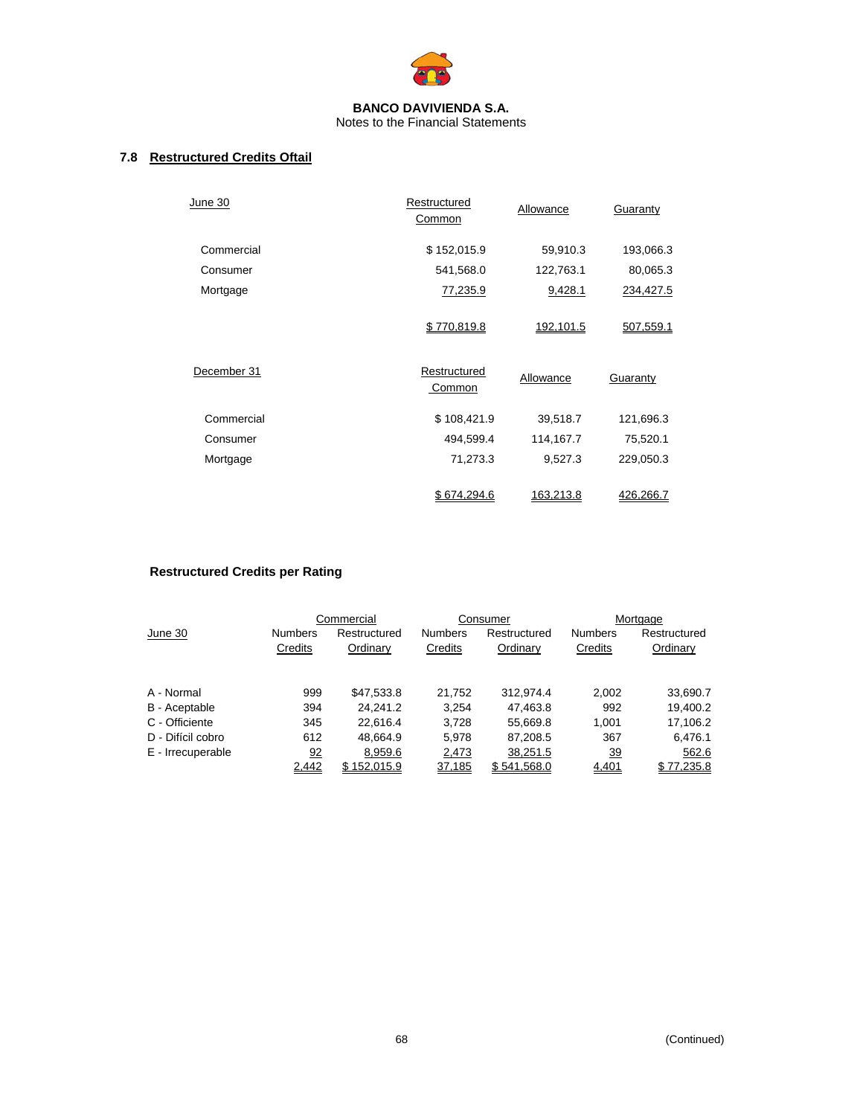

# **7.8 Restructured Credits Oftail**

| <b>June 30</b> | Restructured<br>Common | Allowance | Guaranty  |
|----------------|------------------------|-----------|-----------|
| Commercial     | \$152,015.9            | 59,910.3  | 193,066.3 |
| Consumer       | 541,568.0              | 122,763.1 | 80,065.3  |
| Mortgage       | 77,235.9               | 9,428.1   | 234,427.5 |
|                | \$770,819.8            | 192,101.5 | 507,559.1 |
| December 31    | Restructured<br>Common | Allowance | Guaranty  |
| Commercial     | \$108,421.9            | 39,518.7  | 121,696.3 |
| Consumer       | 494,599.4              | 114,167.7 | 75,520.1  |
| Mortgage       | 71,273.3               | 9,527.3   | 229,050.3 |
|                | \$674.294.6            | 163.213.8 | 426.266.7 |

# **Restructured Credits per Rating**

|                   |                           | Commercial               |                           | Consumer                 |                           | Mortgage                 |
|-------------------|---------------------------|--------------------------|---------------------------|--------------------------|---------------------------|--------------------------|
| June 30           | <b>Numbers</b><br>Credits | Restructured<br>Ordinary | <b>Numbers</b><br>Credits | Restructured<br>Ordinary | <b>Numbers</b><br>Credits | Restructured<br>Ordinary |
| A - Normal        | 999                       | \$47,533.8               | 21.752                    | 312.974.4                | 2,002                     | 33,690.7                 |
| B - Aceptable     | 394                       | 24.241.2                 | 3,254                     | 47,463.8                 | 992                       | 19,400.2                 |
| C - Officiente    | 345                       | 22.616.4                 | 3.728                     | 55,669.8                 | 1.001                     | 17,106.2                 |
| D - Difícil cobro | 612                       | 48.664.9                 | 5.978                     | 87,208.5                 | 367                       | 6,476.1                  |
| E - Irrecuperable | 92                        | 8,959.6                  | 2,473                     | 38,251.5                 | $\overline{39}$           | 562.6                    |
|                   | 2,442                     | \$152.015.9              | 37,185                    | \$541.568.0              | 4,401                     | \$77.235.8               |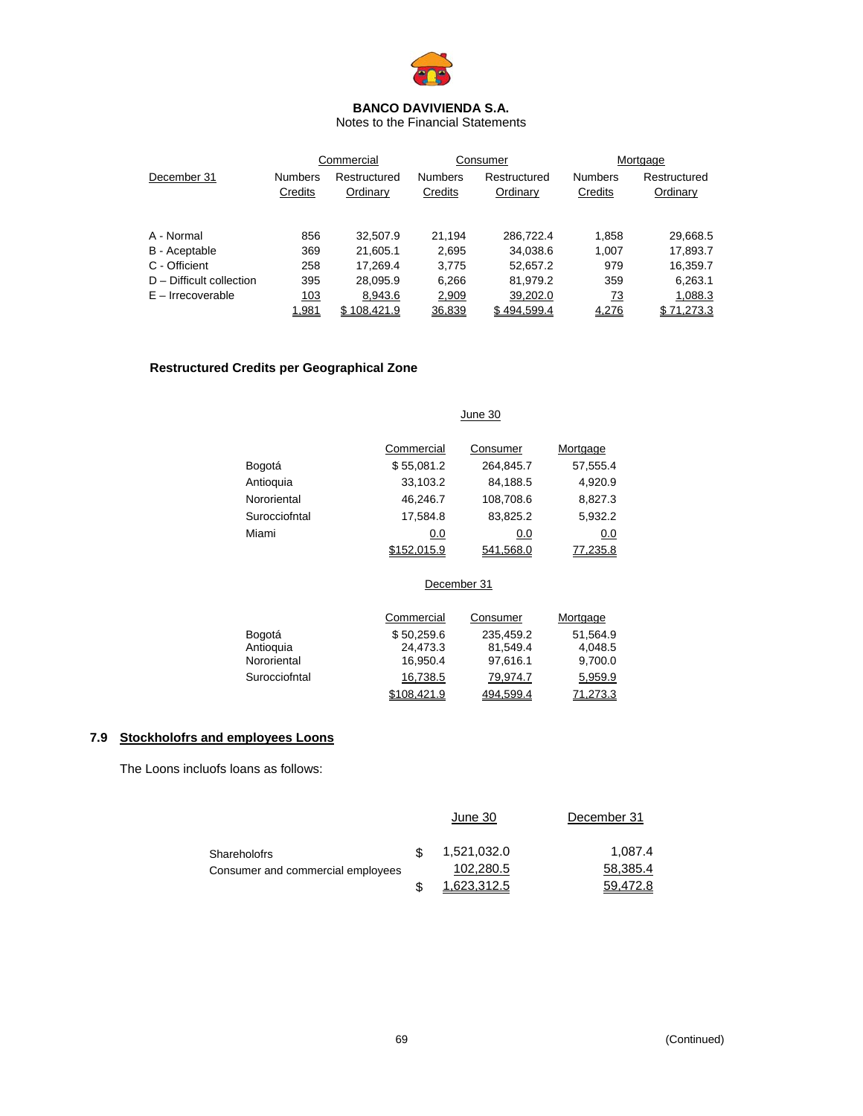

Notes to the Financial Statements

|                            | Commercial     |              |                | Consumer     | Mortgage       |              |  |
|----------------------------|----------------|--------------|----------------|--------------|----------------|--------------|--|
| December 31                | <b>Numbers</b> | Restructured | <b>Numbers</b> | Restructured | <b>Numbers</b> | Restructured |  |
|                            | Credits        | Ordinary     | Credits        | Ordinary     | Credits        | Ordinary     |  |
|                            |                |              |                |              |                |              |  |
| A - Normal                 | 856            | 32.507.9     | 21.194         | 286.722.4    | 1,858          | 29,668.5     |  |
| B - Aceptable              | 369            | 21,605.1     | 2,695          | 34,038.6     | 1,007          | 17,893.7     |  |
| C - Officient              | 258            | 17.269.4     | 3.775          | 52,657.2     | 979            | 16,359.7     |  |
| $D$ – Difficult collection | 395            | 28,095.9     | 6.266          | 81,979.2     | 359            | 6,263.1      |  |
| $E - Irrecoverable$        | 103            | 8,943.6      | 2,909          | 39,202.0     | <u>73</u>      | 1,088.3      |  |
|                            | 1,981          | \$108.421.9  | 36.839         | \$494.599.4  | 4,276          | \$71.273.3   |  |

# **Restructured Credits per Geographical Zone**

|               |            | June 30   |          |
|---------------|------------|-----------|----------|
|               | Commercial | Consumer  | Mortgage |
| Bogotá        | \$55,081.2 | 264,845.7 | 57,555.4 |
| Antioquia     | 33,103.2   | 84,188.5  | 4,920.9  |
| Nororiental   | 46,246.7   | 108,708.6 | 8,827.3  |
| Surocciofntal | 17,584.8   | 83,825.2  | 5,932.2  |
| Miami         | 0.0        | 0.0       | 0.0      |
|               | .015.9     | 541.568.0 | 77.235.8 |

### December 31

|               | Commercial  | Consumer  | Mortgage |
|---------------|-------------|-----------|----------|
| Bogotá        | \$50.259.6  | 235,459.2 | 51.564.9 |
| Antioquia     | 24,473.3    | 81.549.4  | 4,048.5  |
| Nororiental   | 16.950.4    | 97,616.1  | 9,700.0  |
| Surocciofntal | 16,738.5    | 79.974.7  | 5,959.9  |
|               | \$108.421.9 | 494.599.4 | 71.273.3 |

# **7.9 Stockholofrs and employees Loons**

The Loons incluofs loans as follows:

|                                   | June 30     | December 31 |
|-----------------------------------|-------------|-------------|
| <b>Shareholofrs</b>               | 1,521,032.0 | 1.087.4     |
| Consumer and commercial employees | 102,280.5   | 58,385.4    |
|                                   | 1,623,312.5 | 59,472.8    |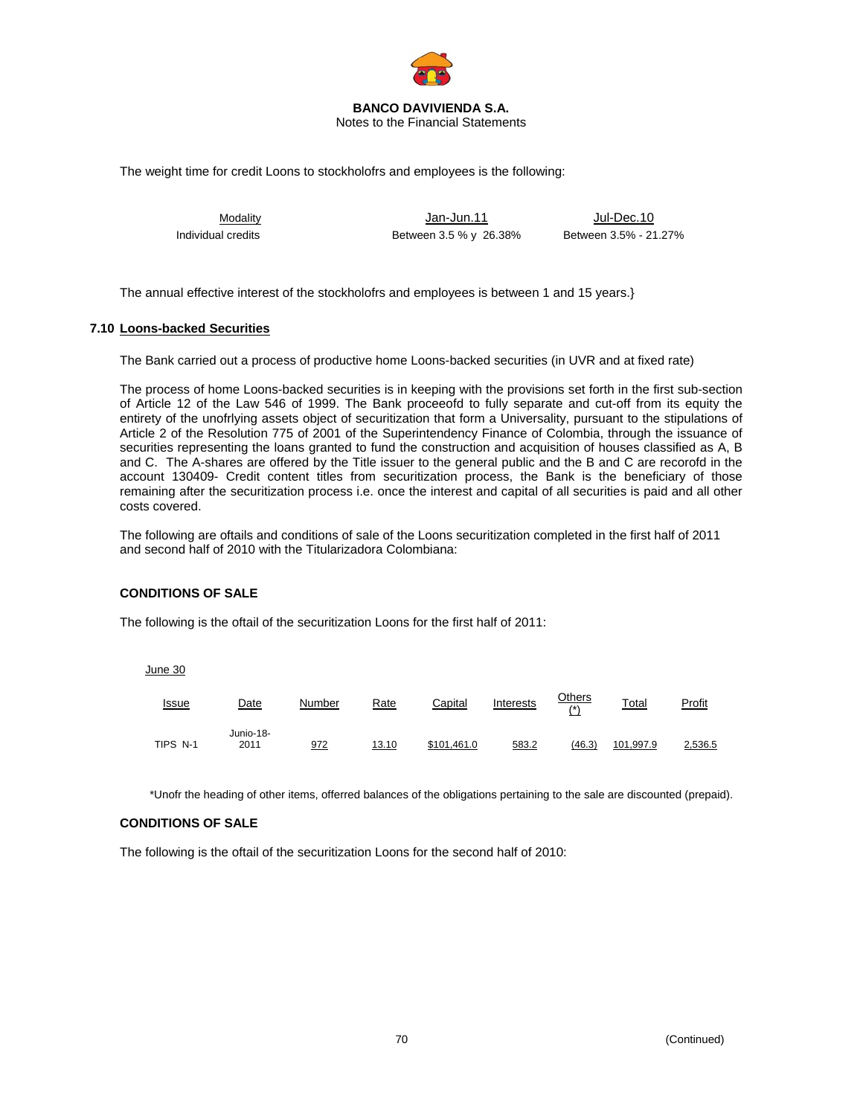

#### **BANCO DAVIVIENDA S.A.**  Notes to the Financial Statements

The weight time for credit Loons to stockholofrs and employees is the following:

Modality Jan-Jun.11 Jul-Dec.10 Individual credits **Between 3.5 % y 26.38%** Between 3.5 % - 21.27%

The annual effective interest of the stockholofrs and employees is between 1 and 15 years.}

### **7.10 Loons-backed Securities**

The Bank carried out a process of productive home Loons-backed securities (in UVR and at fixed rate)

The process of home Loons-backed securities is in keeping with the provisions set forth in the first sub-section of Article 12 of the Law 546 of 1999. The Bank proceeofd to fully separate and cut-off from its equity the entirety of the unofrlying assets object of securitization that form a Universality, pursuant to the stipulations of Article 2 of the Resolution 775 of 2001 of the Superintendency Finance of Colombia, through the issuance of securities representing the loans granted to fund the construction and acquisition of houses classified as A, B and C. The A-shares are offered by the Title issuer to the general public and the B and C are recorofd in the account 130409- Credit content titles from securitization process, the Bank is the beneficiary of those remaining after the securitization process i.e. once the interest and capital of all securities is paid and all other costs covered.

The following are oftails and conditions of sale of the Loons securitization completed in the first half of 2011 and second half of 2010 with the Titularizadora Colombiana:

# **CONDITIONS OF SALE**

The following is the oftail of the securitization Loons for the first half of 2011:

June 30

| <u>Issue</u> | Date              | Number | Rate  | Capital     | Interests | <u>Others</u><br>$(\star)$ | Total     | <b>Profit</b> |
|--------------|-------------------|--------|-------|-------------|-----------|----------------------------|-----------|---------------|
| TIPS N-1     | Junio-18-<br>2011 | 972    | 13.10 | \$101.461.0 | 583.2     | (46.3)                     | 101,997.9 | 2,536.5       |

\*Unofr the heading of other items, offerred balances of the obligations pertaining to the sale are discounted (prepaid).

### **CONDITIONS OF SALE**

The following is the oftail of the securitization Loons for the second half of 2010: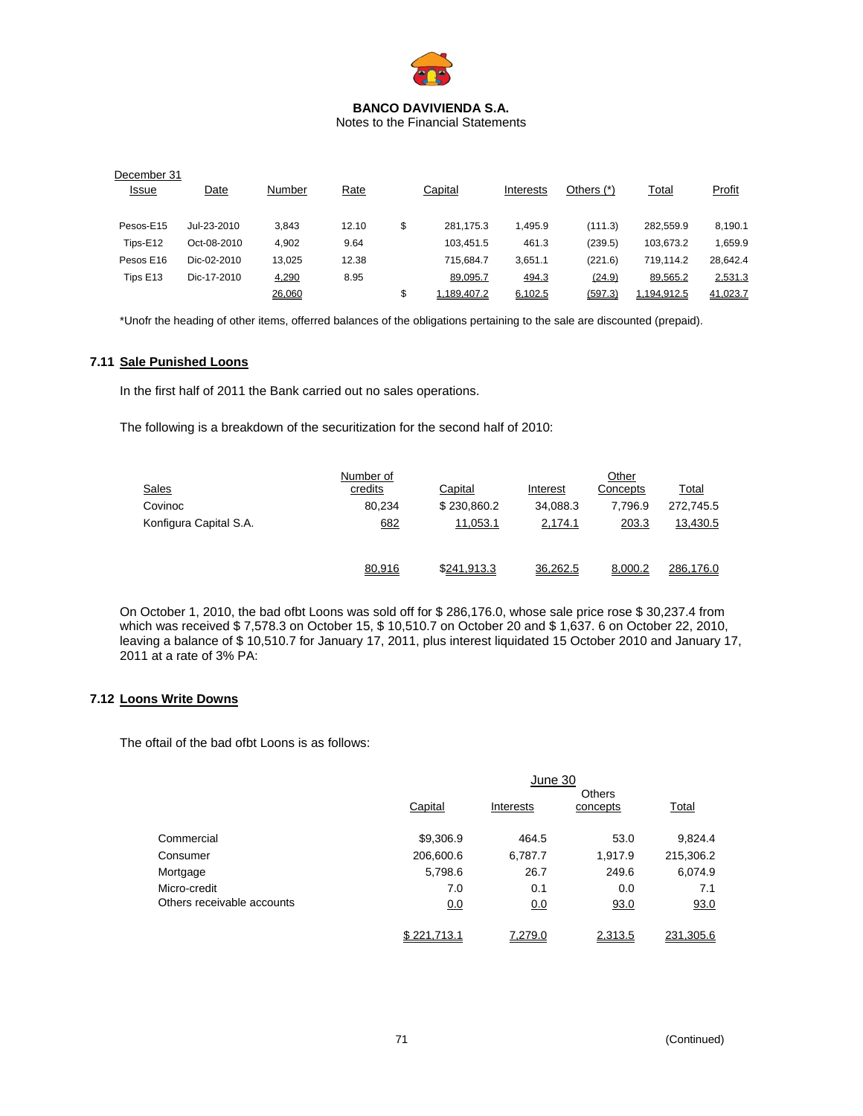

Notes to the Financial Statements

| December 31  |             |        |             |                   |           |              |              |               |
|--------------|-------------|--------|-------------|-------------------|-----------|--------------|--------------|---------------|
| <u>Issue</u> | Date        | Number | <b>Rate</b> | Capital           | Interests | Others $(*)$ | <u>Total</u> | <b>Profit</b> |
|              |             |        |             |                   |           |              |              |               |
| Pesos-E15    | Jul-23-2010 | 3.843  | 12.10       | \$<br>281.175.3   | 1.495.9   | (111.3)      | 282.559.9    | 8,190.1       |
| Tips-E12     | Oct-08-2010 | 4.902  | 9.64        | 103.451.5         | 461.3     | (239.5)      | 103.673.2    | 1,659.9       |
| Pesos E16    | Dic-02-2010 | 13,025 | 12.38       | 715.684.7         | 3,651.1   | (221.6)      | 719,114.2    | 28,642.4      |
| Tips E13     | Dic-17-2010 | 4,290  | 8.95        | 89,095.7          | 494.3     | (24.9)       | 89,565.2     | 2,531.3       |
|              |             | 26,060 |             | \$<br>1.189.407.2 | 6,102.5   | (597.3)      | 1,194,912.5  | 41,023.7      |

\*Unofr the heading of other items, offerred balances of the obligations pertaining to the sale are discounted (prepaid).

# **7.11 Sale Punished Loons**

In the first half of 2011 the Bank carried out no sales operations.

The following is a breakdown of the securitization for the second half of 2010:

|                        | Number of |             |          | Other    |           |
|------------------------|-----------|-------------|----------|----------|-----------|
| <b>Sales</b>           | credits   | Capital     | Interest | Concepts | Total     |
| Covinoc                | 80.234    | \$230,860.2 | 34,088.3 | 7.796.9  | 272,745.5 |
| Konfigura Capital S.A. | 682       | 11,053.1    | 2,174.1  | 203.3    | 13,430.5  |
|                        | 80,916    | \$241.913.3 | 36.262.5 | 8.000.2  | 286.176.0 |

On October 1, 2010, the bad ofbt Loons was sold off for \$ 286,176.0, whose sale price rose \$ 30,237.4 from which was received \$ 7,578.3 on October 15, \$ 10,510.7 on October 20 and \$ 1,637. 6 on October 22, 2010, leaving a balance of \$ 10,510.7 for January 17, 2011, plus interest liquidated 15 October 2010 and January 17, 2011 at a rate of 3% PA:

# **7.12 Loons Write Downs**

The oftail of the bad ofbt Loons is as follows:

|                            | June 30     |           |                           |           |  |  |
|----------------------------|-------------|-----------|---------------------------|-----------|--|--|
|                            | Capital     | Interests | <b>Others</b><br>concepts | Total     |  |  |
| Commercial                 | \$9,306.9   | 464.5     | 53.0                      | 9,824.4   |  |  |
| Consumer                   | 206,600.6   | 6,787.7   | 1,917.9                   | 215,306.2 |  |  |
| Mortgage                   | 5,798.6     | 26.7      | 249.6                     | 6,074.9   |  |  |
| Micro-credit               | 7.0         | 0.1       | 0.0                       | 7.1       |  |  |
| Others receivable accounts | 0.0         | 0.0       | 93.0                      | 93.0      |  |  |
|                            | \$221,713.1 | 7,279.0   | 2,313.5                   | 231,305.6 |  |  |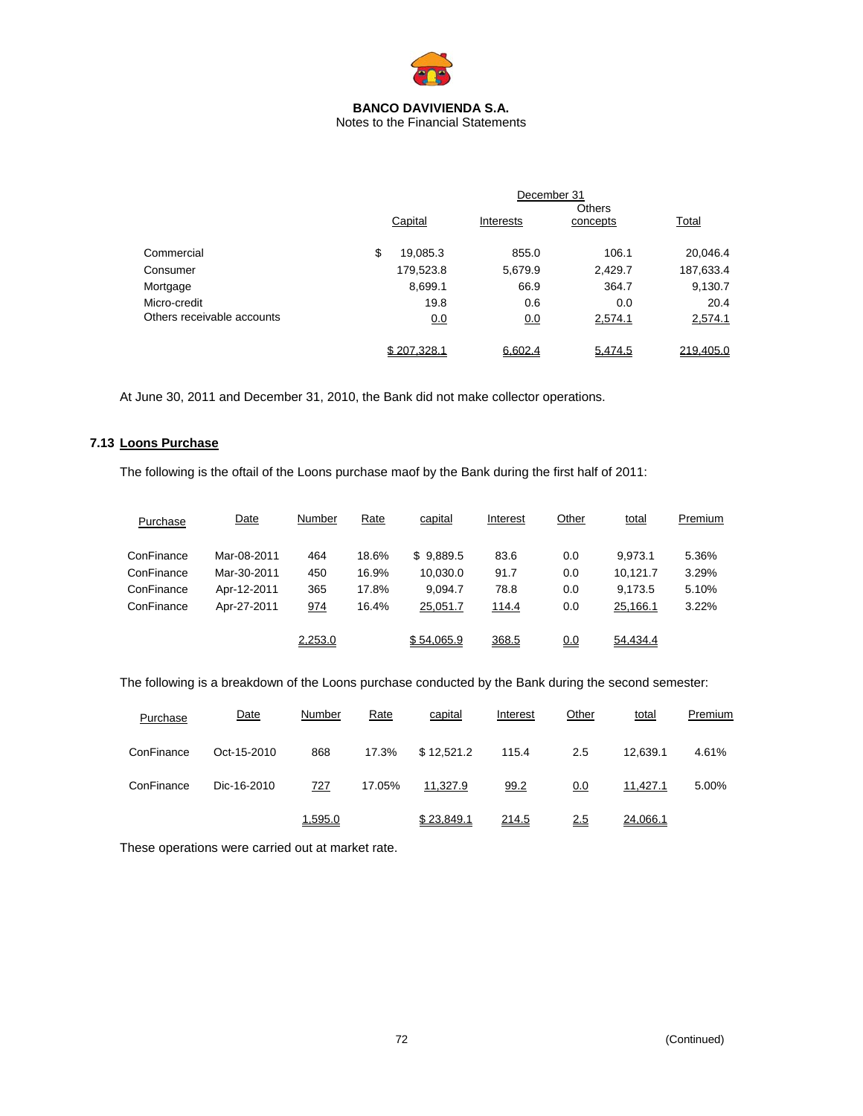

Notes to the Financial Statements

|                            | December 31 |             |           |                           |           |
|----------------------------|-------------|-------------|-----------|---------------------------|-----------|
|                            |             | Capital     | Interests | <b>Others</b><br>concepts | Total     |
| Commercial                 | \$          | 19,085.3    | 855.0     | 106.1                     | 20,046.4  |
| Consumer                   |             | 179,523.8   | 5,679.9   | 2,429.7                   | 187,633.4 |
| Mortgage                   |             | 8,699.1     | 66.9      | 364.7                     | 9,130.7   |
| Micro-credit               |             | 19.8        | 0.6       | 0.0                       | 20.4      |
| Others receivable accounts |             | 0.0         | 0.0       | 2,574.1                   | 2,574.1   |
|                            |             | \$207,328.1 | 6,602.4   | 5,474.5                   | 219,405.0 |

At June 30, 2011 and December 31, 2010, the Bank did not make collector operations.

### **7.13 Loons Purchase**

The following is the oftail of the Loons purchase maof by the Bank during the first half of 2011:

| Purchase   | Date        | Number  | Rate  | capital    | Interest | Other      | total    | Premium |
|------------|-------------|---------|-------|------------|----------|------------|----------|---------|
| ConFinance | Mar-08-2011 | 464     | 18.6% | \$9,889.5  | 83.6     | 0.0        | 9.973.1  | 5.36%   |
| ConFinance | Mar-30-2011 | 450     | 16.9% | 10,030.0   | 91.7     | 0.0        | 10.121.7 | 3.29%   |
| ConFinance | Apr-12-2011 | 365     | 17.8% | 9.094.7    | 78.8     | 0.0        | 9,173.5  | 5.10%   |
| ConFinance | Apr-27-2011 | 974     | 16.4% | 25.051.7   | 114.4    | 0.0        | 25,166.1 | 3.22%   |
|            |             | 2,253.0 |       | \$54,065.9 | 368.5    | <u>0.0</u> | 54,434.4 |         |

The following is a breakdown of the Loons purchase conducted by the Bank during the second semester:

| Purchase   | Date        | Number  | <b>Rate</b> | capital    | Interest | Other | total    | Premium |
|------------|-------------|---------|-------------|------------|----------|-------|----------|---------|
| ConFinance | Oct-15-2010 | 868     | 17.3%       | \$12,521.2 | 115.4    | 2.5   | 12.639.1 | 4.61%   |
| ConFinance | Dic-16-2010 | 727     | 17.05%      | 11,327.9   | 99.2     | 0.0   | 11,427.1 | 5.00%   |
|            |             | 1,595.0 |             | \$23.849.1 | 214.5    | 2.5   | 24.066.1 |         |

These operations were carried out at market rate.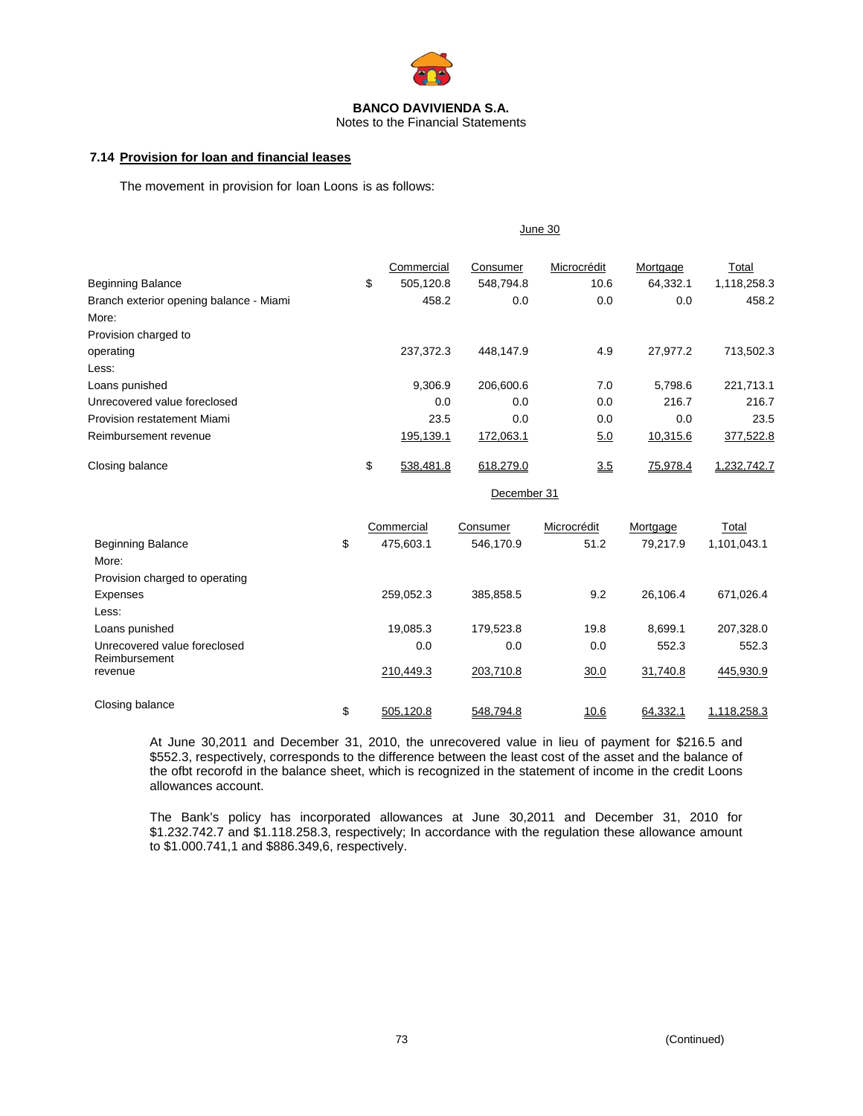

Notes to the Financial Statements

# **7.14 Provision for loan and financial leases**

The movement in provision for loan Loons is as follows:

|                                         | June 30 |            |           |             |          |             |
|-----------------------------------------|---------|------------|-----------|-------------|----------|-------------|
|                                         |         | Commercial | Consumer  | Microcrédit | Mortgage | Total       |
| <b>Beginning Balance</b>                | \$      | 505,120.8  | 548,794.8 | 10.6        | 64,332.1 | 1,118,258.3 |
| Branch exterior opening balance - Miami |         | 458.2      | 0.0       | 0.0         | 0.0      | 458.2       |
| More:                                   |         |            |           |             |          |             |
| Provision charged to                    |         |            |           |             |          |             |
| operating                               |         | 237.372.3  | 448.147.9 | 4.9         | 27,977.2 | 713,502.3   |
| Less:                                   |         |            |           |             |          |             |
| Loans punished                          |         | 9,306.9    | 206,600.6 | 7.0         | 5,798.6  | 221,713.1   |
| Unrecovered value foreclosed            |         | 0.0        | 0.0       | 0.0         | 216.7    | 216.7       |
| Provision restatement Miami             |         | 23.5       | 0.0       | 0.0         | 0.0      | 23.5        |
| Reimbursement revenue                   |         | 195,139.1  | 172,063.1 | 5.0         | 10,315.6 | 377,522.8   |
| Closing balance                         | \$      | 538.481.8  | 618,279.0 | 3.5         | 75,978.4 | 1,232,742.7 |

December 31

|                                | Commercial      | Consumer  | Microcrédit | Mortgage | Total       |
|--------------------------------|-----------------|-----------|-------------|----------|-------------|
| <b>Beginning Balance</b>       | \$<br>475.603.1 | 546.170.9 | 51.2        | 79.217.9 | 1,101,043.1 |
| More:                          |                 |           |             |          |             |
| Provision charged to operating |                 |           |             |          |             |
| Expenses                       | 259.052.3       | 385.858.5 | 9.2         | 26.106.4 | 671.026.4   |
| Less:                          |                 |           |             |          |             |
| Loans punished                 | 19.085.3        | 179.523.8 | 19.8        | 8.699.1  | 207.328.0   |
| Unrecovered value foreclosed   | 0.0             | 0.0       | 0.0         | 552.3    | 552.3       |
| Reimbursement<br>revenue       | 210.449.3       | 203.710.8 | 30.0        | 31,740.8 | 445,930.9   |
| Closing balance                | \$<br>505.120.8 | 548.794.8 | 10.6        | 64.332.1 | 1.118.258.3 |

At June 30,2011 and December 31, 2010, the unrecovered value in lieu of payment for \$216.5 and \$552.3, respectively, corresponds to the difference between the least cost of the asset and the balance of the ofbt recorofd in the balance sheet, which is recognized in the statement of income in the credit Loons allowances account.

The Bank's policy has incorporated allowances at June 30,2011 and December 31, 2010 for \$1.232.742.7 and \$1.118.258.3, respectively; In accordance with the regulation these allowance amount to \$1.000.741,1 and \$886.349,6, respectively.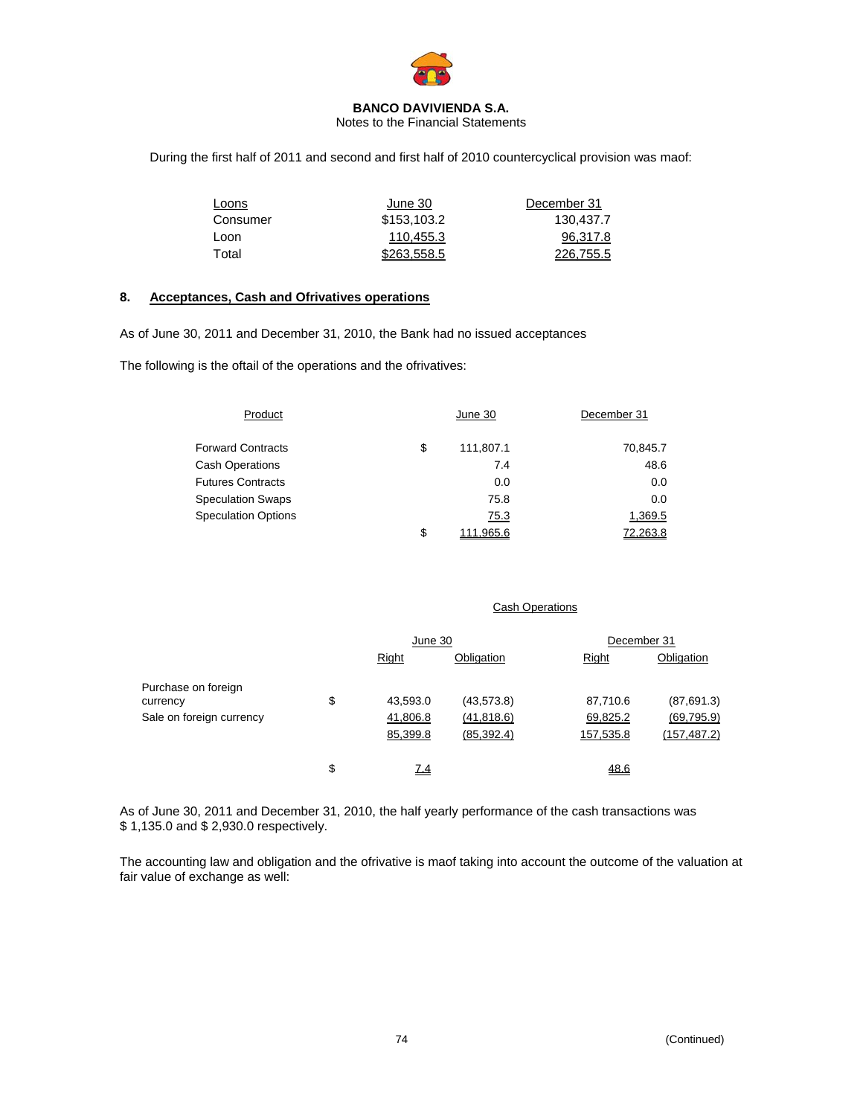

Notes to the Financial Statements

During the first half of 2011 and second and first half of 2010 countercyclical provision was maof:

| Loons    | June 30     | December 31 |
|----------|-------------|-------------|
| Consumer | \$153,103.2 | 130.437.7   |
| Loon     | 110.455.3   | 96.317.8    |
| Total    | \$263,558.5 | 226.755.5   |

# **8. Acceptances, Cash and Ofrivatives operations**

As of June 30, 2011 and December 31, 2010, the Bank had no issued acceptances

The following is the oftail of the operations and the ofrivatives:

| Product                    | June 30         | December 31 |  |
|----------------------------|-----------------|-------------|--|
| <b>Forward Contracts</b>   | \$<br>111,807.1 | 70,845.7    |  |
| <b>Cash Operations</b>     | 7.4             | 48.6        |  |
| <b>Futures Contracts</b>   | 0.0             | 0.0         |  |
| <b>Speculation Swaps</b>   | 75.8            | 0.0         |  |
| <b>Speculation Options</b> | 75.3            | 1,369.5     |  |
|                            | \$<br>111.965.6 | 72.263.8    |  |

#### Cash Operations

|                          | June 30        |             | December 31  |              |
|--------------------------|----------------|-------------|--------------|--------------|
|                          | Right          | Obligation  | <b>Right</b> | Obligation   |
| Purchase on foreign      |                |             |              |              |
| currency                 | \$<br>43,593.0 | (43, 573.8) | 87,710.6     | (87,691.3)   |
| Sale on foreign currency | 41,806.8       | (41, 818.6) | 69,825.2     | (69, 795.9)  |
|                          | 85,399.8       | (85, 392.4) | 157,535.8    | (157, 487.2) |
|                          |                |             |              |              |
|                          | \$<br>Z.4      |             | 48.6         |              |

As of June 30, 2011 and December 31, 2010, the half yearly performance of the cash transactions was \$ 1,135.0 and \$ 2,930.0 respectively.

The accounting law and obligation and the ofrivative is maof taking into account the outcome of the valuation at fair value of exchange as well: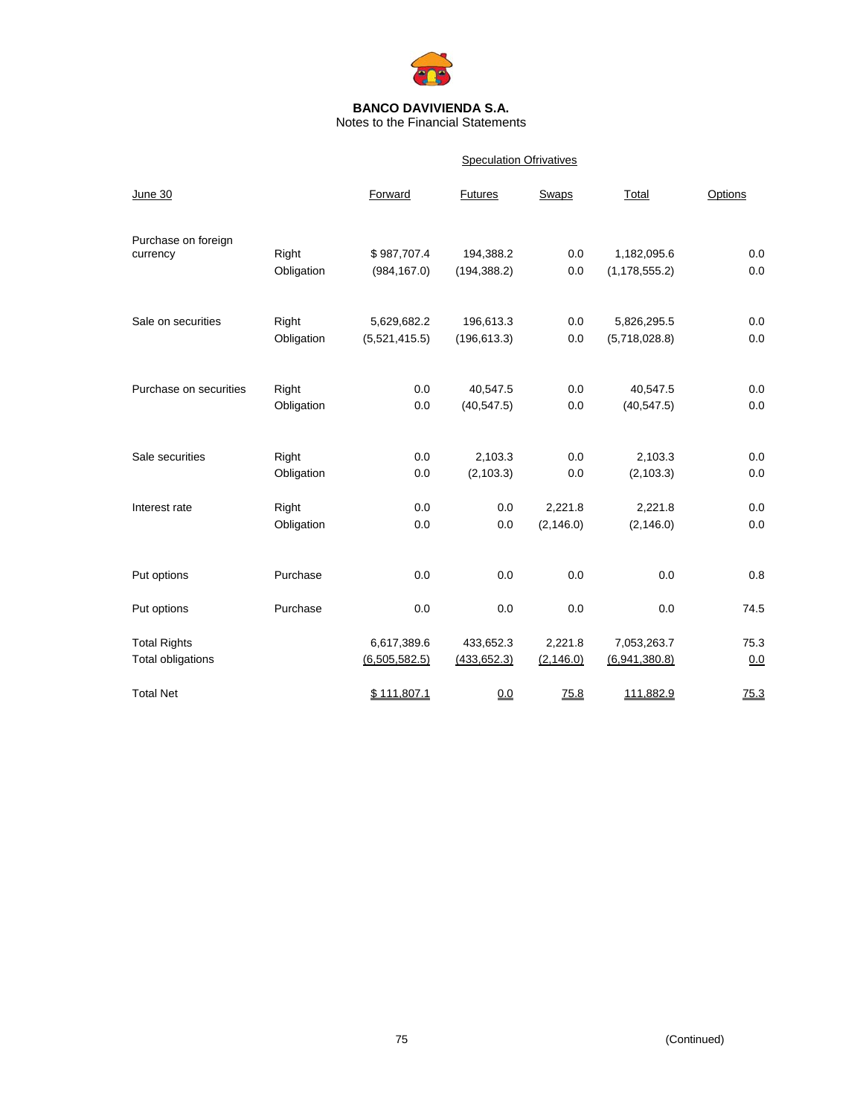

Notes to the Financial Statements

#### **Speculation Ofrivatives**

| June 30                |            | Forward       | <b>Futures</b> | <b>Swaps</b> | Total           | Options |
|------------------------|------------|---------------|----------------|--------------|-----------------|---------|
| Purchase on foreign    | Right      | \$987,707.4   | 194,388.2      | 0.0          | 1,182,095.6     | 0.0     |
| currency               | Obligation | (984, 167.0)  | (194, 388.2)   | 0.0          | (1, 178, 555.2) | 0.0     |
| Sale on securities     | Right      | 5,629,682.2   | 196,613.3      | 0.0          | 5,826,295.5     | 0.0     |
|                        | Obligation | (5,521,415.5) | (196, 613.3)   | 0.0          | (5,718,028.8)   | 0.0     |
| Purchase on securities | Right      | 0.0           | 40,547.5       | 0.0          | 40,547.5        | 0.0     |
|                        | Obligation | 0.0           | (40, 547.5)    | 0.0          | (40, 547.5)     | 0.0     |
| Sale securities        | Right      | 0.0           | 2,103.3        | 0.0          | 2,103.3         | 0.0     |
|                        | Obligation | 0.0           | (2, 103.3)     | 0.0          | (2, 103.3)      | 0.0     |
| Interest rate          | Right      | 0.0           | 0.0            | 2,221.8      | 2,221.8         | 0.0     |
|                        | Obligation | 0.0           | 0.0            | (2, 146.0)   | (2, 146.0)      | 0.0     |
| Put options            | Purchase   | 0.0           | 0.0            | 0.0          | 0.0             | 0.8     |
| Put options            | Purchase   | 0.0           | 0.0            | 0.0          | 0.0             | 74.5    |
| <b>Total Rights</b>    |            | 6,617,389.6   | 433,652.3      | 2,221.8      | 7,053,263.7     | 75.3    |
| Total obligations      |            | (6,505,582.5) | (433, 652.3)   | (2, 146.0)   | (6,941,380.8)   | 0.0     |
| <b>Total Net</b>       |            | \$111,807.1   | 0.0            | 75.8         | 111,882.9       | 75.3    |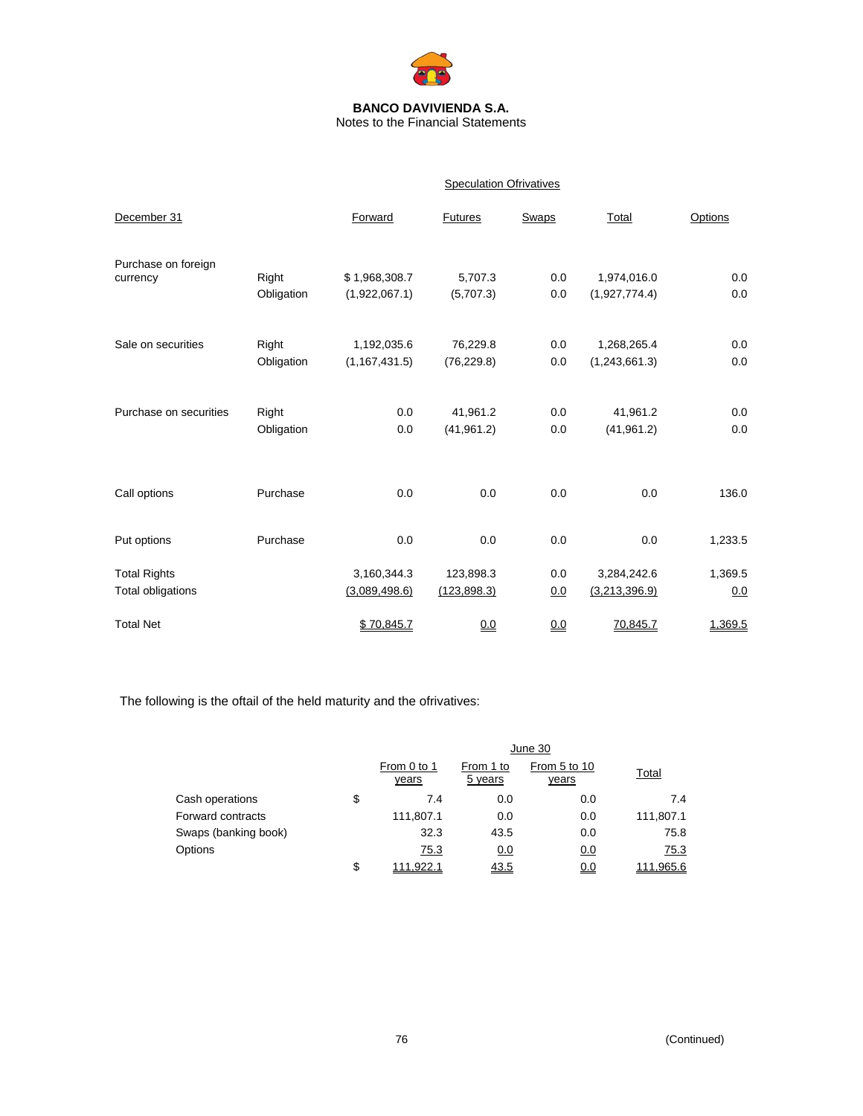

Notes to the Financial Statements

|                                          |                     |                                | <b>Speculation Ofrivatives</b> |              |                              |                |
|------------------------------------------|---------------------|--------------------------------|--------------------------------|--------------|------------------------------|----------------|
| December 31                              |                     | Forward                        | <b>Futures</b>                 | <b>Swaps</b> | Total                        | Options        |
| Purchase on foreign<br>currency          | Right<br>Obligation | \$1,968,308.7<br>(1,922,067.1) | 5,707.3<br>(5,707.3)           | 0.0<br>0.0   | 1,974,016.0<br>(1,927,774.4) | 0.0<br>0.0     |
| Sale on securities                       | Right<br>Obligation | 1,192,035.6<br>(1, 167, 431.5) | 76,229.8<br>(76, 229.8)        | 0.0<br>0.0   | 1,268,265.4<br>(1,243,661.3) | 0.0<br>0.0     |
| Purchase on securities                   | Right<br>Obligation | 0.0<br>0.0                     | 41,961.2<br>(41, 961.2)        | 0.0<br>0.0   | 41,961.2<br>(41, 961.2)      | 0.0<br>0.0     |
| Call options                             | Purchase            | 0.0                            | 0.0                            | 0.0          | 0.0                          | 136.0          |
| Put options                              | Purchase            | 0.0                            | 0.0                            | 0.0          | 0.0                          | 1,233.5        |
| <b>Total Rights</b><br>Total obligations |                     | 3,160,344.3<br>(3,089,498.6)   | 123,898.3<br>(123, 898.3)      | 0.0<br>0.0   | 3,284,242.6<br>(3,213,396.9) | 1,369.5<br>0.0 |
| <b>Total Net</b>                         |                     | \$70,845.7                     | 0.0                            | 0.0          | 70,845.7                     | 1,369.5        |

The following is the oftail of the held maturity and the ofrivatives:

|                      | June 30              |                      |                              |              |  |
|----------------------|----------------------|----------------------|------------------------------|--------------|--|
|                      | From 0 to 1<br>years | From 1 to<br>5 years | From 5 to 10<br><u>years</u> | <b>Total</b> |  |
| Cash operations      | \$<br>7.4            | 0.0                  | 0.0                          | 7.4          |  |
| Forward contracts    | 111,807.1            | 0.0                  | 0.0                          | 111,807.1    |  |
| Swaps (banking book) | 32.3                 | 43.5                 | 0.0                          | 75.8         |  |
| Options              | 75.3                 | 0.0                  | 0.0                          | 75.3         |  |
|                      | \$<br>111.922.1      | 43.5                 | <u>0.0</u>                   | 111.965.6    |  |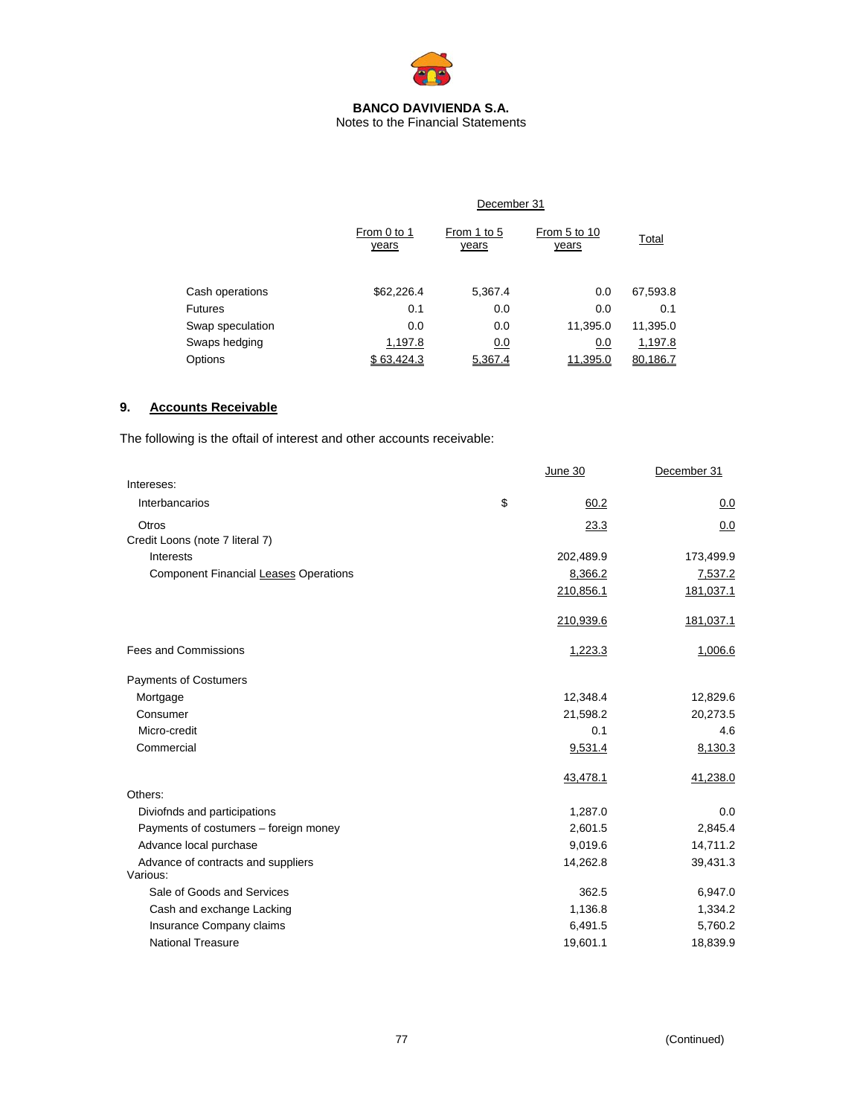

Notes to the Financial Statements

|                  | December 31          |                             |                              |          |  |  |  |
|------------------|----------------------|-----------------------------|------------------------------|----------|--|--|--|
|                  | From 0 to 1<br>years | From 1 to 5<br><u>years</u> | From 5 to 10<br><u>years</u> | Total    |  |  |  |
| Cash operations  | \$62,226.4           | 5,367.4                     | 0.0                          | 67,593.8 |  |  |  |
| <b>Futures</b>   | 0.1                  | 0.0                         | 0.0                          | 0.1      |  |  |  |
| Swap speculation | 0.0                  | 0.0                         | 11,395.0                     | 11,395.0 |  |  |  |
| Swaps hedging    | 1,197.8              | 0.0                         | 0.0                          | 1,197.8  |  |  |  |
| Options          | \$63.424.3           | 5.367.4                     | 11.395.0                     | 80.186.Z |  |  |  |

## **9. Accounts Receivable**

The following is the oftail of interest and other accounts receivable:

|                                                | June 30    | December 31 |
|------------------------------------------------|------------|-------------|
| Intereses:                                     |            |             |
| Interbancarios                                 | \$<br>60.2 | 0.0         |
| Otros                                          | 23.3       | 0.0         |
| Credit Loons (note 7 literal 7)                |            |             |
| Interests                                      | 202,489.9  | 173,499.9   |
| Component Financial Leases Operations          | 8,366.2    | 7,537.2     |
|                                                | 210,856.1  | 181,037.1   |
|                                                | 210,939.6  | 181,037.1   |
| <b>Fees and Commissions</b>                    | 1,223.3    | 1,006.6     |
| Payments of Costumers                          |            |             |
| Mortgage                                       | 12,348.4   | 12,829.6    |
| Consumer                                       | 21,598.2   | 20,273.5    |
| Micro-credit                                   | 0.1        | 4.6         |
| Commercial                                     | 9,531.4    | 8,130.3     |
|                                                | 43,478.1   | 41,238.0    |
| Others:                                        |            |             |
| Diviofnds and participations                   | 1,287.0    | 0.0         |
| Payments of costumers - foreign money          | 2,601.5    | 2,845.4     |
| Advance local purchase                         | 9,019.6    | 14,711.2    |
| Advance of contracts and suppliers<br>Various: | 14,262.8   | 39,431.3    |
| Sale of Goods and Services                     | 362.5      | 6,947.0     |
| Cash and exchange Lacking                      | 1,136.8    | 1,334.2     |
| Insurance Company claims                       | 6,491.5    | 5,760.2     |
| <b>National Treasure</b>                       | 19,601.1   | 18,839.9    |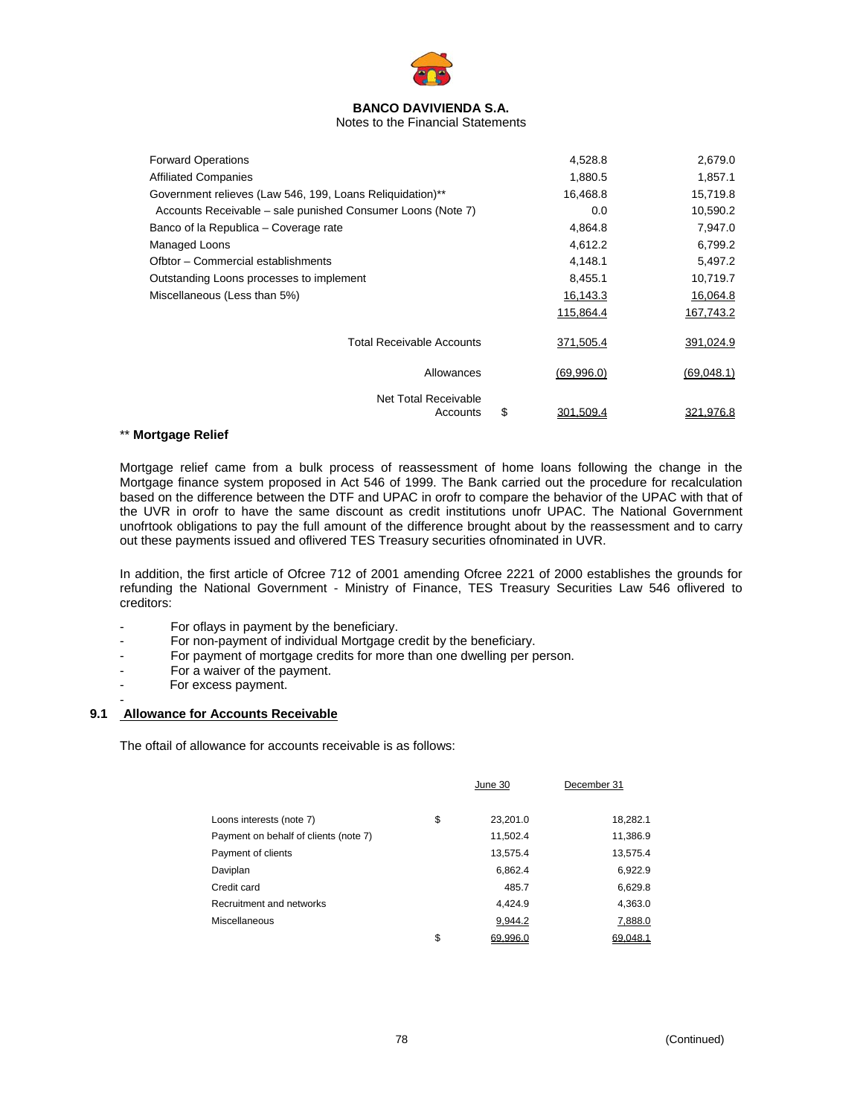

#### Notes to the Financial Statements

| <b>Forward Operations</b>                                   | 4,528.8         | 2,679.0    |
|-------------------------------------------------------------|-----------------|------------|
| <b>Affiliated Companies</b>                                 | 1,880.5         | 1,857.1    |
| Government relieves (Law 546, 199, Loans Reliquidation)**   | 16,468.8        | 15,719.8   |
| Accounts Receivable – sale punished Consumer Loons (Note 7) | 0.0             | 10,590.2   |
| Banco of la Republica - Coverage rate                       | 4,864.8         | 7,947.0    |
| Managed Loons                                               | 4,612.2         | 6,799.2    |
| Ofbtor - Commercial establishments                          | 4,148.1         | 5,497.2    |
| Outstanding Loons processes to implement                    | 8,455.1         | 10,719.7   |
| Miscellaneous (Less than 5%)                                | 16,143.3        | 16,064.8   |
|                                                             | 115,864.4       | 167,743.2  |
| <b>Total Receivable Accounts</b>                            | 371,505.4       | 391,024.9  |
| Allowances                                                  | (69,996.0)      | (69,048.1) |
| Net Total Receivable<br>Accounts                            | \$<br>301,509.4 | 321,976.8  |
|                                                             |                 |            |

#### \*\* **Mortgage Relief**

Mortgage relief came from a bulk process of reassessment of home loans following the change in the Mortgage finance system proposed in Act 546 of 1999. The Bank carried out the procedure for recalculation based on the difference between the DTF and UPAC in orofr to compare the behavior of the UPAC with that of the UVR in orofr to have the same discount as credit institutions unofr UPAC. The National Government unofrtook obligations to pay the full amount of the difference brought about by the reassessment and to carry out these payments issued and oflivered TES Treasury securities ofnominated in UVR.

In addition, the first article of Ofcree 712 of 2001 amending Ofcree 2221 of 2000 establishes the grounds for refunding the National Government - Ministry of Finance, TES Treasury Securities Law 546 oflivered to creditors:

- For oflays in payment by the beneficiary.
- For non-payment of individual Mortgage credit by the beneficiary.
- For payment of mortgage credits for more than one dwelling per person.
- For a waiver of the payment.
- For excess payment.

-

#### **9.1 Allowance for Accounts Receivable**

The oftail of allowance for accounts receivable is as follows:

|                                       | June 30        | December 31 |
|---------------------------------------|----------------|-------------|
| Loons interests (note 7)              | \$<br>23,201.0 | 18,282.1    |
| Payment on behalf of clients (note 7) | 11,502.4       | 11,386.9    |
| Payment of clients                    | 13,575.4       | 13,575.4    |
| Daviplan                              | 6,862.4        | 6,922.9     |
| Credit card                           | 485.7          | 6,629.8     |
| Recruitment and networks              | 4.424.9        | 4,363.0     |
| Miscellaneous                         | 9,944.2        | 7,888.0     |
|                                       | \$<br>69.996.0 | 69.048.1    |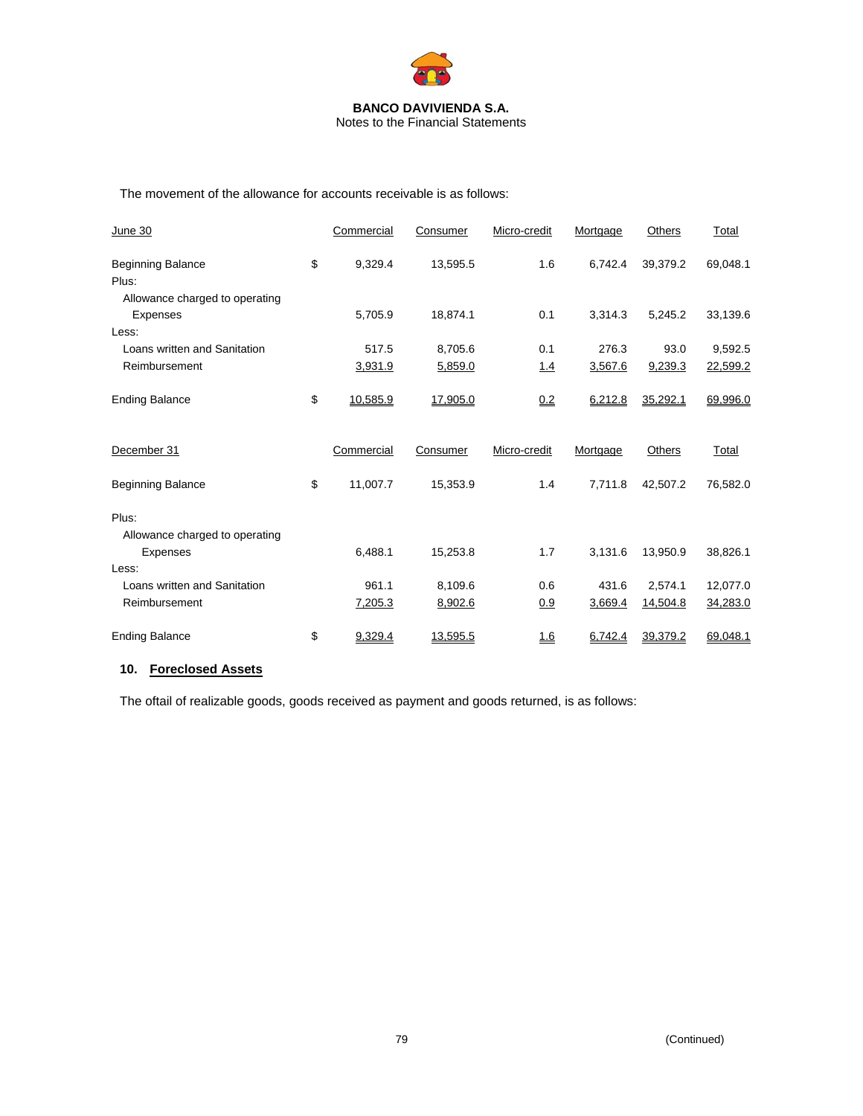

Notes to the Financial Statements

The movement of the allowance for accounts receivable is as follows:

| June 30                                 | Commercial     | Consumer | Micro-credit | Mortgage | Others   | Total    |
|-----------------------------------------|----------------|----------|--------------|----------|----------|----------|
| <b>Beginning Balance</b><br>Plus:       | \$<br>9,329.4  | 13,595.5 | 1.6          | 6,742.4  | 39,379.2 | 69,048.1 |
| Allowance charged to operating          |                |          |              |          |          |          |
| Expenses                                | 5,705.9        | 18,874.1 | 0.1          | 3,314.3  | 5,245.2  | 33,139.6 |
| Less:                                   |                |          |              |          |          |          |
| Loans written and Sanitation            | 517.5          | 8,705.6  | 0.1          | 276.3    | 93.0     | 9,592.5  |
| Reimbursement                           | 3,931.9        | 5,859.0  | 1.4          | 3,567.6  | 9,239.3  | 22,599.2 |
| <b>Ending Balance</b>                   | \$<br>10,585.9 | 17,905.0 | 0.2          | 6,212.8  | 35,292.1 | 69,996.0 |
| December 31                             | Commercial     | Consumer | Micro-credit | Mortgage | Others   | Total    |
| <b>Beginning Balance</b>                | \$<br>11,007.7 | 15,353.9 | 1.4          | 7.711.8  | 42,507.2 | 76,582.0 |
| Plus:<br>Allowance charged to operating |                |          |              |          |          |          |
| Expenses                                | 6,488.1        | 15,253.8 | 1.7          | 3,131.6  | 13,950.9 | 38,826.1 |
| Less:                                   |                |          |              |          |          |          |
| Loans written and Sanitation            | 961.1          | 8,109.6  | 0.6          | 431.6    | 2,574.1  | 12,077.0 |
| Reimbursement                           | 7,205.3        | 8,902.6  | 0.9          | 3,669.4  | 14,504.8 | 34,283.0 |
| <b>Ending Balance</b>                   | \$<br>9,329.4  | 13,595.5 | 1.6          | 6,742.4  | 39,379.2 | 69,048.1 |

## **10. Foreclosed Assets**

The oftail of realizable goods, goods received as payment and goods returned, is as follows: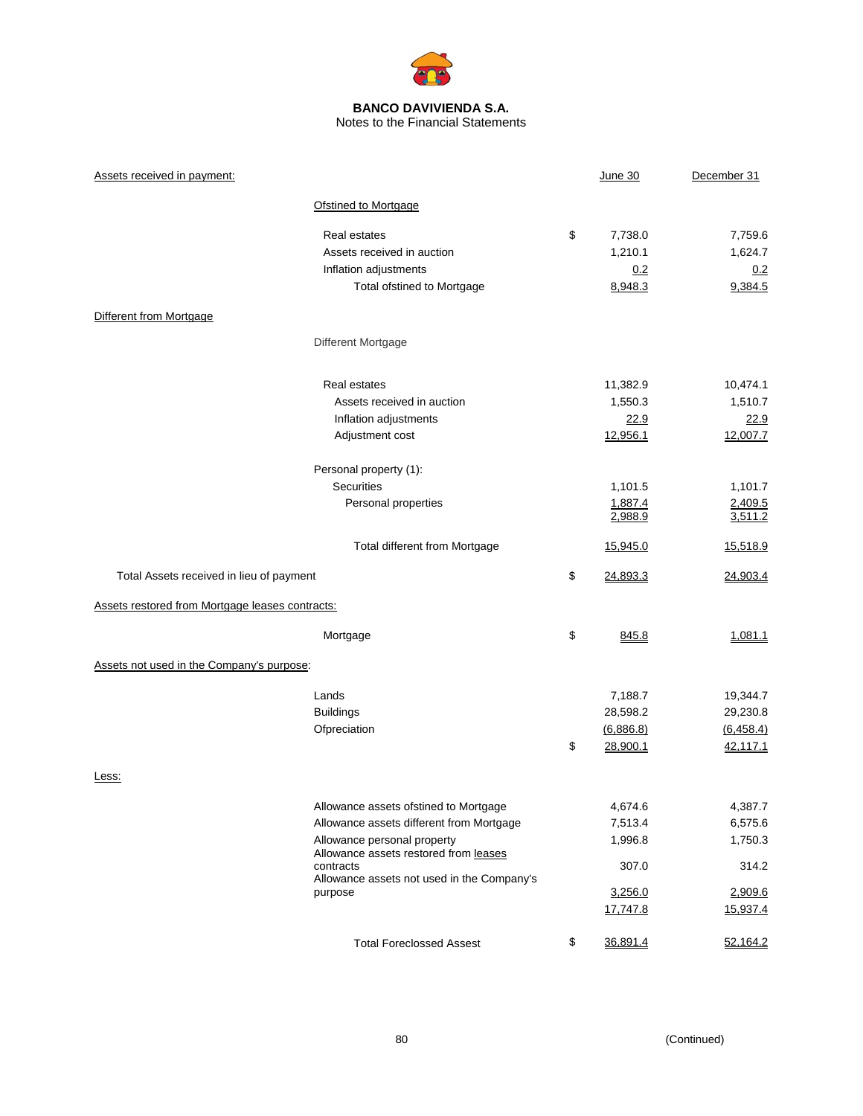

Notes to the Financial Statements

| Assets received in payment:                                                                      | June 30                     | December 31            |
|--------------------------------------------------------------------------------------------------|-----------------------------|------------------------|
| Ofstined to Mortgage                                                                             |                             |                        |
| Real estates                                                                                     | \$<br>7,738.0               | 7,759.6                |
| Assets received in auction                                                                       | 1,210.1                     | 1,624.7                |
| Inflation adjustments                                                                            | 0.2                         | 0.2                    |
| Total ofstined to Mortgage                                                                       | 8,948.3                     | 9,384.5                |
| Different from Mortgage                                                                          |                             |                        |
| Different Mortgage                                                                               |                             |                        |
| Real estates                                                                                     | 11,382.9                    | 10,474.1               |
| Assets received in auction                                                                       | 1,550.3                     | 1,510.7                |
| Inflation adjustments                                                                            | 22.9                        | 22.9                   |
| Adjustment cost                                                                                  | 12,956.1                    | 12,007.7               |
| Personal property (1):                                                                           |                             |                        |
| <b>Securities</b>                                                                                | 1,101.5                     | 1,101.7                |
| Personal properties                                                                              | 1,887.4<br>2,988.9          | 2,409.5<br>3,511.2     |
| Total different from Mortgage                                                                    | 15,945.0                    | 15,518.9               |
| Total Assets received in lieu of payment                                                         | \$<br>24,893.3              | 24,903.4               |
| Assets restored from Mortgage leases contracts:                                                  |                             |                        |
| Mortgage                                                                                         | \$<br>845.8                 | 1,081.1                |
| Assets not used in the Company's purpose:                                                        |                             |                        |
| Lands                                                                                            | 7,188.7                     | 19,344.7               |
| <b>Buildings</b>                                                                                 | 28,598.2                    | 29,230.8               |
| Ofpreciation                                                                                     | \$<br>(6,886.8)<br>28,900.1 | (6, 458.4)<br>42,117.1 |
| Less:                                                                                            |                             |                        |
| Allowance assets ofstined to Mortgage                                                            | 4,674.6                     | 4,387.7                |
| Allowance assets different from Mortgage                                                         | 7,513.4                     | 6,575.6                |
| Allowance personal property                                                                      | 1,996.8                     | 1,750.3                |
| Allowance assets restored from leases<br>contracts<br>Allowance assets not used in the Company's | 307.0                       | 314.2                  |
| purpose                                                                                          | 3,256.0                     | 2,909.6                |
|                                                                                                  | 17,747.8                    | 15,937.4               |
| <b>Total Foreclossed Assest</b>                                                                  | \$<br>36,891.4              | 52,164.2               |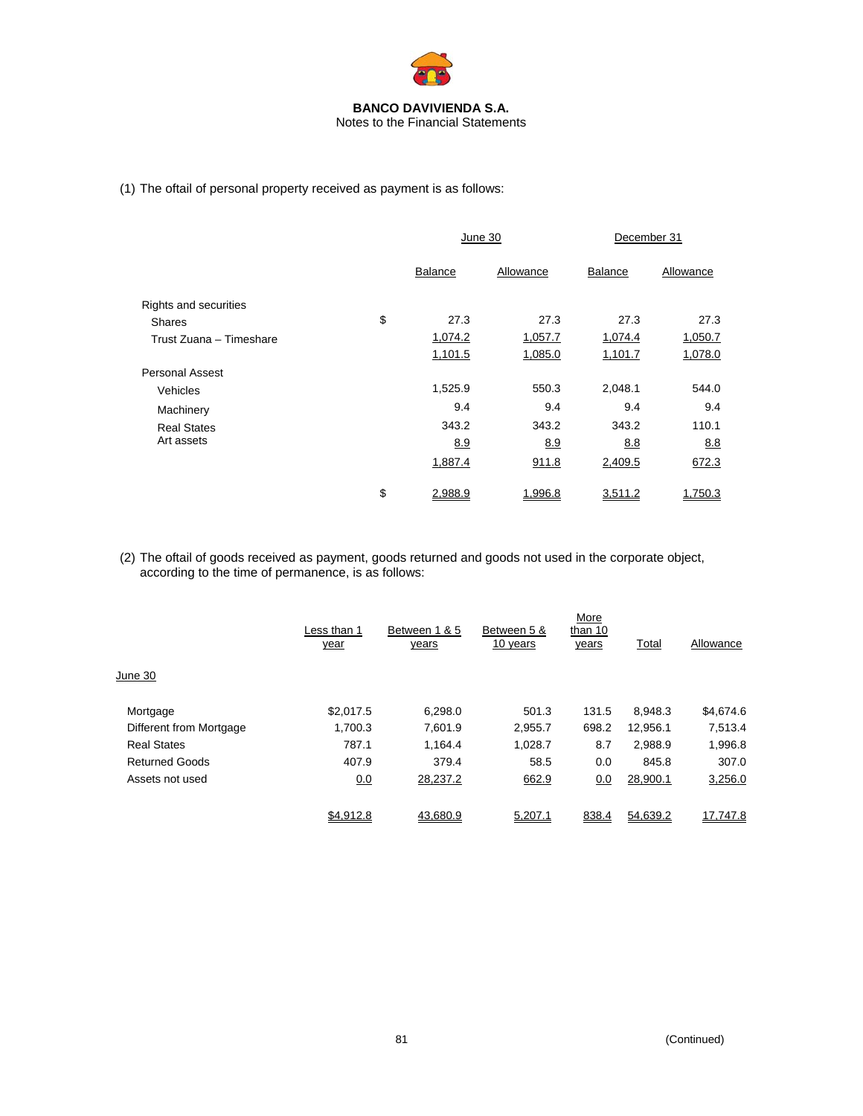

Notes to the Financial Statements

(1) The oftail of personal property received as payment is as follows:

|                         | June 30       |           | December 31 |           |
|-------------------------|---------------|-----------|-------------|-----------|
|                         | Balance       | Allowance | Balance     | Allowance |
| Rights and securities   |               |           |             |           |
| <b>Shares</b>           | \$<br>27.3    | 27.3      | 27.3        | 27.3      |
| Trust Zuana - Timeshare | 1,074.2       | 1,057.7   | 1,074.4     | 1,050.7   |
|                         | 1,101.5       | 1,085.0   | 1,101.7     | 1,078.0   |
| <b>Personal Assest</b>  |               |           |             |           |
| Vehicles                | 1,525.9       | 550.3     | 2,048.1     | 544.0     |
| Machinery               | 9.4           | 9.4       | 9.4         | 9.4       |
| <b>Real States</b>      | 343.2         | 343.2     | 343.2       | 110.1     |
| Art assets              | 8.9           | 8.9       | 8.8         | 8.8       |
|                         | 1,887.4       | 911.8     | 2,409.5     | 672.3     |
|                         | \$<br>2.988.9 | 1,996.8   | 3,511.2     | 1.750.3   |

(2) The oftail of goods received as payment, goods returned and goods not used in the corporate object, according to the time of permanence, is as follows:

|                         | Less than 1<br>year | Between 1 & 5<br>years | Between 5 &<br>10 years | More<br>than 10<br>years | Total    | Allowance |
|-------------------------|---------------------|------------------------|-------------------------|--------------------------|----------|-----------|
| June 30                 |                     |                        |                         |                          |          |           |
| Mortgage                | \$2,017.5           | 6,298.0                | 501.3                   | 131.5                    | 8,948.3  | \$4,674.6 |
| Different from Mortgage | 1.700.3             | 7.601.9                | 2,955.7                 | 698.2                    | 12,956.1 | 7,513.4   |
| <b>Real States</b>      | 787.1               | 1,164.4                | 1,028.7                 | 8.7                      | 2,988.9  | 1,996.8   |
| <b>Returned Goods</b>   | 407.9               | 379.4                  | 58.5                    | 0.0                      | 845.8    | 307.0     |
| Assets not used         | <u>0.0</u>          | 28,237.2               | 662.9                   | 0.0                      | 28,900.1 | 3,256.0   |
|                         | \$4,912.8           | 43,680.9               | 5,207.1                 | 838.4                    | 54,639.2 | 17,747.8  |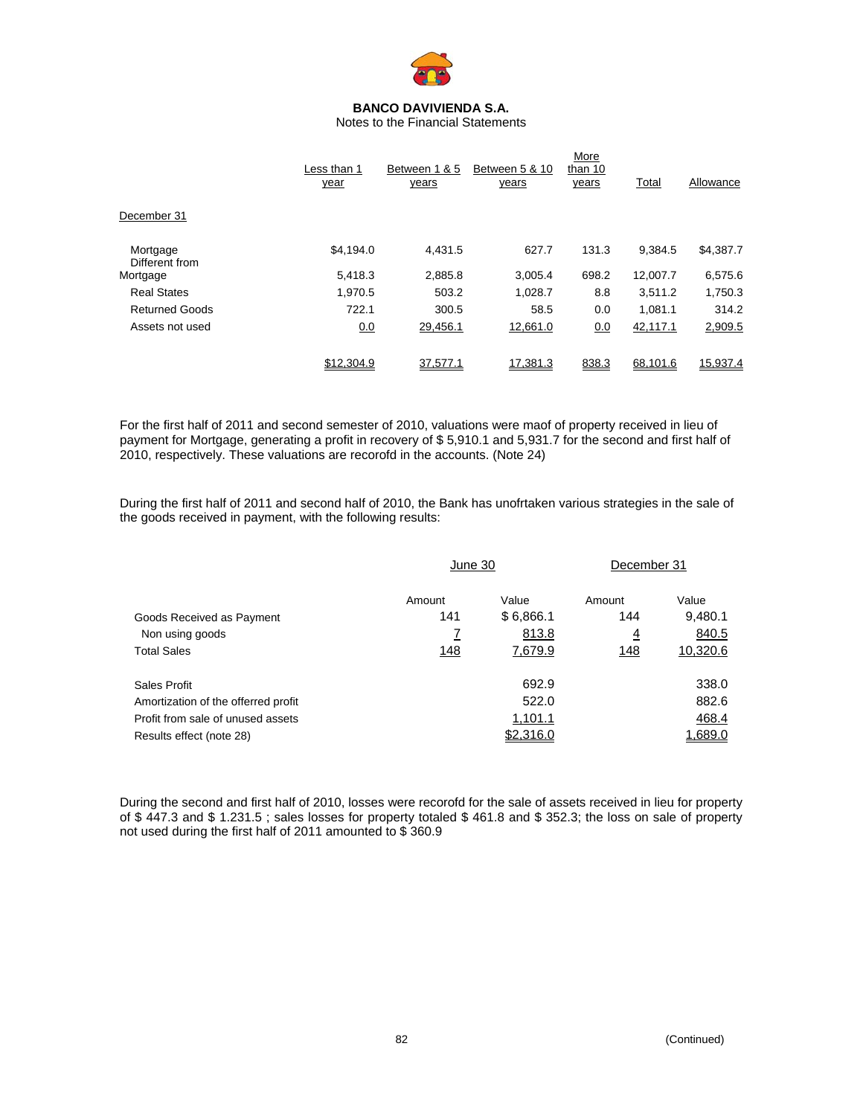

Notes to the Financial Statements

|                            | Less than 1<br>year | Between 1 & 5<br>years | Between 5 & 10<br>years | More<br>than 10<br>years | Total    | Allowance |
|----------------------------|---------------------|------------------------|-------------------------|--------------------------|----------|-----------|
| December 31                |                     |                        |                         |                          |          |           |
| Mortgage<br>Different from | \$4,194.0           | 4.431.5                | 627.7                   | 131.3                    | 9.384.5  | \$4,387.7 |
| Mortgage                   | 5.418.3             | 2.885.8                | 3.005.4                 | 698.2                    | 12,007.7 | 6,575.6   |
| <b>Real States</b>         | 1.970.5             | 503.2                  | 1,028.7                 | 8.8                      | 3.511.2  | 1,750.3   |
| <b>Returned Goods</b>      | 722.1               | 300.5                  | 58.5                    | 0.0                      | 1.081.1  | 314.2     |
| Assets not used            | 0.0                 | 29,456.1               | 12,661.0                | 0.0                      | 42,117.1 | 2,909.5   |
|                            | \$12,304.9          | 37,577.1               | 17,381.3                | 838.3                    | 68,101.6 | 15,937.4  |

For the first half of 2011 and second semester of 2010, valuations were maof of property received in lieu of payment for Mortgage, generating a profit in recovery of \$ 5,910.1 and 5,931.7 for the second and first half of 2010, respectively. These valuations are recorofd in the accounts. (Note 24)

During the first half of 2011 and second half of 2010, the Bank has unofrtaken various strategies in the sale of the goods received in payment, with the following results:

|                                     | June 30        |           | December 31    |          |
|-------------------------------------|----------------|-----------|----------------|----------|
|                                     | Amount         | Value     | Amount         | Value    |
| Goods Received as Payment           | 141            | \$6,866.1 | 144            | 9,480.1  |
| Non using goods                     | $\overline{I}$ | 813.8     | $\overline{4}$ | 840.5    |
| <b>Total Sales</b>                  | 148            | 7,679.9   | <u> 148</u>    | 10,320.6 |
| Sales Profit                        |                | 692.9     |                | 338.0    |
| Amortization of the offerred profit |                | 522.0     |                | 882.6    |
| Profit from sale of unused assets   |                | 1,101.1   |                | 468.4    |
| Results effect (note 28)            |                | \$2,316.0 |                | 1.689.0  |

During the second and first half of 2010, losses were recorofd for the sale of assets received in lieu for property of \$ 447.3 and \$ 1.231.5 ; sales losses for property totaled \$ 461.8 and \$ 352.3; the loss on sale of property not used during the first half of 2011 amounted to \$ 360.9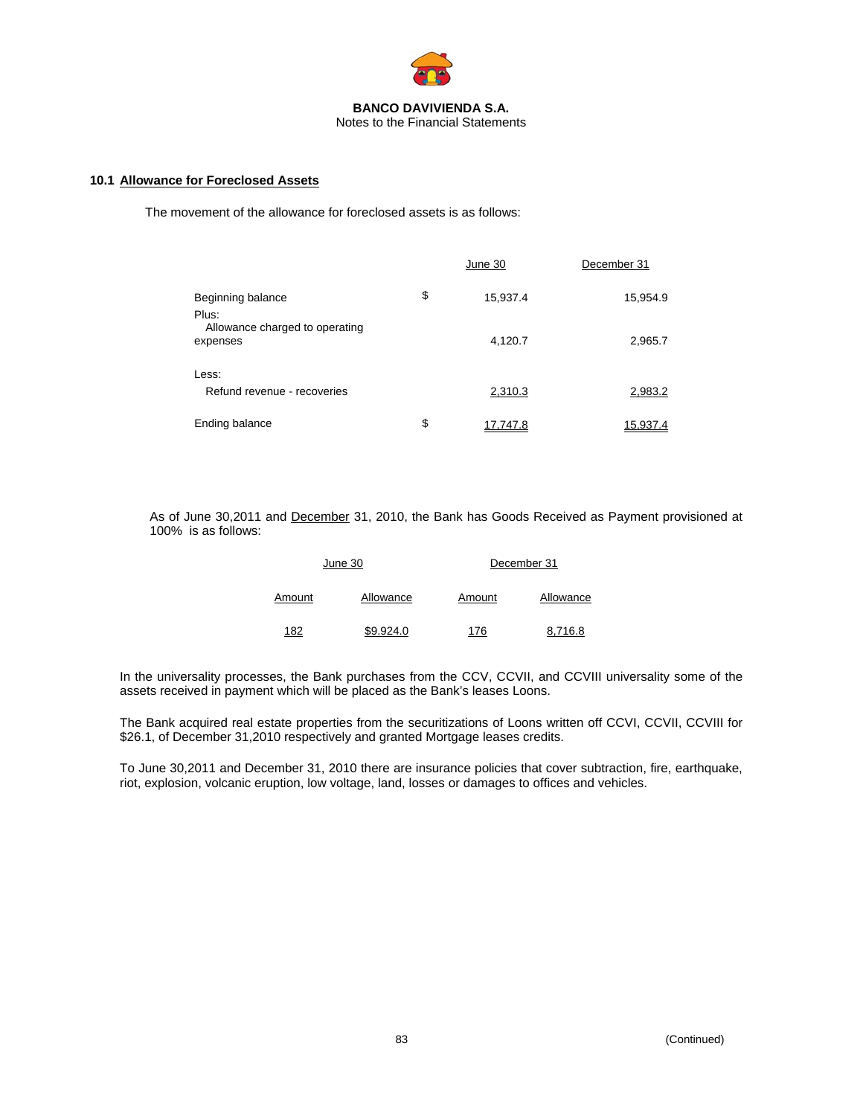

## **10.1 Allowance for Foreclosed Assets**

The movement of the allowance for foreclosed assets is as follows:

|                                            | June 30               | December 31 |  |
|--------------------------------------------|-----------------------|-------------|--|
| Beginning balance<br>Plus:                 | \$<br>15,937.4        | 15,954.9    |  |
| Allowance charged to operating<br>expenses | 4,120.7               | 2,965.7     |  |
| Less:                                      |                       |             |  |
| Refund revenue - recoveries                | 2,310.3               | 2,983.2     |  |
| Ending balance                             | \$<br><u>17,747.8</u> | 15,937.4    |  |

As of June 30,2011 and December 31, 2010, the Bank has Goods Received as Payment provisioned at 100% is as follows:

|        | June 30   | December 31 |           |  |  |
|--------|-----------|-------------|-----------|--|--|
| Amount | Allowance | Amount      | Allowance |  |  |
| 182    | \$9.924.0 | 176         | 8.716.8   |  |  |

In the universality processes, the Bank purchases from the CCV, CCVII, and CCVIII universality some of the assets received in payment which will be placed as the Bank's leases Loons.

The Bank acquired real estate properties from the securitizations of Loons written off CCVI, CCVII, CCVIII for \$26.1, of December 31,2010 respectively and granted Mortgage leases credits.

To June 30,2011 and December 31, 2010 there are insurance policies that cover subtraction, fire, earthquake, riot, explosion, volcanic eruption, low voltage, land, losses or damages to offices and vehicles.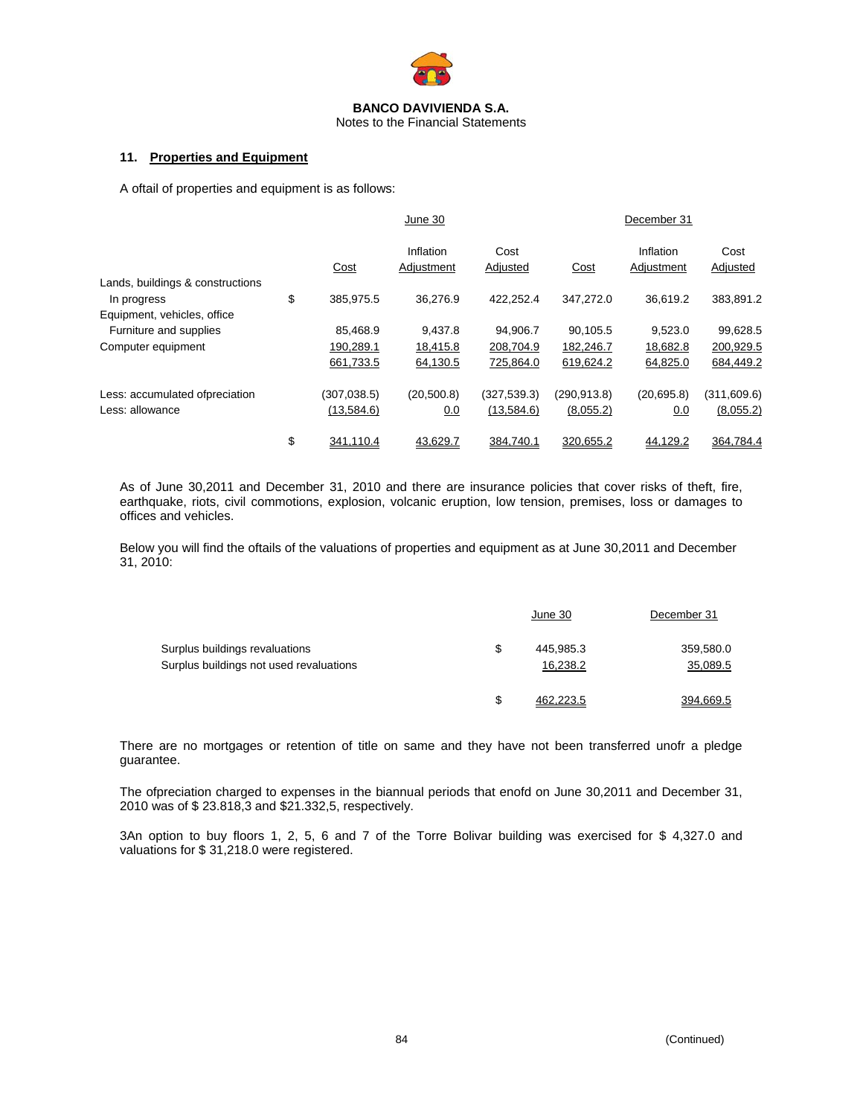

Notes to the Financial Statements

#### **11. Properties and Equipment**

A oftail of properties and equipment is as follows:

|                                                 |                 | June 30                 |                  |             | December 31             |                  |
|-------------------------------------------------|-----------------|-------------------------|------------------|-------------|-------------------------|------------------|
|                                                 | Cost            | Inflation<br>Adjustment | Cost<br>Adjusted | Cost        | Inflation<br>Adjustment | Cost<br>Adjusted |
| Lands, buildings & constructions<br>In progress | \$<br>385,975.5 | 36,276.9                | 422,252.4        | 347,272.0   | 36,619.2                | 383,891.2        |
| Equipment, vehicles, office                     |                 |                         |                  |             |                         |                  |
| Furniture and supplies                          | 85,468.9        | 9,437.8                 | 94,906.7         | 90,105.5    | 9,523.0                 | 99,628.5         |
| Computer equipment                              | 190,289.1       | 18,415.8                | 208,704.9        | 182,246.7   | 18,682.8                | 200,929.5        |
|                                                 | 661,733.5       | 64,130.5                | 725,864.0        | 619,624.2   | 64,825.0                | 684,449.2        |
| Less: accumulated ofpreciation                  | (307, 038.5)    | (20, 500.8)             | (327, 539.3)     | (290,913.8) | (20,695.8)              | (311,609.6)      |
| Less: allowance                                 | (13,584.6)      | 0.0                     | (13,584.6)       | (8,055.2)   | 0.0                     | (8,055.2)        |
|                                                 | \$<br>341,110.4 | 43,629.7                | 384,740.1        | 320,655.2   | 44,129.2                | 364,784.4        |

As of June 30,2011 and December 31, 2010 and there are insurance policies that cover risks of theft, fire, earthquake, riots, civil commotions, explosion, volcanic eruption, low tension, premises, loss or damages to offices and vehicles.

Below you will find the oftails of the valuations of properties and equipment as at June 30,2011 and December 31, 2010:

|                                         |    | June 30   | December 31 |
|-----------------------------------------|----|-----------|-------------|
| Surplus buildings revaluations          | S  | 445.985.3 | 359,580.0   |
| Surplus buildings not used revaluations |    | 16,238.2  | 35,089.5    |
|                                         | \$ | 462.223.5 | 394.669.5   |

There are no mortgages or retention of title on same and they have not been transferred unofr a pledge guarantee.

The ofpreciation charged to expenses in the biannual periods that enofd on June 30,2011 and December 31, 2010 was of \$ 23.818,3 and \$21.332,5, respectively.

3An option to buy floors 1, 2, 5, 6 and 7 of the Torre Bolivar building was exercised for \$ 4,327.0 and valuations for \$ 31,218.0 were registered.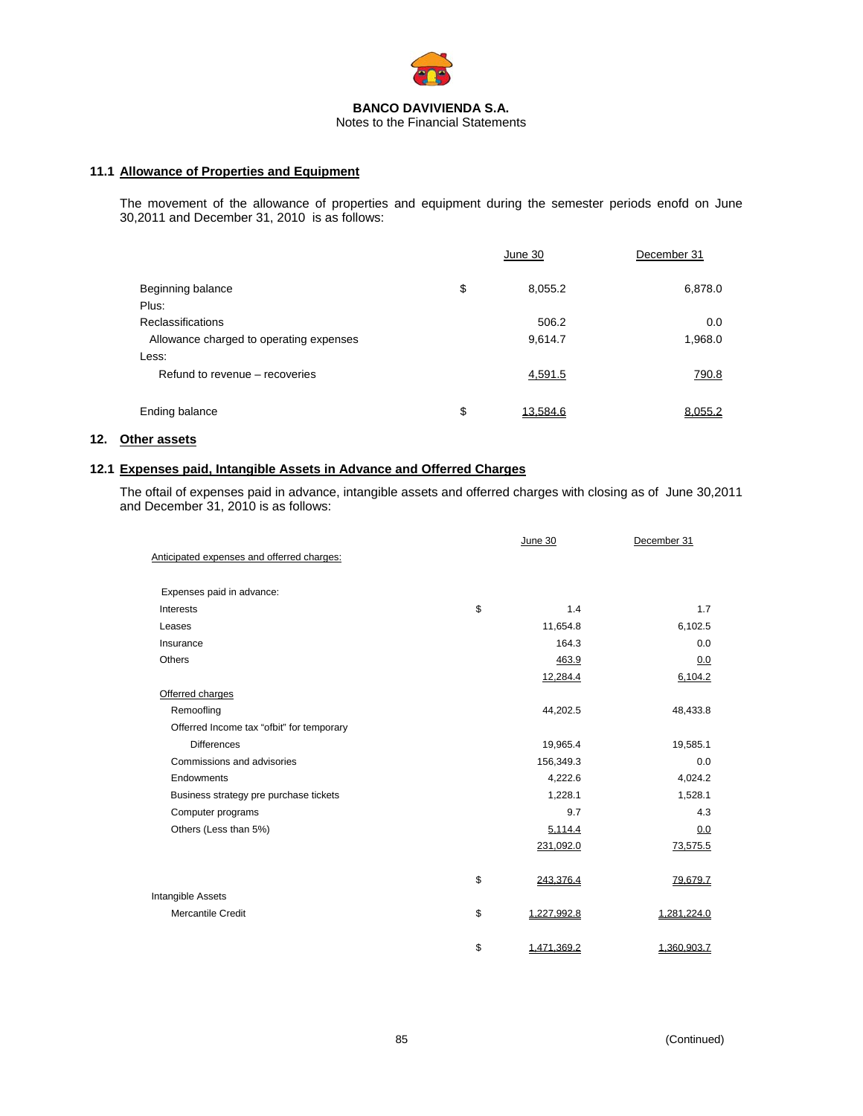

#### **11.1 Allowance of Properties and Equipment**

The movement of the allowance of properties and equipment during the semester periods enofd on June 30,2011 and December 31, 2010 is as follows:

|                                                                     | June 30          | December 31    |
|---------------------------------------------------------------------|------------------|----------------|
| Beginning balance<br>Plus:                                          | \$<br>8,055.2    | 6,878.0        |
| <b>Reclassifications</b><br>Allowance charged to operating expenses | 506.2<br>9,614.7 | 0.0<br>1,968.0 |
| Less:<br>Refund to revenue – recoveries                             | 4,591.5          | 790.8          |
| Ending balance                                                      | \$<br>13.584.6   | 8.055.2        |

#### **12. Other assets**

#### **12.1 Expenses paid, Intangible Assets in Advance and Offerred Charges**

The oftail of expenses paid in advance, intangible assets and offerred charges with closing as of June 30,2011 and December 31, 2010 is as follows:

|                                            | June 30           | December 31 |
|--------------------------------------------|-------------------|-------------|
| Anticipated expenses and offerred charges: |                   |             |
| Expenses paid in advance:                  |                   |             |
| Interests                                  | \$<br>1.4         | 1.7         |
| Leases                                     | 11,654.8          | 6,102.5     |
| Insurance                                  | 164.3             | 0.0         |
| <b>Others</b>                              | 463.9             | 0.0         |
|                                            | 12,284.4          | 6,104.2     |
| Offerred charges                           |                   |             |
| Remoofling                                 | 44,202.5          | 48,433.8    |
| Offerred Income tax "ofbit" for temporary  |                   |             |
| <b>Differences</b>                         | 19,965.4          | 19,585.1    |
| Commissions and advisories                 | 156,349.3         | 0.0         |
| Endowments                                 | 4,222.6           | 4,024.2     |
| Business strategy pre purchase tickets     | 1,228.1           | 1,528.1     |
| Computer programs                          | 9.7               | 4.3         |
| Others (Less than 5%)                      | 5,114.4           | 0.0         |
|                                            | 231,092.0         | 73,575.5    |
|                                            | \$<br>243,376.4   | 79,679.7    |
| Intangible Assets                          |                   |             |
| Mercantile Credit                          | \$<br>1,227,992.8 | 1,281,224.0 |
|                                            | \$<br>1,471,369.2 | 1,360,903.7 |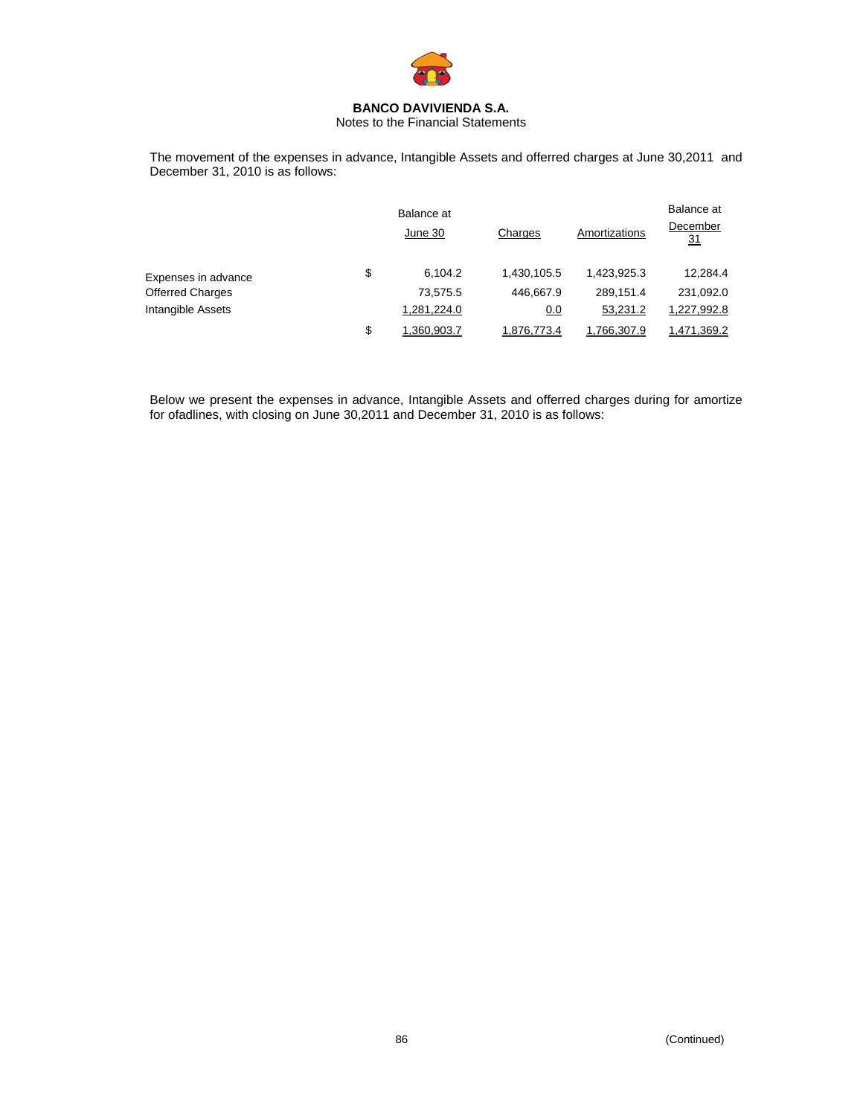

Notes to the Financial Statements

The movement of the expenses in advance, Intangible Assets and offerred charges at June 30,2011 and December 31, 2010 is as follows:

|                         | Balance at<br>June 30 | Charges     | Amortizations | Balance at<br>December<br>31 |  |
|-------------------------|-----------------------|-------------|---------------|------------------------------|--|
| Expenses in advance     | \$<br>6.104.2         | 1,430,105.5 | 1,423,925.3   | 12,284.4                     |  |
| <b>Offerred Charges</b> | 73,575.5              | 446,667.9   | 289.151.4     | 231,092.0                    |  |
| Intangible Assets       | 1,281,224.0           | 0.0         | 53,231.2      | 1,227,992.8                  |  |
|                         | \$<br>1.360.903.7     | 1.876.773.4 | 1.766.307.9   | 1,471,369.2                  |  |

Below we present the expenses in advance, Intangible Assets and offerred charges during for amortize for ofadlines, with closing on June 30,2011 and December 31, 2010 is as follows: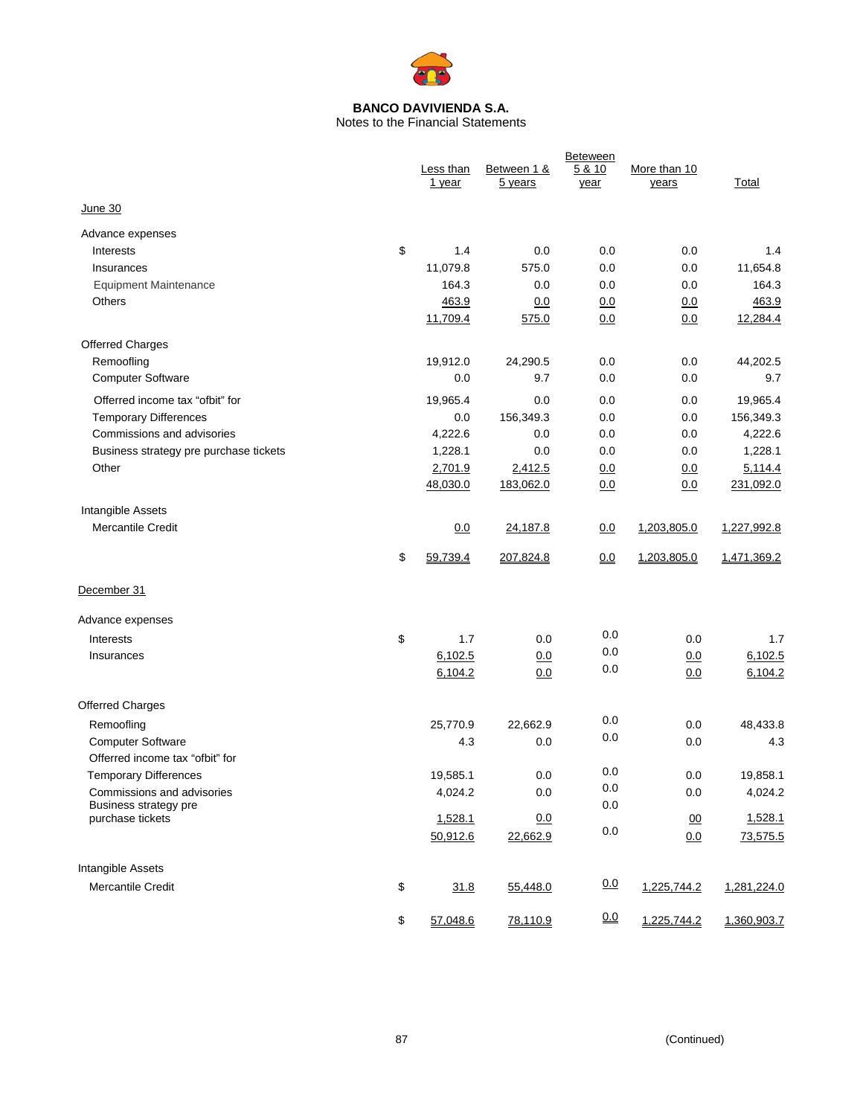

Notes to the Financial Statements

|                                               | Less than<br>1 year | Between 1 &<br>5 years | <b>Beteween</b><br>5 & 10<br>year | More than 10<br>years | Total       |
|-----------------------------------------------|---------------------|------------------------|-----------------------------------|-----------------------|-------------|
| June 30                                       |                     |                        |                                   |                       |             |
| Advance expenses                              |                     |                        |                                   |                       |             |
| Interests                                     | \$<br>1.4           | 0.0                    | 0.0                               | 0.0                   | 1.4         |
| Insurances                                    | 11,079.8            | 575.0                  | 0.0                               | 0.0                   | 11,654.8    |
| <b>Equipment Maintenance</b>                  | 164.3               | 0.0                    | 0.0                               | 0.0                   | 164.3       |
| Others                                        | 463.9               | 0.0                    | 0.0                               | 0.0                   | 463.9       |
|                                               | 11,709.4            | 575.0                  | 0.0                               | 0.0                   | 12,284.4    |
| <b>Offerred Charges</b>                       |                     |                        |                                   |                       |             |
| Remoofling                                    | 19,912.0            | 24,290.5               | 0.0                               | 0.0                   | 44,202.5    |
| <b>Computer Software</b>                      | 0.0                 | 9.7                    | 0.0                               | 0.0                   | 9.7         |
| Offerred income tax "ofbit" for               | 19,965.4            | 0.0                    | 0.0                               | 0.0                   | 19,965.4    |
| <b>Temporary Differences</b>                  | 0.0                 | 156,349.3              | 0.0                               | 0.0                   | 156,349.3   |
| Commissions and advisories                    | 4,222.6             | 0.0                    | 0.0                               | 0.0                   | 4,222.6     |
| Business strategy pre purchase tickets        | 1,228.1             | 0.0                    | 0.0                               | 0.0                   | 1,228.1     |
| Other                                         | 2,701.9             | 2,412.5                | 0.0                               | 0.0                   | 5,114.4     |
|                                               | 48,030.0            | 183,062.0              | 0.0                               | 0.0                   | 231,092.0   |
|                                               |                     |                        |                                   |                       |             |
| Intangible Assets<br><b>Mercantile Credit</b> |                     |                        |                                   |                       |             |
|                                               | 0.0                 | 24,187.8               | 0.0                               | 1,203,805.0           | 1,227,992.8 |
|                                               | \$<br>59,739.4      | 207,824.8              | 0.0                               | 1,203,805.0           | 1,471,369.2 |
| December 31                                   |                     |                        |                                   |                       |             |
| Advance expenses                              |                     |                        |                                   |                       |             |
| Interests                                     | \$<br>1.7           | 0.0                    | 0.0                               | 0.0                   | 1.7         |
| Insurances                                    | 6,102.5             | 0.0                    | 0.0                               | 0.0                   | 6,102.5     |
|                                               | 6,104.2             | 0.0                    | 0.0                               | 0.0                   | 6,104.2     |
| <b>Offerred Charges</b>                       |                     |                        |                                   |                       |             |
| Remoofling                                    | 25,770.9            | 22,662.9               | 0.0                               | 0.0                   | 48,433.8    |
| <b>Computer Software</b>                      | 4.3                 | 0.0                    | 0.0                               | 0.0                   | 4.3         |
| Offerred income tax "ofbit" for               |                     |                        |                                   |                       |             |
| <b>Temporary Differences</b>                  | 19,585.1            | 0.0                    | 0.0                               | 0.0                   | 19,858.1    |
| Commissions and advisories                    | 4,024.2             | 0.0                    | 0.0                               | 0.0                   | 4,024.2     |
| Business strategy pre<br>purchase tickets     | 1,528.1             | 0.0                    | 0.0                               | 00                    | 1,528.1     |
|                                               | 50,912.6            | 22,662.9               | $0.0\,$                           | 0.0                   | 73,575.5    |
|                                               |                     |                        |                                   |                       |             |
| Intangible Assets                             |                     |                        |                                   |                       |             |
| Mercantile Credit                             | \$<br>31.8          | 55,448.0               | 0.0                               | 1,225,744.2           | 1,281,224.0 |
|                                               | \$<br>57,048.6      | 78,110.9               | 0.0                               | 1,225,744.2           | 1,360,903.7 |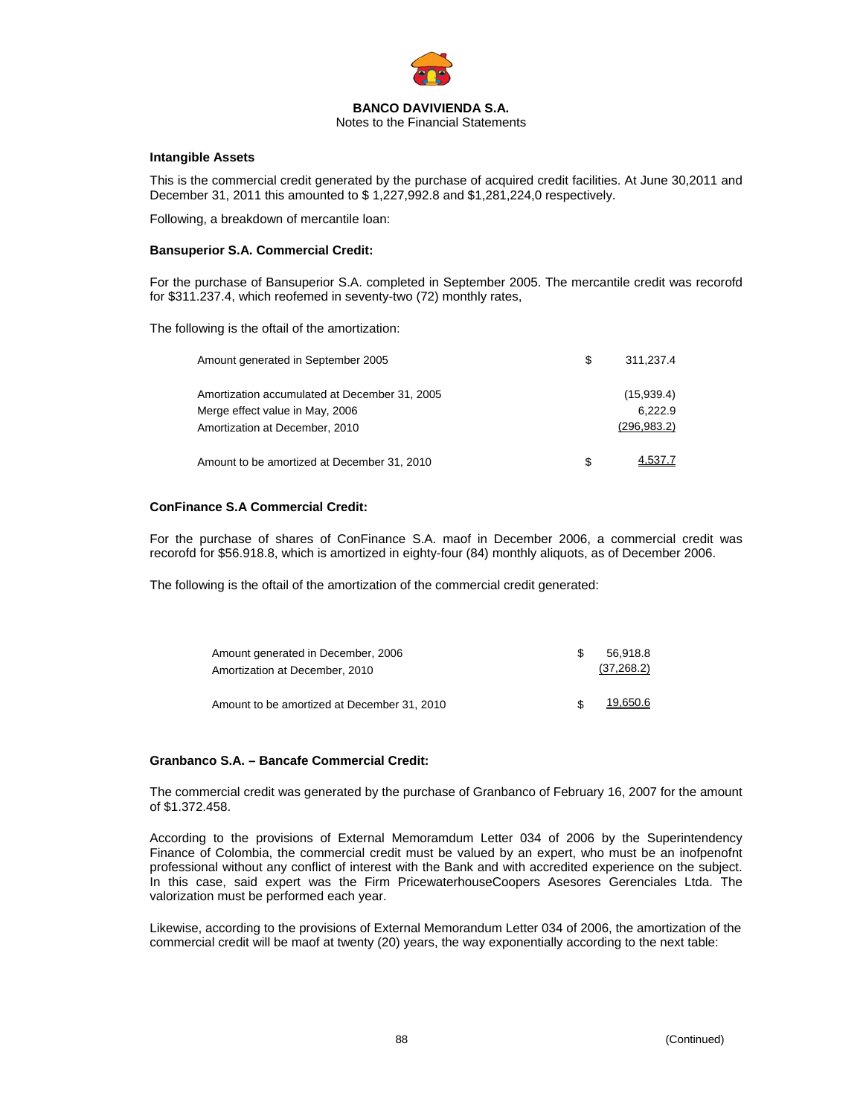

Notes to the Financial Statements

#### **Intangible Assets**

This is the commercial credit generated by the purchase of acquired credit facilities. At June 30,2011 and December 31, 2011 this amounted to \$ 1,227,992.8 and \$1,281,224,0 respectively.

Following, a breakdown of mercantile loan:

#### **Bansuperior S.A. Commercial Credit:**

For the purchase of Bansuperior S.A. completed in September 2005. The mercantile credit was recorofd for \$311.237.4, which reofemed in seventy-two (72) monthly rates,

The following is the oftail of the amortization:

| Amount generated in September 2005            | S | 311.237.4    |
|-----------------------------------------------|---|--------------|
| Amortization accumulated at December 31, 2005 |   | (15,939.4)   |
| Merge effect value in May, 2006               |   | 6.222.9      |
| Amortization at December, 2010                |   | (296, 983.2) |
| Amount to be amortized at December 31, 2010   | S | 4.537.7      |

#### **ConFinance S.A Commercial Credit:**

For the purchase of shares of ConFinance S.A. maof in December 2006, a commercial credit was recorofd for \$56.918.8, which is amortized in eighty-four (84) monthly aliquots, as of December 2006.

The following is the oftail of the amortization of the commercial credit generated:

| Amount generated in December, 2006<br>Amortization at December, 2010 | .S | 56.918.8<br>(37, 268.2) |
|----------------------------------------------------------------------|----|-------------------------|
| Amount to be amortized at December 31, 2010                          |    | <u> 19.650.6</u>        |

#### **Granbanco S.A. – Bancafe Commercial Credit:**

The commercial credit was generated by the purchase of Granbanco of February 16, 2007 for the amount of \$1.372.458.

According to the provisions of External Memoramdum Letter 034 of 2006 by the Superintendency Finance of Colombia, the commercial credit must be valued by an expert, who must be an inofpenofnt professional without any conflict of interest with the Bank and with accredited experience on the subject. In this case, said expert was the Firm PricewaterhouseCoopers Asesores Gerenciales Ltda. The valorization must be performed each year.

Likewise, according to the provisions of External Memorandum Letter 034 of 2006, the amortization of the commercial credit will be maof at twenty (20) years, the way exponentially according to the next table: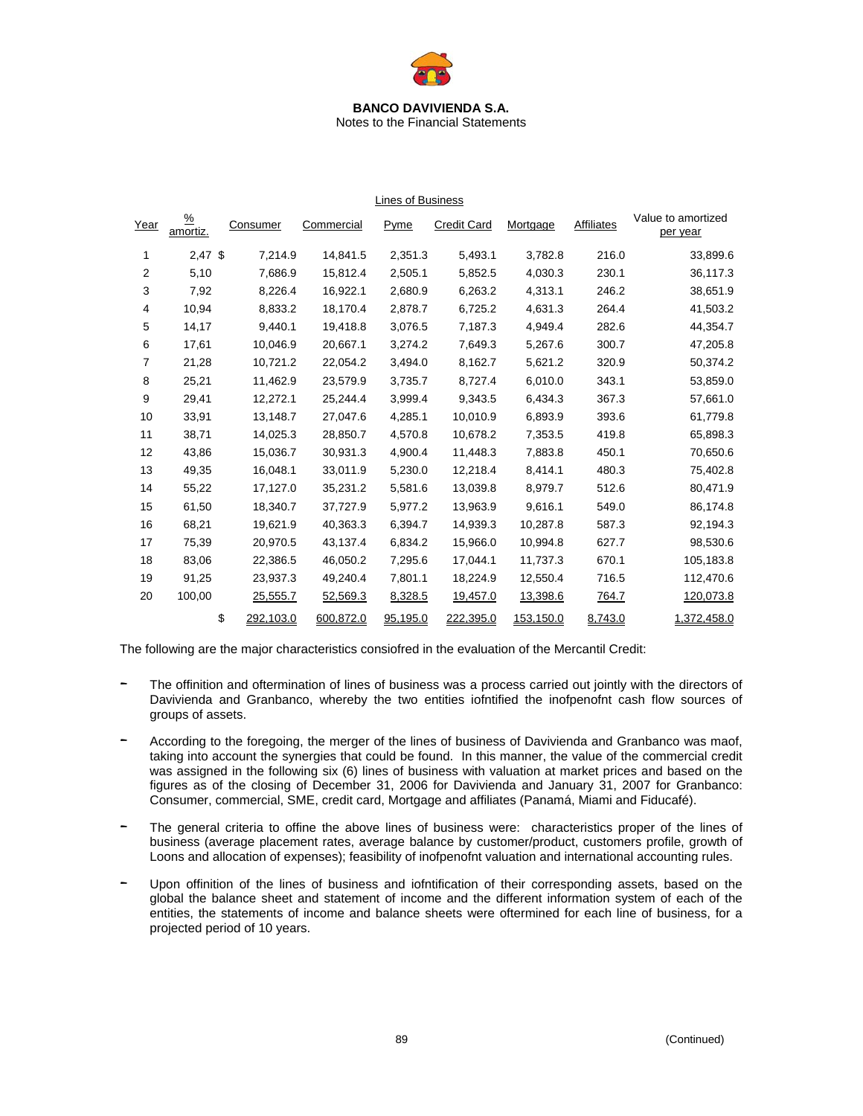

Notes to the Financial Statements

Lines of Business

| Year | $\frac{9}{6}$<br>amortiz. | Consumer        | Commercial | Pyme     | <b>Credit Card</b> | Mortgage  | <b>Affiliates</b> | Value to amortized<br>per year |
|------|---------------------------|-----------------|------------|----------|--------------------|-----------|-------------------|--------------------------------|
| 1    | $2,47$ \$                 | 7,214.9         | 14,841.5   | 2,351.3  | 5,493.1            | 3,782.8   | 216.0             | 33,899.6                       |
| 2    | 5,10                      | 7,686.9         | 15,812.4   | 2,505.1  | 5,852.5            | 4,030.3   | 230.1             | 36,117.3                       |
| 3    | 7,92                      | 8,226.4         | 16,922.1   | 2,680.9  | 6,263.2            | 4,313.1   | 246.2             | 38,651.9                       |
| 4    | 10,94                     | 8,833.2         | 18,170.4   | 2,878.7  | 6,725.2            | 4,631.3   | 264.4             | 41,503.2                       |
| 5    | 14,17                     | 9,440.1         | 19,418.8   | 3,076.5  | 7,187.3            | 4,949.4   | 282.6             | 44,354.7                       |
| 6    | 17,61                     | 10.046.9        | 20.667.1   | 3,274.2  | 7,649.3            | 5,267.6   | 300.7             | 47,205.8                       |
| 7    | 21,28                     | 10,721.2        | 22,054.2   | 3,494.0  | 8,162.7            | 5,621.2   | 320.9             | 50,374.2                       |
| 8    | 25,21                     | 11.462.9        | 23.579.9   | 3,735.7  | 8.727.4            | 6,010.0   | 343.1             | 53,859.0                       |
| 9    | 29,41                     | 12,272.1        | 25,244.4   | 3,999.4  | 9,343.5            | 6,434.3   | 367.3             | 57,661.0                       |
| 10   | 33,91                     | 13,148.7        | 27,047.6   | 4.285.1  | 10,010.9           | 6,893.9   | 393.6             | 61,779.8                       |
| 11   | 38,71                     | 14,025.3        | 28,850.7   | 4,570.8  | 10,678.2           | 7,353.5   | 419.8             | 65,898.3                       |
| 12   | 43,86                     | 15,036.7        | 30,931.3   | 4,900.4  | 11,448.3           | 7,883.8   | 450.1             | 70,650.6                       |
| 13   | 49,35                     | 16,048.1        | 33,011.9   | 5,230.0  | 12,218.4           | 8,414.1   | 480.3             | 75,402.8                       |
| 14   | 55,22                     | 17,127.0        | 35,231.2   | 5,581.6  | 13,039.8           | 8,979.7   | 512.6             | 80,471.9                       |
| 15   | 61,50                     | 18,340.7        | 37,727.9   | 5,977.2  | 13,963.9           | 9,616.1   | 549.0             | 86,174.8                       |
| 16   | 68,21                     | 19,621.9        | 40,363.3   | 6,394.7  | 14,939.3           | 10,287.8  | 587.3             | 92,194.3                       |
| 17   | 75,39                     | 20,970.5        | 43,137.4   | 6,834.2  | 15,966.0           | 10,994.8  | 627.7             | 98,530.6                       |
| 18   | 83,06                     | 22,386.5        | 46,050.2   | 7,295.6  | 17,044.1           | 11,737.3  | 670.1             | 105,183.8                      |
| 19   | 91,25                     | 23,937.3        | 49,240.4   | 7,801.1  | 18,224.9           | 12,550.4  | 716.5             | 112,470.6                      |
| 20   | 100,00                    | 25,555.7        | 52,569.3   | 8,328.5  | 19,457.0           | 13,398.6  | <u>764.7</u>      | 120,073.8                      |
|      |                           | \$<br>292,103.0 | 600,872.0  | 95,195.0 | 222,395.0          | 153,150.0 | 8,743.0           | 1,372,458.0                    |

The following are the major characteristics consiofred in the evaluation of the Mercantil Credit:

- The offinition and oftermination of lines of business was a process carried out jointly with the directors of Davivienda and Granbanco, whereby the two entities iofntified the inofpenofnt cash flow sources of groups of assets.
- According to the foregoing, the merger of the lines of business of Davivienda and Granbanco was maof, taking into account the synergies that could be found. In this manner, the value of the commercial credit was assigned in the following six (6) lines of business with valuation at market prices and based on the figures as of the closing of December 31, 2006 for Davivienda and January 31, 2007 for Granbanco: Consumer, commercial, SME, credit card, Mortgage and affiliates (Panamá, Miami and Fiducafé).
- The general criteria to offine the above lines of business were: characteristics proper of the lines of business (average placement rates, average balance by customer/product, customers profile, growth of Loons and allocation of expenses); feasibility of inofpenofnt valuation and international accounting rules.
- Upon offinition of the lines of business and iofntification of their corresponding assets, based on the global the balance sheet and statement of income and the different information system of each of the entities, the statements of income and balance sheets were oftermined for each line of business, for a projected period of 10 years.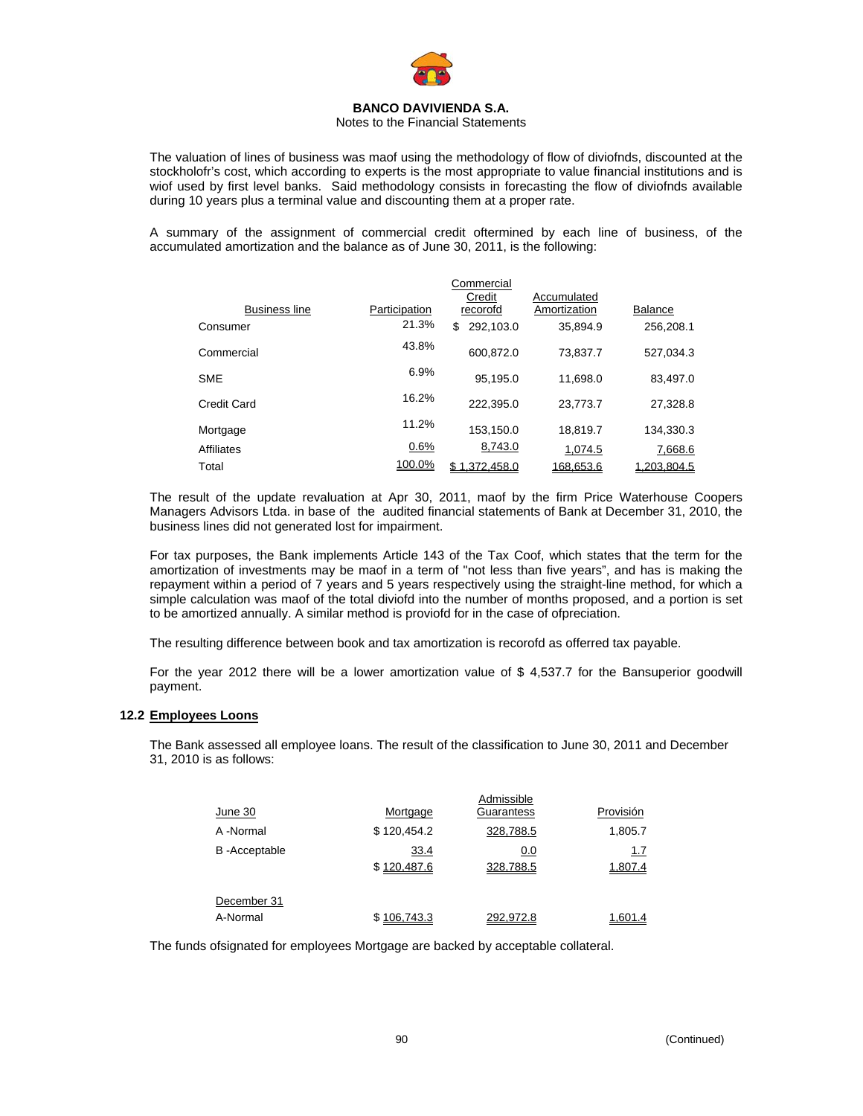

#### Notes to the Financial Statements

The valuation of lines of business was maof using the methodology of flow of diviofnds, discounted at the stockholofr's cost, which according to experts is the most appropriate to value financial institutions and is wiof used by first level banks. Said methodology consists in forecasting the flow of diviofnds available during 10 years plus a terminal value and discounting them at a proper rate.

A summary of the assignment of commercial credit oftermined by each line of business, of the accumulated amortization and the balance as of June 30, 2011, is the following:

|                      |               | Commercial<br>Credit | Accumulated  |                |
|----------------------|---------------|----------------------|--------------|----------------|
| <b>Business line</b> | Participation | recorofd             | Amortization | <b>Balance</b> |
| Consumer             | 21.3%         | 292.103.0<br>\$      | 35.894.9     | 256.208.1      |
| Commercial           | 43.8%         | 600.872.0            | 73.837.7     | 527.034.3      |
| <b>SME</b>           | 6.9%          | 95.195.0             | 11.698.0     | 83.497.0       |
| Credit Card          | 16.2%         | 222.395.0            | 23.773.7     | 27.328.8       |
| Mortgage             | 11.2%         | 153.150.0            | 18.819.7     | 134.330.3      |
| <b>Affiliates</b>    | 0.6%          | 8,743.0              | 1.074.5      | 7,668.6        |
| Total                | 100.0%        | \$1.372.458.0        | 168.653.6    | 1.203.804.5    |

The result of the update revaluation at Apr 30, 2011, maof by the firm Price Waterhouse Coopers Managers Advisors Ltda. in base of the audited financial statements of Bank at December 31, 2010, the business lines did not generated lost for impairment.

For tax purposes, the Bank implements Article 143 of the Tax Coof, which states that the term for the amortization of investments may be maof in a term of "not less than five years", and has is making the repayment within a period of 7 years and 5 years respectively using the straight-line method, for which a simple calculation was maof of the total diviofd into the number of months proposed, and a portion is set to be amortized annually. A similar method is proviofd for in the case of ofpreciation.

The resulting difference between book and tax amortization is recorofd as offerred tax payable.

For the year 2012 there will be a lower amortization value of \$ 4,537.7 for the Bansuperior goodwill payment.

#### **12.2 Employees Loons**

The Bank assessed all employee loans. The result of the classification to June 30, 2011 and December 31, 2010 is as follows:

|                      |             | Admissible |            |
|----------------------|-------------|------------|------------|
| June 30              | Mortgage    | Guarantess | Provisión  |
| A -Normal            | \$120,454.2 | 328,788.5  | 1,805.7    |
| <b>B</b> -Acceptable | 33.4        | 0.0        | <u>1.7</u> |
|                      | \$120,487.6 | 328,788.5  | 1,807.4    |
|                      |             |            |            |
| December 31          |             |            |            |
| A-Normal             | \$106,743.3 | 292,972.8  | 1,601.4    |

The funds ofsignated for employees Mortgage are backed by acceptable collateral.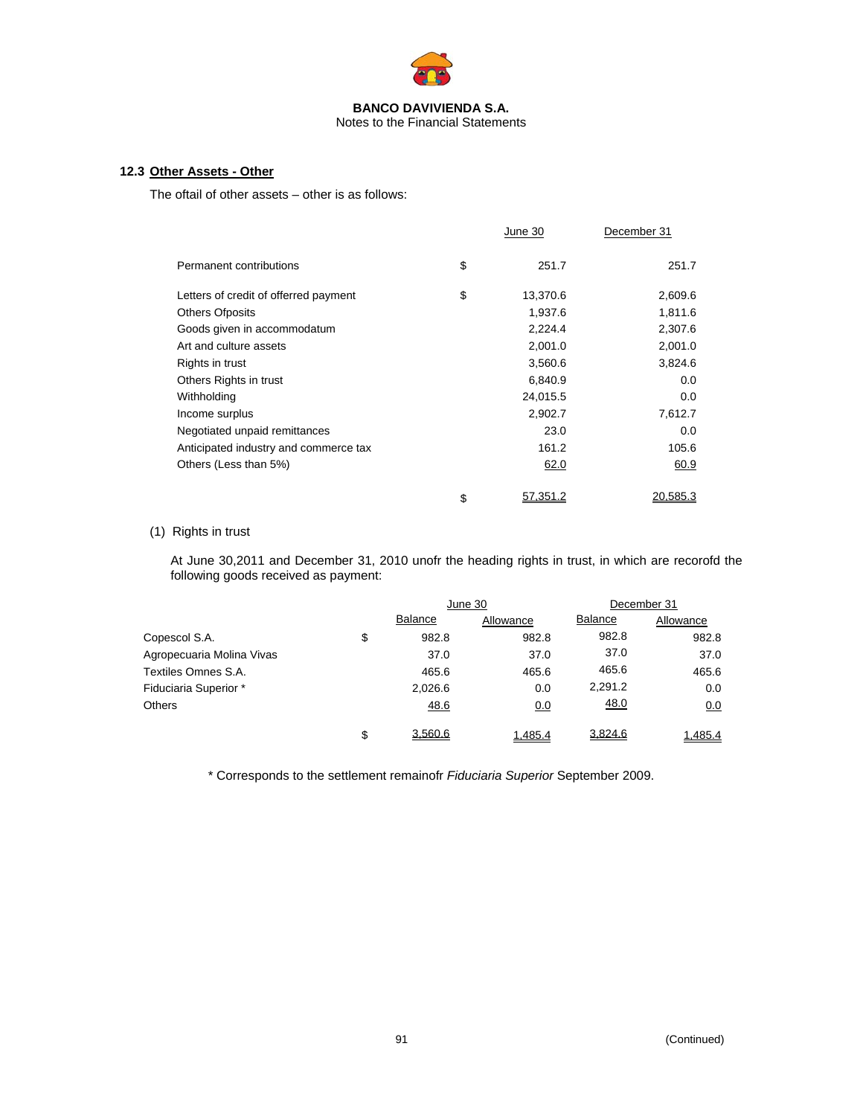

#### Notes to the Financial Statements

#### **12.3 Other Assets - Other**

The oftail of other assets – other is as follows:

|                                       | June 30        | December 31     |
|---------------------------------------|----------------|-----------------|
| Permanent contributions               | \$<br>251.7    | 251.7           |
| Letters of credit of offerred payment | \$<br>13,370.6 | 2,609.6         |
| <b>Others Ofposits</b>                | 1,937.6        | 1,811.6         |
| Goods given in accommodatum           | 2,224.4        | 2,307.6         |
| Art and culture assets                | 2,001.0        | 2,001.0         |
| Rights in trust                       | 3,560.6        | 3,824.6         |
| Others Rights in trust                | 6,840.9        | 0.0             |
| Withholding                           | 24,015.5       | 0.0             |
| Income surplus                        | 2,902.7        | 7,612.7         |
| Negotiated unpaid remittances         | 23.0           | 0.0             |
| Anticipated industry and commerce tax | 161.2          | 105.6           |
| Others (Less than 5%)                 | 62.0           | 60.9            |
|                                       | \$<br>57.351.2 | <u>20.585.3</u> |

#### (1) Rights in trust

At June 30,2011 and December 31, 2010 unofr the heading rights in trust, in which are recorofd the following goods received as payment:

|                           |                | June 30   | December 31    |           |  |
|---------------------------|----------------|-----------|----------------|-----------|--|
|                           | <b>Balance</b> | Allowance | <b>Balance</b> | Allowance |  |
| Copescol S.A.             | \$<br>982.8    | 982.8     | 982.8          | 982.8     |  |
| Agropecuaria Molina Vivas | 37.0           | 37.0      | 37.0           | 37.0      |  |
| Textiles Omnes S.A.       | 465.6          | 465.6     | 465.6          | 465.6     |  |
| Fiduciaria Superior *     | 2,026.6        | 0.0       | 2,291.2        | 0.0       |  |
| <b>Others</b>             | 48.6           | 0.0       | 48.0           | 0.0       |  |
|                           | \$<br>3,560.6  | 1,485.4   | 3,824.6        | 1,485.4   |  |

\* Corresponds to the settlement remainofr *Fiduciaria Superior* September 2009.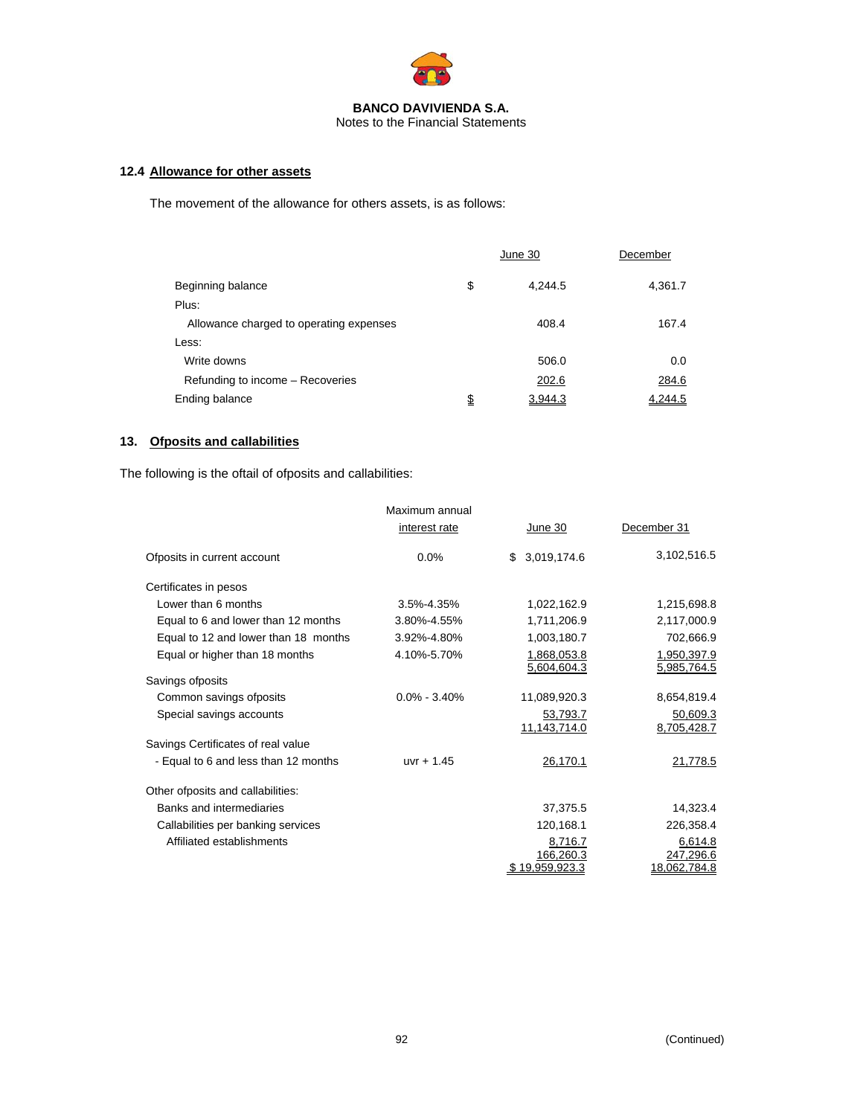

## **12.4 Allowance for other assets**

The movement of the allowance for others assets, is as follows:

|                                         | June 30       | December |
|-----------------------------------------|---------------|----------|
| Beginning balance                       | \$<br>4.244.5 | 4,361.7  |
| Plus:                                   |               |          |
| Allowance charged to operating expenses | 408.4         | 167.4    |
| Less:                                   |               |          |
| Write downs                             | 506.0         | 0.0      |
| Refunding to income - Recoveries        | 202.6         | 284.6    |
| Ending balance                          | \$<br>3,944.3 | 4,244.5  |

## **13. Ofposits and callabilities**

The following is the oftail of ofposits and callabilities:

|                                      | Maximum annual   |                             |                            |
|--------------------------------------|------------------|-----------------------------|----------------------------|
|                                      | interest rate    | June 30                     | December 31                |
| Ofposits in current account          | 0.0%             | \$3,019,174.6               | 3,102,516.5                |
| Certificates in pesos                |                  |                             |                            |
| Lower than 6 months                  | 3.5%-4.35%       | 1,022,162.9                 | 1,215,698.8                |
| Equal to 6 and lower than 12 months  | 3.80%-4.55%      | 1,711,206.9                 | 2,117,000.9                |
| Equal to 12 and lower than 18 months | 3.92%-4.80%      | 1,003,180.7                 | 702,666.9                  |
| Equal or higher than 18 months       | 4.10%-5.70%      | 1,868,053.8<br>5,604,604.3  | 1,950,397.9<br>5,985,764.5 |
| Savings ofposits                     |                  |                             |                            |
| Common savings ofposits              | $0.0\% - 3.40\%$ | 11,089,920.3                | 8,654,819.4                |
| Special savings accounts             |                  | 53,793.7<br>11,143,714.0    | 50,609.3<br>8,705,428.7    |
| Savings Certificates of real value   |                  |                             |                            |
| - Equal to 6 and less than 12 months | $uvr + 1.45$     | 26,170.1                    | 21,778.5                   |
| Other of posits and callabilities:   |                  |                             |                            |
| Banks and intermediaries             |                  | 37,375.5                    | 14,323.4                   |
| Callabilities per banking services   |                  | 120,168.1                   | 226,358.4                  |
| Affiliated establishments            |                  | 8,716.7                     | 6,614.8                    |
|                                      |                  | 166,260.3<br>\$19.959.923.3 | 247,296.6<br>18.062.784.8  |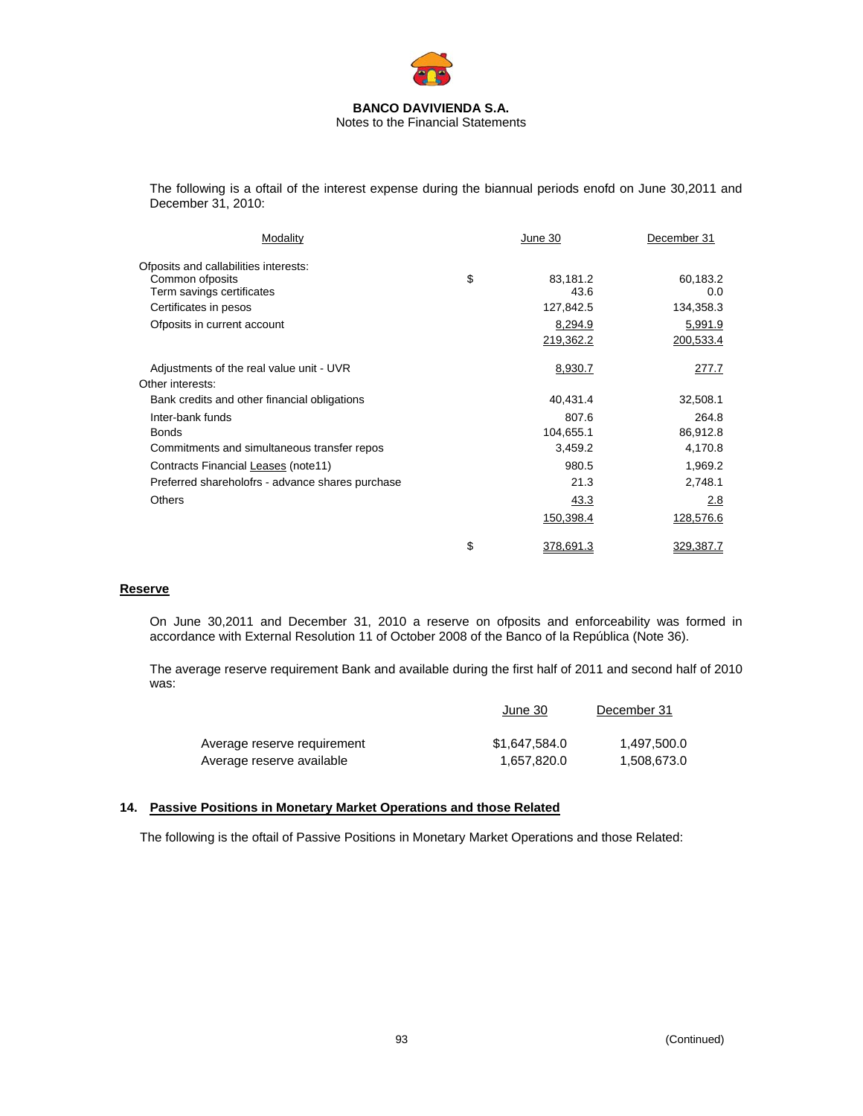

The following is a oftail of the interest expense during the biannual periods enofd on June 30,2011 and December 31, 2010:

| Modality                                         | June 30                | December 31          |
|--------------------------------------------------|------------------------|----------------------|
| Ofposits and callabilities interests:            |                        |                      |
| Common of posits<br>Term savings certificates    | \$<br>83,181.2<br>43.6 | 60,183.2<br>0.0      |
| Certificates in pesos                            | 127,842.5              | 134,358.3            |
| Ofposits in current account                      | 8,294.9<br>219,362.2   | 5,991.9<br>200,533.4 |
| Adjustments of the real value unit - UVR         | 8,930.7                | 277.7                |
| Other interests:                                 |                        |                      |
| Bank credits and other financial obligations     | 40,431.4               | 32,508.1             |
| Inter-bank funds                                 | 807.6                  | 264.8                |
| <b>Bonds</b>                                     | 104,655.1              | 86,912.8             |
| Commitments and simultaneous transfer repos      | 3,459.2                | 4,170.8              |
| Contracts Financial Leases (note11)              | 980.5                  | 1,969.2              |
| Preferred shareholofrs - advance shares purchase | 21.3                   | 2,748.1              |
| <b>Others</b>                                    | 43.3                   | 2.8                  |
|                                                  | 150,398.4              | 128,576.6            |
|                                                  | \$<br>378,691.3        | 329,387.7            |

#### **Reserve**

On June 30,2011 and December 31, 2010 a reserve on ofposits and enforceability was formed in accordance with External Resolution 11 of October 2008 of the Banco of la República (Note 36).

The average reserve requirement Bank and available during the first half of 2011 and second half of 2010 was:

|                             | June 30       | December 31 |  |
|-----------------------------|---------------|-------------|--|
| Average reserve requirement | \$1.647.584.0 | 1.497.500.0 |  |
| Average reserve available   | 1.657.820.0   | 1.508.673.0 |  |

#### **14. Passive Positions in Monetary Market Operations and those Related**

The following is the oftail of Passive Positions in Monetary Market Operations and those Related: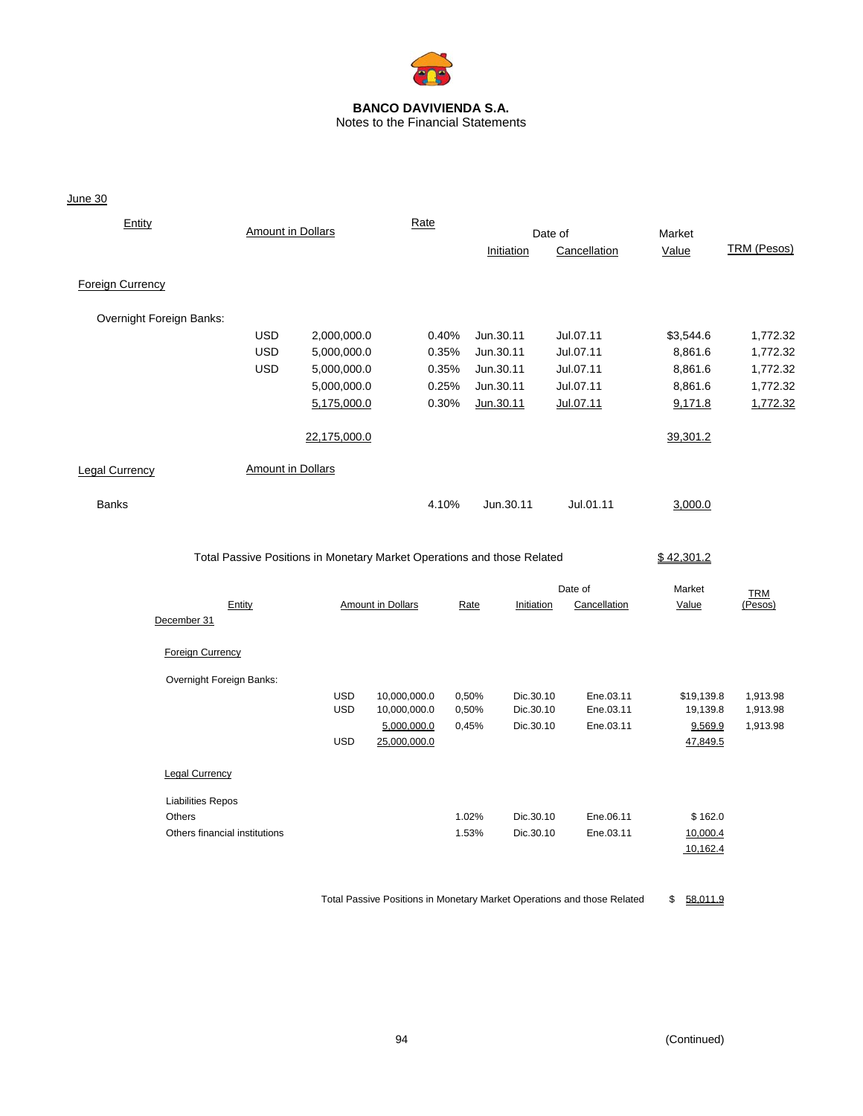

# Notes to the Financial Statements

June 30

| Entity                        | <b>Amount in Dollars</b> |                                                                         | Rate              |       |            | Date of      | Market     |                       |
|-------------------------------|--------------------------|-------------------------------------------------------------------------|-------------------|-------|------------|--------------|------------|-----------------------|
|                               |                          |                                                                         |                   |       | Initiation | Cancellation | Value      | TRM (Pesos)           |
| <b>Foreign Currency</b>       |                          |                                                                         |                   |       |            |              |            |                       |
| Overnight Foreign Banks:      |                          |                                                                         |                   |       |            |              |            |                       |
|                               | <b>USD</b>               | 2,000,000.0                                                             |                   | 0.40% | Jun.30.11  | Jul.07.11    | \$3,544.6  | 1,772.32              |
|                               | <b>USD</b>               | 5,000,000.0                                                             |                   | 0.35% | Jun.30.11  | Jul.07.11    | 8,861.6    | 1,772.32              |
|                               | <b>USD</b>               | 5,000,000.0                                                             |                   | 0.35% | Jun.30.11  | Jul.07.11    | 8,861.6    | 1,772.32              |
|                               |                          | 5,000,000.0                                                             |                   | 0.25% | Jun.30.11  | Jul.07.11    | 8,861.6    | 1,772.32              |
|                               |                          | 5,175,000.0                                                             |                   | 0.30% | Jun.30.11  | Jul.07.11    | 9,171.8    | 1,772.32              |
|                               |                          | 22,175,000.0                                                            |                   |       |            |              | 39,301.2   |                       |
| <b>Legal Currency</b>         | <b>Amount in Dollars</b> |                                                                         |                   |       |            |              |            |                       |
| <b>Banks</b>                  |                          |                                                                         | 4.10%             |       | Jun.30.11  | Jul.01.11    | 3,000.0    |                       |
|                               |                          | Total Passive Positions in Monetary Market Operations and those Related |                   |       |            |              | \$42,301.2 |                       |
|                               |                          |                                                                         |                   |       |            | Date of      | Market     |                       |
| December 31                   | Entity                   |                                                                         | Amount in Dollars | Rate  | Initiation | Cancellation | Value      | <b>TRM</b><br>(Pesos) |
| <b>Foreign Currency</b>       |                          |                                                                         |                   |       |            |              |            |                       |
| Overnight Foreign Banks:      |                          |                                                                         |                   |       |            |              |            |                       |
|                               |                          | <b>USD</b>                                                              | 10,000,000.0      | 0,50% | Dic.30.10  | Ene.03.11    | \$19,139.8 | 1,913.98              |
|                               |                          | <b>USD</b>                                                              | 10,000,000.0      | 0,50% | Dic.30.10  | Ene.03.11    | 19,139.8   | 1,913.98              |
|                               |                          |                                                                         | 5,000,000.0       | 0,45% | Dic.30.10  | Ene.03.11    | 9,569.9    | 1,913.98              |
|                               |                          | <b>USD</b>                                                              | 25,000,000.0      |       |            |              | 47,849.5   |                       |
| <b>Legal Currency</b>         |                          |                                                                         |                   |       |            |              |            |                       |
| <b>Liabilities Repos</b>      |                          |                                                                         |                   |       |            |              |            |                       |
| Others                        |                          |                                                                         |                   | 1.02% | Dic.30.10  | Ene.06.11    | \$162.0    |                       |
| Others financial institutions |                          |                                                                         |                   | 1.53% | Dic.30.10  | Ene.03.11    | 10,000.4   |                       |
|                               |                          |                                                                         |                   |       |            |              | 10,162.4   |                       |

Total Passive Positions in Monetary Market Operations and those Related \$ 58,011.9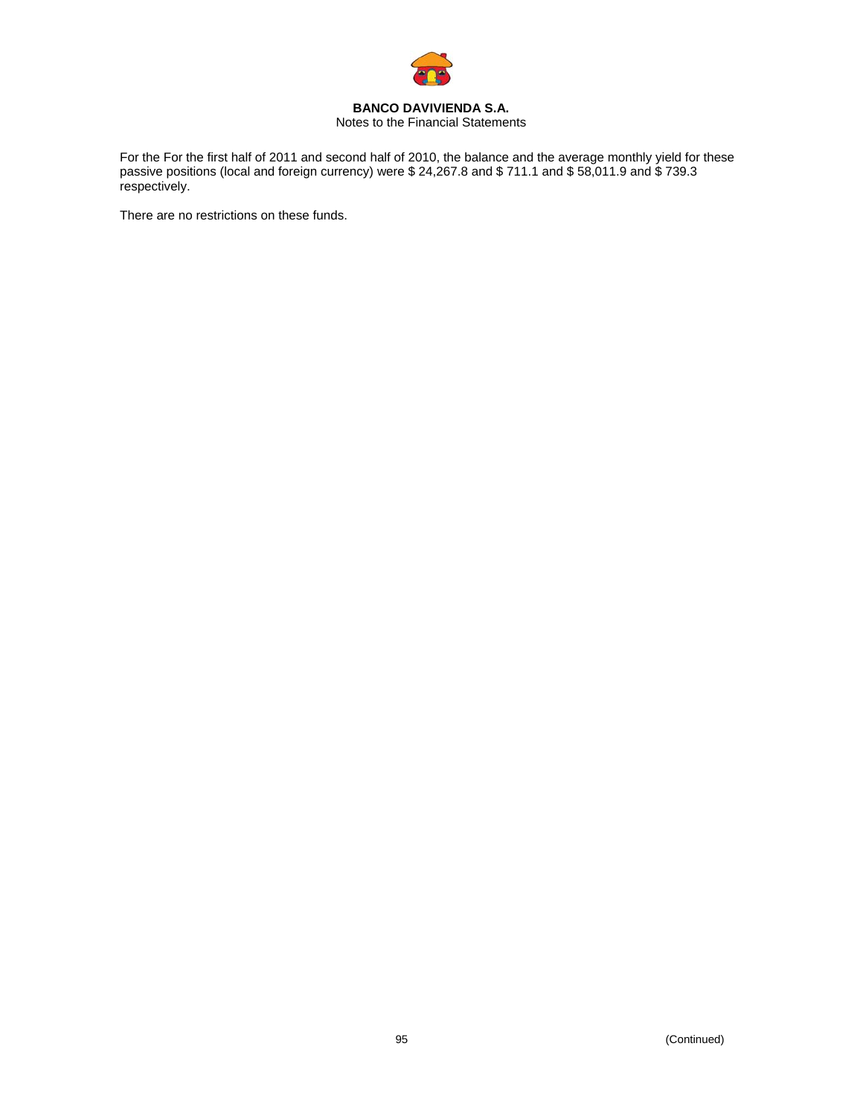

#### **BANCO DAVIVIENDA S.A.**  Notes to the Financial Statements

For the For the first half of 2011 and second half of 2010, the balance and the average monthly yield for these passive positions (local and foreign currency) were \$ 24,267.8 and \$ 711.1 and \$ 58,011.9 and \$ 739.3 respectively.

There are no restrictions on these funds.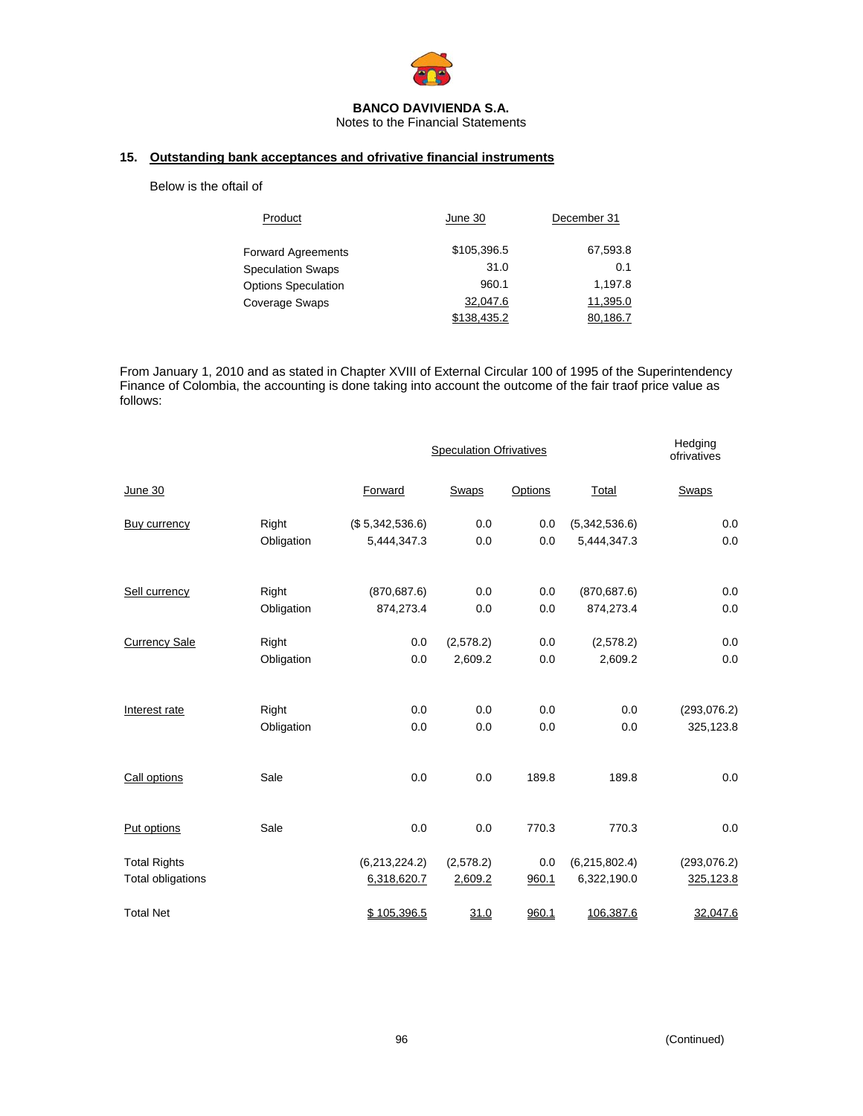

Notes to the Financial Statements

#### **15. Outstanding bank acceptances and ofrivative financial instruments**

#### Below is the oftail of

| Product                    | June 30     | December 31 |
|----------------------------|-------------|-------------|
| <b>Forward Agreements</b>  | \$105.396.5 | 67,593.8    |
| <b>Speculation Swaps</b>   | 31.0        | 0.1         |
| <b>Options Speculation</b> | 960.1       | 1,197.8     |
| <b>Coverage Swaps</b>      | 32,047.6    | 11.395.0    |
|                            | \$138,435.2 | 80.186.7    |

From January 1, 2010 and as stated in Chapter XVIII of External Circular 100 of 1995 of the Superintendency Finance of Colombia, the accounting is done taking into account the outcome of the fair traof price value as follows:

|                      |            |                 | <b>Speculation Ofrivatives</b> | Hedging<br>ofrivatives |               |              |
|----------------------|------------|-----------------|--------------------------------|------------------------|---------------|--------------|
| June 30              |            | Forward         | Swaps                          | Options                | Total         | Swaps        |
| Buy currency         | Right      | (\$5,342,536.6) | 0.0                            | 0.0                    | (5,342,536.6) | 0.0          |
|                      | Obligation | 5,444,347.3     | 0.0                            | 0.0                    | 5,444,347.3   | 0.0          |
| Sell currency        | Right      | (870, 687.6)    | 0.0                            | 0.0                    | (870, 687.6)  | 0.0          |
|                      | Obligation | 874,273.4       | 0.0                            | 0.0                    | 874,273.4     | 0.0          |
| <b>Currency Sale</b> | Right      | 0.0             | (2,578.2)                      | 0.0                    | (2,578.2)     | 0.0          |
|                      | Obligation | 0.0             | 2,609.2                        | 0.0                    | 2,609.2       | 0.0          |
| Interest rate        | Right      | 0.0             | 0.0                            | 0.0                    | 0.0           | (293, 076.2) |
|                      | Obligation | 0.0             | 0.0                            | 0.0                    | 0.0           | 325,123.8    |
| Call options         | Sale       | 0.0             | 0.0                            | 189.8                  | 189.8         | 0.0          |
| Put options          | Sale       | 0.0             | 0.0                            | 770.3                  | 770.3         | 0.0          |
| <b>Total Rights</b>  |            | (6,213,224.2)   | (2,578.2)                      | 0.0                    | (6,215,802.4) | (293, 076.2) |
| Total obligations    |            | 6,318,620.7     | 2,609.2                        | 960.1                  | 6,322,190.0   | 325,123.8    |
| <b>Total Net</b>     |            | \$105,396.5     | 31.0                           | 960.1                  | 106,387.6     | 32,047.6     |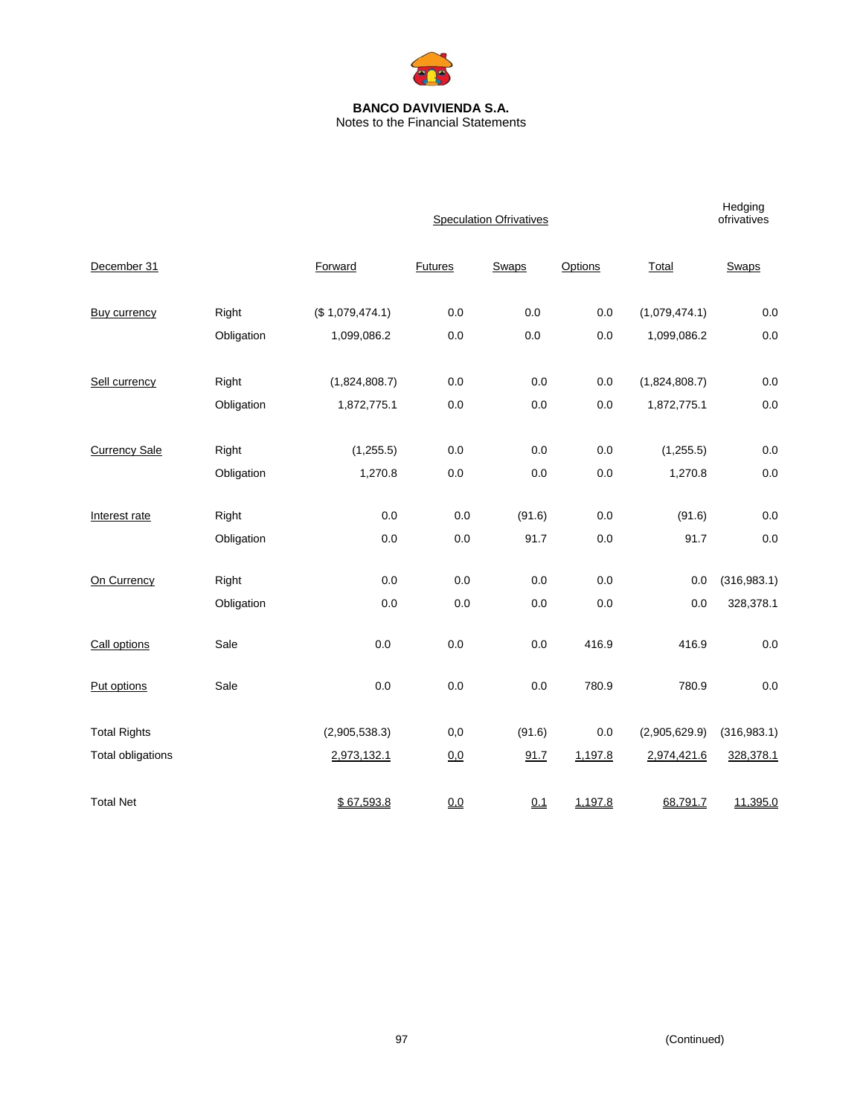

#### **BANCO DAVIVIENDA S.A.**  Notes to the Financial Statements

|                          |            |                 | <b>Speculation Ofrivatives</b> |        |         |               |              |
|--------------------------|------------|-----------------|--------------------------------|--------|---------|---------------|--------------|
| December 31              |            | Forward         | Futures                        | Swaps  | Options | Total         | Swaps        |
| <b>Buy currency</b>      | Right      | (\$1,079,474.1) | 0.0                            | 0.0    | 0.0     | (1,079,474.1) | $0.0\,$      |
|                          | Obligation | 1,099,086.2     | 0.0                            | 0.0    | 0.0     | 1,099,086.2   | 0.0          |
| Sell currency            | Right      | (1,824,808.7)   | 0.0                            | 0.0    | 0.0     | (1,824,808.7) | 0.0          |
|                          | Obligation | 1,872,775.1     | 0.0                            | 0.0    | $0.0\,$ | 1,872,775.1   | 0.0          |
| <b>Currency Sale</b>     | Right      | (1,255.5)       | 0.0                            | 0.0    | 0.0     | (1,255.5)     | 0.0          |
|                          | Obligation | 1,270.8         | 0.0                            | 0.0    | 0.0     | 1,270.8       | 0.0          |
| Interest rate            | Right      | 0.0             | 0.0                            | (91.6) | 0.0     | (91.6)        | 0.0          |
|                          | Obligation | 0.0             | 0.0                            | 91.7   | 0.0     | 91.7          | 0.0          |
| On Currency              | Right      | 0.0             | 0.0                            | 0.0    | 0.0     | 0.0           | (316, 983.1) |
|                          | Obligation | $0.0\,$         | 0.0                            | 0.0    | 0.0     | 0.0           | 328,378.1    |
| Call options             | Sale       | 0.0             | 0.0                            | 0.0    | 416.9   | 416.9         | 0.0          |
| Put options              | Sale       | 0.0             | 0.0                            | 0.0    | 780.9   | 780.9         | 0.0          |
| <b>Total Rights</b>      |            | (2,905,538.3)   | 0,0                            | (91.6) | 0.0     | (2,905,629.9) | (316, 983.1) |
| <b>Total obligations</b> |            | 2,973,132.1     | 0,0                            | 91.7   | 1,197.8 | 2,974,421.6   | 328,378.1    |
| <b>Total Net</b>         |            | \$67,593.8      | 0.0                            | 0.1    | 1,197.8 | 68,791.7      | 11,395.0     |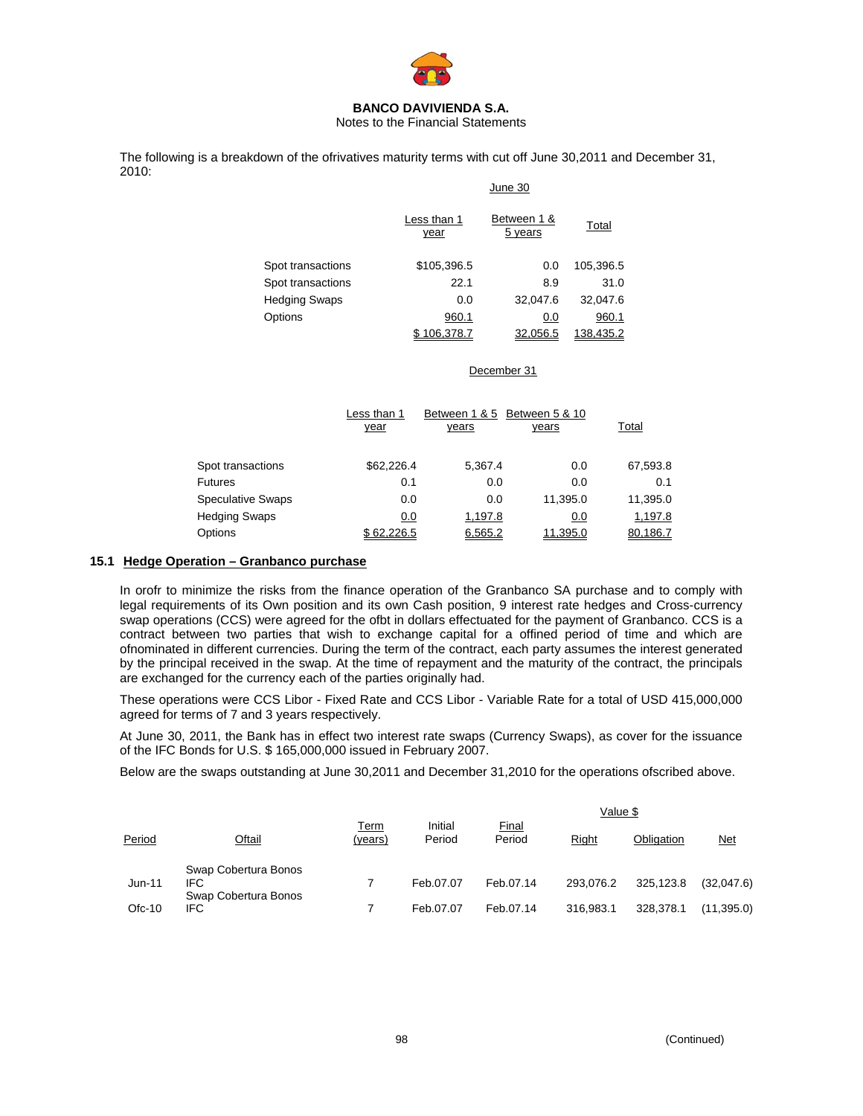

Notes to the Financial Statements

The following is a breakdown of the ofrivatives maturity terms with cut off June 30,2011 and December 31, 2010:  $\overline{a}$ 

|                      |                     | June 30                |           |  |  |  |  |  |
|----------------------|---------------------|------------------------|-----------|--|--|--|--|--|
|                      | Less than 1<br>year | Between 1 &<br>5 years | Total     |  |  |  |  |  |
| Spot transactions    | \$105,396.5         | 0.0                    | 105,396.5 |  |  |  |  |  |
| Spot transactions    | 22.1                | 8.9                    | 31.0      |  |  |  |  |  |
| <b>Hedging Swaps</b> | 0.0                 | 32,047.6               | 32,047.6  |  |  |  |  |  |
| Options              | 960.1               | 0.0                    | 960.1     |  |  |  |  |  |
|                      | 06.378.7            | 32.056.5               | 138.435.2 |  |  |  |  |  |

#### December 31

|                          | Less than 1 | Between 1 & 5                | Between 5 & 10 |              |
|--------------------------|-------------|------------------------------|----------------|--------------|
|                          | year        | <u>years</u><br><u>years</u> |                | <u>Total</u> |
|                          |             |                              |                |              |
| Spot transactions        | \$62,226.4  | 5.367.4                      | 0.0            | 67,593.8     |
| <b>Futures</b>           | 0.1         | 0.0                          | 0.0            | 0.1          |
| <b>Speculative Swaps</b> | 0.0         | 0.0                          | 11.395.0       | 11,395.0     |
| <b>Hedging Swaps</b>     | 0.0         | 1,197.8                      | 0.0            | 1,197.8      |
| Options                  | \$62,226.5  | 6,565.2                      | 11,395.0       | 80,186.7     |

#### **15.1 Hedge Operation – Granbanco purchase**

In orofr to minimize the risks from the finance operation of the Granbanco SA purchase and to comply with legal requirements of its Own position and its own Cash position, 9 interest rate hedges and Cross-currency swap operations (CCS) were agreed for the ofbt in dollars effectuated for the payment of Granbanco. CCS is a contract between two parties that wish to exchange capital for a offined period of time and which are ofnominated in different currencies. During the term of the contract, each party assumes the interest generated by the principal received in the swap. At the time of repayment and the maturity of the contract, the principals are exchanged for the currency each of the parties originally had.

These operations were CCS Libor - Fixed Rate and CCS Libor - Variable Rate for a total of USD 415,000,000 agreed for terms of 7 and 3 years respectively.

At June 30, 2011, the Bank has in effect two interest rate swaps (Currency Swaps), as cover for the issuance of the IFC Bonds for U.S. \$ 165,000,000 issued in February 2007.

Below are the swaps outstanding at June 30,2011 and December 31,2010 for the operations ofscribed above.

|        |                                                            |                 |                   |                 | Value \$  |            |            |  |
|--------|------------------------------------------------------------|-----------------|-------------------|-----------------|-----------|------------|------------|--|
| Period | Oftail                                                     | Term<br>(years) | Initial<br>Period | Final<br>Period | Right     | Obligation | <u>Net</u> |  |
| Jun-11 | Swap Cobertura Bonos<br><b>IFC</b><br>Swap Cobertura Bonos |                 | Feb.07.07         | Feb.07.14       | 293.076.2 | 325.123.8  | (32,047.6) |  |
| Ofc-10 | IFC.                                                       |                 | Feb.07.07         | Feb.07.14       | 316,983.1 | 328.378.1  | (11,395.0) |  |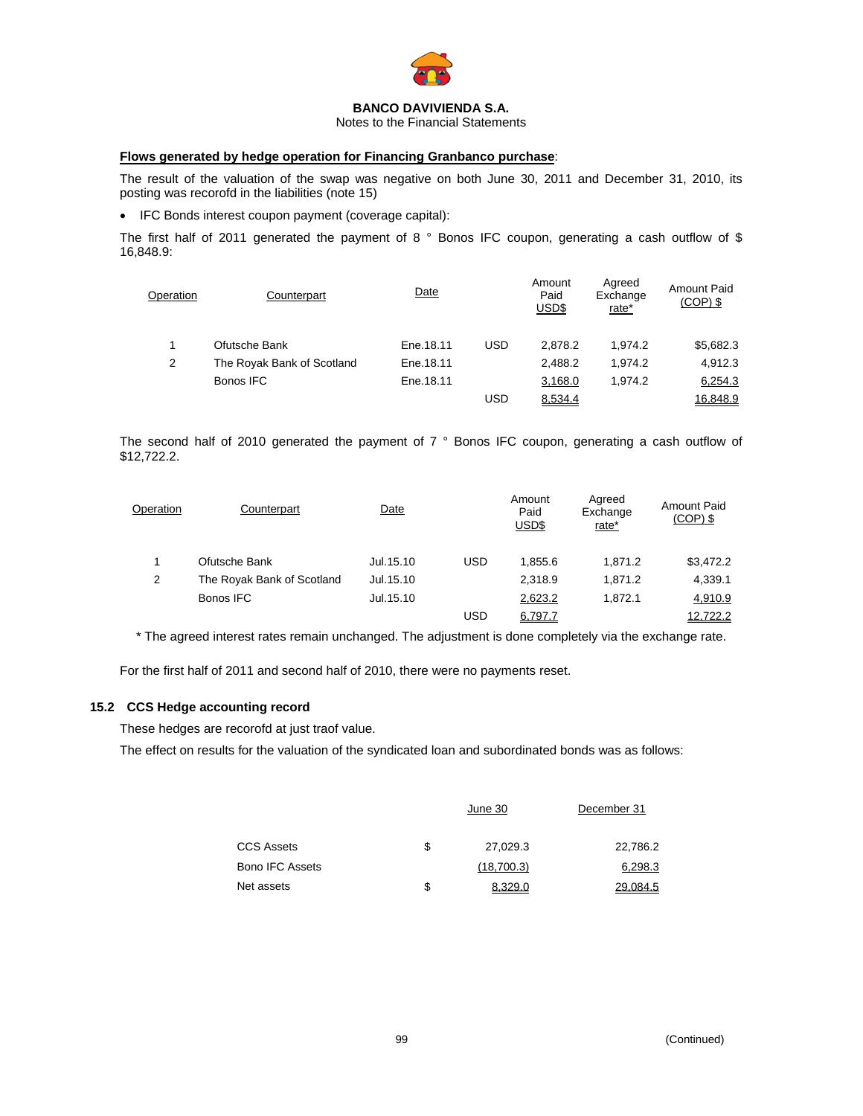

Notes to the Financial Statements

#### **Flows generated by hedge operation for Financing Granbanco purchase**:

The result of the valuation of the swap was negative on both June 30, 2011 and December 31, 2010, its posting was recorofd in the liabilities (note 15)

• IFC Bonds interest coupon payment (coverage capital):

The first half of 2011 generated the payment of 8 ° Bonos IFC coupon, generating a cash outflow of \$ 16,848.9:

| Operation | Counterpart                | Date      |     | Amount<br>Paid<br>USD\$ | Agreed<br>Exchange<br>rate* | <b>Amount Paid</b><br>$(COP)$ \$ |
|-----------|----------------------------|-----------|-----|-------------------------|-----------------------------|----------------------------------|
|           | Ofutsche Bank              | Ene.18.11 | USD | 2.878.2                 | 1.974.2                     | \$5,682.3                        |
| 2         | The Royak Bank of Scotland | Ene.18.11 |     | 2.488.2                 | 1.974.2                     | 4.912.3                          |
|           | Bonos IFC                  | Ene.18.11 |     | 3,168.0                 | 1.974.2                     | 6,254.3                          |
|           |                            |           | USD | 8.534.4                 |                             | 16.848.9                         |

The second half of 2010 generated the payment of 7 ° Bonos IFC coupon, generating a cash outflow of \$12,722.2.

| Operation | Counterpart                | Date      |            | Amount<br>Paid<br>USD\$ | Agreed<br>Exchange<br>rate* | <b>Amount Paid</b><br>$(COP)$ \$ |  |
|-----------|----------------------------|-----------|------------|-------------------------|-----------------------------|----------------------------------|--|
|           | Ofutsche Bank              | Jul.15.10 | <b>USD</b> | 1.855.6                 | 1.871.2                     | \$3,472.2                        |  |
| 2         | The Royak Bank of Scotland | Jul.15.10 |            | 2.318.9                 | 1.871.2                     | 4,339.1                          |  |
|           | Bonos IFC                  | Jul.15.10 |            | 2,623.2                 | 1.872.1                     | 4,910.9                          |  |
|           |                            |           | USD        | 6,797.7                 |                             | 12.722.2                         |  |

\* The agreed interest rates remain unchanged. The adjustment is done completely via the exchange rate.

For the first half of 2011 and second half of 2010, there were no payments reset.

#### **15.2 CCS Hedge accounting record**

These hedges are recorofd at just traof value.

The effect on results for the valuation of the syndicated loan and subordinated bonds was as follows:

|                        | June 30        | December 31 |
|------------------------|----------------|-------------|
| <b>CCS Assets</b>      | \$<br>27,029.3 | 22,786.2    |
| <b>Bono IFC Assets</b> | (18,700.3)     | 6,298.3     |
| Net assets             | \$<br>8,329.0  | 29.084.5    |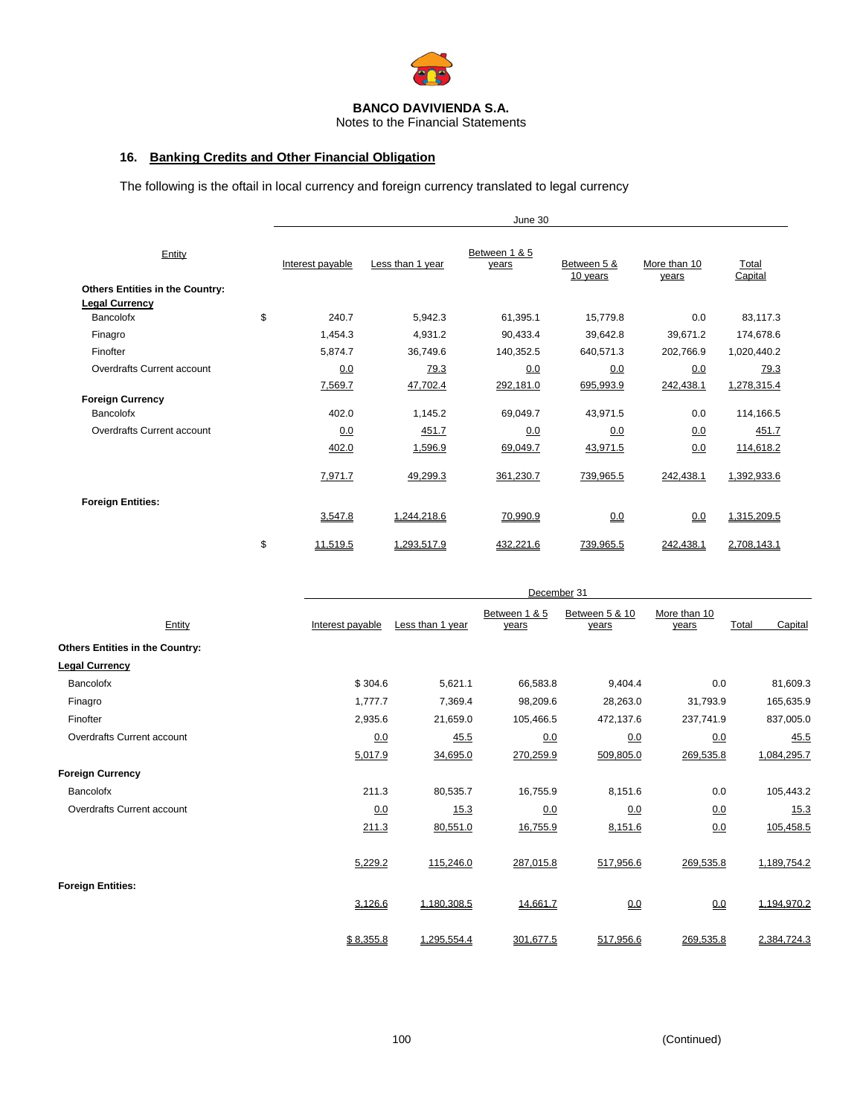

Notes to the Financial Statements

## **16. Banking Credits and Other Financial Obligation**

The following is the oftail in local currency and foreign currency translated to legal currency

|                                                                 |                  |                  | June 30                |                         |                       |                  |
|-----------------------------------------------------------------|------------------|------------------|------------------------|-------------------------|-----------------------|------------------|
| Entity                                                          | Interest payable | Less than 1 year | Between 1 & 5<br>years | Between 5 &<br>10 years | More than 10<br>years | Total<br>Capital |
| <b>Others Entities in the Country:</b><br><b>Legal Currency</b> |                  |                  |                        |                         |                       |                  |
| Bancolofx                                                       | \$<br>240.7      | 5,942.3          | 61,395.1               | 15,779.8                | 0.0                   | 83,117.3         |
| Finagro                                                         | 1,454.3          | 4,931.2          | 90,433.4               | 39,642.8                | 39,671.2              | 174,678.6        |
| Finofter                                                        | 5,874.7          | 36,749.6         | 140,352.5              | 640,571.3               | 202,766.9             | 1,020,440.2      |
| Overdrafts Current account                                      | 0.0              | 79.3             | 0.0                    | 0.0                     | 0.0                   | 79.3             |
|                                                                 | 7,569.7          | 47,702.4         | 292,181.0              | 695,993.9               | 242,438.1             | 1,278,315.4      |
| <b>Foreign Currency</b>                                         |                  |                  |                        |                         |                       |                  |
| Bancolofx                                                       | 402.0            | 1,145.2          | 69,049.7               | 43,971.5                | 0.0                   | 114,166.5        |
| Overdrafts Current account                                      | 0.0              | 451.7            | 0.0                    | 0.0                     | 0.0                   | 451.7            |
|                                                                 | 402.0            | 1,596.9          | 69,049.7               | 43,971.5                | 0.0                   | 114,618.2        |
|                                                                 | 7,971.7          | 49,299.3         | 361,230.7              | 739,965.5               | 242,438.1             | 1,392,933.6      |
| <b>Foreign Entities:</b>                                        |                  |                  |                        |                         |                       |                  |
|                                                                 | 3,547.8          | 1,244,218.6      | 70,990.9               | 0.0                     | 0.0                   | 1,315,209.5      |
|                                                                 | \$<br>11,519.5   | 1,293,517.9      | 432,221.6              | 739,965.5               | 242,438.1             | 2,708,143.1      |

|                                        | December <sub>31</sub> |                  |                        |                         |                       |                  |  |  |  |
|----------------------------------------|------------------------|------------------|------------------------|-------------------------|-----------------------|------------------|--|--|--|
| Entity                                 | Interest payable       | Less than 1 year | Between 1 & 5<br>years | Between 5 & 10<br>years | More than 10<br>years | Capital<br>Total |  |  |  |
| <b>Others Entities in the Country:</b> |                        |                  |                        |                         |                       |                  |  |  |  |
| <b>Legal Currency</b>                  |                        |                  |                        |                         |                       |                  |  |  |  |
| Bancolofx                              | \$304.6                | 5,621.1          | 66,583.8               | 9,404.4                 | 0.0                   | 81,609.3         |  |  |  |
| Finagro                                | 1,777.7                | 7,369.4          | 98,209.6               | 28,263.0                | 31,793.9              | 165,635.9        |  |  |  |
| Finofter                               | 2,935.6                | 21,659.0         | 105,466.5              | 472,137.6               | 237,741.9             | 837,005.0        |  |  |  |
| Overdrafts Current account             | 0.0                    | 45.5             | 0.0                    | 0.0                     | 0.0                   | 45.5             |  |  |  |
|                                        | 5,017.9                | 34,695.0         | 270,259.9              | 509,805.0               | 269,535.8             | 1,084,295.7      |  |  |  |
| <b>Foreign Currency</b>                |                        |                  |                        |                         |                       |                  |  |  |  |
| Bancolofx                              | 211.3                  | 80,535.7         | 16,755.9               | 8,151.6                 | 0.0                   | 105,443.2        |  |  |  |
| Overdrafts Current account             | 0.0                    | 15.3             | 0.0                    | 0.0                     | 0.0                   | 15.3             |  |  |  |
|                                        | 211.3                  | 80,551.0         | 16,755.9               | 8,151.6                 | 0.0                   | 105,458.5        |  |  |  |
|                                        | 5,229.2                | 115,246.0        | 287,015.8              | 517,956.6               | 269,535.8             | 1,189,754.2      |  |  |  |
| <b>Foreign Entities:</b>               | 3,126.6                | 1,180,308.5      | 14,661.7               | 0.0                     | 0.0                   | 1,194,970.2      |  |  |  |
|                                        | \$8,355.8              | 1,295,554.4      | 301,677.5              | 517,956.6               | 269,535.8             | 2,384,724.3      |  |  |  |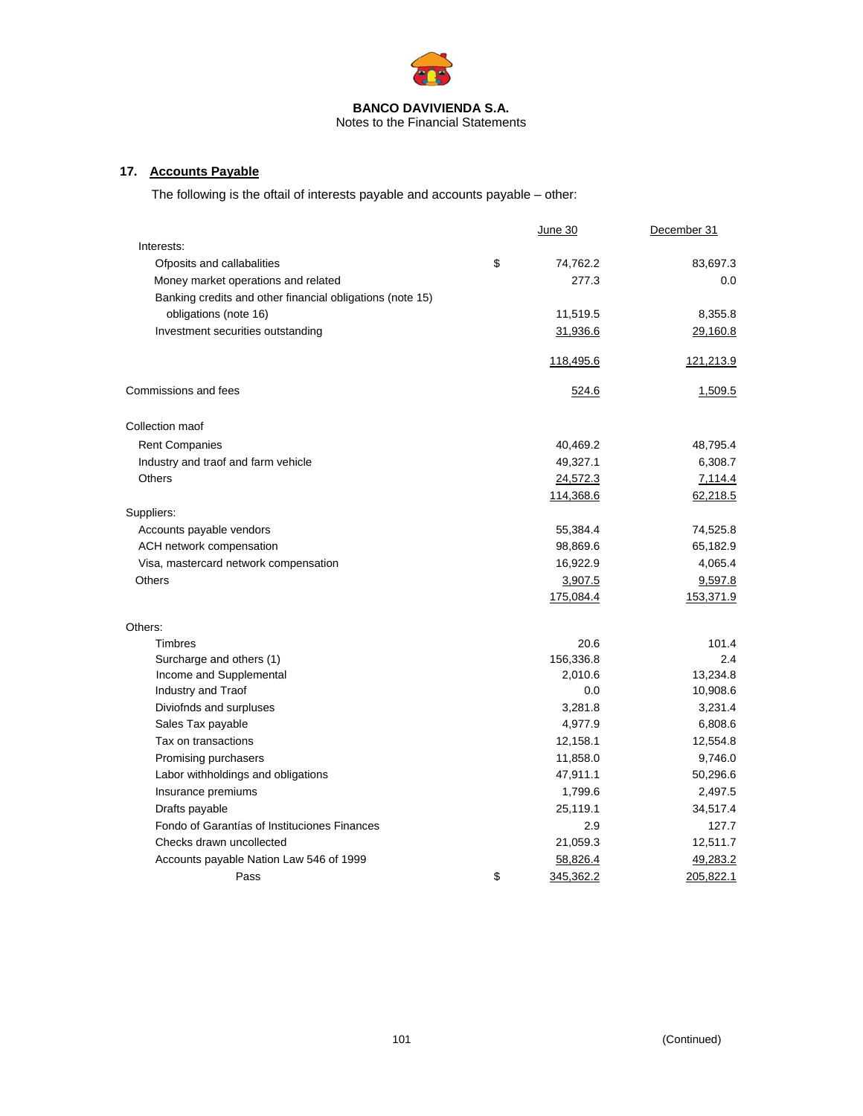

Notes to the Financial Statements

## **17. Accounts Payable**

The following is the oftail of interests payable and accounts payable – other:

|                                                           | <u>June 30</u>  | December 31 |
|-----------------------------------------------------------|-----------------|-------------|
| Interests:                                                |                 |             |
| Ofposits and callabalities                                | \$<br>74,762.2  | 83,697.3    |
| Money market operations and related                       | 277.3           | 0.0         |
| Banking credits and other financial obligations (note 15) |                 |             |
| obligations (note 16)                                     | 11,519.5        | 8,355.8     |
| Investment securities outstanding                         | 31,936.6        | 29,160.8    |
|                                                           | 118,495.6       | 121,213.9   |
| Commissions and fees                                      | 524.6           | 1,509.5     |
| Collection maof                                           |                 |             |
| <b>Rent Companies</b>                                     | 40,469.2        | 48,795.4    |
| Industry and traof and farm vehicle                       | 49,327.1        | 6,308.7     |
| <b>Others</b>                                             | 24,572.3        | 7,114.4     |
|                                                           | 114,368.6       | 62,218.5    |
| Suppliers:                                                |                 |             |
| Accounts payable vendors                                  | 55,384.4        | 74,525.8    |
| ACH network compensation                                  | 98,869.6        | 65,182.9    |
| Visa, mastercard network compensation                     | 16,922.9        | 4,065.4     |
| <b>Others</b>                                             | 3,907.5         | 9,597.8     |
|                                                           | 175,084.4       | 153,371.9   |
| Others:                                                   |                 |             |
| Timbres                                                   | 20.6            | 101.4       |
| Surcharge and others (1)                                  | 156,336.8       | 2.4         |
| Income and Supplemental                                   | 2,010.6         | 13,234.8    |
| Industry and Traof                                        | 0.0             | 10,908.6    |
| Diviofnds and surpluses                                   | 3,281.8         | 3,231.4     |
| Sales Tax payable                                         | 4,977.9         | 6,808.6     |
| Tax on transactions                                       | 12,158.1        | 12,554.8    |
| Promising purchasers                                      | 11,858.0        | 9,746.0     |
| Labor withholdings and obligations                        | 47,911.1        | 50,296.6    |
| Insurance premiums                                        | 1,799.6         | 2,497.5     |
| Drafts payable                                            | 25,119.1        | 34,517.4    |
| Fondo of Garantías of Instituciones Finances              | 2.9             | 127.7       |
| Checks drawn uncollected                                  | 21,059.3        | 12,511.7    |
| Accounts payable Nation Law 546 of 1999                   | 58,826.4        | 49,283.2    |
| Pass                                                      | \$<br>345,362.2 | 205,822.1   |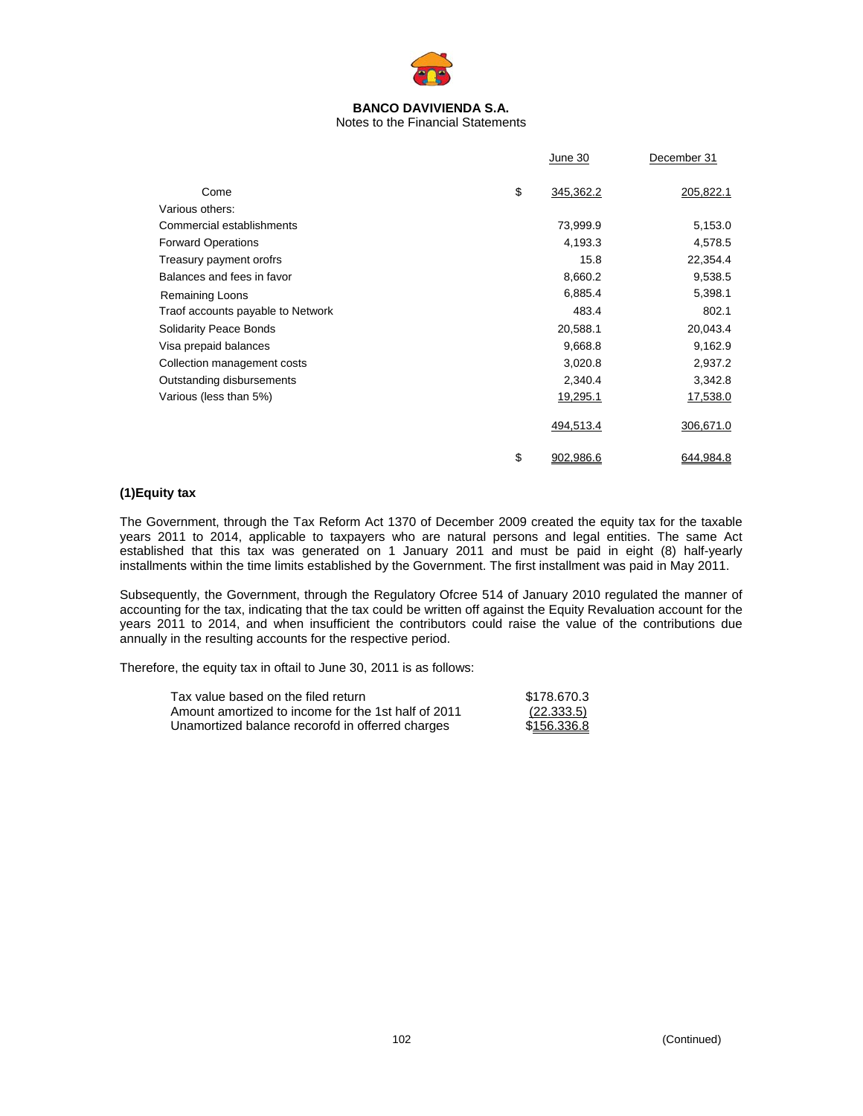

Notes to the Financial Statements

|                                   | June 30         | December 31 |
|-----------------------------------|-----------------|-------------|
| Come                              | \$<br>345,362.2 | 205,822.1   |
| Various others:                   |                 |             |
| Commercial establishments         | 73,999.9        | 5,153.0     |
| <b>Forward Operations</b>         | 4,193.3         | 4,578.5     |
| Treasury payment orofrs           | 15.8            | 22,354.4    |
| Balances and fees in favor        | 8,660.2         | 9,538.5     |
| <b>Remaining Loons</b>            | 6,885.4         | 5,398.1     |
| Traof accounts payable to Network | 483.4           | 802.1       |
| <b>Solidarity Peace Bonds</b>     | 20,588.1        | 20,043.4    |
| Visa prepaid balances             | 9,668.8         | 9,162.9     |
| Collection management costs       | 3,020.8         | 2,937.2     |
| Outstanding disbursements         | 2,340.4         | 3,342.8     |
| Various (less than 5%)            | 19,295.1        | 17,538.0    |
|                                   | 494,513.4       | 306,671.0   |
|                                   | \$<br>902,986.6 | 644,984.8   |

## **(1)Equity tax**

The Government, through the Tax Reform Act 1370 of December 2009 created the equity tax for the taxable years 2011 to 2014, applicable to taxpayers who are natural persons and legal entities. The same Act established that this tax was generated on 1 January 2011 and must be paid in eight (8) half-yearly installments within the time limits established by the Government. The first installment was paid in May 2011.

Subsequently, the Government, through the Regulatory Ofcree 514 of January 2010 regulated the manner of accounting for the tax, indicating that the tax could be written off against the Equity Revaluation account for the years 2011 to 2014, and when insufficient the contributors could raise the value of the contributions due annually in the resulting accounts for the respective period.

Therefore, the equity tax in oftail to June 30, 2011 is as follows:

| Tax value based on the filed return                 | \$178,670.3 |
|-----------------------------------------------------|-------------|
| Amount amortized to income for the 1st half of 2011 | (22.333.5)  |
| Unamortized balance recorofd in offerred charges    | \$156,336.8 |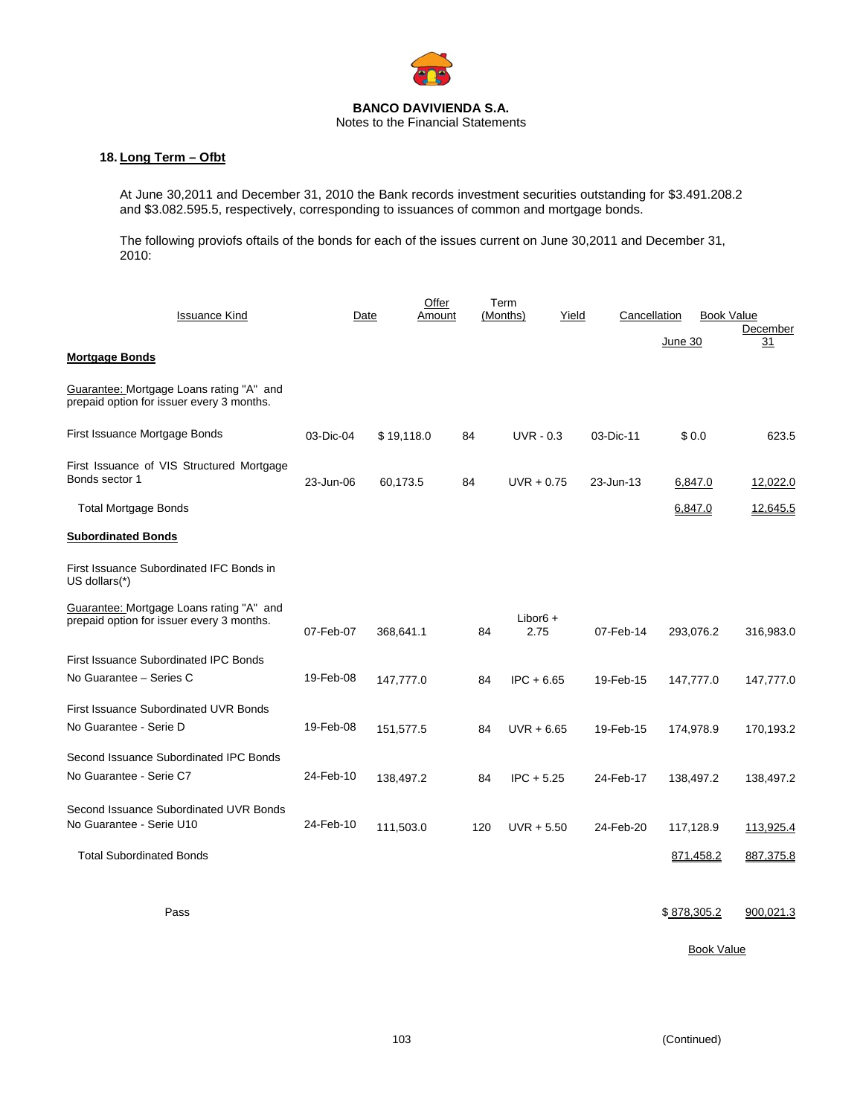

## **18. Long Term – Ofbt**

At June 30,2011 and December 31, 2010 the Bank records investment securities outstanding for \$3.491.208.2 and \$3.082.595.5, respectively, corresponding to issuances of common and mortgage bonds.

The following proviofs oftails of the bonds for each of the issues current on June 30,2011 and December 31, 2010:

| <b>Issuance Kind</b>                                                                  |           | Date       | Offer<br>Amount |     | Term<br>(Months)    | Yield | Cancellation |           |           | <b>Book Value</b> |
|---------------------------------------------------------------------------------------|-----------|------------|-----------------|-----|---------------------|-------|--------------|-----------|-----------|-------------------|
|                                                                                       |           |            |                 |     |                     |       |              | June 30   |           | December<br>31    |
| <b>Mortgage Bonds</b>                                                                 |           |            |                 |     |                     |       |              |           |           |                   |
| Guarantee: Mortgage Loans rating "A" and<br>prepaid option for issuer every 3 months. |           |            |                 |     |                     |       |              |           |           |                   |
| First Issuance Mortgage Bonds                                                         | 03-Dic-04 | \$19,118.0 |                 | 84  | $UVR - 0.3$         |       | 03-Dic-11    | \$0.0     |           | 623.5             |
| First Issuance of VIS Structured Mortgage<br>Bonds sector 1                           | 23-Jun-06 | 60,173.5   |                 | 84  | $UVR + 0.75$        |       | 23-Jun-13    |           | 6,847.0   | 12,022.0          |
| <b>Total Mortgage Bonds</b>                                                           |           |            |                 |     |                     |       |              | 6,847.0   |           | 12,645.5          |
| <b>Subordinated Bonds</b>                                                             |           |            |                 |     |                     |       |              |           |           |                   |
| First Issuance Subordinated IFC Bonds in<br>US dollars(*)                             |           |            |                 |     |                     |       |              |           |           |                   |
| Guarantee: Mortgage Loans rating "A" and<br>prepaid option for issuer every 3 months. | 07-Feb-07 | 368,641.1  |                 | 84  | Libor $6 +$<br>2.75 |       | 07-Feb-14    |           | 293,076.2 | 316,983.0         |
| First Issuance Subordinated IPC Bonds                                                 |           |            |                 |     |                     |       |              |           |           |                   |
| No Guarantee - Series C                                                               | 19-Feb-08 | 147,777.0  |                 | 84  | $IPC + 6.65$        |       | 19-Feb-15    |           | 147,777.0 | 147,777.0         |
| <b>First Issuance Subordinated UVR Bonds</b>                                          |           |            |                 |     |                     |       |              |           |           |                   |
| No Guarantee - Serie D                                                                | 19-Feb-08 | 151,577.5  |                 | 84  | $UVR + 6.65$        |       | 19-Feb-15    |           | 174,978.9 | 170,193.2         |
| Second Issuance Subordinated IPC Bonds                                                |           |            |                 |     |                     |       |              |           |           |                   |
| No Guarantee - Serie C7                                                               | 24-Feb-10 | 138,497.2  |                 | 84  | $IPC + 5.25$        |       | 24-Feb-17    |           | 138,497.2 | 138,497.2         |
| Second Issuance Subordinated UVR Bonds<br>No Guarantee - Serie U10                    | 24-Feb-10 | 111,503.0  |                 | 120 | $UVR + 5.50$        |       | 24-Feb-20    | 117,128.9 |           | 113,925.4         |
| <b>Total Subordinated Bonds</b>                                                       |           |            |                 |     |                     |       |              |           | 871,458.2 | 887,375.8         |
|                                                                                       |           |            |                 |     |                     |       |              |           |           |                   |

Pass 305.2 900,021.3

**Book Value** Book Value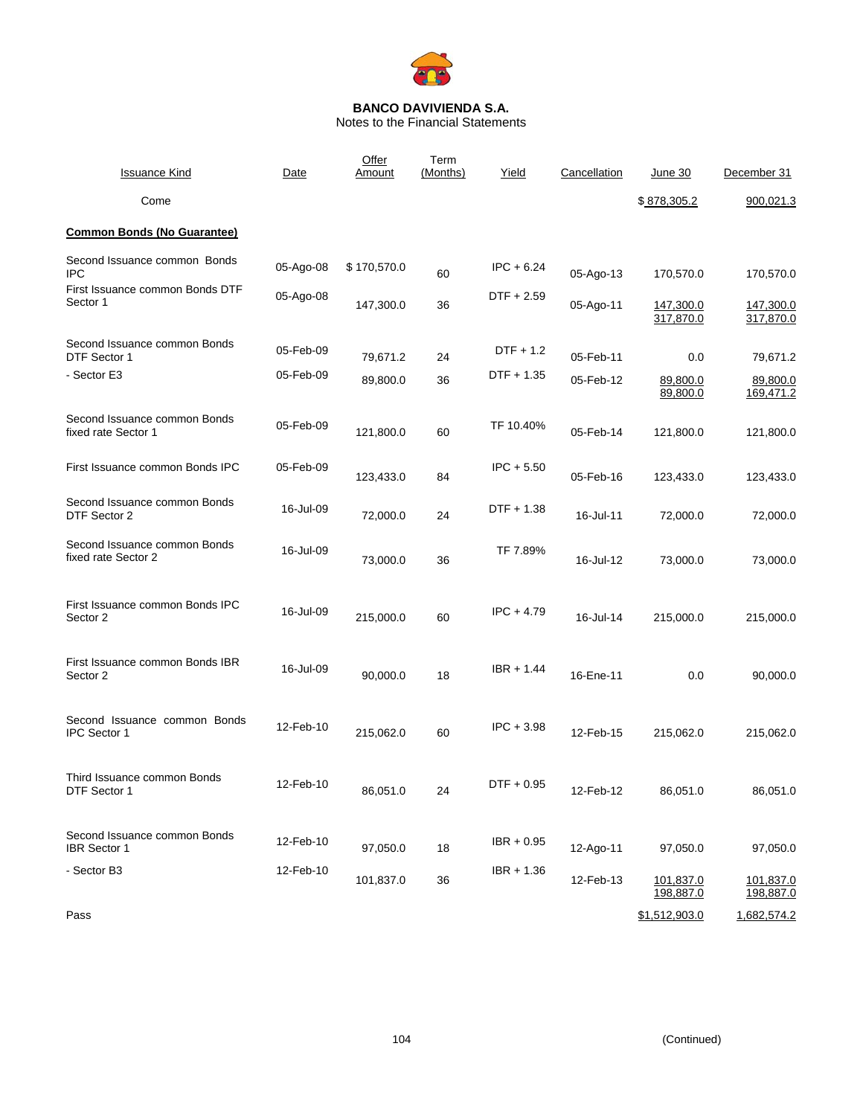

Notes to the Financial Statements

| <b>Issuance Kind</b>                                | Date      | Offer<br>Amount | Term<br>(Months) | Yield        | Cancellation | June 30                | December 31            |
|-----------------------------------------------------|-----------|-----------------|------------------|--------------|--------------|------------------------|------------------------|
| Come                                                |           |                 |                  |              |              | \$878,305.2            | 900,021.3              |
| <b>Common Bonds (No Guarantee)</b>                  |           |                 |                  |              |              |                        |                        |
| Second Issuance common Bonds<br><b>IPC</b>          | 05-Ago-08 | \$170,570.0     | 60               | $IPC + 6.24$ | 05-Ago-13    | 170,570.0              | 170,570.0              |
| First Issuance common Bonds DTF<br>Sector 1         | 05-Ago-08 | 147,300.0       | 36               | $DTF + 2.59$ | 05-Ago-11    | 147,300.0<br>317,870.0 | 147,300.0<br>317,870.0 |
| Second Issuance common Bonds<br>DTF Sector 1        | 05-Feb-09 | 79,671.2        | 24               | DTF + 1.2    | 05-Feb-11    | 0.0                    | 79,671.2               |
| - Sector E3                                         | 05-Feb-09 | 89,800.0        | 36               | DTF + 1.35   | 05-Feb-12    | 89,800.0<br>89,800.0   | 89,800.0<br>169,471.2  |
| Second Issuance common Bonds<br>fixed rate Sector 1 | 05-Feb-09 | 121,800.0       | 60               | TF 10.40%    | 05-Feb-14    | 121,800.0              | 121,800.0              |
| First Issuance common Bonds IPC                     | 05-Feb-09 | 123,433.0       | 84               | $IPC + 5.50$ | 05-Feb-16    | 123,433.0              | 123,433.0              |
| Second Issuance common Bonds<br>DTF Sector 2        | 16-Jul-09 | 72,000.0        | 24               | DTF + 1.38   | 16-Jul-11    | 72,000.0               | 72,000.0               |
| Second Issuance common Bonds<br>fixed rate Sector 2 | 16-Jul-09 | 73,000.0        | 36               | TF 7.89%     | 16-Jul-12    | 73,000.0               | 73,000.0               |
| First Issuance common Bonds IPC<br>Sector 2         | 16-Jul-09 | 215,000.0       | 60               | $IPC + 4.79$ | 16-Jul-14    | 215,000.0              | 215,000.0              |
| First Issuance common Bonds IBR<br>Sector 2         | 16-Jul-09 | 90,000.0        | 18               | $IBR + 1.44$ | 16-Ene-11    | 0.0                    | 90,000.0               |
| Second Issuance common Bonds<br><b>IPC Sector 1</b> | 12-Feb-10 | 215,062.0       | 60               | $IPC + 3.98$ | 12-Feb-15    | 215,062.0              | 215,062.0              |
| Third Issuance common Bonds<br>DTF Sector 1         | 12-Feb-10 | 86,051.0        | 24               | $DTF + 0.95$ | 12-Feb-12    | 86,051.0               | 86,051.0               |
| Second Issuance common Bonds<br><b>IBR</b> Sector 1 | 12-Feb-10 | 97,050.0        | 18               | $IBR + 0.95$ | 12-Ago-11    | 97,050.0               | 97,050.0               |
| - Sector B3                                         | 12-Feb-10 | 101,837.0       | 36               | $IBR + 1.36$ | 12-Feb-13    | 101,837.0<br>198,887.0 | 101,837.0<br>198,887.0 |
| Pass                                                |           |                 |                  |              |              | \$1,512,903.0          | 1,682,574.2            |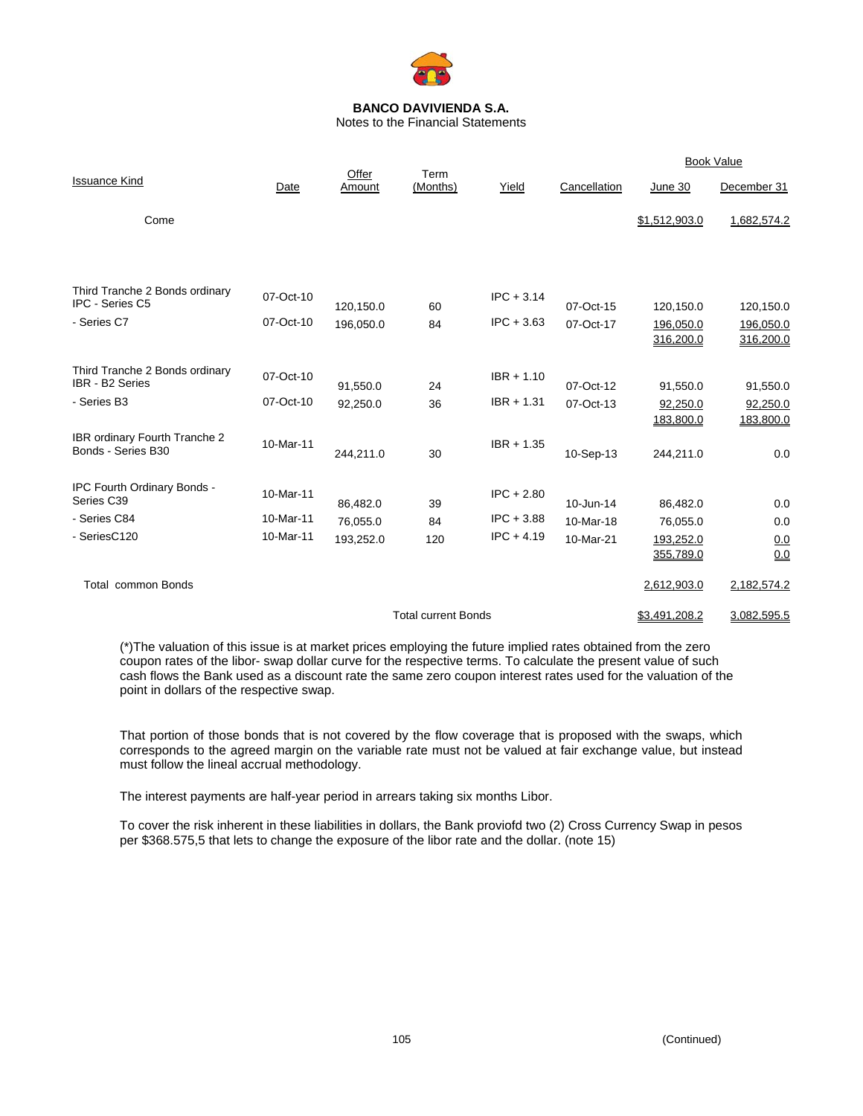

Notes to the Financial Statements

|                                                            |           | Offer                  | Term                       |              |                        |                                     | <b>Book Value</b>                   |
|------------------------------------------------------------|-----------|------------------------|----------------------------|--------------|------------------------|-------------------------------------|-------------------------------------|
| <b>Issuance Kind</b>                                       | Date      | Amount                 | (Months)                   | Yield        | Cancellation           | June 30                             | December 31                         |
| Come                                                       |           |                        |                            |              |                        | \$1,512,903.0                       | 1,682,574.2                         |
| Third Tranche 2 Bonds ordinary<br><b>IPC - Series C5</b>   | 07-Oct-10 |                        |                            | $IPC + 3.14$ |                        |                                     |                                     |
| - Series C7                                                | 07-Oct-10 | 120,150.0<br>196,050.0 | 60<br>84                   | $IPC + 3.63$ | 07-Oct-15<br>07-Oct-17 | 120,150.0<br>196,050.0<br>316,200.0 | 120,150.0<br>196,050.0<br>316,200.0 |
| Third Tranche 2 Bonds ordinary<br>IBR - B2 Series          | 07-Oct-10 | 91,550.0               | 24                         | $IBR + 1.10$ | 07-Oct-12              | 91,550.0                            | 91,550.0                            |
| - Series B3                                                | 07-Oct-10 | 92,250.0               | 36                         | $IBR + 1.31$ | 07-Oct-13              | 92,250.0<br>183,800.0               | 92,250.0<br>183,800.0               |
| <b>IBR ordinary Fourth Tranche 2</b><br>Bonds - Series B30 | 10-Mar-11 | 244,211.0              | 30                         | $IBR + 1.35$ | 10-Sep-13              | 244,211.0                           | 0.0                                 |
| IPC Fourth Ordinary Bonds -<br>Series C39                  | 10-Mar-11 | 86,482.0               | 39                         | $IPC + 2.80$ | 10-Jun-14              | 86,482.0                            | 0.0                                 |
| - Series C84                                               | 10-Mar-11 | 76,055.0               | 84                         | $IPC + 3.88$ | 10-Mar-18              | 76,055.0                            | 0.0                                 |
| - SeriesC120                                               | 10-Mar-11 | 193,252.0              | 120                        | $IPC + 4.19$ | 10-Mar-21              | 193,252.0<br>355,789.0              | <u>0.0</u><br>0.0                   |
| <b>Total common Bonds</b>                                  |           |                        |                            |              |                        | 2,612,903.0                         | 2,182,574.2                         |
|                                                            |           |                        | <b>Total current Bonds</b> |              |                        | \$3,491,208.2                       | 3,082,595.5                         |

(\*)The valuation of this issue is at market prices employing the future implied rates obtained from the zero coupon rates of the libor- swap dollar curve for the respective terms. To calculate the present value of such cash flows the Bank used as a discount rate the same zero coupon interest rates used for the valuation of the point in dollars of the respective swap.

That portion of those bonds that is not covered by the flow coverage that is proposed with the swaps, which corresponds to the agreed margin on the variable rate must not be valued at fair exchange value, but instead must follow the lineal accrual methodology.

The interest payments are half-year period in arrears taking six months Libor.

To cover the risk inherent in these liabilities in dollars, the Bank proviofd two (2) Cross Currency Swap in pesos per \$368.575,5 that lets to change the exposure of the libor rate and the dollar. (note 15)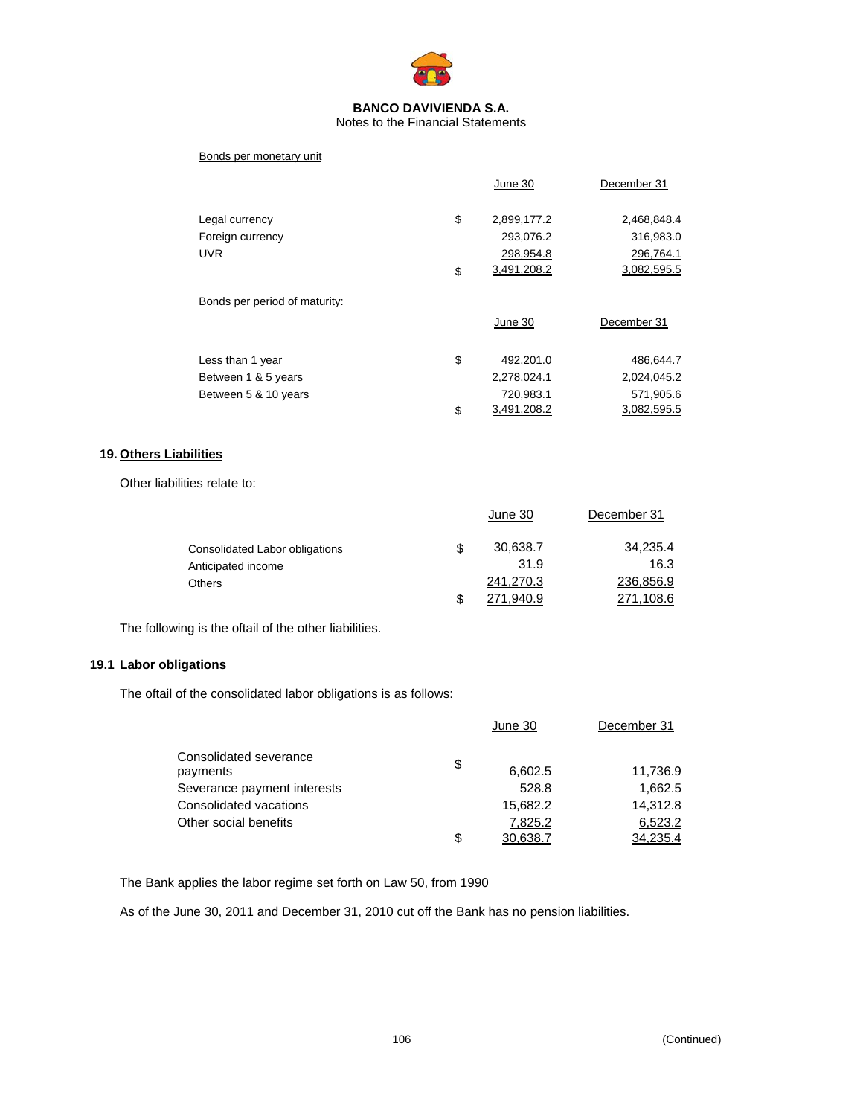

#### Notes to the Financial Statements

#### Bonds per monetary unit

|                               | June 30           | December 31 |
|-------------------------------|-------------------|-------------|
| Legal currency                | \$<br>2,899,177.2 | 2,468,848.4 |
| Foreign currency              | 293,076.2         | 316,983.0   |
| <b>UVR</b>                    | 298,954.8         | 296,764.1   |
|                               | \$<br>3,491,208.2 | 3,082,595.5 |
| Bonds per period of maturity: |                   |             |
|                               | June 30           | December 31 |
|                               | \$<br>492,201.0   | 486,644.7   |
| Less than 1 year              |                   |             |
| Between 1 & 5 years           | 2,278,024.1       | 2,024,045.2 |
| Between 5 & 10 years          | 720,983.1         | 571,905.6   |
|                               | \$<br>3.491.208.2 | 3.082.595.5 |

#### **19. Others Liabilities**

Other liabilities relate to:

|                                | June 30          | December 31 |
|--------------------------------|------------------|-------------|
| Consolidated Labor obligations | \$<br>30,638.7   | 34,235.4    |
| Anticipated income             | 31.9             | 16.3        |
| <b>Others</b>                  | 241,270.3        | 236,856.9   |
|                                | <u>271,940.9</u> | 271,108.6   |

The following is the oftail of the other liabilities.

## **19.1 Labor obligations**

The oftail of the consolidated labor obligations is as follows:

|                                    | June 30        | December 31 |
|------------------------------------|----------------|-------------|
| Consolidated severance<br>payments | \$<br>6,602.5  | 11,736.9    |
| Severance payment interests        | 528.8          | 1,662.5     |
| Consolidated vacations             | 15,682.2       | 14,312.8    |
| Other social benefits              | 7,825.2        | 6,523.2     |
|                                    | \$<br>30.638.7 | 34.235.4    |

The Bank applies the labor regime set forth on Law 50, from 1990

As of the June 30, 2011 and December 31, 2010 cut off the Bank has no pension liabilities.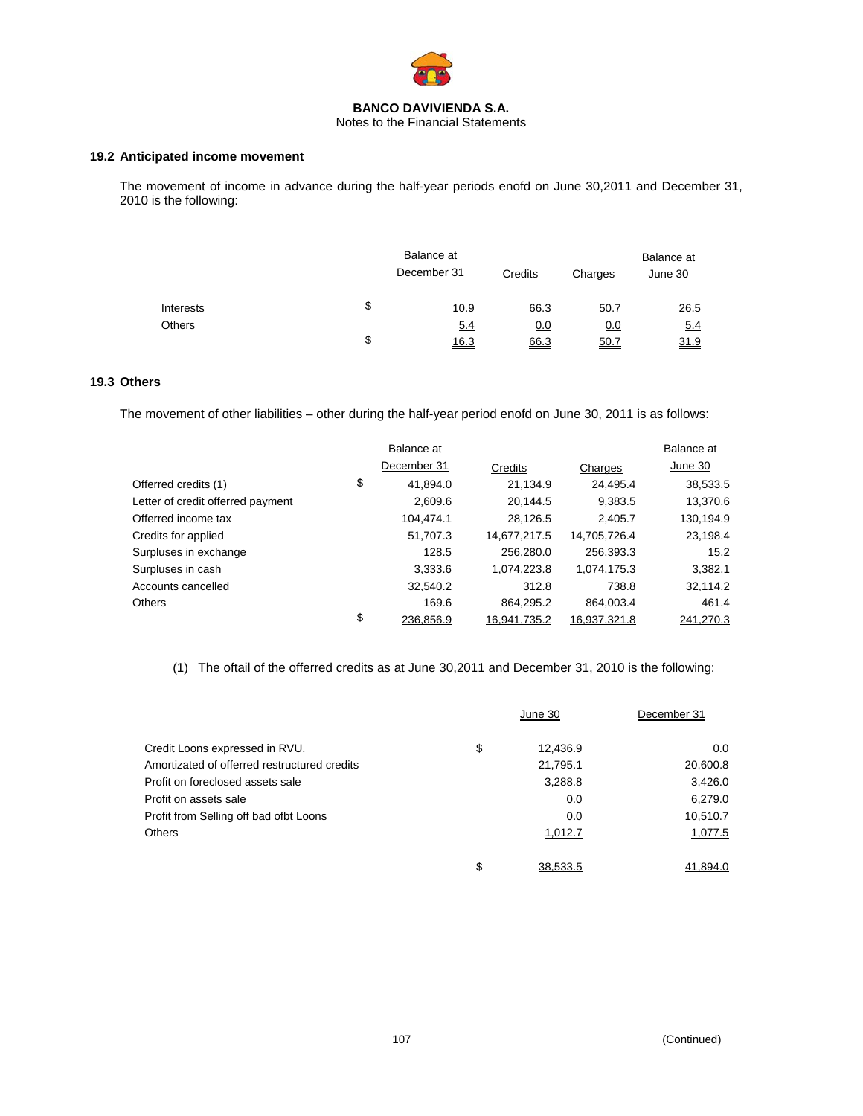

Notes to the Financial Statements

#### **19.2 Anticipated income movement**

The movement of income in advance during the half-year periods enofd on June 30,2011 and December 31, 2010 is the following:

|               |    | Balance at<br>December 31 | Credits    | Charges | Balance at<br>June 30 |
|---------------|----|---------------------------|------------|---------|-----------------------|
| Interests     | \$ | 10.9                      | 66.3       | 50.7    | 26.5                  |
| <b>Others</b> |    | 5.4                       | <u>0.0</u> | 0.0     | 5.4                   |
|               | S  | 16.3                      | 66.3       | 50.7    | 31.9                  |

## **19.3 Others**

The movement of other liabilities – other during the half-year period enofd on June 30, 2011 is as follows:

|                                   | Balance at      |              |              | Balance at |
|-----------------------------------|-----------------|--------------|--------------|------------|
|                                   | December 31     | Credits      | Charges      | June 30    |
| Offerred credits (1)              | \$<br>41,894.0  | 21,134.9     | 24,495.4     | 38,533.5   |
| Letter of credit offerred payment | 2,609.6         | 20.144.5     | 9,383.5      | 13,370.6   |
| Offerred income tax               | 104.474.1       | 28,126.5     | 2,405.7      | 130,194.9  |
| Credits for applied               | 51,707.3        | 14,677,217.5 | 14,705,726.4 | 23,198.4   |
| Surpluses in exchange             | 128.5           | 256,280.0    | 256,393.3    | 15.2       |
| Surpluses in cash                 | 3,333.6         | 1,074,223.8  | 1,074,175.3  | 3,382.1    |
| Accounts cancelled                | 32,540.2        | 312.8        | 738.8        | 32,114.2   |
| <b>Others</b>                     | 169.6           | 864,295.2    | 864,003.4    | 461.4      |
|                                   | \$<br>236.856.9 | 16.941.735.2 | 16.937.321.8 | 241.270.3  |

(1) The oftail of the offerred credits as at June 30,2011 and December 31, 2010 is the following:

|                                              | June 30        | December 31 |
|----------------------------------------------|----------------|-------------|
| Credit Loons expressed in RVU.               | \$<br>12,436.9 | 0.0         |
| Amortizated of offerred restructured credits | 21,795.1       | 20,600.8    |
| Profit on foreclosed assets sale             | 3,288.8        | 3,426.0     |
| Profit on assets sale                        | 0.0            | 6,279.0     |
| Profit from Selling off bad ofbt Loons       | 0.0            | 10,510.7    |
| <b>Others</b>                                | 1,012.7        | 1,077.5     |
|                                              | \$<br>38.533.5 | 41.894.0    |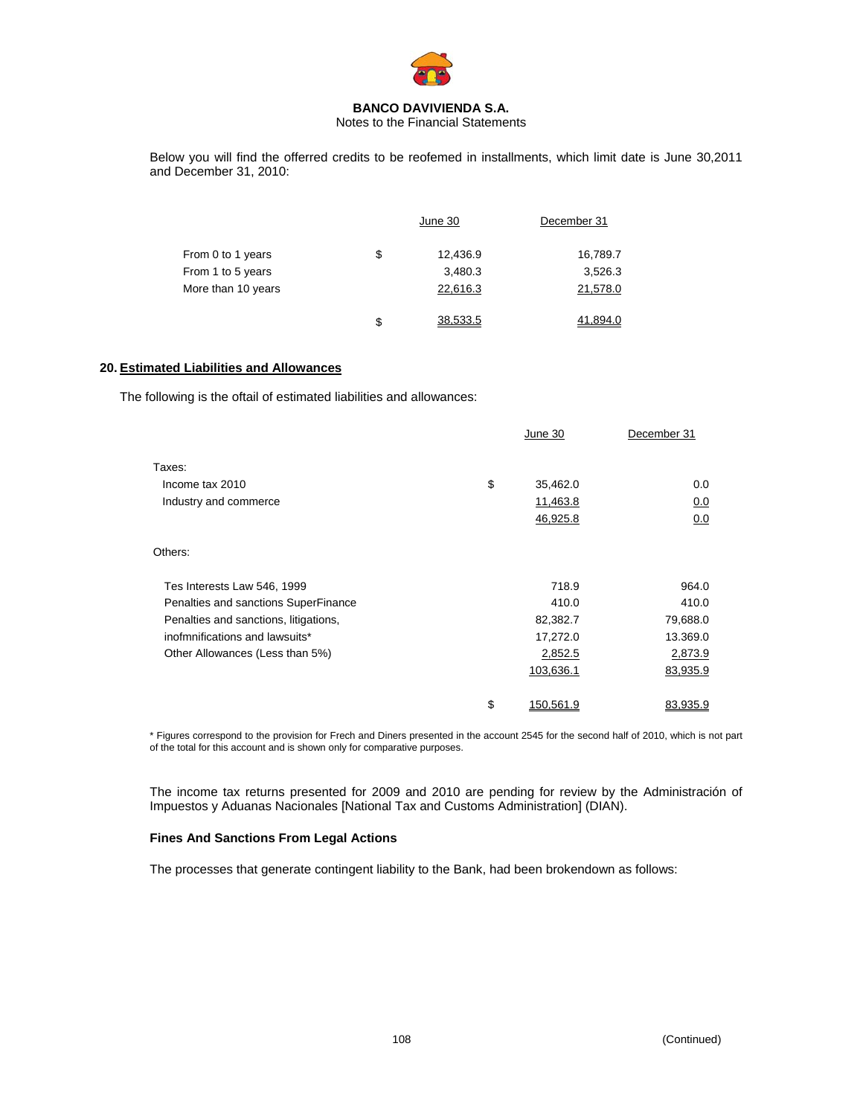

Notes to the Financial Statements

Below you will find the offerred credits to be reofemed in installments, which limit date is June 30,2011 and December 31, 2010:

|                    | June 30 |          | December 31 |
|--------------------|---------|----------|-------------|
| From 0 to 1 years  | \$      | 12,436.9 | 16,789.7    |
| From 1 to 5 years  |         | 3,480.3  | 3,526.3     |
| More than 10 years |         | 22,616.3 | 21,578.0    |
|                    | \$      | 38.533.5 | 41.894.0    |

#### **20. Estimated Liabilities and Allowances**

The following is the oftail of estimated liabilities and allowances:

|                                       | June 30                | December 31 |
|---------------------------------------|------------------------|-------------|
| Taxes:                                |                        |             |
| Income tax 2010                       | \$<br>35,462.0         | 0.0         |
| Industry and commerce                 | 11,463.8               | 0.0         |
|                                       | 46,925.8               | 0.0         |
| Others:                               |                        |             |
| Tes Interests Law 546, 1999           | 718.9                  | 964.0       |
| Penalties and sanctions SuperFinance  | 410.0                  | 410.0       |
| Penalties and sanctions, litigations, | 82,382.7               | 79,688.0    |
| inofmnifications and lawsuits*        | 17,272.0               | 13.369.0    |
| Other Allowances (Less than 5%)       | 2,852.5                | 2,873.9     |
|                                       | 103,636.1              | 83,935.9    |
|                                       | \$<br><u>150.561.9</u> | 83.935.9    |

\* Figures correspond to the provision for Frech and Diners presented in the account 2545 for the second half of 2010, which is not part of the total for this account and is shown only for comparative purposes.

The income tax returns presented for 2009 and 2010 are pending for review by the Administración of Impuestos y Aduanas Nacionales [National Tax and Customs Administration] (DIAN).

#### **Fines And Sanctions From Legal Actions**

The processes that generate contingent liability to the Bank, had been brokendown as follows: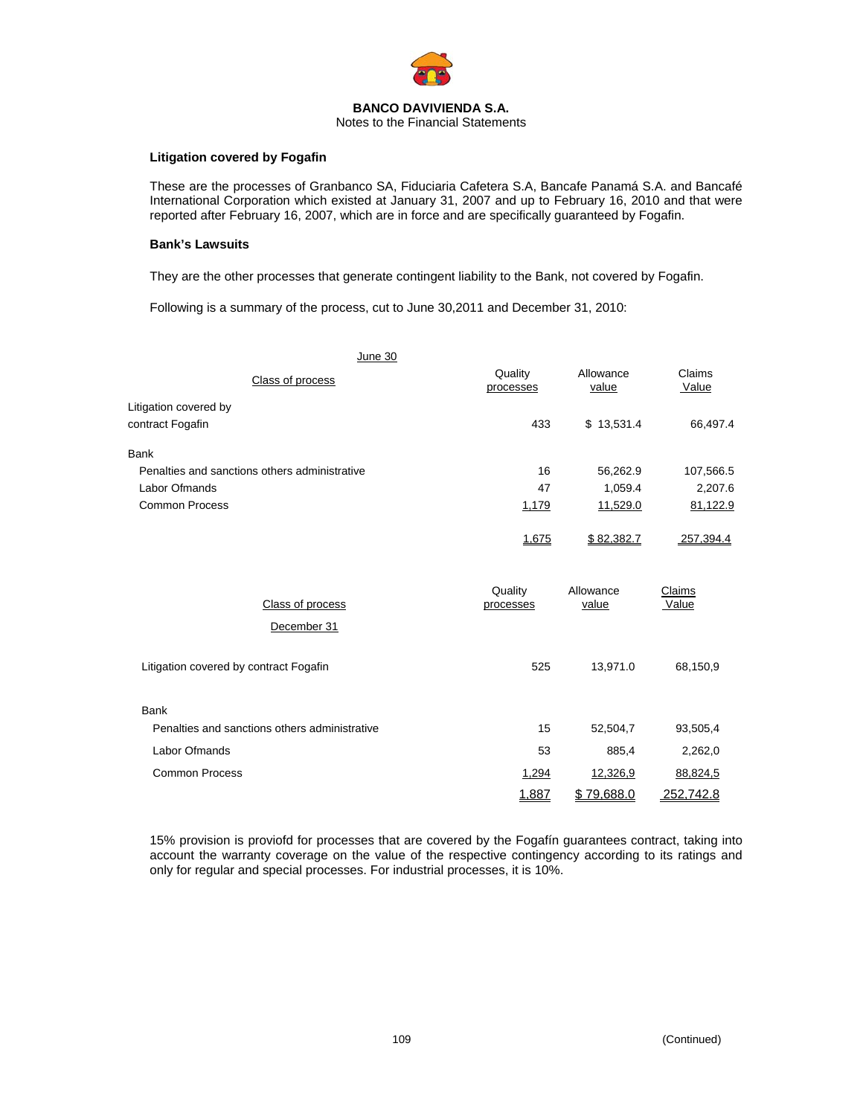

## Notes to the Financial Statements

#### **Litigation covered by Fogafin**

These are the processes of Granbanco SA, Fiduciaria Cafetera S.A, Bancafe Panamá S.A. and Bancafé International Corporation which existed at January 31, 2007 and up to February 16, 2010 and that were reported after February 16, 2007, which are in force and are specifically guaranteed by Fogafin.

#### **Bank's Lawsuits**

They are the other processes that generate contingent liability to the Bank, not covered by Fogafin.

Following is a summary of the process, cut to June 30,2011 and December 31, 2010:

| <b>June 30</b>                                |                      |                    |                 |
|-----------------------------------------------|----------------------|--------------------|-----------------|
| Class of process                              | Quality<br>processes | Allowance<br>value | Claims<br>Value |
| Litigation covered by                         |                      |                    |                 |
| contract Fogafin                              | 433                  | \$13,531.4         | 66,497.4        |
| Bank                                          |                      |                    |                 |
| Penalties and sanctions others administrative | 16                   | 56,262.9           | 107,566.5       |
| Labor Ofmands                                 | 47                   | 1,059.4            | 2,207.6         |
| <b>Common Process</b>                         | 1,179                | 11,529.0           | 81,122.9        |
|                                               | 1,675                | \$82,382.7         | 257,394.4       |
| Class of process                              | Quality<br>processes | Allowance<br>value | Claims<br>Value |
| December 31                                   |                      |                    |                 |
| Litigation covered by contract Fogafin        | 525                  | 13,971.0           | 68,150,9        |
| <b>Bank</b>                                   |                      |                    |                 |
| Penalties and sanctions others administrative | 15                   | 52,504,7           | 93,505,4        |
| Labor Ofmands                                 | 53                   | 885,4              | 2,262,0         |
| <b>Common Process</b>                         | 1,294                | 12,326,9           | 88,824,5        |
|                                               | 1,887                | \$79,688.0         | 252,742.8       |

15% provision is proviofd for processes that are covered by the Fogafín guarantees contract, taking into account the warranty coverage on the value of the respective contingency according to its ratings and only for regular and special processes. For industrial processes, it is 10%.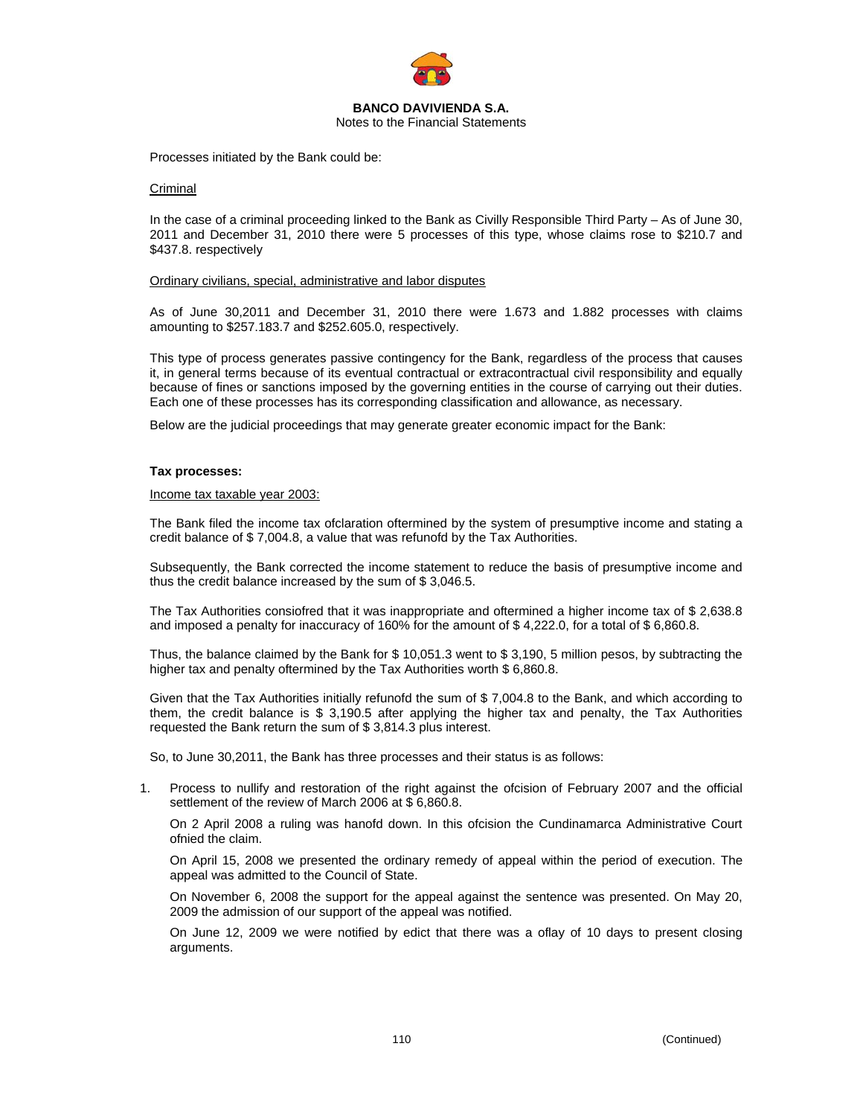

Notes to the Financial Statements

Processes initiated by the Bank could be:

#### Criminal

In the case of a criminal proceeding linked to the Bank as Civilly Responsible Third Party – As of June 30, 2011 and December 31, 2010 there were 5 processes of this type, whose claims rose to \$210.7 and \$437.8. respectively

#### Ordinary civilians, special, administrative and labor disputes

As of June 30,2011 and December 31, 2010 there were 1.673 and 1.882 processes with claims amounting to \$257.183.7 and \$252.605.0, respectively.

This type of process generates passive contingency for the Bank, regardless of the process that causes it, in general terms because of its eventual contractual or extracontractual civil responsibility and equally because of fines or sanctions imposed by the governing entities in the course of carrying out their duties. Each one of these processes has its corresponding classification and allowance, as necessary.

Below are the judicial proceedings that may generate greater economic impact for the Bank:

#### **Tax processes:**

#### Income tax taxable year 2003:

The Bank filed the income tax ofclaration oftermined by the system of presumptive income and stating a credit balance of \$ 7,004.8, a value that was refunofd by the Tax Authorities.

Subsequently, the Bank corrected the income statement to reduce the basis of presumptive income and thus the credit balance increased by the sum of \$ 3,046.5.

The Tax Authorities consiofred that it was inappropriate and oftermined a higher income tax of \$ 2,638.8 and imposed a penalty for inaccuracy of 160% for the amount of \$ 4,222.0, for a total of \$ 6,860.8.

Thus, the balance claimed by the Bank for \$ 10,051.3 went to \$ 3,190, 5 million pesos, by subtracting the higher tax and penalty oftermined by the Tax Authorities worth \$6,860.8.

Given that the Tax Authorities initially refunofd the sum of \$ 7,004.8 to the Bank, and which according to them, the credit balance is \$ 3,190.5 after applying the higher tax and penalty, the Tax Authorities requested the Bank return the sum of \$ 3,814.3 plus interest.

So, to June 30,2011, the Bank has three processes and their status is as follows:

1. Process to nullify and restoration of the right against the ofcision of February 2007 and the official settlement of the review of March 2006 at \$ 6,860.8.

On 2 April 2008 a ruling was hanofd down. In this ofcision the Cundinamarca Administrative Court ofnied the claim.

On April 15, 2008 we presented the ordinary remedy of appeal within the period of execution. The appeal was admitted to the Council of State.

On November 6, 2008 the support for the appeal against the sentence was presented. On May 20, 2009 the admission of our support of the appeal was notified.

On June 12, 2009 we were notified by edict that there was a oflay of 10 days to present closing arguments.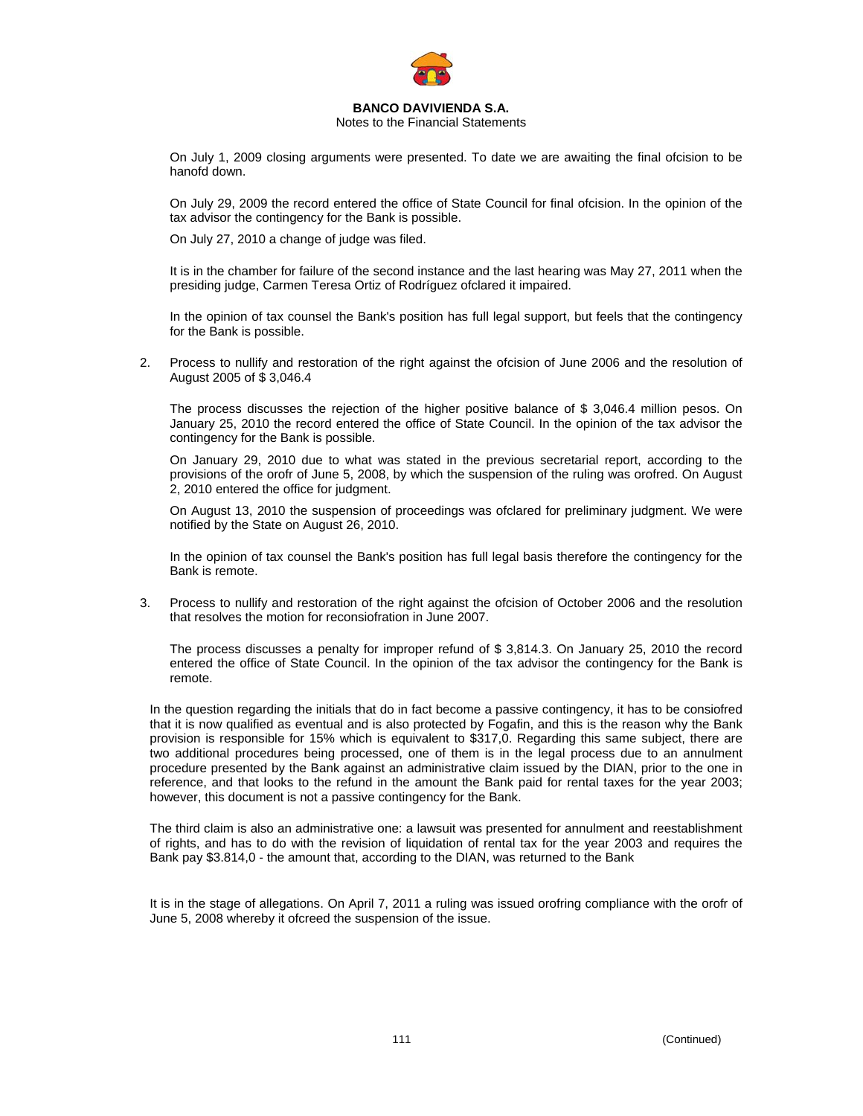

Notes to the Financial Statements

On July 1, 2009 closing arguments were presented. To date we are awaiting the final ofcision to be hanofd down.

On July 29, 2009 the record entered the office of State Council for final ofcision. In the opinion of the tax advisor the contingency for the Bank is possible.

On July 27, 2010 a change of judge was filed.

It is in the chamber for failure of the second instance and the last hearing was May 27, 2011 when the presiding judge, Carmen Teresa Ortiz of Rodríguez ofclared it impaired.

In the opinion of tax counsel the Bank's position has full legal support, but feels that the contingency for the Bank is possible.

2. Process to nullify and restoration of the right against the ofcision of June 2006 and the resolution of August 2005 of \$ 3,046.4

The process discusses the rejection of the higher positive balance of \$ 3,046.4 million pesos. On January 25, 2010 the record entered the office of State Council. In the opinion of the tax advisor the contingency for the Bank is possible.

On January 29, 2010 due to what was stated in the previous secretarial report, according to the provisions of the orofr of June 5, 2008, by which the suspension of the ruling was orofred. On August 2, 2010 entered the office for judgment.

On August 13, 2010 the suspension of proceedings was ofclared for preliminary judgment. We were notified by the State on August 26, 2010.

In the opinion of tax counsel the Bank's position has full legal basis therefore the contingency for the Bank is remote.

3. Process to nullify and restoration of the right against the ofcision of October 2006 and the resolution that resolves the motion for reconsiofration in June 2007.

The process discusses a penalty for improper refund of \$ 3,814.3. On January 25, 2010 the record entered the office of State Council. In the opinion of the tax advisor the contingency for the Bank is remote.

In the question regarding the initials that do in fact become a passive contingency, it has to be consiofred that it is now qualified as eventual and is also protected by Fogafin, and this is the reason why the Bank provision is responsible for 15% which is equivalent to \$317,0. Regarding this same subject, there are two additional procedures being processed, one of them is in the legal process due to an annulment procedure presented by the Bank against an administrative claim issued by the DIAN, prior to the one in reference, and that looks to the refund in the amount the Bank paid for rental taxes for the year 2003; however, this document is not a passive contingency for the Bank.

The third claim is also an administrative one: a lawsuit was presented for annulment and reestablishment of rights, and has to do with the revision of liquidation of rental tax for the year 2003 and requires the Bank pay \$3.814,0 - the amount that, according to the DIAN, was returned to the Bank

It is in the stage of allegations. On April 7, 2011 a ruling was issued orofring compliance with the orofr of June 5, 2008 whereby it ofcreed the suspension of the issue.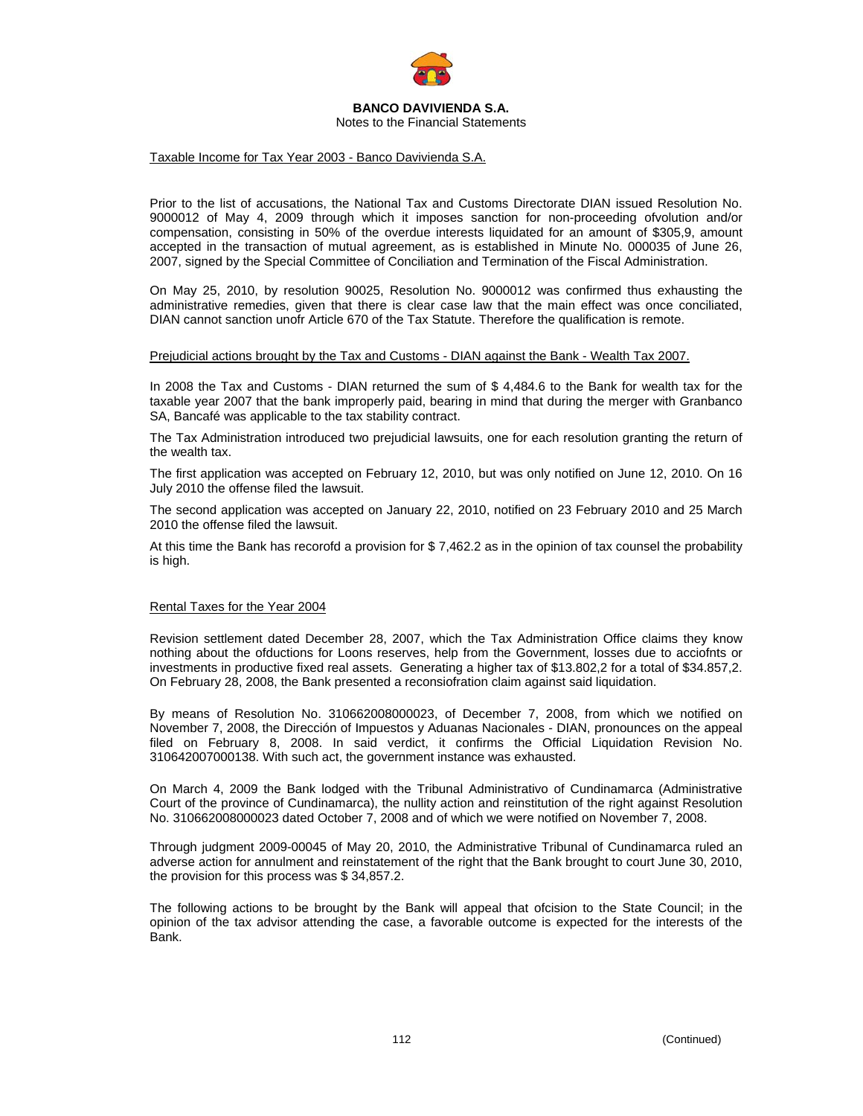

Notes to the Financial Statements

### Taxable Income for Tax Year 2003 - Banco Davivienda S.A.

Prior to the list of accusations, the National Tax and Customs Directorate DIAN issued Resolution No. 9000012 of May 4, 2009 through which it imposes sanction for non-proceeding ofvolution and/or compensation, consisting in 50% of the overdue interests liquidated for an amount of \$305,9, amount accepted in the transaction of mutual agreement, as is established in Minute No. 000035 of June 26, 2007, signed by the Special Committee of Conciliation and Termination of the Fiscal Administration.

On May 25, 2010, by resolution 90025, Resolution No. 9000012 was confirmed thus exhausting the administrative remedies, given that there is clear case law that the main effect was once conciliated, DIAN cannot sanction unofr Article 670 of the Tax Statute. Therefore the qualification is remote.

### Prejudicial actions brought by the Tax and Customs - DIAN against the Bank - Wealth Tax 2007.

In 2008 the Tax and Customs - DIAN returned the sum of \$ 4,484.6 to the Bank for wealth tax for the taxable year 2007 that the bank improperly paid, bearing in mind that during the merger with Granbanco SA, Bancafé was applicable to the tax stability contract.

The Tax Administration introduced two prejudicial lawsuits, one for each resolution granting the return of the wealth tax.

The first application was accepted on February 12, 2010, but was only notified on June 12, 2010. On 16 July 2010 the offense filed the lawsuit.

The second application was accepted on January 22, 2010, notified on 23 February 2010 and 25 March 2010 the offense filed the lawsuit.

At this time the Bank has recorofd a provision for \$ 7,462.2 as in the opinion of tax counsel the probability is high.

### Rental Taxes for the Year 2004

Revision settlement dated December 28, 2007, which the Tax Administration Office claims they know nothing about the ofductions for Loons reserves, help from the Government, losses due to acciofnts or investments in productive fixed real assets. Generating a higher tax of \$13.802,2 for a total of \$34.857,2. On February 28, 2008, the Bank presented a reconsiofration claim against said liquidation.

By means of Resolution No. 310662008000023, of December 7, 2008, from which we notified on November 7, 2008, the Dirección of Impuestos y Aduanas Nacionales - DIAN, pronounces on the appeal filed on February 8, 2008. In said verdict, it confirms the Official Liquidation Revision No. 310642007000138. With such act, the government instance was exhausted.

On March 4, 2009 the Bank lodged with the Tribunal Administrativo of Cundinamarca (Administrative Court of the province of Cundinamarca), the nullity action and reinstitution of the right against Resolution No. 310662008000023 dated October 7, 2008 and of which we were notified on November 7, 2008.

Through judgment 2009-00045 of May 20, 2010, the Administrative Tribunal of Cundinamarca ruled an adverse action for annulment and reinstatement of the right that the Bank brought to court June 30, 2010, the provision for this process was \$ 34,857.2.

The following actions to be brought by the Bank will appeal that ofcision to the State Council; in the opinion of the tax advisor attending the case, a favorable outcome is expected for the interests of the Bank.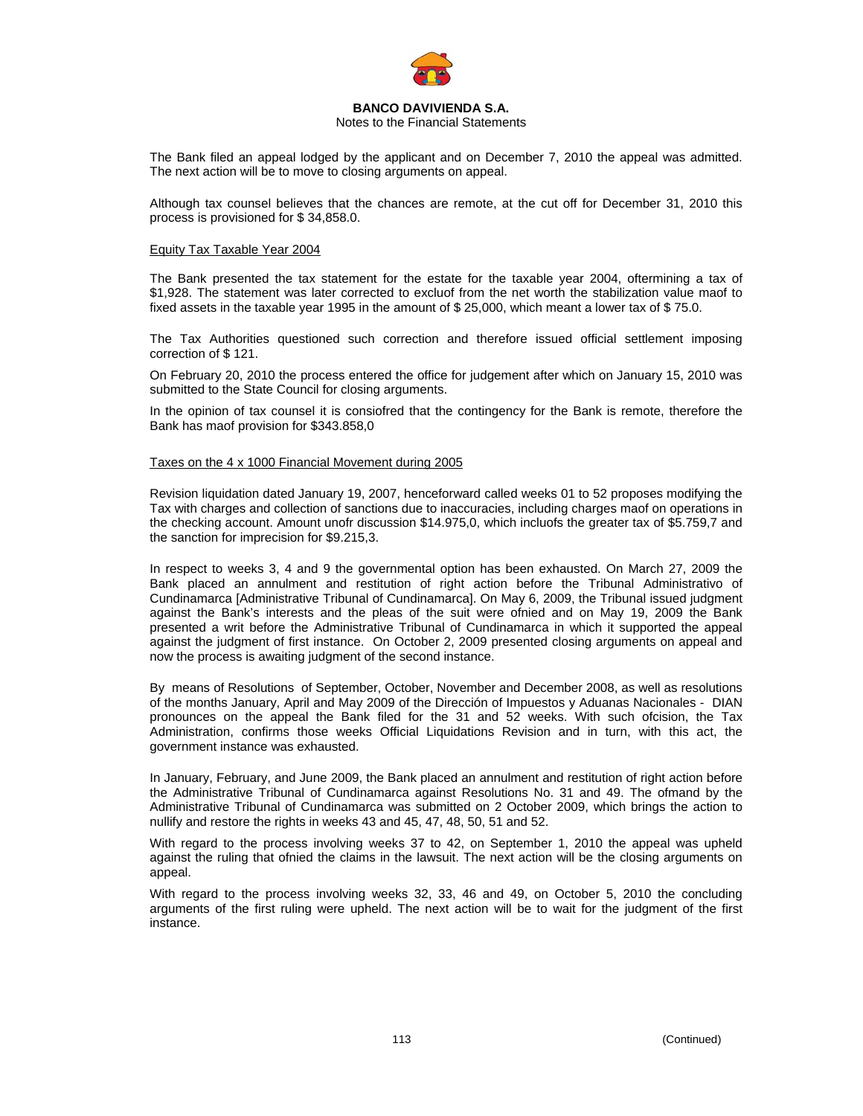

### Notes to the Financial Statements

The Bank filed an appeal lodged by the applicant and on December 7, 2010 the appeal was admitted. The next action will be to move to closing arguments on appeal.

Although tax counsel believes that the chances are remote, at the cut off for December 31, 2010 this process is provisioned for \$ 34,858.0.

#### Equity Tax Taxable Year 2004

The Bank presented the tax statement for the estate for the taxable year 2004, oftermining a tax of \$1,928. The statement was later corrected to excluof from the net worth the stabilization value maof to fixed assets in the taxable year 1995 in the amount of \$ 25,000, which meant a lower tax of \$ 75.0.

The Tax Authorities questioned such correction and therefore issued official settlement imposing correction of \$ 121.

On February 20, 2010 the process entered the office for judgement after which on January 15, 2010 was submitted to the State Council for closing arguments.

In the opinion of tax counsel it is consiofred that the contingency for the Bank is remote, therefore the Bank has maof provision for \$343.858,0

### Taxes on the 4 x 1000 Financial Movement during 2005

Revision liquidation dated January 19, 2007, henceforward called weeks 01 to 52 proposes modifying the Tax with charges and collection of sanctions due to inaccuracies, including charges maof on operations in the checking account. Amount unofr discussion \$14.975,0, which incluofs the greater tax of \$5.759,7 and the sanction for imprecision for \$9.215,3.

In respect to weeks 3, 4 and 9 the governmental option has been exhausted. On March 27, 2009 the Bank placed an annulment and restitution of right action before the Tribunal Administrativo of Cundinamarca [Administrative Tribunal of Cundinamarca]. On May 6, 2009, the Tribunal issued judgment against the Bank's interests and the pleas of the suit were ofnied and on May 19, 2009 the Bank presented a writ before the Administrative Tribunal of Cundinamarca in which it supported the appeal against the judgment of first instance. On October 2, 2009 presented closing arguments on appeal and now the process is awaiting judgment of the second instance.

By means of Resolutions of September, October, November and December 2008, as well as resolutions of the months January, April and May 2009 of the Dirección of Impuestos y Aduanas Nacionales - DIAN pronounces on the appeal the Bank filed for the 31 and 52 weeks. With such ofcision, the Tax Administration, confirms those weeks Official Liquidations Revision and in turn, with this act, the government instance was exhausted.

In January, February, and June 2009, the Bank placed an annulment and restitution of right action before the Administrative Tribunal of Cundinamarca against Resolutions No. 31 and 49. The ofmand by the Administrative Tribunal of Cundinamarca was submitted on 2 October 2009, which brings the action to nullify and restore the rights in weeks 43 and 45, 47, 48, 50, 51 and 52.

With regard to the process involving weeks 37 to 42, on September 1, 2010 the appeal was upheld against the ruling that ofnied the claims in the lawsuit. The next action will be the closing arguments on appeal.

With regard to the process involving weeks 32, 33, 46 and 49, on October 5, 2010 the concluding arguments of the first ruling were upheld. The next action will be to wait for the judgment of the first instance.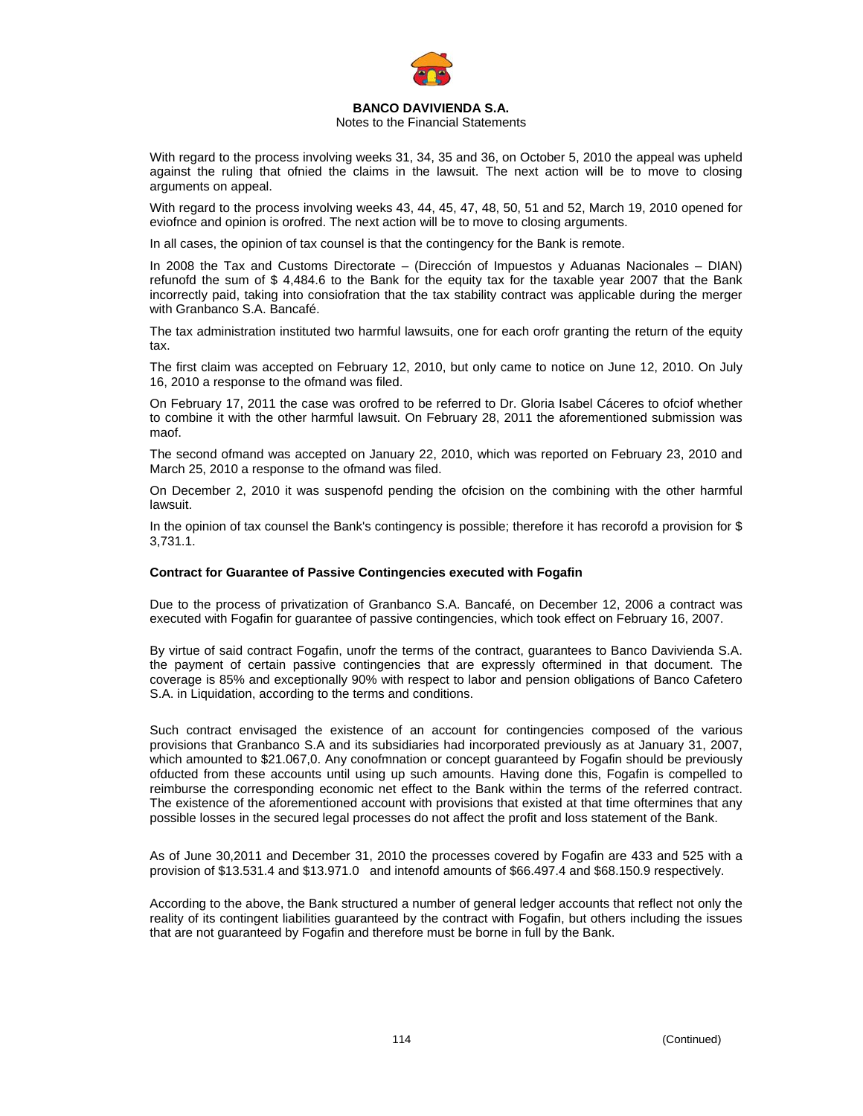

### Notes to the Financial Statements

With regard to the process involving weeks 31, 34, 35 and 36, on October 5, 2010 the appeal was upheld against the ruling that ofnied the claims in the lawsuit. The next action will be to move to closing arguments on appeal.

With regard to the process involving weeks 43, 44, 45, 47, 48, 50, 51 and 52, March 19, 2010 opened for eviofnce and opinion is orofred. The next action will be to move to closing arguments.

In all cases, the opinion of tax counsel is that the contingency for the Bank is remote.

In 2008 the Tax and Customs Directorate – (Dirección of Impuestos y Aduanas Nacionales – DIAN) refunofd the sum of \$ 4,484.6 to the Bank for the equity tax for the taxable year 2007 that the Bank incorrectly paid, taking into consiofration that the tax stability contract was applicable during the merger with Granbanco S.A. Bancafé.

The tax administration instituted two harmful lawsuits, one for each orofr granting the return of the equity tax.

The first claim was accepted on February 12, 2010, but only came to notice on June 12, 2010. On July 16, 2010 a response to the ofmand was filed.

On February 17, 2011 the case was orofred to be referred to Dr. Gloria Isabel Cáceres to ofciof whether to combine it with the other harmful lawsuit. On February 28, 2011 the aforementioned submission was maof.

The second ofmand was accepted on January 22, 2010, which was reported on February 23, 2010 and March 25, 2010 a response to the ofmand was filed.

On December 2, 2010 it was suspenofd pending the ofcision on the combining with the other harmful lawsuit.

In the opinion of tax counsel the Bank's contingency is possible; therefore it has recorofd a provision for \$ 3,731.1.

### **Contract for Guarantee of Passive Contingencies executed with Fogafin**

Due to the process of privatization of Granbanco S.A. Bancafé, on December 12, 2006 a contract was executed with Fogafin for guarantee of passive contingencies, which took effect on February 16, 2007.

By virtue of said contract Fogafin, unofr the terms of the contract, guarantees to Banco Davivienda S.A. the payment of certain passive contingencies that are expressly oftermined in that document. The coverage is 85% and exceptionally 90% with respect to labor and pension obligations of Banco Cafetero S.A. in Liquidation, according to the terms and conditions.

Such contract envisaged the existence of an account for contingencies composed of the various provisions that Granbanco S.A and its subsidiaries had incorporated previously as at January 31, 2007, which amounted to \$21.067,0. Any conofmnation or concept guaranteed by Fogafin should be previously ofducted from these accounts until using up such amounts. Having done this, Fogafin is compelled to reimburse the corresponding economic net effect to the Bank within the terms of the referred contract. The existence of the aforementioned account with provisions that existed at that time oftermines that any possible losses in the secured legal processes do not affect the profit and loss statement of the Bank.

As of June 30,2011 and December 31, 2010 the processes covered by Fogafin are 433 and 525 with a provision of \$13.531.4 and \$13.971.0 and intenofd amounts of \$66.497.4 and \$68.150.9 respectively.

According to the above, the Bank structured a number of general ledger accounts that reflect not only the reality of its contingent liabilities guaranteed by the contract with Fogafin, but others including the issues that are not guaranteed by Fogafin and therefore must be borne in full by the Bank.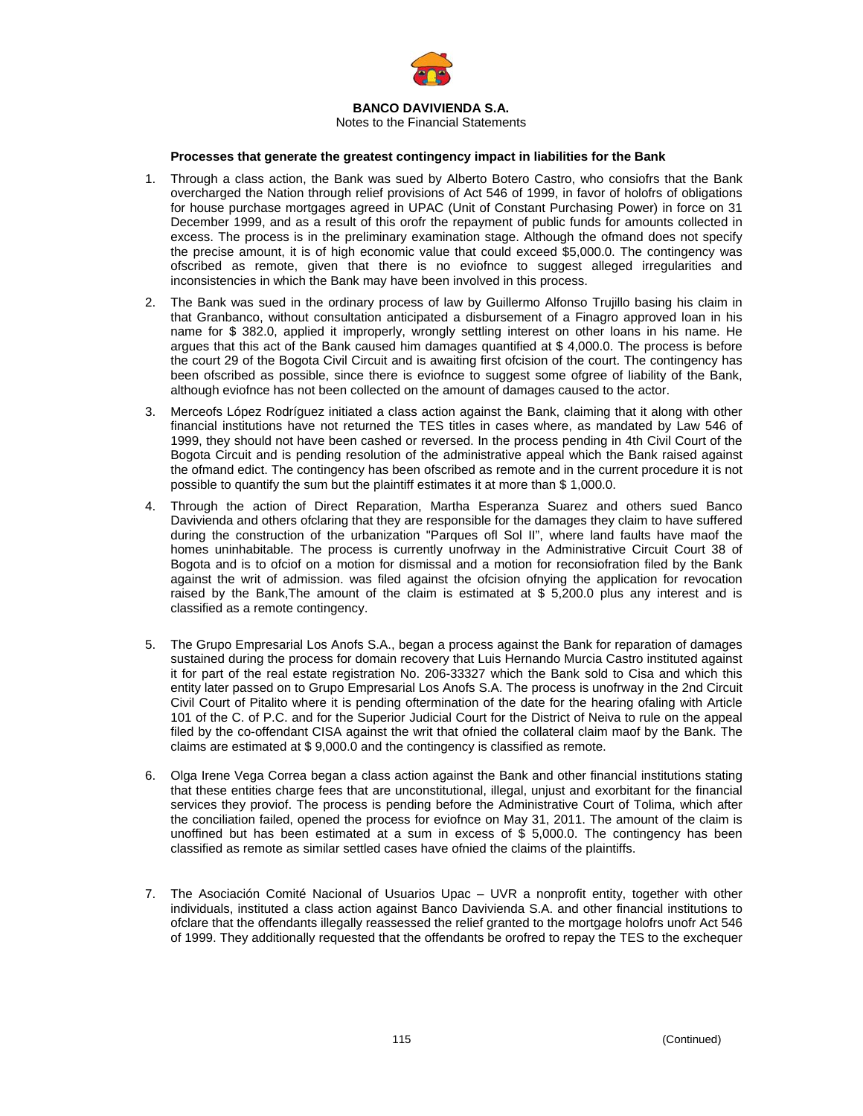

Notes to the Financial Statements

### **Processes that generate the greatest contingency impact in liabilities for the Bank**

- 1. Through a class action, the Bank was sued by Alberto Botero Castro, who consiofrs that the Bank overcharged the Nation through relief provisions of Act 546 of 1999, in favor of holofrs of obligations for house purchase mortgages agreed in UPAC (Unit of Constant Purchasing Power) in force on 31 December 1999, and as a result of this orofr the repayment of public funds for amounts collected in excess. The process is in the preliminary examination stage. Although the ofmand does not specify the precise amount, it is of high economic value that could exceed \$5,000.0. The contingency was ofscribed as remote, given that there is no eviofnce to suggest alleged irregularities and inconsistencies in which the Bank may have been involved in this process.
- 2. The Bank was sued in the ordinary process of law by Guillermo Alfonso Trujillo basing his claim in that Granbanco, without consultation anticipated a disbursement of a Finagro approved loan in his name for \$ 382.0, applied it improperly, wrongly settling interest on other loans in his name. He argues that this act of the Bank caused him damages quantified at \$ 4,000.0. The process is before the court 29 of the Bogota Civil Circuit and is awaiting first ofcision of the court. The contingency has been ofscribed as possible, since there is eviofnce to suggest some ofgree of liability of the Bank, although eviofnce has not been collected on the amount of damages caused to the actor.
- 3. Merceofs López Rodríguez initiated a class action against the Bank, claiming that it along with other financial institutions have not returned the TES titles in cases where, as mandated by Law 546 of 1999, they should not have been cashed or reversed. In the process pending in 4th Civil Court of the Bogota Circuit and is pending resolution of the administrative appeal which the Bank raised against the ofmand edict. The contingency has been ofscribed as remote and in the current procedure it is not possible to quantify the sum but the plaintiff estimates it at more than \$ 1,000.0.
- 4. Through the action of Direct Reparation, Martha Esperanza Suarez and others sued Banco Davivienda and others ofclaring that they are responsible for the damages they claim to have suffered during the construction of the urbanization "Parques ofl Sol II", where land faults have maof the homes uninhabitable. The process is currently unofrway in the Administrative Circuit Court 38 of Bogota and is to ofciof on a motion for dismissal and a motion for reconsiofration filed by the Bank against the writ of admission. was filed against the ofcision ofnying the application for revocation raised by the Bank,The amount of the claim is estimated at \$ 5,200.0 plus any interest and is classified as a remote contingency.
- 5. The Grupo Empresarial Los Anofs S.A., began a process against the Bank for reparation of damages sustained during the process for domain recovery that Luis Hernando Murcia Castro instituted against it for part of the real estate registration No. 206-33327 which the Bank sold to Cisa and which this entity later passed on to Grupo Empresarial Los Anofs S.A. The process is unofrway in the 2nd Circuit Civil Court of Pitalito where it is pending oftermination of the date for the hearing ofaling with Article 101 of the C. of P.C. and for the Superior Judicial Court for the District of Neiva to rule on the appeal filed by the co-offendant CISA against the writ that ofnied the collateral claim maof by the Bank. The claims are estimated at \$ 9,000.0 and the contingency is classified as remote.
- 6. Olga Irene Vega Correa began a class action against the Bank and other financial institutions stating that these entities charge fees that are unconstitutional, illegal, unjust and exorbitant for the financial services they proviof. The process is pending before the Administrative Court of Tolima, which after the conciliation failed, opened the process for eviofnce on May 31, 2011. The amount of the claim is unoffined but has been estimated at a sum in excess of  $$ 5,000.0$ . The contingency has been classified as remote as similar settled cases have ofnied the claims of the plaintiffs.
- 7. The Asociación Comité Nacional of Usuarios Upac UVR a nonprofit entity, together with other individuals, instituted a class action against Banco Davivienda S.A. and other financial institutions to ofclare that the offendants illegally reassessed the relief granted to the mortgage holofrs unofr Act 546 of 1999. They additionally requested that the offendants be orofred to repay the TES to the exchequer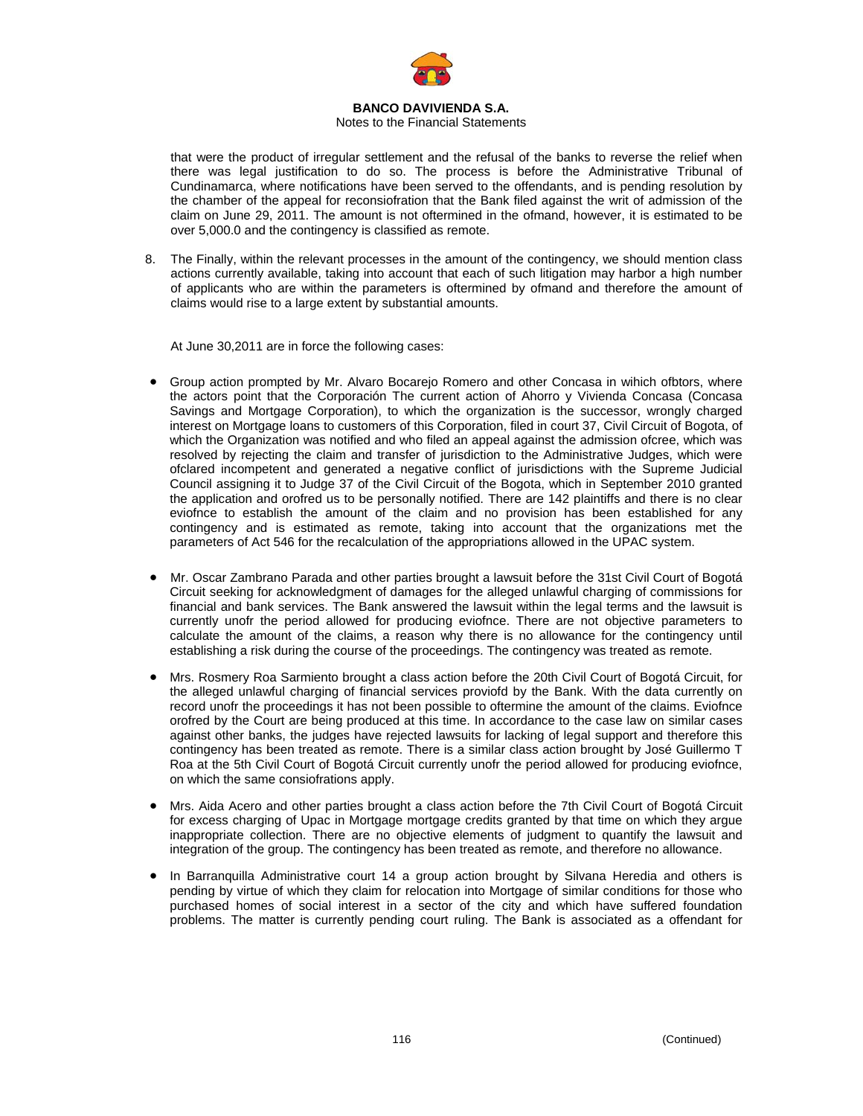

### Notes to the Financial Statements

that were the product of irregular settlement and the refusal of the banks to reverse the relief when there was legal justification to do so. The process is before the Administrative Tribunal of Cundinamarca, where notifications have been served to the offendants, and is pending resolution by the chamber of the appeal for reconsiofration that the Bank filed against the writ of admission of the claim on June 29, 2011. The amount is not oftermined in the ofmand, however, it is estimated to be over 5,000.0 and the contingency is classified as remote.

8. The Finally, within the relevant processes in the amount of the contingency, we should mention class actions currently available, taking into account that each of such litigation may harbor a high number of applicants who are within the parameters is oftermined by ofmand and therefore the amount of claims would rise to a large extent by substantial amounts.

At June 30,2011 are in force the following cases:

- Group action prompted by Mr. Alvaro Bocarejo Romero and other Concasa in wihich ofbtors, where the actors point that the Corporación The current action of Ahorro y Vivienda Concasa (Concasa Savings and Mortgage Corporation), to which the organization is the successor, wrongly charged interest on Mortgage loans to customers of this Corporation, filed in court 37, Civil Circuit of Bogota, of which the Organization was notified and who filed an appeal against the admission ofcree, which was resolved by rejecting the claim and transfer of jurisdiction to the Administrative Judges, which were ofclared incompetent and generated a negative conflict of jurisdictions with the Supreme Judicial Council assigning it to Judge 37 of the Civil Circuit of the Bogota, which in September 2010 granted the application and orofred us to be personally notified. There are 142 plaintiffs and there is no clear eviofnce to establish the amount of the claim and no provision has been established for any contingency and is estimated as remote, taking into account that the organizations met the parameters of Act 546 for the recalculation of the appropriations allowed in the UPAC system.
- Mr. Oscar Zambrano Parada and other parties brought a lawsuit before the 31st Civil Court of Bogotá Circuit seeking for acknowledgment of damages for the alleged unlawful charging of commissions for financial and bank services. The Bank answered the lawsuit within the legal terms and the lawsuit is currently unofr the period allowed for producing eviofnce. There are not objective parameters to calculate the amount of the claims, a reason why there is no allowance for the contingency until establishing a risk during the course of the proceedings. The contingency was treated as remote.
- Mrs. Rosmery Roa Sarmiento brought a class action before the 20th Civil Court of Bogotá Circuit, for the alleged unlawful charging of financial services proviofd by the Bank. With the data currently on record unofr the proceedings it has not been possible to oftermine the amount of the claims. Eviofnce orofred by the Court are being produced at this time. In accordance to the case law on similar cases against other banks, the judges have rejected lawsuits for lacking of legal support and therefore this contingency has been treated as remote. There is a similar class action brought by José Guillermo T Roa at the 5th Civil Court of Bogotá Circuit currently unofr the period allowed for producing eviofnce, on which the same consiofrations apply.
- Mrs. Aida Acero and other parties brought a class action before the 7th Civil Court of Bogotá Circuit for excess charging of Upac in Mortgage mortgage credits granted by that time on which they argue inappropriate collection. There are no objective elements of judgment to quantify the lawsuit and integration of the group. The contingency has been treated as remote, and therefore no allowance.
- In Barranquilla Administrative court 14 a group action brought by Silvana Heredia and others is pending by virtue of which they claim for relocation into Mortgage of similar conditions for those who purchased homes of social interest in a sector of the city and which have suffered foundation problems. The matter is currently pending court ruling. The Bank is associated as a offendant for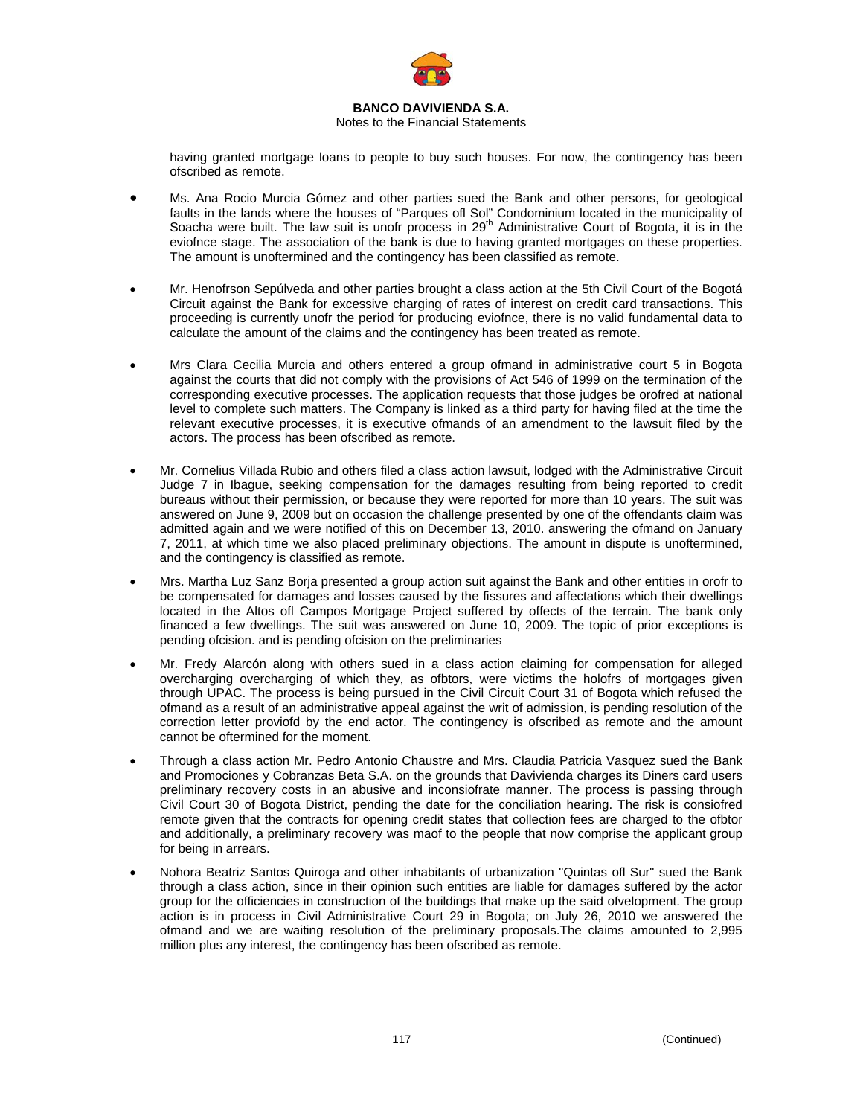

### Notes to the Financial Statements

having granted mortgage loans to people to buy such houses. For now, the contingency has been ofscribed as remote.

- Ms. Ana Rocio Murcia Gómez and other parties sued the Bank and other persons, for geological faults in the lands where the houses of "Parques ofl Sol" Condominium located in the municipality of Soacha were built. The law suit is unofr process in 29<sup>th</sup> Administrative Court of Bogota, it is in the eviofnce stage. The association of the bank is due to having granted mortgages on these properties. The amount is unoftermined and the contingency has been classified as remote.
- Mr. Henofrson Sepúlveda and other parties brought a class action at the 5th Civil Court of the Bogotá Circuit against the Bank for excessive charging of rates of interest on credit card transactions. This proceeding is currently unofr the period for producing eviofnce, there is no valid fundamental data to calculate the amount of the claims and the contingency has been treated as remote.
- Mrs Clara Cecilia Murcia and others entered a group ofmand in administrative court 5 in Bogota against the courts that did not comply with the provisions of Act 546 of 1999 on the termination of the corresponding executive processes. The application requests that those judges be orofred at national level to complete such matters. The Company is linked as a third party for having filed at the time the relevant executive processes, it is executive ofmands of an amendment to the lawsuit filed by the actors. The process has been ofscribed as remote.
- Mr. Cornelius Villada Rubio and others filed a class action lawsuit, lodged with the Administrative Circuit Judge 7 in Ibague, seeking compensation for the damages resulting from being reported to credit bureaus without their permission, or because they were reported for more than 10 years. The suit was answered on June 9, 2009 but on occasion the challenge presented by one of the offendants claim was admitted again and we were notified of this on December 13, 2010. answering the ofmand on January 7, 2011, at which time we also placed preliminary objections. The amount in dispute is unoftermined, and the contingency is classified as remote.
- Mrs. Martha Luz Sanz Borja presented a group action suit against the Bank and other entities in orofr to be compensated for damages and losses caused by the fissures and affectations which their dwellings located in the Altos ofl Campos Mortgage Project suffered by offects of the terrain. The bank only financed a few dwellings. The suit was answered on June 10, 2009. The topic of prior exceptions is pending ofcision. and is pending ofcision on the preliminaries
- Mr. Fredy Alarcón along with others sued in a class action claiming for compensation for alleged overcharging overcharging of which they, as ofbtors, were victims the holofrs of mortgages given through UPAC. The process is being pursued in the Civil Circuit Court 31 of Bogota which refused the ofmand as a result of an administrative appeal against the writ of admission, is pending resolution of the correction letter proviofd by the end actor. The contingency is ofscribed as remote and the amount cannot be oftermined for the moment.
- Through a class action Mr. Pedro Antonio Chaustre and Mrs. Claudia Patricia Vasquez sued the Bank and Promociones y Cobranzas Beta S.A. on the grounds that Davivienda charges its Diners card users preliminary recovery costs in an abusive and inconsiofrate manner. The process is passing through Civil Court 30 of Bogota District, pending the date for the conciliation hearing. The risk is consiofred remote given that the contracts for opening credit states that collection fees are charged to the ofbtor and additionally, a preliminary recovery was maof to the people that now comprise the applicant group for being in arrears.
- Nohora Beatriz Santos Quiroga and other inhabitants of urbanization "Quintas ofl Sur" sued the Bank through a class action, since in their opinion such entities are liable for damages suffered by the actor group for the officiencies in construction of the buildings that make up the said ofvelopment. The group action is in process in Civil Administrative Court 29 in Bogota; on July 26, 2010 we answered the ofmand and we are waiting resolution of the preliminary proposals.The claims amounted to 2,995 million plus any interest, the contingency has been ofscribed as remote.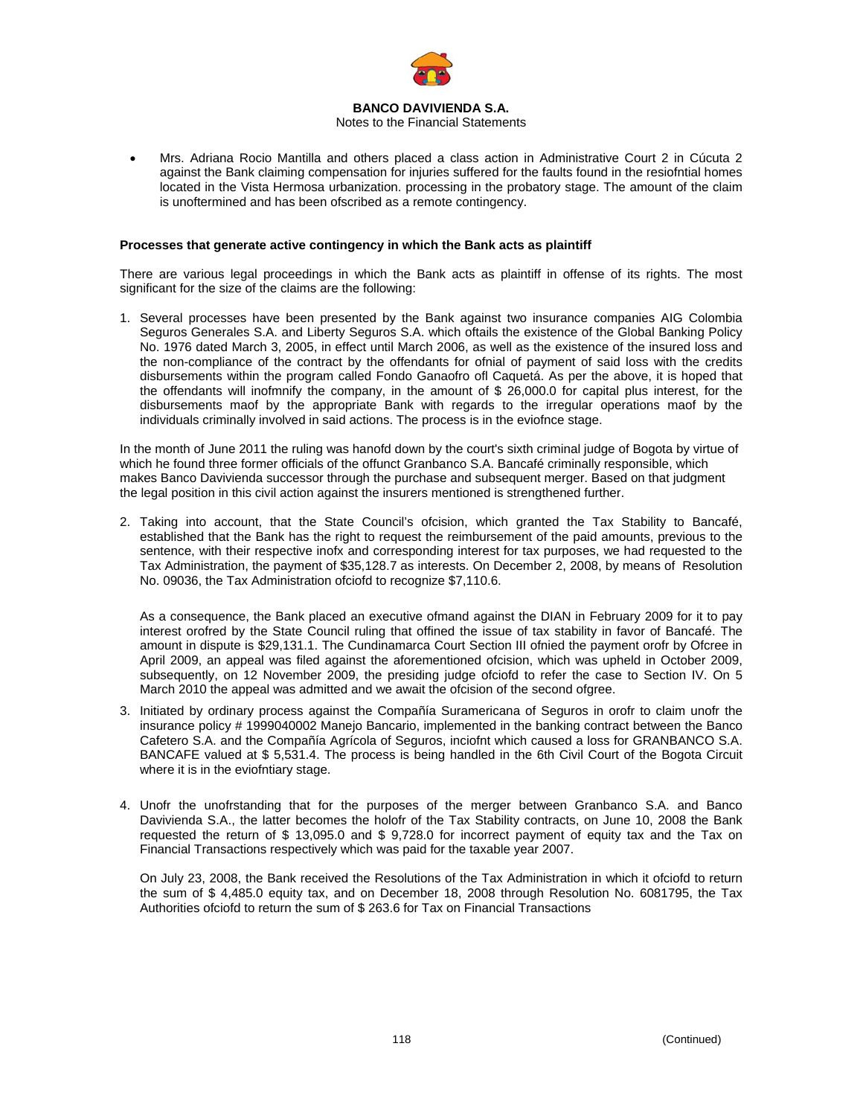

### Notes to the Financial Statements

• Mrs. Adriana Rocio Mantilla and others placed a class action in Administrative Court 2 in Cúcuta 2 against the Bank claiming compensation for injuries suffered for the faults found in the resiofntial homes located in the Vista Hermosa urbanization. processing in the probatory stage. The amount of the claim is unoftermined and has been ofscribed as a remote contingency.

### **Processes that generate active contingency in which the Bank acts as plaintiff**

There are various legal proceedings in which the Bank acts as plaintiff in offense of its rights. The most significant for the size of the claims are the following:

1. Several processes have been presented by the Bank against two insurance companies AIG Colombia Seguros Generales S.A. and Liberty Seguros S.A. which oftails the existence of the Global Banking Policy No. 1976 dated March 3, 2005, in effect until March 2006, as well as the existence of the insured loss and the non-compliance of the contract by the offendants for ofnial of payment of said loss with the credits disbursements within the program called Fondo Ganaofro ofl Caquetá. As per the above, it is hoped that the offendants will inofmnify the company, in the amount of \$ 26,000.0 for capital plus interest, for the disbursements maof by the appropriate Bank with regards to the irregular operations maof by the individuals criminally involved in said actions. The process is in the eviofnce stage.

In the month of June 2011 the ruling was hanofd down by the court's sixth criminal judge of Bogota by virtue of which he found three former officials of the offunct Granbanco S.A. Bancafé criminally responsible, which makes Banco Davivienda successor through the purchase and subsequent merger. Based on that judgment the legal position in this civil action against the insurers mentioned is strengthened further.

2. Taking into account, that the State Council's ofcision, which granted the Tax Stability to Bancafé, established that the Bank has the right to request the reimbursement of the paid amounts, previous to the sentence, with their respective inofx and corresponding interest for tax purposes, we had requested to the Tax Administration, the payment of \$35,128.7 as interests. On December 2, 2008, by means of Resolution No. 09036, the Tax Administration ofciofd to recognize \$7,110.6.

As a consequence, the Bank placed an executive ofmand against the DIAN in February 2009 for it to pay interest orofred by the State Council ruling that offined the issue of tax stability in favor of Bancafé. The amount in dispute is \$29,131.1. The Cundinamarca Court Section III ofnied the payment orofr by Ofcree in April 2009, an appeal was filed against the aforementioned ofcision, which was upheld in October 2009, subsequently, on 12 November 2009, the presiding judge ofciofd to refer the case to Section IV. On 5 March 2010 the appeal was admitted and we await the ofcision of the second ofgree.

- 3. Initiated by ordinary process against the Compañía Suramericana of Seguros in orofr to claim unofr the insurance policy # 1999040002 Manejo Bancario, implemented in the banking contract between the Banco Cafetero S.A. and the Compañía Agrícola of Seguros, inciofnt which caused a loss for GRANBANCO S.A. BANCAFE valued at \$ 5,531.4. The process is being handled in the 6th Civil Court of the Bogota Circuit where it is in the eviofntiary stage.
- 4. Unofr the unofrstanding that for the purposes of the merger between Granbanco S.A. and Banco Davivienda S.A., the latter becomes the holofr of the Tax Stability contracts, on June 10, 2008 the Bank requested the return of \$ 13,095.0 and \$ 9,728.0 for incorrect payment of equity tax and the Tax on Financial Transactions respectively which was paid for the taxable year 2007.

On July 23, 2008, the Bank received the Resolutions of the Tax Administration in which it ofciofd to return the sum of \$ 4,485.0 equity tax, and on December 18, 2008 through Resolution No. 6081795, the Tax Authorities ofciofd to return the sum of \$ 263.6 for Tax on Financial Transactions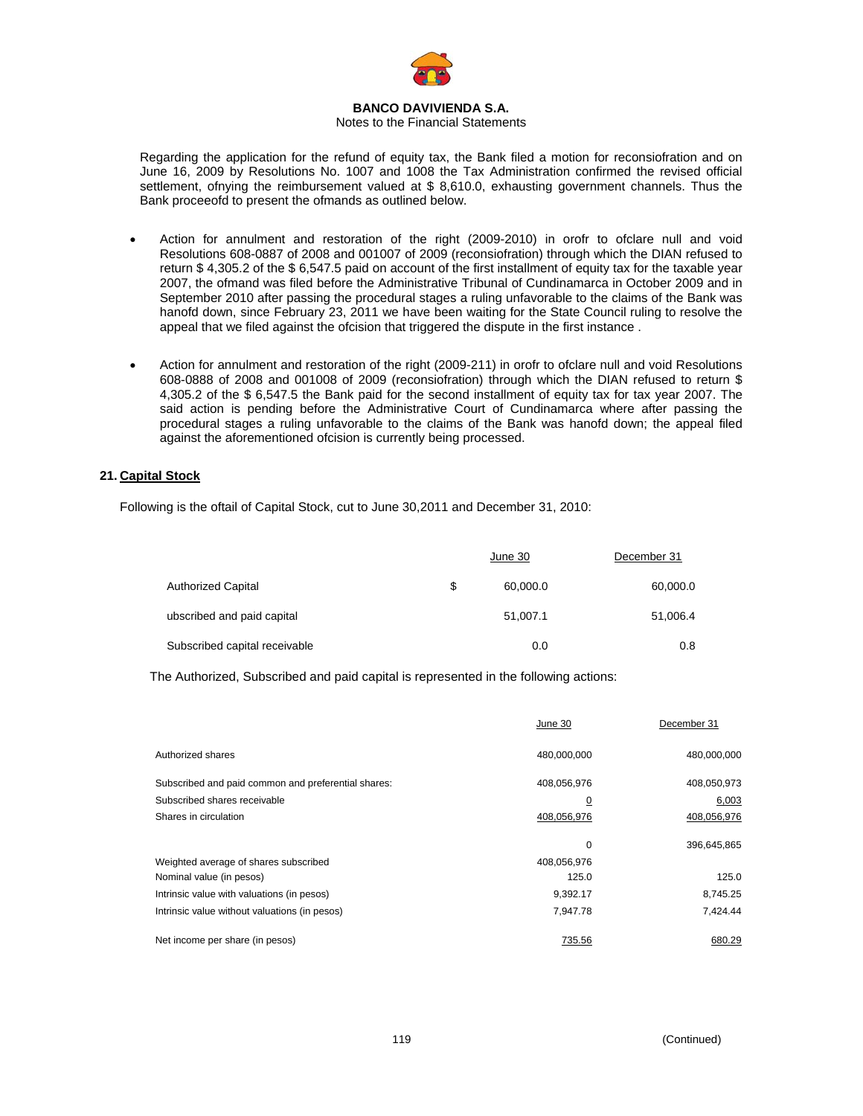

### Notes to the Financial Statements

Regarding the application for the refund of equity tax, the Bank filed a motion for reconsiofration and on June 16, 2009 by Resolutions No. 1007 and 1008 the Tax Administration confirmed the revised official settlement, ofnying the reimbursement valued at \$ 8,610.0, exhausting government channels. Thus the Bank proceeofd to present the ofmands as outlined below.

- Action for annulment and restoration of the right (2009-2010) in orofr to ofclare null and void Resolutions 608-0887 of 2008 and 001007 of 2009 (reconsiofration) through which the DIAN refused to return \$ 4,305.2 of the \$ 6,547.5 paid on account of the first installment of equity tax for the taxable year 2007, the ofmand was filed before the Administrative Tribunal of Cundinamarca in October 2009 and in September 2010 after passing the procedural stages a ruling unfavorable to the claims of the Bank was hanofd down, since February 23, 2011 we have been waiting for the State Council ruling to resolve the appeal that we filed against the ofcision that triggered the dispute in the first instance.
- Action for annulment and restoration of the right (2009-211) in orofr to ofclare null and void Resolutions 608-0888 of 2008 and 001008 of 2009 (reconsiofration) through which the DIAN refused to return \$ 4,305.2 of the \$ 6,547.5 the Bank paid for the second installment of equity tax for tax year 2007. The said action is pending before the Administrative Court of Cundinamarca where after passing the procedural stages a ruling unfavorable to the claims of the Bank was hanofd down; the appeal filed against the aforementioned ofcision is currently being processed.

### **21. Capital Stock**

Following is the oftail of Capital Stock, cut to June 30,2011 and December 31, 2010:

|                               | June 30        | December 31 |
|-------------------------------|----------------|-------------|
| <b>Authorized Capital</b>     | \$<br>60,000.0 | 60,000.0    |
| ubscribed and paid capital    | 51,007.1       | 51,006.4    |
| Subscribed capital receivable | 0.0            | 0.8         |

The Authorized, Subscribed and paid capital is represented in the following actions:

|                                                     | June 30        | December 31 |
|-----------------------------------------------------|----------------|-------------|
| Authorized shares                                   | 480,000,000    | 480,000,000 |
| Subscribed and paid common and preferential shares: | 408,056,976    | 408,050,973 |
| Subscribed shares receivable                        | $\overline{0}$ | 6,003       |
| Shares in circulation                               | 408,056,976    | 408,056,976 |
|                                                     | $\mathbf 0$    | 396,645,865 |
| Weighted average of shares subscribed               | 408,056,976    |             |
| Nominal value (in pesos)                            | 125.0          | 125.0       |
| Intrinsic value with valuations (in pesos)          | 9,392.17       | 8,745.25    |
| Intrinsic value without valuations (in pesos)       | 7,947.78       | 7.424.44    |
| Net income per share (in pesos)                     | 735.56         | 680.29      |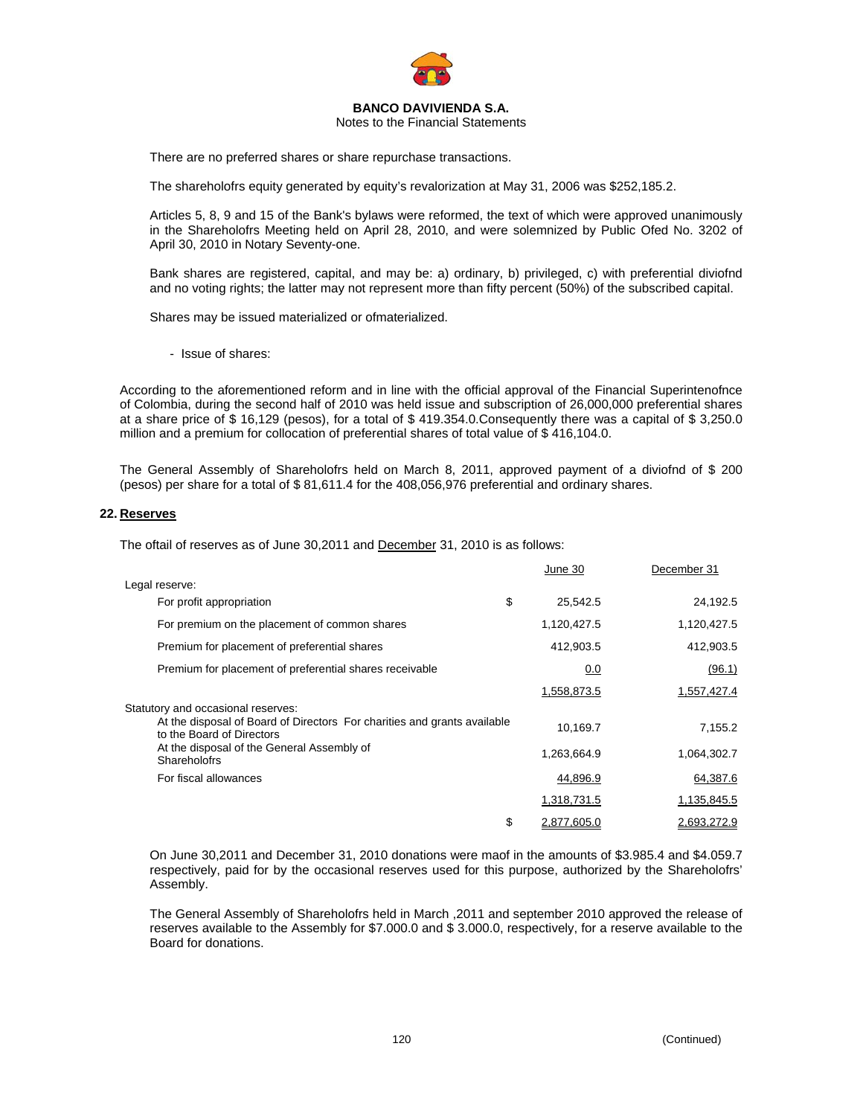

Notes to the Financial Statements

There are no preferred shares or share repurchase transactions.

The shareholofrs equity generated by equity's revalorization at May 31, 2006 was \$252,185.2.

Articles 5, 8, 9 and 15 of the Bank's bylaws were reformed, the text of which were approved unanimously in the Shareholofrs Meeting held on April 28, 2010, and were solemnized by Public Ofed No. 3202 of April 30, 2010 in Notary Seventy-one.

Bank shares are registered, capital, and may be: a) ordinary, b) privileged, c) with preferential diviofnd and no voting rights; the latter may not represent more than fifty percent (50%) of the subscribed capital.

Shares may be issued materialized or ofmaterialized.

- Issue of shares:

According to the aforementioned reform and in line with the official approval of the Financial Superintenofnce of Colombia, during the second half of 2010 was held issue and subscription of 26,000,000 preferential shares at a share price of \$ 16,129 (pesos), for a total of \$ 419.354.0.Consequently there was a capital of \$ 3,250.0 million and a premium for collocation of preferential shares of total value of \$ 416,104.0.

The General Assembly of Shareholofrs held on March 8, 2011, approved payment of a diviofnd of \$ 200 (pesos) per share for a total of \$ 81,611.4 for the 408,056,976 preferential and ordinary shares.

#### **22. Reserves**

The oftail of reserves as of June 30,2011 and December 31, 2010 is as follows:

|                                                                                                       | June 30           | December 31 |
|-------------------------------------------------------------------------------------------------------|-------------------|-------------|
| Legal reserve:                                                                                        |                   |             |
| For profit appropriation                                                                              | \$<br>25,542.5    | 24,192.5    |
| For premium on the placement of common shares                                                         | 1,120,427.5       | 1,120,427.5 |
| Premium for placement of preferential shares                                                          | 412,903.5         | 412,903.5   |
| Premium for placement of preferential shares receivable                                               | 0.0               | (96.1)      |
|                                                                                                       | 1,558,873.5       | 1,557,427.4 |
| Statutory and occasional reserves:                                                                    |                   |             |
| At the disposal of Board of Directors For charities and grants available<br>to the Board of Directors | 10.169.7          | 7,155.2     |
| At the disposal of the General Assembly of<br><b>Shareholofrs</b>                                     | 1,263,664.9       | 1,064,302.7 |
| For fiscal allowances                                                                                 | 44,896.9          | 64,387.6    |
|                                                                                                       | 1,318,731.5       | 1,135,845.5 |
|                                                                                                       | \$<br>2.877.605.0 | 2.693.272.9 |

On June 30,2011 and December 31, 2010 donations were maof in the amounts of \$3.985.4 and \$4.059.7 respectively, paid for by the occasional reserves used for this purpose, authorized by the Shareholofrs' Assembly.

The General Assembly of Shareholofrs held in March ,2011 and september 2010 approved the release of reserves available to the Assembly for \$7.000.0 and \$ 3.000.0, respectively, for a reserve available to the Board for donations.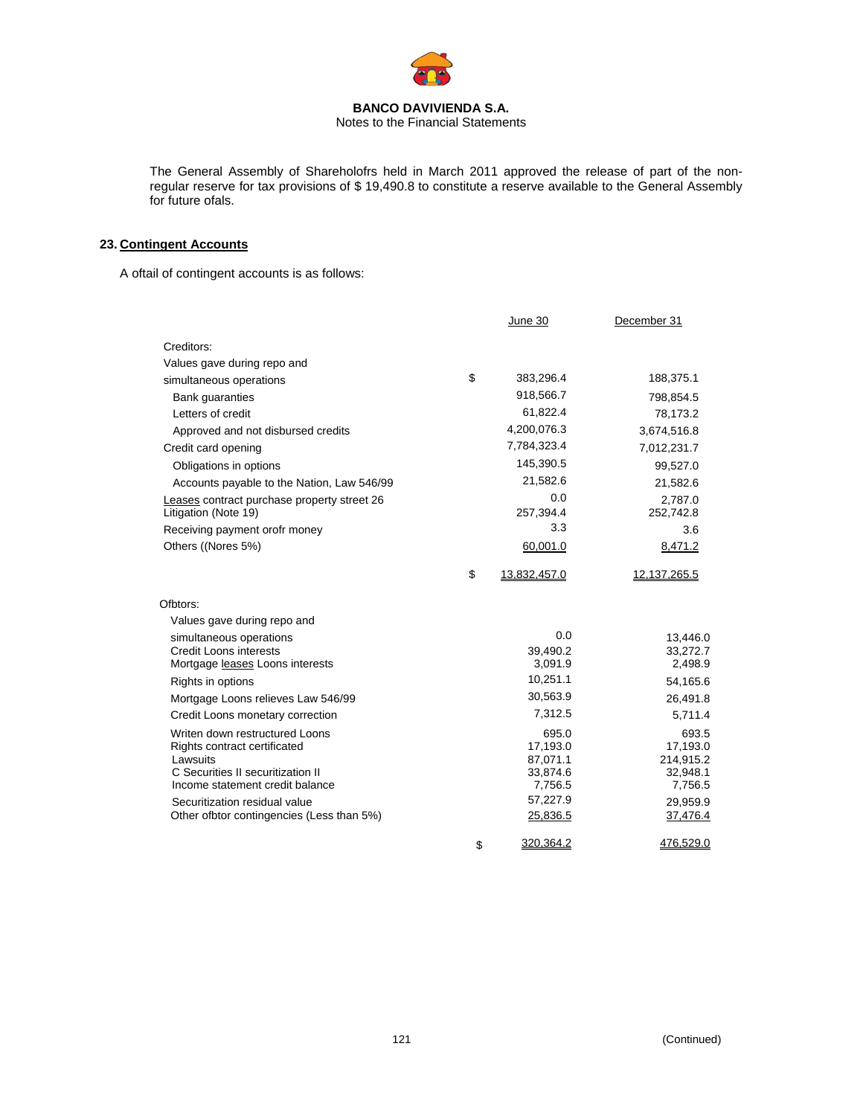

Notes to the Financial Statements

The General Assembly of Shareholofrs held in March 2011 approved the release of part of the nonregular reserve for tax provisions of \$ 19,490.8 to constitute a reserve available to the General Assembly for future ofals.

# **23. Contingent Accounts**

A oftail of contingent accounts is as follows:

|                                               | June 30              | December 31           |
|-----------------------------------------------|----------------------|-----------------------|
| Creditors:                                    |                      |                       |
| Values gave during repo and                   |                      |                       |
| simultaneous operations                       | \$<br>383,296.4      | 188,375.1             |
| Bank quaranties                               | 918,566.7            | 798,854.5             |
| Letters of credit                             | 61,822.4             | 78,173.2              |
| Approved and not disbursed credits            | 4,200,076.3          | 3,674,516.8           |
| Credit card opening                           | 7,784,323.4          | 7,012,231.7           |
| Obligations in options                        | 145,390.5            | 99,527.0              |
| Accounts payable to the Nation, Law 546/99    | 21,582.6             | 21,582.6              |
| Leases contract purchase property street 26   | 0.0                  | 2,787.0               |
| Litigation (Note 19)                          | 257,394.4            | 252,742.8             |
| Receiving payment orofr money                 | 3.3                  | 3.6                   |
| Others ((Nores 5%)                            | 60,001.0             | 8,471.2               |
|                                               | \$<br>13,832,457.0   | 12,137,265.5          |
| Ofbtors:                                      |                      |                       |
| Values gave during repo and                   |                      |                       |
| simultaneous operations                       | 0.0                  | 13,446.0              |
| <b>Credit Loons interests</b>                 | 39,490.2             | 33,272.7              |
| Mortgage leases Loons interests               | 3,091.9              | 2,498.9               |
| Rights in options                             | 10,251.1             | 54,165.6              |
| Mortgage Loons relieves Law 546/99            | 30,563.9             | 26,491.8              |
| Credit Loons monetary correction              | 7,312.5              | 5,711.4               |
| Writen down restructured Loons                | 695.0                | 693.5                 |
| Rights contract certificated                  | 17,193.0             | 17,193.0              |
| Lawsuits<br>C Securities II securitization II | 87,071.1<br>33,874.6 | 214,915.2<br>32,948.1 |
| Income statement credit balance               | 7,756.5              | 7,756.5               |
| Securitization residual value                 | 57,227.9             | 29,959.9              |
| Other ofbtor contingencies (Less than 5%)     | 25,836.5             | 37,476.4              |
|                                               | \$<br>320,364.2      | 476,529.0             |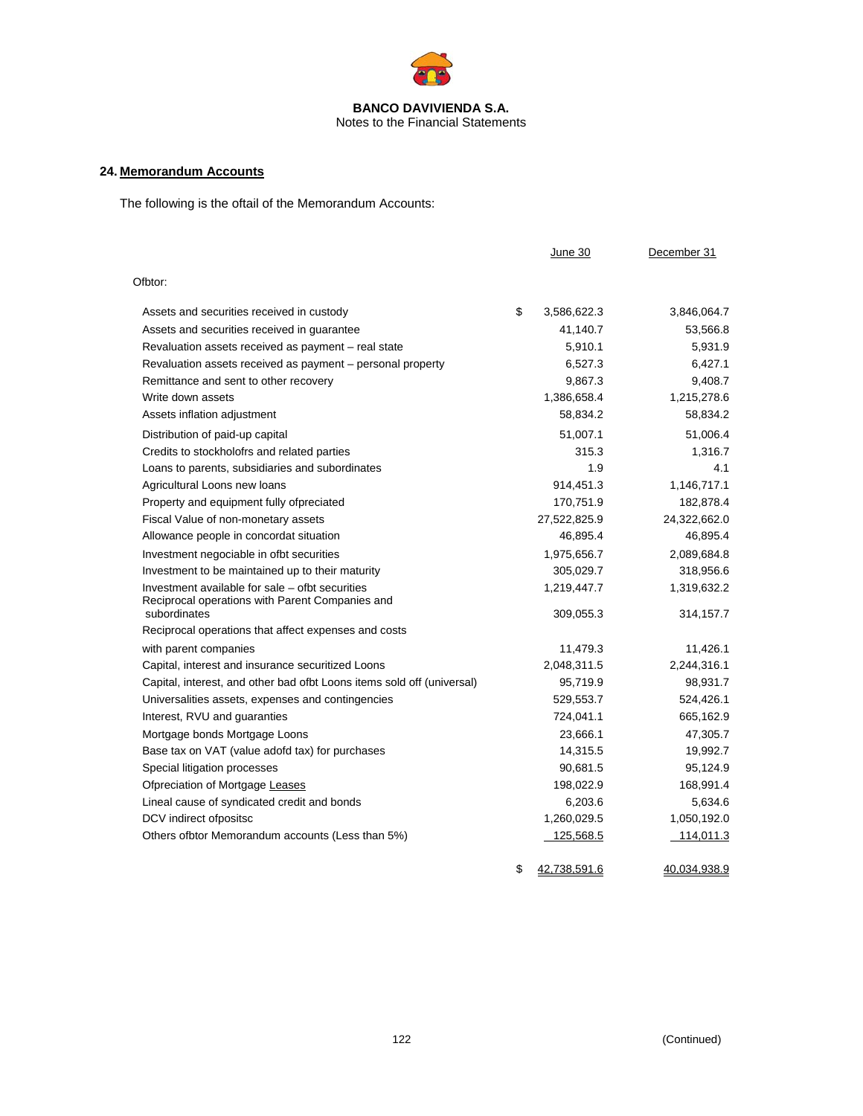

# **24. Memorandum Accounts**

The following is the oftail of the Memorandum Accounts:

|                                                                                                    | June 30                  | December 31              |
|----------------------------------------------------------------------------------------------------|--------------------------|--------------------------|
| Ofbtor:                                                                                            |                          |                          |
| Assets and securities received in custody                                                          | \$<br>3,586,622.3        | 3,846,064.7              |
| Assets and securities received in quarantee                                                        | 41,140.7                 | 53,566.8                 |
| Revaluation assets received as payment - real state                                                | 5,910.1                  | 5,931.9                  |
| Revaluation assets received as payment - personal property                                         | 6,527.3                  | 6,427.1                  |
| Remittance and sent to other recovery                                                              | 9,867.3                  | 9,408.7                  |
| Write down assets                                                                                  | 1,386,658.4              | 1,215,278.6              |
| Assets inflation adjustment                                                                        | 58,834.2                 | 58,834.2                 |
| Distribution of paid-up capital                                                                    | 51,007.1                 | 51,006.4                 |
| Credits to stockholofrs and related parties                                                        | 315.3                    | 1,316.7                  |
| Loans to parents, subsidiaries and subordinates                                                    | 1.9                      | 4.1                      |
| Agricultural Loons new loans                                                                       | 914,451.3                | 1,146,717.1              |
| Property and equipment fully ofpreciated                                                           | 170,751.9                | 182,878.4                |
| Fiscal Value of non-monetary assets                                                                | 27,522,825.9             | 24,322,662.0             |
| Allowance people in concordat situation                                                            | 46,895.4                 | 46,895.4                 |
| Investment negociable in ofbt securities                                                           | 1,975,656.7              | 2,089,684.8              |
| Investment to be maintained up to their maturity                                                   | 305,029.7                | 318,956.6                |
| Investment available for sale – ofbt securities<br>Reciprocal operations with Parent Companies and | 1,219,447.7              | 1,319,632.2              |
| subordinates                                                                                       | 309,055.3                | 314,157.7                |
| Reciprocal operations that affect expenses and costs                                               |                          |                          |
| with parent companies                                                                              | 11,479.3                 | 11,426.1                 |
| Capital, interest and insurance securitized Loons                                                  | 2,048,311.5              | 2,244,316.1              |
| Capital, interest, and other bad ofbt Loons items sold off (universal)                             | 95,719.9                 | 98,931.7                 |
| Universalities assets, expenses and contingencies                                                  | 529,553.7                | 524,426.1                |
| Interest, RVU and guaranties                                                                       | 724,041.1                | 665,162.9                |
| Mortgage bonds Mortgage Loons                                                                      | 23,666.1                 | 47,305.7                 |
| Base tax on VAT (value adofd tax) for purchases                                                    | 14,315.5                 | 19,992.7                 |
| Special litigation processes                                                                       | 90,681.5                 | 95,124.9                 |
| Ofpreciation of Mortgage Leases                                                                    | 198,022.9                | 168,991.4                |
| Lineal cause of syndicated credit and bonds                                                        | 6,203.6                  | 5,634.6                  |
| DCV indirect ofpositsc                                                                             | 1,260,029.5<br>125,568.5 | 1,050,192.0<br>114,011.3 |
| Others ofbtor Memorandum accounts (Less than 5%)                                                   |                          |                          |

\$ 42,738,591.6 40,034,938.9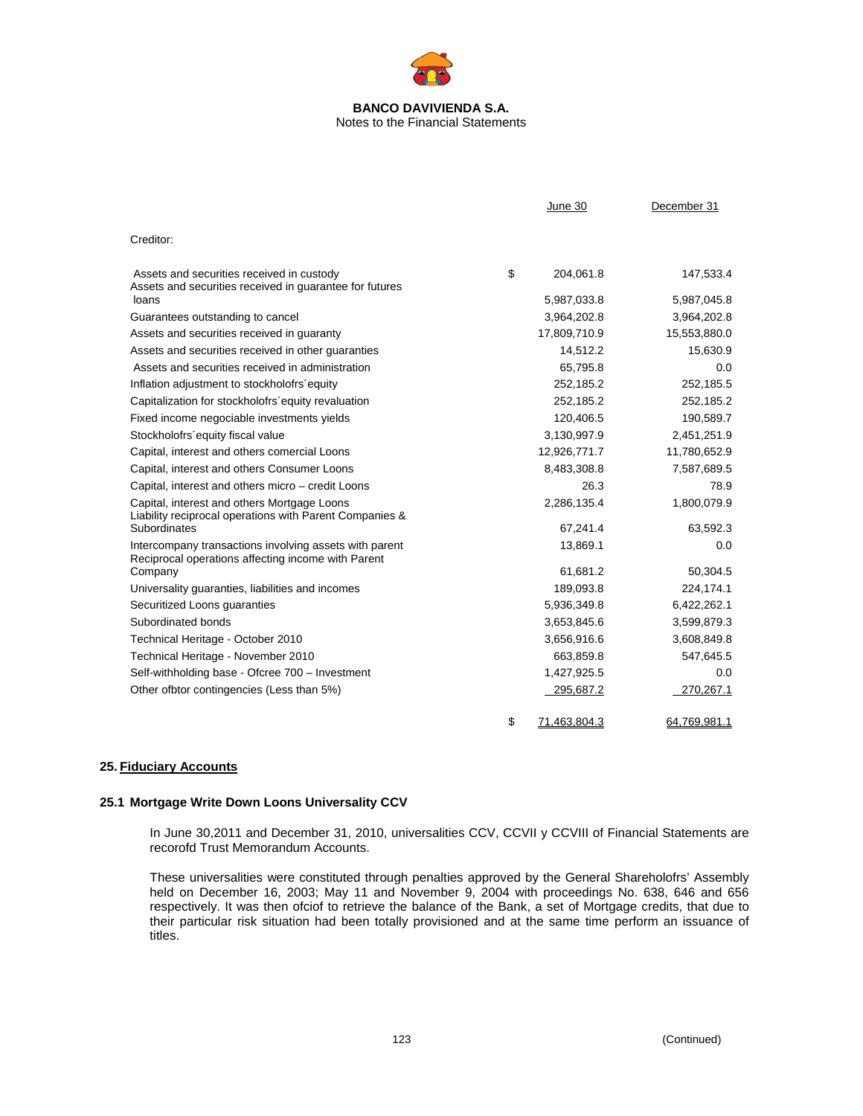# **BANCO DAVIVIENDA S.A.**  Notes to the Financial Statements

|                                                                                                              | June 30            | December 31  |
|--------------------------------------------------------------------------------------------------------------|--------------------|--------------|
| Creditor:                                                                                                    |                    |              |
| Assets and securities received in custody<br>Assets and securities received in guarantee for futures         | \$<br>204,061.8    | 147,533.4    |
| loans                                                                                                        | 5,987,033.8        | 5,987,045.8  |
| Guarantees outstanding to cancel                                                                             | 3,964,202.8        | 3,964,202.8  |
| Assets and securities received in guaranty                                                                   | 17,809,710.9       | 15,553,880.0 |
| Assets and securities received in other guaranties                                                           | 14,512.2           | 15,630.9     |
| Assets and securities received in administration                                                             | 65,795.8           | 0.0          |
| Inflation adjustment to stockholofrs equity                                                                  | 252,185.2          | 252,185.5    |
| Capitalization for stockholofrs' equity revaluation                                                          | 252,185.2          | 252,185.2    |
| Fixed income negociable investments yields                                                                   | 120,406.5          | 190,589.7    |
| Stockholofrs'equity fiscal value                                                                             | 3,130,997.9        | 2,451,251.9  |
| Capital, interest and others comercial Loons                                                                 | 12,926,771.7       | 11,780,652.9 |
| Capital, interest and others Consumer Loons                                                                  | 8,483,308.8        | 7,587,689.5  |
| Capital, interest and others micro – credit Loons                                                            | 26.3               | 78.9         |
| Capital, interest and others Mortgage Loons<br>Liability reciprocal operations with Parent Companies &       | 2,286,135.4        | 1,800,079.9  |
| Subordinates                                                                                                 | 67,241.4           | 63,592.3     |
| Intercompany transactions involving assets with parent<br>Reciprocal operations affecting income with Parent | 13,869.1           | 0.0          |
| Company                                                                                                      | 61,681.2           | 50,304.5     |
| Universality guaranties, liabilities and incomes                                                             | 189,093.8          | 224,174.1    |
| Securitized Loons guaranties                                                                                 | 5,936,349.8        | 6,422,262.1  |
| Subordinated bonds                                                                                           | 3,653,845.6        | 3,599,879.3  |
| Technical Heritage - October 2010                                                                            | 3,656,916.6        | 3,608,849.8  |
| Technical Heritage - November 2010                                                                           | 663,859.8          | 547,645.5    |
| Self-withholding base - Ofcree 700 - Investment                                                              | 1,427,925.5        | 0.0          |
| Other ofbtor contingencies (Less than 5%)                                                                    | 295,687.2          | 270,267.1    |
|                                                                                                              | \$<br>71,463,804.3 | 64,769,981.1 |

# **25. Fiduciary Accounts**

# **25.1 Mortgage Write Down Loons Universality CCV**

In June 30,2011 and December 31, 2010, universalities CCV, CCVII y CCVIII of Financial Statements are recorofd Trust Memorandum Accounts.

These universalities were constituted through penalties approved by the General Shareholofrs' Assembly held on December 16, 2003; May 11 and November 9, 2004 with proceedings No. 638, 646 and 656 respectively. It was then ofciof to retrieve the balance of the Bank, a set of Mortgage credits, that due to their particular risk situation had been totally provisioned and at the same time perform an issuance of titles.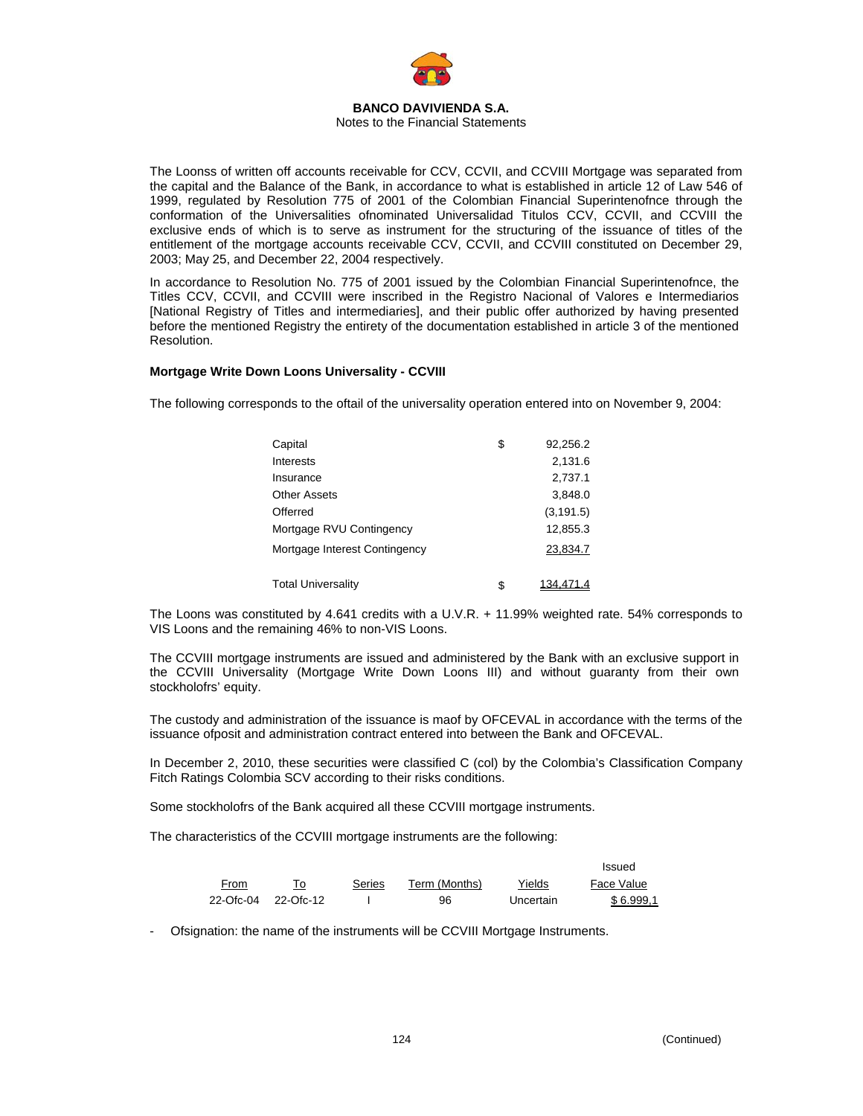

The Loonss of written off accounts receivable for CCV, CCVII, and CCVIII Mortgage was separated from the capital and the Balance of the Bank, in accordance to what is established in article 12 of Law 546 of 1999, regulated by Resolution 775 of 2001 of the Colombian Financial Superintenofnce through the conformation of the Universalities ofnominated Universalidad Titulos CCV, CCVII, and CCVIII the exclusive ends of which is to serve as instrument for the structuring of the issuance of titles of the entitlement of the mortgage accounts receivable CCV, CCVII, and CCVIII constituted on December 29, 2003; May 25, and December 22, 2004 respectively.

In accordance to Resolution No. 775 of 2001 issued by the Colombian Financial Superintenofnce, the Titles CCV, CCVII, and CCVIII were inscribed in the Registro Nacional of Valores e Intermediarios [National Registry of Titles and intermediaries], and their public offer authorized by having presented before the mentioned Registry the entirety of the documentation established in article 3 of the mentioned Resolution.

### **Mortgage Write Down Loons Universality - CCVIII**

The following corresponds to the oftail of the universality operation entered into on November 9, 2004:

| Capital                       | \$<br>92,256.2  |
|-------------------------------|-----------------|
| Interests                     | 2,131.6         |
| Insurance                     | 2,737.1         |
| <b>Other Assets</b>           | 3,848.0         |
| Offerred                      | (3, 191.5)      |
| Mortgage RVU Contingency      | 12,855.3        |
| Mortgage Interest Contingency | 23,834.7        |
| <b>Total Universality</b>     | \$<br>134.471.4 |

The Loons was constituted by 4.641 credits with a U.V.R. + 11.99% weighted rate. 54% corresponds to VIS Loons and the remaining 46% to non-VIS Loons.

The CCVIII mortgage instruments are issued and administered by the Bank with an exclusive support in the CCVIII Universality (Mortgage Write Down Loons III) and without guaranty from their own stockholofrs' equity.

The custody and administration of the issuance is maof by OFCEVAL in accordance with the terms of the issuance ofposit and administration contract entered into between the Bank and OFCEVAL.

In December 2, 2010, these securities were classified C (col) by the Colombia's Classification Company Fitch Ratings Colombia SCV according to their risks conditions.

Some stockholofrs of the Bank acquired all these CCVIII mortgage instruments.

The characteristics of the CCVIII mortgage instruments are the following:

|      |                     |        |               |           | Issued     |
|------|---------------------|--------|---------------|-----------|------------|
| From | To                  | Series | Term (Months) | Yields    | Face Value |
|      | 22-Ofc-04 22-Ofc-12 |        | 96            | Uncertain | \$6.999.1  |

Ofsignation: the name of the instruments will be CCVIII Mortgage Instruments.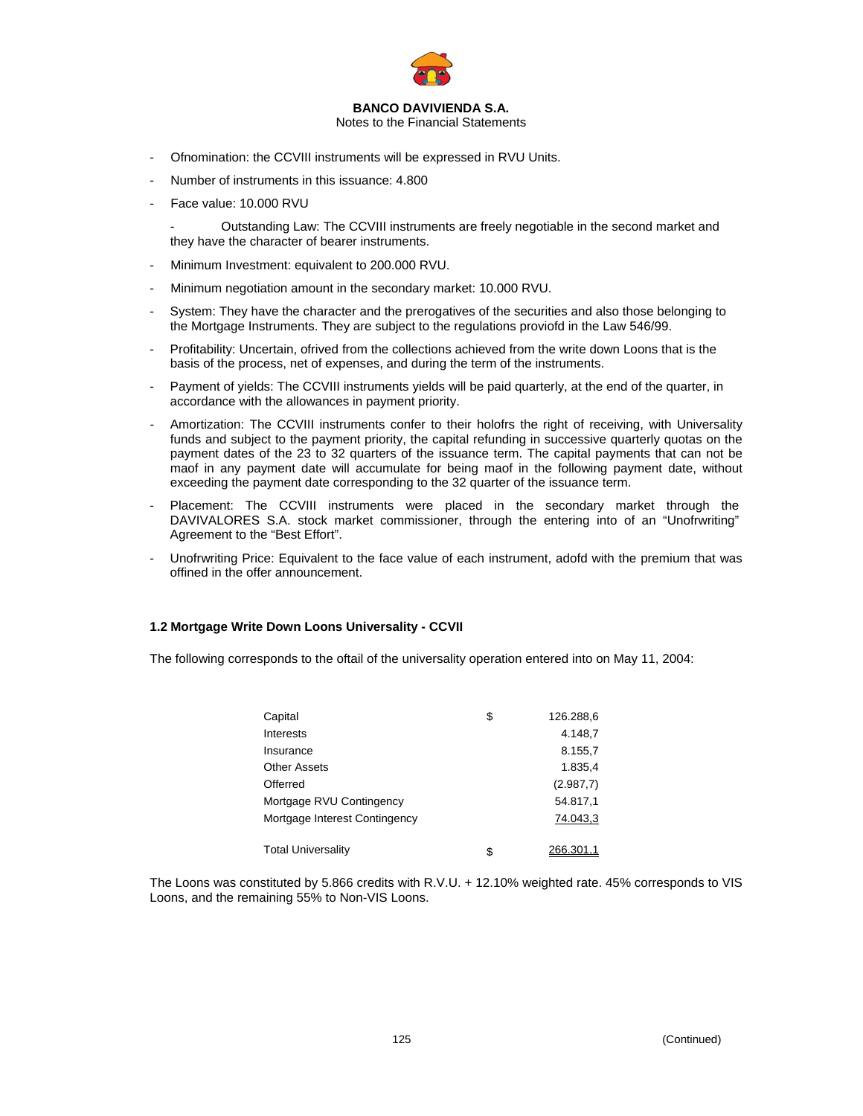

Notes to the Financial Statements

- Ofnomination: the CCVIII instruments will be expressed in RVU Units.
- Number of instruments in this issuance: 4.800
- Face value: 10.000 RVU

- Outstanding Law: The CCVIII instruments are freely negotiable in the second market and they have the character of bearer instruments.

- Minimum Investment: equivalent to 200.000 RVU.
- Minimum negotiation amount in the secondary market: 10.000 RVU.
- System: They have the character and the prerogatives of the securities and also those belonging to the Mortgage Instruments. They are subject to the regulations proviofd in the Law 546/99.
- Profitability: Uncertain, ofrived from the collections achieved from the write down Loons that is the basis of the process, net of expenses, and during the term of the instruments.
- Payment of yields: The CCVIII instruments yields will be paid quarterly, at the end of the quarter, in accordance with the allowances in payment priority.
- Amortization: The CCVIII instruments confer to their holofrs the right of receiving, with Universality funds and subject to the payment priority, the capital refunding in successive quarterly quotas on the payment dates of the 23 to 32 quarters of the issuance term. The capital payments that can not be maof in any payment date will accumulate for being maof in the following payment date, without exceeding the payment date corresponding to the 32 quarter of the issuance term.
- Placement: The CCVIII instruments were placed in the secondary market through the DAVIVALORES S.A. stock market commissioner, through the entering into of an "Unofrwriting" Agreement to the "Best Effort".
- Unofrwriting Price: Equivalent to the face value of each instrument, adofd with the premium that was offined in the offer announcement.

### **1.2 Mortgage Write Down Loons Universality - CCVII**

The following corresponds to the oftail of the universality operation entered into on May 11, 2004:

| Capital                       | \$ | 126.288,6 |
|-------------------------------|----|-----------|
| Interests                     |    | 4.148,7   |
| Insurance                     |    | 8.155,7   |
| <b>Other Assets</b>           |    | 1.835.4   |
| Offerred                      |    | (2.987,7) |
| Mortgage RVU Contingency      |    | 54.817,1  |
| Mortgage Interest Contingency |    | 74.043,3  |
| <b>Total Universality</b>     | S  | 266.301.1 |

The Loons was constituted by 5.866 credits with R.V.U. + 12.10% weighted rate. 45% corresponds to VIS Loons, and the remaining 55% to Non-VIS Loons.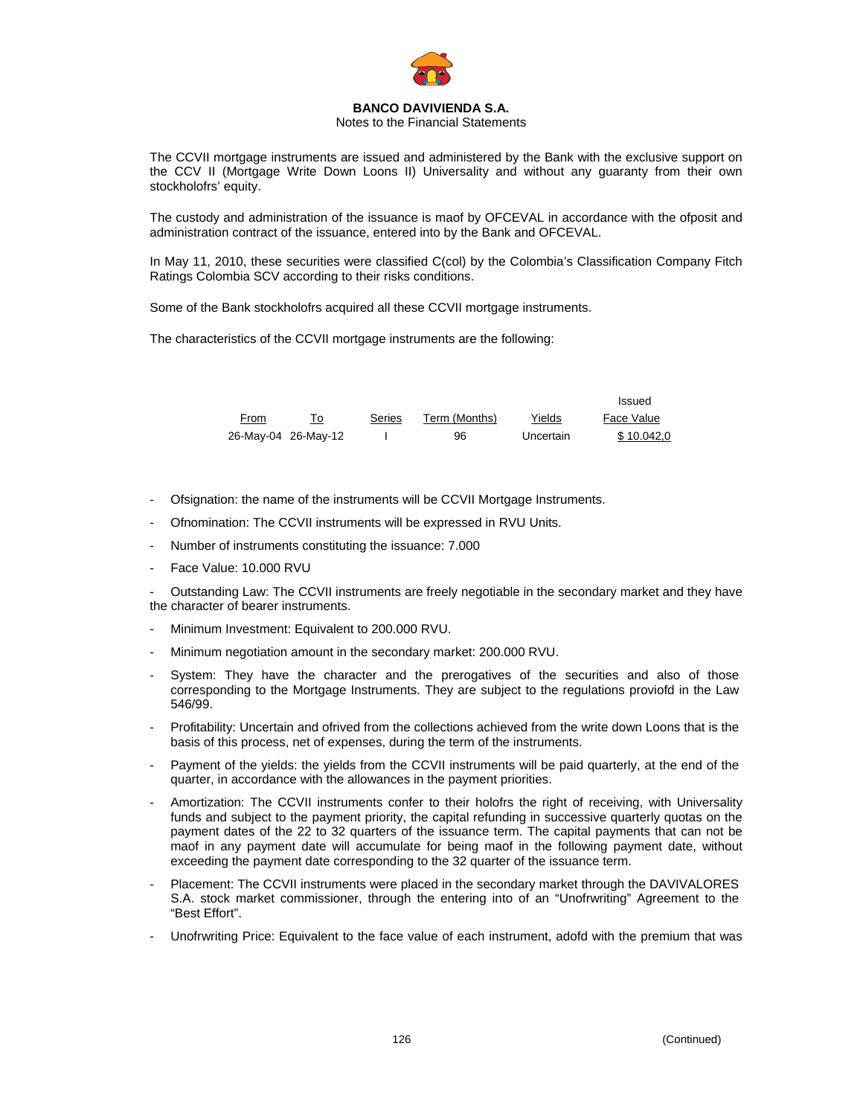

### Notes to the Financial Statements

The CCVII mortgage instruments are issued and administered by the Bank with the exclusive support on the CCV II (Mortgage Write Down Loons II) Universality and without any guaranty from their own stockholofrs' equity.

The custody and administration of the issuance is maof by OFCEVAL in accordance with the ofposit and administration contract of the issuance, entered into by the Bank and OFCEVAL.

In May 11, 2010, these securities were classified C(col) by the Colombia's Classification Company Fitch Ratings Colombia SCV according to their risks conditions.

Some of the Bank stockholofrs acquired all these CCVII mortgage instruments.

The characteristics of the CCVII mortgage instruments are the following:

|      |                     |        |               |           | Issued     |
|------|---------------------|--------|---------------|-----------|------------|
| From |                     | Series | Term (Months) | Yields    | Face Value |
|      | 26-May-04 26-May-12 |        | 96            | Uncertain | \$10.042.0 |

- Ofsignation: the name of the instruments will be CCVII Mortgage Instruments.
- Ofnomination: The CCVII instruments will be expressed in RVU Units.
- Number of instruments constituting the issuance: 7.000
- Face Value: 10.000 RVU

- Outstanding Law: The CCVII instruments are freely negotiable in the secondary market and they have the character of bearer instruments.

- Minimum Investment: Equivalent to 200.000 RVU.
- Minimum negotiation amount in the secondary market: 200.000 RVU.
- System: They have the character and the prerogatives of the securities and also of those corresponding to the Mortgage Instruments. They are subject to the regulations proviofd in the Law 546/99.
- Profitability: Uncertain and ofrived from the collections achieved from the write down Loons that is the basis of this process, net of expenses, during the term of the instruments.
- Payment of the yields: the yields from the CCVII instruments will be paid quarterly, at the end of the quarter, in accordance with the allowances in the payment priorities.
- Amortization: The CCVII instruments confer to their holofrs the right of receiving, with Universality funds and subject to the payment priority, the capital refunding in successive quarterly quotas on the payment dates of the 22 to 32 quarters of the issuance term. The capital payments that can not be maof in any payment date will accumulate for being maof in the following payment date, without exceeding the payment date corresponding to the 32 quarter of the issuance term.
- Placement: The CCVII instruments were placed in the secondary market through the DAVIVALORES S.A. stock market commissioner, through the entering into of an "Unofrwriting" Agreement to the "Best Effort".
- Unofrwriting Price: Equivalent to the face value of each instrument, adofd with the premium that was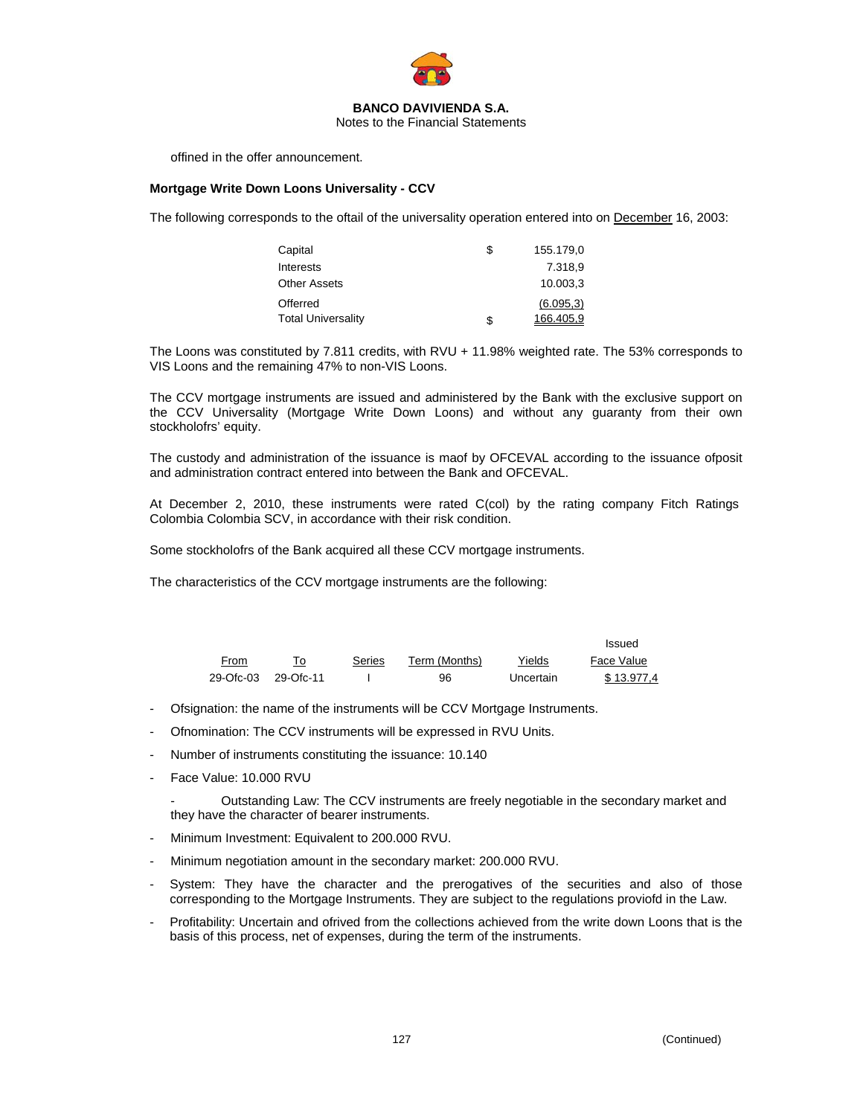

Notes to the Financial Statements

offined in the offer announcement.

### **Mortgage Write Down Loons Universality - CCV**

The following corresponds to the oftail of the universality operation entered into on December 16, 2003:

| Capital                   | \$ | 155.179.0  |
|---------------------------|----|------------|
| Interests                 |    | 7.318.9    |
| <b>Other Assets</b>       |    | 10.003.3   |
| Offerred                  |    | (6.095, 3) |
| <b>Total Universality</b> | S  | 166,405.9  |

The Loons was constituted by 7.811 credits, with RVU + 11.98% weighted rate. The 53% corresponds to VIS Loons and the remaining 47% to non-VIS Loons.

The CCV mortgage instruments are issued and administered by the Bank with the exclusive support on the CCV Universality (Mortgage Write Down Loons) and without any guaranty from their own stockholofrs' equity.

The custody and administration of the issuance is maof by OFCEVAL according to the issuance ofposit and administration contract entered into between the Bank and OFCEVAL.

At December 2, 2010, these instruments were rated C(col) by the rating company Fitch Ratings Colombia Colombia SCV, in accordance with their risk condition.

Some stockholofrs of the Bank acquired all these CCV mortgage instruments.

The characteristics of the CCV mortgage instruments are the following:

|           |           |        |               |           | Issued     |
|-----------|-----------|--------|---------------|-----------|------------|
| From      |           | Series | Term (Months) | Yields    | Face Value |
| 29-Ofc-03 | 29-Ofc-11 |        | 96            | Uncertain | \$13.977.4 |

- Ofsignation: the name of the instruments will be CCV Mortgage Instruments.
- Ofnomination: The CCV instruments will be expressed in RVU Units.
- Number of instruments constituting the issuance: 10.140
- Face Value: 10.000 RVU

Outstanding Law: The CCV instruments are freely negotiable in the secondary market and they have the character of bearer instruments.

- Minimum Investment: Equivalent to 200.000 RVU.
- Minimum negotiation amount in the secondary market: 200.000 RVU.
- System: They have the character and the prerogatives of the securities and also of those corresponding to the Mortgage Instruments. They are subject to the regulations proviofd in the Law.
- Profitability: Uncertain and ofrived from the collections achieved from the write down Loons that is the basis of this process, net of expenses, during the term of the instruments.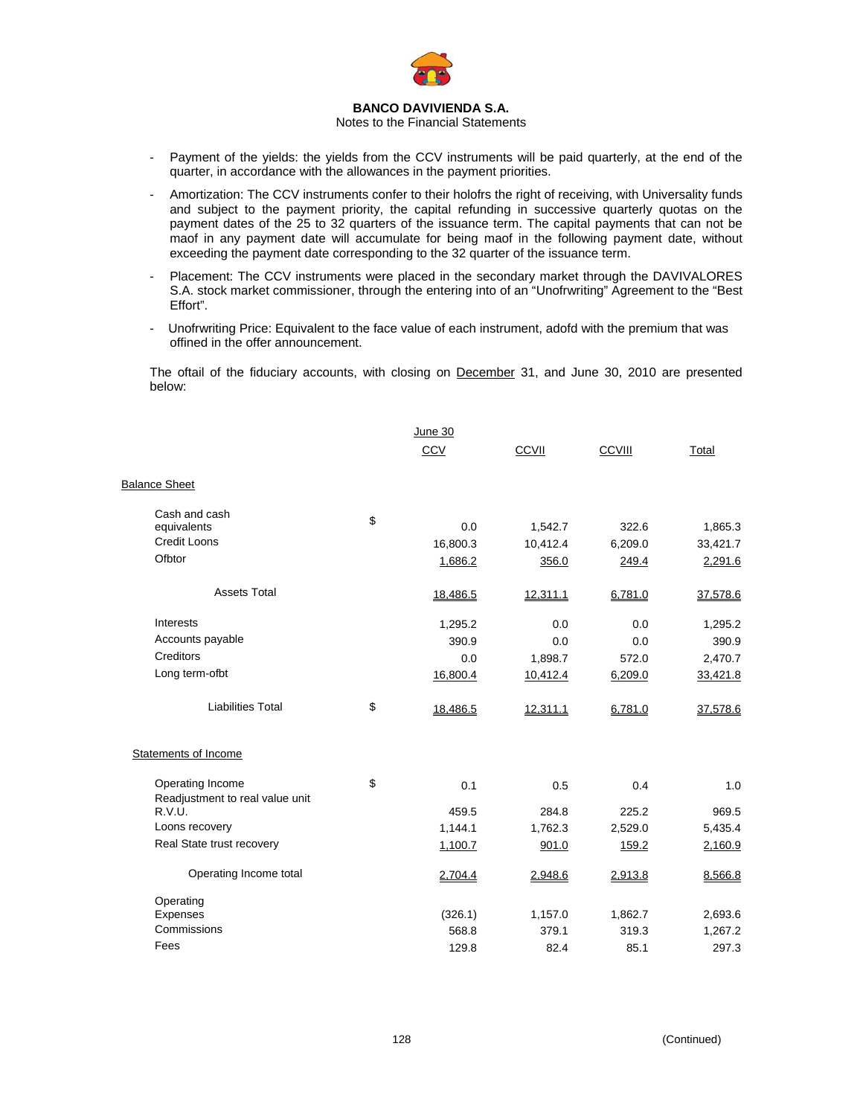

#### Notes to the Financial Statements

- Payment of the yields: the yields from the CCV instruments will be paid quarterly, at the end of the quarter, in accordance with the allowances in the payment priorities.
- Amortization: The CCV instruments confer to their holofrs the right of receiving, with Universality funds and subject to the payment priority, the capital refunding in successive quarterly quotas on the payment dates of the 25 to 32 quarters of the issuance term. The capital payments that can not be maof in any payment date will accumulate for being maof in the following payment date, without exceeding the payment date corresponding to the 32 quarter of the issuance term.
- Placement: The CCV instruments were placed in the secondary market through the DAVIVALORES S.A. stock market commissioner, through the entering into of an "Unofrwriting" Agreement to the "Best Effort".
- Unofrwriting Price: Equivalent to the face value of each instrument, adofd with the premium that was offined in the offer announcement.

The oftail of the fiduciary accounts, with closing on December 31, and June 30, 2010 are presented below:

|                                                     | June 30        |              |         |          |
|-----------------------------------------------------|----------------|--------------|---------|----------|
|                                                     | <b>CCV</b>     | <b>CCVII</b> | CCVIII  | Total    |
| <b>Balance Sheet</b>                                |                |              |         |          |
| Cash and cash                                       | \$             |              |         |          |
| equivalents<br><b>Credit Loons</b>                  | 0.0            | 1,542.7      | 322.6   | 1,865.3  |
|                                                     | 16,800.3       | 10,412.4     | 6,209.0 | 33,421.7 |
| Ofbtor                                              | 1,686.2        | 356.0        | 249.4   | 2,291.6  |
| <b>Assets Total</b>                                 | 18,486.5       | 12,311.1     | 6,781.0 | 37,578.6 |
| Interests                                           | 1,295.2        | 0.0          | 0.0     | 1,295.2  |
| Accounts payable                                    | 390.9          | 0.0          | 0.0     | 390.9    |
| Creditors                                           | 0.0            | 1,898.7      | 572.0   | 2,470.7  |
| Long term-ofbt                                      | 16,800.4       | 10,412.4     | 6,209.0 | 33,421.8 |
| <b>Liabilities Total</b>                            | \$<br>18,486.5 | 12,311.1     | 6,781.0 | 37,578.6 |
| <b>Statements of Income</b>                         |                |              |         |          |
| Operating Income<br>Readjustment to real value unit | \$<br>0.1      | 0.5          | 0.4     | 1.0      |
| R.V.U.                                              | 459.5          | 284.8        | 225.2   | 969.5    |
| Loons recovery                                      | 1,144.1        | 1,762.3      | 2,529.0 | 5,435.4  |
| Real State trust recovery                           | 1,100.7        | 901.0        | 159.2   | 2,160.9  |
| Operating Income total                              | 2,704.4        | 2,948.6      | 2,913.8 | 8,566.8  |
| Operating                                           |                |              |         |          |
| Expenses                                            | (326.1)        | 1,157.0      | 1,862.7 | 2,693.6  |
| Commissions                                         | 568.8          | 379.1        | 319.3   | 1,267.2  |
| Fees                                                | 129.8          | 82.4         | 85.1    | 297.3    |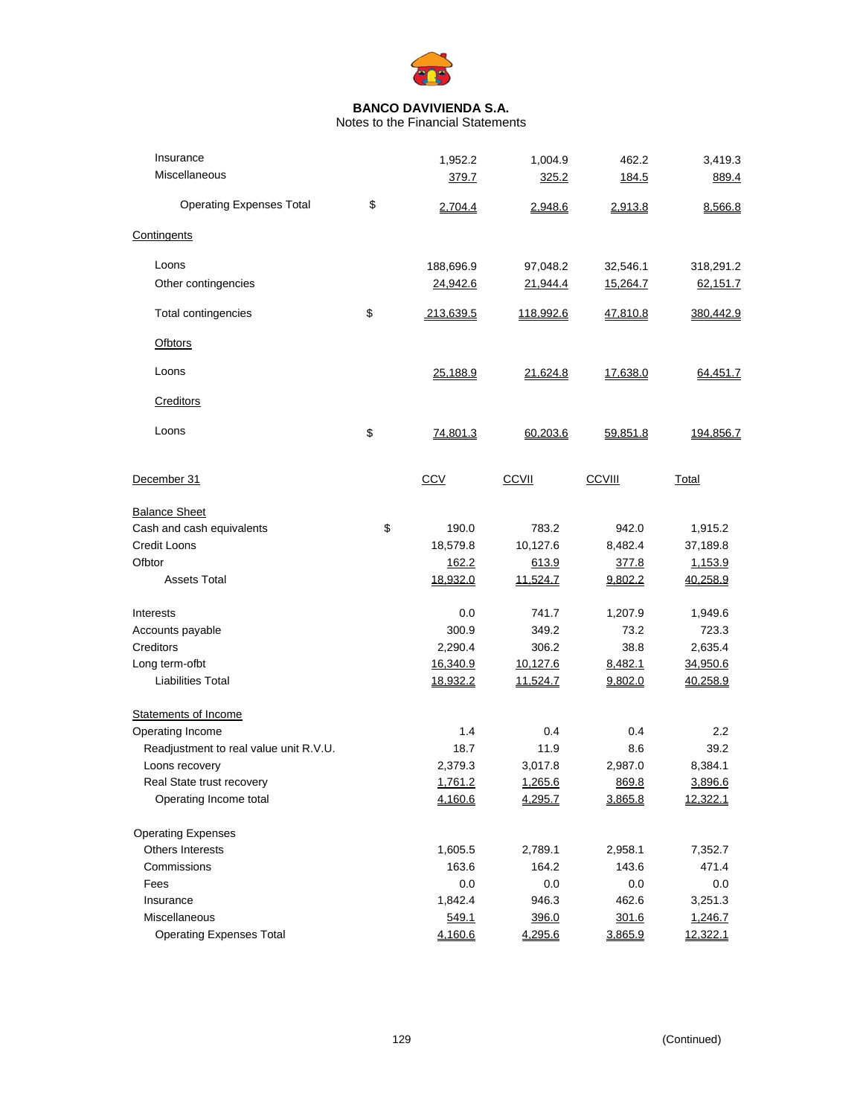

Notes to the Financial Statements

| Insurance                              | 1,952.2         | 1,004.9      | 462.2         | 3,419.3   |
|----------------------------------------|-----------------|--------------|---------------|-----------|
| Miscellaneous                          | 379.7           | 325.2        | 184.5         | 889.4     |
| <b>Operating Expenses Total</b>        | \$<br>2,704.4   | 2,948.6      | 2,913.8       | 8,566.8   |
| Contingents                            |                 |              |               |           |
| Loons                                  | 188,696.9       | 97,048.2     | 32,546.1      | 318,291.2 |
| Other contingencies                    | 24,942.6        | 21,944.4     | 15,264.7      | 62,151.7  |
| Total contingencies                    | \$<br>213,639.5 | 118,992.6    | 47,810.8      | 380,442.9 |
| Ofbtors                                |                 |              |               |           |
| Loons                                  | 25,188.9        | 21,624.8     | 17,638.0      | 64,451.7  |
| Creditors                              |                 |              |               |           |
| Loons                                  | \$<br>74,801.3  | 60,203.6     | 59,851.8      | 194,856.7 |
| December 31                            | <b>CCV</b>      | <b>CCVII</b> | <b>CCVIII</b> | Total     |
| <b>Balance Sheet</b>                   |                 |              |               |           |
| Cash and cash equivalents              | \$<br>190.0     | 783.2        | 942.0         | 1,915.2   |
| <b>Credit Loons</b>                    | 18,579.8        | 10,127.6     | 8,482.4       | 37,189.8  |
| Ofbtor                                 | 162.2           | 613.9        | 377.8         | 1,153.9   |
| <b>Assets Total</b>                    | 18,932.0        | 11,524.7     | 9,802.2       | 40,258.9  |
| Interests                              | 0.0             | 741.7        | 1,207.9       | 1,949.6   |
| Accounts payable                       | 300.9           | 349.2        | 73.2          | 723.3     |
| Creditors                              | 2,290.4         | 306.2        | 38.8          | 2,635.4   |
| Long term-ofbt                         | 16,340.9        | 10,127.6     | 8,482.1       | 34,950.6  |
| <b>Liabilities Total</b>               | 18,932.2        | 11,524.7     | 9,802.0       | 40,258.9  |
| <b>Statements of Income</b>            |                 |              |               |           |
| Operating Income                       | 1.4             | 0.4          | 0.4           | 2.2       |
| Readjustment to real value unit R.V.U. | 18.7            | 11.9         | 8.6           | 39.2      |
| Loons recovery                         | 2,379.3         | 3,017.8      | 2,987.0       | 8,384.1   |
| Real State trust recovery              | 1,761.2         | 1,265.6      | 869.8         | 3,896.6   |
| Operating Income total                 | 4,160.6         | 4,295.7      | 3,865.8       | 12,322.1  |
| <b>Operating Expenses</b>              |                 |              |               |           |
| Others Interests                       | 1,605.5         | 2,789.1      | 2,958.1       | 7,352.7   |
| Commissions                            | 163.6           | 164.2        | 143.6         | 471.4     |
| Fees                                   | 0.0             | 0.0          | 0.0           | 0.0       |
| Insurance                              | 1,842.4         | 946.3        | 462.6         | 3,251.3   |
| Miscellaneous                          | 549.1           | 396.0        | 301.6         | 1,246.7   |
| <b>Operating Expenses Total</b>        | 4,160.6         | 4,295.6      | 3,865.9       | 12,322.1  |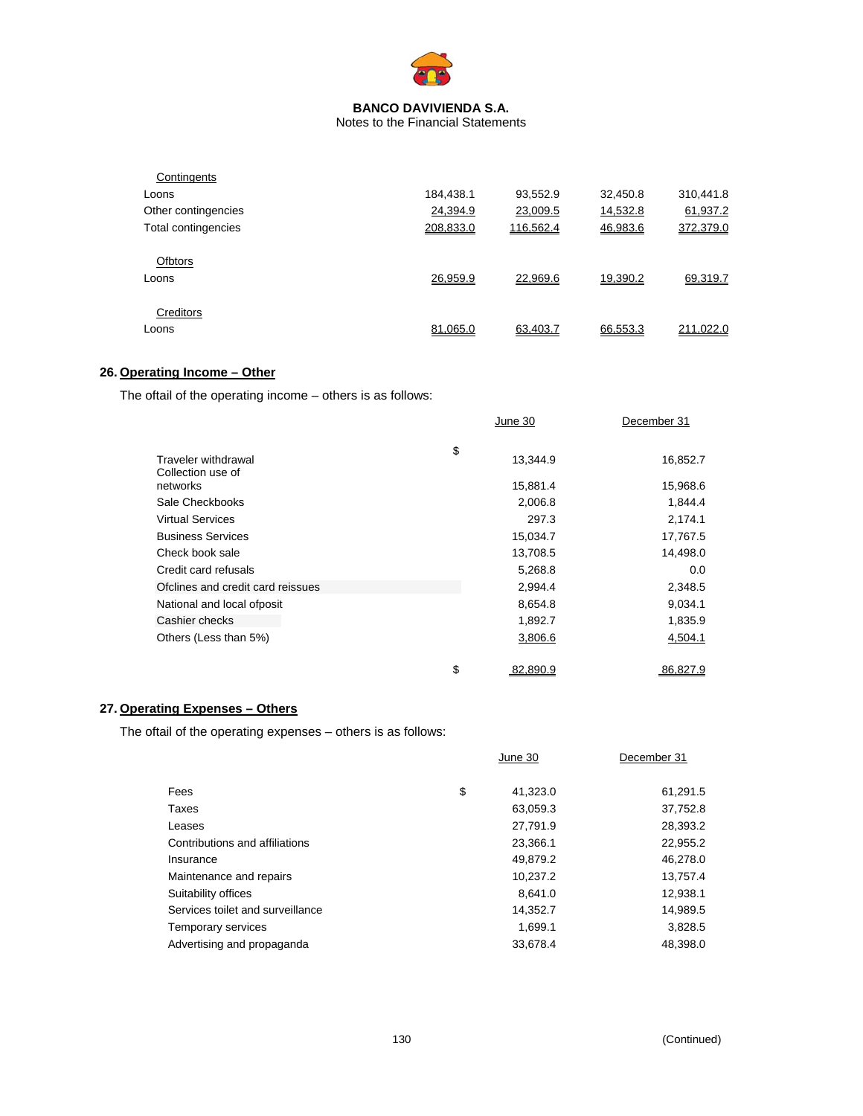

Notes to the Financial Statements

| Contingents         |           |           |          |           |
|---------------------|-----------|-----------|----------|-----------|
| Loons               | 184,438.1 | 93,552.9  | 32,450.8 | 310,441.8 |
| Other contingencies | 24,394.9  | 23,009.5  | 14,532.8 | 61,937.2  |
| Total contingencies | 208.833.0 | 116.562.4 | 46,983.6 | 372,379.0 |
| <b>Ofbtors</b>      |           |           |          |           |
| Loons               | 26.959.9  | 22.969.6  | 19.390.2 | 69.319.7  |
| Creditors           |           |           |          |           |
| Loons               | 81.065.0  | 63.403.7  | 66.553.3 | 211.022.0 |

# **26. Operating Income – Other**

The oftail of the operating income – others is as follows:

|                                          | June 30        | December 31 |
|------------------------------------------|----------------|-------------|
|                                          | \$             |             |
| Traveler withdrawal<br>Collection use of | 13,344.9       | 16,852.7    |
| networks                                 | 15,881.4       | 15,968.6    |
| Sale Checkbooks                          | 2,006.8        | 1,844.4     |
| <b>Virtual Services</b>                  | 297.3          | 2,174.1     |
| <b>Business Services</b>                 | 15,034.7       | 17,767.5    |
| Check book sale                          | 13,708.5       | 14,498.0    |
| Credit card refusals                     | 5,268.8        | 0.0         |
| Ofclines and credit card reissues        | 2,994.4        | 2,348.5     |
| National and local ofposit               | 8,654.8        | 9,034.1     |
| Cashier checks                           | 1,892.7        | 1,835.9     |
| Others (Less than 5%)                    | 3,806.6        | 4,504.1     |
|                                          | \$<br>82.890.9 | 86.827.9    |

# **27. Operating Expenses – Others**

The oftail of the operating expenses – others is as follows:

|                                  | June 30        | December 31 |
|----------------------------------|----------------|-------------|
| Fees                             | \$<br>41,323.0 | 61,291.5    |
| Taxes                            | 63,059.3       | 37,752.8    |
| Leases                           | 27,791.9       | 28,393.2    |
| Contributions and affiliations   | 23,366.1       | 22,955.2    |
| Insurance                        | 49,879.2       | 46,278.0    |
| Maintenance and repairs          | 10.237.2       | 13,757.4    |
| Suitability offices              | 8.641.0        | 12,938.1    |
| Services toilet and surveillance | 14,352.7       | 14,989.5    |
| Temporary services               | 1.699.1        | 3.828.5     |
| Advertising and propaganda       | 33.678.4       | 48.398.0    |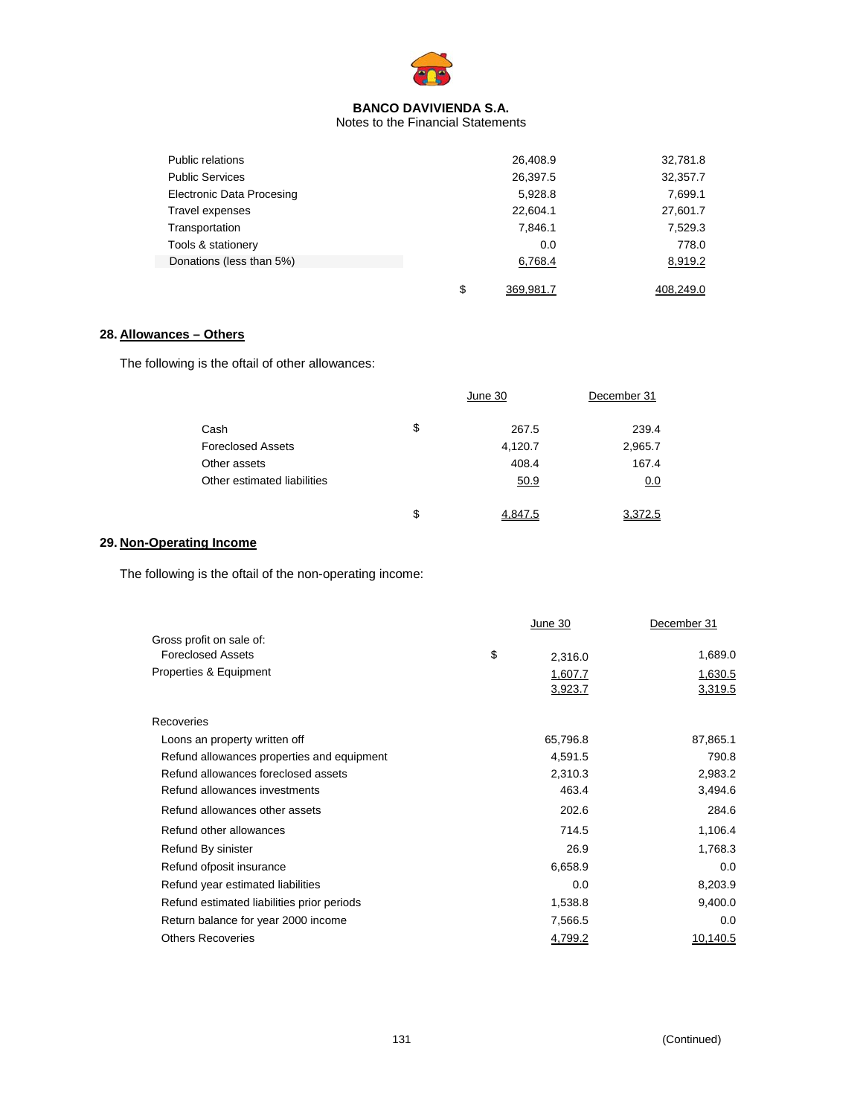

Notes to the Financial Statements

| Public relations          | 26,408.9        | 32,781.8  |
|---------------------------|-----------------|-----------|
| <b>Public Services</b>    | 26,397.5        | 32,357.7  |
| Electronic Data Procesing | 5,928.8         | 7,699.1   |
| Travel expenses           | 22,604.1        | 27,601.7  |
| Transportation            | 7,846.1         | 7,529.3   |
| Tools & stationery        | 0.0             | 778.0     |
| Donations (less than 5%)  | 6,768.4         | 8,919.2   |
|                           |                 |           |
|                           | \$<br>369,981.7 | 408,249.0 |

# **28. Allowances – Others**

The following is the oftail of other allowances:

|                             | June 30       | December 31 |  |
|-----------------------------|---------------|-------------|--|
| Cash                        | \$<br>267.5   | 239.4       |  |
| <b>Foreclosed Assets</b>    | 4,120.7       | 2,965.7     |  |
| Other assets                | 408.4         | 167.4       |  |
| Other estimated liabilities | 50.9          | 0.0         |  |
|                             | \$<br>4.847.5 | 3,372.5     |  |

# **29. Non-Operating Income**

The following is the oftail of the non-operating income:

|                                            | June 30       | December 31 |
|--------------------------------------------|---------------|-------------|
| Gross profit on sale of:                   |               |             |
| <b>Foreclosed Assets</b>                   | \$<br>2,316.0 | 1,689.0     |
| Properties & Equipment                     | 1,607.7       | 1,630.5     |
|                                            | 3,923.7       | 3,319.5     |
| Recoveries                                 |               |             |
| Loons an property written off              | 65,796.8      | 87,865.1    |
| Refund allowances properties and equipment | 4,591.5       | 790.8       |
| Refund allowances foreclosed assets        | 2,310.3       | 2,983.2     |
| Refund allowances investments              | 463.4         | 3,494.6     |
| Refund allowances other assets             | 202.6         | 284.6       |
| Refund other allowances                    | 714.5         | 1,106.4     |
| Refund By sinister                         | 26.9          | 1,768.3     |
| Refund ofposit insurance                   | 6,658.9       | 0.0         |
| Refund year estimated liabilities          | 0.0           | 8,203.9     |
| Refund estimated liabilities prior periods | 1,538.8       | 9,400.0     |
| Return balance for year 2000 income        | 7,566.5       | 0.0         |
| <b>Others Recoveries</b>                   | 4,799.2       | 10,140.5    |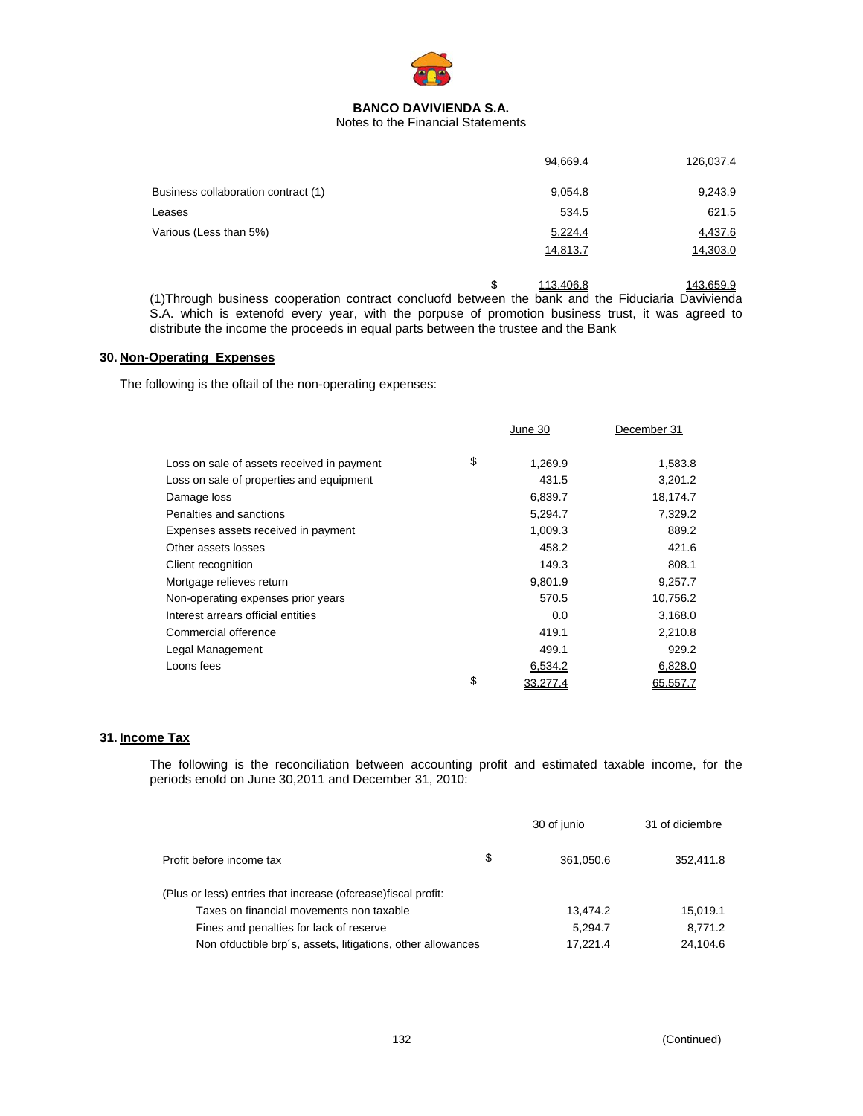

# Notes to the Financial Statements

|                                     | 94,669.4 | 126,037.4 |
|-------------------------------------|----------|-----------|
| Business collaboration contract (1) | 9,054.8  | 9,243.9   |
| Leases                              | 534.5    | 621.5     |
| Various (Less than 5%)              | 5,224.4  | 4,437.6   |
|                                     | 14,813.7 | 14,303.0  |
|                                     |          |           |

 $\frac{$}{113,406.8}$  113,406.8 113,406.8 (1)Through business cooperation contract concluofd between the bank and the Fiduciaria Davivienda S.A. which is extenofd every year, with the porpuse of promotion business trust, it was agreed to distribute the income the proceeds in equal parts between the trustee and the Bank

# **30. Non-Operating Expenses**

The following is the oftail of the non-operating expenses:

|                                            | June 30        | December 31 |
|--------------------------------------------|----------------|-------------|
| Loss on sale of assets received in payment | \$<br>1,269.9  | 1,583.8     |
| Loss on sale of properties and equipment   | 431.5          | 3,201.2     |
| Damage loss                                | 6,839.7        | 18,174.7    |
| Penalties and sanctions                    | 5,294.7        | 7,329.2     |
| Expenses assets received in payment        | 1,009.3        | 889.2       |
| Other assets losses                        | 458.2          | 421.6       |
| Client recognition                         | 149.3          | 808.1       |
| Mortgage relieves return                   | 9,801.9        | 9,257.7     |
| Non-operating expenses prior years         | 570.5          | 10,756.2    |
| Interest arrears official entities         | 0.0            | 3,168.0     |
| Commercial ofference                       | 419.1          | 2,210.8     |
| Legal Management                           | 499.1          | 929.2       |
| Loons fees                                 | 6,534.2        | 6,828.0     |
|                                            | \$<br>33,277.4 | 65,557.7    |

# **31. Income Tax**

The following is the reconciliation between accounting profit and estimated taxable income, for the periods enofd on June 30,2011 and December 31, 2010:

|                                                                | 30 of junio     | 31 of diciembre |
|----------------------------------------------------------------|-----------------|-----------------|
| Profit before income tax                                       | \$<br>361.050.6 | 352,411.8       |
| (Plus or less) entries that increase (ofcrease) fiscal profit: |                 |                 |
| Taxes on financial movements non taxable                       | 13.474.2        | 15.019.1        |
| Fines and penalties for lack of reserve                        | 5,294.7         | 8,771.2         |
| Non ofductible brp's, assets, litigations, other allowances    | 17.221.4        | 24.104.6        |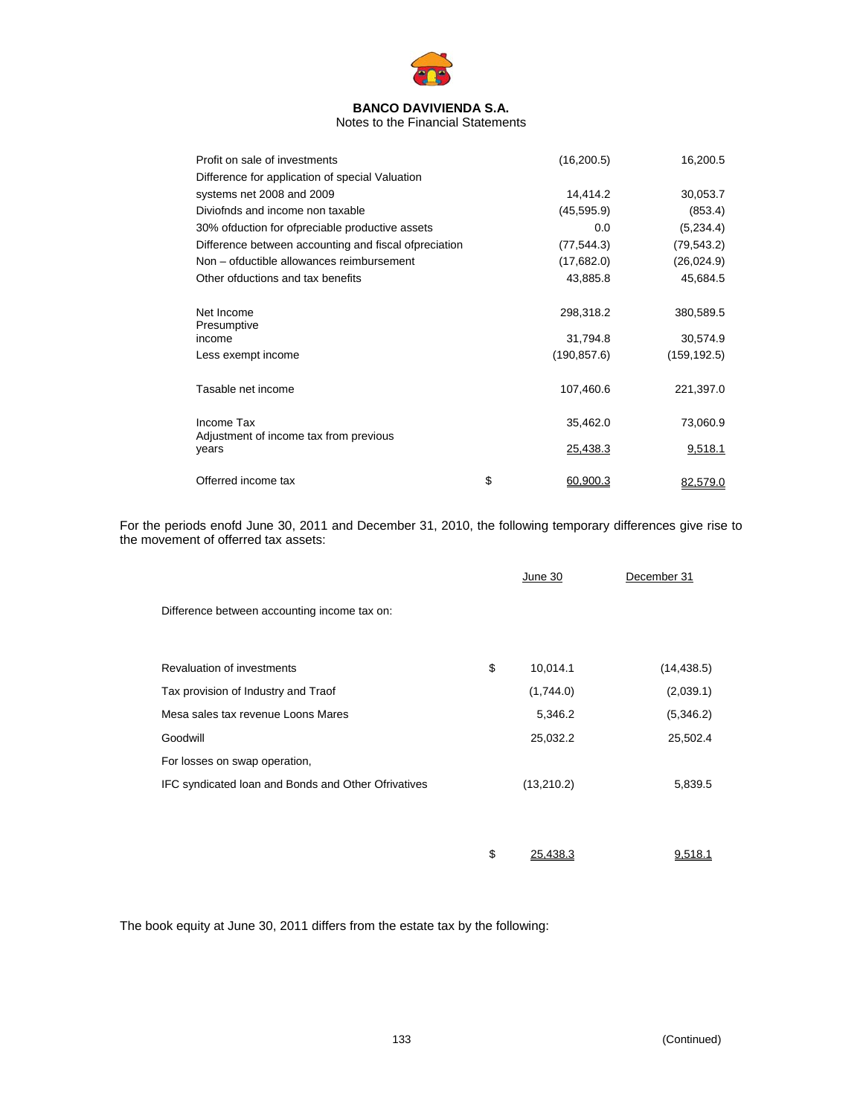

Notes to the Financial Statements

| Profit on sale of investments                         | (16, 200.5)    | 16,200.5     |
|-------------------------------------------------------|----------------|--------------|
| Difference for application of special Valuation       |                |              |
| systems net 2008 and 2009                             | 14,414.2       | 30,053.7     |
| Diviofnds and income non taxable                      | (45, 595.9)    | (853.4)      |
| 30% ofduction for ofpreciable productive assets       | 0.0            | (5,234.4)    |
| Difference between accounting and fiscal ofpreciation | (77,544.3)     | (79, 543.2)  |
| Non – ofductible allowances reimbursement             | (17,682.0)     | (26, 024.9)  |
| Other ofductions and tax benefits                     | 43,885.8       | 45,684.5     |
| Net Income<br>Presumptive                             | 298,318.2      | 380,589.5    |
| income                                                | 31,794.8       | 30,574.9     |
| Less exempt income                                    | (190, 857.6)   | (159, 192.5) |
| Tasable net income                                    | 107,460.6      | 221,397.0    |
| Income Tax<br>Adjustment of income tax from previous  | 35,462.0       | 73,060.9     |
| years                                                 | 25,438.3       | 9,518.1      |
| Offerred income tax                                   | \$<br>60.900.3 | 82.579.0     |

For the periods enofd June 30, 2011 and December 31, 2010, the following temporary differences give rise to the movement of offerred tax assets:

|                                                     | June 30        | December 31 |
|-----------------------------------------------------|----------------|-------------|
| Difference between accounting income tax on:        |                |             |
| Revaluation of investments                          | \$<br>10,014.1 | (14, 438.5) |
| Tax provision of Industry and Traof                 | (1,744.0)      | (2,039.1)   |
| Mesa sales tax revenue Loons Mares                  | 5,346.2        | (5,346.2)   |
| Goodwill                                            | 25,032.2       | 25,502.4    |
| For losses on swap operation,                       |                |             |
| IFC syndicated Ioan and Bonds and Other Ofrivatives | (13,210.2)     | 5,839.5     |
|                                                     |                |             |
|                                                     |                |             |
|                                                     | \$<br>25.438.3 | 9.518.1     |

The book equity at June 30, 2011 differs from the estate tax by the following: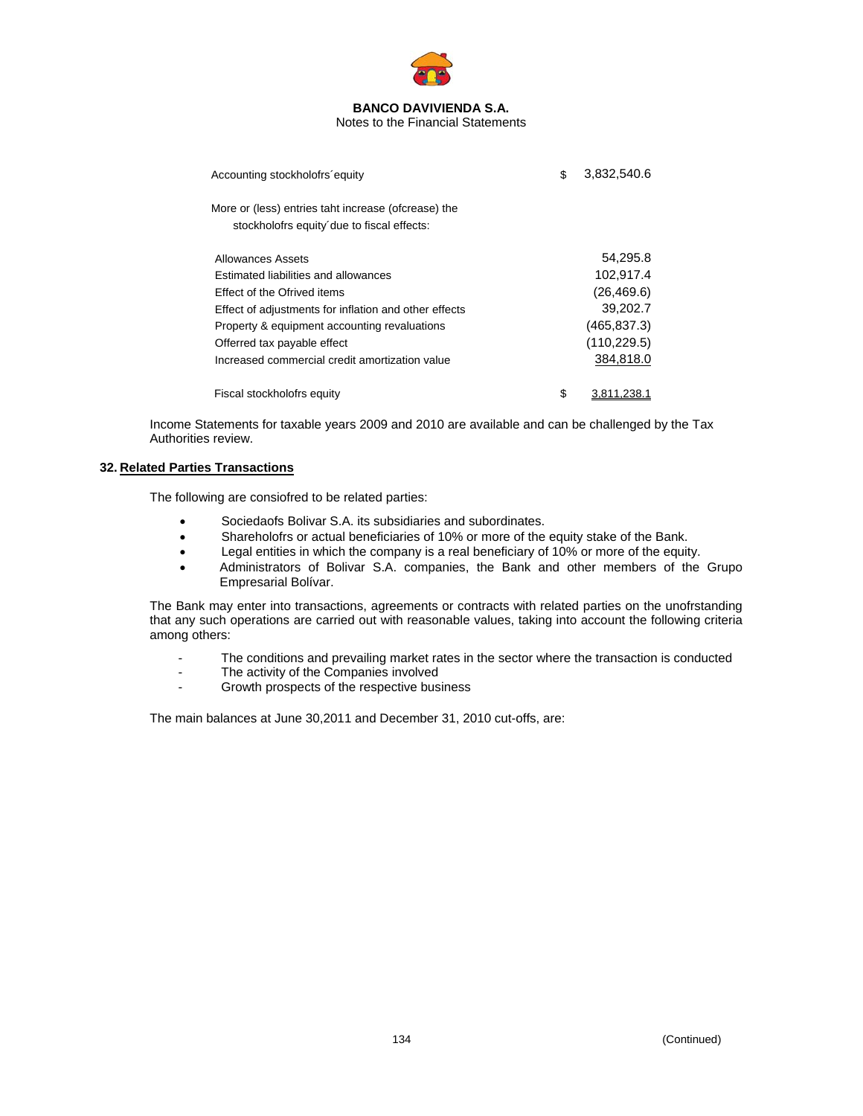

Notes to the Financial Statements

| Accounting stockholofrs equity                                                                    | \$<br>3.832.540.6 |
|---------------------------------------------------------------------------------------------------|-------------------|
| More or (less) entries taht increase (ofcrease) the<br>stockholofrs equity due to fiscal effects: |                   |
| Allowances Assets                                                                                 | 54,295.8          |
| Estimated liabilities and allowances                                                              | 102,917.4         |
| <b>Effect of the Ofrived items</b>                                                                | (26, 469.6)       |
| Effect of adjustments for inflation and other effects                                             | 39,202.7          |
| Property & equipment accounting revaluations                                                      | (465, 837.3)      |
| Offerred tax payable effect                                                                       | (110, 229.5)      |
| Increased commercial credit amortization value                                                    | 384,818.0         |
| Fiscal stockholofrs equity                                                                        | \$                |

Income Statements for taxable years 2009 and 2010 are available and can be challenged by the Tax Authorities review.

# **32. Related Parties Transactions**

The following are consiofred to be related parties:

- Sociedaofs Bolivar S.A. its subsidiaries and subordinates.
- Shareholofrs or actual beneficiaries of 10% or more of the equity stake of the Bank.
- Legal entities in which the company is a real beneficiary of 10% or more of the equity.
- Administrators of Bolivar S.A. companies, the Bank and other members of the Grupo Empresarial Bolívar.

The Bank may enter into transactions, agreements or contracts with related parties on the unofrstanding that any such operations are carried out with reasonable values, taking into account the following criteria among others:

- The conditions and prevailing market rates in the sector where the transaction is conducted
- The activity of the Companies involved
- Growth prospects of the respective business

The main balances at June 30,2011 and December 31, 2010 cut-offs, are: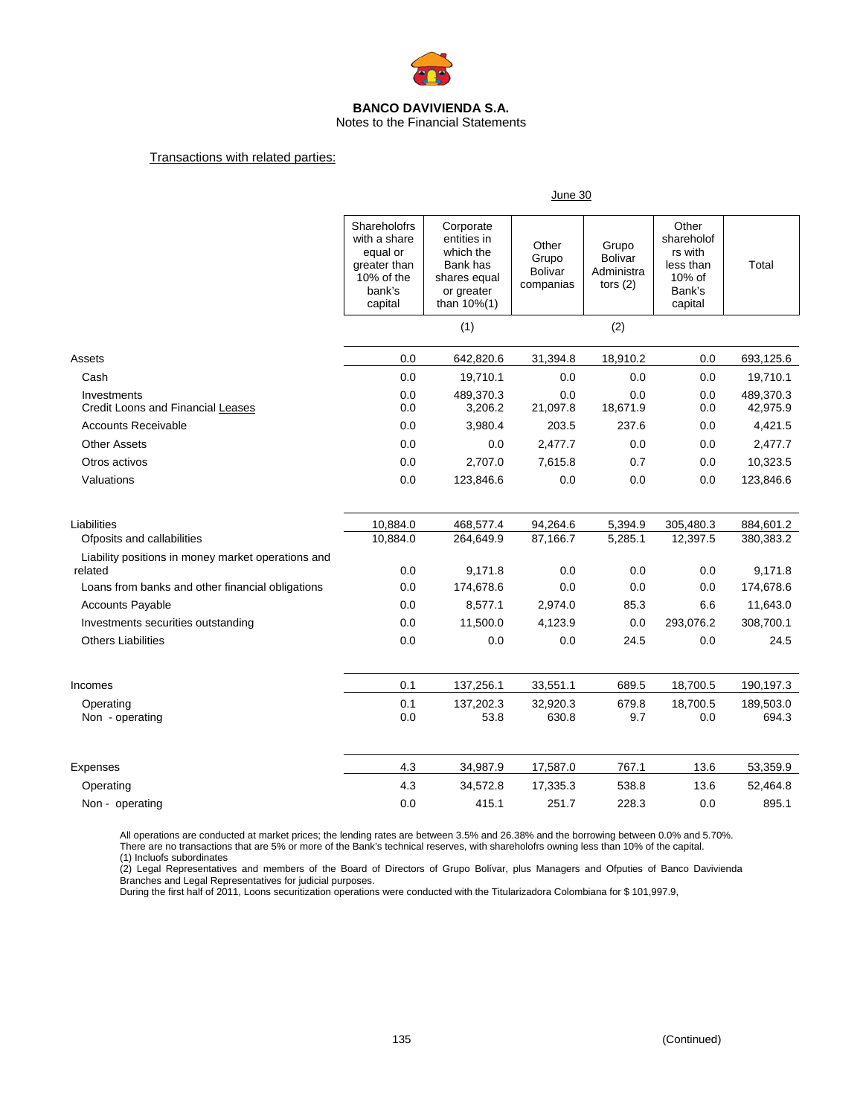

Notes to the Financial Statements

### Transactions with related parties:

|                                                               | June 30                                                                                     |                                                                                                    |                                               |                                                     |                                                                            |                       |
|---------------------------------------------------------------|---------------------------------------------------------------------------------------------|----------------------------------------------------------------------------------------------------|-----------------------------------------------|-----------------------------------------------------|----------------------------------------------------------------------------|-----------------------|
|                                                               | Shareholofrs<br>with a share<br>equal or<br>greater than<br>10% of the<br>bank's<br>capital | Corporate<br>entities in<br>which the<br>Bank has<br>shares equal<br>or greater<br>than $10\%$ (1) | Other<br>Grupo<br><b>Bolivar</b><br>companias | Grupo<br><b>Bolivar</b><br>Administra<br>tors $(2)$ | Other<br>shareholof<br>rs with<br>less than<br>10% of<br>Bank's<br>capital | Total                 |
|                                                               |                                                                                             | (1)                                                                                                |                                               | (2)                                                 |                                                                            |                       |
| Assets                                                        | 0.0                                                                                         | 642,820.6                                                                                          | 31,394.8                                      | 18,910.2                                            | 0.0                                                                        | 693,125.6             |
| Cash                                                          | 0.0                                                                                         | 19,710.1                                                                                           | 0.0                                           | 0.0                                                 | 0.0                                                                        | 19,710.1              |
| Investments<br>Credit Loons and Financial Leases              | 0.0<br>0.0                                                                                  | 489,370.3<br>3,206.2                                                                               | 0.0<br>21,097.8                               | 0.0<br>18,671.9                                     | 0.0<br>0.0                                                                 | 489,370.3<br>42,975.9 |
| <b>Accounts Receivable</b>                                    | 0.0                                                                                         | 3,980.4                                                                                            | 203.5                                         | 237.6                                               | 0.0                                                                        | 4,421.5               |
| <b>Other Assets</b>                                           | 0.0                                                                                         | 0.0                                                                                                | 2,477.7                                       | 0.0                                                 | 0.0                                                                        | 2,477.7               |
| Otros activos                                                 | 0.0                                                                                         | 2,707.0                                                                                            | 7,615.8                                       | 0.7                                                 | 0.0                                                                        | 10,323.5              |
| Valuations                                                    | 0.0                                                                                         | 123,846.6                                                                                          | 0.0                                           | 0.0                                                 | 0.0                                                                        | 123,846.6             |
| Liabilities                                                   | 10,884.0                                                                                    | 468,577.4                                                                                          | 94,264.6                                      | 5,394.9                                             | 305,480.3                                                                  | 884,601.2             |
| Ofposits and callabilities                                    | 10,884.0                                                                                    | 264,649.9                                                                                          | 87,166.7                                      | 5,285.1                                             | 12,397.5                                                                   | 380,383.2             |
| Liability positions in money market operations and<br>related | 0.0                                                                                         | 9,171.8                                                                                            | 0.0                                           | 0.0                                                 | 0.0                                                                        | 9,171.8               |
| Loans from banks and other financial obligations              | 0.0                                                                                         | 174,678.6                                                                                          | 0.0                                           | 0.0                                                 | 0.0                                                                        | 174,678.6             |
| <b>Accounts Payable</b>                                       | 0.0                                                                                         | 8,577.1                                                                                            | 2,974.0                                       | 85.3                                                | 6.6                                                                        | 11,643.0              |
| Investments securities outstanding                            | 0.0                                                                                         | 11,500.0                                                                                           | 4,123.9                                       | 0.0                                                 | 293,076.2                                                                  | 308,700.1             |
| <b>Others Liabilities</b>                                     | 0.0                                                                                         | 0.0                                                                                                | 0.0                                           | 24.5                                                | 0.0                                                                        | 24.5                  |
| Incomes                                                       | 0.1                                                                                         | 137,256.1                                                                                          | 33,551.1                                      | 689.5                                               | 18,700.5                                                                   | 190,197.3             |
| Operating<br>Non - operating                                  | 0.1<br>0.0                                                                                  | 137,202.3<br>53.8                                                                                  | 32,920.3<br>630.8                             | 679.8<br>9.7                                        | 18,700.5<br>0.0                                                            | 189,503.0<br>694.3    |
| Expenses                                                      | 4.3                                                                                         | 34,987.9                                                                                           | 17,587.0                                      | 767.1                                               | 13.6                                                                       | 53,359.9              |
| Operating                                                     | 4.3                                                                                         | 34,572.8                                                                                           | 17,335.3                                      | 538.8                                               | 13.6                                                                       | 52,464.8              |
| Non - operating                                               | 0.0                                                                                         | 415.1                                                                                              | 251.7                                         | 228.3                                               | 0.0                                                                        | 895.1                 |

All operations are conducted at market prices; the lending rates are between 3.5% and 26.38% and the borrowing between 0.0% and 5.70%. There are no transactions that are 5% or more of the Bank's technical reserves, with shareholofrs owning less than 10% of the capital. (1) Incluofs subordinates

(2) Legal Representatives and members of the Board of Directors of Grupo Bolívar, plus Managers and Ofputies of Banco Davivienda Branches and Legal Representatives for judicial purposes.

During the first half of 2011, Loons securitization operations were conducted with the Titularizadora Colombiana for \$ 101,997.9,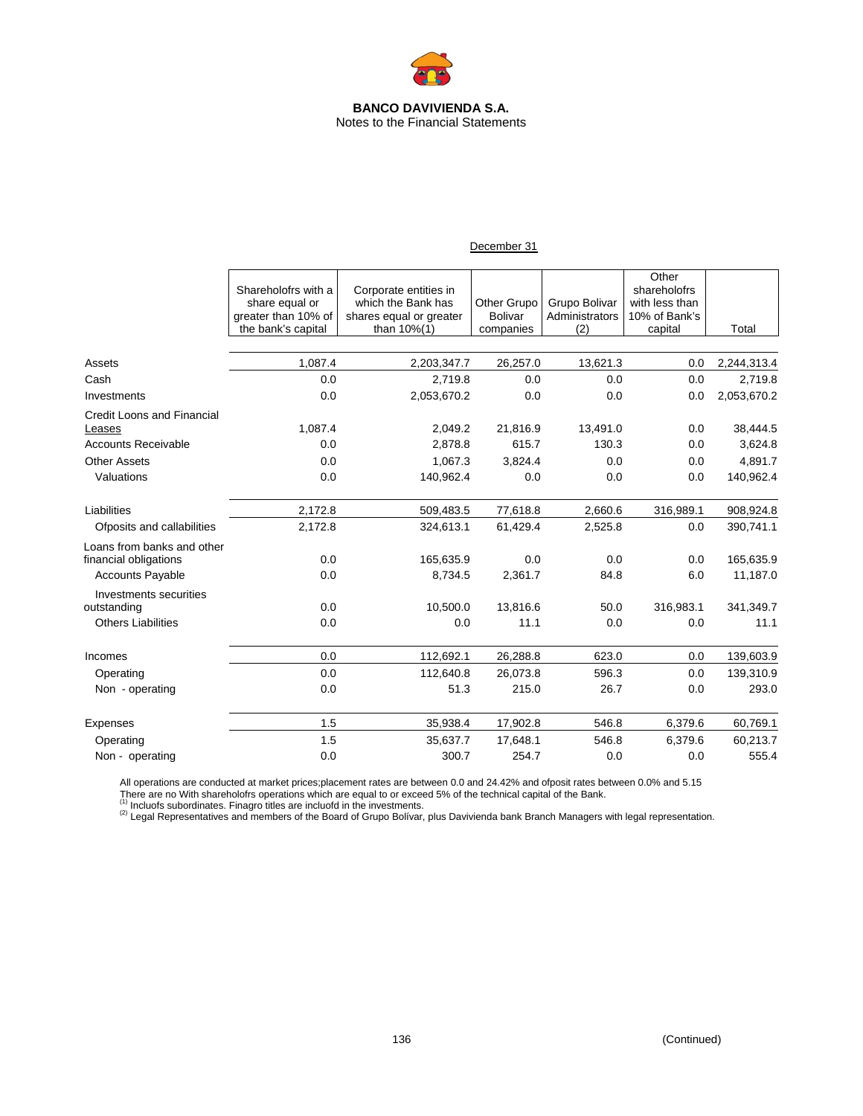

| December 31 |  |
|-------------|--|
|             |  |

|                                                     | Shareholofrs with a<br>share equal or<br>greater than 10% of | Corporate entities in<br>which the Bank has<br>shares equal or greater | Other Grupo<br>Bolivar | Grupo Bolivar<br>Administrators | Other<br>shareholofrs<br>with less than<br>10% of Bank's |             |
|-----------------------------------------------------|--------------------------------------------------------------|------------------------------------------------------------------------|------------------------|---------------------------------|----------------------------------------------------------|-------------|
|                                                     | the bank's capital                                           | than 10%(1)                                                            | companies              | (2)                             | capital                                                  | Total       |
| Assets                                              | 1,087.4                                                      | 2,203,347.7                                                            | 26,257.0               | 13,621.3                        | 0.0                                                      | 2,244,313.4 |
| Cash                                                | 0.0                                                          | 2,719.8                                                                | 0.0                    | 0.0                             | 0.0                                                      | 2,719.8     |
| Investments                                         | 0.0                                                          | 2,053,670.2                                                            | 0.0                    | 0.0                             | 0.0                                                      | 2,053,670.2 |
| <b>Credit Loons and Financial</b><br>Leases         | 1,087.4                                                      | 2,049.2                                                                | 21,816.9               | 13,491.0                        | 0.0                                                      | 38,444.5    |
| <b>Accounts Receivable</b>                          | 0.0                                                          | 2,878.8                                                                | 615.7                  | 130.3                           | 0.0                                                      | 3,624.8     |
| <b>Other Assets</b>                                 | 0.0                                                          | 1,067.3                                                                | 3,824.4                | 0.0                             | 0.0                                                      | 4,891.7     |
| Valuations                                          | 0.0                                                          | 140,962.4                                                              | 0.0                    | 0.0                             | 0.0                                                      | 140,962.4   |
| Liabilities                                         | 2,172.8                                                      | 509,483.5                                                              | 77,618.8               | 2,660.6                         | 316,989.1                                                | 908,924.8   |
| Ofposits and callabilities                          | 2,172.8                                                      | 324,613.1                                                              | 61,429.4               | 2,525.8                         | 0.0                                                      | 390,741.1   |
| Loans from banks and other<br>financial obligations | 0.0                                                          | 165,635.9                                                              | 0.0                    | 0.0                             | 0.0                                                      | 165,635.9   |
| <b>Accounts Payable</b>                             | 0.0                                                          | 8,734.5                                                                | 2,361.7                | 84.8                            | 6.0                                                      | 11,187.0    |
| Investments securities                              |                                                              |                                                                        |                        |                                 |                                                          |             |
| outstanding                                         | 0.0                                                          | 10,500.0                                                               | 13,816.6               | 50.0                            | 316,983.1                                                | 341,349.7   |
| <b>Others Liabilities</b>                           | 0.0                                                          | 0.0                                                                    | 11.1                   | 0.0                             | 0.0                                                      | 11.1        |
| Incomes                                             | 0.0                                                          | 112,692.1                                                              | 26,288.8               | 623.0                           | 0.0                                                      | 139,603.9   |
| Operating                                           | 0.0                                                          | 112,640.8                                                              | 26,073.8               | 596.3                           | 0.0                                                      | 139,310.9   |
| Non - operating                                     | 0.0                                                          | 51.3                                                                   | 215.0                  | 26.7                            | 0.0                                                      | 293.0       |
| Expenses                                            | 1.5                                                          | 35,938.4                                                               | 17,902.8               | 546.8                           | 6,379.6                                                  | 60,769.1    |
| Operating                                           | 1.5                                                          | 35,637.7                                                               | 17,648.1               | 546.8                           | 6,379.6                                                  | 60,213.7    |
| Non - operating                                     | 0.0                                                          | 300.7                                                                  | 254.7                  | 0.0                             | 0.0                                                      | 555.4       |

All operations are conducted at market prices;placement rates are between 0.0 and 24.42% and ofposit rates between 0.0% and 5.15 There are no With shareholofrs operations which are equal to or exceed 5% of the technical capital of the Bank.<br><sup>(1)</sup> Incluofs subordinates. Finagro titles are incluofd in the investments.<br><sup>(2)</sup> Legal Representatives and m

ŗ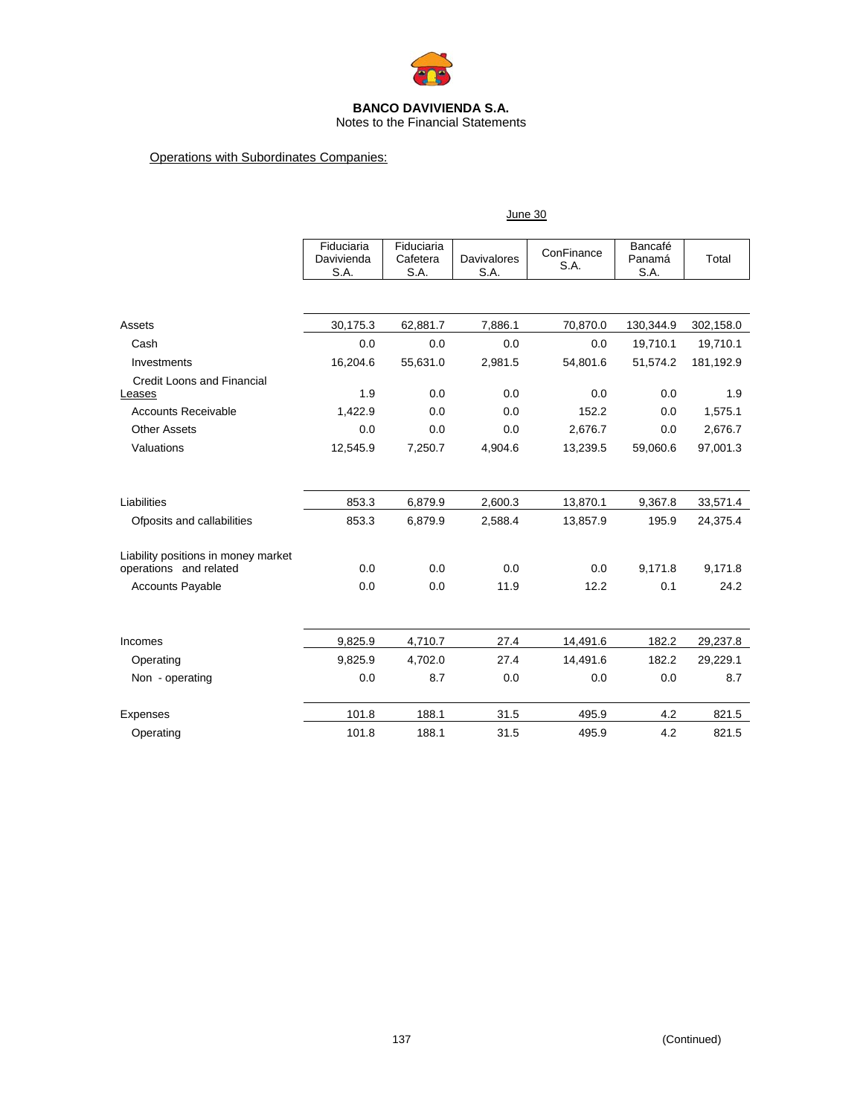

# Notes to the Financial Statements

# Operations with Subordinates Companies:

|                                     | June 30                          |                                |                            |                    |                           |           |
|-------------------------------------|----------------------------------|--------------------------------|----------------------------|--------------------|---------------------------|-----------|
|                                     | Fiduciaria<br>Davivienda<br>S.A. | Fiduciaria<br>Cafetera<br>S.A. | <b>Davivalores</b><br>S.A. | ConFinance<br>S.A. | Bancafé<br>Panamá<br>S.A. | Total     |
|                                     |                                  |                                |                            |                    |                           |           |
| Assets                              | 30,175.3                         | 62,881.7                       | 7,886.1                    | 70,870.0           | 130,344.9                 | 302,158.0 |
| Cash                                | 0.0                              | 0.0                            | 0.0                        | 0.0                | 19,710.1                  | 19,710.1  |
| Investments                         | 16,204.6                         | 55,631.0                       | 2,981.5                    | 54,801.6           | 51,574.2                  | 181,192.9 |
| <b>Credit Loons and Financial</b>   |                                  |                                |                            |                    |                           |           |
| Leases                              | 1.9                              | 0.0                            | 0.0                        | 0.0                | 0.0                       | 1.9       |
| <b>Accounts Receivable</b>          | 1,422.9                          | 0.0                            | 0.0                        | 152.2              | 0.0                       | 1,575.1   |
| <b>Other Assets</b>                 | 0.0                              | 0.0                            | 0.0                        | 2,676.7            | 0.0                       | 2,676.7   |
| Valuations                          | 12,545.9                         | 7,250.7                        | 4,904.6                    | 13,239.5           | 59,060.6                  | 97,001.3  |
|                                     |                                  |                                |                            |                    |                           |           |
| Liabilities                         | 853.3                            | 6,879.9                        | 2,600.3                    | 13,870.1           | 9,367.8                   | 33,571.4  |
| Ofposits and callabilities          | 853.3                            | 6,879.9                        | 2,588.4                    | 13,857.9           | 195.9                     | 24,375.4  |
| Liability positions in money market |                                  |                                |                            |                    |                           |           |
| operations and related              | 0.0                              | 0.0                            | 0.0                        | 0.0                | 9,171.8                   | 9,171.8   |
| <b>Accounts Payable</b>             | 0.0                              | 0.0                            | 11.9                       | 12.2               | 0.1                       | 24.2      |
|                                     |                                  |                                |                            |                    |                           |           |
| Incomes                             | 9,825.9                          | 4,710.7                        | 27.4                       | 14,491.6           | 182.2                     | 29,237.8  |
| Operating                           | 9,825.9                          | 4,702.0                        | 27.4                       | 14,491.6           | 182.2                     | 29,229.1  |
| Non - operating                     | 0.0                              | 8.7                            | 0.0                        | 0.0                | 0.0                       | 8.7       |
| Expenses                            | 101.8                            | 188.1                          | 31.5                       | 495.9              | 4.2                       | 821.5     |
| Operating                           | 101.8                            | 188.1                          | 31.5                       | 495.9              | 4.2                       | 821.5     |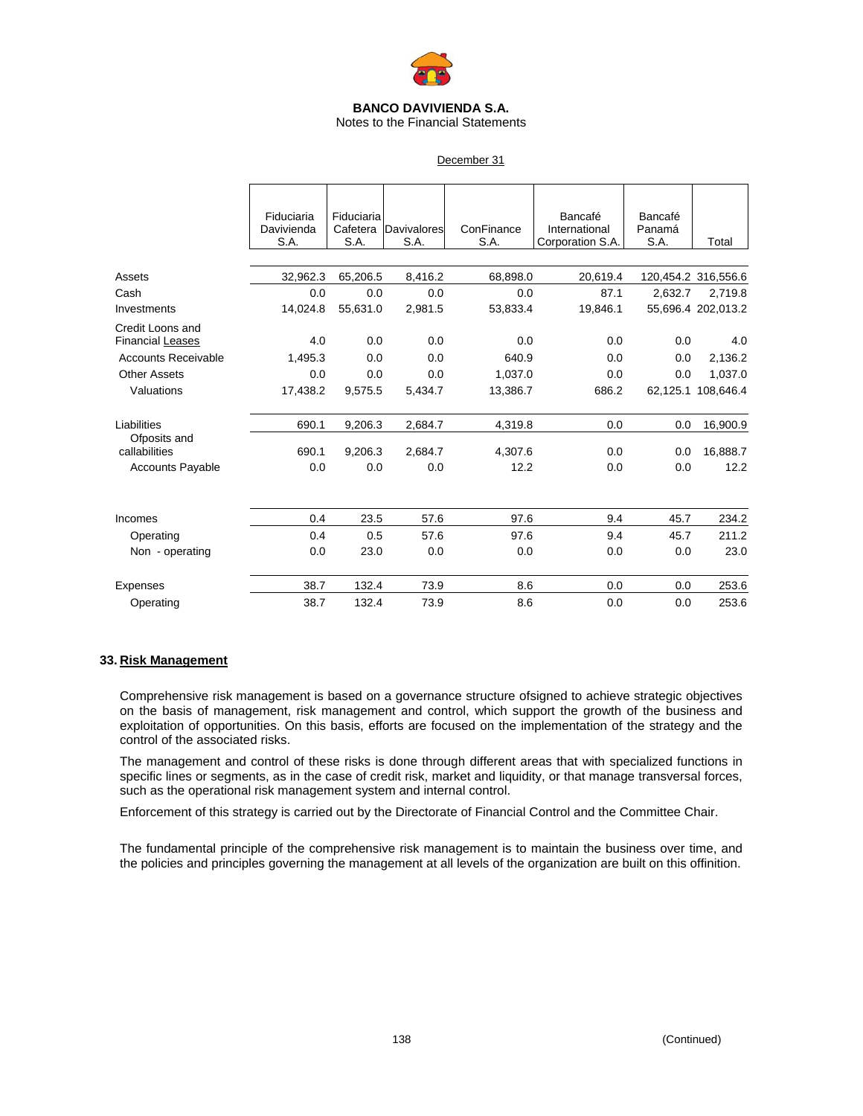

Notes to the Financial Statements

### December 31

|                                      | Fiduciaria<br>Davivienda<br>S.A. | Fiduciaria<br>Cafetera<br>S.A. | <b>Davivalores</b><br>S.A. | ConFinance<br>S.A. | Bancafé<br>International<br>Corporation S.A. | Bancafé<br>Panamá<br>S.A. | Total               |
|--------------------------------------|----------------------------------|--------------------------------|----------------------------|--------------------|----------------------------------------------|---------------------------|---------------------|
|                                      |                                  |                                |                            |                    |                                              |                           |                     |
| Assets                               | 32,962.3                         | 65,206.5                       | 8,416.2                    | 68,898.0           | 20,619.4                                     |                           | 120,454.2 316,556.6 |
| Cash                                 | 0.0                              | 0.0                            | 0.0                        | 0.0                | 87.1                                         | 2,632.7                   | 2,719.8             |
| Investments                          | 14,024.8                         | 55,631.0                       | 2,981.5                    | 53,833.4           | 19,846.1                                     |                           | 55,696.4 202,013.2  |
| Credit Loons and<br>Financial Leases | 4.0                              | 0.0                            | 0.0                        | 0.0                | 0.0                                          | 0.0                       | 4.0                 |
| <b>Accounts Receivable</b>           | 1.495.3                          | 0.0                            | 0.0                        | 640.9              | 0.0                                          | 0.0                       | 2,136.2             |
| <b>Other Assets</b>                  | 0.0                              | 0.0                            | 0.0                        | 1,037.0            | 0.0                                          | 0.0                       | 1,037.0             |
| Valuations                           | 17,438.2                         | 9,575.5                        | 5,434.7                    | 13,386.7           | 686.2                                        | 62,125.1                  | 108,646.4           |
| Liabilities                          | 690.1                            | 9,206.3                        | 2,684.7                    | 4,319.8            | 0.0                                          | 0.0                       | 16,900.9            |
| Ofposits and<br>callabilities        | 690.1                            | 9,206.3                        | 2,684.7                    | 4,307.6            | 0.0                                          | 0.0                       | 16,888.7            |
| <b>Accounts Payable</b>              | 0.0                              | 0.0                            | 0.0                        | 12.2               | 0.0                                          | 0.0                       | 12.2                |
|                                      |                                  |                                |                            |                    |                                              |                           |                     |
| Incomes                              | 0.4                              | 23.5                           | 57.6                       | 97.6               | 9.4                                          | 45.7                      | 234.2               |
| Operating                            | 0.4                              | 0.5                            | 57.6                       | 97.6               | 9.4                                          | 45.7                      | 211.2               |
| Non - operating                      | 0.0                              | 23.0                           | 0.0                        | 0.0                | 0.0                                          | 0.0                       | 23.0                |
| Expenses                             | 38.7                             | 132.4                          | 73.9                       | 8.6                | 0.0                                          | 0.0                       | 253.6               |
| Operating                            | 38.7                             | 132.4                          | 73.9                       | 8.6                | 0.0                                          | 0.0                       | 253.6               |

### **33. Risk Management**

Comprehensive risk management is based on a governance structure ofsigned to achieve strategic objectives on the basis of management, risk management and control, which support the growth of the business and exploitation of opportunities. On this basis, efforts are focused on the implementation of the strategy and the control of the associated risks.

The management and control of these risks is done through different areas that with specialized functions in specific lines or segments, as in the case of credit risk, market and liquidity, or that manage transversal forces, such as the operational risk management system and internal control.

Enforcement of this strategy is carried out by the Directorate of Financial Control and the Committee Chair.

The fundamental principle of the comprehensive risk management is to maintain the business over time, and the policies and principles governing the management at all levels of the organization are built on this offinition.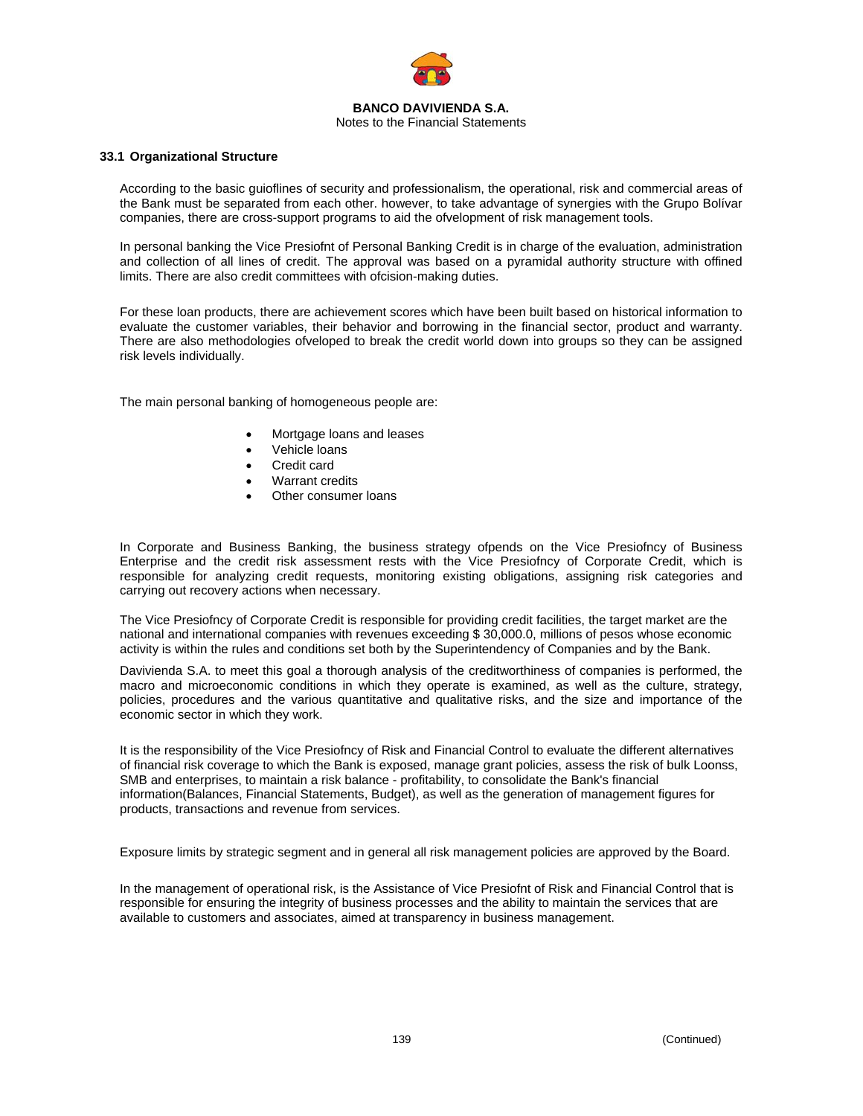

#### **33.1 Organizational Structure**

According to the basic guioflines of security and professionalism, the operational, risk and commercial areas of the Bank must be separated from each other. however, to take advantage of synergies with the Grupo Bolívar companies, there are cross-support programs to aid the ofvelopment of risk management tools.

In personal banking the Vice Presiofnt of Personal Banking Credit is in charge of the evaluation, administration and collection of all lines of credit. The approval was based on a pyramidal authority structure with offined limits. There are also credit committees with ofcision-making duties.

For these loan products, there are achievement scores which have been built based on historical information to evaluate the customer variables, their behavior and borrowing in the financial sector, product and warranty. There are also methodologies ofveloped to break the credit world down into groups so they can be assigned risk levels individually.

The main personal banking of homogeneous people are:

- Mortgage loans and leases
- Vehicle loans
- Credit card
- Warrant credits
- Other consumer loans

In Corporate and Business Banking, the business strategy ofpends on the Vice Presiofncy of Business Enterprise and the credit risk assessment rests with the Vice Presiofncy of Corporate Credit, which is responsible for analyzing credit requests, monitoring existing obligations, assigning risk categories and carrying out recovery actions when necessary.

The Vice Presiofncy of Corporate Credit is responsible for providing credit facilities, the target market are the national and international companies with revenues exceeding \$ 30,000.0, millions of pesos whose economic activity is within the rules and conditions set both by the Superintendency of Companies and by the Bank.

Davivienda S.A. to meet this goal a thorough analysis of the creditworthiness of companies is performed, the macro and microeconomic conditions in which they operate is examined, as well as the culture, strategy, policies, procedures and the various quantitative and qualitative risks, and the size and importance of the economic sector in which they work.

It is the responsibility of the Vice Presiofncy of Risk and Financial Control to evaluate the different alternatives of financial risk coverage to which the Bank is exposed, manage grant policies, assess the risk of bulk Loonss, SMB and enterprises, to maintain a risk balance - profitability, to consolidate the Bank's financial information(Balances, Financial Statements, Budget), as well as the generation of management figures for products, transactions and revenue from services.

Exposure limits by strategic segment and in general all risk management policies are approved by the Board.

In the management of operational risk, is the Assistance of Vice Presiofnt of Risk and Financial Control that is responsible for ensuring the integrity of business processes and the ability to maintain the services that are available to customers and associates, aimed at transparency in business management.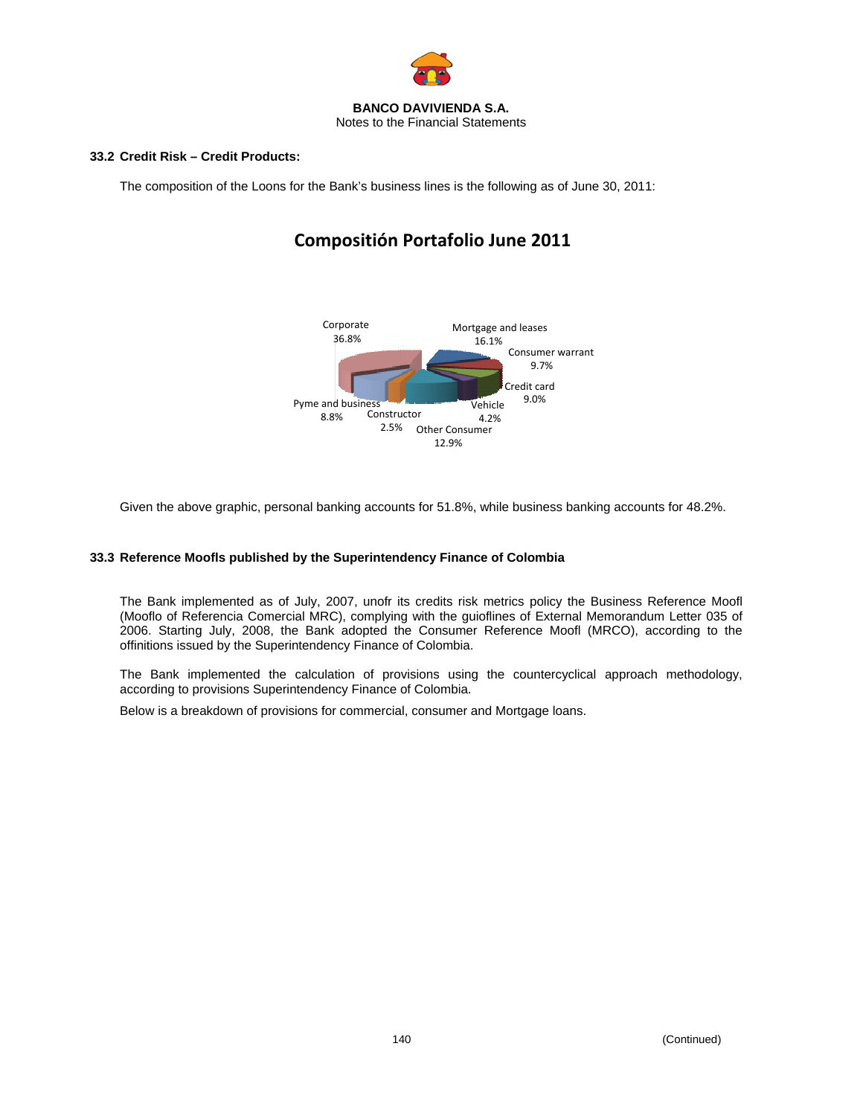

### **33.2 Credit Risk – Credit Products:**

The composition of the Loons for the Bank's business lines is the following as of June 30, 2011:

# **Compositión Portafolio June 2011**



Given the above graphic, personal banking accounts for 51.8%, while business banking accounts for 48.2%.

# **33.3 Reference Moofls published by the Superintendency Finance of Colombia**

The Bank implemented as of July, 2007, unofr its credits risk metrics policy the Business Reference Moofl (Mooflo of Referencia Comercial MRC), complying with the guioflines of External Memorandum Letter 035 of 2006. Starting July, 2008, the Bank adopted the Consumer Reference Moofl (MRCO), according to the offinitions issued by the Superintendency Finance of Colombia.

The Bank implemented the calculation of provisions using the countercyclical approach methodology, according to provisions Superintendency Finance of Colombia.

Below is a breakdown of provisions for commercial, consumer and Mortgage loans.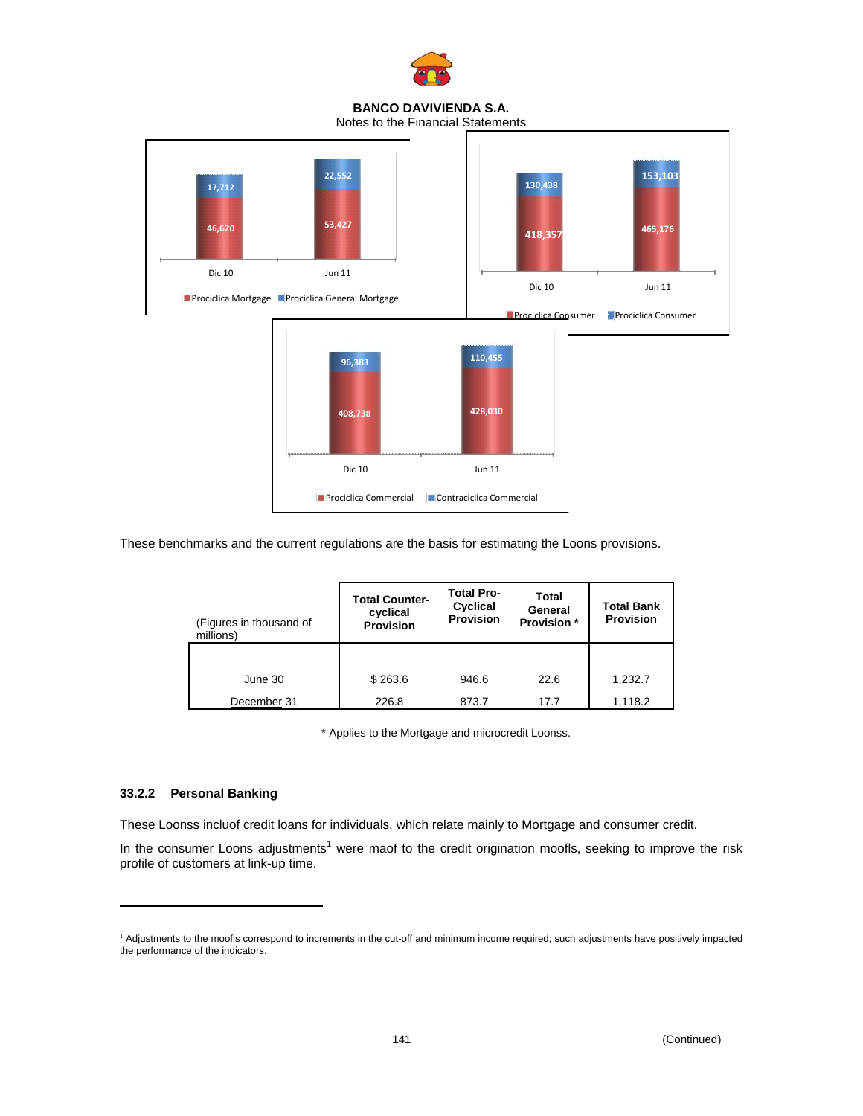

Notes to the Financial Statements



These benchmarks and the current regulations are the basis for estimating the Loons provisions.

| (Figures in thousand of<br>millions) | <b>Total Counter-</b><br>cyclical<br><b>Provision</b> | <b>Total Pro-</b><br>Cyclical<br><b>Provision</b> | Total<br>General<br><b>Provision</b> * | <b>Total Bank</b><br><b>Provision</b> |
|--------------------------------------|-------------------------------------------------------|---------------------------------------------------|----------------------------------------|---------------------------------------|
|                                      |                                                       |                                                   |                                        |                                       |
| June 30                              | \$263.6                                               | 946.6                                             | 22.6                                   | 1,232.7                               |
| December 31                          | 226.8                                                 | 873.7                                             | 17.7                                   | 1.118.2                               |

\* Applies to the Mortgage and microcredit Loonss.

# **33.2.2 Personal Banking**

1

These Loonss incluof credit loans for individuals, which relate mainly to Mortgage and consumer credit.

In the consumer Loons adjustments<sup>1</sup> were maof to the credit origination moofls, seeking to improve the risk profile of customers at link-up time.

<sup>&</sup>lt;sup>1</sup> Adjustments to the moofls correspond to increments in the cut-off and minimum income required; such adjustments have positively impacted the performance of the indicators.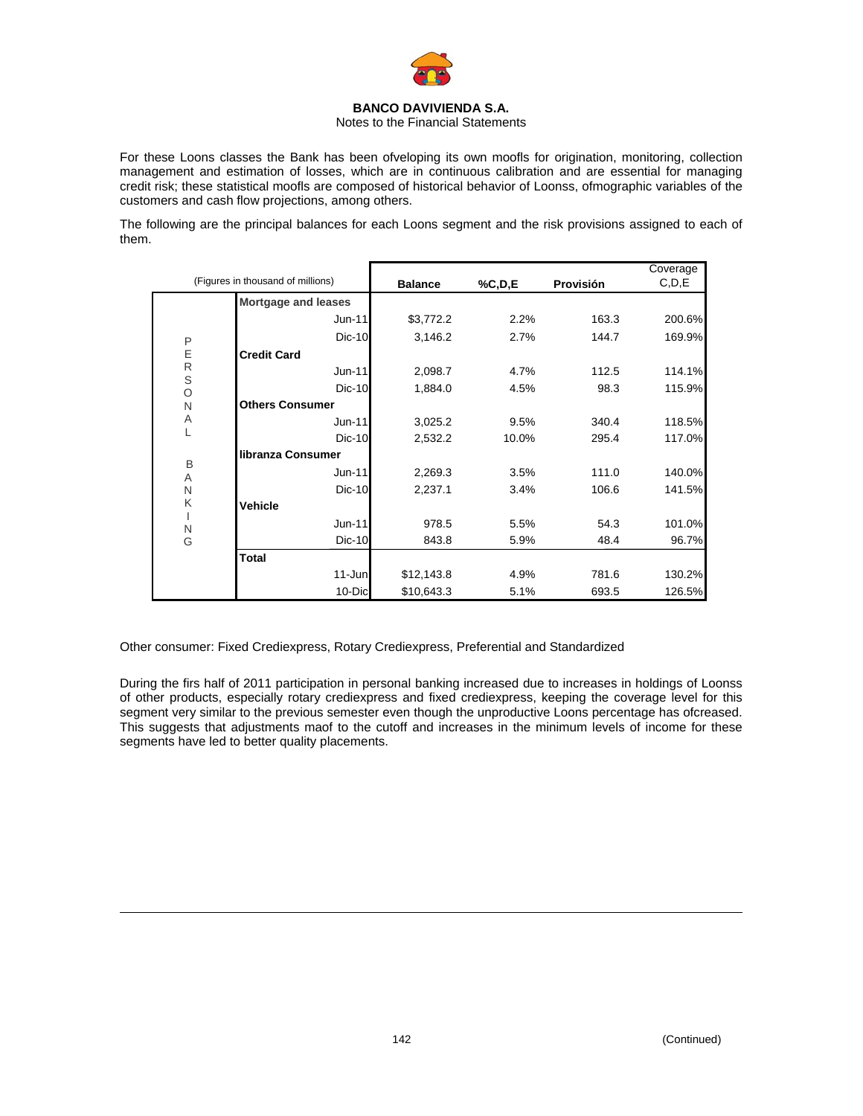

Notes to the Financial Statements

For these Loons classes the Bank has been ofveloping its own moofls for origination, monitoring, collection management and estimation of losses, which are in continuous calibration and are essential for managing credit risk; these statistical moofls are composed of historical behavior of Loonss, ofmographic variables of the customers and cash flow projections, among others.

The following are the principal balances for each Loons segment and the risk provisions assigned to each of them.

|                  |                                   |                |        |           | Coverage |
|------------------|-----------------------------------|----------------|--------|-----------|----------|
|                  | (Figures in thousand of millions) | <b>Balance</b> | %C,D,E | Provisión | C, D, E  |
|                  | <b>Mortgage and leases</b>        |                |        |           |          |
|                  | Jun-11                            | \$3,772.2      | 2.2%   | 163.3     | 200.6%   |
| P                | Dic-10                            | 3,146.2        | 2.7%   | 144.7     | 169.9%   |
| E                | <b>Credit Card</b>                |                |        |           |          |
| ${\sf R}$        | Jun-11                            | 2,098.7        | 4.7%   | 112.5     | 114.1%   |
| $\mathbb S$<br>O | $Dic-10$                          | 1,884.0        | 4.5%   | 98.3      | 115.9%   |
| N                | <b>Others Consumer</b>            |                |        |           |          |
| Α                | Jun-11                            | 3,025.2        | 9.5%   | 340.4     | 118.5%   |
| L                | Dic-10                            | 2,532.2        | 10.0%  | 295.4     | 117.0%   |
| B                | libranza Consumer                 |                |        |           |          |
| A                | Jun-11                            | 2,269.3        | 3.5%   | 111.0     | 140.0%   |
| $\mathsf{N}$     | Dic-10                            | 2,237.1        | 3.4%   | 106.6     | 141.5%   |
| K                | <b>Vehicle</b>                    |                |        |           |          |
| I<br>N           | Jun-11                            | 978.5          | 5.5%   | 54.3      | 101.0%   |
| G                | Dic-10                            | 843.8          | 5.9%   | 48.4      | 96.7%    |
|                  | <b>Total</b>                      |                |        |           |          |
|                  | 11-Jun                            | \$12,143.8     | 4.9%   | 781.6     | 130.2%   |
|                  | 10-Dic                            | \$10,643.3     | 5.1%   | 693.5     | 126.5%   |

Other consumer: Fixed Crediexpress, Rotary Crediexpress, Preferential and Standardized

During the firs half of 2011 participation in personal banking increased due to increases in holdings of Loonss of other products, especially rotary crediexpress and fixed crediexpress, keeping the coverage level for this segment very similar to the previous semester even though the unproductive Loons percentage has ofcreased. This suggests that adjustments maof to the cutoff and increases in the minimum levels of income for these segments have led to better quality placements.

1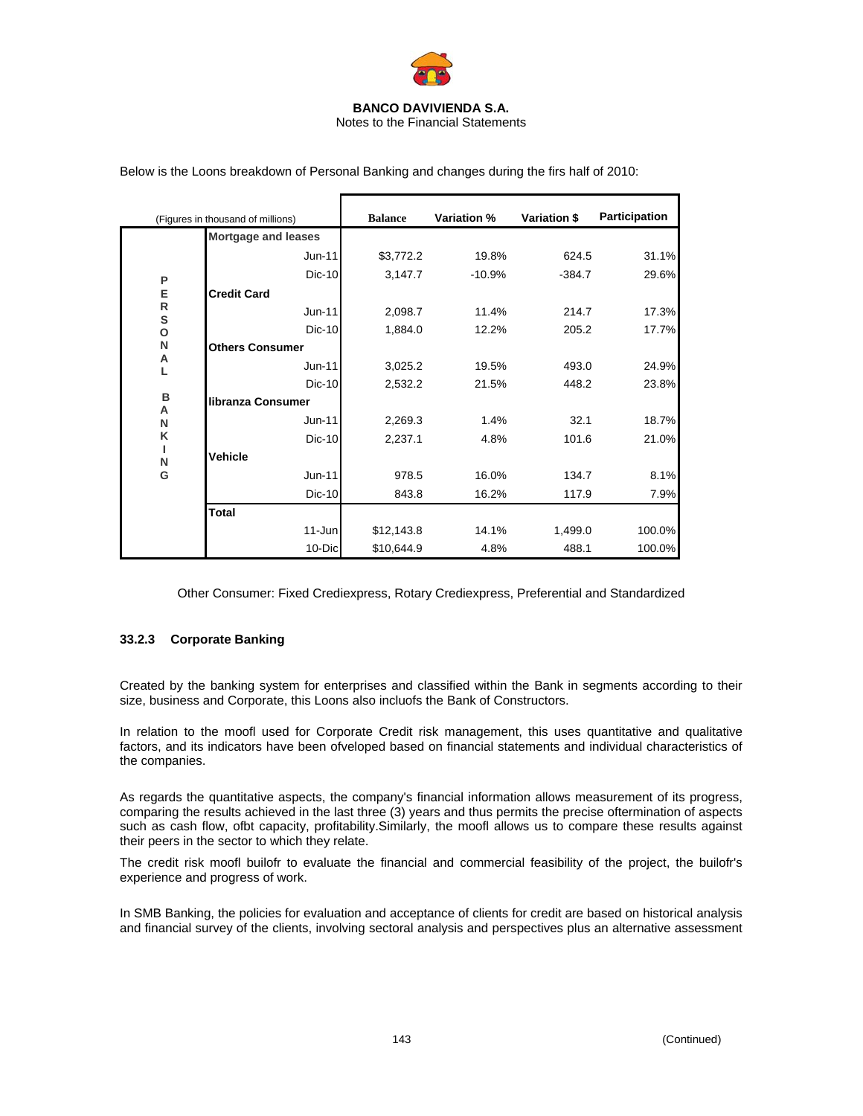

|                | (Figures in thousand of millions) | <b>Balance</b> | <b>Variation %</b> | Variation \$ | Participation |
|----------------|-----------------------------------|----------------|--------------------|--------------|---------------|
|                | <b>Mortgage and leases</b>        |                |                    |              |               |
|                | Jun-11                            | \$3,772.2      | 19.8%              | 624.5        | 31.1%         |
| P              | <b>Dic-10</b>                     | 3,147.7        | $-10.9%$           | $-384.7$     | 29.6%         |
| E              | <b>Credit Card</b>                |                |                    |              |               |
| ${\sf R}$<br>S | Jun-11                            | 2,098.7        | 11.4%              | 214.7        | 17.3%         |
| $\mathbf{o}$   | $Dic-10$                          | 1,884.0        | 12.2%              | 205.2        | 17.7%         |
| N              | <b>Others Consumer</b>            |                |                    |              |               |
| Α<br>L         | Jun-11                            | 3,025.2        | 19.5%              | 493.0        | 24.9%         |
|                | $Dic-10$                          | 2,532.2        | 21.5%              | 448.2        | 23.8%         |
| в<br>Α         | libranza Consumer                 |                |                    |              |               |
| N              | Jun-11                            | 2,269.3        | 1.4%               | 32.1         | 18.7%         |
| K              | <b>Dic-10</b>                     | 2,237.1        | 4.8%               | 101.6        | 21.0%         |
| N              | <b>Vehicle</b>                    |                |                    |              |               |
| G              | Jun-11                            | 978.5          | 16.0%              | 134.7        | 8.1%          |
|                | <b>Dic-10</b>                     | 843.8          | 16.2%              | 117.9        | 7.9%          |
|                | <b>Total</b>                      |                |                    |              |               |
|                | 11-Jun                            | \$12,143.8     | 14.1%              | 1,499.0      | 100.0%        |
|                | 10-Dic                            | \$10,644.9     | 4.8%               | 488.1        | 100.0%        |

Below is the Loons breakdown of Personal Banking and changes during the firs half of 2010:

Other Consumer: Fixed Crediexpress, Rotary Crediexpress, Preferential and Standardized

### **33.2.3 Corporate Banking**

Created by the banking system for enterprises and classified within the Bank in segments according to their size, business and Corporate, this Loons also incluofs the Bank of Constructors.

In relation to the moofl used for Corporate Credit risk management, this uses quantitative and qualitative factors, and its indicators have been ofveloped based on financial statements and individual characteristics of the companies.

As regards the quantitative aspects, the company's financial information allows measurement of its progress, comparing the results achieved in the last three (3) years and thus permits the precise oftermination of aspects such as cash flow, ofbt capacity, profitability.Similarly, the moofl allows us to compare these results against their peers in the sector to which they relate.

The credit risk moofl builofr to evaluate the financial and commercial feasibility of the project, the builofr's experience and progress of work.

In SMB Banking, the policies for evaluation and acceptance of clients for credit are based on historical analysis and financial survey of the clients, involving sectoral analysis and perspectives plus an alternative assessment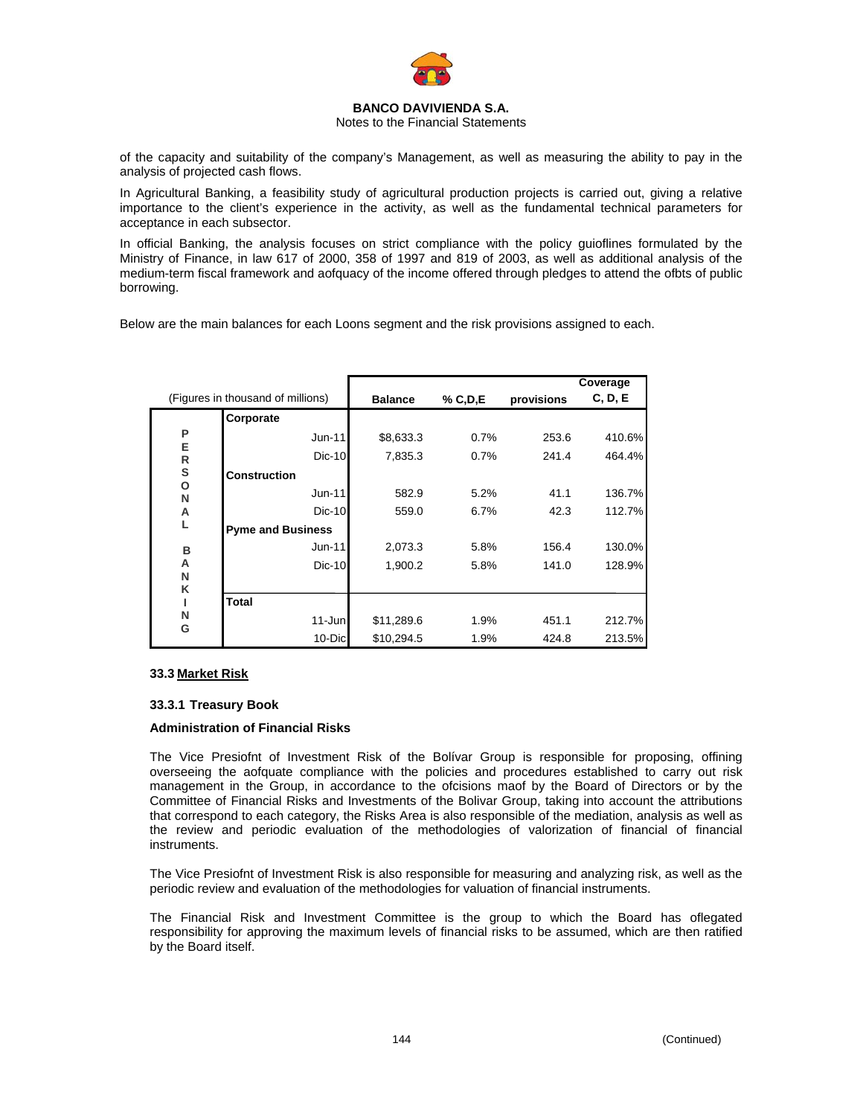

Notes to the Financial Statements

of the capacity and suitability of the company's Management, as well as measuring the ability to pay in the analysis of projected cash flows.

In Agricultural Banking, a feasibility study of agricultural production projects is carried out, giving a relative importance to the client's experience in the activity, as well as the fundamental technical parameters for acceptance in each subsector.

In official Banking, the analysis focuses on strict compliance with the policy guioflines formulated by the Ministry of Finance, in law 617 of 2000, 358 of 1997 and 819 of 2003, as well as additional analysis of the medium-term fiscal framework and aofquacy of the income offered through pledges to attend the ofbts of public borrowing.

Below are the main balances for each Loons segment and the risk provisions assigned to each.

|        |                                   |                |           |            | Coverage |
|--------|-----------------------------------|----------------|-----------|------------|----------|
|        | (Figures in thousand of millions) | <b>Balance</b> | % C, D, E | provisions | C, D, E  |
|        | Corporate                         |                |           |            |          |
| P      | $Jun-11$                          | \$8,633.3      | 0.7%      | 253.6      | 410.6%   |
| E<br>R | $Dic-10$                          | 7,835.3        | 0.7%      | 241.4      | 464.4%   |
| S      | <b>Construction</b>               |                |           |            |          |
| О<br>N | $Jun-11$                          | 582.9          | 5.2%      | 41.1       | 136.7%   |
| Α      | $Dic-10$                          | 559.0          | 6.7%      | 42.3       | 112.7%   |
| L      | <b>Pyme and Business</b>          |                |           |            |          |
| в      | $Jun-11$                          | 2,073.3        | 5.8%      | 156.4      | 130.0%   |
| A      | $Dic-10$                          | 1,900.2        | 5.8%      | 141.0      | 128.9%   |
| N<br>Κ |                                   |                |           |            |          |
|        | <b>Total</b>                      |                |           |            |          |
| N      | $11 - Jun$                        | \$11,289.6     | 1.9%      | 451.1      | 212.7%   |
| G      | 10-Dic                            | \$10,294.5     | 1.9%      | 424.8      | 213.5%   |

#### **33.3 Market Risk**

#### **33.3.1 Treasury Book**

#### **Administration of Financial Risks**

The Vice Presiofnt of Investment Risk of the Bolívar Group is responsible for proposing, offining overseeing the aofquate compliance with the policies and procedures established to carry out risk management in the Group, in accordance to the ofcisions maof by the Board of Directors or by the Committee of Financial Risks and Investments of the Bolivar Group, taking into account the attributions that correspond to each category, the Risks Area is also responsible of the mediation, analysis as well as the review and periodic evaluation of the methodologies of valorization of financial of financial instruments.

The Vice Presiofnt of Investment Risk is also responsible for measuring and analyzing risk, as well as the periodic review and evaluation of the methodologies for valuation of financial instruments.

The Financial Risk and Investment Committee is the group to which the Board has oflegated responsibility for approving the maximum levels of financial risks to be assumed, which are then ratified by the Board itself.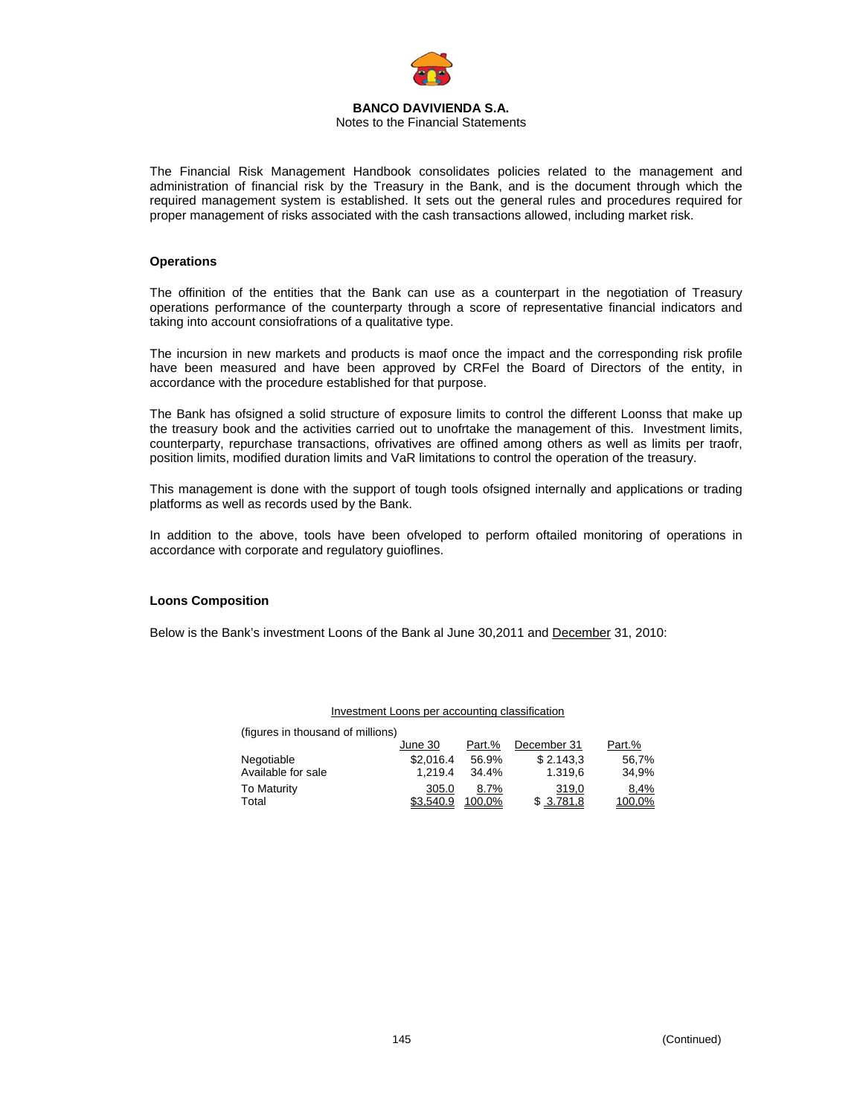

#### **BANCO DAVIVIENDA S.A.**  Notes to the Financial Statements

The Financial Risk Management Handbook consolidates policies related to the management and administration of financial risk by the Treasury in the Bank, and is the document through which the required management system is established. It sets out the general rules and procedures required for proper management of risks associated with the cash transactions allowed, including market risk.

### **Operations**

The offinition of the entities that the Bank can use as a counterpart in the negotiation of Treasury operations performance of the counterparty through a score of representative financial indicators and taking into account consiofrations of a qualitative type.

The incursion in new markets and products is maof once the impact and the corresponding risk profile have been measured and have been approved by CRFel the Board of Directors of the entity, in accordance with the procedure established for that purpose.

The Bank has ofsigned a solid structure of exposure limits to control the different Loonss that make up the treasury book and the activities carried out to unofrtake the management of this. Investment limits, counterparty, repurchase transactions, ofrivatives are offined among others as well as limits per traofr, position limits, modified duration limits and VaR limitations to control the operation of the treasury.

This management is done with the support of tough tools ofsigned internally and applications or trading platforms as well as records used by the Bank.

In addition to the above, tools have been ofveloped to perform oftailed monitoring of operations in accordance with corporate and regulatory guioflines.

#### **Loons Composition**

Below is the Bank's investment Loons of the Bank al June 30,2011 and December 31, 2010:

| (figures in thousand of millions) |           |        |             |        |
|-----------------------------------|-----------|--------|-------------|--------|
|                                   | June 30   | Part.% | December 31 | Part.% |
| Negotiable                        | \$2.016.4 | 56.9%  | \$2.143.3   | 56.7%  |
| Available for sale                | 1.219.4   | 34.4%  | 1.319.6     | 34.9%  |
| <b>To Maturity</b>                | 305.0     | 8.7%   | 319,0       | 8,4%   |
| Total                             | \$3.540.9 | 100.0% | \$3.781.8   | 100.0% |

Investment Loons per accounting classification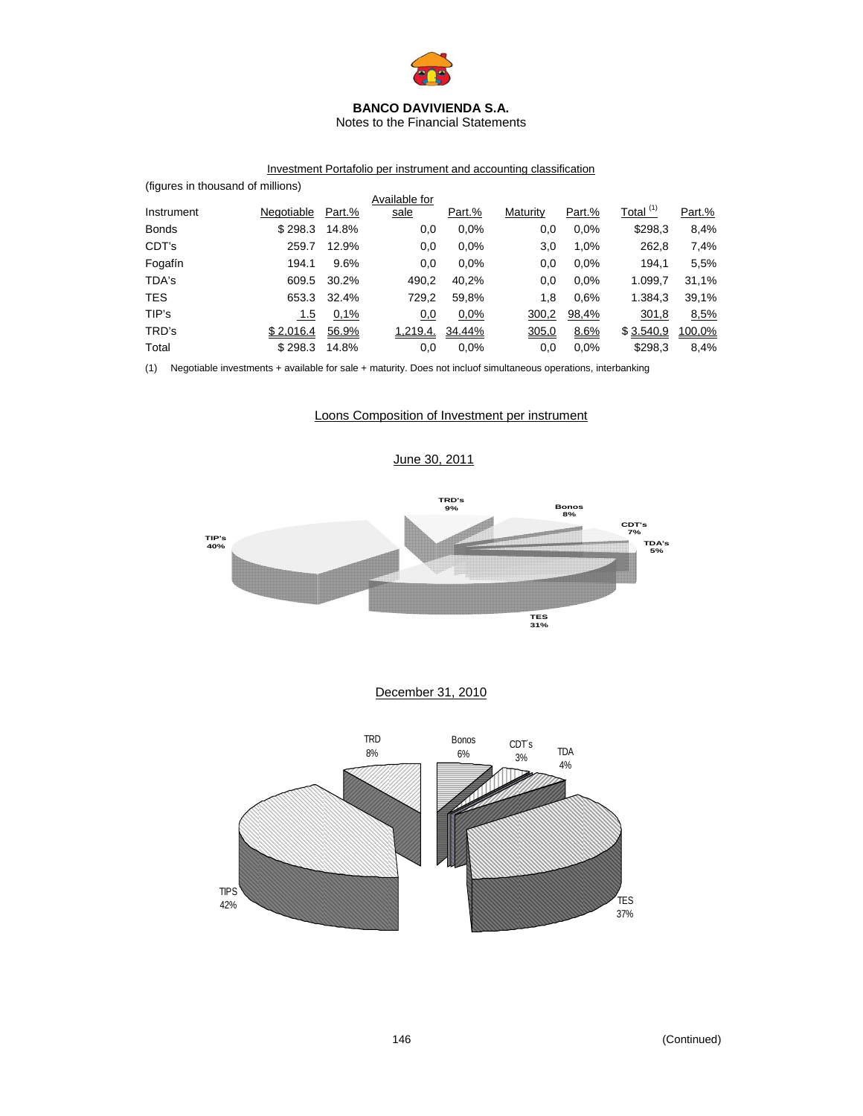

Notes to the Financial Statements

# Investment Portafolio per instrument and accounting classification

| (figures in thousand of millions) |            |        |               |        |          |        |                |        |
|-----------------------------------|------------|--------|---------------|--------|----------|--------|----------------|--------|
|                                   |            |        | Available for |        |          |        |                |        |
| Instrument                        | Negotiable | Part.% | sale          | Part.% | Maturity | Part.% | Total $^{(1)}$ | Part.% |
| <b>Bonds</b>                      | \$298.3    | 14.8%  | 0,0           | 0.0%   | 0,0      | 0.0%   | \$298,3        | 8,4%   |
| CDT's                             | 259.7      | 12.9%  | 0,0           | 0.0%   | 3,0      | 1,0%   | 262,8          | 7,4%   |
| Fogafín                           | 194.1      | 9.6%   | 0,0           | 0.0%   | 0,0      | 0.0%   | 194.1          | 5,5%   |
| TDA's                             | 609.5      | 30.2%  | 490,2         | 40,2%  | 0,0      | 0.0%   | 1.099,7        | 31,1%  |
| <b>TES</b>                        | 653.3      | 32.4%  | 729,2         | 59,8%  | 1,8      | 0.6%   | 1.384,3        | 39,1%  |
| TIP's                             | 1.5        | 0,1%   | 0,0           | 0,0%   | 300,2    | 98,4%  | 301,8          | 8,5%   |
| TRD's                             | \$2.016.4  | 56.9%  | 1.219.4.      | 34.44% | 305,0    | 8.6%   | \$3.540.9      | 100,0% |
| Total                             | \$298.3    | 14.8%  | 0,0           | 0.0%   | 0,0      | 0.0%   | \$298,3        | 8,4%   |

(1) Negotiable investments + available for sale + maturity. Does not incluof simultaneous operations, interbanking

## Loons Composition of Investment per instrument

June 30, 2011



# December 31, 2010

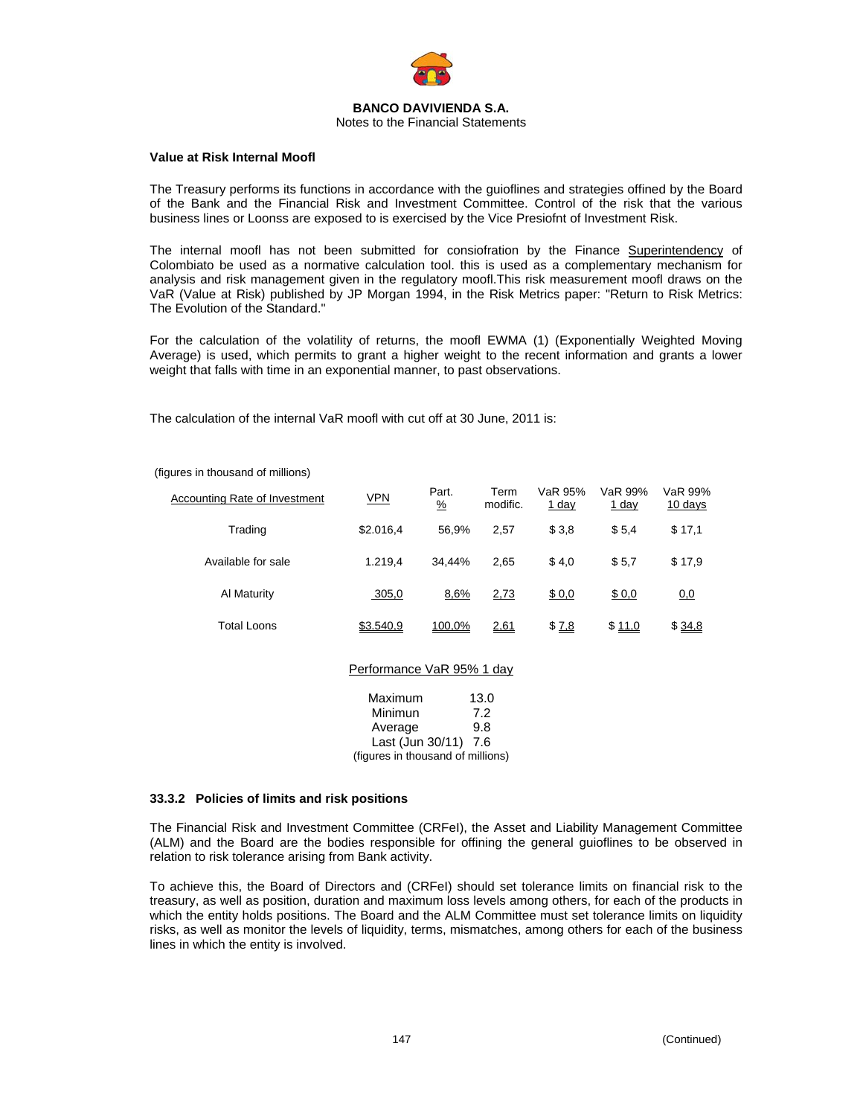

#### **Value at Risk Internal Moofl**

The Treasury performs its functions in accordance with the guioflines and strategies offined by the Board of the Bank and the Financial Risk and Investment Committee. Control of the risk that the various business lines or Loonss are exposed to is exercised by the Vice Presiofnt of Investment Risk.

The internal moofl has not been submitted for consiofration by the Finance Superintendency of Colombiato be used as a normative calculation tool. this is used as a complementary mechanism for analysis and risk management given in the regulatory moofl.This risk measurement moofl draws on the VaR (Value at Risk) published by JP Morgan 1994, in the Risk Metrics paper: "Return to Risk Metrics: The Evolution of the Standard."

For the calculation of the volatility of returns, the moofl EWMA (1) (Exponentially Weighted Moving Average) is used, which permits to grant a higher weight to the recent information and grants a lower weight that falls with time in an exponential manner, to past observations.

The calculation of the internal VaR moofl with cut off at 30 June, 2011 is:

#### (figures in thousand of millions)

| Accounting Rate of Investment | <b>VPN</b> | Part.<br>$\frac{9}{6}$ | Term<br>modific. | VaR 95%<br><u>1 day</u> | VaR 99%<br><u>1 day</u> | VaR 99%<br>10 days |
|-------------------------------|------------|------------------------|------------------|-------------------------|-------------------------|--------------------|
| Trading                       | \$2.016.4  | 56.9%                  | 2.57             | \$3,8                   | \$5.4                   | \$17,1             |
| Available for sale            | 1.219.4    | 34.44%                 | 2.65             | \$4,0                   | \$5.7                   | \$17.9             |
| Al Maturity                   | 305,0      | 8,6%                   | 2,73             | \$0,0                   | \$0,0                   | 0.0                |
| <b>Total Loons</b>            | \$3.540,9  | 100,0%                 | 2,61             | \$7,8                   | \$11,0                  | \$34,8             |

#### Performance VaR 95% 1 day

| Maximum                           | 13.0 |
|-----------------------------------|------|
| Minimun                           | 7.2  |
| Average                           | 9.8  |
| Last (Jun 30/11) 7.6              |      |
| (figures in thousand of millions) |      |

#### **33.3.2 Policies of limits and risk positions**

The Financial Risk and Investment Committee (CRFeI), the Asset and Liability Management Committee (ALM) and the Board are the bodies responsible for offining the general guioflines to be observed in relation to risk tolerance arising from Bank activity.

To achieve this, the Board of Directors and (CRFeI) should set tolerance limits on financial risk to the treasury, as well as position, duration and maximum loss levels among others, for each of the products in which the entity holds positions. The Board and the ALM Committee must set tolerance limits on liquidity risks, as well as monitor the levels of liquidity, terms, mismatches, among others for each of the business lines in which the entity is involved.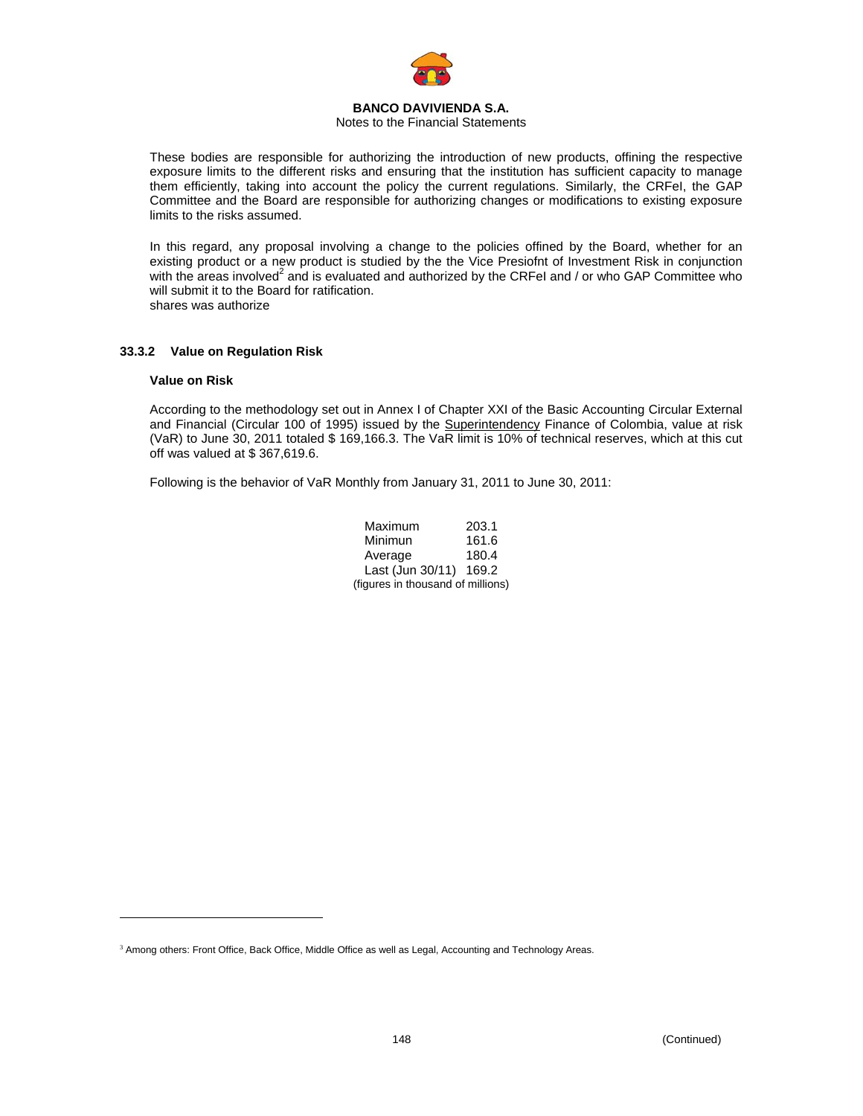

### Notes to the Financial Statements

These bodies are responsible for authorizing the introduction of new products, offining the respective exposure limits to the different risks and ensuring that the institution has sufficient capacity to manage them efficiently, taking into account the policy the current regulations. Similarly, the CRFeI, the GAP Committee and the Board are responsible for authorizing changes or modifications to existing exposure limits to the risks assumed.

In this regard, any proposal involving a change to the policies offined by the Board, whether for an existing product or a new product is studied by the the Vice Presiofnt of Investment Risk in conjunction with the areas involved<sup>2</sup> and is evaluated and authorized by the CRFeI and / or who GAP Committee who will submit it to the Board for ratification. shares was authorize

## **33.3.2 Value on Regulation Risk**

#### **Value on Risk**

<u>.</u>

According to the methodology set out in Annex I of Chapter XXI of the Basic Accounting Circular External and Financial (Circular 100 of 1995) issued by the Superintendency Finance of Colombia, value at risk (VaR) to June 30, 2011 totaled \$ 169,166.3. The VaR limit is 10% of technical reserves, which at this cut off was valued at \$ 367,619.6.

Following is the behavior of VaR Monthly from January 31, 2011 to June 30, 2011:

| Maximum                           | 203.1 |
|-----------------------------------|-------|
| Minimun                           | 161.6 |
| Average                           | 180.4 |
| Last (Jun 30/11)                  | 169.2 |
| (figures in thousand of millions) |       |

<sup>&</sup>lt;sup>3</sup> Among others: Front Office, Back Office, Middle Office as well as Legal, Accounting and Technology Areas.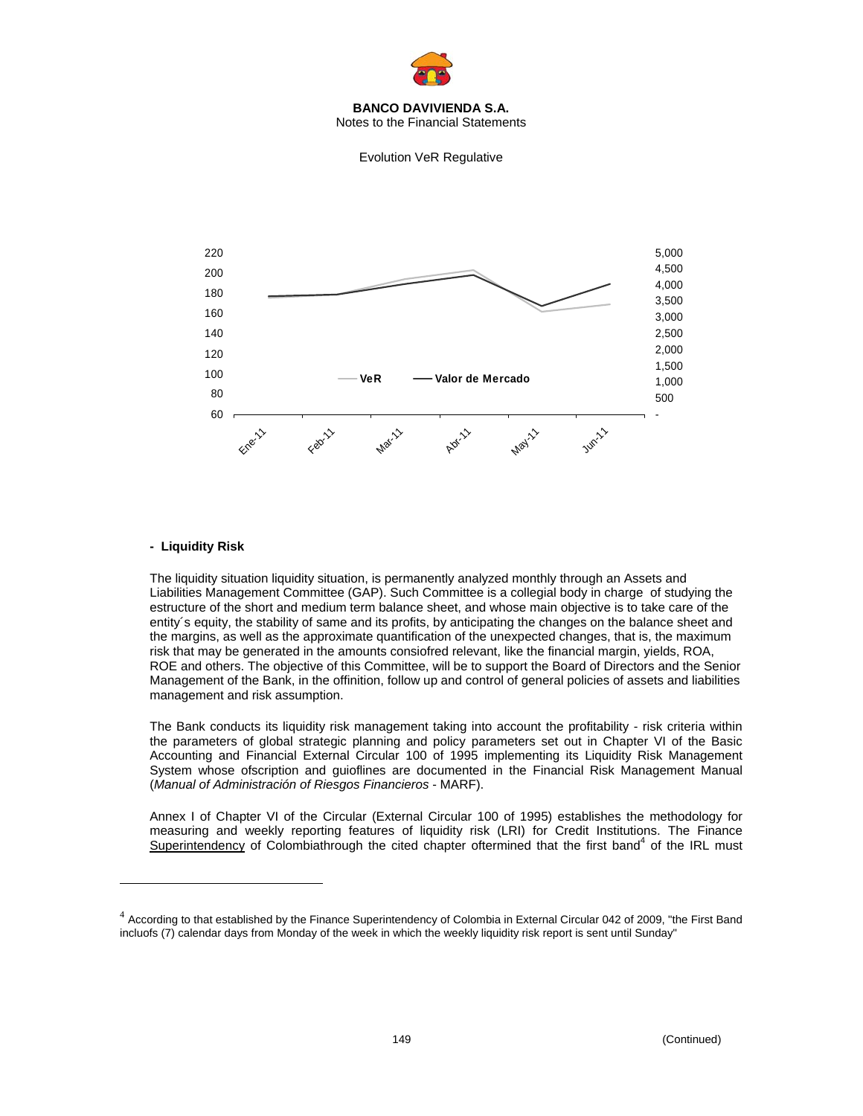

Notes to the Financial Statements



## **- Liquidity Risk**

1

The liquidity situation liquidity situation, is permanently analyzed monthly through an Assets and Liabilities Management Committee (GAP). Such Committee is a collegial body in charge of studying the estructure of the short and medium term balance sheet, and whose main objective is to take care of the entity´s equity, the stability of same and its profits, by anticipating the changes on the balance sheet and the margins, as well as the approximate quantification of the unexpected changes, that is, the maximum risk that may be generated in the amounts consiofred relevant, like the financial margin, yields, ROA, ROE and others. The objective of this Committee, will be to support the Board of Directors and the Senior Management of the Bank, in the offinition, follow up and control of general policies of assets and liabilities management and risk assumption.

The Bank conducts its liquidity risk management taking into account the profitability - risk criteria within the parameters of global strategic planning and policy parameters set out in Chapter VI of the Basic Accounting and Financial External Circular 100 of 1995 implementing its Liquidity Risk Management System whose ofscription and guioflines are documented in the Financial Risk Management Manual (*Manual of Administración of Riesgos Financieros* - MARF).

Annex I of Chapter VI of the Circular (External Circular 100 of 1995) establishes the methodology for measuring and weekly reporting features of liquidity risk (LRI) for Credit Institutions. The Finance Superintendency of Colombiathrough the cited chapter oftermined that the first band<sup>4</sup> of the IRL must

Evolution VeR Regulative

 $4$  According to that established by the Finance Superintendency of Colombia in External Circular 042 of 2009, "the First Band incluofs (7) calendar days from Monday of the week in which the weekly liquidity risk report is sent until Sunday"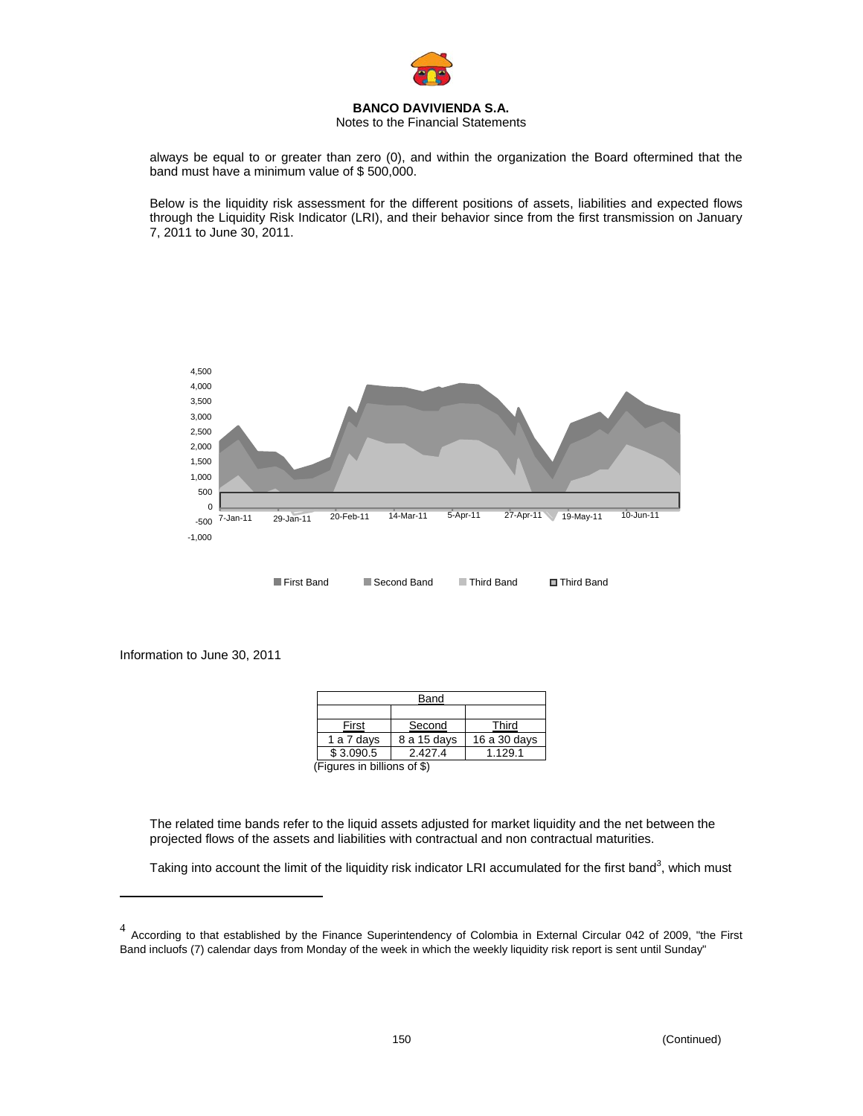

## Notes to the Financial Statements

always be equal to or greater than zero (0), and within the organization the Board oftermined that the band must have a minimum value of \$ 500,000.

Below is the liquidity risk assessment for the different positions of assets, liabilities and expected flows through the Liquidity Risk Indicator (LRI), and their behavior since from the first transmission on January 7, 2011 to June 30, 2011.



Information to June 30, 2011

1

| Band        |              |
|-------------|--------------|
|             |              |
| Second      | Third        |
| 8 a 15 days | 16 a 30 days |
| 2.427.4     | 1.129.1      |
|             |              |

(Figures in billions of \$)

The related time bands refer to the liquid assets adjusted for market liquidity and the net between the projected flows of the assets and liabilities with contractual and non contractual maturities.

Taking into account the limit of the liquidity risk indicator LRI accumulated for the first band<sup>3</sup>, which must

 $4$  According to that established by the Finance Superintendency of Colombia in External Circular 042 of 2009, "the First Band incluofs (7) calendar days from Monday of the week in which the weekly liquidity risk report is sent until Sunday"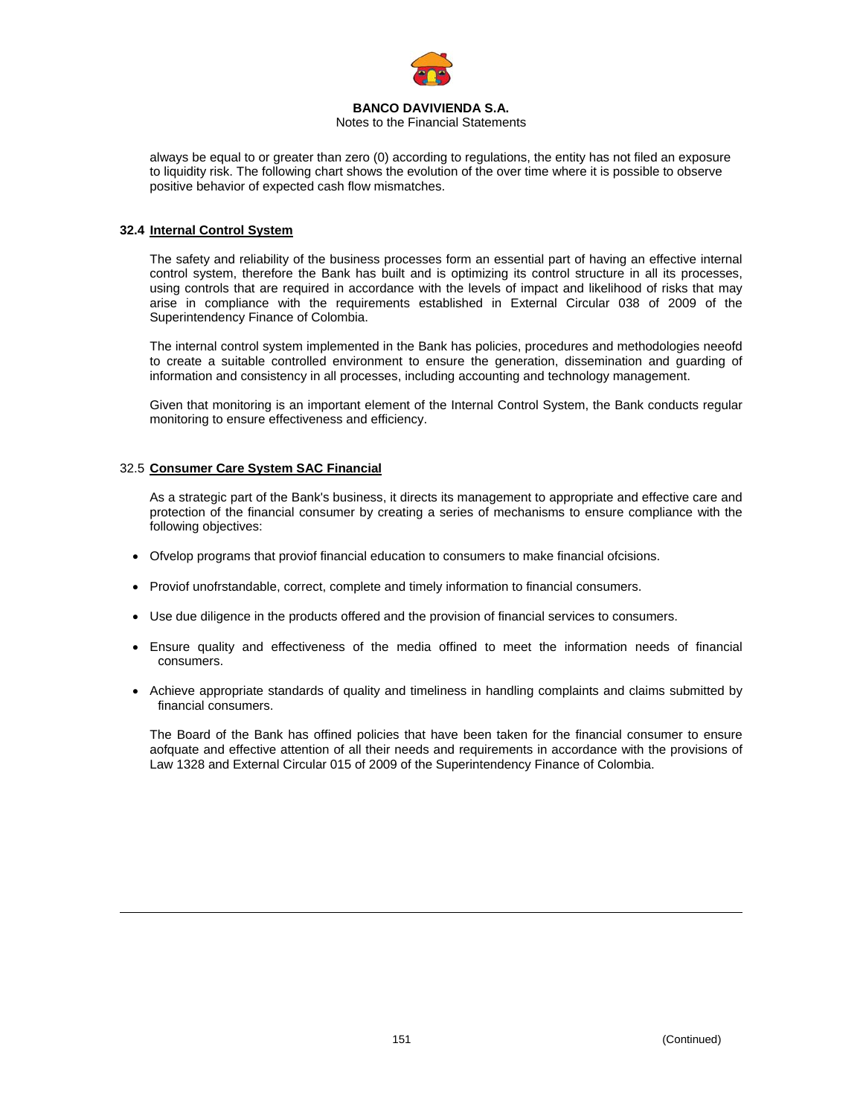

Notes to the Financial Statements

always be equal to or greater than zero (0) according to regulations, the entity has not filed an exposure to liquidity risk. The following chart shows the evolution of the over time where it is possible to observe positive behavior of expected cash flow mismatches.

## **32.4 Internal Control System**

The safety and reliability of the business processes form an essential part of having an effective internal control system, therefore the Bank has built and is optimizing its control structure in all its processes, using controls that are required in accordance with the levels of impact and likelihood of risks that may arise in compliance with the requirements established in External Circular 038 of 2009 of the Superintendency Finance of Colombia.

The internal control system implemented in the Bank has policies, procedures and methodologies neeofd to create a suitable controlled environment to ensure the generation, dissemination and guarding of information and consistency in all processes, including accounting and technology management.

Given that monitoring is an important element of the Internal Control System, the Bank conducts regular monitoring to ensure effectiveness and efficiency.

## 32.5 **Consumer Care System SAC Financial**

1

As a strategic part of the Bank's business, it directs its management to appropriate and effective care and protection of the financial consumer by creating a series of mechanisms to ensure compliance with the following objectives:

- Ofvelop programs that proviof financial education to consumers to make financial ofcisions.
- Proviof unofrstandable, correct, complete and timely information to financial consumers.
- Use due diligence in the products offered and the provision of financial services to consumers.
- Ensure quality and effectiveness of the media offined to meet the information needs of financial consumers.
- Achieve appropriate standards of quality and timeliness in handling complaints and claims submitted by financial consumers.

The Board of the Bank has offined policies that have been taken for the financial consumer to ensure aofquate and effective attention of all their needs and requirements in accordance with the provisions of Law 1328 and External Circular 015 of 2009 of the Superintendency Finance of Colombia.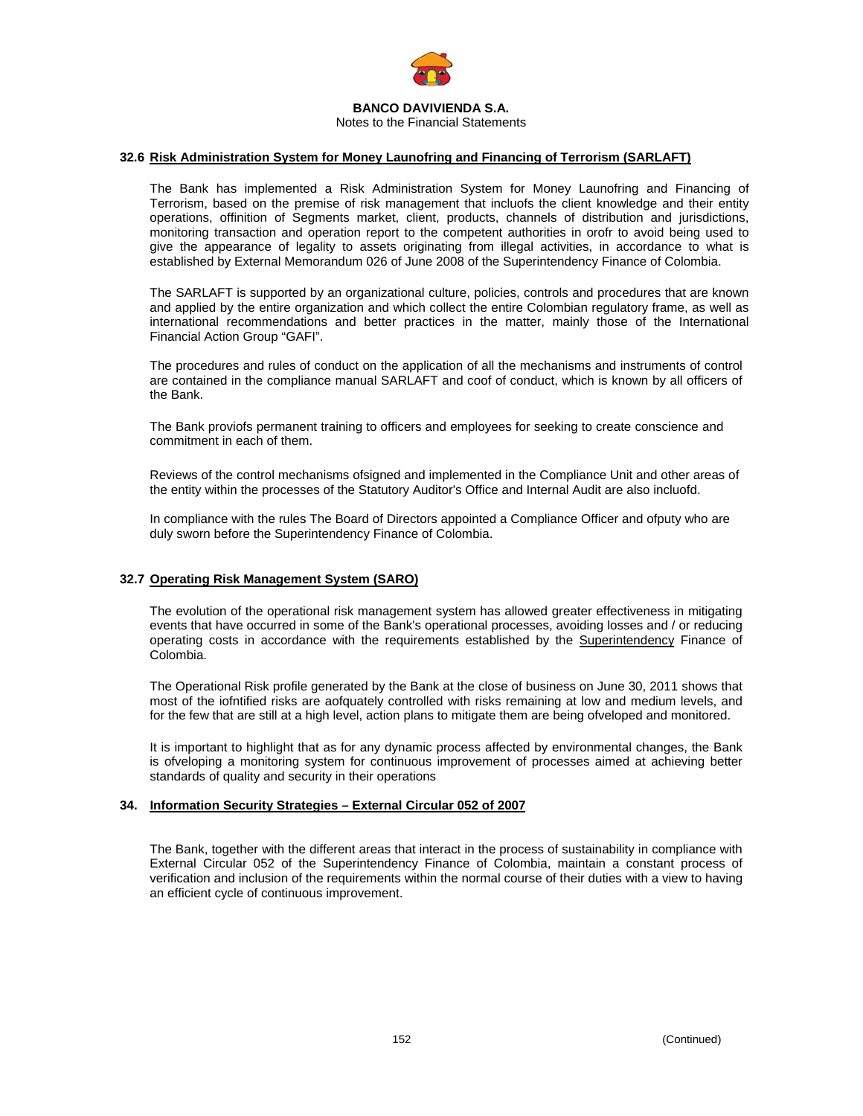

### **32.6 Risk Administration System for Money Launofring and Financing of Terrorism (SARLAFT)**

The Bank has implemented a Risk Administration System for Money Launofring and Financing of Terrorism, based on the premise of risk management that incluofs the client knowledge and their entity operations, offinition of Segments market, client, products, channels of distribution and jurisdictions, monitoring transaction and operation report to the competent authorities in orofr to avoid being used to give the appearance of legality to assets originating from illegal activities, in accordance to what is established by External Memorandum 026 of June 2008 of the Superintendency Finance of Colombia.

The SARLAFT is supported by an organizational culture, policies, controls and procedures that are known and applied by the entire organization and which collect the entire Colombian regulatory frame, as well as international recommendations and better practices in the matter, mainly those of the International Financial Action Group "GAFI".

The procedures and rules of conduct on the application of all the mechanisms and instruments of control are contained in the compliance manual SARLAFT and coof of conduct, which is known by all officers of the Bank.

The Bank proviofs permanent training to officers and employees for seeking to create conscience and commitment in each of them.

Reviews of the control mechanisms ofsigned and implemented in the Compliance Unit and other areas of the entity within the processes of the Statutory Auditor's Office and Internal Audit are also incluofd.

In compliance with the rules The Board of Directors appointed a Compliance Officer and ofputy who are duly sworn before the Superintendency Finance of Colombia.

### **32.7 Operating Risk Management System (SARO)**

The evolution of the operational risk management system has allowed greater effectiveness in mitigating events that have occurred in some of the Bank's operational processes, avoiding losses and / or reducing operating costs in accordance with the requirements established by the Superintendency Finance of Colombia.

The Operational Risk profile generated by the Bank at the close of business on June 30, 2011 shows that most of the iofntified risks are aofquately controlled with risks remaining at low and medium levels, and for the few that are still at a high level, action plans to mitigate them are being ofveloped and monitored.

It is important to highlight that as for any dynamic process affected by environmental changes, the Bank is ofveloping a monitoring system for continuous improvement of processes aimed at achieving better standards of quality and security in their operations

### **34. Information Security Strategies – External Circular 052 of 2007**

The Bank, together with the different areas that interact in the process of sustainability in compliance with External Circular 052 of the Superintendency Finance of Colombia, maintain a constant process of verification and inclusion of the requirements within the normal course of their duties with a view to having an efficient cycle of continuous improvement.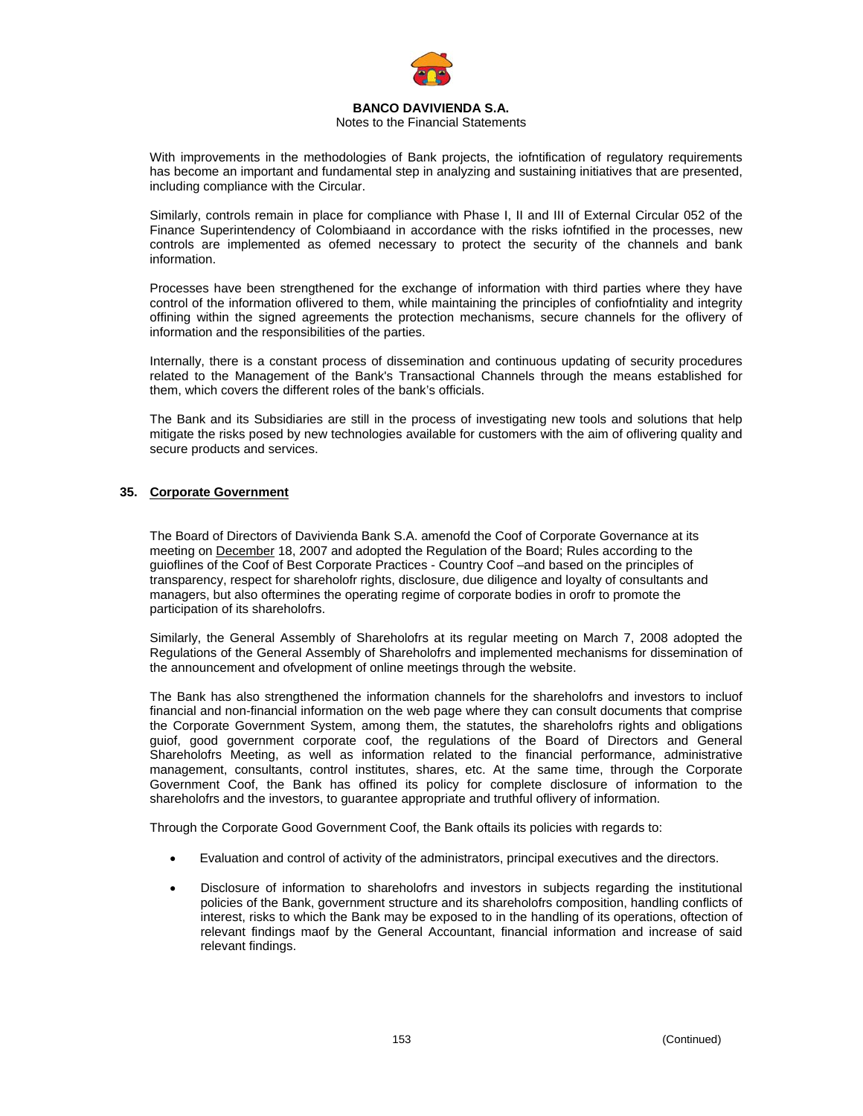

### Notes to the Financial Statements

With improvements in the methodologies of Bank projects, the iofntification of regulatory requirements has become an important and fundamental step in analyzing and sustaining initiatives that are presented, including compliance with the Circular.

Similarly, controls remain in place for compliance with Phase I, II and III of External Circular 052 of the Finance Superintendency of Colombiaand in accordance with the risks iofntified in the processes, new controls are implemented as ofemed necessary to protect the security of the channels and bank information.

Processes have been strengthened for the exchange of information with third parties where they have control of the information oflivered to them, while maintaining the principles of confiofntiality and integrity offining within the signed agreements the protection mechanisms, secure channels for the oflivery of information and the responsibilities of the parties.

Internally, there is a constant process of dissemination and continuous updating of security procedures related to the Management of the Bank's Transactional Channels through the means established for them, which covers the different roles of the bank's officials.

The Bank and its Subsidiaries are still in the process of investigating new tools and solutions that help mitigate the risks posed by new technologies available for customers with the aim of oflivering quality and secure products and services.

## **35. Corporate Government**

The Board of Directors of Davivienda Bank S.A. amenofd the Coof of Corporate Governance at its meeting on **December 18**, 2007 and adopted the Regulation of the Board; Rules according to the guioflines of the Coof of Best Corporate Practices - Country Coof –and based on the principles of transparency, respect for shareholofr rights, disclosure, due diligence and loyalty of consultants and managers, but also oftermines the operating regime of corporate bodies in orofr to promote the participation of its shareholofrs.

Similarly, the General Assembly of Shareholofrs at its regular meeting on March 7, 2008 adopted the Regulations of the General Assembly of Shareholofrs and implemented mechanisms for dissemination of the announcement and ofvelopment of online meetings through the website.

The Bank has also strengthened the information channels for the shareholofrs and investors to incluof financial and non-financial information on the web page where they can consult documents that comprise the Corporate Government System, among them, the statutes, the shareholofrs rights and obligations guiof, good government corporate coof, the regulations of the Board of Directors and General Shareholofrs Meeting, as well as information related to the financial performance, administrative management, consultants, control institutes, shares, etc. At the same time, through the Corporate Government Coof, the Bank has offined its policy for complete disclosure of information to the shareholofrs and the investors, to guarantee appropriate and truthful oflivery of information.

Through the Corporate Good Government Coof, the Bank oftails its policies with regards to:

- Evaluation and control of activity of the administrators, principal executives and the directors.
- Disclosure of information to shareholofrs and investors in subjects regarding the institutional policies of the Bank, government structure and its shareholofrs composition, handling conflicts of interest, risks to which the Bank may be exposed to in the handling of its operations, oftection of relevant findings maof by the General Accountant, financial information and increase of said relevant findings.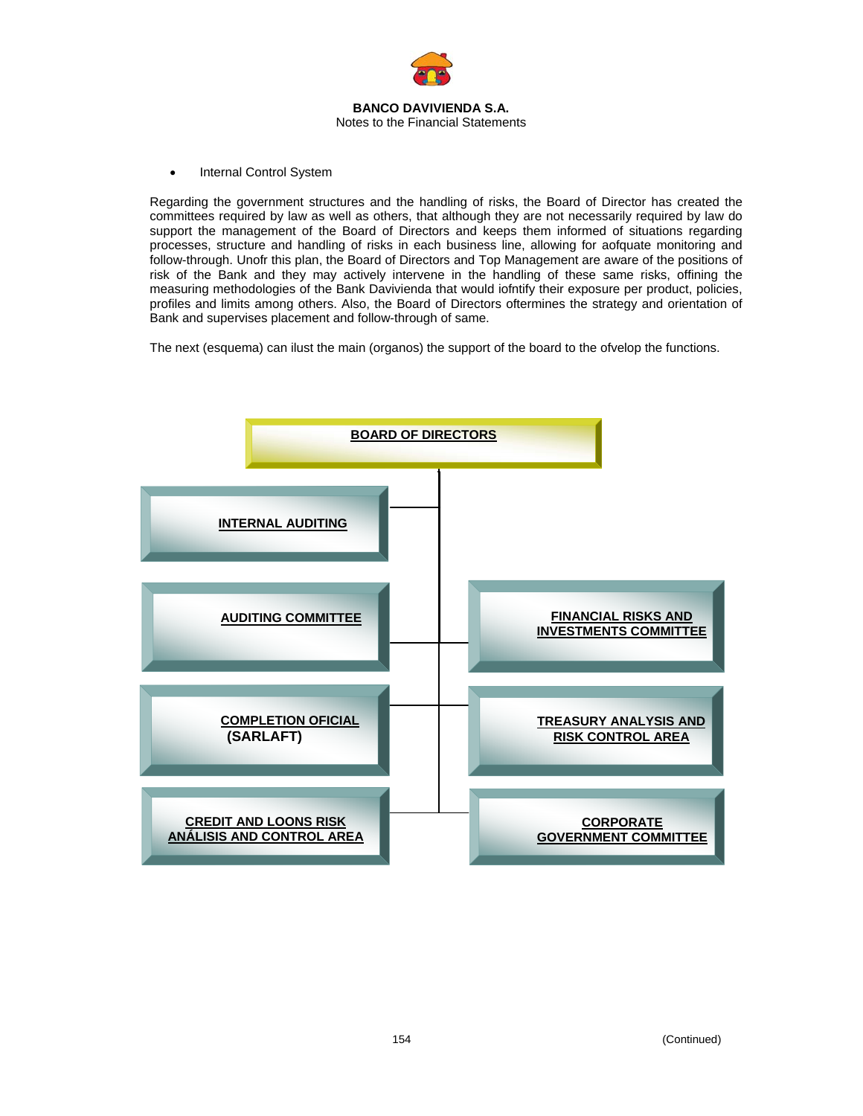

• Internal Control System

Regarding the government structures and the handling of risks, the Board of Director has created the committees required by law as well as others, that although they are not necessarily required by law do support the management of the Board of Directors and keeps them informed of situations regarding processes, structure and handling of risks in each business line, allowing for aofquate monitoring and follow-through. Unofr this plan, the Board of Directors and Top Management are aware of the positions of risk of the Bank and they may actively intervene in the handling of these same risks, offining the measuring methodologies of the Bank Davivienda that would iofntify their exposure per product, policies, profiles and limits among others. Also, the Board of Directors oftermines the strategy and orientation of Bank and supervises placement and follow-through of same.

The next (esquema) can ilust the main (organos) the support of the board to the ofvelop the functions.

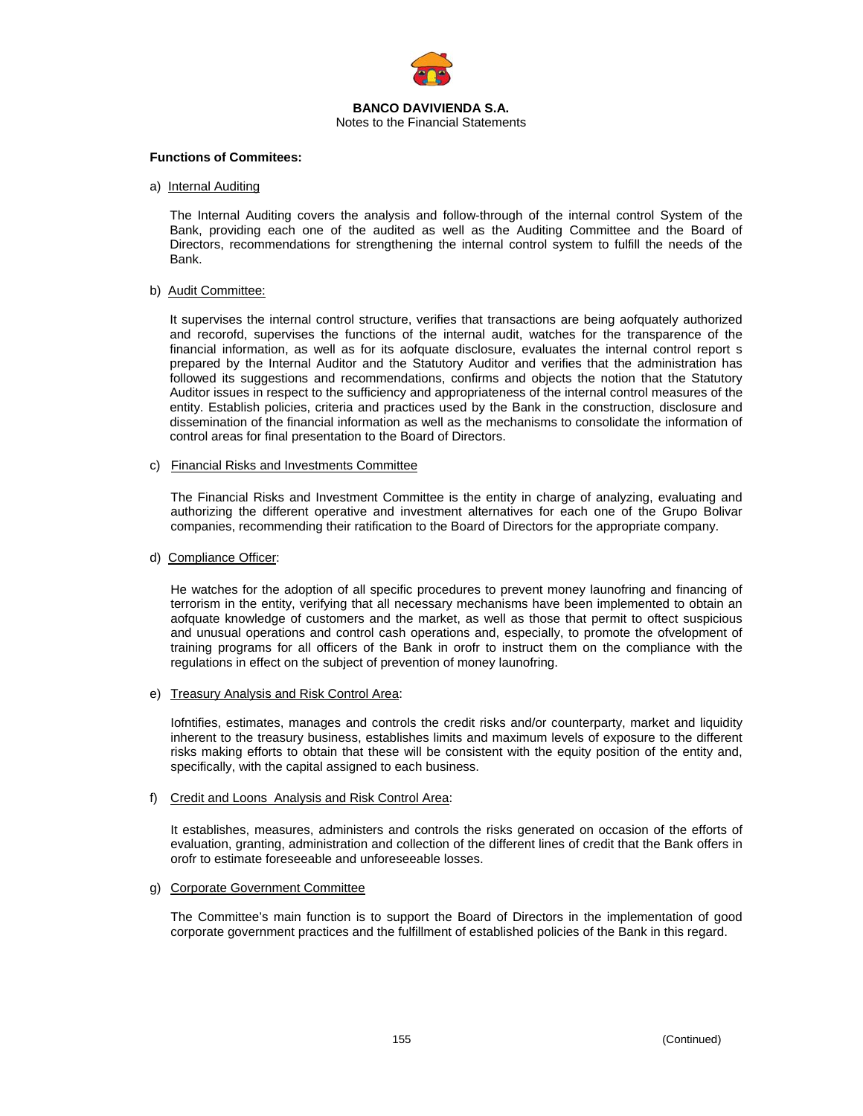

#### **Functions of Commitees:**

a) Internal Auditing

The Internal Auditing covers the analysis and follow-through of the internal control System of the Bank, providing each one of the audited as well as the Auditing Committee and the Board of Directors, recommendations for strengthening the internal control system to fulfill the needs of the Bank.

#### b) Audit Committee:

It supervises the internal control structure, verifies that transactions are being aofquately authorized and recorofd, supervises the functions of the internal audit, watches for the transparence of the financial information, as well as for its aofquate disclosure, evaluates the internal control report s prepared by the Internal Auditor and the Statutory Auditor and verifies that the administration has followed its suggestions and recommendations, confirms and objects the notion that the Statutory Auditor issues in respect to the sufficiency and appropriateness of the internal control measures of the entity. Establish policies, criteria and practices used by the Bank in the construction, disclosure and dissemination of the financial information as well as the mechanisms to consolidate the information of control areas for final presentation to the Board of Directors.

### c) Financial Risks and Investments Committee

The Financial Risks and Investment Committee is the entity in charge of analyzing, evaluating and authorizing the different operative and investment alternatives for each one of the Grupo Bolivar companies, recommending their ratification to the Board of Directors for the appropriate company.

### d) Compliance Officer:

He watches for the adoption of all specific procedures to prevent money launofring and financing of terrorism in the entity, verifying that all necessary mechanisms have been implemented to obtain an aofquate knowledge of customers and the market, as well as those that permit to oftect suspicious and unusual operations and control cash operations and, especially, to promote the ofvelopment of training programs for all officers of the Bank in orofr to instruct them on the compliance with the regulations in effect on the subject of prevention of money launofring.

#### e) Treasury Analysis and Risk Control Area:

Iofntifies, estimates, manages and controls the credit risks and/or counterparty, market and liquidity inherent to the treasury business, establishes limits and maximum levels of exposure to the different risks making efforts to obtain that these will be consistent with the equity position of the entity and, specifically, with the capital assigned to each business.

#### f) Credit and Loons Analysis and Risk Control Area:

It establishes, measures, administers and controls the risks generated on occasion of the efforts of evaluation, granting, administration and collection of the different lines of credit that the Bank offers in orofr to estimate foreseeable and unforeseeable losses.

## g) Corporate Government Committee

The Committee's main function is to support the Board of Directors in the implementation of good corporate government practices and the fulfillment of established policies of the Bank in this regard.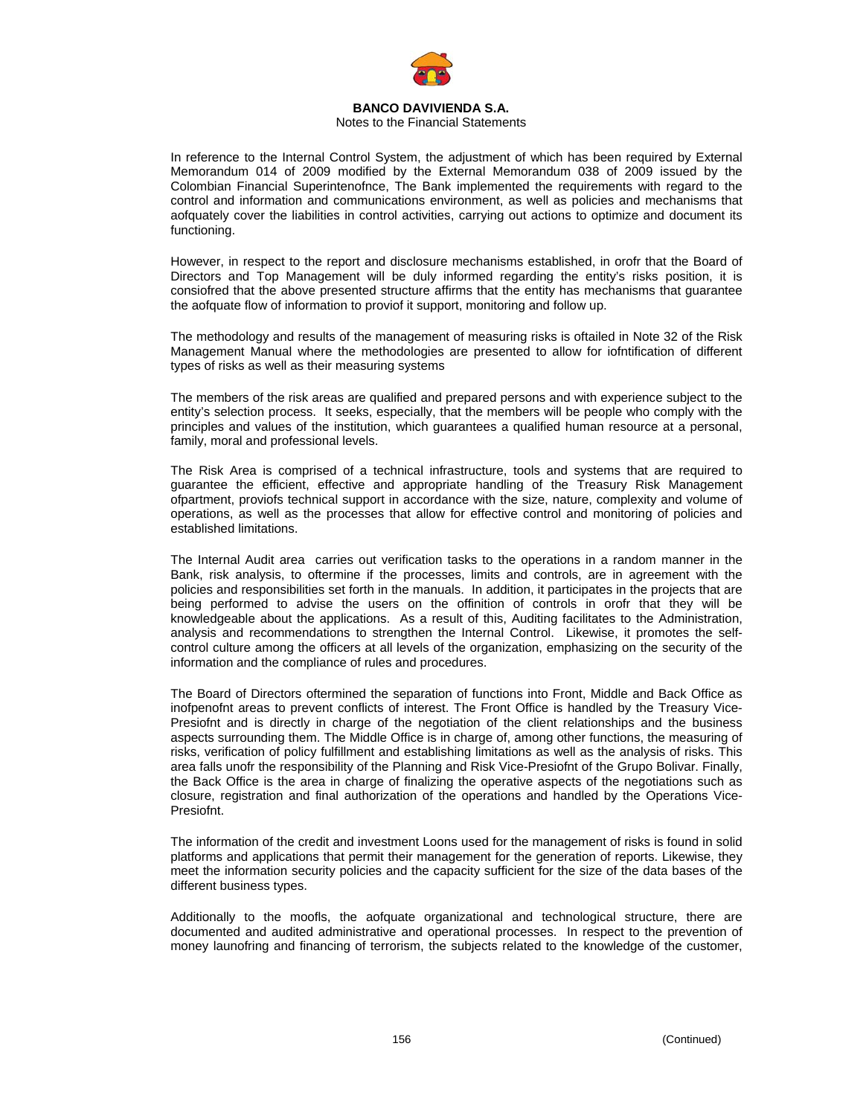

## Notes to the Financial Statements

In reference to the Internal Control System, the adjustment of which has been required by External Memorandum 014 of 2009 modified by the External Memorandum 038 of 2009 issued by the Colombian Financial Superintenofnce, The Bank implemented the requirements with regard to the control and information and communications environment, as well as policies and mechanisms that aofquately cover the liabilities in control activities, carrying out actions to optimize and document its functioning.

However, in respect to the report and disclosure mechanisms established, in orofr that the Board of Directors and Top Management will be duly informed regarding the entity's risks position, it is consiofred that the above presented structure affirms that the entity has mechanisms that guarantee the aofquate flow of information to proviof it support, monitoring and follow up.

The methodology and results of the management of measuring risks is oftailed in Note 32 of the Risk Management Manual where the methodologies are presented to allow for iofntification of different types of risks as well as their measuring systems

The members of the risk areas are qualified and prepared persons and with experience subject to the entity's selection process. It seeks, especially, that the members will be people who comply with the principles and values of the institution, which guarantees a qualified human resource at a personal, family, moral and professional levels.

The Risk Area is comprised of a technical infrastructure, tools and systems that are required to guarantee the efficient, effective and appropriate handling of the Treasury Risk Management ofpartment, proviofs technical support in accordance with the size, nature, complexity and volume of operations, as well as the processes that allow for effective control and monitoring of policies and established limitations.

The Internal Audit area carries out verification tasks to the operations in a random manner in the Bank, risk analysis, to oftermine if the processes, limits and controls, are in agreement with the policies and responsibilities set forth in the manuals. In addition, it participates in the projects that are being performed to advise the users on the offinition of controls in orofr that they will be knowledgeable about the applications. As a result of this, Auditing facilitates to the Administration, analysis and recommendations to strengthen the Internal Control. Likewise, it promotes the selfcontrol culture among the officers at all levels of the organization, emphasizing on the security of the information and the compliance of rules and procedures.

The Board of Directors oftermined the separation of functions into Front, Middle and Back Office as inofpenofnt areas to prevent conflicts of interest. The Front Office is handled by the Treasury Vice-Presiofnt and is directly in charge of the negotiation of the client relationships and the business aspects surrounding them. The Middle Office is in charge of, among other functions, the measuring of risks, verification of policy fulfillment and establishing limitations as well as the analysis of risks. This area falls unofr the responsibility of the Planning and Risk Vice-Presiofnt of the Grupo Bolivar. Finally, the Back Office is the area in charge of finalizing the operative aspects of the negotiations such as closure, registration and final authorization of the operations and handled by the Operations Vice-Presiofnt.

The information of the credit and investment Loons used for the management of risks is found in solid platforms and applications that permit their management for the generation of reports. Likewise, they meet the information security policies and the capacity sufficient for the size of the data bases of the different business types.

Additionally to the moofls, the aofquate organizational and technological structure, there are documented and audited administrative and operational processes. In respect to the prevention of money launofring and financing of terrorism, the subjects related to the knowledge of the customer,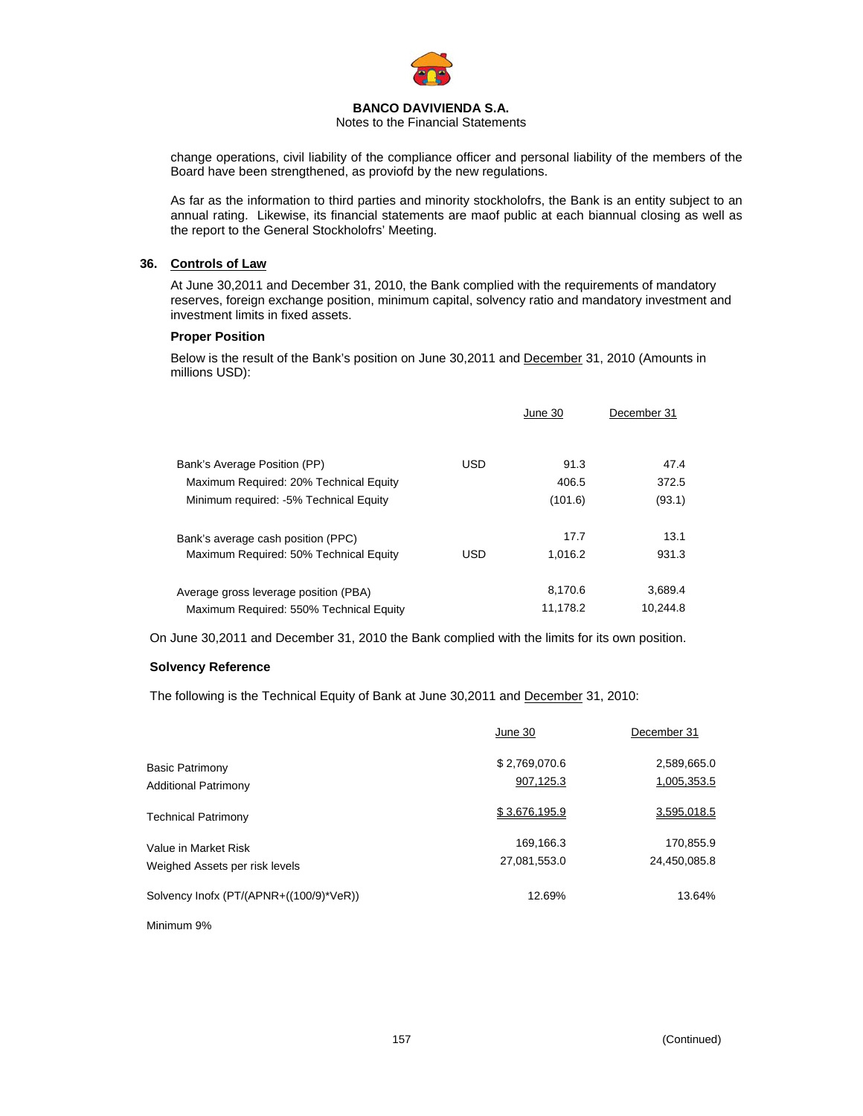

Notes to the Financial Statements

change operations, civil liability of the compliance officer and personal liability of the members of the Board have been strengthened, as proviofd by the new regulations.

As far as the information to third parties and minority stockholofrs, the Bank is an entity subject to an annual rating. Likewise, its financial statements are maof public at each biannual closing as well as the report to the General Stockholofrs' Meeting.

## **36. Controls of Law**

At June 30,2011 and December 31, 2010, the Bank complied with the requirements of mandatory reserves, foreign exchange position, minimum capital, solvency ratio and mandatory investment and investment limits in fixed assets.

## **Proper Position**

Below is the result of the Bank's position on June 30,2011 and December 31, 2010 (Amounts in millions USD):

|                                         |            | June 30  | December 31 |
|-----------------------------------------|------------|----------|-------------|
| Bank's Average Position (PP)            | <b>USD</b> | 91.3     | 47.4        |
| Maximum Required: 20% Technical Equity  |            | 406.5    | 372.5       |
| Minimum required: -5% Technical Equity  |            | (101.6)  | (93.1)      |
| Bank's average cash position (PPC)      |            | 17.7     | 13.1        |
| Maximum Required: 50% Technical Equity  | <b>USD</b> | 1.016.2  | 931.3       |
| Average gross leverage position (PBA)   |            | 8,170.6  | 3,689.4     |
| Maximum Required: 550% Technical Equity |            | 11,178.2 | 10,244.8    |

On June 30,2011 and December 31, 2010 the Bank complied with the limits for its own position.

# **Solvency Reference**

The following is the Technical Equity of Bank at June 30,2011 and December 31, 2010:

|                                         | June 30       | December 31  |
|-----------------------------------------|---------------|--------------|
| <b>Basic Patrimony</b>                  | \$2,769,070.6 | 2,589,665.0  |
| <b>Additional Patrimony</b>             | 907,125.3     | 1,005,353.5  |
| <b>Technical Patrimony</b>              | \$3,676,195.9 | 3,595,018.5  |
| Value in Market Risk                    | 169,166.3     | 170,855.9    |
| Weighed Assets per risk levels          | 27,081,553.0  | 24,450,085.8 |
| Solvency Inofx (PT/(APNR+((100/9)*VeR)) | 12.69%        | 13.64%       |
|                                         |               |              |

Minimum 9%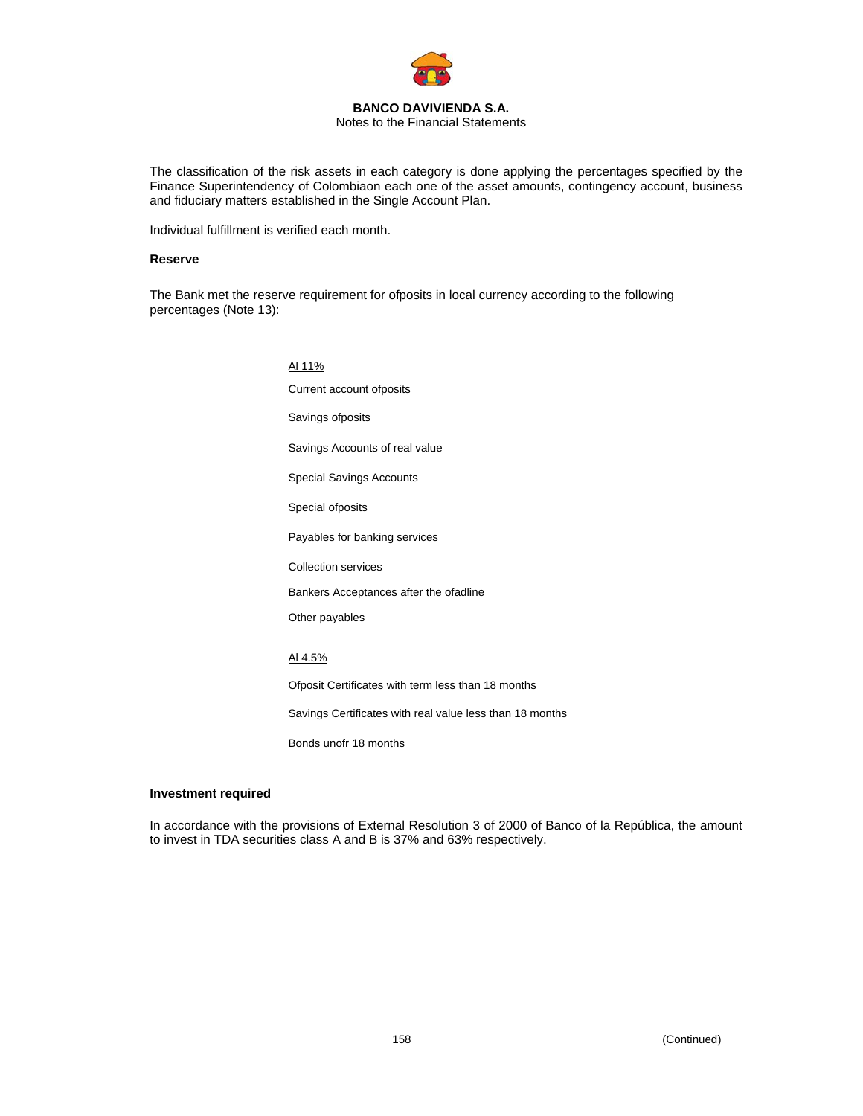

#### **BANCO DAVIVIENDA S.A.**  Notes to the Financial Statements

The classification of the risk assets in each category is done applying the percentages specified by the Finance Superintendency of Colombiaon each one of the asset amounts, contingency account, business and fiduciary matters established in the Single Account Plan.

Individual fulfillment is verified each month.

#### **Reserve**

The Bank met the reserve requirement for ofposits in local currency according to the following percentages (Note 13):

> Al 11% Current account ofposits Savings ofposits Savings Accounts of real value Special Savings Accounts Special ofposits Payables for banking services Collection services Bankers Acceptances after the ofadline Other payables Al 4.5% Ofposit Certificates with term less than 18 months Savings Certificates with real value less than 18 months Bonds unofr 18 months

#### **Investment required**

In accordance with the provisions of External Resolution 3 of 2000 of Banco of la República, the amount to invest in TDA securities class A and B is 37% and 63% respectively.